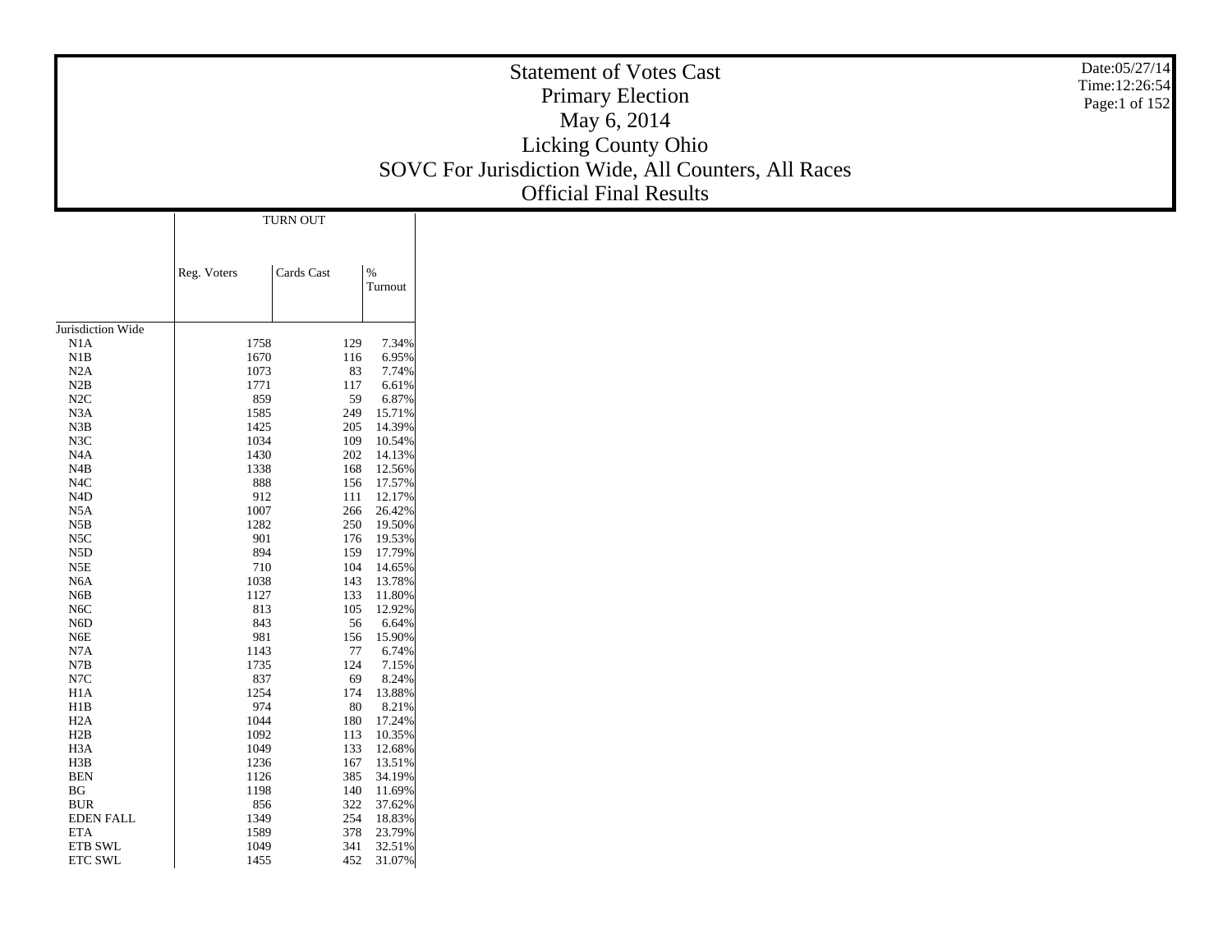|                                      | <b>Statement of Votes Cast</b><br><b>Primary Election</b><br>May 6, 2014<br>Licking County Ohio |            |                                | Date:05/27/14<br>Time:12:26:54<br>Page:1 of 152     |  |
|--------------------------------------|-------------------------------------------------------------------------------------------------|------------|--------------------------------|-----------------------------------------------------|--|
|                                      |                                                                                                 |            |                                | SOVC For Jurisdiction Wide, All Counters, All Races |  |
|                                      |                                                                                                 |            |                                | <b>Official Final Results</b>                       |  |
|                                      |                                                                                                 | TURN OUT   |                                |                                                     |  |
|                                      |                                                                                                 |            |                                |                                                     |  |
|                                      | Reg. Voters                                                                                     | Cards Cast | $\%$<br>Turnout                |                                                     |  |
|                                      |                                                                                                 |            |                                |                                                     |  |
| Jurisdiction Wide<br>N1A             | 1758                                                                                            |            | 129<br>7.34%                   |                                                     |  |
| N1B                                  | 1670                                                                                            |            | 6.95%<br>116                   |                                                     |  |
| N2A                                  | 1073                                                                                            |            | 83<br>7.74%                    |                                                     |  |
| N2B                                  | 1771                                                                                            |            | 117<br>6.61%                   |                                                     |  |
| N2C<br>N3A                           | 859<br>1585                                                                                     |            | 59<br>6.87%<br>249<br>15.71%   |                                                     |  |
| N3B                                  | 1425                                                                                            |            | 14.39%<br>205                  |                                                     |  |
| $_{\rm N3C}$                         | 1034                                                                                            |            | 109<br>10.54%                  |                                                     |  |
| N <sub>4</sub> A                     | 1430                                                                                            |            | 14.13%<br>202                  |                                                     |  |
| N4B                                  | 1338                                                                                            |            | 12.56%<br>168                  |                                                     |  |
| N <sub>4</sub> C                     | 888                                                                                             |            | 17.57%<br>156                  |                                                     |  |
| $\rm N4D$<br>N5A                     | 912<br>1007                                                                                     |            | 12.17%<br>111<br>26.42%<br>266 |                                                     |  |
| N5B                                  | 1282                                                                                            |            | 19.50%<br>250                  |                                                     |  |
| N5C                                  | 901                                                                                             |            | 19.53%<br>176                  |                                                     |  |
| N5D                                  |                                                                                                 | 894        | 159<br>17.79%                  |                                                     |  |
| N5E                                  | 710                                                                                             |            | 104<br>14.65%                  |                                                     |  |
| N <sub>6</sub> A                     | 1038                                                                                            |            | 13.78%<br>143                  |                                                     |  |
| N <sub>6</sub> B<br>N <sub>6</sub> C | 1127<br>813                                                                                     |            | 133<br>11.80%<br>12.92%<br>105 |                                                     |  |
| N <sub>6</sub> D                     |                                                                                                 | 843        | 56<br>6.64%                    |                                                     |  |
| ${\rm N6E}$                          | 981                                                                                             |            | 15.90%<br>156                  |                                                     |  |
| N7A                                  | 1143                                                                                            |            | 77<br>6.74%                    |                                                     |  |
| N7B                                  | 1735                                                                                            |            | 124<br>7.15%                   |                                                     |  |
| N7C                                  | 837                                                                                             |            | 69<br>8.24%                    |                                                     |  |
| H1A<br>H1B                           | 1254<br>974                                                                                     |            | 13.88%<br>174<br>80<br>8.21%   |                                                     |  |
| H <sub>2</sub> A                     | 1044                                                                                            |            | 180<br>17.24%                  |                                                     |  |
| H2B                                  | 1092                                                                                            |            | 10.35%<br>113                  |                                                     |  |
| H3A                                  | 1049                                                                                            |            | 133 12.68%                     |                                                     |  |
| H3B                                  | 1236                                                                                            |            | 167 13.51%                     |                                                     |  |
| $\operatorname{BEN}$                 | 1126                                                                                            |            | 385<br>34.19%                  |                                                     |  |
| $\mathbf{B}\mathbf{G}$<br><b>BUR</b> | 1198<br>856                                                                                     |            | 140<br>11.69%<br>322<br>37.62% |                                                     |  |
| <b>EDEN FALL</b>                     | 1349                                                                                            |            | 254<br>18.83%                  |                                                     |  |
| <b>ETA</b>                           | 1589                                                                                            |            | 23.79%<br>378                  |                                                     |  |
| ETB SWL                              | 1049                                                                                            |            | 32.51%<br>341                  |                                                     |  |
| $\ensuremath{\text{ETC}}$ SWL        | 1455                                                                                            |            | 452 31.07%                     |                                                     |  |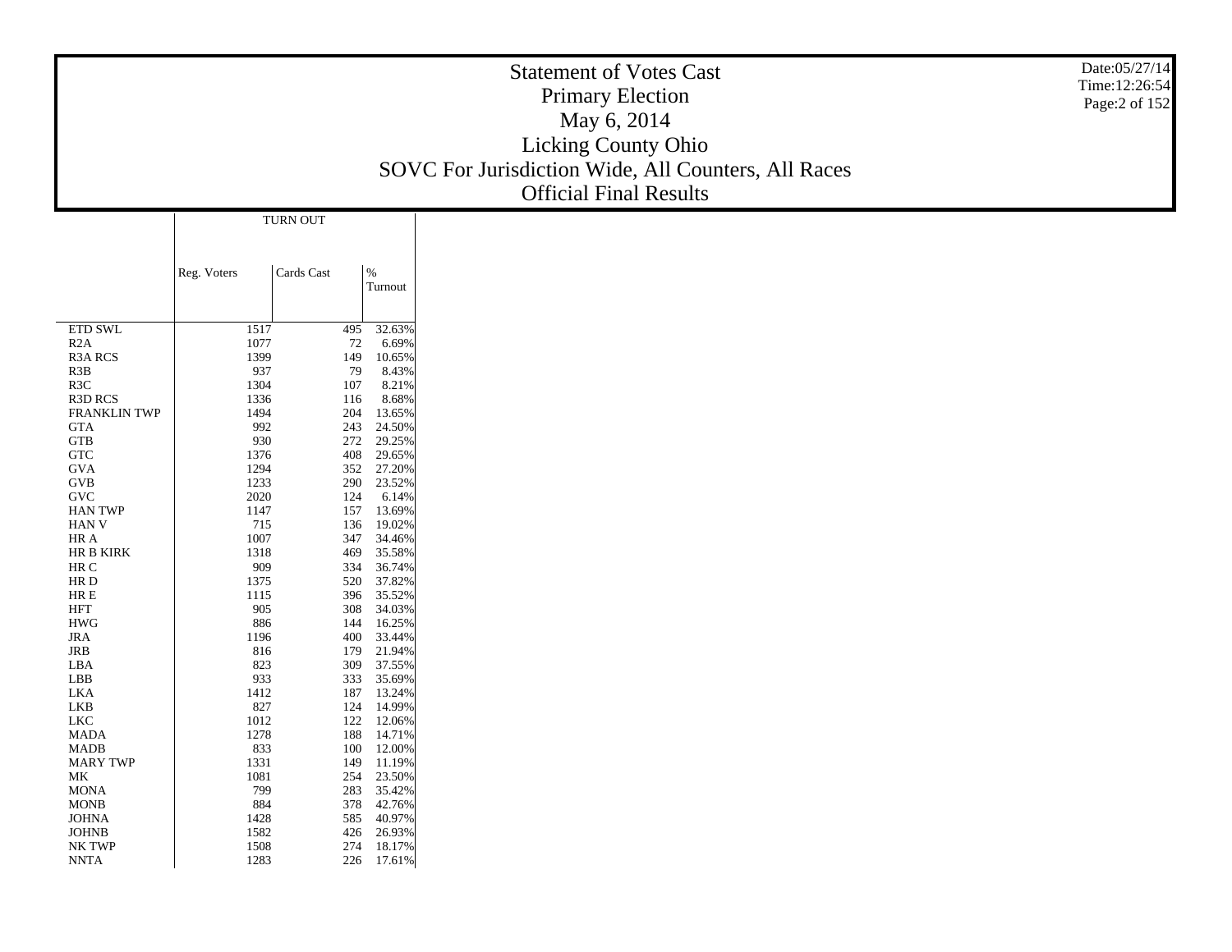|                                     |             |                 |                                  | <b>Statement of Votes Cast</b><br><b>Primary Election</b><br>May 6, 2014<br>Licking County Ohio<br>SOVC For Jurisdiction Wide, All Counters, All Races<br><b>Official Final Results</b> | Date:05/27/14<br>Time: 12:26:54<br>Page: 2 of 152 |
|-------------------------------------|-------------|-----------------|----------------------------------|-----------------------------------------------------------------------------------------------------------------------------------------------------------------------------------------|---------------------------------------------------|
|                                     |             | <b>TURN OUT</b> |                                  |                                                                                                                                                                                         |                                                   |
|                                     |             |                 |                                  |                                                                                                                                                                                         |                                                   |
|                                     | Reg. Voters | Cards Cast      | $\%$<br>$\operatorname{Turnout}$ |                                                                                                                                                                                         |                                                   |
| ETD SWL                             | 1517        | 495             | 32.63%                           |                                                                                                                                                                                         |                                                   |
| R2A                                 | 1077        |                 | 72<br>6.69%                      |                                                                                                                                                                                         |                                                   |
| R3A RCS                             | 1399        | 149             | 10.65%                           |                                                                                                                                                                                         |                                                   |
| R3B<br>R3C                          | 937<br>1304 | $107\,$         | 79<br>8.43%<br>8.21%             |                                                                                                                                                                                         |                                                   |
| R3D RCS                             | 1336        | 116             | 8.68%                            |                                                                                                                                                                                         |                                                   |
| FRANKLIN TWP                        | 1494        | 204             | 13.65%                           |                                                                                                                                                                                         |                                                   |
| <b>GTA</b>                          | 992         | 243             | 24.50%                           |                                                                                                                                                                                         |                                                   |
| $\operatorname{GTB}$<br>${\rm GTC}$ | 930<br>1376 | 272<br>408      | 29.25%<br>29.65%                 |                                                                                                                                                                                         |                                                   |
| <b>GVA</b>                          | 1294        | 352             | 27.20%                           |                                                                                                                                                                                         |                                                   |
| $\rm GVB$                           | 1233        | 290             | 23.52%                           |                                                                                                                                                                                         |                                                   |
| $\operatorname{GVC}$                | 2020        | 124             | 6.14%                            |                                                                                                                                                                                         |                                                   |
| <b>HAN TWP</b><br>HAN V             | 1147<br>715 | 157<br>136      | 13.69%<br>19.02%                 |                                                                                                                                                                                         |                                                   |
| HR A                                | 1007        | 347             | 34.46%                           |                                                                                                                                                                                         |                                                   |
| HR B KIRK                           | 1318        | 469             | 35.58%                           |                                                                                                                                                                                         |                                                   |
| $\rm{HR}$ C<br>$\rm HR$ D           | 909<br>1375 | 334<br>520      | 36.74%<br>37.82%                 |                                                                                                                                                                                         |                                                   |
| $\rm HR\,E$                         | 1115        | 396             | 35.52%                           |                                                                                                                                                                                         |                                                   |
| <b>HFT</b>                          | 905         | 308             | 34.03%                           |                                                                                                                                                                                         |                                                   |
| $\rm HWG$                           | 886         | 144             | 16.25%                           |                                                                                                                                                                                         |                                                   |
| JRA<br>JRB                          | 1196<br>816 | 400<br>179      | 33.44%<br>21.94%                 |                                                                                                                                                                                         |                                                   |
| LBA                                 | 823         | 309             | 37.55%                           |                                                                                                                                                                                         |                                                   |
| LBB                                 | 933         | 333             | 35.69%                           |                                                                                                                                                                                         |                                                   |
| LKA                                 | 1412        | 187             | 13.24%                           |                                                                                                                                                                                         |                                                   |
| LKB<br>${\rm LKC}$                  | 827<br>1012 | 124<br>122      | 14.99%<br>12.06%                 |                                                                                                                                                                                         |                                                   |
| MADA                                | 1278        |                 | 188<br>14.71%                    |                                                                                                                                                                                         |                                                   |
| $\rm MADB$                          | 833         |                 | 100 12.00%                       |                                                                                                                                                                                         |                                                   |
| <b>MARY TWP</b>                     | 1331        |                 | 149 11.19%                       |                                                                                                                                                                                         |                                                   |
| MK<br>$\rm{MONA}$                   | 1081<br>799 |                 | 254 23.50%<br>283 35.42%         |                                                                                                                                                                                         |                                                   |
| $\rm{MONB}$                         | 884         |                 | 378<br>42.76%                    |                                                                                                                                                                                         |                                                   |
| <b>JOHNA</b>                        | 1428        | 585             | 40.97%                           |                                                                                                                                                                                         |                                                   |
| $_{\rm JOHNB}$                      | 1582        |                 | 26.93%<br>426                    |                                                                                                                                                                                         |                                                   |
| NK TWP<br><b>NNTA</b>               | 1508        |                 | 274 18.17%                       |                                                                                                                                                                                         |                                                   |
|                                     | 1283        |                 | 226 17.61%                       |                                                                                                                                                                                         |                                                   |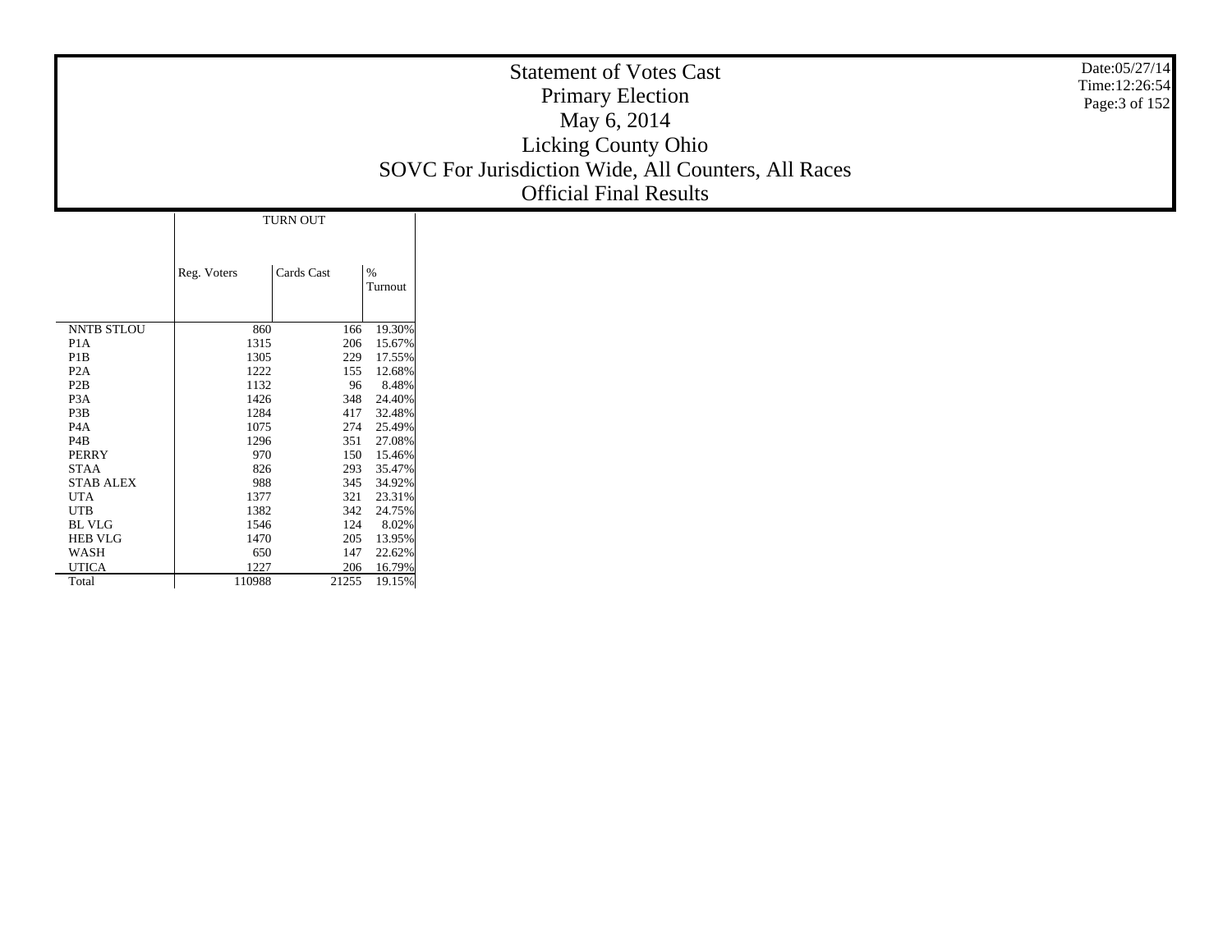|                   |             |            |         | Date:05/27/14<br><b>Statement of Votes Cast</b>     |
|-------------------|-------------|------------|---------|-----------------------------------------------------|
|                   |             |            |         | Time: 12:26:54<br><b>Primary Election</b>           |
|                   |             |            |         | Page: 3 of 152                                      |
|                   |             |            |         | May 6, 2014                                         |
|                   |             |            |         | <b>Licking County Ohio</b>                          |
|                   |             |            |         |                                                     |
|                   |             |            |         | SOVC For Jurisdiction Wide, All Counters, All Races |
|                   |             |            |         | <b>Official Final Results</b>                       |
|                   |             |            |         |                                                     |
|                   |             | TURN OUT   |         |                                                     |
|                   |             |            |         |                                                     |
|                   |             |            |         |                                                     |
|                   | Reg. Voters | Cards Cast | $\%$    |                                                     |
|                   |             |            | Turnout |                                                     |
|                   |             |            |         |                                                     |
| <b>NNTB STLOU</b> | 860         | 166        | 19.30%  |                                                     |
| P1A               | 1315        | 206        | 15.67%  |                                                     |
| P <sub>1</sub> B  | 1305        | 229        | 17.55%  |                                                     |
| P <sub>2</sub> A  | 1222        | 155        | 12.68%  |                                                     |
| P <sub>2</sub> B  | 1132        | 96         | 8.48%   |                                                     |
| P <sub>3</sub> A  | 1426        | 348        | 24.40%  |                                                     |
| P3B               | 1284        | 417        | 32.48%  |                                                     |
| P <sub>4</sub> A  | 1075        | 274        | 25.49%  |                                                     |
| P <sub>4</sub> B  | 1296        | 351        | 27.08%  |                                                     |
| <b>PERRY</b>      | 970         | 150        | 15.46%  |                                                     |
| <b>STAA</b>       | 826         | 293        | 35.47%  |                                                     |
| <b>STAB ALEX</b>  | 988         | 345        | 34.92%  |                                                     |
| <b>UTA</b>        | 1377        | 321        | 23.31%  |                                                     |
| <b>UTB</b>        | 1382        | 342        | 24.75%  |                                                     |
| <b>BL VLG</b>     | 1546        | 124        | 8.02%   |                                                     |
| <b>HEB VLG</b>    | 1470        | 205        | 13.95%  |                                                     |
| WASH              | 650         | 147        | 22.62%  |                                                     |
| <b>UTICA</b>      | 1227        | 206        | 16.79%  |                                                     |
| Total             | 110988      | 21255      | 19.15%  |                                                     |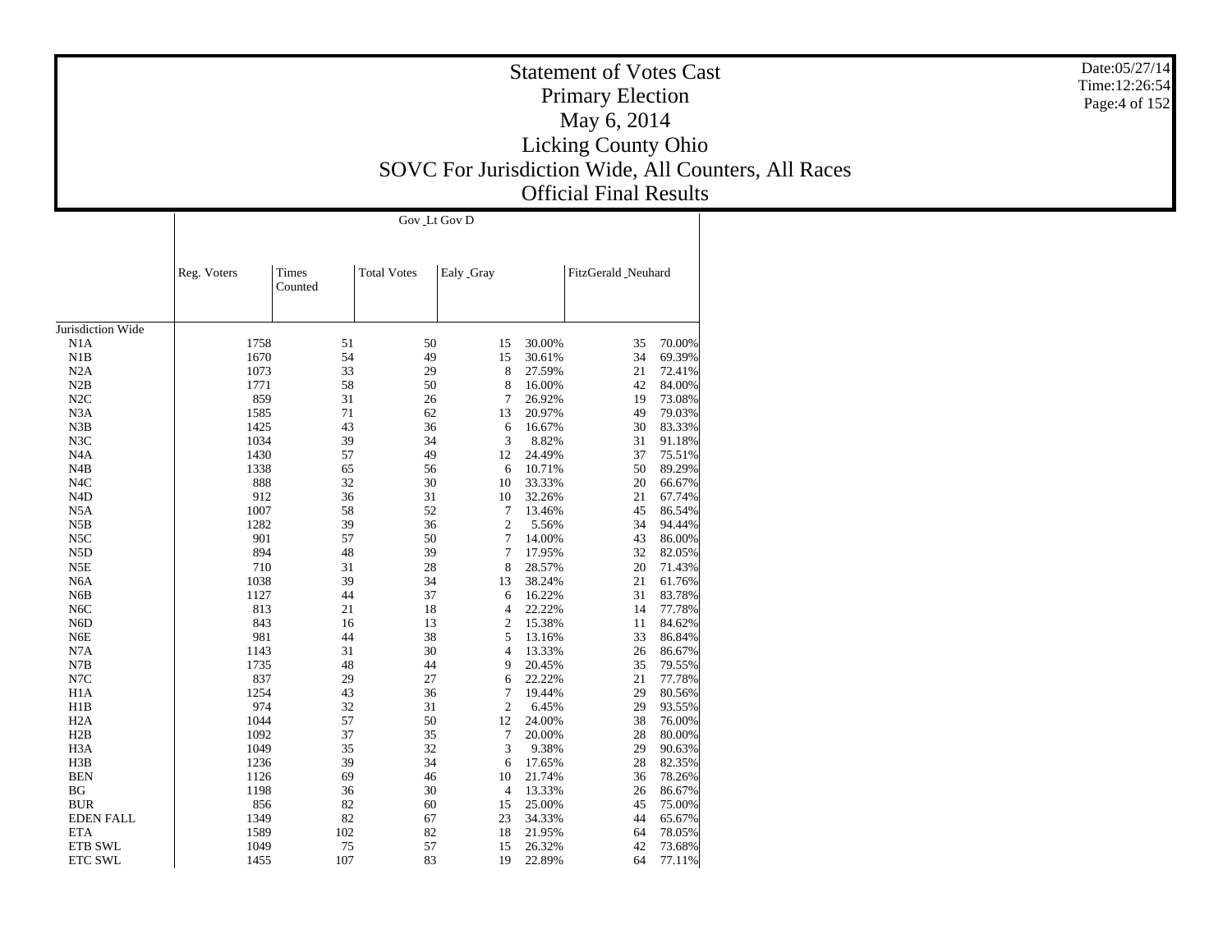Jurisdiction Wide N1A N1B N2A N2B N2C N3A N3B N3C N4A N4B N4C N4D N5A N5B N5C N5D N5E N6A N6B N6C N6D N6E N7A N7B N7C H1A H1B H2A H2B H3A H3B BEN BG BUR EDEN FALL ETA ETB SWL ETC SWL Reg. Voters Times CountedTotal VotesEaly Gray | FitzGerald Neuhard Gov Lt Gov D1758 51 50 15 30.00% 35 70.00% 1670 54 49 15 30.61% 34 69.39% 1073 33 29 8 27.59% 21 72.41% 1771 58 50 8 16.00% 42 84.00% 859 31 26 7 26.92% 19 73.08% 1585 71 62 13 20.97% 49 79.03% 1425 43 36 6 16.67% 30 83.33% 1034 39 34 3 8.82% 31 91.18% 1430 57 49 12 24.49% 37 75.51% 1338 65 56 6 10.71% 50 89.29% 888 32 30 10 33.33% 20 66.67% 912 36 31 10 32.26% 21 67.74% 1007 58 52 7 13.46% 45 86.54% 1282 39 36 2 5.56% 34 94.44% 901 57 50 7 14.00% 43 86.00% 894 48 39 7 17.95% 32 82.05% 710 31 28 8 28.57% 20 71.43% 1038 39 34 13 38.24% 21 61.76% 1127 44 37 6 16.22% 31 83.78% 813 21 18 4 22.22% 14 77.78% 843 16 13 2 15.38% 11 84.62% 981 44 38 5 13.16% 33 86.84% 1143 31 30 4 13.33% 26 86.67% 1735 48 44 9 20.45% 35 79.55% 837 29 27 6 22.22% 21 77.78% 1254 43 36 7 19.44% 29 80.56% 974 32 31 2 6.45% 29 93.55% 1044 57 50 12 24.00% 38 76.00% 1092 37 35 7 20.00% 28 80.00% 1049 35 32 3 9.38% 29 90.63% 1236 39 34 6 17.65% 28 82.35% 1126 69 46 10 21.74% 36 78.26% 1198 36 30 4 13.33% 26 86.67% 856 82 60 15 25.00% 45 75.00% 1349 82 67 23 34.33% 44 65.67% 1589 102 82 18 21.95% 64 78.05% 1049 75 57 15 26.32% 42 73.68% 1455 107 83 19 22.89%64 77.11% Date:05/27/14Time:12:26:54Page:4 of 152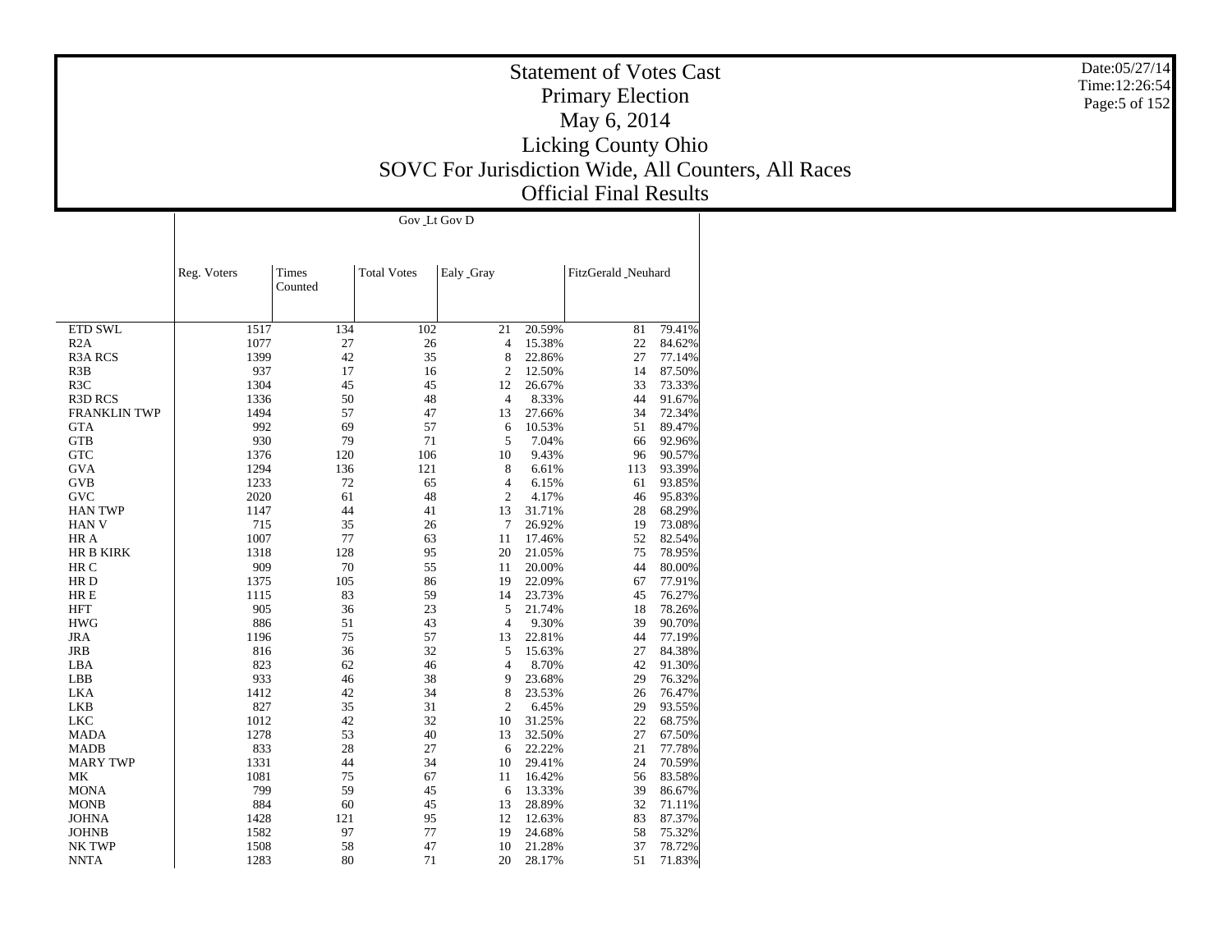ETD SWL R2A R3A RCS R3B R3C R3D RCS FRANKLIN TWP GTA GTB GTC GVA GVB GVC HAN TWP HAN V HR A HR B KIRK HR C HR D HR E HFT HWG JRA JRB LBA LBB LKA LKB LKC MADA MADB MARY TWP MK MONA MONB JOHNA JOHNB NK TWP NNTAReg. Voters Times CountedTotal VotesEaly Gray | FitzGerald Neuhard  $1517$ 134 102 21 20.59%  $81 \overline{79.41\%}$ 1077 27 26 4 15.38% 22 84.62% 1399 42 35 8 22.86% 27 77.14% 937 17 16 2 12.50% 14 87.50% 1304 45 45 12 26.67% 33 73.33% 1336 50 48 4 8.33% 44 91.67% 1494 57 47 13 27.66% 34 72.34% 992 69 57 6 10.53% 51 89.47% 930 79 71 5 7.04% 66 92.96% 1376 120 106 10 9.43% 96 90.57% 1294 136 121 8 6.61% 113 93.39% 1233 72 65 4 6.15% 61 93.85% 2020 61 48 2 4.17% 46 95.83% 1147 44 41 13 31.71% 28 68.29% 715 35 26 7 26.92% 19 73.08% 1007 77 63 11 17.46% 52 82.54% 1318 128 95 20 21.05% 75 78.95% 909 70 55 11 20.00% 44 80.00% 1375 105 86 19 22.09% 67 77.91% 1115 83 59 14 23.73% 45 76.27% 905 36 23 5 21.74% 18 78.26% 886 51 43 4 9.30% 39 90.70% 1196 75 57 13 22.81% 44 77.19% 816 36 32 5 15.63% 27 84.38% 823 62 46 4 8.70% 42 91.30% 933 46 38 9 23.68% 29 76.32% 1412 42 34 8 23.53% 26 76.47% 827 35 31 2 6.45% 29 93.55% 1012 42 32 10 31.25% 22 68.75% 1278 53 40 13 32.50% 27 67.50% 833 28 27 6 22.22% 21 77.78% 1331 44 34 10 29.41% 24 70.59% 1081 75 67 11 16.42% 56 83.58% 799 59 45 6 13.33% 39 86.67% 884 60 45 13 28.89% 32 71.11% 1428 121 95 12 12.63% 83 87.37% 1582 97 77 19 24.68% 58 75.32% 1508 58 47 10 21.28% 37 78.72% 1283 80 71 20 28.17%51 71.83%

Gov Lt Gov D

Date:05/27/14Time:12:26:54 Page:5 of 152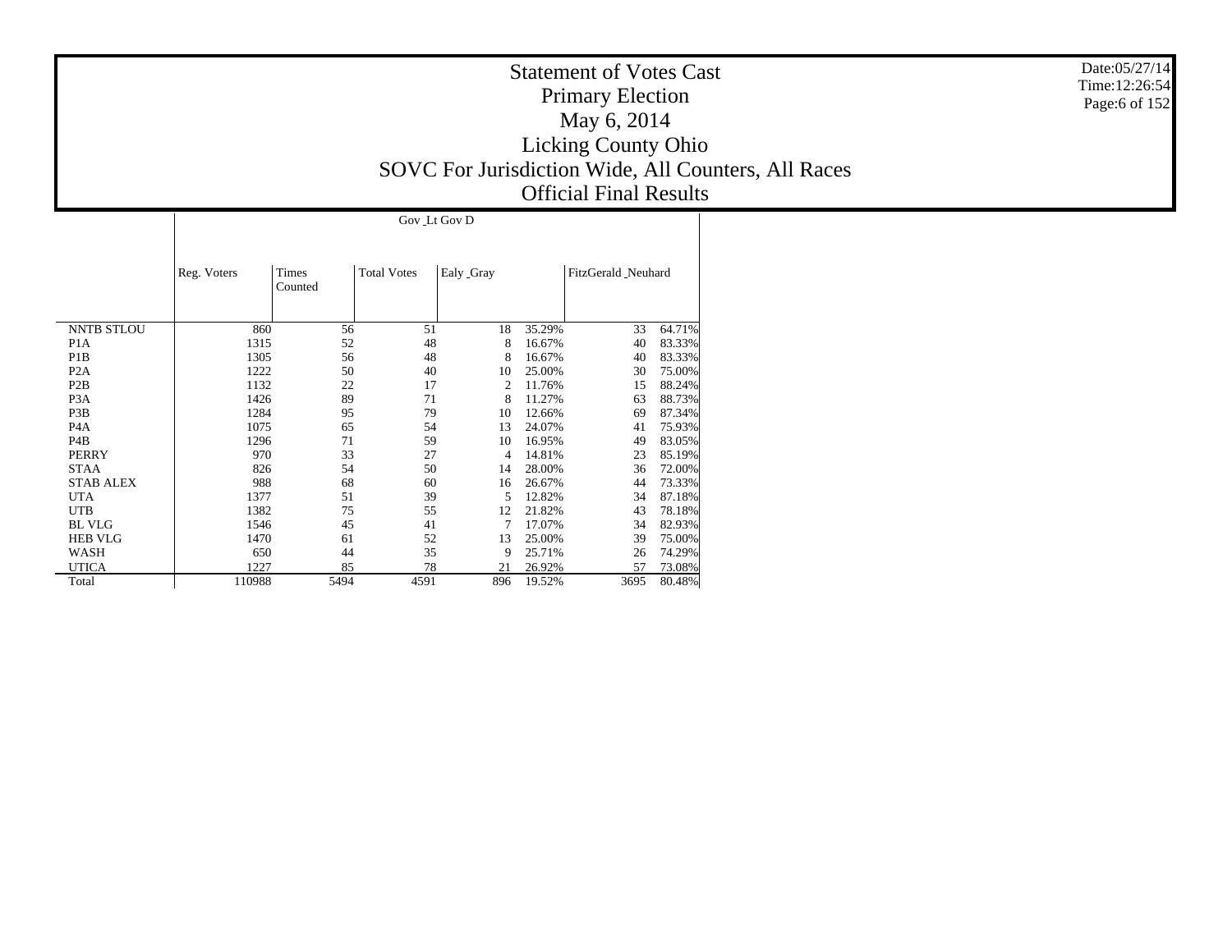NNTB STLOU P1A P1B P2A P2B P3A P3B P4A P4B PERRY STAA STAB ALEX UTA UTB BL VLG HEB VLG WASH UTICA Total Reg. Voters Times CountedTotal VotesEaly Gray | FitzGerald Neuhard Gov Lt Gov D86056 51 18 35.29%  $33 - 64.71\%$ 1315 52 48 8 16.67% 40 83.33% 1305 56 48 8 16.67% 40 83.33% 1222 50 40 10 25.00% 30 75.00% 1132 22 17 2 11.76% 15 88.24% 1426 89 71 8 11.27% 63 88.73% 1284 95 79 10 12.66% 69 87.34% 1075 65 54 13 24.07% 41 75.93% 1296 71 59 10 16.95% 49 83.05% 970 33 27 4 14.81% 23 85.19% 826 54 50 14 28.00% 36 72.00% 988 68 60 16 26.67% 44 73.33% 1377 51 39 5 12.82% 34 87.18% 1382 75 55 12 21.82% 43 78.18% 1546 45 41 7 17.07% 34 82.93% 1470 61 52 13 25.00% 39 75.00% 650 44 35 9 25.71% 26 74.29% 1227 85 78 21 26.92% 57 73.08% 110988 5494 4591 896 19.52%3695 80.48%

Date:05/27/14 Time:12:26:54Page:6 of 152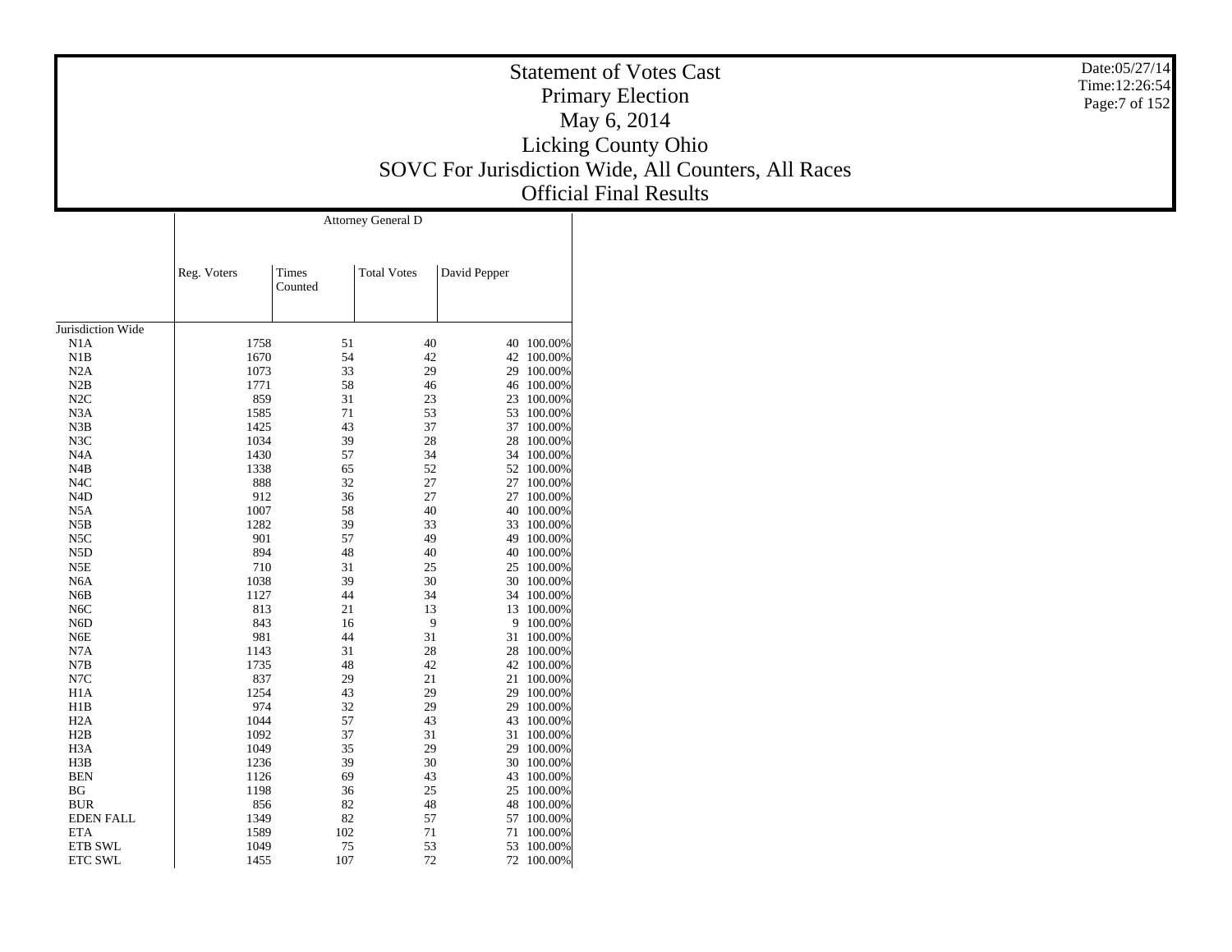| <b>Statement of Votes Cast</b>                      |
|-----------------------------------------------------|
| <b>Primary Election</b>                             |
| May 6, 2014                                         |
| <b>Licking County Ohio</b>                          |
| SOVC For Jurisdiction Wide, All Counters, All Races |
| <b>Official Final Results</b>                       |

Date:05/27/14 Time:12:26:54 Page:7 of 152

|                   |             |              | <b>Attorney General D</b> |              |            |
|-------------------|-------------|--------------|---------------------------|--------------|------------|
|                   | Reg. Voters | <b>Times</b> | <b>Total Votes</b>        | David Pepper |            |
|                   |             | Counted      |                           |              |            |
|                   |             |              |                           |              |            |
| Jurisdiction Wide |             |              |                           |              |            |
| N1A               | 1758        | 51           | 40                        |              | 40 100.00% |
| N1B               | 1670        | 54           | 42                        |              | 42 100.00% |
| N2A               | 1073        | 33           | 29                        |              | 29 100.00% |
| N2B               | 1771        | 58           | 46                        |              | 46 100.00% |
| N2C               | 859         | 31           | 23                        |              | 23 100.00% |
| N3A               | 1585        | 71           | 53                        |              | 53 100.00% |
| N3B               | 1425        | 43           | 37                        |              | 37 100.00% |
| N3C               | 1034        | 39           | 28                        |              | 28 100.00% |
| N4A               | 1430        | 57           | 34                        |              | 34 100.00% |
| N4B               | 1338        | 65           | 52                        |              | 52 100.00% |
| N <sub>4</sub> C  | 888         | 32           | 27                        |              | 27 100.00% |
| N4D               | 912         | 36           | 27                        |              | 27 100.00% |
| N <sub>5</sub> A  | 1007        | 58           | 40                        |              | 40 100.00% |
| N5B               | 1282        | 39           | 33                        |              | 33 100.00% |
| N5C               | 901         | 57           | 49                        |              | 49 100.00% |
| N5D               | 894         | 48           | 40                        |              | 40 100.00% |
| N5E               | 710         | 31           | 25                        |              | 25 100.00% |
| N <sub>6</sub> A  | 1038        | 39           | 30                        |              | 30 100.00% |
| N6B               | 1127        | 44           | 34                        |              | 34 100.00% |
| N <sub>6</sub> C  | 813         | 21           | 13                        |              | 13 100.00% |
| N6D               | 843         | 16           | 9                         |              | 9 100.00%  |
| N6E               | 981         | 44           | 31                        | 31           | 100.00%    |
| N7A               | 1143        | 31           | 28                        |              | 28 100.00% |
| N7B               | 1735        | 48           | 42                        |              | 42 100.00% |
| N7C               | 837         | 29           | 21                        | 21           | 100.00%    |
| H <sub>1</sub> A  | 1254        | 43           | 29                        |              | 29 100.00% |
| H1B               | 974         | 32           | 29                        |              | 29 100.00% |
| H2A               | 1044        | 57           | 43                        |              | 43 100.00% |
| H2B               | 1092        | 37           | 31                        | 31           | 100.00%    |
| H <sub>3</sub> A  | 1049        | 35           | 29                        |              | 29 100.00% |
| H3B               | 1236        | 39           | 30                        |              | 30 100.00% |
| <b>BEN</b>        | 1126        | 69           | 43                        |              | 43 100.00% |
| BG                | 1198        | 36           | 25                        |              | 25 100.00% |
| <b>BUR</b>        | 856         | 82           | 48                        |              | 48 100.00% |
| <b>EDEN FALL</b>  | 1349        | 82           | 57                        |              | 57 100.00% |
| <b>ETA</b>        | 1589        | 102          | 71                        | 71           | 100.00%    |
| <b>ETB SWL</b>    | 1049        | 75           | 53                        | 53           | 100.00%    |
| <b>ETC SWL</b>    | 1455        | 107          | 72                        | 72           | 100.00%    |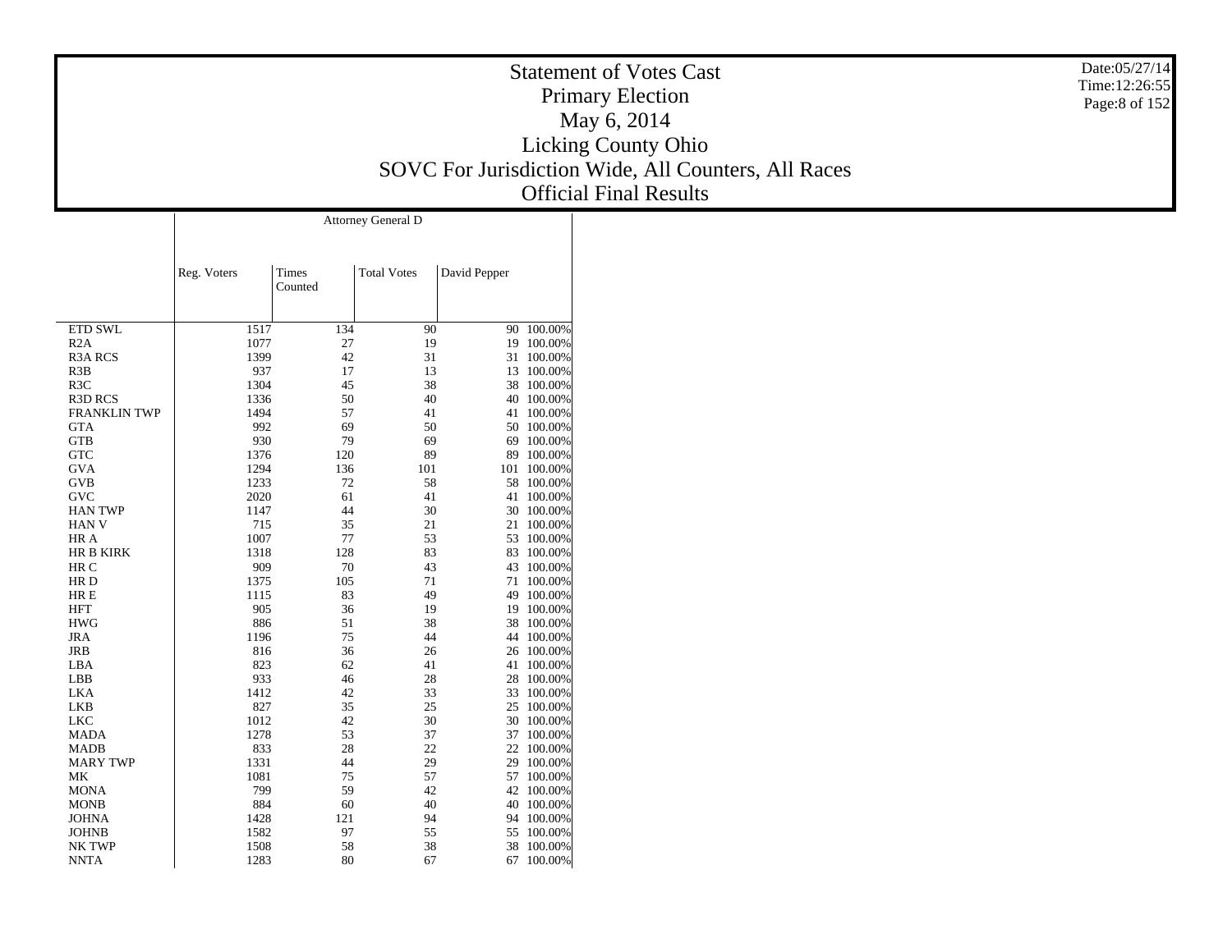|                     |             |                  | <b>Attorney General D</b> |              |            |
|---------------------|-------------|------------------|---------------------------|--------------|------------|
|                     |             |                  |                           |              |            |
|                     | Reg. Voters | Times<br>Counted | <b>Total Votes</b>        | David Pepper |            |
| <b>ETD SWL</b>      | 1517        | 134              | 90                        | 90           | 100.00%    |
| R2A                 | 1077        | 27               | 19                        | 19           | 100.00%    |
| <b>R3A RCS</b>      | 1399        | 42               | 31                        | 31           | 100.00%    |
| R3B                 | 937         | 17               | 13                        | 13           | 100.00%    |
| R3C                 | 1304        | 45               | 38                        | 38           | 100.00%    |
| <b>R3D RCS</b>      | 1336        | 50               | 40                        | 40           | 100.00%    |
| <b>FRANKLIN TWP</b> | 1494        | 57               | 41                        | 41           | 100.00%    |
| GTA                 | 992         | 69               | 50                        | 50           | 100.00%    |
| <b>GTB</b>          | 930         | 79               | 69                        | 69           | 100.00%    |
| <b>GTC</b>          | 1376        | 120              | 89                        | 89           | 100.00%    |
| <b>GVA</b>          | 1294        | 136              | 101                       | 101          | 100.00%    |
| GVB                 | 1233        | 72               | 58                        | 58           | 100.00%    |
| GVC                 | 2020        | 61               | 41                        | 41           | 100.00%    |
| <b>HAN TWP</b>      | 1147        | 44               | 30                        | 30           | 100.00%    |
| <b>HAN V</b>        | 715         | 35               | 21                        | 21           | 100.00%    |
| HR A                | 1007        | 77               | 53                        | 53           | 100.00%    |
| <b>HR B KIRK</b>    | 1318        | 128              | 83                        | 83           | 100.00%    |
| HR C                | 909         | 70               | 43                        | 43           | 100.00%    |
| HR D                | 1375        | 105              | 71                        | 71           | 100.00%    |
| HR E                | 1115        | 83               | 49                        | 49           | 100.00%    |
| <b>HFT</b>          | 905         | 36               | 19                        | 19           | 100.00%    |
| <b>HWG</b>          | 886         | 51               | 38                        | 38           | 100.00%    |
| JRA                 | 1196        | 75               | 44                        | 44           | 100.00%    |
| JRB                 | 816         | 36               | 26                        |              | 26 100.00% |
| LBA                 | 823         | 62               | 41                        | 41           | 100.00%    |
| LBB                 | 933         | 46               | 28                        | 28           | 100.00%    |
| <b>LKA</b>          | 1412        | 42               | 33                        | 33           | 100.00%    |
| LKB                 | 827         | 35               | 25                        |              | 25 100.00% |
| LKC                 | 1012        | 42               | 30                        | 30           | 100.00%    |
| MADA                | 1278        | 53               | 37                        | 37           | 100.00%    |
| <b>MADB</b>         | 833         | 28               | 22                        | 22           | 100.00%    |
| <b>MARY TWP</b>     | 1331        | 44               | 29                        | 29           | 100.00%    |
| MK                  | 1081        | 75               | 57                        | 57           | 100.00%    |
| <b>MONA</b>         | 799         | 59               | 42                        | 42           | 100.00%    |
| <b>MONB</b>         | 884         | 60               | 40                        | 40           | 100.00%    |
| JOHNA               | 1428        | 121              | 94                        | 94           | 100.00%    |
| JOHNB               | 1582        | 97               | 55                        | 55           | 100.00%    |
| <b>NK TWP</b>       | 1508        | 58               | 38                        | 38           | 100.00%    |
| <b>NNTA</b>         | 1283        | 80               | 67                        | 67           | 100.00%    |

Date:05/27/14 Time:12:26:55Page:8 of 152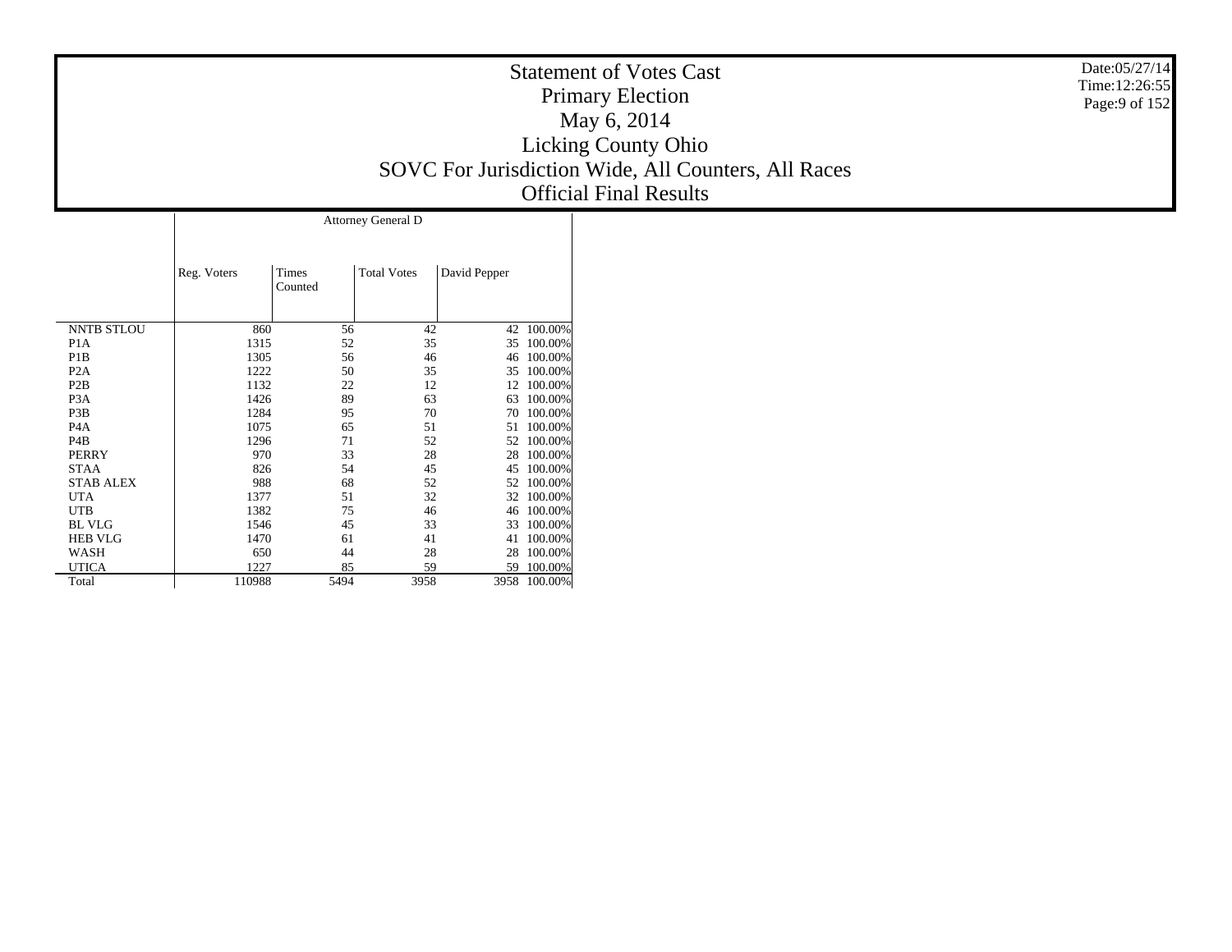|                   |             |                  | <b>Attorney General D</b> |              |         |
|-------------------|-------------|------------------|---------------------------|--------------|---------|
|                   |             |                  |                           |              |         |
|                   | Reg. Voters | Times<br>Counted | <b>Total Votes</b>        | David Pepper |         |
|                   |             |                  |                           |              |         |
| <b>NNTB STLOU</b> | 860         | 56               | 42                        | 42           | 100.00% |
| P <sub>1</sub> A  | 1315        | 52               | 35                        | 35           | 100.00% |
| P <sub>1</sub> B  | 1305        | 56               | 46                        | 46           | 100.00% |
| P <sub>2</sub> A  | 1222        | 50               | 35                        | 35           | 100.00% |
| P <sub>2</sub> B  | 1132        | 22               | 12                        | 12           | 100.00% |
| P <sub>3</sub> A  | 1426        | 89               | 63                        | 63           | 100.00% |
| P3B               | 1284        | 95               | 70                        | 70           | 100.00% |
| P <sub>4</sub> A  | 1075        | 65               | 51                        | 51           | 100.00% |
| P <sub>4</sub> B  | 1296        | 71               | 52                        | 52           | 100.00% |
| <b>PERRY</b>      | 970         | 33               | 28                        | 28           | 100.00% |
| <b>STAA</b>       | 826         | 54               | 45                        | 45           | 100.00% |
| <b>STAB ALEX</b>  | 988         | 68               | 52                        | 52           | 100.00% |
| <b>UTA</b>        | 1377        | 51               | 32                        | 32           | 100.00% |
| UTB               | 1382        | 75               | 46                        | 46           | 100.00% |
| <b>BL VLG</b>     | 1546        | 45               | 33                        | 33           | 100.00% |
| <b>HEB VLG</b>    | 1470        | 61               | 41                        | 41           | 100.00% |
| WASH              | 650         | 44               | 28                        | 28           | 100.00% |
| <b>UTICA</b>      | 1227        | 85               | 59                        | 59           | 100.00% |
| Total             | 110988      | 5494             | 3958                      | 3958         | 100.00% |

Date:05/27/14 Time:12:26:55Page:9 of 152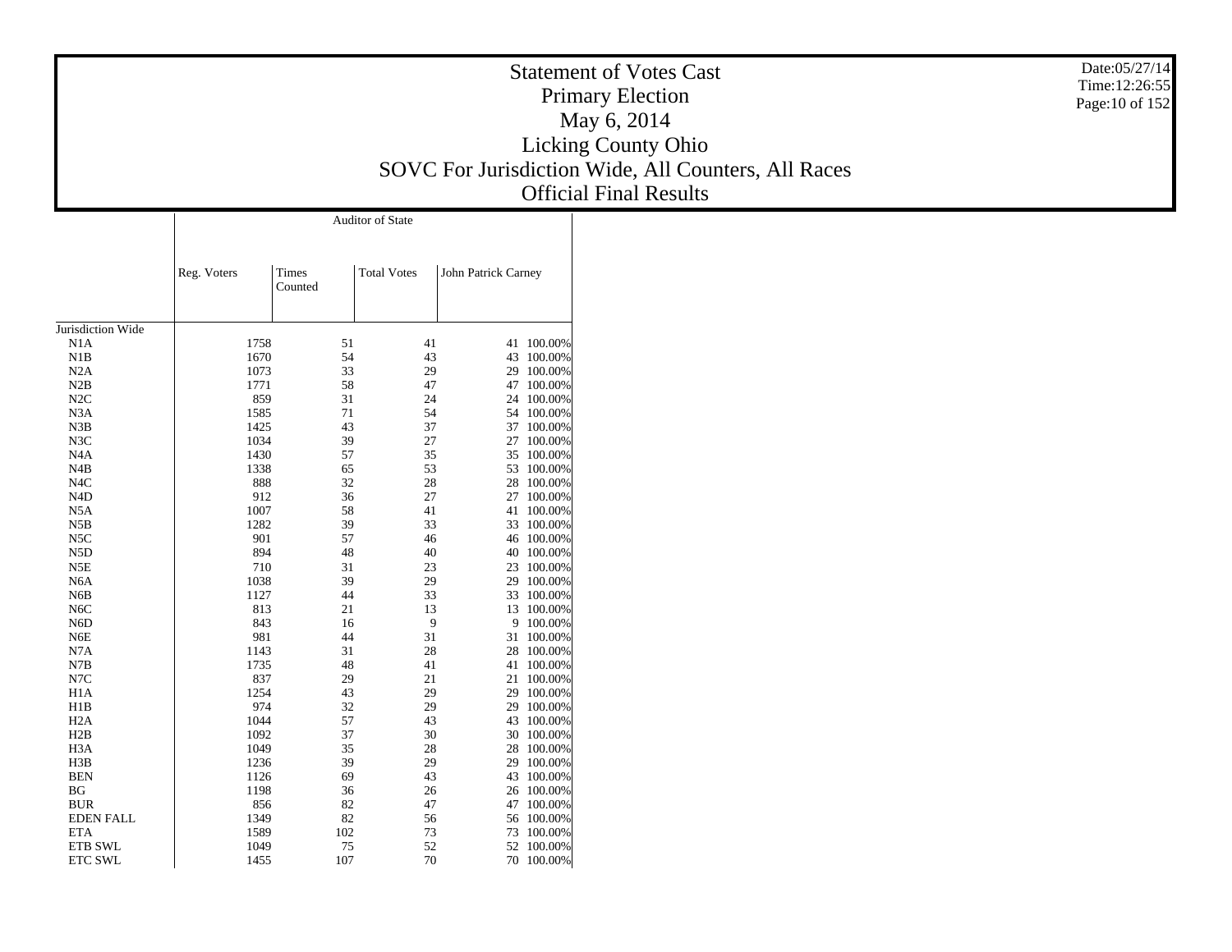| <b>Statement of Votes Cast</b>                      |
|-----------------------------------------------------|
| <b>Primary Election</b>                             |
| May 6, 2014                                         |
| <b>Licking County Ohio</b>                          |
| SOVC For Jurisdiction Wide, All Counters, All Races |
| <b>Official Final Results</b>                       |

Date:05/27/14 Time:12:26:55 Page:10 of 152

|                                  |              |                         | Auditor of State   |                     |                    |
|----------------------------------|--------------|-------------------------|--------------------|---------------------|--------------------|
|                                  |              |                         |                    |                     |                    |
|                                  | Reg. Voters  | <b>Times</b><br>Counted | <b>Total Votes</b> | John Patrick Carney |                    |
| Jurisdiction Wide                |              |                         |                    |                     |                    |
| N1A                              | 1758         | 51                      | 41                 | 41                  | 100.00%            |
| N1B                              | 1670         | 54                      | 43                 | 43                  | 100.00%            |
| N2A                              | 1073         | 33                      | 29                 | 29                  | 100.00%            |
| N2B                              | 1771         | 58                      | 47                 | 47                  | 100.00%            |
| N2C                              | 859          | 31                      | 24                 | 24                  | 100.00%            |
| N <sub>3</sub> A                 | 1585         | 71                      | 54                 | 54                  | 100.00%            |
| N3B                              | 1425         | 43                      | 37                 | 37                  | 100.00%            |
| N3C                              | 1034         | 39                      | 27                 | 27                  | 100.00%            |
| N <sub>4</sub> A                 | 1430         | 57                      | 35                 | 35                  | 100.00%            |
| N <sub>4</sub> B                 | 1338         | 65                      | 53                 | 53                  | 100.00%            |
| N <sub>4</sub> C                 | 888          | 32                      | 28                 | 28                  | 100.00%            |
| N <sub>4</sub> D                 | 912          | 36                      | 27                 | 27                  | 100.00%            |
| N5A                              | 1007         | 58                      | 41                 | 41                  | 100.00%            |
| N5B                              | 1282         | 39                      | 33                 | 33                  | 100.00%            |
| N <sub>5</sub> C                 | 901          | 57                      | 46                 | 46                  | 100.00%            |
| N <sub>5</sub> D                 | 894          | 48                      | 40                 | 40                  | 100.00%            |
| N5E                              | 710          | 31                      | 23                 | 23                  | 100.00%            |
| N <sub>6</sub> A                 | 1038         | 39                      | 29                 | 29                  | 100.00%            |
| N6B                              | 1127         | 44                      | 33                 | 33                  | 100.00%            |
| N <sub>6</sub> C                 | 813          | 21                      | 13                 | 13                  | 100.00%            |
| N <sub>6</sub> D                 | 843          | 16                      | 9                  | 9                   | 100.00%            |
| N6E                              | 981          | 44                      | 31                 | 31                  | 100.00%            |
| N7A                              | 1143         | 31                      | 28                 | 28                  | 100.00%            |
| N7B                              | 1735         | 48                      | 41                 | 41                  | 100.00%            |
| N7C                              | 837          | 29                      | 21                 | 21                  | 100.00%            |
| H1A                              | 1254         | 43                      | 29                 | 29                  | 100.00%            |
| H1B                              | 974          | 32                      | 29                 | 29                  | 100.00%            |
| H2A                              | 1044         | 57                      | 43                 | 43                  | 100.00%            |
| H2B                              | 1092         | 37                      | 30                 | 30                  | 100.00%            |
| H <sub>3</sub> A                 | 1049         | 35                      | 28                 | 28                  | 100.00%            |
| H3B                              | 1236         | 39                      | 29                 | 29                  | 100.00%            |
| <b>BEN</b>                       | 1126         | 69                      | 43                 | 43                  | 100.00%            |
| <b>BG</b>                        | 1198         | 36                      | 26                 | 26                  | 100.00%            |
| <b>BUR</b>                       | 856          | 82                      | 47                 | 47                  | 100.00%            |
| <b>EDEN FALL</b><br><b>ETA</b>   | 1349         | 82                      | 56                 | 56                  | 100.00%            |
|                                  | 1589         | 102                     | 73<br>52           | 73<br>52            | 100.00%            |
| <b>ETB SWL</b><br><b>ETC SWL</b> | 1049<br>1455 | 75<br>107               | 70                 | 70                  | 100.00%<br>100.00% |
|                                  |              |                         |                    |                     |                    |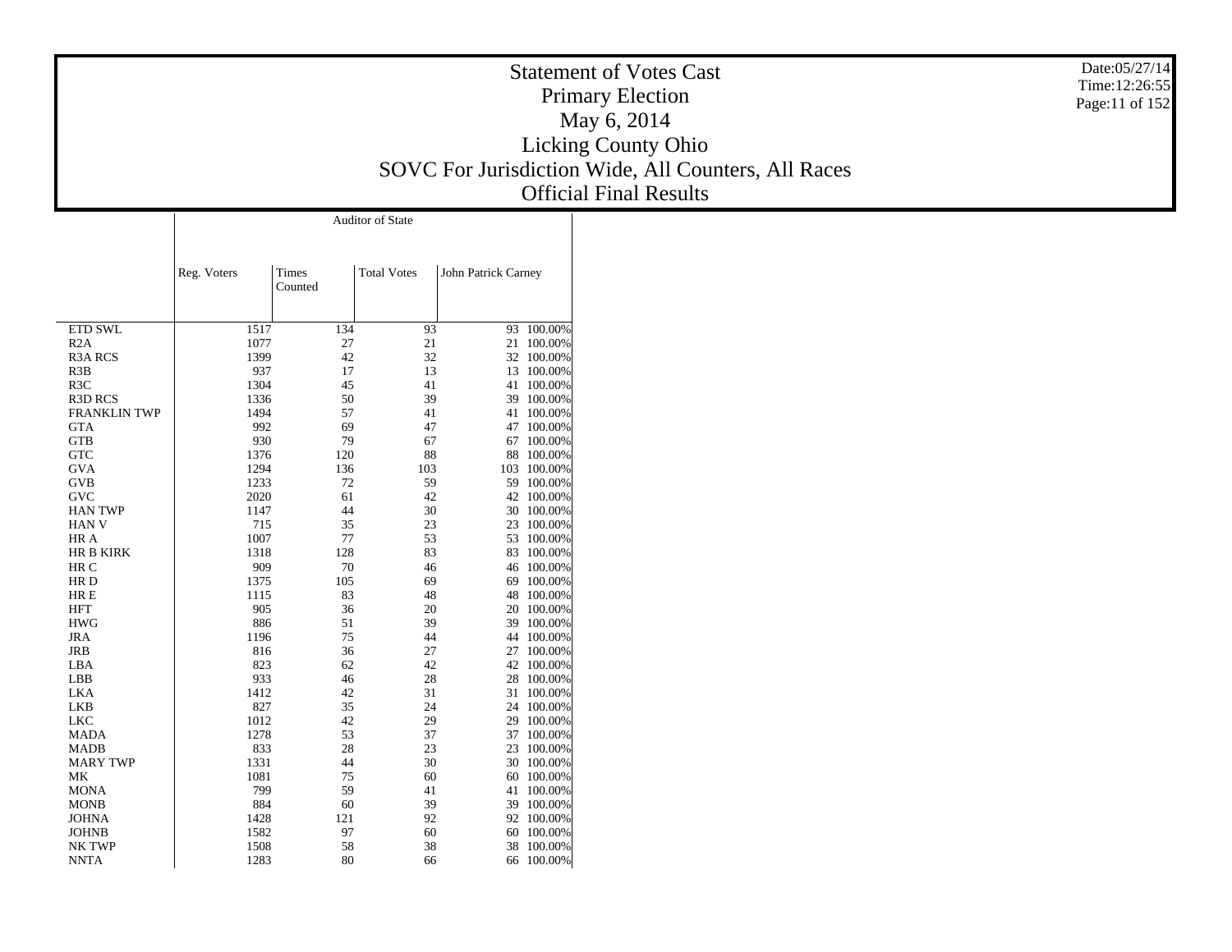|                     |             |           | <b>Auditor of State</b> |                     |                       |
|---------------------|-------------|-----------|-------------------------|---------------------|-----------------------|
|                     |             |           |                         |                     |                       |
|                     |             |           |                         |                     |                       |
|                     | Reg. Voters | Times     | <b>Total Votes</b>      | John Patrick Carney |                       |
|                     |             | Counted   |                         |                     |                       |
|                     |             |           |                         |                     |                       |
|                     |             |           |                         |                     |                       |
| ETD SWL             | 1517        | 134       | 93                      | 93                  | 100.00%               |
| R2A                 | 1077        | 27        | 21                      | 21                  | 100.00%               |
| <b>R3A RCS</b>      | 1399        | 42        | 32                      | 32                  | 100.00%               |
| R3B                 | 937         | 17        | 13                      | 13                  | 100.00%               |
| R <sub>3</sub> C    | 1304        | 45        | 41                      | 41                  | 100.00%               |
| R3D RCS             | 1336        | 50        | 39                      |                     | 39 100.00%            |
| <b>FRANKLIN TWP</b> | 1494        | 57        | 41                      | 41                  | 100.00%               |
| <b>GTA</b>          | 992         | 69        | 47                      | 47                  | 100.00%               |
| <b>GTB</b>          | 930         | 79        | 67                      | 67                  | 100.00%               |
| GTC                 | 1376        | 120       | 88                      | 88                  | 100.00%               |
| <b>GVA</b>          | 1294        | 136       | 103                     |                     | 103 100.00%           |
| GVB                 | 1233        | 72        | 59                      |                     | 59 100.00%            |
| <b>GVC</b>          | 2020        | 61        | 42                      |                     | 42 100.00%            |
| <b>HAN TWP</b>      | 1147        | 44        | 30                      |                     | 30 100.00%            |
| <b>HAN V</b>        | 715         | 35        | 23                      | 23                  | 100.00%               |
| HR A                | 1007        | 77        | 53                      | 53                  | 100.00%               |
| <b>HR B KIRK</b>    | 1318<br>909 | 128<br>70 | 83<br>46                | 83                  | 100.00%               |
| HR C                | 1375        | 105       | 69                      |                     | 46 100.00%            |
| HR D<br>HR E        | 1115        | 83        | 48                      | 48                  | 69 100.00%<br>100.00% |
| <b>HFT</b>          | 905         | 36        | 20                      | 20                  | 100.00%               |
| <b>HWG</b>          | 886         | 51        | 39                      | 39                  | 100.00%               |
| JRA                 | 1196        | 75        | 44                      |                     | 44 100.00%            |
| JRB                 | 816         | 36        | 27                      | 27                  | 100.00%               |
| LBA                 | 823         | 62        | 42                      |                     | 42 100.00%            |
| LBB                 | 933         | 46        | 28                      | 28                  | 100.00%               |
| LKA                 | 1412        | 42        | 31                      | 31                  | 100.00%               |
| LKB                 | 827         | 35        | 24                      | 24                  | 100.00%               |
| <b>LKC</b>          | 1012        | 42        | 29                      | 29                  | 100.00%               |
| MADA                | 1278        | 53        | 37                      | 37                  | 100.00%               |
| MADB                | 833         | 28        | 23                      | 23                  | 100.00%               |
| <b>MARY TWP</b>     | 1331        | 44        | 30                      | 30                  | 100.00%               |
| МK                  | 1081        | 75        | 60                      | 60                  | 100.00%               |
| <b>MONA</b>         | 799         | 59        | 41                      | 41                  | 100.00%               |
| MONB                | 884         | 60        | 39                      |                     | 39 100.00%            |
| JOHNA               | 1428        | 121       | 92                      | 92                  | 100.00%               |
| <b>JOHNB</b>        | 1582        | 97        | 60                      | 60                  | 100.00%               |
| <b>NK TWP</b>       | 1508        | 58        | 38                      | 38                  | 100.00%               |
| <b>NNTA</b>         | 1283        | 80        | 66                      | 66                  | 100.00%               |

Date:05/27/14 Time:12:26:55Page:11 of 152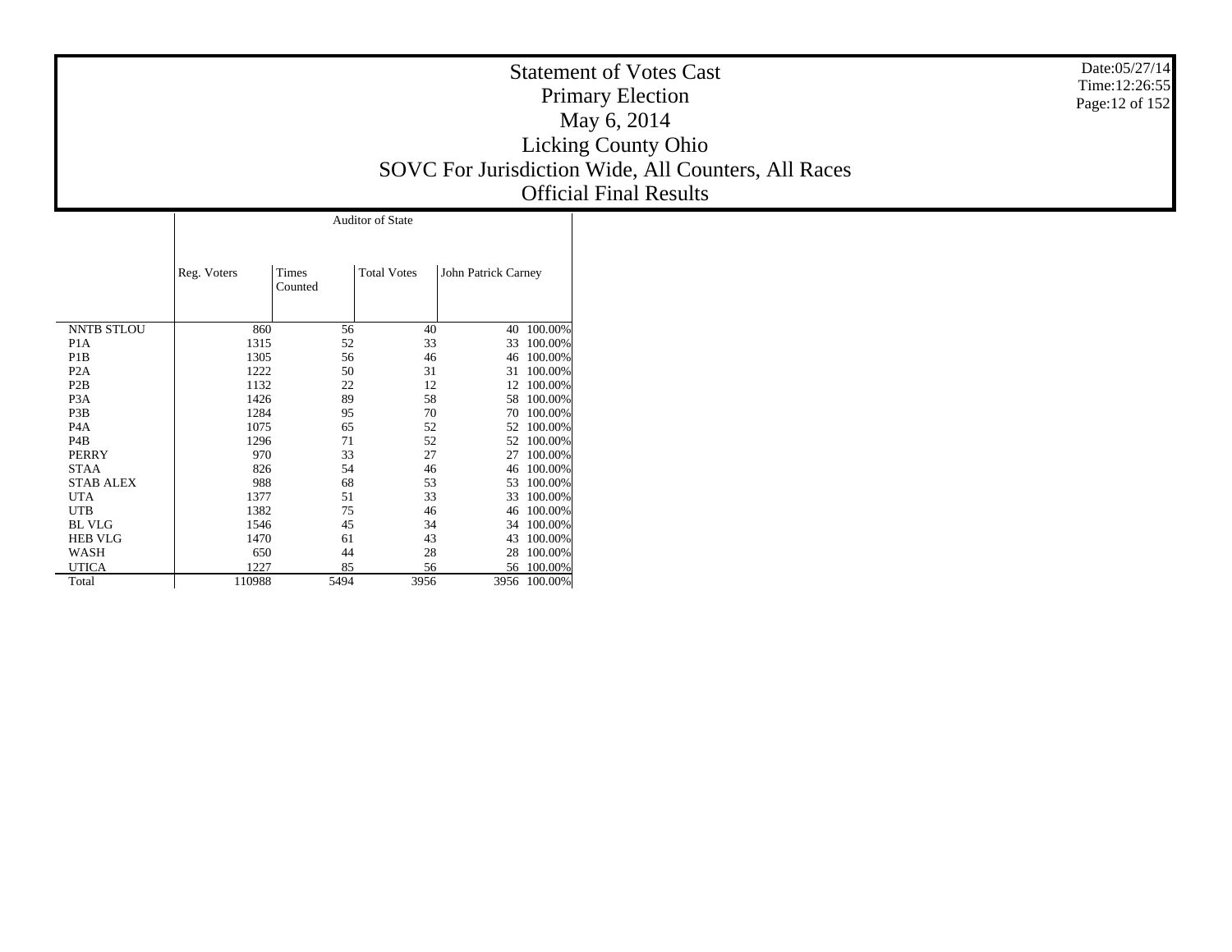Date:05/27/14 Time:12:26:55Page:12 of 152

|                   |             |                  | <b>Auditor of State</b> |                     |         |
|-------------------|-------------|------------------|-------------------------|---------------------|---------|
|                   | Reg. Voters | Times<br>Counted | <b>Total Votes</b>      | John Patrick Carney |         |
| <b>NNTB STLOU</b> | 860         | 56               | 40                      | 40                  | 100.00% |
| P <sub>1</sub> A  | 1315        | 52               | 33                      | 33                  | 100.00% |
| P <sub>1</sub> B  | 1305        | 56               | 46                      | 46                  | 100.00% |
| P <sub>2</sub> A  | 1222        | 50               | 31                      | 31                  | 100.00% |
| P <sub>2</sub> B  | 1132        | 22               | 12                      | 12                  | 100.00% |
| P <sub>3</sub> A  | 1426        | 89               | 58                      | 58                  | 100.00% |
| P3B               | 1284        | 95               | 70                      | 70                  | 100.00% |
| P <sub>4</sub> A  | 1075        | 65               | 52                      | 52                  | 100.00% |
| P <sub>4</sub> B  | 1296        | 71               | 52                      | 52                  | 100.00% |
| <b>PERRY</b>      | 970         | 33               | 27                      | 27                  | 100.00% |
| <b>STAA</b>       | 826         | 54               | 46                      | 46                  | 100.00% |
| <b>STAB ALEX</b>  | 988         | 68               | 53                      | 53                  | 100.00% |
| UTA               | 1377        | 51               | 33                      | 33                  | 100.00% |
| UTB               | 1382        | 75               | 46                      | 46                  | 100.00% |
| <b>BL VLG</b>     | 1546        | 45               | 34                      | 34                  | 100.00% |
| <b>HEB VLG</b>    | 1470        | 61               | 43                      | 43                  | 100.00% |
| WASH              | 650         | 44               | 28                      | 28                  | 100.00% |
| UTICA             | 1227        | 85               | 56                      | 56                  | 100.00% |
| Total             | 110988      | 5494             | 3956                    | 3956                | 100.00% |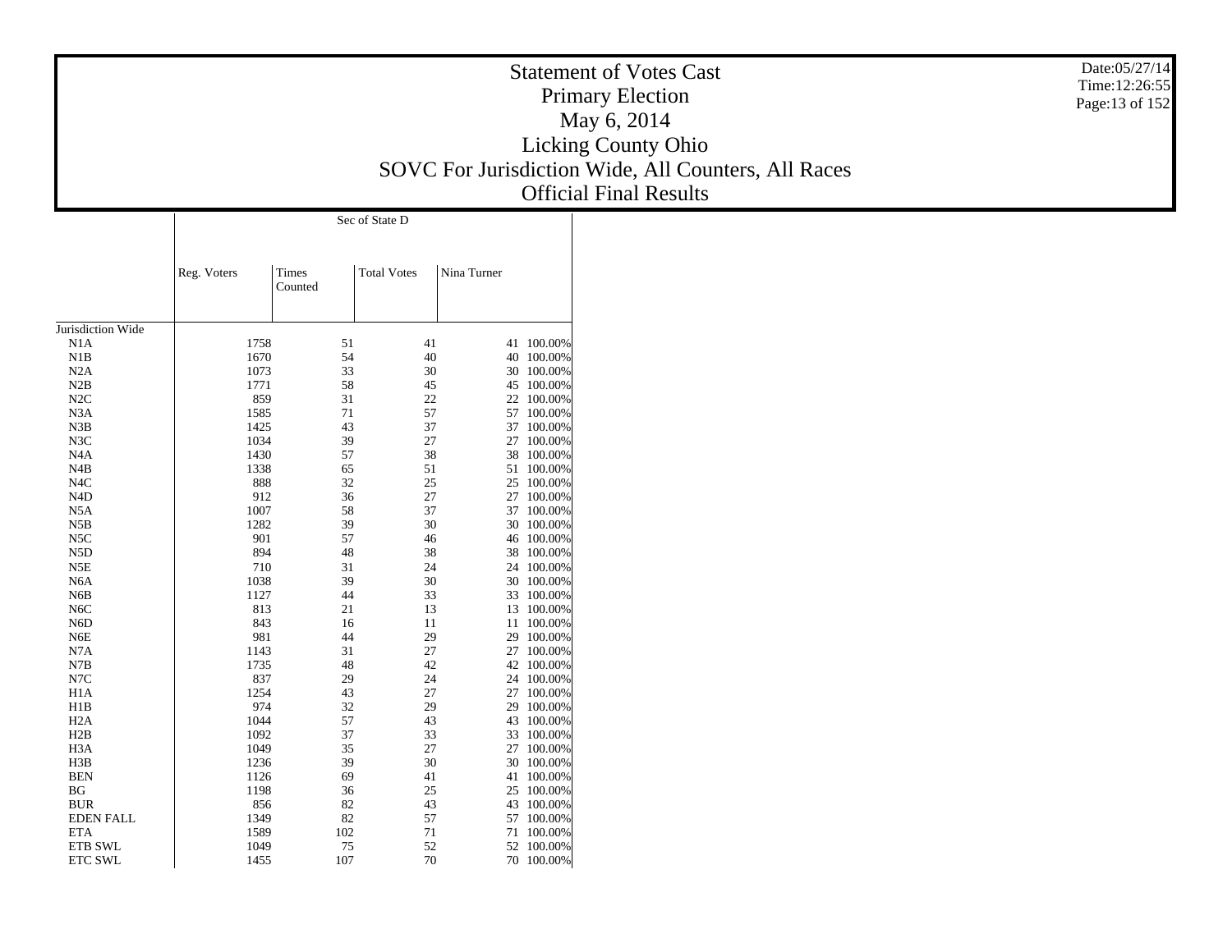| <b>Statement of Votes Cast</b>                      |
|-----------------------------------------------------|
| <b>Primary Election</b>                             |
| May 6, 2014                                         |
| <b>Licking County Ohio</b>                          |
| SOVC For Jurisdiction Wide, All Counters, All Races |
| <b>Official Final Results</b>                       |

| Date:05/27/14  |
|----------------|
| Time: 12:26:55 |
| Page:13 of 152 |

|                   | Sec of State D |                  |                    |             |            |  |
|-------------------|----------------|------------------|--------------------|-------------|------------|--|
|                   | Reg. Voters    | Times<br>Counted | <b>Total Votes</b> | Nina Turner |            |  |
| Jurisdiction Wide |                |                  |                    |             |            |  |
| N1A               | 1758           | 51               | 41                 | 41          | 100.00%    |  |
| N1B               | 1670           | 54               | 40                 | 40          | 100.00%    |  |
| N2A               | 1073           | 33               | 30                 | 30          | 100.00%    |  |
| N2B               | 1771           | 58               | 45                 | 45          | 100.00%    |  |
| N2C               | 859            | 31               | 22                 | 22          | 100.00%    |  |
| N3A               | 1585           | 71               | 57                 | 57          | 100.00%    |  |
| N3B               | 1425           | 43               | 37                 | 37          | 100.00%    |  |
| N3C               | 1034           | 39               | 27                 | 27          | 100.00%    |  |
| N <sub>4</sub> A  | 1430           | 57               | 38                 | 38          | 100.00%    |  |
| N <sub>4</sub> B  | 1338           | 65               | 51                 | 51          | 100.00%    |  |
| N <sub>4</sub> C  | 888            | 32               | 25                 | 25          | 100.00%    |  |
| N <sub>4</sub> D  | 912            | 36               | 27                 | 27          | 100.00%    |  |
| N <sub>5</sub> A  | 1007           | 58               | 37                 | 37          | 100.00%    |  |
| N5B               | 1282           | 39               | 30                 | 30          | 100.00%    |  |
| N <sub>5</sub> C  | 901            | 57               | 46                 | 46          | 100.00%    |  |
| N <sub>5</sub> D  | 894            | 48               | 38                 | 38          | 100.00%    |  |
| N5E               | 710            | 31               | 24                 | 24          | 100.00%    |  |
| N <sub>6</sub> A  | 1038           | 39               | 30                 | 30          | 100.00%    |  |
| N6B               | 1127           | 44               | 33                 | 33          | 100.00%    |  |
| N <sub>6</sub> C  | 813            | 21               | 13                 | 13          | 100.00%    |  |
| N6D               | 843            | 16               | 11                 | 11          | 100.00%    |  |
| N6E               | 981            | 44               | 29                 | 29          | 100.00%    |  |
| N7A               | 1143           | 31               | 27                 | 27          | 100.00%    |  |
| N7B               | 1735           | 48               | 42                 | 42          | 100.00%    |  |
| N7C               | 837            | 29               | 24                 | 24          | 100.00%    |  |
| H1A               | 1254           | 43               | 27                 | 27          | 100.00%    |  |
| H1B               | 974            | 32               | 29                 | 29          | 100.00%    |  |
| H <sub>2</sub> A  | 1044           | 57               | 43                 | 43          | 100.00%    |  |
| H2B               | 1092           | 37               | 33                 | 33          | 100.00%    |  |
| H <sub>3</sub> A  | 1049           | 35               | 27                 | 27          | 100.00%    |  |
| H3B               | 1236           | 39               | 30                 | 30          | 100.00%    |  |
| <b>BEN</b>        | 1126           | 69               | 41                 | 41          | 100.00%    |  |
| BG                | 1198           | 36               | 25                 | 25          | 100.00%    |  |
| <b>BUR</b>        | 856            | 82               | 43                 | 43          | 100.00%    |  |
| <b>EDEN FALL</b>  | 1349           | 82               | 57                 | 57          | 100.00%    |  |
| <b>ETA</b>        | 1589           | 102              | 71                 | 71          | 100.00%    |  |
| <b>ETB SWL</b>    | 1049           | 75               | 52                 | 52          | 100.00%    |  |
| <b>ETC SWL</b>    | 1455           | 107              | 70                 |             | 70 100.00% |  |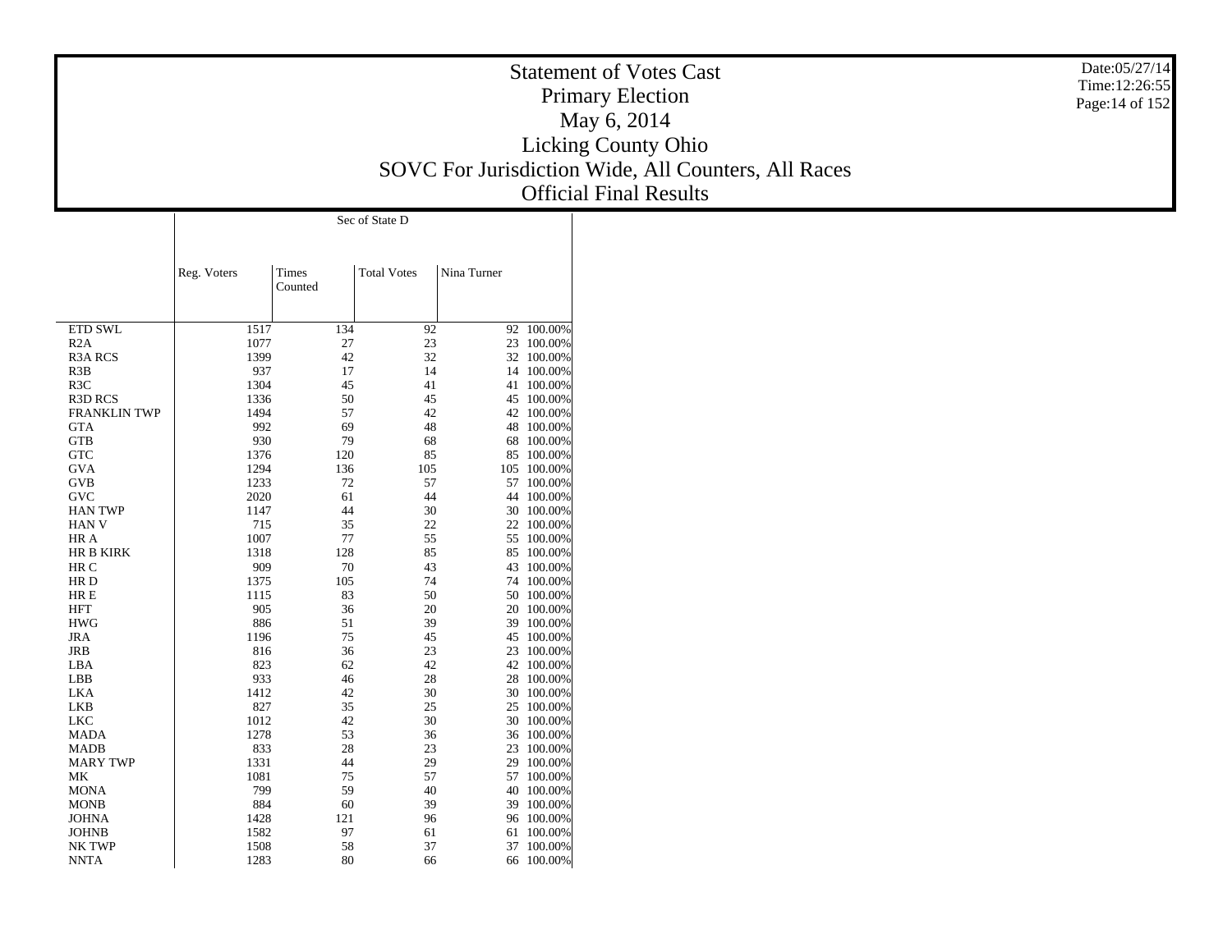|                     | Sec of State D |         |                    |             |         |  |  |
|---------------------|----------------|---------|--------------------|-------------|---------|--|--|
|                     |                |         |                    |             |         |  |  |
|                     |                |         |                    |             |         |  |  |
|                     | Reg. Voters    | Times   | <b>Total Votes</b> | Nina Turner |         |  |  |
|                     |                | Counted |                    |             |         |  |  |
|                     |                |         |                    |             |         |  |  |
|                     |                |         |                    |             |         |  |  |
| ETD SWL             | 1517           | 134     | 92                 | 92          | 100.00% |  |  |
| R2A                 | 1077           | 27      | 23                 | 23          | 100.00% |  |  |
| <b>R3A RCS</b>      | 1399           | 42      | 32                 | 32          | 100.00% |  |  |
| R3B                 | 937            | 17      | 14                 | 14          | 100.00% |  |  |
| R <sub>3</sub> C    | 1304           | 45      | 41                 | 41          | 100.00% |  |  |
| R3D RCS             | 1336           | 50      | 45                 | 45          | 100.00% |  |  |
| <b>FRANKLIN TWP</b> | 1494           | 57      | 42                 | 42          | 100.00% |  |  |
| <b>GTA</b>          | 992            | 69      | 48                 | 48          | 100.00% |  |  |
| GTB                 | 930            | 79      | 68                 | 68          | 100.00% |  |  |
| <b>GTC</b>          | 1376           | 120     | 85                 | 85          | 100.00% |  |  |
| <b>GVA</b>          | 1294           | 136     | 105                | 105         | 100.00% |  |  |
| GVB                 | 1233           | 72      | 57                 | 57          | 100.00% |  |  |
| GVC                 | 2020           | 61      | 44                 | 44          | 100.00% |  |  |
| <b>HAN TWP</b>      | 1147           | 44      | 30                 | 30          | 100.00% |  |  |
| <b>HAN V</b>        | 715            | 35      | 22                 | 22          | 100.00% |  |  |
| HR A                | 1007           | 77      | 55                 | 55          | 100.00% |  |  |
| <b>HR B KIRK</b>    | 1318           | 128     | 85                 | 85          | 100.00% |  |  |
| HR C                | 909            | 70      | 43                 | 43          | 100.00% |  |  |
| HR D                | 1375           | 105     | 74                 | 74          | 100.00% |  |  |
| HR E                | 1115           | 83      | 50                 | 50          | 100.00% |  |  |
| <b>HFT</b>          | 905            | 36      | 20                 | 20          | 100.00% |  |  |
| <b>HWG</b>          | 886            | 51      | 39                 | 39          | 100.00% |  |  |
| JRA                 | 1196           | 75      | 45                 | 45          | 100.00% |  |  |
| JRB                 | 816            | 36      | 23                 | 23          | 100.00% |  |  |
| LBA                 | 823            | 62      | 42                 | 42          | 100.00% |  |  |
| LBB                 | 933            | 46      | 28                 | 28          | 100.00% |  |  |
| LKA                 | 1412           | 42      | 30                 | 30          | 100.00% |  |  |
| LKB                 | 827            | 35      | 25                 | 25          | 100.00% |  |  |
| <b>LKC</b>          | 1012           | 42      | 30                 | 30          | 100.00% |  |  |
| MADA                | 1278           | 53      | 36                 | 36          | 100.00% |  |  |
| MADB                | 833            | 28      | 23                 | 23          | 100.00% |  |  |
| MARY TWP            | 1331           | 44      | 29                 | 29          | 100.00% |  |  |
| МK                  | 1081           | 75      | 57                 | 57          | 100.00% |  |  |
| <b>MONA</b>         | 799            | 59      | 40                 | 40          | 100.00% |  |  |
| MONB                | 884            | 60      | 39                 | 39          | 100.00% |  |  |
| JOHNA               | 1428           | 121     | 96                 | 96          | 100.00% |  |  |
| <b>JOHNB</b>        | 1582           | 97      | 61                 | 61          | 100.00% |  |  |
| <b>NK TWP</b>       | 1508           | 58      | 37                 | 37          | 100.00% |  |  |
| <b>NNTA</b>         | 1283           | 80      | 66                 | 66          | 100.00% |  |  |

Date:05/27/14 Time:12:26:55Page:14 of 152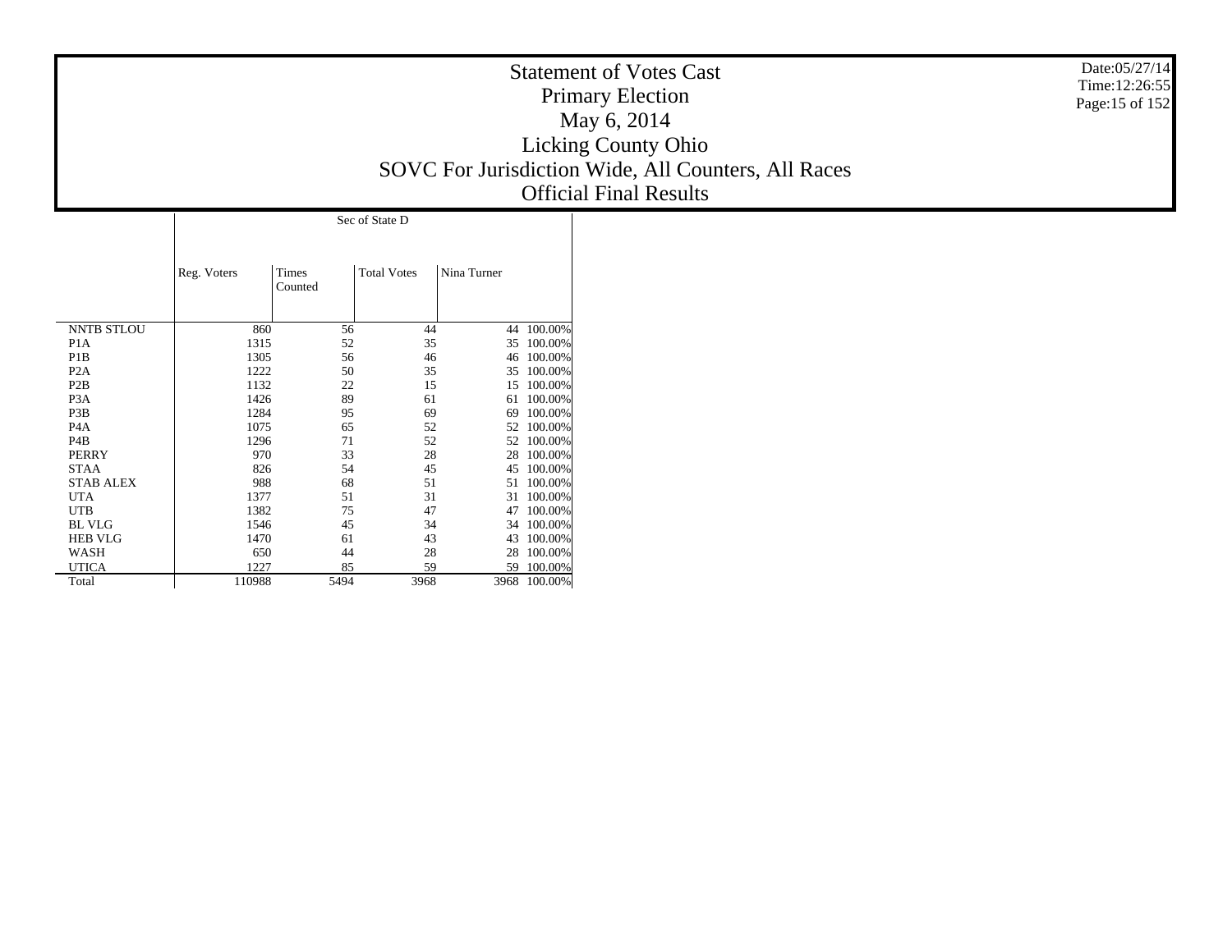|                   | Sec of State D |                  |                    |             |         |  |
|-------------------|----------------|------------------|--------------------|-------------|---------|--|
|                   | Reg. Voters    | Times<br>Counted | <b>Total Votes</b> | Nina Turner |         |  |
| <b>NNTB STLOU</b> | 860            | 56               | 44                 | 44          | 100.00% |  |
| P <sub>1</sub> A  | 1315           | 52               | 35                 | 35          | 100.00% |  |
| P <sub>1</sub> B  | 1305           | 56               | 46                 | 46          | 100.00% |  |
| P <sub>2</sub> A  | 1222           | 50               | 35                 | 35          | 100.00% |  |
| P <sub>2</sub> B  | 1132           | 22               | 15                 | 15          | 100.00% |  |
| P <sub>3</sub> A  | 1426           | 89               | 61                 | 61          | 100.00% |  |
| P3B               | 1284           | 95               | 69                 | 69          | 100.00% |  |
| P <sub>4</sub> A  | 1075           | 65               | 52                 | 52          | 100.00% |  |
| P4B               | 1296           | 71               | 52                 | 52          | 100.00% |  |
| <b>PERRY</b>      | 970            | 33               | 28                 | 28          | 100.00% |  |
| <b>STAA</b>       | 826            | 54               | 45                 | 45          | 100.00% |  |
| <b>STAB ALEX</b>  | 988            | 68               | 51                 | 51          | 100.00% |  |
| UTA               | 1377           | 51               | 31                 | 31          | 100.00% |  |
| UTB               | 1382           | 75               | 47                 | 47          | 100.00% |  |
| <b>BL VLG</b>     | 1546           | 45               | 34                 | 34          | 100.00% |  |
| <b>HEB VLG</b>    | 1470           | 61               | 43                 | 43          | 100.00% |  |
| WASH              | 650            | 44               | 28                 | 28          | 100.00% |  |
| <b>UTICA</b>      | 1227           | 85               | 59                 | 59          | 100.00% |  |
| Total             | 110988         | 5494             | 3968               | 3968        | 100.00% |  |

Date:05/27/14 Time:12:26:55Page:15 of 152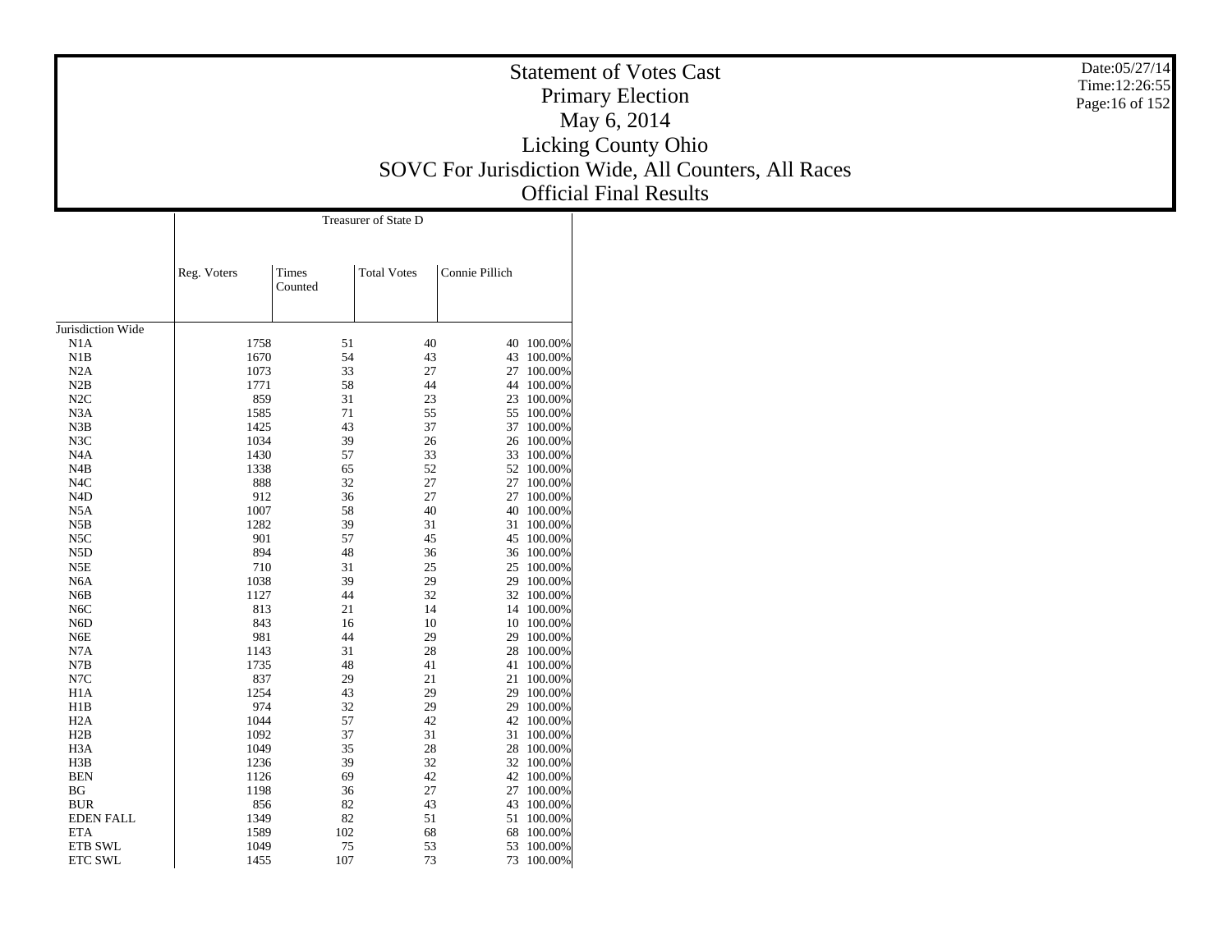| <b>Statement of Votes Cast</b>                      |
|-----------------------------------------------------|
| <b>Primary Election</b>                             |
| May 6, 2014                                         |
| <b>Licking County Ohio</b>                          |
| SOVC For Jurisdiction Wide, All Counters, All Races |
| <b>Official Final Results</b>                       |

|                   |             |                  | Treasurer of State D |                |            |
|-------------------|-------------|------------------|----------------------|----------------|------------|
|                   |             |                  |                      |                |            |
|                   | Reg. Voters | Times<br>Counted | <b>Total Votes</b>   | Connie Pillich |            |
| Jurisdiction Wide |             |                  |                      |                |            |
| N1A               | 1758        | 51               | 40                   | 40             | 100.00%    |
| N1B               | 1670        | 54               | 43                   | 43             | 100.00%    |
| N2A               | 1073        | 33               | 27                   | 27             | 100.00%    |
| N2B               | 1771        | 58               | 44                   | 44             | 100.00%    |
| N2C               | 859         | 31               | 23                   | 23             | 100.00%    |
| N3A               | 1585        | 71               | 55                   | 55             | 100.00%    |
| N3B               | 1425        | 43               | 37                   | 37             | 100.00%    |
| N3C               | 1034        | 39               | 26                   | 26             | 100.00%    |
| N4A               | 1430        | 57               | 33                   |                | 33 100.00% |
| N4B               | 1338        | 65               | 52                   |                | 52 100.00% |
| N4C               | 888         | 32               | 27                   | 27             | 100.00%    |
| N4D               | 912         | 36               | 27                   | 27             | 100.00%    |
| N5A               | 1007        | 58               | 40                   | 40             | 100.00%    |
| N5B               | 1282        | 39               | 31                   | 31             | 100.00%    |
| N5C               | 901         | 57               | 45                   | 45             | 100.00%    |
| N5D               | 894         | 48               | 36                   | 36             | 100.00%    |
| N5E               | 710         | 31               | 25                   | 25             | 100.00%    |
| N <sub>6</sub> A  | 1038        | 39               | 29                   | 29             | 100.00%    |
| N6B               | 1127        | 44               | 32                   | 32             | 100.00%    |
| N6C               | 813         | 21               | 14                   | 14             | 100.00%    |
| N6D               | 843         | 16               | 10                   | 10             | 100.00%    |
| N6E               | 981         | 44               | 29                   | 29             | 100.00%    |
| N7A               | 1143        | 31               | 28                   | 28             | 100.00%    |
| N7B               | 1735        | 48               | 41                   | 41             | 100.00%    |
| N7C               | 837         | 29               | 21                   | 21             | 100.00%    |
| H1A               | 1254        | 43               | 29                   | 29             | 100.00%    |
| H1B               | 974         | 32               | 29                   | 29             | 100.00%    |
| H <sub>2</sub> A  | 1044        | 57               | 42                   | 42             | 100.00%    |
| H2B               | 1092        | 37               | 31                   | 31             | 100.00%    |
| H <sub>3</sub> A  | 1049        | 35               | 28                   | 28             | 100.00%    |
| H3B               | 1236        | 39               | 32                   | 32             | 100.00%    |
| <b>BEN</b>        | 1126        | 69               | 42                   | 42             | 100.00%    |
| BG                | 1198        | 36               | 27                   | 27             | 100.00%    |
| <b>BUR</b>        | 856         | 82               | 43                   | 43             | 100.00%    |
| <b>EDEN FALL</b>  | 1349        | 82               | 51                   | 51             | 100.00%    |
| <b>ETA</b>        | 1589        | 102              | 68                   | 68             | 100.00%    |
| <b>ETB SWL</b>    | 1049        | 75               | 53                   | 53             | 100.00%    |
| <b>ETC SWL</b>    | 1455        | 107              | 73                   | 73             | 100.00%    |

Date:05/27/14 Time:12:26:55 Page:16 of 152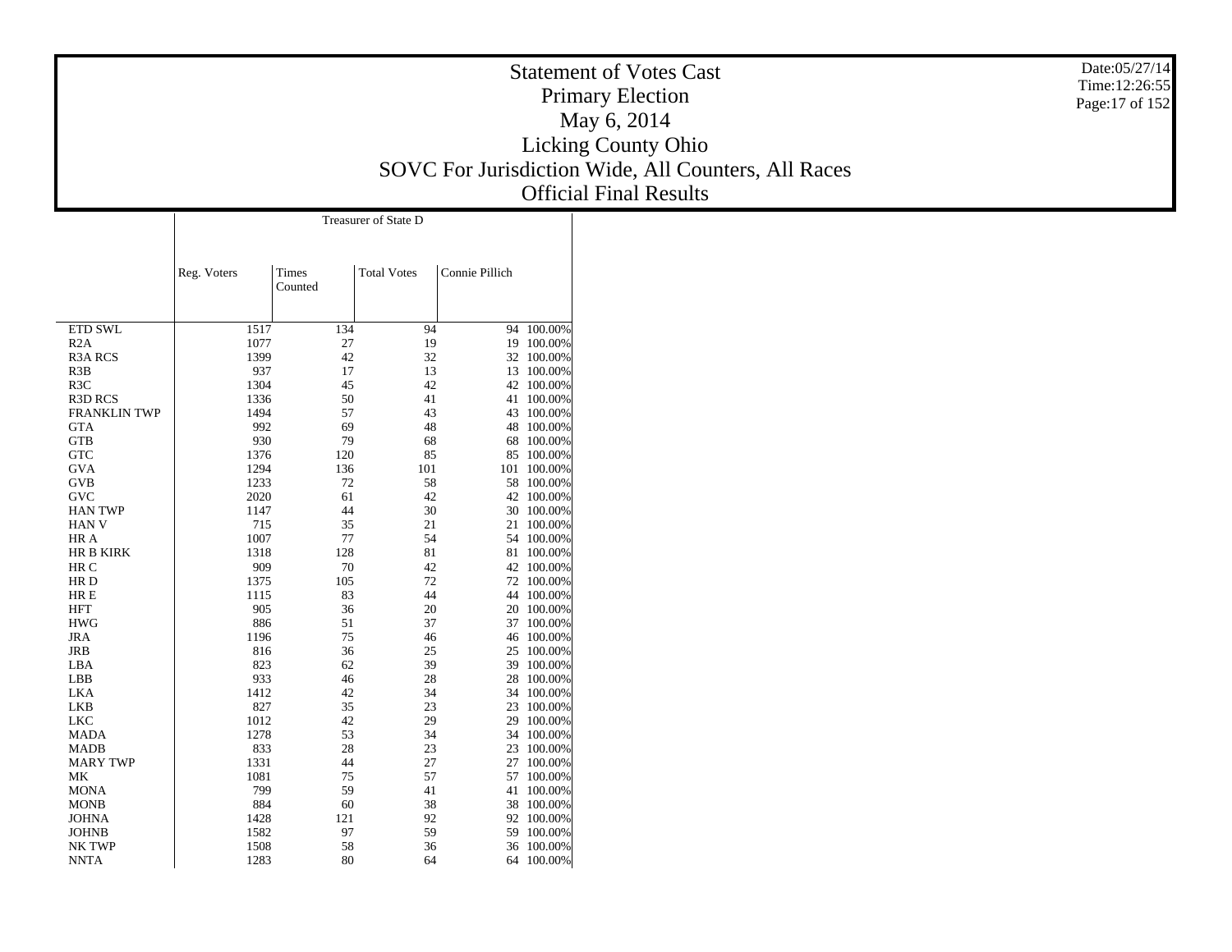|                                | Treasurer of State D |                         |                    |                |                       |  |
|--------------------------------|----------------------|-------------------------|--------------------|----------------|-----------------------|--|
|                                | Reg. Voters          | <b>Times</b><br>Counted | <b>Total Votes</b> | Connie Pillich |                       |  |
| ETD SWL                        | 1517                 | 134                     | 94                 | 94             | 100.00%               |  |
| R2A                            | 1077                 | 27                      | 19                 | 19             | 100.00%               |  |
| R3A RCS                        | 1399                 | 42                      | 32                 | 32             | 100.00%               |  |
| R3B                            | 937                  | 17                      | 13                 | 13             | 100.00%               |  |
| R3C                            | 1304                 | 45                      | 42                 |                | 42 100.00%            |  |
| <b>R3D RCS</b>                 | 1336                 | 50                      | 41                 | 41             | 100.00%               |  |
| <b>FRANKLIN TWP</b>            | 1494                 | 57                      | 43                 | 43             | 100.00%               |  |
| <b>GTA</b>                     | 992                  | 69                      | 48                 | 48             | 100.00%               |  |
| <b>GTB</b>                     | 930                  | 79                      | 68                 | 68             | 100.00%               |  |
| GTC                            | 1376                 | 120                     | 85                 | 85             | 100.00%               |  |
| GVA                            | 1294                 | 136                     | 101                | 101            | 100.00%               |  |
| <b>GVB</b>                     | 1233                 | 72                      | 58                 | 58             | 100.00%               |  |
| <b>GVC</b>                     | 2020                 | 61                      | 42<br>30           |                | 42 100.00%            |  |
| <b>HAN TWP</b><br><b>HAN V</b> | 1147<br>715          | 44<br>35                | 21                 | 21             | 30 100.00%<br>100.00% |  |
| HR A                           | 1007                 | 77                      | 54                 | 54             | 100.00%               |  |
| <b>HR B KIRK</b>               | 1318                 | 128                     | 81                 | 81             | 100.00%               |  |
| HR C                           | 909                  | 70                      | 42                 |                | 42 100.00%            |  |
| HR D                           | 1375                 | 105                     | 72                 | 72             | 100.00%               |  |
| HR E                           | 1115                 | 83                      | 44                 | 44             | 100.00%               |  |
| <b>HFT</b>                     | 905                  | 36                      | 20                 | 20             | 100.00%               |  |
| <b>HWG</b>                     | 886                  | 51                      | 37                 | 37             | 100.00%               |  |
| JRA                            | 1196                 | 75                      | 46                 | 46             | 100.00%               |  |
| JRB                            | 816                  | 36                      | 25                 | 25             | 100.00%               |  |
| LBA                            | 823                  | 62                      | 39                 | 39             | 100.00%               |  |
| LBB                            | 933                  | 46                      | 28                 | 28             | 100.00%               |  |
| <b>LKA</b>                     | 1412                 | 42                      | 34                 | 34             | 100.00%               |  |
| LKB                            | 827                  | 35                      | 23                 | 23             | 100.00%               |  |
| <b>LKC</b>                     | 1012                 | 42                      | 29                 | 29             | 100.00%               |  |
| MADA                           | 1278                 | 53                      | 34                 | 34             | 100.00%               |  |
| MADB                           | 833                  | 28                      | 23                 | 23             | 100.00%               |  |
| <b>MARY TWP</b>                | 1331                 | 44                      | 27                 | 27             | 100.00%               |  |
| MK                             | 1081                 | 75                      | 57                 | 57             | 100.00%               |  |
| MONA                           | 799                  | 59                      | 41                 | 41             | 100.00%               |  |
| <b>MONB</b>                    | 884                  | 60                      | 38                 | 38             | 100.00%               |  |
| <b>JOHNA</b>                   | 1428                 | 121                     | 92                 | 92             | 100.00%               |  |
| JOHNB                          | 1582                 | 97                      | 59                 | 59             | 100.00%               |  |
| NK TWP                         | 1508                 | 58                      | 36                 | 36             | 100.00%               |  |
| <b>NNTA</b>                    | 1283                 | 80                      | 64                 | 64             | 100.00%               |  |

Date:05/27/14 Time:12:26:55 Page:17 of 152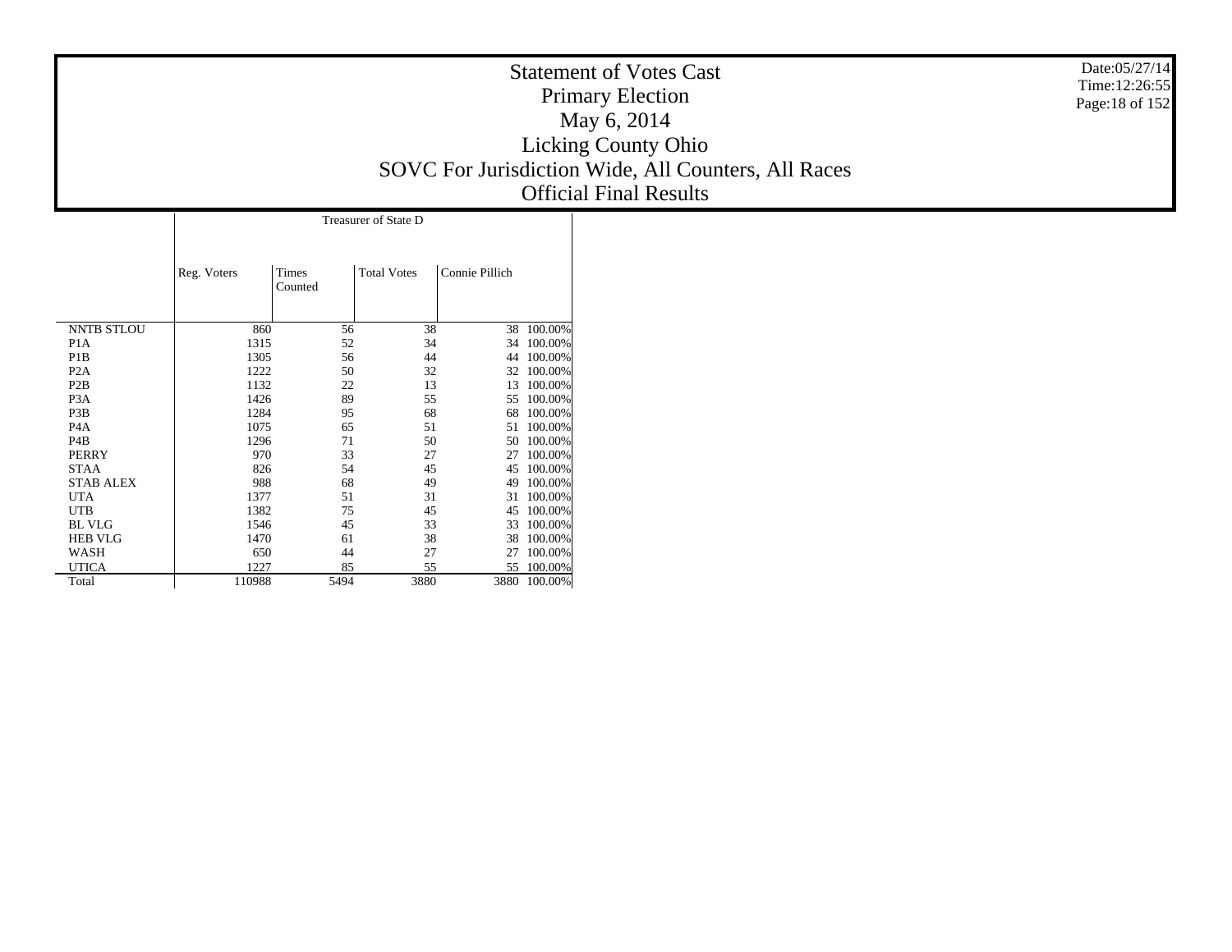Date:05/27/14 Time:12:26:55Page:18 of 152

|                   | Treasurer of State D |                  |                    |                |         |  |  |
|-------------------|----------------------|------------------|--------------------|----------------|---------|--|--|
|                   | Reg. Voters          | Times<br>Counted | <b>Total Votes</b> | Connie Pillich |         |  |  |
| <b>NNTB STLOU</b> | 860                  | 56               | 38                 | 38             | 100.00% |  |  |
| P1A               | 1315                 | 52               | 34                 | 34             | 100.00% |  |  |
| P <sub>1</sub> B  | 1305                 | 56               | 44                 | 44             | 100.00% |  |  |
| P <sub>2</sub> A  | 1222                 | 50               | 32                 | 32             | 100.00% |  |  |
| P <sub>2</sub> B  | 1132                 | 22               | 13                 | 13             | 100.00% |  |  |
| P <sub>3</sub> A  | 1426                 | 89               | 55                 | 55             | 100.00% |  |  |
| P3B               | 1284                 | 95               | 68                 | 68             | 100.00% |  |  |
| P <sub>4</sub> A  | 1075                 | 65               | 51                 | 51             | 100.00% |  |  |
| P4B               | 1296                 | 71               | 50                 | 50             | 100.00% |  |  |
| PERRY             | 970                  | 33               | 27                 | 27             | 100.00% |  |  |
| <b>STAA</b>       | 826                  | 54               | 45                 | 45             | 100.00% |  |  |
| <b>STAB ALEX</b>  | 988                  | 68               | 49                 | 49             | 100.00% |  |  |
| UTA               | 1377                 | 51               | 31                 | 31             | 100.00% |  |  |
| UTB               | 1382                 | 75               | 45                 | 45             | 100.00% |  |  |
| <b>BL VLG</b>     | 1546                 | 45               | 33                 | 33             | 100.00% |  |  |
| <b>HEB VLG</b>    | 1470                 | 61               | 38                 | 38             | 100.00% |  |  |
| WASH              | 650                  | 44               | 27                 | 27             | 100.00% |  |  |
| UTICA             | 1227                 | 85               | 55                 | 55             | 100.00% |  |  |
| Total             | 110988               | 5494             | 3880               | 3880           | 100.00% |  |  |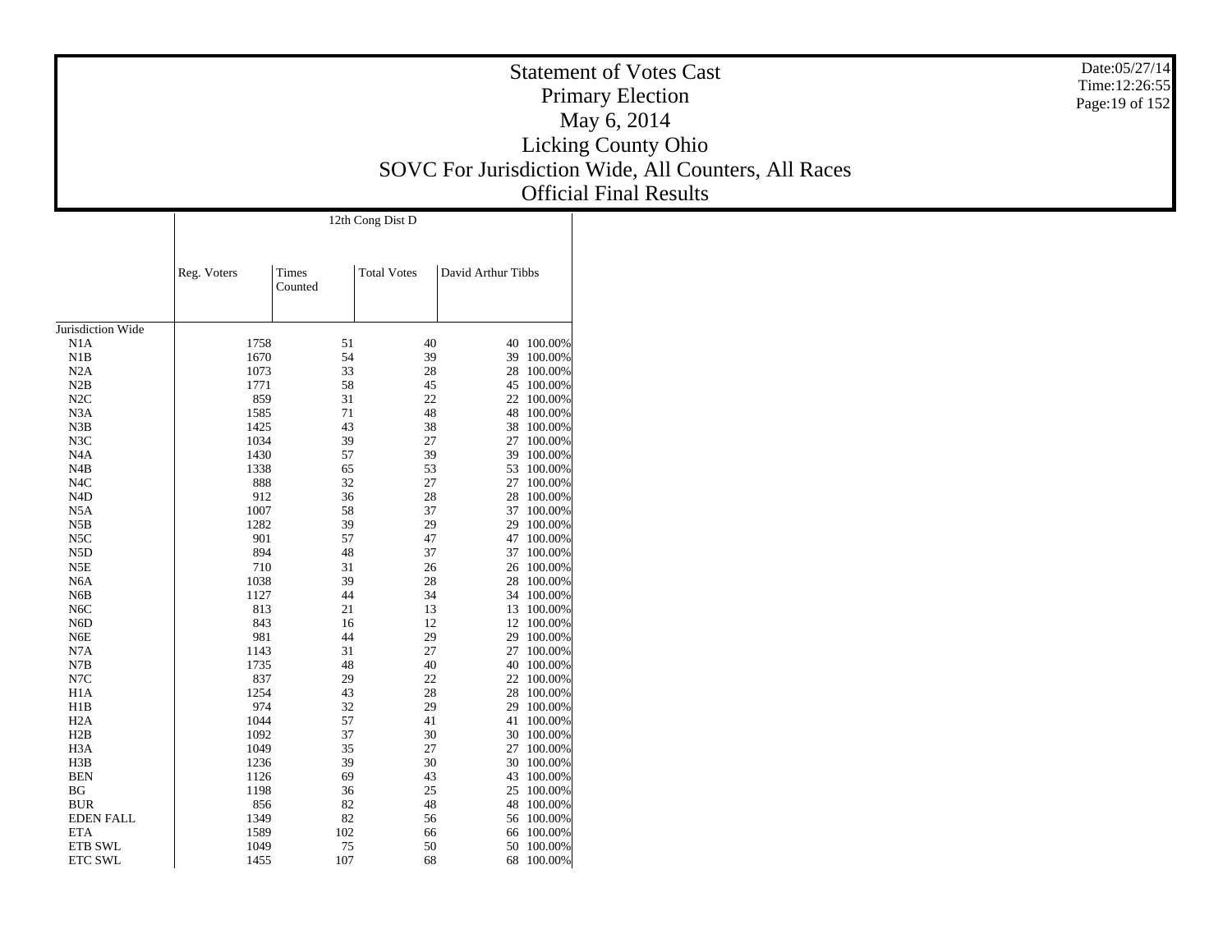|                   |              |                  |                          |                    |                          | Date:05/27/14                                       |
|-------------------|--------------|------------------|--------------------------|--------------------|--------------------------|-----------------------------------------------------|
|                   |              |                  |                          |                    |                          | <b>Statement of Votes Cast</b><br>Time: 12:26:55    |
|                   |              |                  |                          |                    |                          | <b>Primary Election</b><br>Page: 19 of 152          |
|                   |              |                  |                          |                    |                          | May 6, 2014                                         |
|                   |              |                  |                          |                    |                          |                                                     |
|                   |              |                  |                          |                    |                          | Licking County Ohio                                 |
|                   |              |                  |                          |                    |                          | SOVC For Jurisdiction Wide, All Counters, All Races |
|                   |              |                  |                          |                    |                          | <b>Official Final Results</b>                       |
|                   |              |                  |                          |                    |                          |                                                     |
|                   |              |                  | 12th Cong Dist D         |                    |                          |                                                     |
|                   |              |                  |                          |                    |                          |                                                     |
|                   |              |                  |                          |                    |                          |                                                     |
|                   | Reg. Voters  | Times<br>Counted | <b>Total Votes</b>       | David Arthur Tibbs |                          |                                                     |
|                   |              |                  |                          |                    |                          |                                                     |
|                   |              |                  |                          |                    |                          |                                                     |
| Jurisdiction Wide |              |                  |                          |                    |                          |                                                     |
| N1A<br>N1B        | 1758<br>1670 |                  | 51<br>40<br>54<br>39     |                    | 40 100.00%<br>39 100.00% |                                                     |
| N2A               | 1073         |                  | 33<br>$28\,$             |                    | 28 100.00%               |                                                     |
| N2B               | 1771         |                  | 58<br>$45\,$             |                    | 45 100.00%               |                                                     |
| N2C               |              | 859              | 31<br>$22\,$             |                    | 22 100.00%               |                                                     |
| N3A               | 1585         |                  | $71\,$<br>$48\,$         |                    | 48 100.00%               |                                                     |
| N3B               | 1425         |                  | 43<br>$38\,$             |                    | 38 100.00%               |                                                     |
| N3C               | 1034         |                  | 39<br>$27\,$             |                    | 27 100.00%               |                                                     |
| N <sub>4</sub> A  | 1430         |                  | 57<br>39                 |                    | 39 100.00%               |                                                     |
| N4B               | 1338         |                  | 65<br>53                 |                    | 53 100.00%               |                                                     |
| N <sub>4</sub> C  |              | 888              | $32\,$<br>$27\,$         |                    | 27 100.00%               |                                                     |
| N <sub>4</sub> D  |              | 912              | 36<br>$28\,$             |                    | 28 100.00%               |                                                     |
| N5A               | 1007         |                  | 58<br>37                 |                    | 37 100.00%               |                                                     |
| N5B               | 1282         |                  | 39<br>29                 |                    | 29 100.00%               |                                                     |
| N5C               |              | 901              | 57<br>47                 |                    | 47 100.00%               |                                                     |
| N <sub>5</sub> D  |              | 894              | $48\,$<br>37             |                    | 37 100.00%               |                                                     |
| N5E               |              | 710              | 31<br>$26\,$             |                    | 26 100.00%               |                                                     |
| N <sub>6</sub> A  | 1038         |                  | $28\,$<br>39             |                    | 28 100.00%               |                                                     |
| N <sub>6</sub> B  | 1127         |                  | 44<br>34                 |                    | 34 100.00%               |                                                     |
| N <sub>6</sub> C  |              | 813              | 21<br>13                 |                    | 13 100.00%               |                                                     |
| N <sub>6</sub> D  |              | 843              | $12\,$<br>16             |                    | 12 100.00%               |                                                     |
| N6E<br>N7A        | 1143         | 981              | 44<br>29<br>$27\,$<br>31 |                    | 29 100.00%<br>27 100.00% |                                                     |
| N7B               | 1735         |                  | $\sqrt{48}$<br>$40\,$    |                    | 40 100.00%               |                                                     |
| N7C               |              | 837              | $22\,$<br>29             |                    | 22 100.00%               |                                                     |
| H <sub>1</sub> A  | 1254         |                  | $43\,$<br>$28\,$         |                    | 28 100.00%               |                                                     |
| H1B               | 974          |                  | 32<br>$29\,$             |                    | 29 100.00%               |                                                     |
| H <sub>2</sub> A  | 1044         |                  | 57<br>41                 |                    | 41 100.00%               |                                                     |
| H2B               | 1092         |                  | 37<br>$30\,$             |                    | 30 100.00%               |                                                     |
| H <sub>3</sub> A  | 1049         |                  | 35<br>$27\,$             |                    | 27 100.00%               |                                                     |
| H3B               | 1236         |                  | 39<br>30                 |                    | 30 100.00%               |                                                     |
| <b>BEN</b>        | 1126         |                  | $43\,$<br>69             |                    | 43 100.00%               |                                                     |
| BG                | 1198         |                  | $25\,$<br>36             |                    | 25 100.00%               |                                                     |
| <b>BUR</b>        |              | 856              | $48\,$<br>82             |                    | 48 100.00%               |                                                     |
| <b>EDEN FALL</b>  | 1349         |                  | 82<br>56                 |                    | 56 100.00%               |                                                     |
| <b>ETA</b>        | 1589         | 102              | 66                       |                    | 66 100.00%               |                                                     |
| <b>ETB SWL</b>    | 1049         |                  | 75<br>50                 |                    | 50 100.00%               |                                                     |
| <b>ETC SWL</b>    | 1455         | 107              | 68                       |                    | 68 100.00%               |                                                     |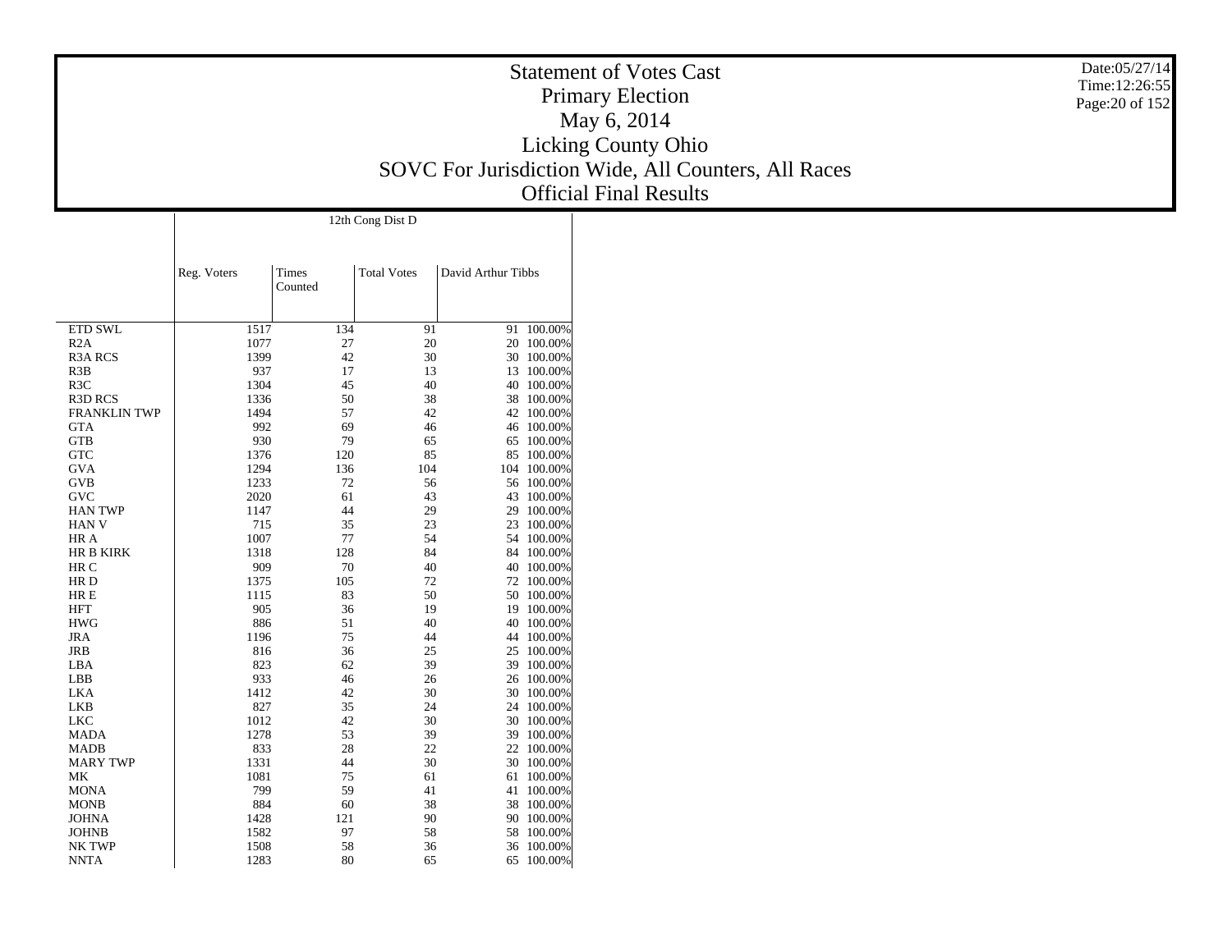| <b>Statement of Votes Cast</b>                      |
|-----------------------------------------------------|
| <b>Primary Election</b>                             |
| May 6, 2014                                         |
| <b>Licking County Ohio</b>                          |
| SOVC For Jurisdiction Wide, All Counters, All Races |
| <b>Official Final Results</b>                       |

Date:05/27/14 Time:12:26:55 Page:20 of 152

|                     | 12th Cong Dist D |          |                    |                    |                    |  |  |
|---------------------|------------------|----------|--------------------|--------------------|--------------------|--|--|
|                     |                  |          |                    |                    |                    |  |  |
|                     |                  |          |                    |                    |                    |  |  |
|                     | Reg. Voters      | Times    | <b>Total Votes</b> | David Arthur Tibbs |                    |  |  |
|                     |                  | Counted  |                    |                    |                    |  |  |
|                     |                  |          |                    |                    |                    |  |  |
|                     |                  |          |                    |                    |                    |  |  |
| ETD SWL             | 1517             | 134      | 91                 | 91                 | 100.00%            |  |  |
| R2A                 | 1077             | 27       | 20                 | 20                 | 100.00%            |  |  |
| R3A RCS             | 1399             | 42       | 30                 | 30                 | 100.00%            |  |  |
| R3B                 | 937              | 17       | 13                 | 13                 | 100.00%            |  |  |
| R3C                 | 1304             | 45       | 40                 | 40                 | 100.00%            |  |  |
| R3D RCS             | 1336             | 50       | 38                 | 38                 | 100.00%            |  |  |
| <b>FRANKLIN TWP</b> | 1494             | 57       | 42                 | 42                 | 100.00%            |  |  |
| <b>GTA</b>          | 992              | 69       | 46                 | 46                 | 100.00%            |  |  |
| GTB                 | 930              | 79       | 65                 | 65                 | 100.00%            |  |  |
| GTC                 | 1376             | 120      | 85                 | 85                 | 100.00%            |  |  |
| GVA                 | 1294             | 136      | 104                | 104                | 100.00%            |  |  |
| GVB                 | 1233             | 72       | 56                 | 56                 | 100.00%            |  |  |
| GVC                 | 2020             | 61       | 43                 | 43                 | 100.00%            |  |  |
| <b>HAN TWP</b>      | 1147             | 44       | 29                 | 29                 | 100.00%            |  |  |
| <b>HAN V</b>        | 715              | 35       | 23                 | 23                 | 100.00%            |  |  |
| HR A                | 1007             | 77       | 54                 | 54                 | 100.00%            |  |  |
| <b>HR B KIRK</b>    | 1318             | 128      | 84                 | 84                 | 100.00%            |  |  |
| HR C                | 909              | 70       | 40                 | 40                 | 100.00%            |  |  |
| HR D                | 1375             | 105      | 72                 | 72                 | 100.00%            |  |  |
| HR E                | 1115             | 83       | 50                 | 50                 | 100.00%            |  |  |
| <b>HFT</b>          | 905              | 36       | 19                 | 19                 | 100.00%            |  |  |
| <b>HWG</b>          | 886              | 51       | 40                 | 40                 | 100.00%            |  |  |
| JRA                 | 1196             | 75       | 44                 | 44                 | 100.00%            |  |  |
| JRB                 | 816              | 36       | 25                 | 25                 | 100.00%            |  |  |
| LBA                 | 823<br>933       | 62       | 39                 | 39                 | 100.00%            |  |  |
| LBB<br><b>LKA</b>   | 1412             | 46<br>42 | 26<br>30           | 26<br>30           | 100.00%            |  |  |
|                     | 827              | 35       | 24                 | 24                 | 100.00%<br>100.00% |  |  |
| LKB<br>LKC          | 1012             | 42       | 30                 | 30                 |                    |  |  |
| <b>MADA</b>         | 1278             | 53       | 39                 | 39                 | 100.00%<br>100.00% |  |  |
| MADB                | 833              | 28       | 22                 | 22                 | 100.00%            |  |  |
| <b>MARY TWP</b>     | 1331             | 44       | 30                 | 30                 | 100.00%            |  |  |
| МK                  | 1081             | 75       | 61                 | 61                 | 100.00%            |  |  |
| MONA                | 799              | 59       | 41                 | 41                 | 100.00%            |  |  |
| MONB                | 884              | 60       | 38                 | 38                 | 100.00%            |  |  |
| JOHNA               | 1428             | 121      | 90                 | 90                 | 100.00%            |  |  |
| JOHNB               | 1582             | 97       | 58                 | 58                 | 100.00%            |  |  |
| NK TWP              | 1508             | 58       | 36                 | 36                 | 100.00%            |  |  |
| NNTA                | 1283             | 80       | 65                 | 65                 | 100.00%            |  |  |
|                     |                  |          |                    |                    |                    |  |  |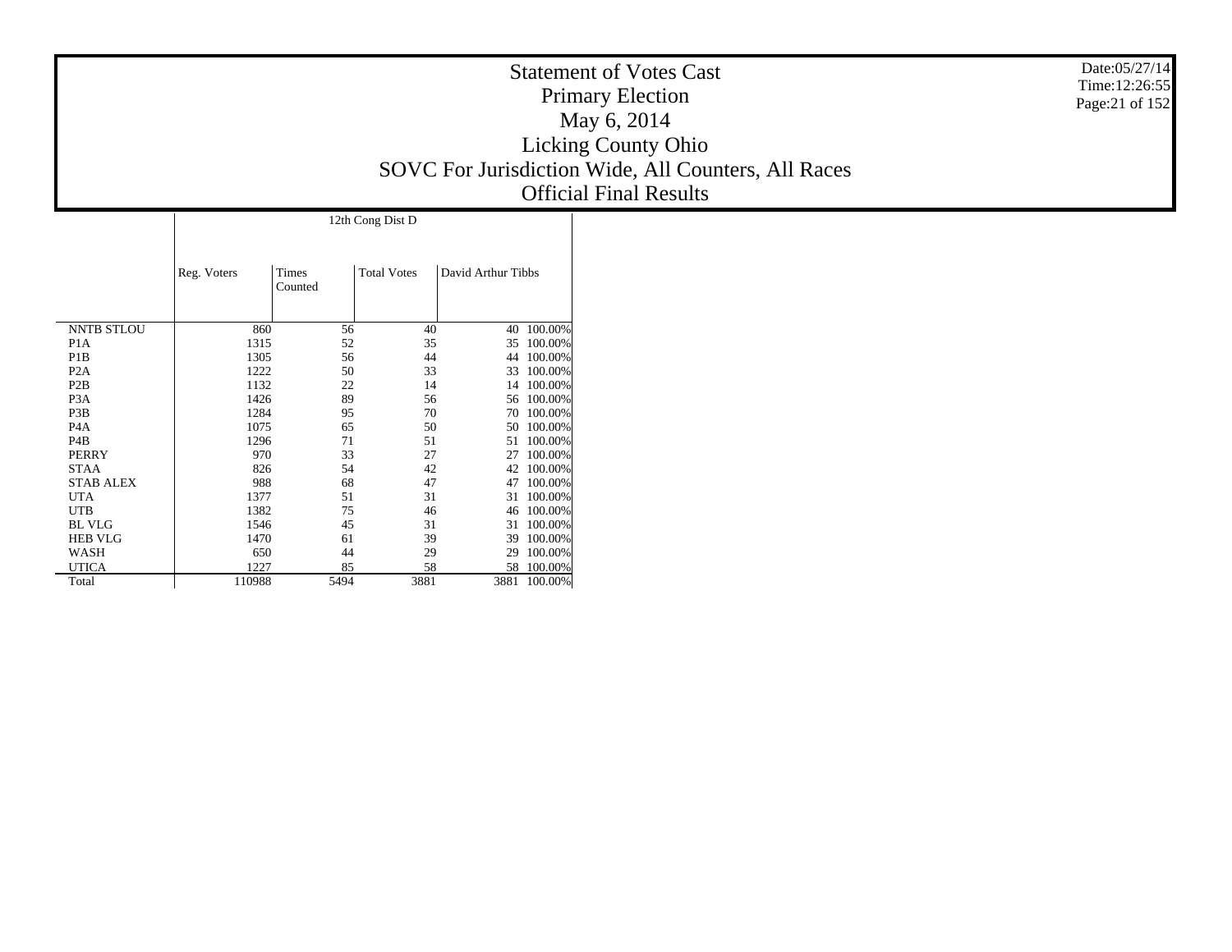|                   | 12th Cong Dist D |                  |                    |                    |         |  |  |  |
|-------------------|------------------|------------------|--------------------|--------------------|---------|--|--|--|
|                   |                  |                  |                    |                    |         |  |  |  |
|                   | Reg. Voters      | Times<br>Counted | <b>Total Votes</b> | David Arthur Tibbs |         |  |  |  |
|                   |                  |                  |                    |                    |         |  |  |  |
| <b>NNTB STLOU</b> | 860              | 56               | 40                 | 40                 | 100.00% |  |  |  |
| P <sub>1</sub> A  | 1315             | 52               | 35                 | 35                 | 100.00% |  |  |  |
| P <sub>1</sub> B  | 1305             | 56               | 44                 | 44                 | 100.00% |  |  |  |
| P <sub>2</sub> A  | 1222             | 50               | 33                 | 33                 | 100.00% |  |  |  |
| P <sub>2</sub> B  | 1132             | 22               | 14                 | 14                 | 100.00% |  |  |  |
| P <sub>3</sub> A  | 1426             | 89               | 56                 | 56                 | 100.00% |  |  |  |
| P3B               | 1284             | 95               | 70                 | 70                 | 100.00% |  |  |  |
| P <sub>4</sub> A  | 1075             | 65               | 50                 | 50                 | 100.00% |  |  |  |
| P4B               | 1296             | 71               | 51                 | 51                 | 100.00% |  |  |  |
| PERRY             | 970              | 33               | 27                 | 27                 | 100.00% |  |  |  |
| <b>STAA</b>       | 826              | 54               | 42                 | 42                 | 100.00% |  |  |  |
| <b>STAB ALEX</b>  | 988              | 68               | 47                 | 47                 | 100.00% |  |  |  |
| UTA               | 1377             | 51               | 31                 | 31                 | 100.00% |  |  |  |
| UTB               | 1382             | 75               | 46                 | 46                 | 100.00% |  |  |  |
| <b>BL VLG</b>     | 1546             | 45               | 31                 | 31                 | 100.00% |  |  |  |
| <b>HEB VLG</b>    | 1470             | 61               | 39                 | 39                 | 100.00% |  |  |  |
| WASH              | 650              | 44               | 29                 | 29                 | 100.00% |  |  |  |
| <b>UTICA</b>      | 1227             | 85               | 58                 | 58                 | 100.00% |  |  |  |
| Total             | 110988           | 5494             | 3881               | 3881               | 100.00% |  |  |  |

Date:05/27/14 Time:12:26:55Page:21 of 152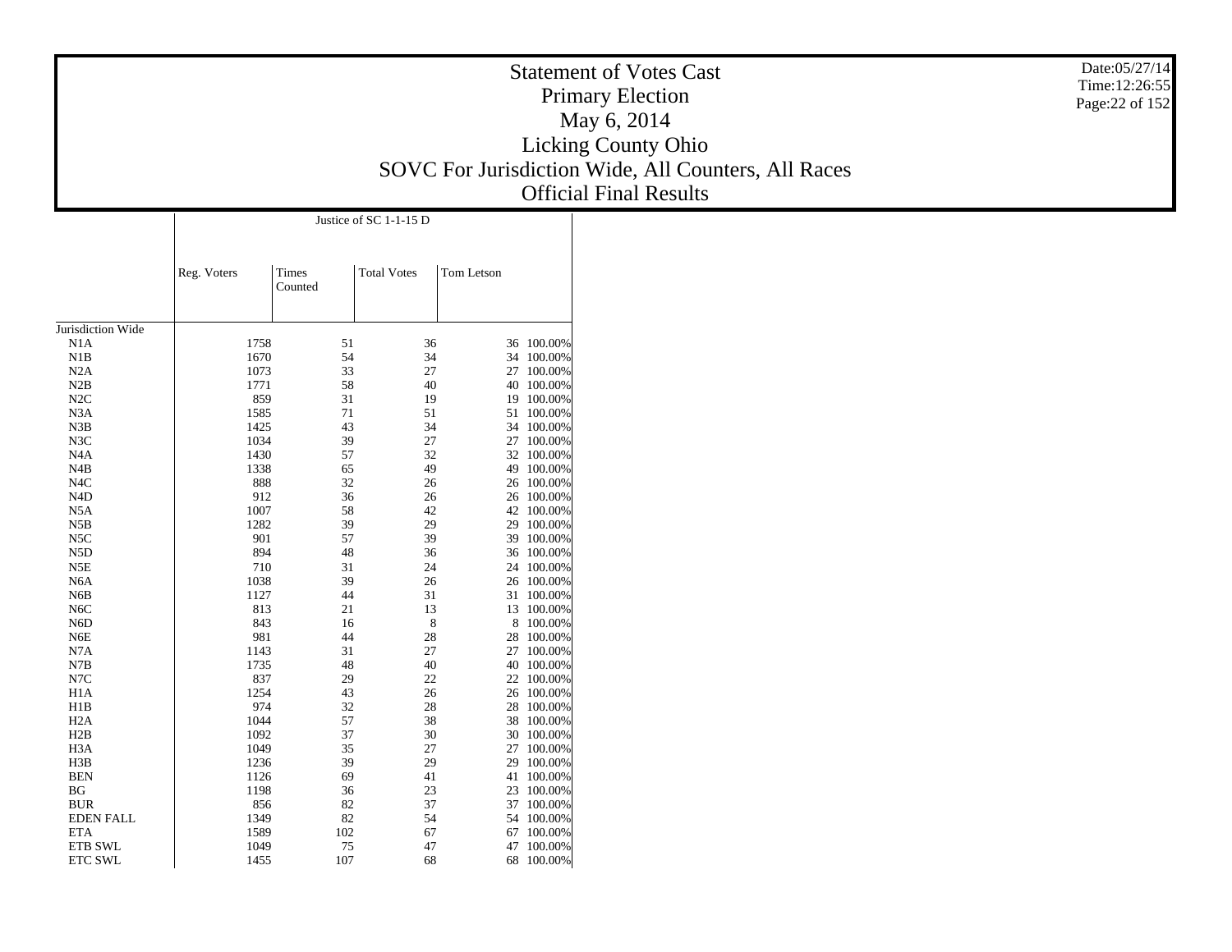|                                      |              |            |                          |                |                          | Date:05/27/14<br><b>Statement of Votes Cast</b>     |
|--------------------------------------|--------------|------------|--------------------------|----------------|--------------------------|-----------------------------------------------------|
|                                      |              |            |                          |                |                          | Time: 12:26:55                                      |
|                                      |              |            |                          |                |                          | <b>Primary Election</b><br>Page: 22 of 152          |
|                                      |              |            |                          |                |                          | May 6, 2014                                         |
|                                      |              |            |                          |                |                          |                                                     |
|                                      |              |            |                          |                |                          | Licking County Ohio                                 |
|                                      |              |            |                          |                |                          | SOVC For Jurisdiction Wide, All Counters, All Races |
|                                      |              |            |                          |                |                          |                                                     |
|                                      |              |            |                          |                |                          | <b>Official Final Results</b>                       |
|                                      |              |            | Justice of SC 1-1-15 D   |                |                          |                                                     |
|                                      |              |            |                          |                |                          |                                                     |
|                                      |              |            |                          |                |                          |                                                     |
|                                      | Reg. Voters  | Times      | <b>Total Votes</b>       | Tom Letson     |                          |                                                     |
|                                      |              | Counted    |                          |                |                          |                                                     |
|                                      |              |            |                          |                |                          |                                                     |
|                                      |              |            |                          |                |                          |                                                     |
| Jurisdiction Wide<br>N1A             | 1758         |            |                          |                | 36 100.00%               |                                                     |
| N1B                                  | 1670         |            | 51<br>36<br>54<br>34     |                | 34 100.00%               |                                                     |
| N2A                                  | 1073         |            | 33<br>27                 |                | 27 100.00%               |                                                     |
| N2B                                  | 1771         |            | 58<br>$40\,$             |                | 40 100.00%               |                                                     |
| N2C                                  |              | 859        | 31<br>19                 |                | 19 100.00%               |                                                     |
| N3A                                  | 1585         |            | $71\,$<br>51             |                | 51 100.00%               |                                                     |
| N3B                                  | 1425         |            | 43<br>34                 |                | 34 100.00%               |                                                     |
| N3C                                  | 1034         |            | $27\,$<br>39             |                | 27 100.00%               |                                                     |
| N <sub>4</sub> A                     | 1430         |            | 57<br>32                 |                | 32 100.00%               |                                                     |
| N4B                                  | 1338         |            | 65<br>49                 |                | 49 100.00%               |                                                     |
| N <sub>4</sub> C<br>N <sub>4</sub> D |              | 888<br>912 | $32\,$<br>26             |                | 26 100.00%               |                                                     |
| N5A                                  | 1007         |            | 36<br>26<br>58<br>$42\,$ |                | 26 100.00%<br>42 100.00% |                                                     |
| N5B                                  | 1282         |            | 39<br>29                 |                | 29 100.00%               |                                                     |
| N <sub>5</sub> C                     |              | 901        | 57<br>39                 |                | 39 100.00%               |                                                     |
| N <sub>5</sub> D                     |              | 894        | 48<br>36                 |                | 36 100.00%               |                                                     |
| N5E                                  |              | 710        | 31<br>24                 |                | 24 100.00%               |                                                     |
| N <sub>6</sub> A                     | 1038         |            | $26\,$<br>39             |                | 26 100.00%               |                                                     |
| N <sub>6</sub> B                     | 1127         |            | 44<br>31                 |                | 31 100.00%               |                                                     |
| N <sub>6</sub> C                     |              | 813        | 21<br>13                 |                | 13 100.00%               |                                                     |
| N <sub>6</sub> D<br>N6E              |              | 843<br>981 | 16<br>44<br>$28\,$       | $8\phantom{1}$ | 8 100.00%<br>28 100.00%  |                                                     |
| N7A                                  | 1143         |            | $27\,$<br>31             |                | 27 100.00%               |                                                     |
| N7B                                  | 1735         |            | $\sqrt{48}$<br>$40\,$    |                | 40 100.00%               |                                                     |
| N7C                                  |              | 837        | $22\,$<br>29             |                | 22 100.00%               |                                                     |
| H <sub>1</sub> A                     | 1254         |            | $43\,$<br>$26\,$         |                | 26 100.00%               |                                                     |
| H1B                                  |              | 974        | 32<br>$28\,$             |                | 28 100.00%               |                                                     |
| H <sub>2</sub> A                     | 1044         |            | 57<br>38                 |                | 38 100.00%               |                                                     |
| H2B                                  | 1092         |            | 37<br>$30\,$             |                | 30 100.00%               |                                                     |
| H <sub>3</sub> A                     | 1049         |            | 35<br>$27\,$             |                | 27 100.00%               |                                                     |
| H3B<br><b>BEN</b>                    | 1236<br>1126 |            | 39<br>29<br>41<br>69     |                | 29 100.00%<br>41 100.00% |                                                     |
| BG                                   | 1198         |            | $23\,$<br>36             |                | 23 100.00%               |                                                     |
| <b>BUR</b>                           |              | 856        | 37<br>82                 |                | 37 100.00%               |                                                     |
| <b>EDEN FALL</b>                     | 1349         |            | 82<br>54                 |                | 54 100.00%               |                                                     |
| <b>ETA</b>                           | 1589         |            | 102<br>67                |                | 67 100.00%               |                                                     |
| <b>ETB SWL</b>                       | 1049         |            | 75<br>47                 |                | 47 100.00%               |                                                     |
| <b>ETC SWL</b>                       |              | 1455       | 107<br>68                |                | 68 100.00%               |                                                     |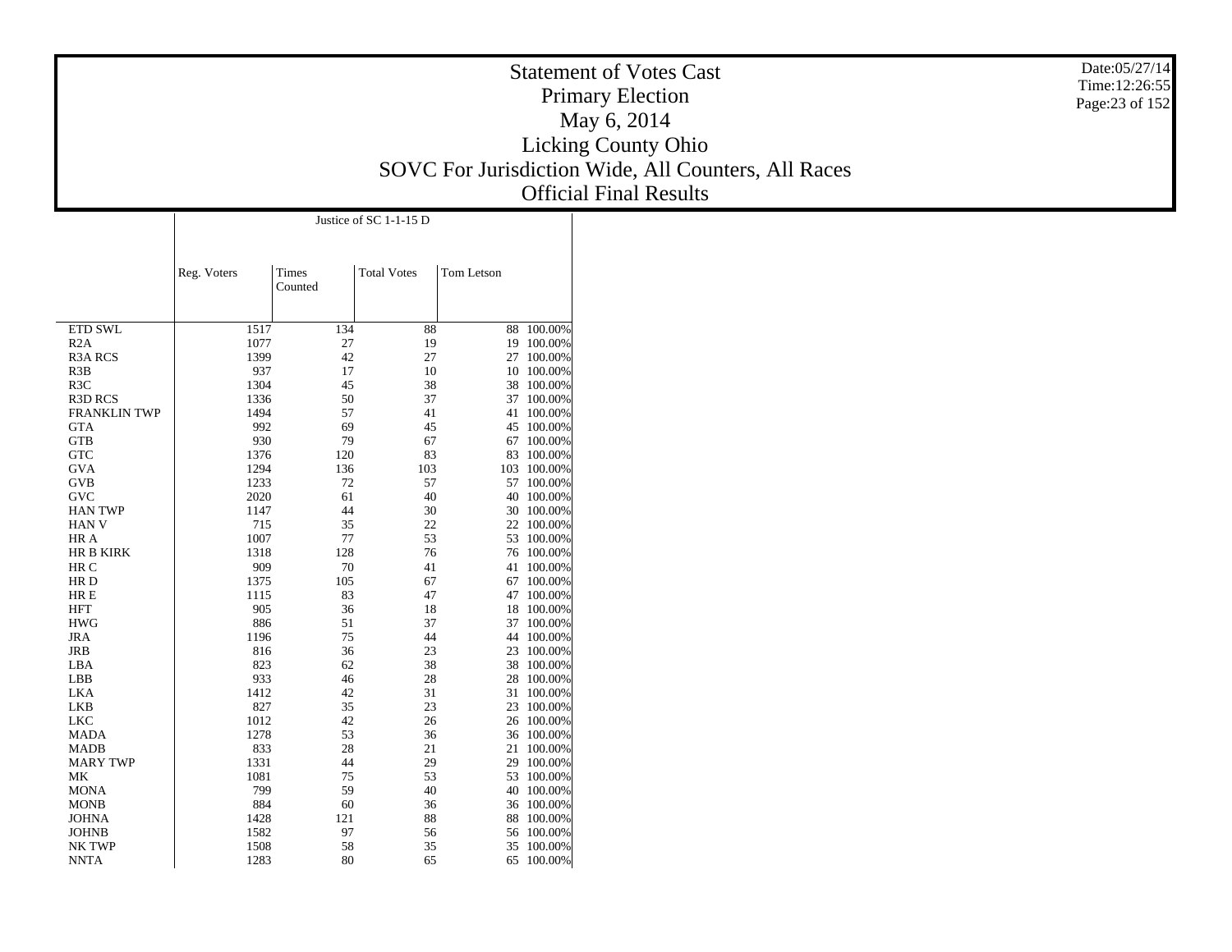|                          |              |                  |                        |            |                           | Date:05/27/14<br><b>Statement of Votes Cast</b><br>Time:12:26:55<br><b>Primary Election</b><br>Page:23 of 152<br>May 6, 2014<br>Licking County Ohio |
|--------------------------|--------------|------------------|------------------------|------------|---------------------------|-----------------------------------------------------------------------------------------------------------------------------------------------------|
|                          |              |                  |                        |            |                           | SOVC For Jurisdiction Wide, All Counters, All Races                                                                                                 |
|                          |              |                  |                        |            |                           | <b>Official Final Results</b>                                                                                                                       |
|                          |              |                  | Justice of SC 1-1-15 D |            |                           |                                                                                                                                                     |
|                          |              |                  |                        |            |                           |                                                                                                                                                     |
|                          | Reg. Voters  | Times<br>Counted | <b>Total Votes</b>     | Tom Letson |                           |                                                                                                                                                     |
|                          |              |                  |                        |            |                           |                                                                                                                                                     |
| ETD SWL                  | 1517         | 134              | 88                     |            | 88 100.00%                |                                                                                                                                                     |
| R2A<br>R3A RCS           | 1077<br>1399 | 27<br>$42\,$     | 19<br>27               |            | 19 100.00%<br>27 100.00%  |                                                                                                                                                     |
| R3B                      | 937          | 17               | $10\,$                 |            | 10 100.00%                |                                                                                                                                                     |
| R <sub>3</sub> C         | 1304         | 45               | 38                     |            | 38 100.00%                |                                                                                                                                                     |
| R3D RCS                  | 1336         | 50               | 37                     |            | 37 100.00%                |                                                                                                                                                     |
| <b>FRANKLIN TWP</b>      | 1494         | 57               | 41                     |            | 41 100.00%                |                                                                                                                                                     |
| <b>GTA</b>               | 992          | 69               | 45                     |            | 45 100.00%                |                                                                                                                                                     |
| <b>GTB</b>               | 930          | 79               | 67                     |            | 67 100.00%                |                                                                                                                                                     |
| GTC                      | 1376         | 120              | 83                     |            | 83 100.00%                |                                                                                                                                                     |
| <b>GVA</b><br><b>GVB</b> | 1294<br>1233 | 136<br>72        | 103<br>57              |            | 103 100.00%<br>57 100.00% |                                                                                                                                                     |
| <b>GVC</b>               | 2020         | 61               | 40                     |            | 40 100.00%                |                                                                                                                                                     |
| <b>HAN TWP</b>           | 1147         | 44               | 30                     |            | 30 100.00%                |                                                                                                                                                     |
| <b>HAN V</b>             | 715          | 35               | $22\,$                 |            | 22 100.00%                |                                                                                                                                                     |
| HR A                     | 1007         | 77               | 53                     |            | 53 100.00%                |                                                                                                                                                     |
| HR B KIRK                | 1318         | 128              | 76                     |            | 76 100.00%                |                                                                                                                                                     |
| HR C                     | 909          | 70               | 41                     |            | 41 100.00%                |                                                                                                                                                     |
| HR D<br>HRE              | 1375<br>1115 | 105              | 67<br>47               |            | 67 100.00%                |                                                                                                                                                     |
| HFT                      | 905          | 83<br>36         | 18                     |            | 47 100.00%<br>18 100.00%  |                                                                                                                                                     |
| <b>HWG</b>               | 886          | 51               | 37                     |            | 37 100.00%                |                                                                                                                                                     |
| <b>JRA</b>               | 1196         | 75               | 44                     |            | 44 100.00%                |                                                                                                                                                     |
| JRB                      | 816          | 36               | 23                     |            | 23 100.00%                |                                                                                                                                                     |
| LBA                      | 823          | 62               | 38                     |            | 38 100.00%                |                                                                                                                                                     |
| LBB                      | 933          |                  | 28<br>46               |            | 28 100.00%                |                                                                                                                                                     |
| LKA                      | 1412         | $42\,$           | 31                     |            | 31 100.00%                |                                                                                                                                                     |
| LKB                      | 827<br>1012  | 35               | 23                     |            | 23 100.00%                |                                                                                                                                                     |
| LKC<br>MADA              | 1278         | 53               | 42<br>26<br>36         |            | 26 100.00%<br>36 100.00%  |                                                                                                                                                     |
| <b>MADB</b>              | 833          | $28\,$           | 21                     |            | 21 100.00%                |                                                                                                                                                     |
| <b>MARY TWP</b>          | 1331         | 44               | 29                     |            | 29 100.00%                |                                                                                                                                                     |
| МK                       | 1081         | 75               | 53                     |            | 53 100.00%                |                                                                                                                                                     |
| <b>MONA</b>              | 799          | 59               | 40                     |            | 40 100.00%                |                                                                                                                                                     |
| <b>MONB</b>              | 884          | 60               | 36                     |            | 36 100.00%                |                                                                                                                                                     |
| <b>JOHNA</b>             | 1428         | 121              | 88                     |            | 88 100.00%                |                                                                                                                                                     |
| JOHNB                    | 1582         | 97               | 56                     |            | 56 100.00%                |                                                                                                                                                     |
| NK TWP                   | 1508         | 58               | 35                     |            | 35 100.00%                |                                                                                                                                                     |
| <b>NNTA</b>              | 1283         | 80               | 65                     |            | 65 100.00%                |                                                                                                                                                     |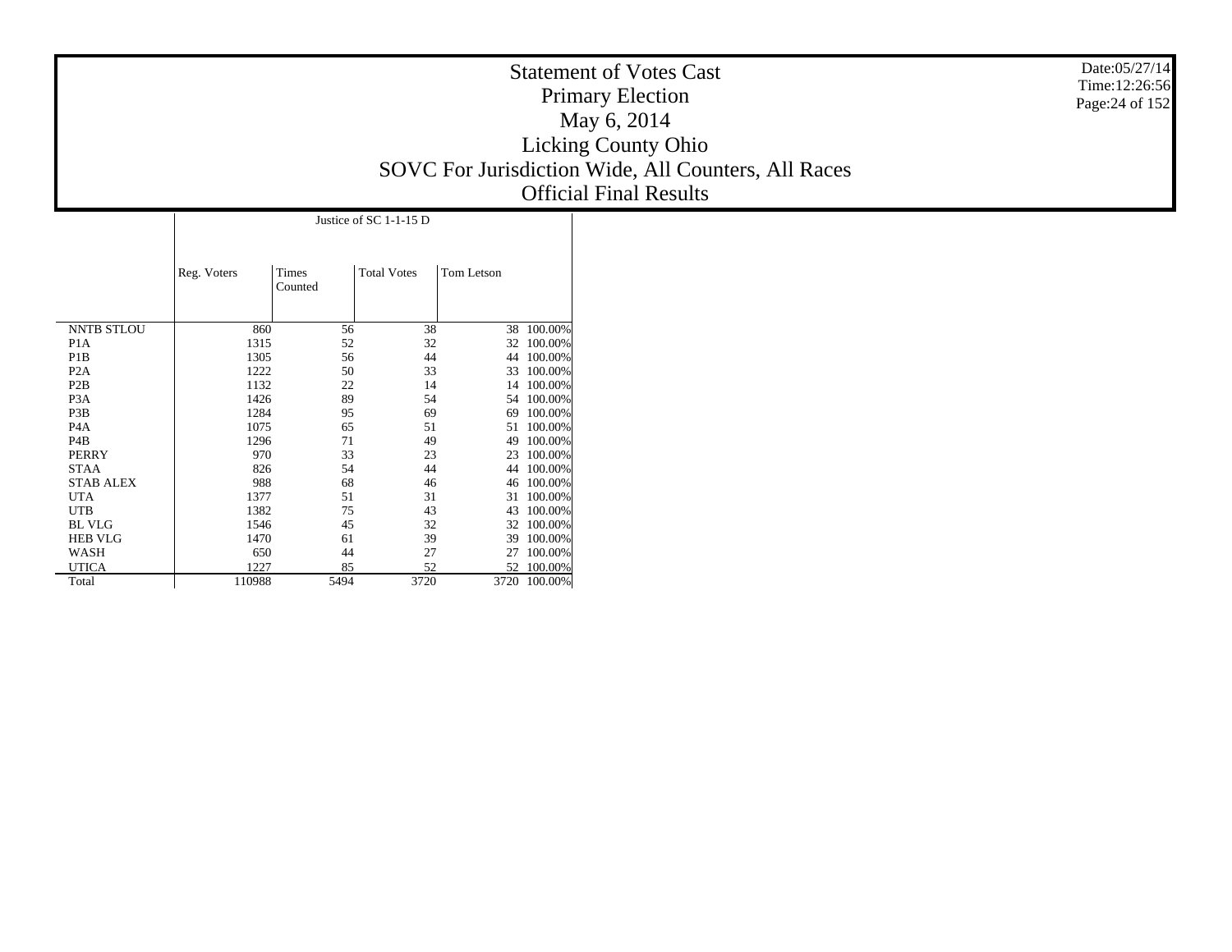NNTB STLOU P1A P1B P2A P2B P3A P3B P4A P4B PERRY STAA STAB ALEX UTA UTB BL VLG HEB VLG WASH UTICAReg. Voters | Times CountedTotal Votes Tom LetsonJustice of SC 1-1-15 D860 56 38 38 100.00% 52 32 32 100.00%1315 56 44 44 100.00%13052 50 33 33 100.00% 1222113222 14 100.00% 89 54 54 100.00% 14261284 95 69 69 100.00% 65 51 51 100.00% 10751296 71 49 49 100.00%0 33 23 23 100.00% 970 54 44 44 100.00%826 68 46 46 100.00% 9881377 51 31 31 100.00% 75 43 43 100.00% 13821546 45 32 32 100.00%0 61 39 39 100.00% 1470650 44 27 27 100.00% 85 52 52 100.00%1227 5494 3720 3720 100.00%110988

Total

Date:05/27/14 Time:12:26:56 Page:24 of 152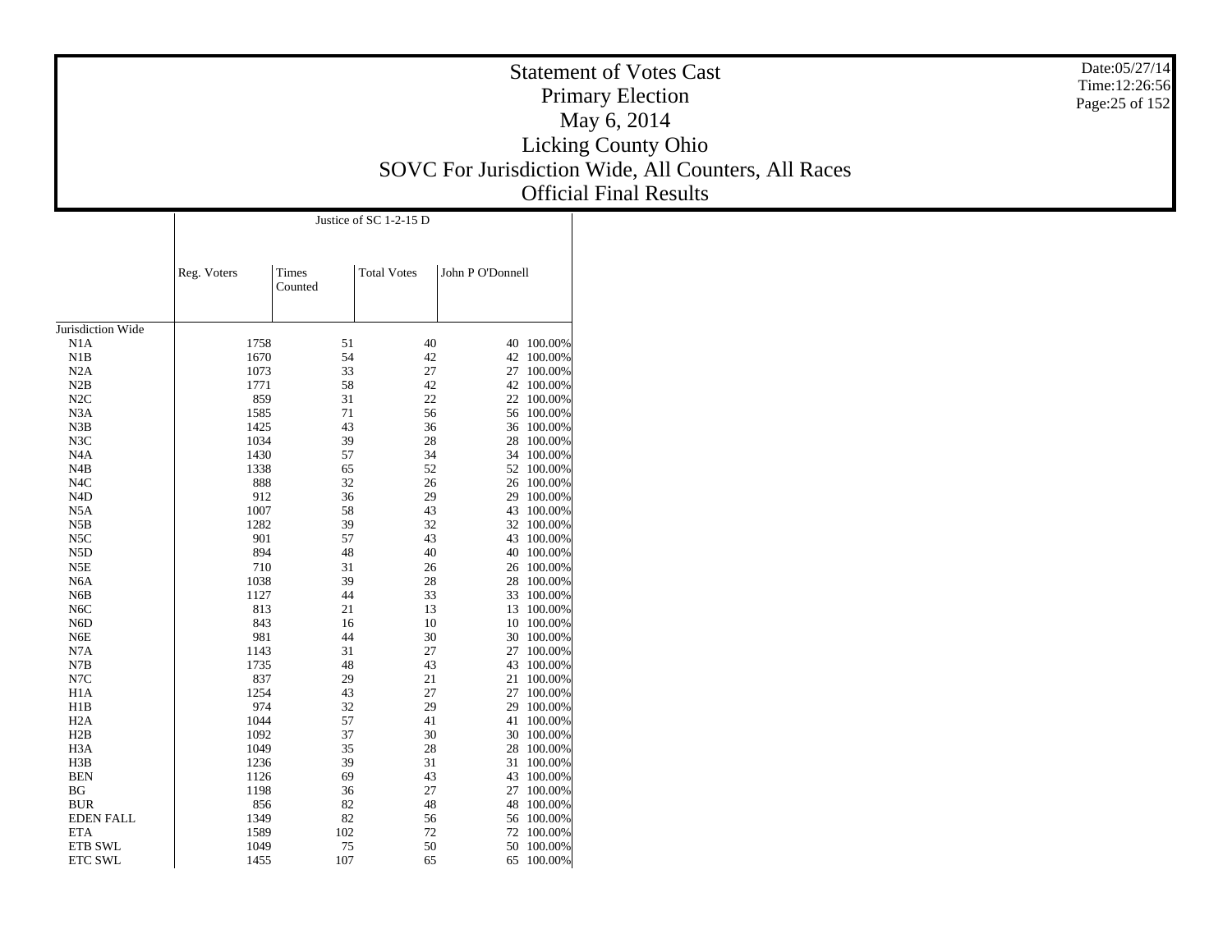|                            |              |           |                        |                          | <b>Statement of Votes Cast</b>                      | Date:05/27/14   |
|----------------------------|--------------|-----------|------------------------|--------------------------|-----------------------------------------------------|-----------------|
|                            |              |           |                        |                          |                                                     | Time: 12:26:56  |
|                            |              |           |                        |                          | <b>Primary Election</b>                             | Page: 25 of 152 |
|                            |              |           |                        |                          | May 6, 2014                                         |                 |
|                            |              |           |                        |                          |                                                     |                 |
|                            |              |           |                        |                          | Licking County Ohio                                 |                 |
|                            |              |           |                        |                          | SOVC For Jurisdiction Wide, All Counters, All Races |                 |
|                            |              |           |                        |                          |                                                     |                 |
|                            |              |           |                        |                          | <b>Official Final Results</b>                       |                 |
|                            |              |           | Justice of SC 1-2-15 D |                          |                                                     |                 |
|                            |              |           |                        |                          |                                                     |                 |
|                            | Reg. Voters  | Times     | <b>Total Votes</b>     | John P O'Donnell         |                                                     |                 |
|                            |              | Counted   |                        |                          |                                                     |                 |
|                            |              |           |                        |                          |                                                     |                 |
| Jurisdiction Wide          |              |           |                        |                          |                                                     |                 |
| N1A                        | 1758         | 51        | 40                     | 40 100.00%               |                                                     |                 |
| N1B                        | 1670         |           | 54<br>42               | 42 100.00%               |                                                     |                 |
| N2A                        | 1073<br>1771 |           | 33<br>27               | 27 100.00%               |                                                     |                 |
| N2B<br>N2C                 | 859          |           | 42<br>58<br>31<br>22   | 42 100.00%<br>22 100.00% |                                                     |                 |
| N3A                        | 1585         |           | 71<br>56               | 56 100.00%               |                                                     |                 |
| N3B                        | 1425         |           | 43<br>36               | 36 100.00%               |                                                     |                 |
| N3C                        | 1034         |           | 39<br>28               | 28 100.00%               |                                                     |                 |
| N4A                        | 1430         |           | 57<br>34               | 34 100.00%               |                                                     |                 |
| N4B                        | 1338         |           | 65<br>52               | 52 100.00%               |                                                     |                 |
| N4C                        | 888          |           | 32<br>26               | 26 100.00%               |                                                     |                 |
| N4D                        | 912          |           | 36<br>29               | 29 100.00%               |                                                     |                 |
| N5A                        | 1007         |           | 58<br>43               | 43 100.00%               |                                                     |                 |
| N5B                        | 1282         |           | 39<br>32               | 32 100.00%               |                                                     |                 |
| N5C<br>N5D                 | 901<br>894   |           | 57<br>43<br>48<br>40   | 43 100.00%<br>40 100.00% |                                                     |                 |
| N5E                        | 710          |           | 31<br>26               | 26 100.00%               |                                                     |                 |
| N <sub>6</sub> A           | 1038         |           | 39<br>28               | 28 100.00%               |                                                     |                 |
| N6B                        | 1127         |           | 44<br>33               | 33 100.00%               |                                                     |                 |
| N <sub>6</sub> C           | 813          |           | 21<br>13               | 13 100.00%               |                                                     |                 |
| N <sub>6</sub> D           | 843          |           | 10<br>16               | 10 100.00%               |                                                     |                 |
| N <sub>6</sub> E           | 981          |           | 44<br>30               | 30 100.00%               |                                                     |                 |
| N7A                        | 1143         |           | 31<br>27               | 27 100.00%               |                                                     |                 |
| N7B                        | 1735         |           | 48<br>43               | 43 100.00%               |                                                     |                 |
| N7C<br>H <sub>1</sub> A    | 837          |           | 29<br>21               | 21 100.00%               |                                                     |                 |
| H1B                        | 1254<br>974  |           | 43<br>27<br>32<br>29   | 27 100.00%<br>29 100.00% |                                                     |                 |
| H2A                        | 1044         |           | 57<br>41               | 41 100.00%               |                                                     |                 |
| H2B                        | 1092         |           | 37<br>30               | 30 100.00%               |                                                     |                 |
| H3A                        | 1049         |           | 35<br>$28\,$           | 28 100.00%               |                                                     |                 |
| H3B                        | 1236         |           | 39<br>31               | 31 100.00%               |                                                     |                 |
| <b>BEN</b>                 | 1126         |           | 69<br>43               | 43 100.00%               |                                                     |                 |
| BG                         | 1198         |           | 36<br>27               | 27 100.00%               |                                                     |                 |
| <b>BUR</b>                 | 856          |           | $82\,$<br>48           | 48 100.00%               |                                                     |                 |
| <b>EDEN FALL</b>           | 1349         |           | 82<br>56               | 56 100.00%               |                                                     |                 |
| <b>ETA</b>                 | 1589         | 102       | 72                     | 72 100.00%               |                                                     |                 |
| ${\rm ETB}$ SWL<br>ETC SWL | 1049<br>1455 | 75<br>107 | 50<br>65               | 50 100.00%<br>65 100.00% |                                                     |                 |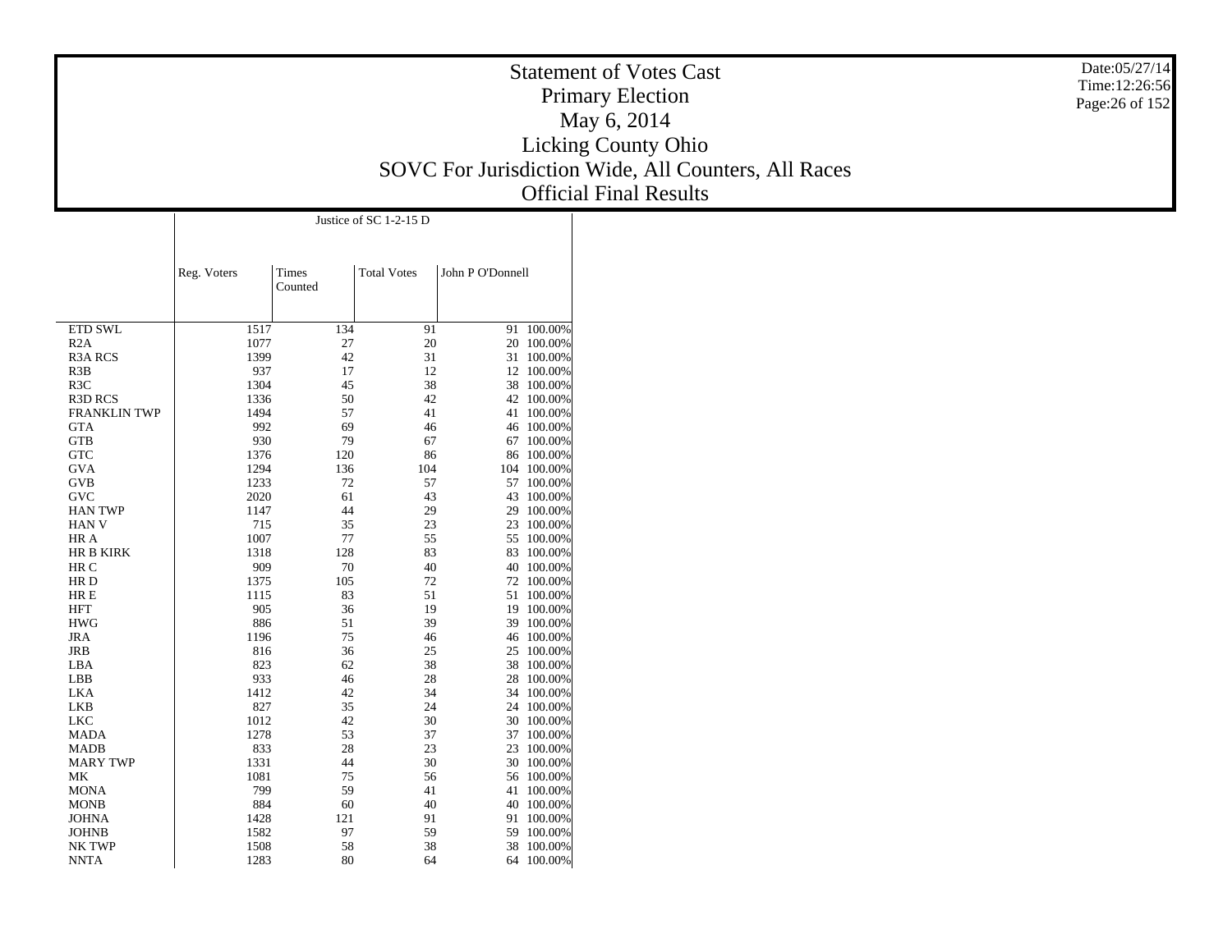|                              |              |                  |                        |                                                     | <b>Statement of Votes Cast</b> |
|------------------------------|--------------|------------------|------------------------|-----------------------------------------------------|--------------------------------|
|                              |              |                  |                        |                                                     | <b>Primary Election</b>        |
|                              |              |                  |                        |                                                     | May 6, 2014                    |
|                              |              |                  |                        |                                                     | <b>Licking County Ohio</b>     |
|                              |              |                  |                        | SOVC For Jurisdiction Wide, All Counters, All Races |                                |
|                              |              |                  |                        |                                                     |                                |
|                              |              |                  |                        |                                                     | <b>Official Final Results</b>  |
|                              |              |                  | Justice of SC 1-2-15 D |                                                     |                                |
|                              |              |                  |                        |                                                     |                                |
|                              |              |                  |                        |                                                     |                                |
|                              | Reg. Voters  | Times<br>Counted | <b>Total Votes</b>     | John P O'Donnell                                    |                                |
|                              |              |                  |                        |                                                     |                                |
| ETD SWL                      | 1517         | 134              | 91                     |                                                     | 91 100.00%                     |
| R2A                          | 1077         | 27               | 20                     |                                                     | 20 100.00%                     |
| <b>R3A RCS</b>               | 1399         | 42               | 31                     |                                                     | 31 100.00%                     |
| R3B                          | 937          | 17               | 12                     |                                                     | 12 100.00%                     |
| R3C<br>R3D RCS               | 1304<br>1336 | 45<br>50         | 38<br>42               |                                                     | 38 100.00%<br>42 100.00%       |
| <b>FRANKLIN TWP</b>          | 1494         | 57               | 41                     |                                                     | 41 100.00%                     |
| <b>GTA</b>                   | 992          | 69               | 46                     |                                                     | 46 100.00%                     |
| GTB                          | 930          | 79               | 67                     |                                                     | 67 100.00%                     |
| ${\rm GTC}$<br><b>GVA</b>    | 1376<br>1294 | 120<br>136       | 86<br>104              |                                                     | 86 100.00%<br>104 100.00%      |
| <b>GVB</b>                   | 1233         | 72               | 57                     |                                                     | 57 100.00%                     |
| GVC                          | 2020         | 61               | 43                     |                                                     | 43 100.00%                     |
| <b>HAN TWP</b>               | 1147         | 44               | 29                     |                                                     | 29 100.00%                     |
| <b>HAN V</b><br>HR A         | 715<br>1007  | 35<br>77         | 23<br>55               |                                                     | 23 100.00%<br>55 100.00%       |
| HR B KIRK                    | 1318         | 128              | 83                     |                                                     | 83 100.00%                     |
| HR C                         | 909          | 70               | 40                     |                                                     | 40 100.00%                     |
| HR D                         | 1375         | 105              | 72                     |                                                     | 72 100.00%                     |
| HR E<br><b>HFT</b>           | 1115<br>905  | 83<br>36         | 51<br>19               |                                                     | 51 100.00%<br>19 100.00%       |
| <b>HWG</b>                   | 886          | 51               | 39                     |                                                     | 39 100.00%                     |
| JRA                          | 1196         | 75               | 46                     |                                                     | 46 100.00%                     |
| JRB                          | 816          | 36               | 25                     |                                                     | 25 100.00%                     |
| LBA<br>LBB                   | 823          | 62               | 38                     |                                                     | 38 100.00%                     |
| LKA                          | 933<br>1412  | 46<br>42         | 28<br>34               |                                                     | 28 100.00%<br>34 100.00%       |
| LKB                          | 827          | 35               | 24                     |                                                     | 24 100.00%                     |
| LKC                          | 1012         | 42               | 30                     |                                                     | 30 100.00%                     |
| <b>MADA</b><br>MADB          | 1278<br>833  | 53               | 37<br>23               |                                                     | 37 100.00%<br>23 100.00%       |
| <b>MARY TWP</b>              | 1331         | 28<br>44         | 30                     |                                                     | 30 100.00%                     |
| MK                           | 1081         | 75               | 56                     |                                                     | 56 100.00%                     |
| <b>MONA</b>                  | 799          | 59               | 41                     |                                                     | 41 100.00%                     |
| <b>MONB</b>                  | 884          | 60               | 40                     |                                                     | 40 100.00%                     |
| <b>JOHNA</b><br><b>JOHNB</b> | 1428<br>1582 | 121<br>97        | 91<br>59               |                                                     | 91 100.00%<br>59 100.00%       |
| NK TWP                       | 1508         | 58               | 38                     |                                                     | 38 100.00%                     |
| <b>NNTA</b>                  | 1283         | 80               | 64                     |                                                     | 64 100.00%                     |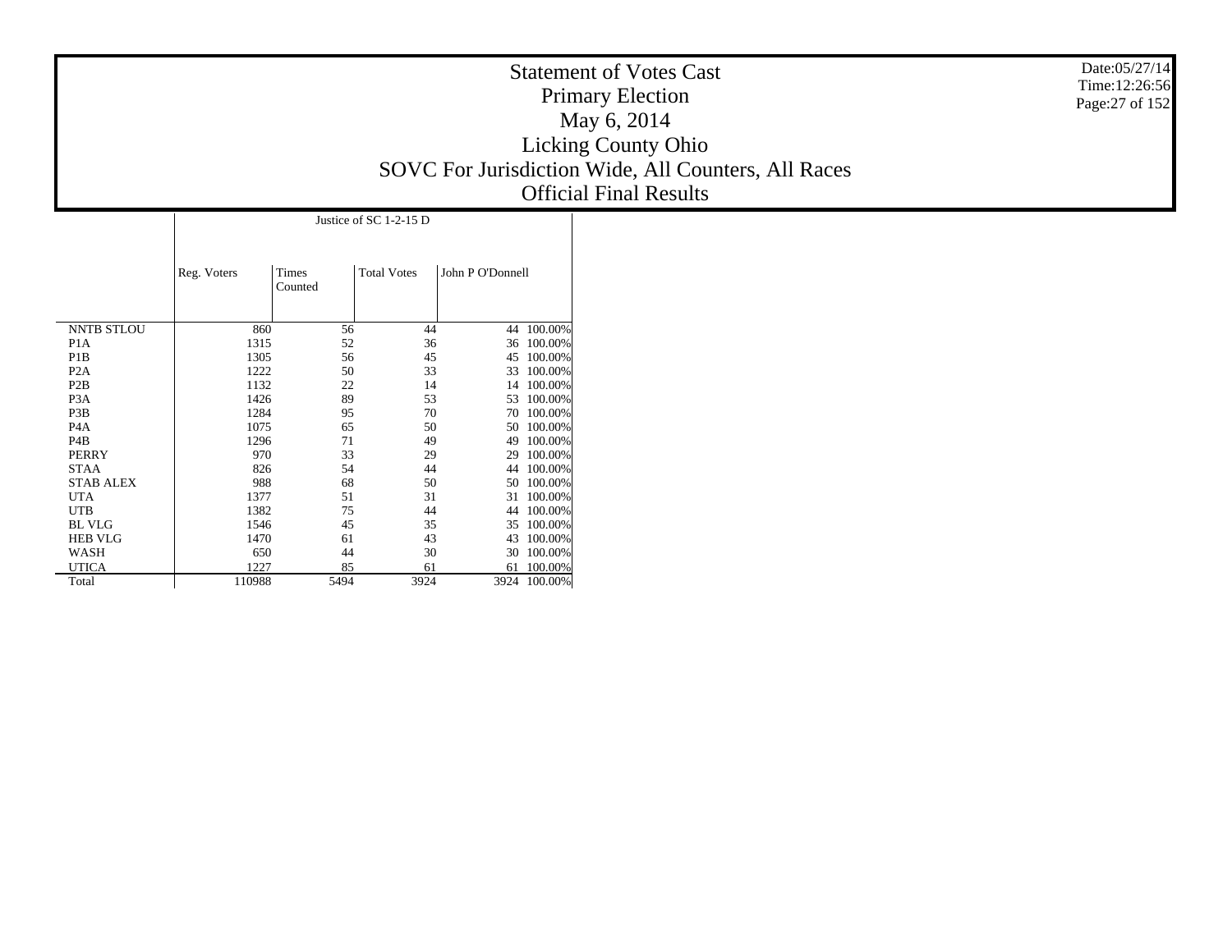Date:05/27/14 Time:12:26:56Page:27 of 152

|                   | Justice of SC 1-2-15 D |                  |                    |                  |         |  |  |  |  |  |
|-------------------|------------------------|------------------|--------------------|------------------|---------|--|--|--|--|--|
|                   | Reg. Voters            | Times<br>Counted | <b>Total Votes</b> | John P O'Donnell |         |  |  |  |  |  |
| <b>NNTB STLOU</b> | 860                    | 56               | 44                 | 44               | 100.00% |  |  |  |  |  |
| P <sub>1</sub> A  | 1315                   | 52               | 36                 | 36               | 100.00% |  |  |  |  |  |
| P <sub>1</sub> B  | 1305                   | 56               | 45                 | 45               | 100.00% |  |  |  |  |  |
| P <sub>2</sub> A  | 1222                   | 50               | 33                 | 33               | 100.00% |  |  |  |  |  |
| P <sub>2</sub> B  | 1132                   | 22               | 14                 | 14               | 100.00% |  |  |  |  |  |
| P <sub>3</sub> A  | 1426                   | 89               | 53                 | 53               | 100.00% |  |  |  |  |  |
| P3B               | 1284                   | 95               | 70                 | 70               | 100.00% |  |  |  |  |  |
| P <sub>4</sub> A  | 1075                   | 65               | 50                 | 50               | 100.00% |  |  |  |  |  |
| P4B               | 1296                   | 71               | 49                 | 49               | 100.00% |  |  |  |  |  |
| <b>PERRY</b>      | 970                    | 33               | 29                 | 29               | 100.00% |  |  |  |  |  |
| <b>STAA</b>       | 826                    | 54               | 44                 | 44               | 100.00% |  |  |  |  |  |
| <b>STAB ALEX</b>  | 988                    | 68               | 50                 | 50               | 100.00% |  |  |  |  |  |
| UTA               | 1377                   | 51               | 31                 | 31               | 100.00% |  |  |  |  |  |
| UTB               | 1382                   | 75               | 44                 | 44               | 100.00% |  |  |  |  |  |
| <b>BL VLG</b>     | 1546                   | 45               | 35                 | 35               | 100.00% |  |  |  |  |  |
| <b>HEB VLG</b>    | 1470                   | 61               | 43                 | 43               | 100.00% |  |  |  |  |  |
| WASH              | 650                    | 44               | 30                 | 30               | 100.00% |  |  |  |  |  |
| <b>UTICA</b>      | 1227                   | 85               | 61                 | 61               | 100.00% |  |  |  |  |  |
| Total             | 110988                 | 5494             | 3924               | 3924             | 100.00% |  |  |  |  |  |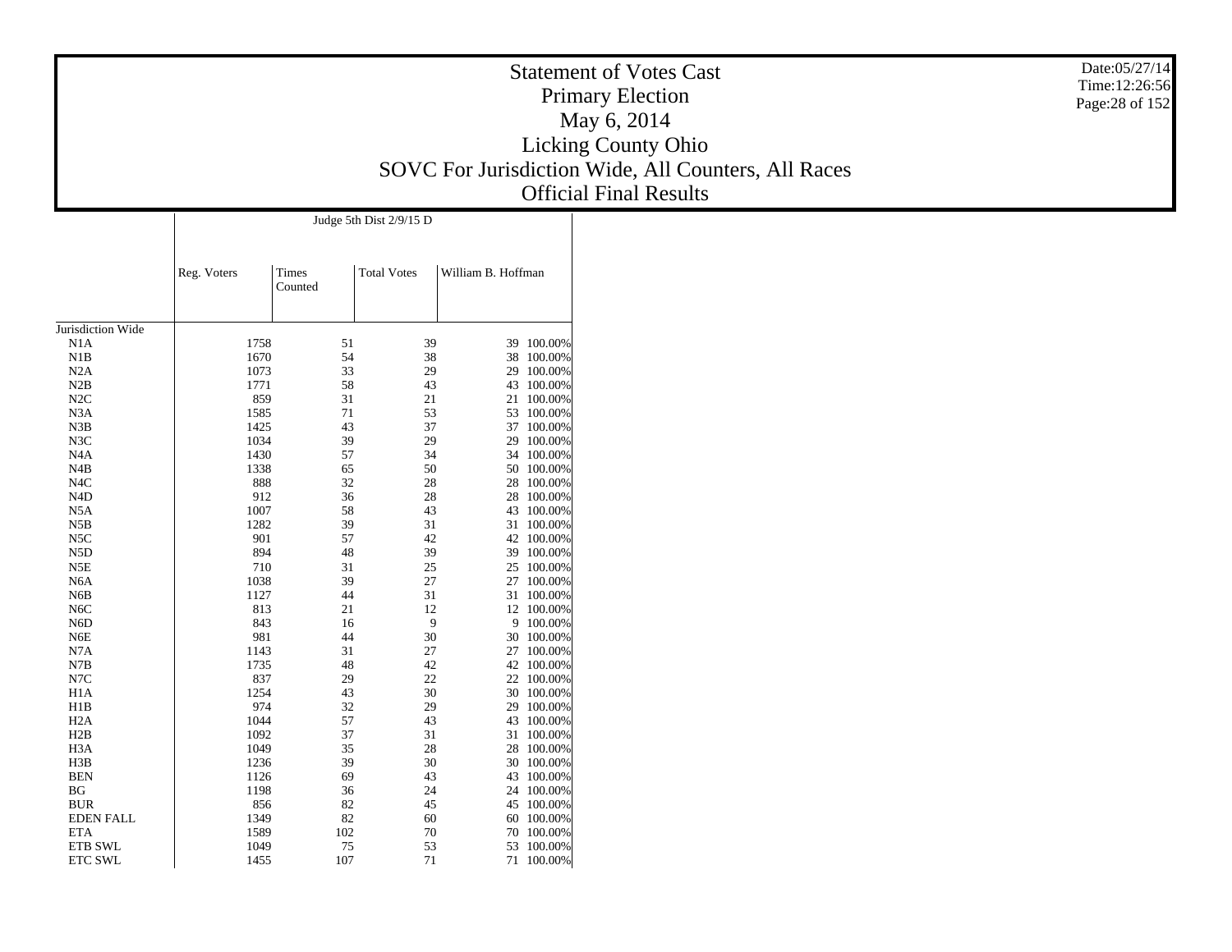|             |                  |                                                                                                                                                                                                                                                                                                  |                                                                                                                                                                                                                                    |                                                                                                                                                                                                                                                                | Date:05/27/14                                                                                                                                                                                                                                                                                                                                                                                                                                                                                                                                                                                                       |
|-------------|------------------|--------------------------------------------------------------------------------------------------------------------------------------------------------------------------------------------------------------------------------------------------------------------------------------------------|------------------------------------------------------------------------------------------------------------------------------------------------------------------------------------------------------------------------------------|----------------------------------------------------------------------------------------------------------------------------------------------------------------------------------------------------------------------------------------------------------------|---------------------------------------------------------------------------------------------------------------------------------------------------------------------------------------------------------------------------------------------------------------------------------------------------------------------------------------------------------------------------------------------------------------------------------------------------------------------------------------------------------------------------------------------------------------------------------------------------------------------|
|             |                  |                                                                                                                                                                                                                                                                                                  |                                                                                                                                                                                                                                    |                                                                                                                                                                                                                                                                | Time: 12:26:56                                                                                                                                                                                                                                                                                                                                                                                                                                                                                                                                                                                                      |
|             |                  |                                                                                                                                                                                                                                                                                                  |                                                                                                                                                                                                                                    |                                                                                                                                                                                                                                                                | Page: 28 of 152                                                                                                                                                                                                                                                                                                                                                                                                                                                                                                                                                                                                     |
|             |                  |                                                                                                                                                                                                                                                                                                  |                                                                                                                                                                                                                                    |                                                                                                                                                                                                                                                                |                                                                                                                                                                                                                                                                                                                                                                                                                                                                                                                                                                                                                     |
|             |                  |                                                                                                                                                                                                                                                                                                  |                                                                                                                                                                                                                                    |                                                                                                                                                                                                                                                                |                                                                                                                                                                                                                                                                                                                                                                                                                                                                                                                                                                                                                     |
|             |                  |                                                                                                                                                                                                                                                                                                  |                                                                                                                                                                                                                                    |                                                                                                                                                                                                                                                                |                                                                                                                                                                                                                                                                                                                                                                                                                                                                                                                                                                                                                     |
|             |                  |                                                                                                                                                                                                                                                                                                  |                                                                                                                                                                                                                                    |                                                                                                                                                                                                                                                                |                                                                                                                                                                                                                                                                                                                                                                                                                                                                                                                                                                                                                     |
|             |                  |                                                                                                                                                                                                                                                                                                  |                                                                                                                                                                                                                                    |                                                                                                                                                                                                                                                                |                                                                                                                                                                                                                                                                                                                                                                                                                                                                                                                                                                                                                     |
|             |                  |                                                                                                                                                                                                                                                                                                  |                                                                                                                                                                                                                                    |                                                                                                                                                                                                                                                                |                                                                                                                                                                                                                                                                                                                                                                                                                                                                                                                                                                                                                     |
|             |                  |                                                                                                                                                                                                                                                                                                  |                                                                                                                                                                                                                                    |                                                                                                                                                                                                                                                                |                                                                                                                                                                                                                                                                                                                                                                                                                                                                                                                                                                                                                     |
| Reg. Voters | Times<br>Counted | <b>Total Votes</b>                                                                                                                                                                                                                                                                               | William B. Hoffman                                                                                                                                                                                                                 |                                                                                                                                                                                                                                                                |                                                                                                                                                                                                                                                                                                                                                                                                                                                                                                                                                                                                                     |
|             |                  |                                                                                                                                                                                                                                                                                                  |                                                                                                                                                                                                                                    |                                                                                                                                                                                                                                                                |                                                                                                                                                                                                                                                                                                                                                                                                                                                                                                                                                                                                                     |
|             |                  |                                                                                                                                                                                                                                                                                                  |                                                                                                                                                                                                                                    |                                                                                                                                                                                                                                                                |                                                                                                                                                                                                                                                                                                                                                                                                                                                                                                                                                                                                                     |
|             |                  |                                                                                                                                                                                                                                                                                                  | 38 100.00%                                                                                                                                                                                                                         |                                                                                                                                                                                                                                                                |                                                                                                                                                                                                                                                                                                                                                                                                                                                                                                                                                                                                                     |
|             |                  |                                                                                                                                                                                                                                                                                                  | 29 100.00%                                                                                                                                                                                                                         |                                                                                                                                                                                                                                                                |                                                                                                                                                                                                                                                                                                                                                                                                                                                                                                                                                                                                                     |
|             |                  |                                                                                                                                                                                                                                                                                                  | 43 100.00%                                                                                                                                                                                                                         |                                                                                                                                                                                                                                                                |                                                                                                                                                                                                                                                                                                                                                                                                                                                                                                                                                                                                                     |
|             |                  |                                                                                                                                                                                                                                                                                                  |                                                                                                                                                                                                                                    |                                                                                                                                                                                                                                                                |                                                                                                                                                                                                                                                                                                                                                                                                                                                                                                                                                                                                                     |
|             |                  |                                                                                                                                                                                                                                                                                                  |                                                                                                                                                                                                                                    |                                                                                                                                                                                                                                                                |                                                                                                                                                                                                                                                                                                                                                                                                                                                                                                                                                                                                                     |
|             |                  |                                                                                                                                                                                                                                                                                                  |                                                                                                                                                                                                                                    |                                                                                                                                                                                                                                                                |                                                                                                                                                                                                                                                                                                                                                                                                                                                                                                                                                                                                                     |
|             |                  |                                                                                                                                                                                                                                                                                                  |                                                                                                                                                                                                                                    |                                                                                                                                                                                                                                                                |                                                                                                                                                                                                                                                                                                                                                                                                                                                                                                                                                                                                                     |
|             |                  |                                                                                                                                                                                                                                                                                                  | 50 100.00%                                                                                                                                                                                                                         |                                                                                                                                                                                                                                                                |                                                                                                                                                                                                                                                                                                                                                                                                                                                                                                                                                                                                                     |
|             |                  |                                                                                                                                                                                                                                                                                                  | 28 100.00%                                                                                                                                                                                                                         |                                                                                                                                                                                                                                                                |                                                                                                                                                                                                                                                                                                                                                                                                                                                                                                                                                                                                                     |
|             |                  |                                                                                                                                                                                                                                                                                                  |                                                                                                                                                                                                                                    |                                                                                                                                                                                                                                                                |                                                                                                                                                                                                                                                                                                                                                                                                                                                                                                                                                                                                                     |
|             |                  |                                                                                                                                                                                                                                                                                                  |                                                                                                                                                                                                                                    |                                                                                                                                                                                                                                                                |                                                                                                                                                                                                                                                                                                                                                                                                                                                                                                                                                                                                                     |
|             |                  |                                                                                                                                                                                                                                                                                                  |                                                                                                                                                                                                                                    |                                                                                                                                                                                                                                                                |                                                                                                                                                                                                                                                                                                                                                                                                                                                                                                                                                                                                                     |
|             |                  |                                                                                                                                                                                                                                                                                                  |                                                                                                                                                                                                                                    |                                                                                                                                                                                                                                                                |                                                                                                                                                                                                                                                                                                                                                                                                                                                                                                                                                                                                                     |
|             |                  |                                                                                                                                                                                                                                                                                                  |                                                                                                                                                                                                                                    |                                                                                                                                                                                                                                                                |                                                                                                                                                                                                                                                                                                                                                                                                                                                                                                                                                                                                                     |
|             |                  |                                                                                                                                                                                                                                                                                                  | 27 100.00%                                                                                                                                                                                                                         |                                                                                                                                                                                                                                                                |                                                                                                                                                                                                                                                                                                                                                                                                                                                                                                                                                                                                                     |
|             |                  |                                                                                                                                                                                                                                                                                                  | 31 100.00%                                                                                                                                                                                                                         |                                                                                                                                                                                                                                                                |                                                                                                                                                                                                                                                                                                                                                                                                                                                                                                                                                                                                                     |
|             |                  |                                                                                                                                                                                                                                                                                                  |                                                                                                                                                                                                                                    |                                                                                                                                                                                                                                                                |                                                                                                                                                                                                                                                                                                                                                                                                                                                                                                                                                                                                                     |
|             |                  |                                                                                                                                                                                                                                                                                                  |                                                                                                                                                                                                                                    |                                                                                                                                                                                                                                                                |                                                                                                                                                                                                                                                                                                                                                                                                                                                                                                                                                                                                                     |
|             |                  |                                                                                                                                                                                                                                                                                                  |                                                                                                                                                                                                                                    |                                                                                                                                                                                                                                                                |                                                                                                                                                                                                                                                                                                                                                                                                                                                                                                                                                                                                                     |
|             |                  |                                                                                                                                                                                                                                                                                                  |                                                                                                                                                                                                                                    |                                                                                                                                                                                                                                                                |                                                                                                                                                                                                                                                                                                                                                                                                                                                                                                                                                                                                                     |
|             |                  |                                                                                                                                                                                                                                                                                                  |                                                                                                                                                                                                                                    |                                                                                                                                                                                                                                                                |                                                                                                                                                                                                                                                                                                                                                                                                                                                                                                                                                                                                                     |
|             |                  |                                                                                                                                                                                                                                                                                                  | 30 100.00%                                                                                                                                                                                                                         |                                                                                                                                                                                                                                                                |                                                                                                                                                                                                                                                                                                                                                                                                                                                                                                                                                                                                                     |
|             |                  |                                                                                                                                                                                                                                                                                                  | 29 100.00%                                                                                                                                                                                                                         |                                                                                                                                                                                                                                                                |                                                                                                                                                                                                                                                                                                                                                                                                                                                                                                                                                                                                                     |
|             |                  |                                                                                                                                                                                                                                                                                                  |                                                                                                                                                                                                                                    |                                                                                                                                                                                                                                                                |                                                                                                                                                                                                                                                                                                                                                                                                                                                                                                                                                                                                                     |
|             |                  |                                                                                                                                                                                                                                                                                                  |                                                                                                                                                                                                                                    |                                                                                                                                                                                                                                                                |                                                                                                                                                                                                                                                                                                                                                                                                                                                                                                                                                                                                                     |
|             |                  |                                                                                                                                                                                                                                                                                                  |                                                                                                                                                                                                                                    |                                                                                                                                                                                                                                                                |                                                                                                                                                                                                                                                                                                                                                                                                                                                                                                                                                                                                                     |
|             |                  |                                                                                                                                                                                                                                                                                                  |                                                                                                                                                                                                                                    |                                                                                                                                                                                                                                                                |                                                                                                                                                                                                                                                                                                                                                                                                                                                                                                                                                                                                                     |
|             |                  |                                                                                                                                                                                                                                                                                                  |                                                                                                                                                                                                                                    |                                                                                                                                                                                                                                                                |                                                                                                                                                                                                                                                                                                                                                                                                                                                                                                                                                                                                                     |
|             |                  |                                                                                                                                                                                                                                                                                                  |                                                                                                                                                                                                                                    |                                                                                                                                                                                                                                                                |                                                                                                                                                                                                                                                                                                                                                                                                                                                                                                                                                                                                                     |
|             |                  |                                                                                                                                                                                                                                                                                                  |                                                                                                                                                                                                                                    |                                                                                                                                                                                                                                                                |                                                                                                                                                                                                                                                                                                                                                                                                                                                                                                                                                                                                                     |
|             |                  |                                                                                                                                                                                                                                                                                                  |                                                                                                                                                                                                                                    |                                                                                                                                                                                                                                                                |                                                                                                                                                                                                                                                                                                                                                                                                                                                                                                                                                                                                                     |
|             |                  |                                                                                                                                                                                                                                                                                                  |                                                                                                                                                                                                                                    |                                                                                                                                                                                                                                                                |                                                                                                                                                                                                                                                                                                                                                                                                                                                                                                                                                                                                                     |
|             |                  | 1758<br>1670<br>1073<br>1771<br>859<br>1585<br>1425<br>1034<br>1430<br>1338<br>888<br>912<br>1007<br>1282<br>901<br>894<br>710<br>1038<br>1127<br>813<br>843<br>981<br>1143<br>1735<br>837<br>1254<br>974<br>1044<br>1092<br>1049<br>1236<br>1126<br>1198<br>856<br>1349<br>1589<br>1049<br>1455 | 51<br>54<br>33<br>58<br>31<br>71<br>43<br>39<br>57<br>65<br>32<br>36<br>58<br>39<br>57<br>48<br>31<br>39<br>44<br>21<br>16<br>44<br>31<br>48<br>29<br>43<br>32<br>57<br>37<br>35<br>39<br>69<br>36<br>82<br>82<br>102<br>75<br>107 | Judge 5th Dist 2/9/15 D<br>39<br>38<br>29<br>43<br>21<br>53<br>37<br>29<br>34<br>50<br>28<br>28<br>43<br>31<br>42<br>39<br>25<br>27<br>31<br>12<br>9<br>30<br>27<br>42<br>22<br>30<br>29<br>43<br>31<br>28<br>30<br>43<br>24<br>45<br>60<br>70<br>53<br>$71\,$ | <b>Statement of Votes Cast</b><br><b>Primary Election</b><br>May 6, 2014<br><b>Licking County Ohio</b><br>SOVC For Jurisdiction Wide, All Counters, All Races<br><b>Official Final Results</b><br>39 100.00%<br>21 100.00%<br>53 100.00%<br>37 100.00%<br>29 100.00%<br>34 100.00%<br>28 100.00%<br>43 100.00%<br>31 100.00%<br>42 100.00%<br>39 100.00%<br>25 100.00%<br>12 100.00%<br>9 100.00%<br>30 100.00%<br>27 100.00%<br>42 100.00%<br>22 100.00%<br>43 100.00%<br>31 100.00%<br>28 100.00%<br>30 100.00%<br>43 100.00%<br>24 100.00%<br>45 100.00%<br>60 100.00%<br>70 100.00%<br>53 100.00%<br>71 100.00% |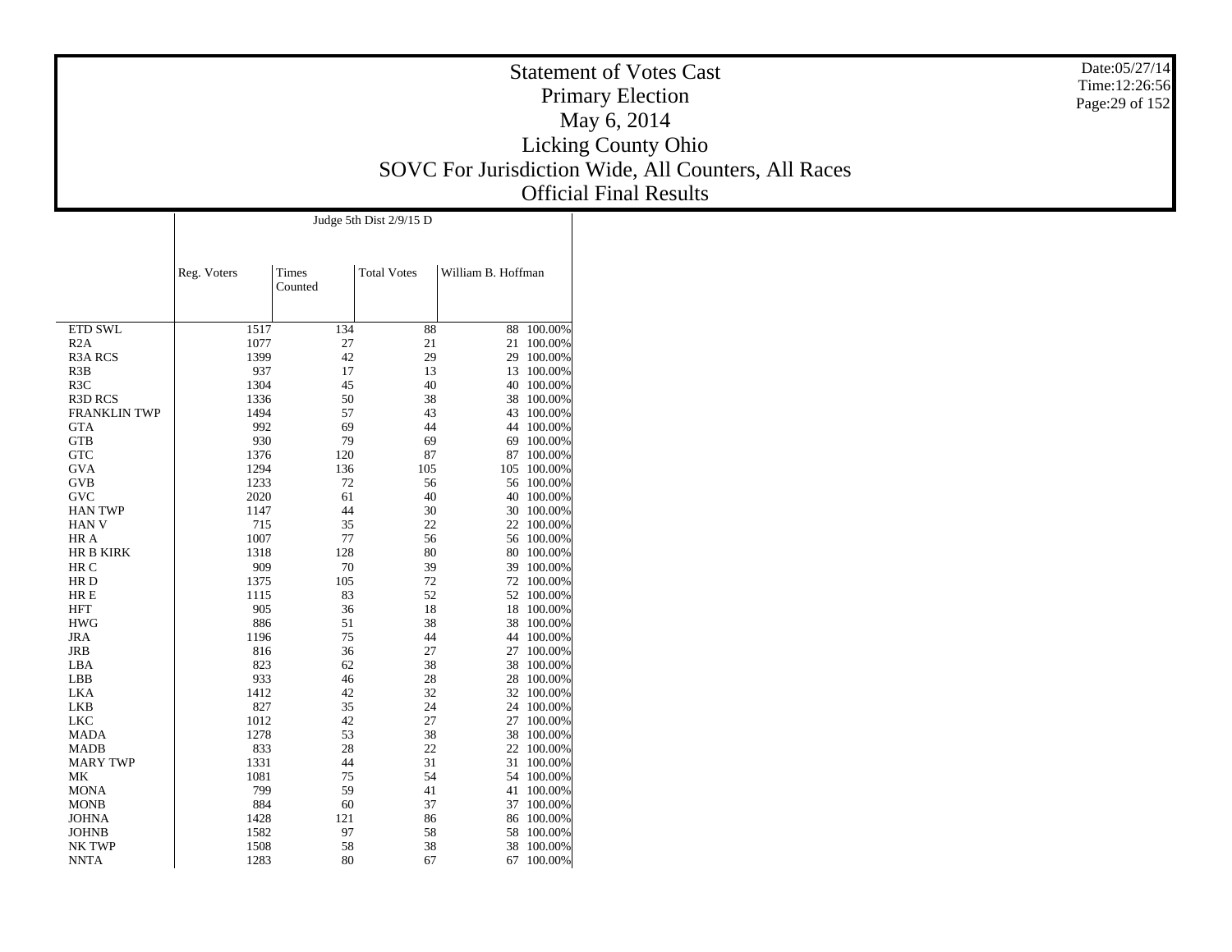| <b>Statement of Votes Cast</b>                      |
|-----------------------------------------------------|
| <b>Primary Election</b>                             |
| May 6, 2014                                         |
| <b>Licking County Ohio</b>                          |
| SOVC For Jurisdiction Wide, All Counters, All Races |
| <b>Official Final Results</b>                       |

Date:05/27/14 Time:12:26:56 Page:29 of 152

|                     | Judge 5th Dist 2/9/15 D |                  |                    |                    |                    |  |  |  |  |
|---------------------|-------------------------|------------------|--------------------|--------------------|--------------------|--|--|--|--|
|                     | Reg. Voters             | Times<br>Counted | <b>Total Votes</b> | William B. Hoffman |                    |  |  |  |  |
| <b>ETD SWL</b>      | 1517                    | 134              | 88                 | 88                 | 100.00%            |  |  |  |  |
| R2A                 | 1077                    | 27               | 21                 | 21                 | 100.00%            |  |  |  |  |
| <b>R3A RCS</b>      | 1399                    | 42               | 29                 | 29                 | 100.00%            |  |  |  |  |
| R3B                 | 937                     | 17               | 13                 | 13                 | 100.00%            |  |  |  |  |
| R <sub>3</sub> C    | 1304                    | 45               | 40                 | 40                 | 100.00%            |  |  |  |  |
| <b>R3D RCS</b>      | 1336                    | 50               | 38                 | 38                 | 100.00%            |  |  |  |  |
| <b>FRANKLIN TWP</b> | 1494                    | 57               | 43                 | 43                 | 100.00%            |  |  |  |  |
| <b>GTA</b>          | 992                     | 69               | 44                 | 44                 | 100.00%            |  |  |  |  |
| <b>GTB</b>          | 930                     | 79               | 69                 |                    | 69 100.00%         |  |  |  |  |
| <b>GTC</b>          | 1376                    | 120              | 87                 | 87                 | 100.00%            |  |  |  |  |
| <b>GVA</b>          | 1294                    | 136              | 105                | 105                | 100.00%            |  |  |  |  |
| <b>GVB</b>          | 1233                    | 72               | 56                 | 56                 | 100.00%            |  |  |  |  |
| GVC                 | 2020                    | 61               | 40                 |                    | 40 100.00%         |  |  |  |  |
| <b>HAN TWP</b>      | 1147                    | 44               | 30                 |                    | 30 100.00%         |  |  |  |  |
| <b>HAN V</b>        | 715                     | 35               | 22                 | 22                 | 100.00%            |  |  |  |  |
| HR A                | 1007                    | 77               | 56                 | 56                 | 100.00%            |  |  |  |  |
| <b>HR B KIRK</b>    | 1318                    | 128              | 80                 | 80                 | 100.00%            |  |  |  |  |
| HR C                | 909                     | 70               | 39                 |                    | 39 100.00%         |  |  |  |  |
| HR <sub>D</sub>     | 1375                    | 105              | 72                 | 72                 | 100.00%            |  |  |  |  |
| HR E                | 1115                    | 83               | 52                 | 52                 | 100.00%            |  |  |  |  |
| <b>HFT</b>          | 905                     | 36               | 18                 | 18                 | 100.00%            |  |  |  |  |
| <b>HWG</b>          | 886                     | 51               | 38                 | 38                 | 100.00%            |  |  |  |  |
| <b>JRA</b>          | 1196                    | 75               | 44                 |                    | 44 100.00%         |  |  |  |  |
| JRB<br>LBA          | 816<br>823              | 36<br>62         | 27<br>38           | 27<br>38           | 100.00%<br>100.00% |  |  |  |  |
| LBB                 | 933                     | 46               | 28                 | 28                 | 100.00%            |  |  |  |  |
| <b>LKA</b>          | 1412                    | 42               | 32                 |                    | 32 100.00%         |  |  |  |  |
| <b>LKB</b>          | 827                     | 35               | 24                 | 24                 | 100.00%            |  |  |  |  |
| <b>LKC</b>          | 1012                    | 42               | 27                 | 27                 | 100.00%            |  |  |  |  |
| <b>MADA</b>         | 1278                    | 53               | 38                 | 38                 | 100.00%            |  |  |  |  |
| <b>MADB</b>         | 833                     | 28               | 22                 | 22                 | 100.00%            |  |  |  |  |
| <b>MARY TWP</b>     | 1331                    | 44               | 31                 | 31                 | 100.00%            |  |  |  |  |
| МK                  | 1081                    | 75               | 54                 |                    | 54 100.00%         |  |  |  |  |
| <b>MONA</b>         | 799                     | 59               | 41                 | 41                 | 100.00%            |  |  |  |  |
| <b>MONB</b>         | 884                     | 60               | 37                 | 37                 | 100.00%            |  |  |  |  |
| <b>JOHNA</b>        | 1428                    | 121              | 86                 | 86                 | 100.00%            |  |  |  |  |
| <b>JOHNB</b>        | 1582                    | 97               | 58                 | 58                 | 100.00%            |  |  |  |  |
| NK TWP              | 1508                    | 58               | 38                 | 38                 | 100.00%            |  |  |  |  |
| <b>NNTA</b>         | 1283                    | 80               | 67                 | 67                 | 100.00%            |  |  |  |  |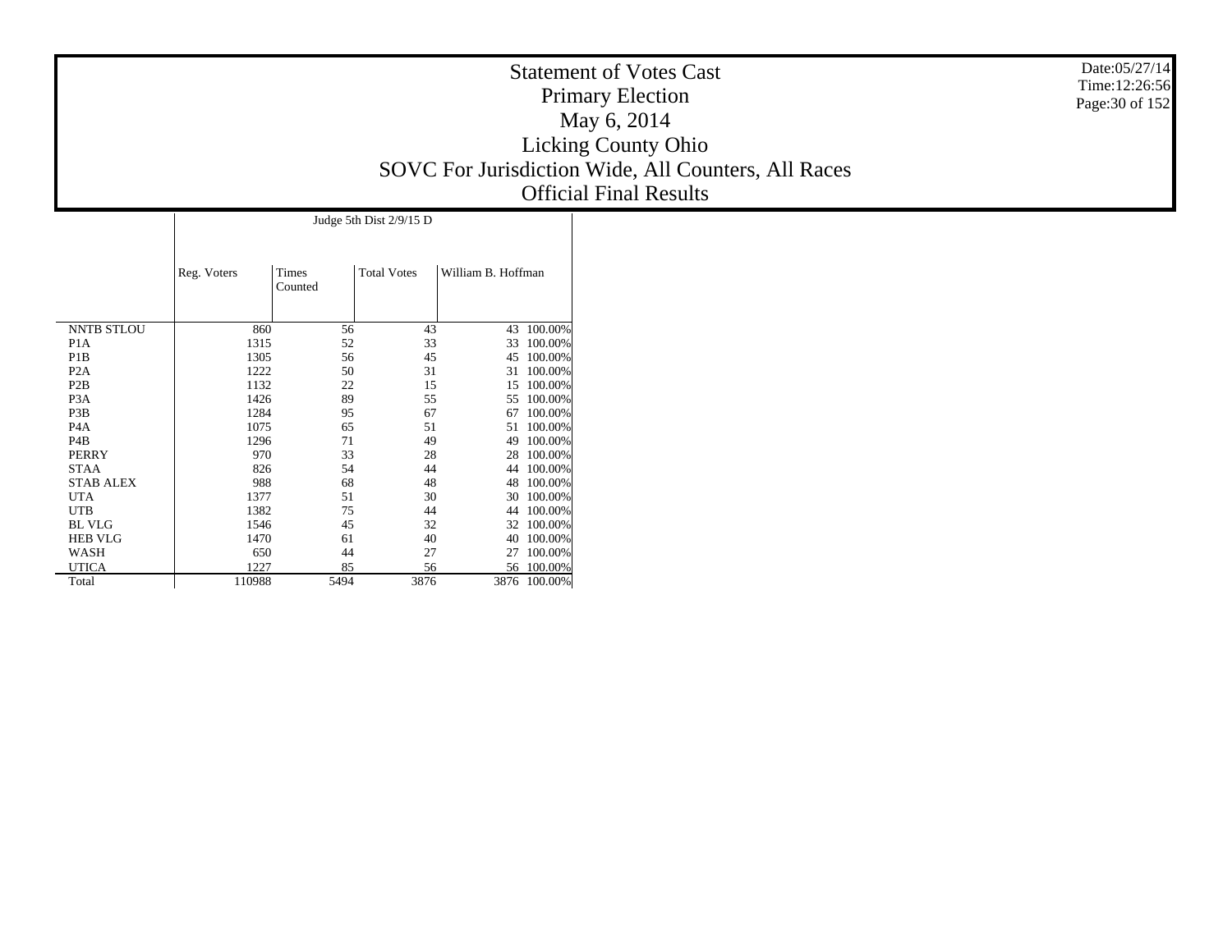|                   | Judge 5th Dist 2/9/15 D |                  |                    |                    |         |  |  |  |  |  |
|-------------------|-------------------------|------------------|--------------------|--------------------|---------|--|--|--|--|--|
|                   |                         |                  |                    |                    |         |  |  |  |  |  |
|                   | Reg. Voters             | Times<br>Counted | <b>Total Votes</b> | William B. Hoffman |         |  |  |  |  |  |
|                   |                         |                  |                    |                    |         |  |  |  |  |  |
| <b>NNTB STLOU</b> | 860                     | 56               | 43                 | 43                 | 100.00% |  |  |  |  |  |
| P <sub>1</sub> A  | 1315                    | 52               | 33                 | 33                 | 100.00% |  |  |  |  |  |
| P <sub>1</sub> B  | 1305                    | 56               | 45                 | 45                 | 100.00% |  |  |  |  |  |
| P <sub>2</sub> A  | 1222                    | 50               | 31                 | 31                 | 100.00% |  |  |  |  |  |
| P <sub>2</sub> B  | 1132                    | 22               | 15                 | 15                 | 100.00% |  |  |  |  |  |
| P <sub>3</sub> A  | 1426                    | 89               | 55                 | 55                 | 100.00% |  |  |  |  |  |
| P3B               | 1284                    | 95               | 67                 | 67                 | 100.00% |  |  |  |  |  |
| P <sub>4</sub> A  | 1075                    | 65               | 51                 | 51                 | 100.00% |  |  |  |  |  |
| P4B               | 1296                    | 71               | 49                 | 49                 | 100.00% |  |  |  |  |  |
| <b>PERRY</b>      | 970                     | 33               | 28                 | 28                 | 100.00% |  |  |  |  |  |
| <b>STAA</b>       | 826                     | 54               | 44                 | 44                 | 100.00% |  |  |  |  |  |
| <b>STAB ALEX</b>  | 988                     | 68               | 48                 | 48                 | 100.00% |  |  |  |  |  |
| UTA               | 1377                    | 51               | 30                 | 30                 | 100.00% |  |  |  |  |  |
| UTB               | 1382                    | 75               | 44                 | 44                 | 100.00% |  |  |  |  |  |
| <b>BL VLG</b>     | 1546                    | 45               | 32                 | 32                 | 100.00% |  |  |  |  |  |
| <b>HEB VLG</b>    | 1470                    | 61               | 40                 | 40                 | 100.00% |  |  |  |  |  |
| WASH              | 650                     | 44               | 27                 | 27                 | 100.00% |  |  |  |  |  |
| <b>UTICA</b>      | 1227                    | 85               | 56                 | 56                 | 100.00% |  |  |  |  |  |
| Total             | 110988                  | 5494             | 3876               | 3876               | 100.00% |  |  |  |  |  |

Date:05/27/14 Time:12:26:56Page:30 of 152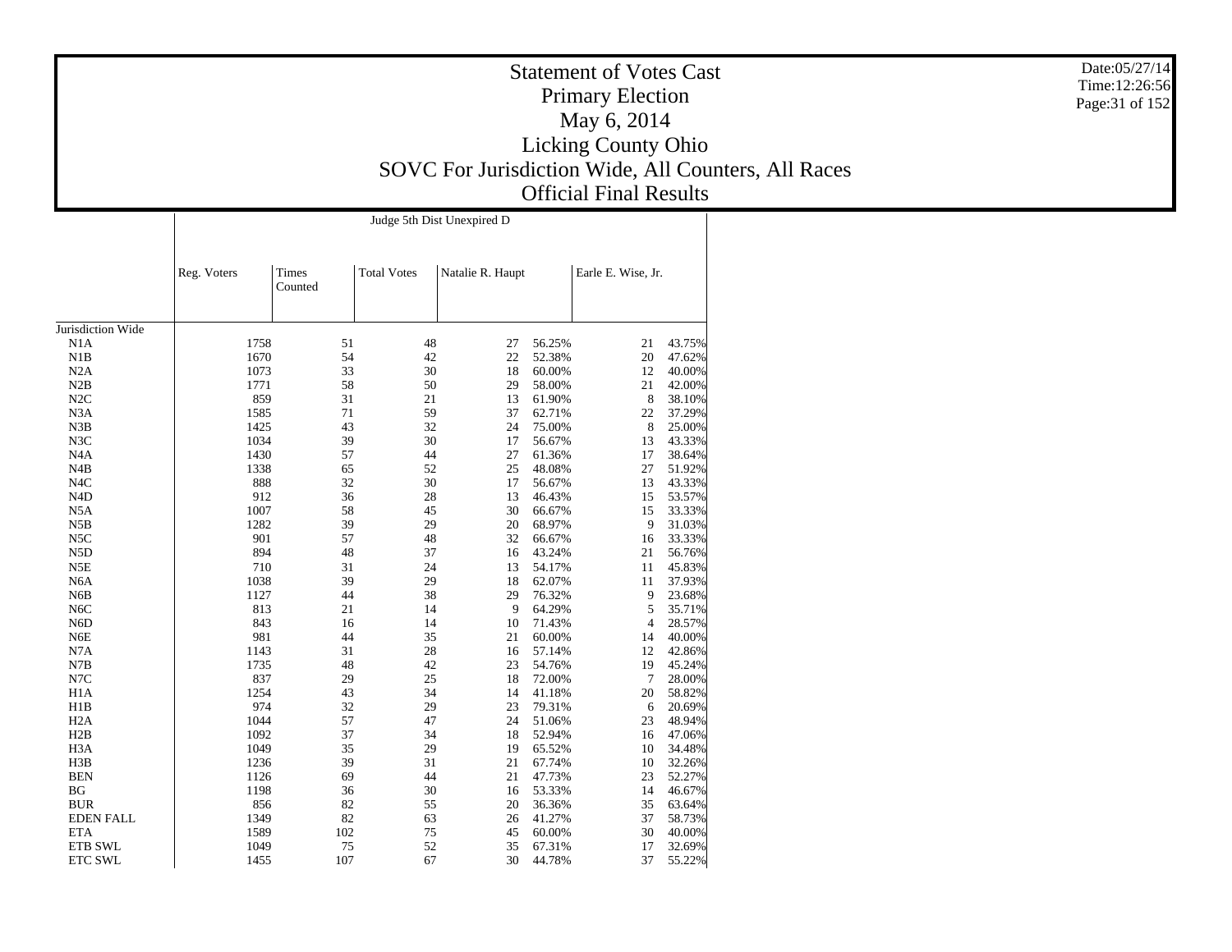Jurisdiction Wide N1A N1B N2A N2B N2C N3A N3B N3C N4A N4B N4C N4D N5A N5B N5C N5D N5E N6A N6B N6C N6D N6E N7A N7B N7C H1A H1B H2A H2B H3A H3B BEN BG BUR EDEN FALL ETA ETB SWL ETC SWL Reg. Voters Times CountedTotal VotesNatalie R. Haupt Earle E. Wise, Jr. Judge 5th Dist Unexpired D 1758 51 48 27 56.25% 21 43.75% 1670 54 42 22 52.38% 20 47.62% 1073 33 30 18 60.00% 12 40.00% 1771 58 50 29 58.00% 21 42.00% 859 31 21 13 61.90% 8 38.10% 1585 71 59 37 62.71% 22 37.29% 1425 43 32 24 75.00% 8 25.00% 1034 39 30 17 56.67% 13 43.33% 1430 57 44 27 61.36% 17 38.64% 1338 65 52 25 48.08% 27 51.92% 888 32 30 17 56.67% 13 43.33% 912 36 28 13 46.43% 15 53.57% 1007 58 45 30 66.67% 15 33.33% 1282 39 29 20 68.97% 9 31.03% 901 57 48 32 66.67% 16 33.33% 894 48 37 16 43.24% 21 56.76% 710 31 24 13 54.17% 11 45.83% 1038 39 29 18 62.07% 11 37.93% 1127 44 38 29 76.32% 9 23.68% 813 21 14 9 64.29% 5 35.71% 843 16 14 10 71.43% 4 28.57% 981 44 35 21 60.00% 14 40.00% 1143 31 28 16 57.14% 12 42.86% 1735 48 42 23 54.76% 19 45.24% 837 29 25 18 72.00% 7 28.00% 1254 43 34 14 41.18% 20 58.82% 974 32 29 23 79.31% 6 20.69% 1044 57 47 24 51.06% 23 48.94% 1092 37 34 18 52.94% 16 47.06% 1049 35 29 19 65.52% 10 34.48% 1236 39 31 21 67.74% 10 32.26% 1126 69 44 21 47.73% 23 52.27% 1198 36 30 16 53.33% 14 46.67% 856 82 55 20 36.36% 35 63.64% 1349 82 63 26 41.27% 37 58.73% 1589 102 75 45 60.00% 30 40.00% 1049 75 52 35 67.31% 17 32.69% 1455 107 67 30 44.78%37 55.22%

Date:05/27/14Time:12:26:56Page:31 of 152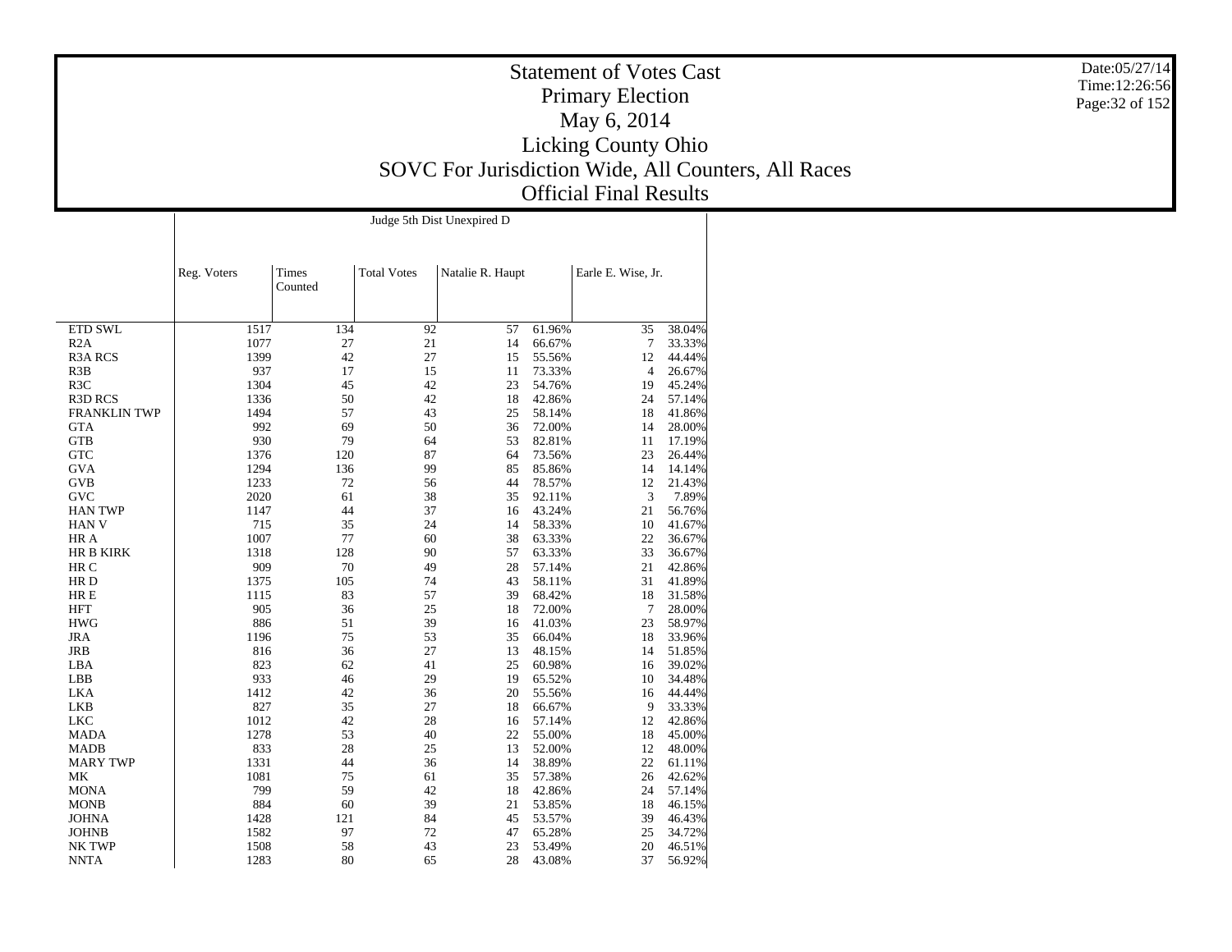ETD SWL R2A R3A RCS R3B R3C R3D RCS FRANKLIN TWP GTA GTB GTC GVA GVB GVC HAN TWP HAN V HR A HR B KIRK HR C HR D HR E HFT HWG JRA JRB LBA LBB LKA LKB LKC MADA MADB MARY TWP MK MONA MONB JOHNA JOHNB NK TWP NNTAReg. Voters Times CountedTotal VotesNatalie R. Haupt Earle E. Wise, Jr. Judge 5th Dist Unexpired D  $1517$  134 92 57 61.96% $35 - 38.04\%$ 1077 27 21 14 66.67% 7 33.33% 1399 42 27 15 55.56% 12 44.44% 937 17 15 11 73.33% 4 26.67% 1304 45 42 23 54.76% 19 45.24% 1336 50 42 18 42.86% 24 57.14% 1494 57 43 25 58.14% 18 41.86% 992 69 50 36 72.00% 14 28.00% 930 79 64 53 82.81% 11 17.19% 1376 120 87 64 73.56% 23 26.44% 1294 136 99 85 85.86% 14 14.14% 1233 72 56 44 78.57% 12 21.43% 2020 61 38 35 92.11% 3 7.89% 1147 44 37 16 43.24% 21 56.76% 715 35 24 14 58.33% 10 41.67% 1007 77 60 38 63.33% 22 36.67% 1318 128 90 57 63.33% 33 36.67% 909 70 49 28 57.14% 21 42.86% 1375 105 74 43 58.11% 31 41.89% 1115 83 57 39 68.42% 18 31.58% 905 36 25 18 72.00% 7 28.00% 886 51 39 16 41.03% 23 58.97% 1196 75 53 35 66.04% 18 33.96% 816 36 27 13 48.15% 14 51.85% 823 62 41 25 60.98% 16 39.02% 933 46 29 19 65.52% 10 34.48% 1412 42 36 20 55.56% 16 44.44% 827 35 27 18 66.67% 9 33.33% 1012 42 28 16 57.14% 12 42.86% 1278 53 40 22 55.00% 18 45.00% 833 28 25 13 52.00% 12 48.00% 1331 44 36 14 38.89% 22 61.11% 1081 75 61 35 57.38% 26 42.62% 799 59 42 18 42.86% 24 57.14% 884 60 39 21 53.85% 18 46.15% 1428 121 84 45 53.57% 39 46.43% 1582 97 72 47 65.28% 25 34.72% 1508 58 43 23 53.49% 20 46.51% 1283 80 65 28 43.08%37 56.92%

Date:05/27/14Time:12:26:56 Page:32 of 152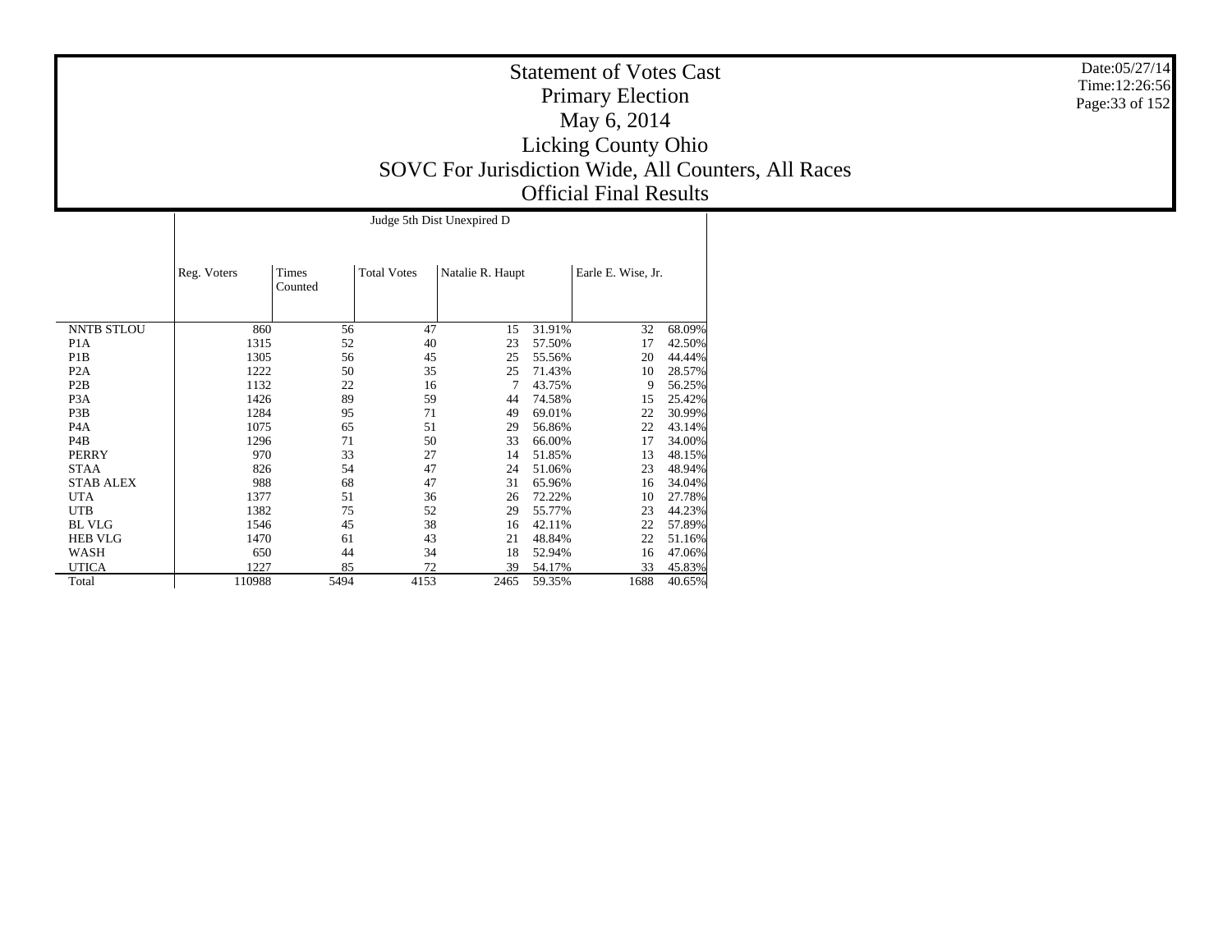NNTB STLOU P1A P1B P2A P2B P3A P3B P4A P4B PERRY STAA STAB ALEX UTA UTB BL VLG HEB VLG WASH UTICA Total Reg. Voters Times CountedTotal VotesNatalie R. Haupt | Earle E. Wise, Jr. Judge 5th Dist Unexpired D 860 56 47 15 31.91% $32 - 68.09\%$ 1315 52 40 23 57.50% 17 42.50% 1305 56 45 25 55.56% 20 44.44% 1222 50 35 25 71.43% 10 28.57% 1132 22 16 7 43.75% 9 56.25% 1426 89 59 44 74.58% 15 25.42% 1284 95 71 49 69.01% 22 30.99% 1075 65 51 29 56.86% 22 43.14% 1296 71 50 33 66.00% 17 34.00% 970 33 27 14 51.85% 13 48.15% 826 54 47 24 51.06% 23 48.94% 988 68 47 31 65.96% 16 34.04% 1377 51 36 26 72.22% 10 27.78% 1382 75 52 29 55.77% 23 44.23% 1546 45 38 16 42.11%22 57.89%<br>22 51.16% 1470 61 43 21 48.84%51.16% 650 44 34 18 52.94% 16 47.06% 1227 85 72 39 54.17% 33 45.83% 110988 5494 4153 2465 59.35%1688 40.65%

Date:05/27/14 Time:12:26:56 Page:33 of 152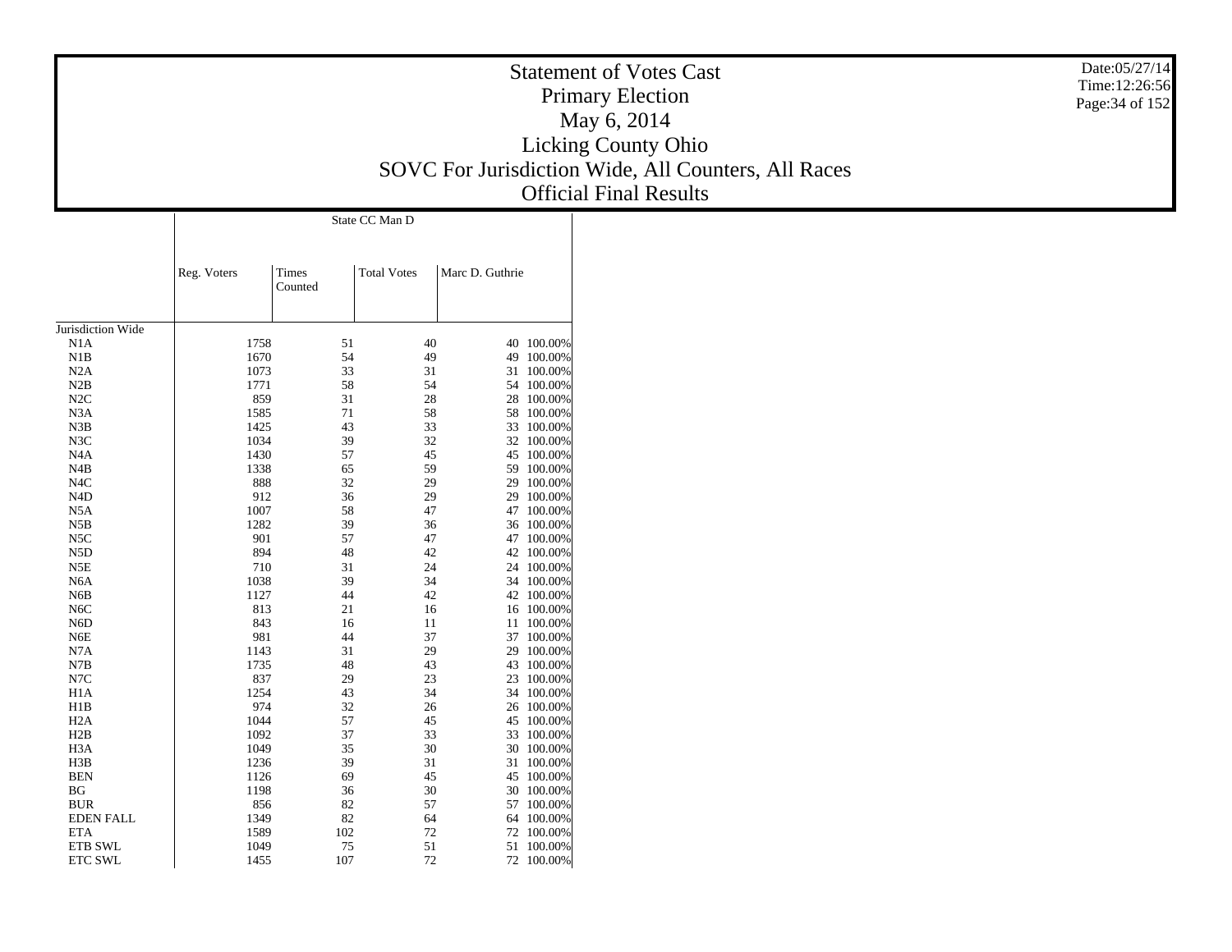|                                       |              |                  |                      |                 |                          | Date:05/27/14<br><b>Statement of Votes Cast</b>     |
|---------------------------------------|--------------|------------------|----------------------|-----------------|--------------------------|-----------------------------------------------------|
|                                       |              |                  |                      |                 |                          | Time: 12:26:56                                      |
|                                       |              |                  |                      |                 |                          | <b>Primary Election</b><br>Page: 34 of 152          |
|                                       |              |                  |                      |                 |                          | May 6, 2014                                         |
|                                       |              |                  |                      |                 |                          | <b>Licking County Ohio</b>                          |
|                                       |              |                  |                      |                 |                          |                                                     |
|                                       |              |                  |                      |                 |                          | SOVC For Jurisdiction Wide, All Counters, All Races |
|                                       |              |                  |                      |                 |                          | <b>Official Final Results</b>                       |
|                                       |              |                  | State CC Man D       |                 |                          |                                                     |
|                                       |              |                  |                      |                 |                          |                                                     |
|                                       | Reg. Voters  | Times<br>Counted | <b>Total Votes</b>   | Marc D. Guthrie |                          |                                                     |
|                                       |              |                  |                      |                 |                          |                                                     |
| Jurisdiction Wide                     |              |                  |                      |                 |                          |                                                     |
| N1A                                   | 1758         |                  | 51<br>40             |                 | 40 100.00%               |                                                     |
| N1B                                   | 1670         |                  | 54<br>49             |                 | 49 100.00%               |                                                     |
| N2A                                   | 1073<br>1771 |                  | 33<br>31             |                 | 31 100.00%<br>54 100.00% |                                                     |
| N2B<br>N2C                            | 859          |                  | 58<br>54<br>28<br>31 |                 | 28 100.00%               |                                                     |
| N3A                                   | 1585         |                  | 71<br>58             |                 | 58 100.00%               |                                                     |
| N3B                                   | 1425         |                  | 43<br>33             |                 | 33 100.00%               |                                                     |
| N3C                                   | 1034         |                  | $32\,$<br>39         |                 | 32 100.00%               |                                                     |
| N <sub>4</sub> A                      | 1430         |                  | 57<br>45             |                 | 45 100.00%               |                                                     |
| N4B                                   | 1338         |                  | 65<br>59             |                 | 59 100.00%               |                                                     |
| N4C<br>N <sub>4</sub> D               | 888<br>912   |                  | 32<br>29<br>36<br>29 |                 | 29 100.00%<br>29 100.00% |                                                     |
| N5A                                   | 1007         |                  | 58<br>47             |                 | 47 100.00%               |                                                     |
| N5B                                   | 1282         |                  | 39<br>36             |                 | 36 100.00%               |                                                     |
| N5C                                   | 901          |                  | 57<br>47             |                 | 47 100.00%               |                                                     |
| N <sub>5</sub> D                      | 894          |                  | 48<br>42             |                 | 42 100.00%               |                                                     |
| N5E                                   | 710          |                  | 31<br>24             |                 | 24 100.00%               |                                                     |
| N <sub>6</sub> A<br>N <sub>6</sub> B  | 1038<br>1127 |                  | 39<br>34<br>44<br>42 |                 | 34 100.00%<br>42 100.00% |                                                     |
| N <sub>6</sub> C                      | 813          |                  | 21                   | 16              | 16 100.00%               |                                                     |
| N <sub>6</sub> D                      | 843          |                  | 16<br>11             |                 | 11 100.00%               |                                                     |
| N6E                                   | 981          |                  | 37<br>44             |                 | 37 100.00%               |                                                     |
| N7A                                   | 1143         |                  | 31<br>29             |                 | 29 100.00%               |                                                     |
| N7B                                   | 1735         |                  | 48<br>43             |                 | 43 100.00%               |                                                     |
| $_{\mathrm{N7C}}$<br>H <sub>1</sub> A | 837<br>1254  |                  | 29<br>23<br>43<br>34 |                 | 23 100.00%<br>34 100.00% |                                                     |
| H1B                                   | 974          |                  | 32<br>26             |                 | 26 100.00%               |                                                     |
| H <sub>2</sub> A                      | 1044         |                  | 57<br>45             |                 | 45 100.00%               |                                                     |
| H2B                                   | 1092         |                  | 37<br>33             |                 | 33 100.00%               |                                                     |
| H3A                                   | 1049         |                  | 35<br>30             |                 | 30 100.00%               |                                                     |
| H3B                                   | 1236         |                  | 39<br>31             |                 | 31 100.00%               |                                                     |
| <b>BEN</b><br>BG                      | 1126<br>1198 |                  | 69<br>45<br>36<br>30 |                 | 45 100.00%<br>30 100.00% |                                                     |
| <b>BUR</b>                            |              | 856              | 82<br>57             |                 | 57 100.00%               |                                                     |
| <b>EDEN FALL</b>                      | 1349         |                  | $82\,$<br>64         |                 | 64 100.00%               |                                                     |
| <b>ETA</b>                            | 1589         | 102              | 72                   |                 | 72 100.00%               |                                                     |
| ${\rm ETB}$ SWL                       | 1049         |                  | 75<br>51             |                 | 51 100.00%               |                                                     |
| <b>ETC SWL</b>                        | 1455         | 107              | $72\,$               |                 | 72 100.00%               |                                                     |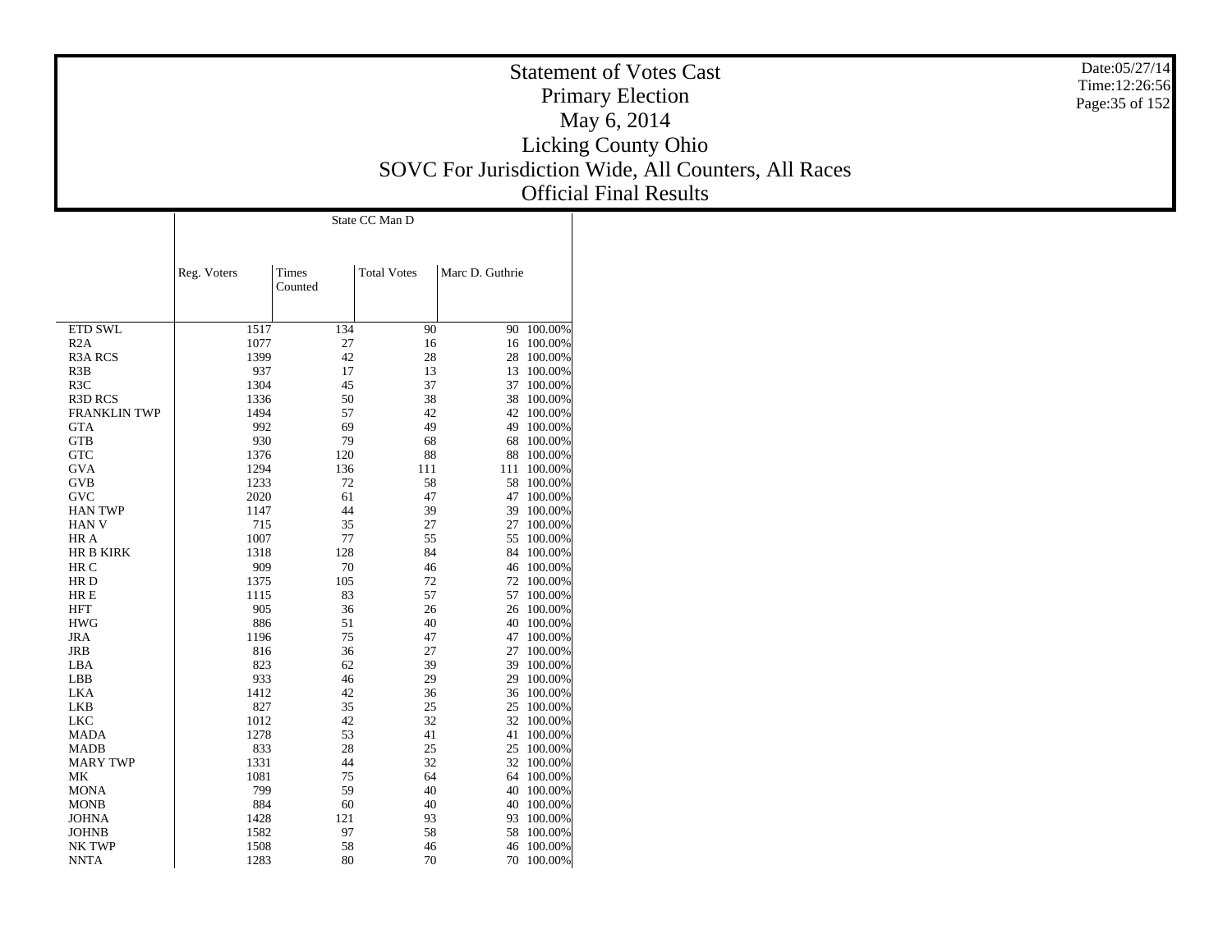| <b>Statement of Votes Cast</b>                      |
|-----------------------------------------------------|
| <b>Primary Election</b>                             |
| May 6, 2014                                         |
| <b>Licking County Ohio</b>                          |
| SOVC For Jurisdiction Wide, All Counters, All Races |
| <b>Official Final Results</b>                       |

Date:05/27/14 Time:12:26:56 Page:35 of 152

|                             |             |                         | State CC Man D     |                 |                       |
|-----------------------------|-------------|-------------------------|--------------------|-----------------|-----------------------|
|                             | Reg. Voters | <b>Times</b><br>Counted | <b>Total Votes</b> | Marc D. Guthrie |                       |
| <b>ETD SWL</b>              | 1517        | 134                     | 90                 | 90              | 100.00%               |
| R2A                         | 1077        | 27                      | 16                 | 16              | 100.00%               |
| <b>R3A RCS</b>              | 1399        | 42                      | 28                 |                 | 28 100.00%            |
| R3B                         | 937         | 17                      | 13                 | 13              | 100.00%               |
| R <sub>3</sub> C            | 1304        | 45                      | 37                 | 37              | 100.00%               |
| <b>R3D RCS</b>              | 1336        | 50                      | 38                 | 38              | 100.00%               |
| <b>FRANKLIN TWP</b>         | 1494        | 57                      | 42                 |                 | 42 100.00%            |
| <b>GTA</b>                  | 992         | 69                      | 49                 | 49              | 100.00%               |
| <b>GTB</b>                  | 930         | 79                      | 68                 | 68              | 100.00%               |
| <b>GTC</b>                  | 1376        | 120                     | 88                 |                 | 88 100.00%            |
| <b>GVA</b>                  | 1294        | 136                     | 111                | 111             | 100.00%               |
| <b>GVB</b>                  | 1233        | 72                      | 58                 | 58              | 100.00%               |
| GVC                         | 2020        | 61                      | 47                 |                 | 47 100.00%            |
| <b>HAN TWP</b>              | 1147        | 44                      | 39                 |                 | 39 100.00%            |
| <b>HAN V</b>                | 715         | 35                      | 27                 | 27              | 100.00%               |
| HR A                        | 1007        | 77                      | 55                 |                 | 55 100.00%            |
| <b>HR B KIRK</b>            | 1318        | 128                     | 84                 | 84              | 100.00%               |
| HR C                        | 909         | 70                      | 46                 | 46              | 100.00%               |
| HR D                        | 1375        | 105                     | 72                 | 72              | 100.00%               |
| HR E                        | 1115        | 83                      | 57                 | 57              | 100.00%               |
| <b>HFT</b>                  | 905         | 36                      | 26                 |                 | 26 100.00%            |
| <b>HWG</b>                  | 886         | 51                      | 40                 | 40              | 100.00%               |
| <b>JRA</b>                  | 1196        | 75                      | 47                 |                 | 47 100.00%            |
| <b>JRB</b>                  | 816         | 36                      | 27                 | 27              | 100.00%               |
| LBA                         | 823         | 62                      | 39                 | 39              | 100.00%               |
| LBB                         | 933         | 46                      | 29                 |                 | 29 100.00%            |
| <b>LKA</b>                  | 1412        | 42                      | 36                 | 36              | 100.00%               |
| <b>LKB</b>                  | 827         | 35                      | 25                 |                 | 25 100.00%            |
| <b>LKC</b>                  | 1012        | 42                      | 32                 | 32              | 100.00%               |
| <b>MADA</b>                 | 1278        | 53                      | 41                 | 41              | 100.00%               |
| <b>MADB</b>                 | 833         | 28                      | 25                 |                 | 25 100.00%            |
| <b>MARY TWP</b>             | 1331        | 44                      | 32                 |                 | 32 100.00%            |
| MK                          | 1081        | 75                      | 64                 |                 | 64 100.00%            |
| <b>MONA</b>                 | 799<br>884  | 59<br>60                | 40                 | 40<br>40        | 100.00%               |
| <b>MONB</b><br><b>JOHNA</b> | 1428        | 121                     | 40<br>93           |                 | 100.00%<br>93 100.00% |
| <b>JOHNB</b>                | 1582        | 97                      | 58                 | 58              | 100.00%               |
| <b>NK TWP</b>               | 1508        | 58                      | 46                 | 46              | 100.00%               |
| <b>NNTA</b>                 | 1283        | 80                      | 70                 | 70              | 100.00%               |
|                             |             |                         |                    |                 |                       |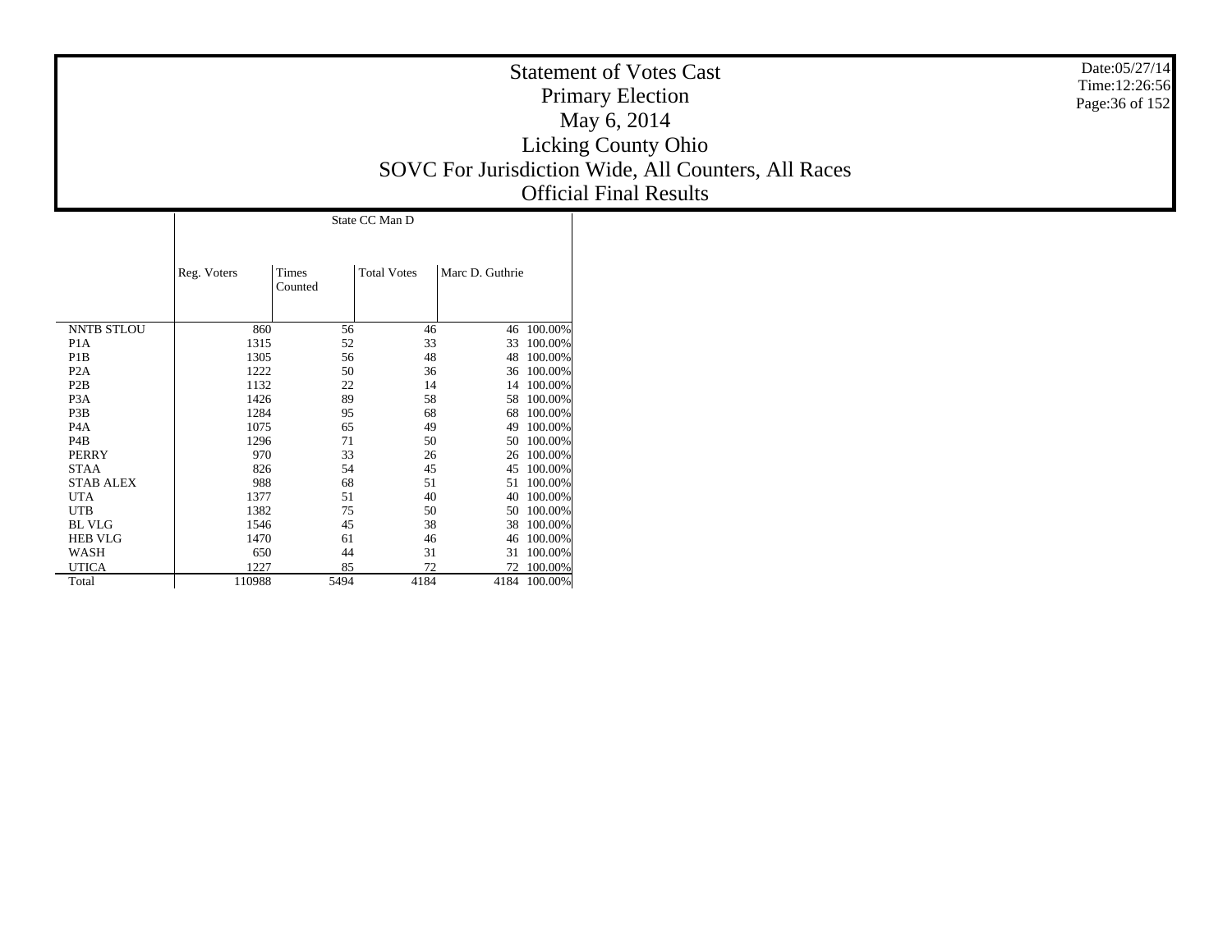|                   | State CC Man D |                  |                    |                 |            |
|-------------------|----------------|------------------|--------------------|-----------------|------------|
|                   | Reg. Voters    | Times<br>Counted | <b>Total Votes</b> | Marc D. Guthrie |            |
| <b>NNTB STLOU</b> | 860            | 56               | 46                 |                 | 46 100.00% |
| P <sub>1</sub> A  | 1315           | 52               | 33                 | 33              | 100.00%    |
| P <sub>1</sub> B  | 1305           | 56               | 48                 | 48              | 100.00%    |
| P <sub>2</sub> A  | 1222           | 50               | 36                 | 36              | 100.00%    |
| P <sub>2</sub> B  | 1132           | 22               | 14                 | 14              | 100.00%    |
| P <sub>3</sub> A  | 1426           | 89               | 58                 | 58              | 100.00%    |
| P3B               | 1284           | 95               | 68                 | 68              | 100.00%    |
| P <sub>4</sub> A  | 1075           | 65               | 49                 | 49              | 100.00%    |
| P4B               | 1296           | 71               | 50                 | 50              | 100.00%    |
| <b>PERRY</b>      | 970            | 33               | 26                 | 26              | 100.00%    |
| <b>STAA</b>       | 826            | 54               | 45                 | 45              | 100.00%    |
| <b>STAB ALEX</b>  | 988            | 68               | 51                 | 51              | 100.00%    |
| UTA               | 1377           | 51               | 40                 | 40              | 100.00%    |
| UTB               | 1382           | 75               | 50                 | 50              | 100.00%    |
| <b>BL VLG</b>     | 1546           | 45               | 38                 | 38              | 100.00%    |
| <b>HEB VLG</b>    | 1470           | 61               | 46                 | 46              | 100.00%    |
| WASH              | 650            | 44               | 31                 | 31              | 100.00%    |
| <b>UTICA</b>      | 1227           | 85               | 72                 | 72              | 100.00%    |
| Total             | 110988         | 5494             | 4184               | 4184            | 100.00%    |

Date:05/27/14 Time:12:26:56Page:36 of 152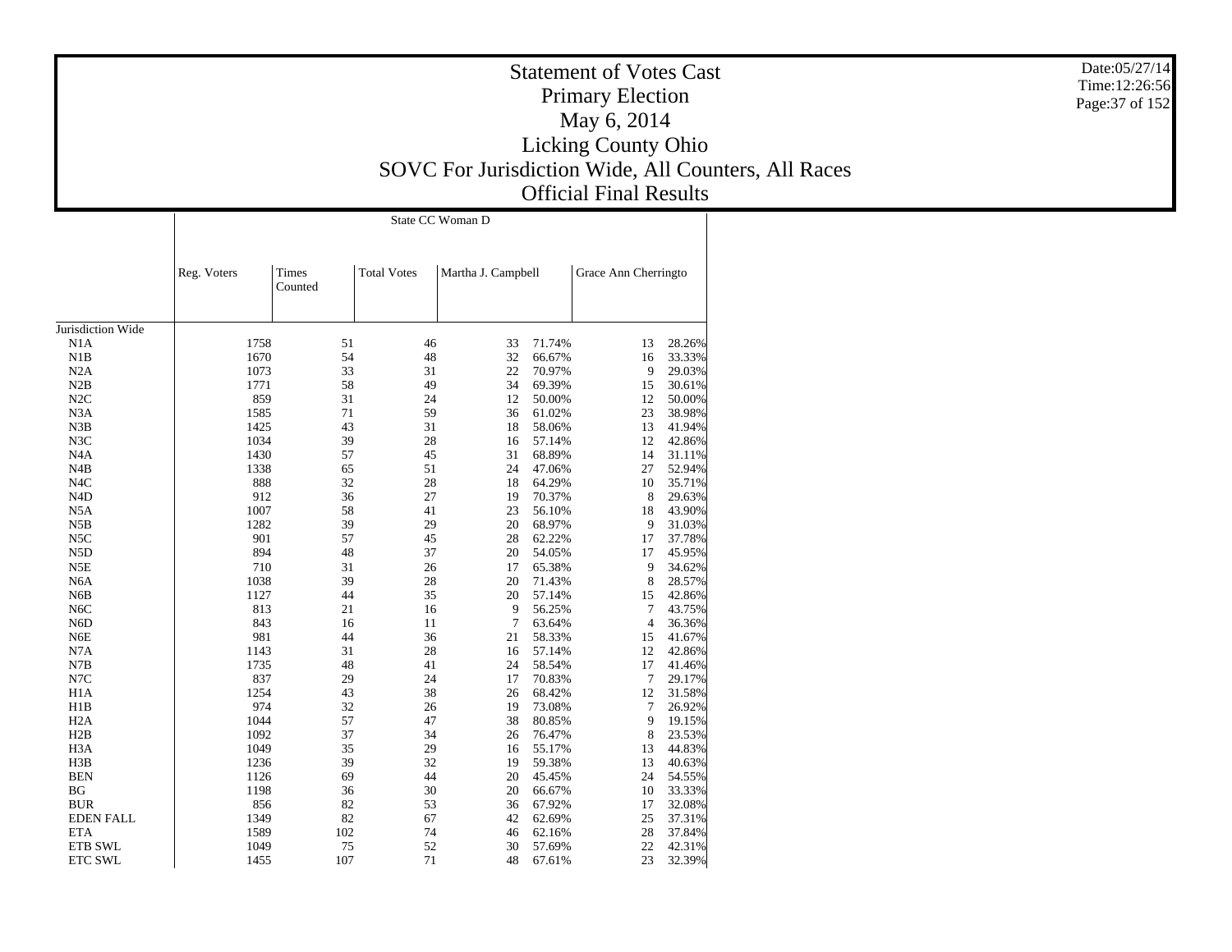Jurisdiction Wide N1A N1B N2A N2B N2C N3A N3B N3C N4A N4B N4C N4D N5A N5B N5C N5D N5E N6A N6B N6C N6D N6E N7A N7B N7C H1A H1B H2A H2B H3A H3B BEN BG BUR EDEN FALL ETA ETB SWL ETC SWL Reg. Voters Times CountedTotal VotesMartha J. Campbell Grace Ann Cherringto State CC Woman D1758 51 46 33 71.74% 13 28.26% 1670 54 48 32 66.67% 16 33.33% 1073 33 31 22 70.97% 9 29.03% 1771 58 49 34 69.39% 15 30.61% 859 31 24 12 50.00% 12 50.00% 1585 71 59 36 61.02% 23 38.98% 1425 43 31 18 58.06% 13 41.94% 1034 39 28 16 57.14% 12 42.86% 1430 57 45 31 68.89% 14 31.11% 1338 65 51 24 47.06% 27 52.94% 888 32 28 18 64.29% 10 35.71% 912 36 27 19 70.37% 8 29.63% 1007 58 41 23 56.10% 18 43.90% 1282 39 29 20 68.97% 9 31.03% 901 57 45 28 62.22% 17 37.78% 894 48 37 20 54.05% 17 45.95% 710 31 26 17 65.38% 9 34.62% 1038 39 28 20 71.43% 8 28.57% 1127 44 35 20 57.14% 15 42.86% 813 21 16 9 56.25% 7 43.75% 843 16 11 7 63.64% 4 36.36% 981 44 36 21 58.33% 15 41.67% 1143 31 28 16 57.14% 12 42.86% 1735 48 41 24 58.54% 17 41.46% 837 29 24 17 70.83% 7 29.17% 1254 43 38 26 68.42% 12 31.58% 974 32 26 19 73.08% 7 26.92% 1044 57 47 38 80.85% 9 19.15% 1092 37 34 26 76.47% 8 23.53% 1049 35 29 16 55.17% 13 44.83% 1236 39 32 19 59.38% 13 40.63% 1126 69 44 20 45.45% 24 54.55% 1198 36 30 20 66.67% 10 33.33% 856 82 53 36 67.92% 17 32.08% 1349 82 67 42 62.69% 25 37.31% 1589 102 74 46 62.16% 28 37.84% 1049 75 52 30 57.69% 22 42.31% 1455 107 71 48 67.61%23 32.39%

Date:05/27/14Time:12:26:56Page:37 of 152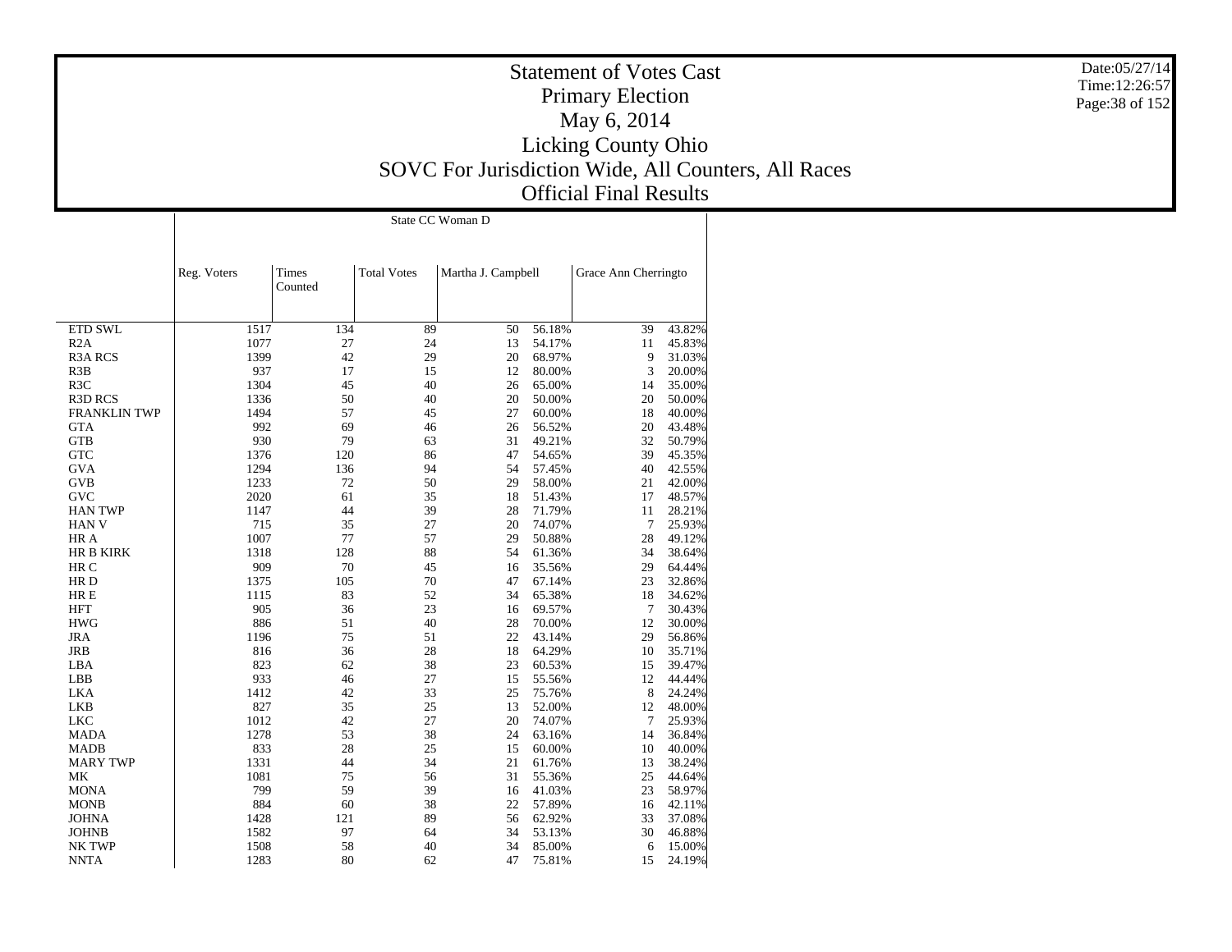ETD SWL R2A R3A RCS R3B R3C R3D RCS FRANKLIN TWP GTA GTB GTC GVA GVB GVC HAN TWP HAN V HR A HR B KIRK HR C HR D HR E HFT HWG JRA JRB LBA LBB LKA LKB LKC MADA MADB MARY TWP MK MONA MONB JOHNA JOHNB NK TWP NNTAReg. Voters Times CountedTotal VotesMartha J. Campbell Grace Ann Cherringto  $1517$ 134 89 50 56.18% 39 43.82% 1077 27 24 13 54.17% 11 45.83% 1399 42 29 20 68.97% 9 31.03% 937 17 15 12 80.00% 3 20.00% 1304 45 40 26 65.00% 14 35.00% 1336 50 40 20 50.00% 20 50.00% 1494 57 45 27 60.00% 18 40.00% 992 69 46 26 56.52% 20 43.48% 930 79 63 31 49.21% 32 50.79% 1376 120 86 47 54.65% 39 45.35% 1294 136 94 54 57.45% 40 42.55% 1233 72 50 29 58.00% 21 42.00% 2020 61 35 18 51.43% 17 48.57% 1147 44 39 28 71.79% 11 28.21% 715 35 27 20 74.07% 7 25.93% 1007 77 57 29 50.88% 28 49.12% 1318 128 88 54 61.36% 34 38.64% 909 70 45 16 35.56% 29 64.44% 1375 105 70 47 67.14% 23 32.86% 1115 83 52 34 65.38% 18 34.62% 905 36 23 16 69.57% 7 30.43% 886 51 40 28 70.00% 12 30.00% 1196 75 51 22 43.14% 29 56.86% 816 36 28 18 64.29% 10 35.71% 823 62 38 23 60.53% 15 39.47% 933 46 27 15 55.56% 12 44.44% 1412 42 33 25 75.76% 8 24.24% 827 35 25 13 52.00% 12 48.00% 1012 42 27 20 74.07% 7 25.93% 1278 53 38 24 63.16% 14 36.84% 833 28 25 15 60.00% 10 40.00% 1331 44 34 21 61.76% 13 38.24% 1081 75 56 31 55.36% 25 44.64% 799 59 39 16 41.03% 23 58.97% 884 60 38 22 57.89% 16 42.11% 1428 121 89 56 62.92% 33 37.08% 1582 97 64 34 53.13% 30 46.88% 1508 58 40 34 85.00% 6 15.00% 1283 80 62 47 75.81%15 24.19%

State CC Woman D

Date:05/27/14Time:12:26:57Page:38 of 152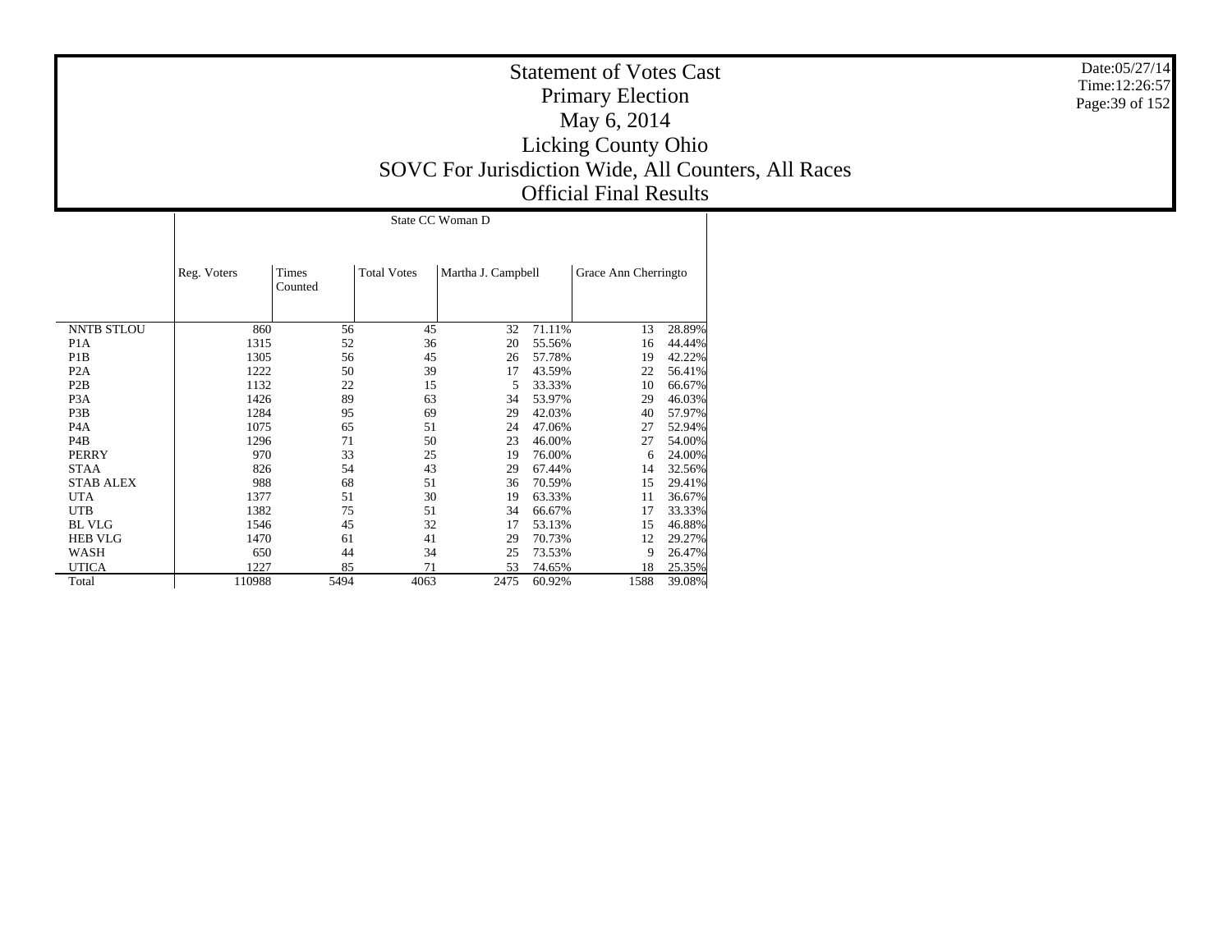NNTB STLOU P1A P1B P2A P2B P3A P3B P4A P4B PERRY STAA STAB ALEX UTA UTB BL VLG HEB VLG WASH UTICA Total Reg. Voters Times CountedTotal VotesMartha J. Campbell Grace Ann Cherringto State CC Woman D860 56 45 32 71.11% 13 28.89% 1315 52 36 20 55.56% 16 44.44% 1305 56 45 26 57.78% 19 42.22% 1222 50 39 17 43.59% 22 56.41% 1132 22 15 5 33.33% 10 66.67% 1426 89 63 34 53.97% 29 46.03% 1284 95 69 29 42.03% 40 57.97% 1075 65 51 24 47.06% 27 52.94% 1296 71 50 23 46.00% 27 54.00% 970 33 25 19 76.00% 6 24.00% 826 54 43 29 67.44% 14 32.56% 988 68 51 36 70.59% 15 29.41% 1377 51 30 19 63.33% 11 36.67% 1382 75 51 34 66.67% 17 33.33% 1546 45 32 17 53.13% 15 46.88% 1470 61 41 29 70.73% 12 29.27% 650 44 34 25 73.53% 9 26.47% 1227 85 71 53 74.65% 18 25.35% 110988 5494 4063 2475 60.92%1588 39.08%

Date:05/27/14 Time:12:26:57Page:39 of 152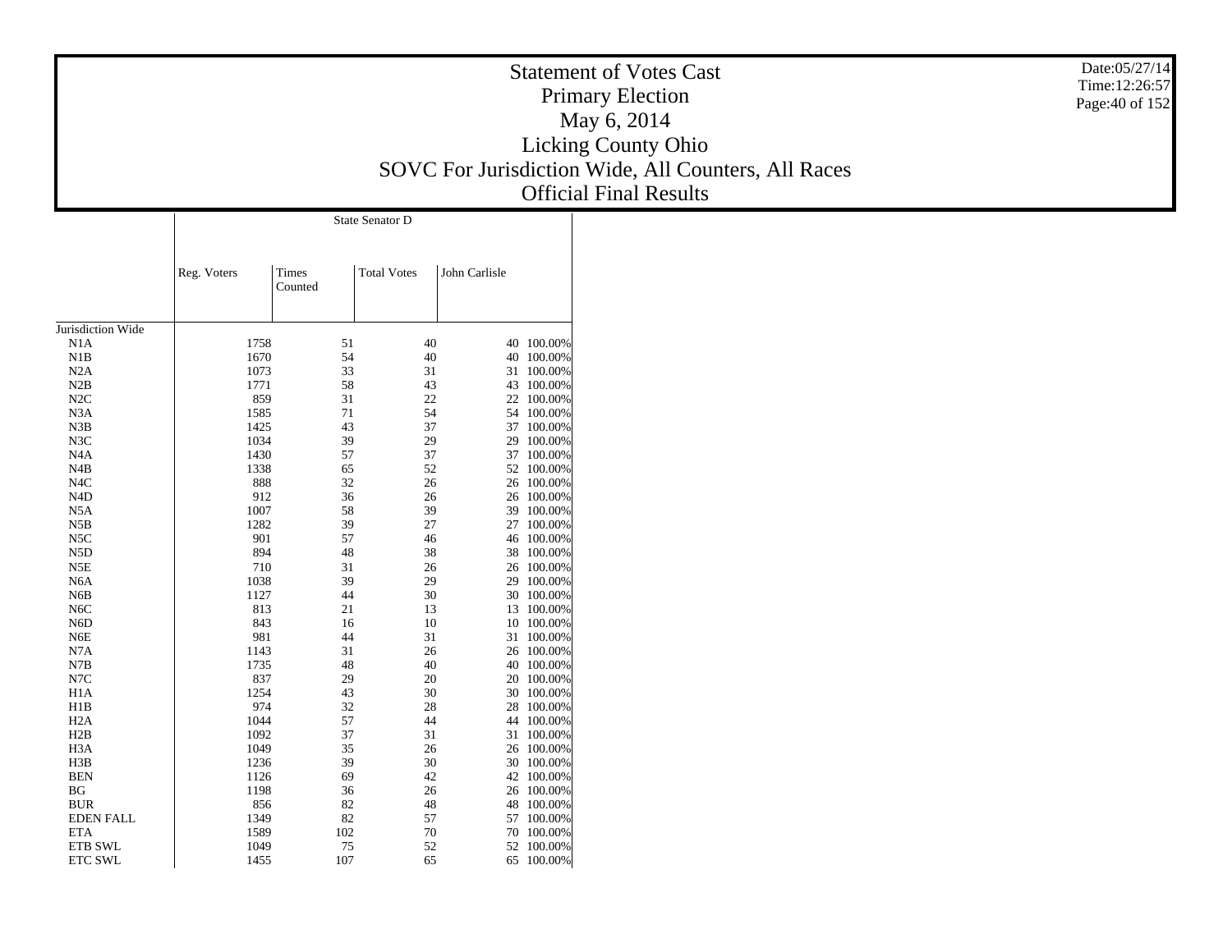| <b>Statement of Votes Cast</b>                      |
|-----------------------------------------------------|
| <b>Primary Election</b>                             |
| May 6, 2014                                         |
| <b>Licking County Ohio</b>                          |
| SOVC For Jurisdiction Wide, All Counters, All Races |
| <b>Official Final Results</b>                       |

|                   |             |         |                        |               | <i>r</i> 1101u |
|-------------------|-------------|---------|------------------------|---------------|----------------|
|                   |             |         | <b>State Senator D</b> |               |                |
|                   | Reg. Voters | Times   | <b>Total Votes</b>     | John Carlisle |                |
|                   |             | Counted |                        |               |                |
| Jurisdiction Wide |             |         |                        |               |                |
| N1A               | 1758        | 51      | 40                     | 40            | 100.00%        |
| N1B               | 1670        | 54      | 40                     | 40            | 100.00%        |
| N2A               | 1073        | 33      | 31                     | 31            | 100.00%        |
| N2B               | 1771        | 58      | 43                     | 43            | 100.00%        |
| N2C               | 859         | 31      | 22                     | 22            | 100.00%        |
| N <sub>3</sub> A  | 1585        | 71      | 54                     | 54            | 100.00%        |
| N3B               | 1425        | 43      | 37                     | 37            | 100.00%        |
| N3C               | 1034        | 39      | 29                     | 29            | 100.00%        |
| N4A               | 1430        | 57      | 37                     | 37            | 100.00%        |
| N4B               | 1338        | 65      | 52                     | 52            | 100.00%        |
| N4C               | 888         | 32      | 26                     | 26            | 100.00%        |
| N4D               | 912         | 36      | 26                     | 26            | 100.00%        |
| N5A               | 1007        | 58      | 39                     | 39            | 100.00%        |
| N5B               | 1282        | 39      | 27                     | 27            | 100.00%        |
| N5C               | 901         | 57      | 46                     | 46            | 100.00%        |
| N <sub>5</sub> D  | 894         | 48      | 38                     | 38            | 100.00%        |
|                   |             |         |                        |               |                |
| N5E               | 710         | 31      | 26                     | 26            | 100.00%        |
| N <sub>6</sub> A  | 1038        | 39      | 29                     | 29            | 100.00%        |
| N <sub>6</sub> B  | 1127        | 44      | 30                     | 30            | 100.00%        |
| N <sub>6</sub> C  | 813         | 21      | 13                     | 13            | 100.00%        |
| N <sub>6</sub> D  | 843         | 16      | 10                     | 10            | 100.00%        |
| N <sub>6</sub> E  | 981         | 44      | 31                     | 31            | 100.00%        |
| N7A               | 1143        | 31      | 26                     |               | 26 100.00%     |
| N7B               | 1735        | 48      | 40                     |               | 40 100.00%     |
| N7C               | 837         | 29      | 20                     | 20            | 100.00%        |
| H <sub>1</sub> A  | 1254        | 43      | 30                     |               | 30 100.00%     |
| H1B               | 974         | 32      | 28                     | 28            | 100.00%        |
| H2A               | 1044        | 57      | 44                     | 44            | 100.00%        |
| H2B               | 1092        | 37      | 31                     | 31            | 100.00%        |
| H <sub>3</sub> A  | 1049        | 35      | 26                     | 26            | 100.00%        |
| H3B               | 1236        | 39      | 30                     | 30            | 100.00%        |
| <b>BEN</b>        | 1126        | 69      | 42                     | 42            | 100.00%        |
| BG                | 1198        | 36      | 26                     | 26            | 100.00%        |
| <b>BUR</b>        | 856         | 82      | 48                     | 48            | 100.00%        |
| <b>EDEN FALL</b>  | 1349        | 82      | 57                     | 57            | 100.00%        |
| <b>ETA</b>        | 1589        | 102     | 70                     | 70            | 100.00%        |
| ETB SWL           | 1049        | 75      | 52                     | 52            | 100.00%        |
| <b>ETC SWL</b>    | 1455        | 107     | 65                     | 65            | 100.00%        |

Date:05/27/14 Time:12:26:57 Page:40 of 152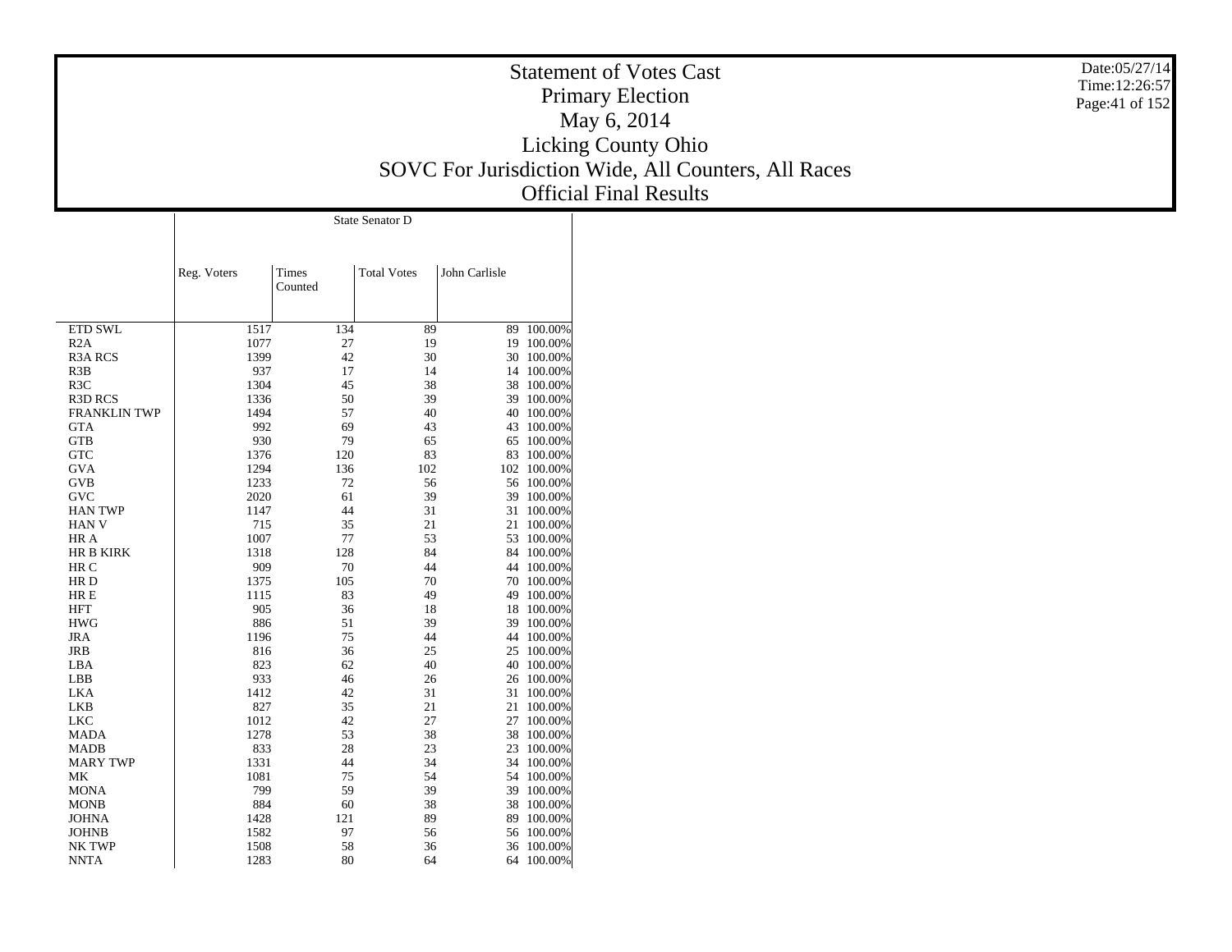|                        | State Senator D |           |                    |               |                    |  |  |  |
|------------------------|-----------------|-----------|--------------------|---------------|--------------------|--|--|--|
|                        |                 |           |                    |               |                    |  |  |  |
|                        |                 |           |                    |               |                    |  |  |  |
|                        | Reg. Voters     | Times     | <b>Total Votes</b> | John Carlisle |                    |  |  |  |
|                        |                 | Counted   |                    |               |                    |  |  |  |
|                        |                 |           |                    |               |                    |  |  |  |
| <b>ETD SWL</b>         |                 | 134       | 89                 |               |                    |  |  |  |
| R2A                    | 1517<br>1077    | 27        | 19                 | 89<br>19      | 100.00%<br>100.00% |  |  |  |
| R3A RCS                | 1399            | 42        | 30                 | 30            | 100.00%            |  |  |  |
| R3B                    | 937             | 17        | 14                 | 14            | 100.00%            |  |  |  |
| R3C                    | 1304            | 45        | 38                 | 38            | 100.00%            |  |  |  |
| <b>R3D RCS</b>         | 1336            | 50        | 39                 | 39            | 100.00%            |  |  |  |
| <b>FRANKLIN TWP</b>    | 1494            | 57        | 40                 | 40            | 100.00%            |  |  |  |
| <b>GTA</b>             | 992             | 69        | 43                 | 43            | 100.00%            |  |  |  |
| <b>GTB</b>             | 930             | 79        | 65                 | 65            | 100.00%            |  |  |  |
| GTC                    | 1376            | 120       | 83                 | 83            | 100.00%            |  |  |  |
| GVA                    | 1294            | 136       | 102                | 102           | 100.00%            |  |  |  |
| GVB                    | 1233            | 72        | 56                 | 56            | 100.00%            |  |  |  |
| GVC                    | 2020            | 61        | 39                 | 39            | 100.00%            |  |  |  |
| <b>HAN TWP</b>         | 1147            | 44        | 31                 | 31            | 100.00%            |  |  |  |
| <b>HAN V</b>           | 715             | 35        | 21                 | 21            | 100.00%            |  |  |  |
| HR A                   | 1007            | 77        | 53                 | 53            | 100.00%            |  |  |  |
| <b>HR B KIRK</b>       | 1318            | 128       | 84                 | 84            | 100.00%            |  |  |  |
| HR C                   | 909             | 70        | 44                 | 44            | 100.00%            |  |  |  |
| HR D                   | 1375            | 105       | 70                 | 70            | 100.00%            |  |  |  |
| HR E                   | 1115            | 83        | 49                 | 49            | 100.00%            |  |  |  |
| <b>HFT</b>             | 905             | 36        | 18                 | 18            | 100.00%            |  |  |  |
| <b>HWG</b>             | 886             | 51        | 39                 | 39            | 100.00%            |  |  |  |
| JRA                    | 1196            | 75        | 44                 | 44            | 100.00%            |  |  |  |
| JRB                    | 816             | 36        | 25                 | 25            | 100.00%            |  |  |  |
| LBA                    | 823             | 62        | 40                 | 40            | 100.00%            |  |  |  |
| LBB                    | 933             | 46        | 26                 | 26            | 100.00%            |  |  |  |
| <b>LKA</b>             | 1412            | 42        | 31                 | 31            | 100.00%            |  |  |  |
| LKB                    | 827             | 35        | 21                 | 21            | 100.00%            |  |  |  |
| <b>LKC</b>             | 1012            | 42        | 27                 | 27            | 100.00%            |  |  |  |
| MADA                   | 1278            | 53        | 38                 | 38            | 100.00%            |  |  |  |
| MADB                   | 833             | 28        | 23                 | 23            | 100.00%            |  |  |  |
| MARY TWP               | 1331            | 44        | 34                 | 34            | 100.00%            |  |  |  |
| MK                     | 1081            | 75        | 54                 | 54            | 100.00%            |  |  |  |
| <b>MONA</b>            | 799             | 59        | 39                 | 39            | 100.00%            |  |  |  |
| <b>MONB</b>            | 884             | 60        | 38                 | 38            | 100.00%            |  |  |  |
| JOHNA                  | 1428            | 121<br>97 | 89<br>56           | 89            | 100.00%            |  |  |  |
| <b>JOHNB</b><br>NK TWP | 1582<br>1508    | 58        | 36                 | 56            | 100.00%            |  |  |  |
|                        |                 |           |                    | 36            | 100.00%            |  |  |  |
| <b>NNTA</b>            | 1283            | 80        | 64                 | 64            | 100.00%            |  |  |  |

Date:05/27/14 Time:12:26:57Page:41 of 152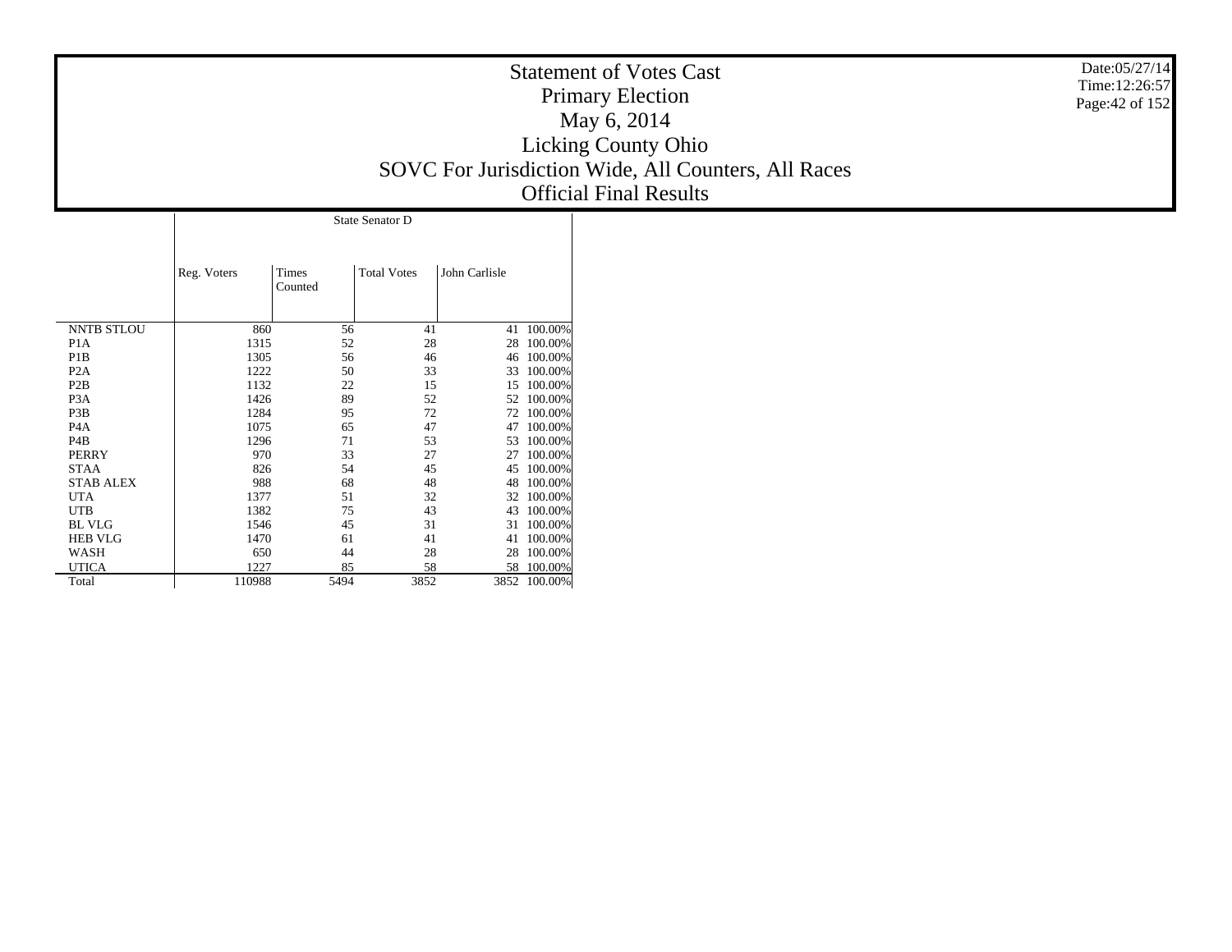|                   | <b>State Senator D</b> |                  |                    |               |         |  |  |
|-------------------|------------------------|------------------|--------------------|---------------|---------|--|--|
|                   | Reg. Voters            | Times<br>Counted | <b>Total Votes</b> | John Carlisle |         |  |  |
| <b>NNTB STLOU</b> | 860                    | 56               | 41                 | 41            | 100.00% |  |  |
| P <sub>1</sub> A  | 1315                   | 52               | 28                 | 28            | 100.00% |  |  |
| P <sub>1</sub> B  | 1305                   | 56               | 46                 | 46            | 100.00% |  |  |
| P <sub>2</sub> A  | 1222                   | 50               | 33                 | 33            | 100.00% |  |  |
| P <sub>2</sub> B  | 1132                   | 22               | 15                 | 15            | 100.00% |  |  |
| P <sub>3</sub> A  | 1426                   | 89               | 52                 | 52            | 100.00% |  |  |
| P3B               | 1284                   | 95               | 72                 | 72            | 100.00% |  |  |
| P <sub>4</sub> A  | 1075                   | 65               | 47                 | 47            | 100.00% |  |  |
| P4B               | 1296                   | 71               | 53                 | 53            | 100.00% |  |  |
| <b>PERRY</b>      | 970                    | 33               | 27                 | 27            | 100.00% |  |  |
| <b>STAA</b>       | 826                    | 54               | 45                 | 45            | 100.00% |  |  |
| <b>STAB ALEX</b>  | 988                    | 68               | 48                 | 48            | 100.00% |  |  |
| <b>UTA</b>        | 1377                   | 51               | 32                 | 32            | 100.00% |  |  |
| UTB               | 1382                   | 75               | 43                 | 43            | 100.00% |  |  |
| <b>BL VLG</b>     | 1546                   | 45               | 31                 | 31            | 100.00% |  |  |
| <b>HEB VLG</b>    | 1470                   | 61               | 41                 | 41            | 100.00% |  |  |
| WASH              | 650                    | 44               | 28                 | 28            | 100.00% |  |  |
| <b>UTICA</b>      | 1227                   | 85               | 58                 | 58            | 100.00% |  |  |
| Total             | 110988                 | 5494             | 3852               | 3852          | 100.00% |  |  |

Date:05/27/14 Time:12:26:57Page:42 of 152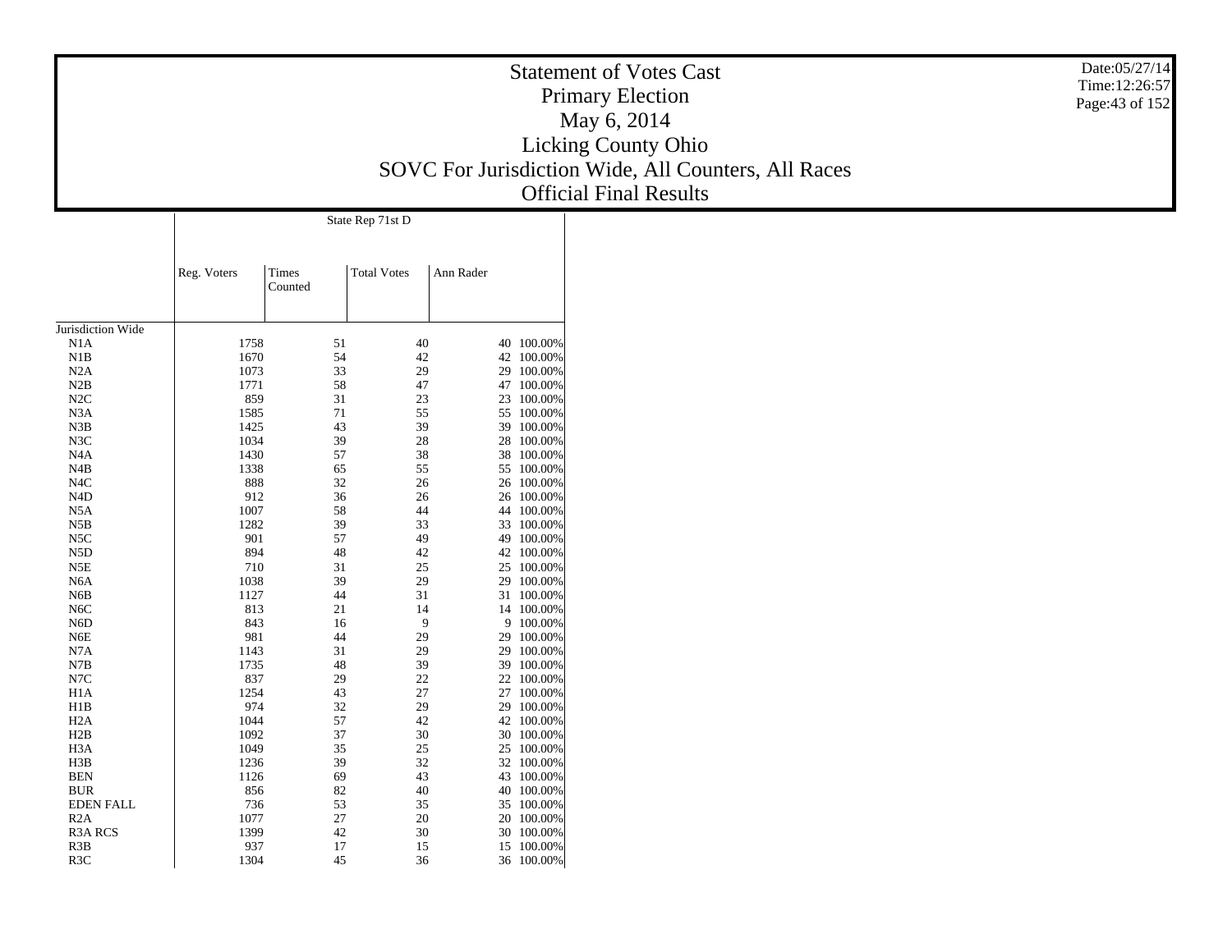| <b>Statement of Votes Cast</b>                      |
|-----------------------------------------------------|
| <b>Primary Election</b>                             |
| May 6, 2014                                         |
| <b>Licking County Ohio</b>                          |
| SOVC For Jurisdiction Wide, All Counters, All Races |
| <b>Official Final Results</b>                       |

|                         | State Rep 71st D |                  |                    |           |                    |  |
|-------------------------|------------------|------------------|--------------------|-----------|--------------------|--|
|                         | Reg. Voters      | Times<br>Counted | <b>Total Votes</b> | Ann Rader |                    |  |
| Jurisdiction Wide       |                  |                  |                    |           |                    |  |
| N1A                     | 1758             | 51               | 40                 |           | 40 100.00%         |  |
| N1B                     | 1670             | 54               | 42                 | 42        | 100.00%            |  |
| N2A                     | 1073             | 33               | 29                 | 29        | 100.00%            |  |
| N2B                     | 1771             | 58               | 47                 | 47        | 100.00%            |  |
| N2C                     | 859              | 31               | 23                 | 23        | 100.00%            |  |
| N3A                     | 1585             | 71               | 55                 | 55        | 100.00%            |  |
| N3B                     | 1425             | 43               | 39                 |           | 39 100.00%         |  |
| N3C                     | 1034             | 39               | 28                 | 28        | 100.00%            |  |
| N4A                     | 1430             | 57               | 38                 | 38        | 100.00%            |  |
| N4B                     | 1338             | 65               | 55                 | 55        | 100.00%            |  |
| N <sub>4</sub> C        | 888              | 32               | 26                 | 26        | 100.00%            |  |
| N <sub>4</sub> D        | 912              | 36               | 26                 |           | 26 100.00%         |  |
| N <sub>5</sub> A        | 1007             | 58               | 44                 |           | 44 100.00%         |  |
| N5B                     | 1282             | 39               | 33                 | 33        | 100.00%            |  |
| N <sub>5</sub> C        | 901              | 57               | 49                 |           | 49 100.00%         |  |
| N <sub>5</sub> D        | 894              | 48               | 42                 | 42        | 100.00%            |  |
| N <sub>5</sub> E        | 710              | 31               | 25                 | 25        | 100.00%            |  |
| N <sub>6</sub> A        | 1038             | 39               | 29                 |           | 29 100.00%         |  |
| N <sub>6</sub> B        | 1127             | 44               | 31                 | 31        | 100.00%            |  |
| N <sub>6</sub> C        | 813              | 21               | 14                 | 14        | 100.00%            |  |
| N <sub>6</sub> D        | 843              | 16               | 9                  |           | 9 100.00%          |  |
| N <sub>6</sub> E        | 981              | 44               | 29                 | 29        | 100.00%            |  |
| N7A                     | 1143             | 31               | 29                 |           | 29 100.00%         |  |
| N7B                     | 1735             | 48               | 39                 | 39        | 100.00%            |  |
| N7C                     | 837              | 29               | 22                 | 22        | 100.00%            |  |
| H1A                     | 1254             | 43               | 27                 | 27        | 100.00%            |  |
| H1B                     | 974              | 32               | 29                 | 29        | 100.00%            |  |
| H2A                     | 1044             | 57               | 42                 | 42        | 100.00%            |  |
| H2B<br>H <sub>3</sub> A | 1092<br>1049     | 37<br>35         | 30<br>25           | 30        | 100.00%            |  |
| H3B                     | 1236             | 39               | 32                 | 25<br>32  | 100.00%<br>100.00% |  |
| <b>BEN</b>              | 1126             | 69               | 43                 |           | 43 100.00%         |  |
| <b>BUR</b>              | 856              | 82               | 40                 |           | 40 100.00%         |  |
| <b>EDEN FALL</b>        | 736              | 53               | 35                 | 35        | 100.00%            |  |
| R2A                     | 1077             | 27               | 20                 | 20        | 100.00%            |  |
| <b>R3A RCS</b>          | 1399             | 42               | 30                 | 30        | 100.00%            |  |
| R3B                     | 937              | 17               | 15                 | 15        | 100.00%            |  |
| R <sub>3</sub> C        | 1304             | 45               | 36                 | 36        | 100.00%            |  |

Date:05/27/14 Time:12:26:57 Page:43 of 152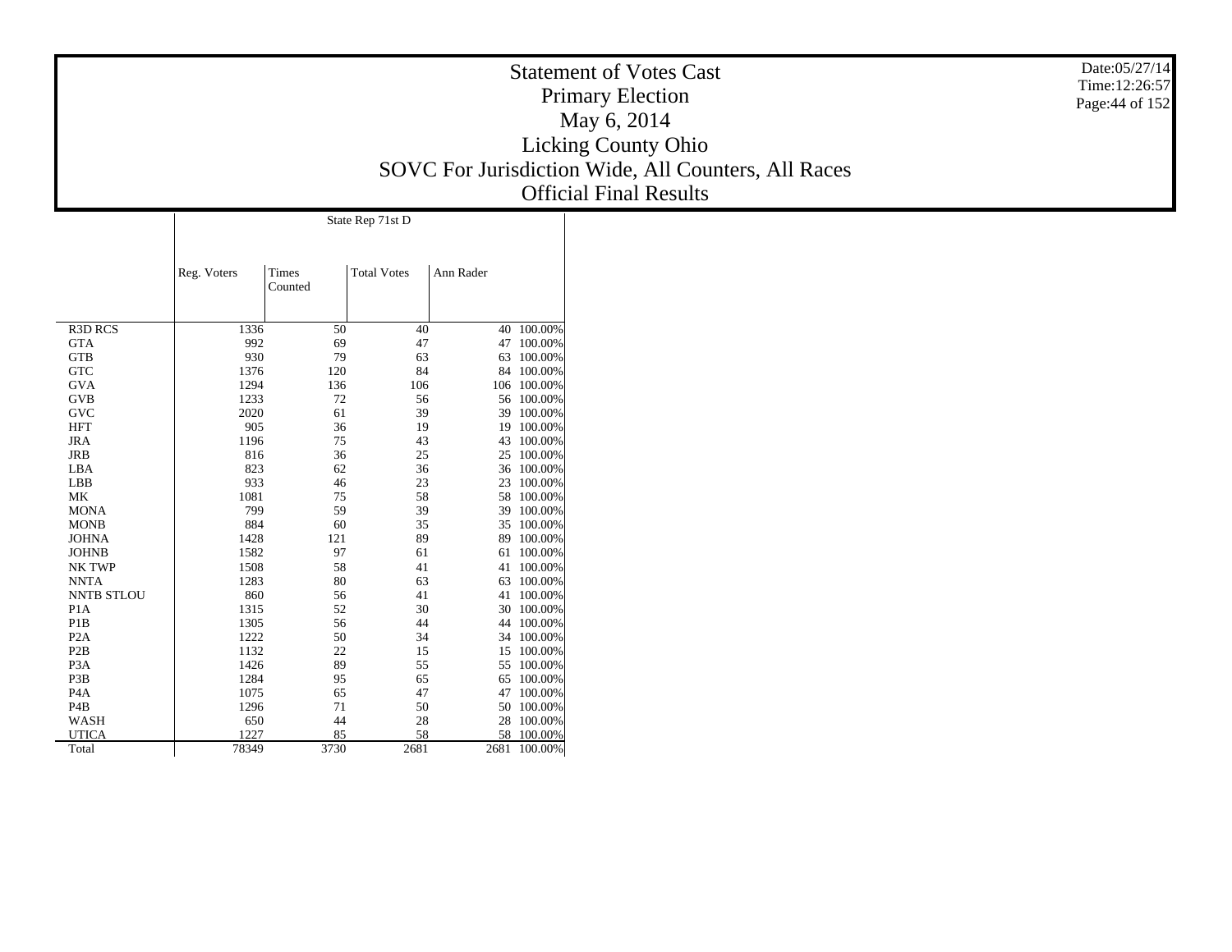|                   | State Rep 71st D |         |                    |           |         |  |  |  |
|-------------------|------------------|---------|--------------------|-----------|---------|--|--|--|
|                   |                  |         |                    |           |         |  |  |  |
|                   |                  |         |                    |           |         |  |  |  |
|                   | Reg. Voters      | Times   | <b>Total Votes</b> | Ann Rader |         |  |  |  |
|                   |                  | Counted |                    |           |         |  |  |  |
|                   |                  |         |                    |           |         |  |  |  |
| <b>R3D RCS</b>    | 1336             | 50      | 40                 | 40        | 100.00% |  |  |  |
| <b>GTA</b>        | 992              | 69      | 47                 | 47        | 100.00% |  |  |  |
| <b>GTB</b>        | 930              | 79      | 63                 | 63        | 100.00% |  |  |  |
| <b>GTC</b>        | 1376             | 120     | 84                 | 84        | 100.00% |  |  |  |
| <b>GVA</b>        | 1294             | 136     | 106                | 106       | 100.00% |  |  |  |
| <b>GVB</b>        | 1233             | 72      | 56                 | 56        | 100.00% |  |  |  |
| GVC               | 2020             | 61      | 39                 | 39        | 100.00% |  |  |  |
| <b>HFT</b>        | 905              | 36      | 19                 | 19        | 100.00% |  |  |  |
| <b>JRA</b>        | 1196             | 75      | 43                 | 43        | 100.00% |  |  |  |
| <b>JRB</b>        | 816              | 36      | 25                 | 25        | 100.00% |  |  |  |
| LBA               | 823              | 62      | 36                 | 36        | 100.00% |  |  |  |
| LBB               | 933              | 46      | 23                 | 23        | 100.00% |  |  |  |
| MK                | 1081             | 75      | 58                 | 58        | 100.00% |  |  |  |
| <b>MONA</b>       | 799              | 59      | 39                 | 39        | 100.00% |  |  |  |
| <b>MONB</b>       | 884              | 60      | 35                 | 35        | 100.00% |  |  |  |
| <b>JOHNA</b>      | 1428             | 121     | 89                 | 89        | 100.00% |  |  |  |
| <b>JOHNB</b>      | 1582             | 97      | 61                 | 61        | 100.00% |  |  |  |
| NK TWP            | 1508             | 58      | 41                 | 41        | 100.00% |  |  |  |
| <b>NNTA</b>       | 1283             | 80      | 63                 | 63        | 100.00% |  |  |  |
| <b>NNTB STLOU</b> | 860              | 56      | 41                 | 41        | 100.00% |  |  |  |
| P <sub>1</sub> A  | 1315             | 52      | 30                 | 30        | 100.00% |  |  |  |
| P <sub>1</sub> B  | 1305             | 56      | 44                 | 44        | 100.00% |  |  |  |
| P <sub>2</sub> A  | 1222             | 50      | 34                 | 34        | 100.00% |  |  |  |
| P <sub>2</sub> B  | 1132             | 22      | 15                 | 15        | 100.00% |  |  |  |
| P <sub>3</sub> A  | 1426             | 89      | 55                 | 55        | 100.00% |  |  |  |
| P <sub>3</sub> B  | 1284             | 95      | 65                 | 65        | 100.00% |  |  |  |
| P <sub>4</sub> A  | 1075             | 65      | 47                 | 47        | 100.00% |  |  |  |
| P <sub>4</sub> B  | 1296             | 71      | 50                 | 50        | 100.00% |  |  |  |
| WASH              | 650              | 44      | 28                 | 28        | 100.00% |  |  |  |
| <b>UTICA</b>      | 1227             | 85      | 58                 | 58        | 100.00% |  |  |  |
| Total             | 78349            | 3730    | 2681               | 2681      | 100.00% |  |  |  |

Date:05/27/14 Time:12:26:57Page:44 of 152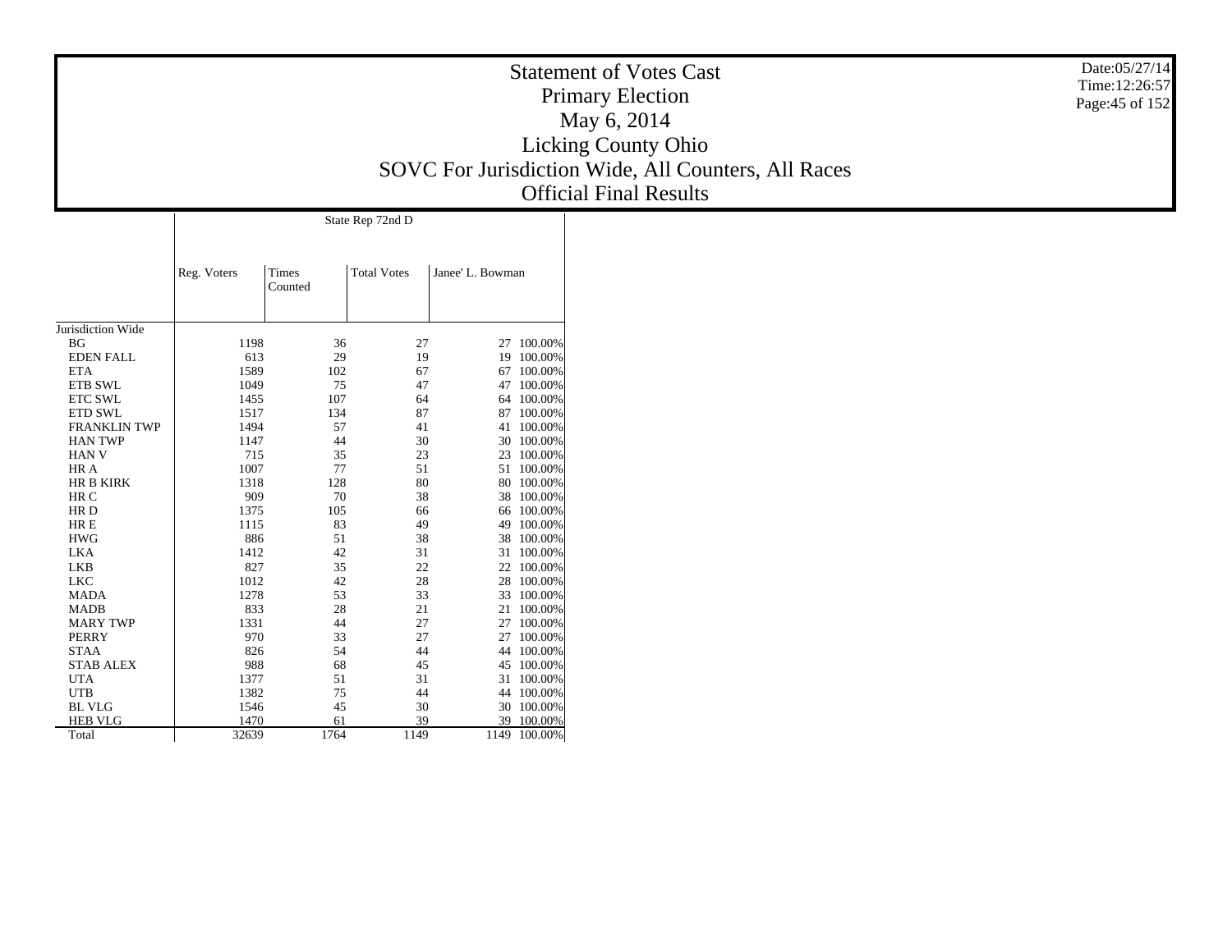|                     | State Rep 72nd D |                  |                    |                  |         |  |  |
|---------------------|------------------|------------------|--------------------|------------------|---------|--|--|
|                     | Reg. Voters      | Times<br>Counted | <b>Total Votes</b> | Janee' L. Bowman |         |  |  |
| Jurisdiction Wide   |                  |                  |                    |                  |         |  |  |
| <b>BG</b>           | 1198             | 36               | 27                 | 27               | 100.00% |  |  |
| <b>EDEN FALL</b>    | 613              | 29               | 19                 | 19               | 100.00% |  |  |
| <b>ETA</b>          | 1589             | 102              | 67                 | 67               | 100.00% |  |  |
| <b>ETB SWL</b>      | 1049             | 75               | 47                 | 47               | 100.00% |  |  |
| <b>ETC SWL</b>      | 1455             | 107              | 64                 | 64               | 100.00% |  |  |
| <b>ETD SWL</b>      | 1517             | 134              | 87                 | 87               | 100.00% |  |  |
| <b>FRANKLIN TWP</b> | 1494             | 57               | 41                 | 41               | 100.00% |  |  |
| <b>HAN TWP</b>      | 1147             | 44               | 30                 | 30               | 100.00% |  |  |
| <b>HAN V</b>        | 715              | 35               | 23                 | 23               | 100.00% |  |  |
| HR A                | 1007             | 77               | 51                 | 51               | 100.00% |  |  |
| <b>HR B KIRK</b>    | 1318             | 128              | 80                 | 80               | 100.00% |  |  |
| HR C                | 909              | 70               | 38                 | 38               | 100.00% |  |  |
| HR <sub>D</sub>     | 1375             | 105              | 66                 | 66               | 100.00% |  |  |
| HR E                | 1115             | 83               | 49                 | 49               | 100.00% |  |  |
| <b>HWG</b>          | 886              | 51               | 38                 | 38               | 100.00% |  |  |
| LKA                 | 1412             | 42               | 31                 | 31               | 100.00% |  |  |
| <b>LKB</b>          | 827              | 35               | 22                 | 22               | 100.00% |  |  |
| <b>LKC</b>          | 1012             | 42               | 28                 | 28               | 100.00% |  |  |
| <b>MADA</b>         | 1278             | 53               | 33                 | 33               | 100.00% |  |  |
| <b>MADB</b>         | 833              | 28               | 21                 | 21               | 100.00% |  |  |
| <b>MARY TWP</b>     | 1331             | 44               | 27                 | 27               | 100.00% |  |  |
| PERRY               | 970              | 33               | 27                 | 27               | 100.00% |  |  |
| <b>STAA</b>         | 826              | 54               | 44                 | 44               | 100.00% |  |  |
| <b>STAB ALEX</b>    | 988              | 68               | 45                 | 45               | 100.00% |  |  |
| <b>UTA</b>          | 1377             | 51               | 31                 | 31               | 100.00% |  |  |
| UTB                 | 1382             | 75               | 44                 | 44               | 100.00% |  |  |
| <b>BL VLG</b>       | 1546             | 45               | 30                 | 30               | 100.00% |  |  |
| <b>HEB VLG</b>      | 1470             | 61               | 39                 | 39               | 100.00% |  |  |
| Total               | 32639            | 1764             | 1149               | 1149             | 100.00% |  |  |

Date:05/27/14 Time:12:26:57Page:45 of 152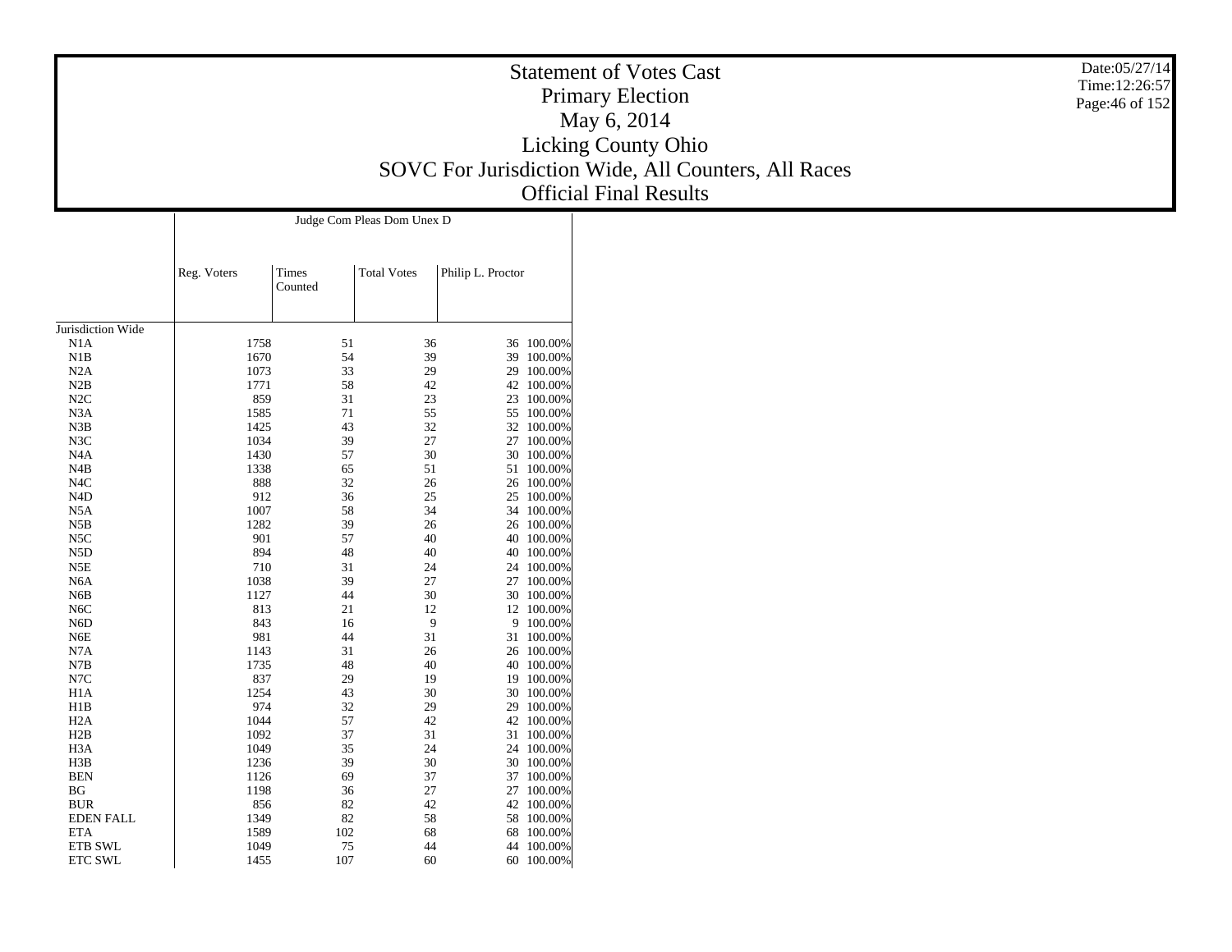|                         |              |                  |                            |                   |                          | Date:05/27/14<br><b>Statement of Votes Cast</b><br>Time: 12:26:57<br><b>Primary Election</b><br>Page: 46 of 152<br>May 6, 2014<br>Licking County Ohio<br>SOVC For Jurisdiction Wide, All Counters, All Races |
|-------------------------|--------------|------------------|----------------------------|-------------------|--------------------------|--------------------------------------------------------------------------------------------------------------------------------------------------------------------------------------------------------------|
|                         |              |                  |                            |                   |                          | <b>Official Final Results</b>                                                                                                                                                                                |
|                         |              |                  | Judge Com Pleas Dom Unex D |                   |                          |                                                                                                                                                                                                              |
|                         |              |                  |                            |                   |                          |                                                                                                                                                                                                              |
|                         | Reg. Voters  | Times<br>Counted | <b>Total Votes</b>         | Philip L. Proctor |                          |                                                                                                                                                                                                              |
| Jurisdiction Wide       |              |                  |                            |                   |                          |                                                                                                                                                                                                              |
| N1A                     | 1758         |                  | 51                         | 36                | 36 100.00%               |                                                                                                                                                                                                              |
| N1B                     | 1670         |                  | 54                         | 39                | 39 100.00%               |                                                                                                                                                                                                              |
| N2A                     | 1073         |                  | 33                         | 29                | 29 100.00%               |                                                                                                                                                                                                              |
| N2B                     | 1771         |                  | 58                         | 42                | 42 100.00%               |                                                                                                                                                                                                              |
| N2C                     | 859          |                  | 31                         | $23\,$            | 23 100.00%               |                                                                                                                                                                                                              |
| N <sub>3</sub> A        | 1585         |                  | 71                         | 55<br>32          | 55 100.00%               |                                                                                                                                                                                                              |
| N3B<br>N3C              | 1425<br>1034 |                  | 43<br>39                   | $27\,$            | 32 100.00%<br>27 100.00% |                                                                                                                                                                                                              |
| N <sub>4</sub> A        | 1430         |                  | 57                         | 30                | 30 100.00%               |                                                                                                                                                                                                              |
| N4B                     | 1338         |                  | 65                         | 51                | 51 100.00%               |                                                                                                                                                                                                              |
| $_{\mathrm{N4C}}$       | 888          |                  | 32                         | $26\,$            | 26 100.00%               |                                                                                                                                                                                                              |
| N <sub>4</sub> D        | 912          |                  | 36                         | $25\,$            | 25 100.00%               |                                                                                                                                                                                                              |
| N <sub>5</sub> A        | 1007         |                  | 58                         | 34                | 34 100.00%               |                                                                                                                                                                                                              |
| N5B                     | 1282         |                  | 39                         | 26                | 26 100.00%               |                                                                                                                                                                                                              |
| $_{\rm NSC}$            | 901          |                  | 57                         | 40                | 40 100.00%               |                                                                                                                                                                                                              |
| N <sub>5</sub> D        | 894          |                  | 48                         | $40\,$            | 40 100.00%               |                                                                                                                                                                                                              |
| N5E                     | 710<br>1038  |                  | 31                         | 24<br>$27\,$      | 24 100.00%               |                                                                                                                                                                                                              |
| N <sub>6</sub> A<br>N6B | 1127         |                  | 39<br>44                   | 30                | 27 100.00%<br>30 100.00% |                                                                                                                                                                                                              |
| N <sub>6</sub> C        | 813          |                  | 21                         | 12                | 12 100.00%               |                                                                                                                                                                                                              |
| N <sub>6</sub> D        | 843          |                  | 16                         | $\overline{9}$    | 9 100.00%                |                                                                                                                                                                                                              |
| N6E                     | 981          |                  | 44                         | 31                | 31 100.00%               |                                                                                                                                                                                                              |
| N7A                     | 1143         |                  | 31                         | 26                | 26 100.00%               |                                                                                                                                                                                                              |
| N7B                     | 1735         |                  | 48                         | 40                | 40 100.00%               |                                                                                                                                                                                                              |
| N7C                     | 837          |                  | 29                         | 19                | 19 100.00%               |                                                                                                                                                                                                              |
| H <sub>1</sub> A        | 1254         |                  | 43                         | $30\,$            | 30 100.00%               |                                                                                                                                                                                                              |
| H1B                     | 974<br>1044  |                  | 32                         | 29                | 29 100.00%               |                                                                                                                                                                                                              |
| H <sub>2</sub> A<br>H2B | 1092         |                  | 57<br>37                   | 42<br>31          | 42 100.00%<br>31 100.00% |                                                                                                                                                                                                              |
| H <sub>3</sub> A        | 1049         |                  | 35                         | 24                | 24 100.00%               |                                                                                                                                                                                                              |
| H3B                     | 1236         |                  | 39                         | $30\,$            | 30 100.00%               |                                                                                                                                                                                                              |
| <b>BEN</b>              | 1126         |                  | 69                         | 37                | 37 100.00%               |                                                                                                                                                                                                              |
| BG                      | 1198         |                  | 36                         | 27                | 27 100.00%               |                                                                                                                                                                                                              |
| <b>BUR</b>              | 856          |                  | 82                         | 42                | 42 100.00%               |                                                                                                                                                                                                              |
| <b>EDEN FALL</b>        | 1349         |                  | 82                         | 58                | 58 100.00%               |                                                                                                                                                                                                              |
| <b>ETA</b>              | 1589         |                  | 102                        | 68                | 68 100.00%               |                                                                                                                                                                                                              |
| ETB SWL                 | 1049         |                  | 75                         | 44                | 44 100.00%               |                                                                                                                                                                                                              |
| ETC SWL                 | 1455         |                  | 107                        | 60                | 60 100.00%               |                                                                                                                                                                                                              |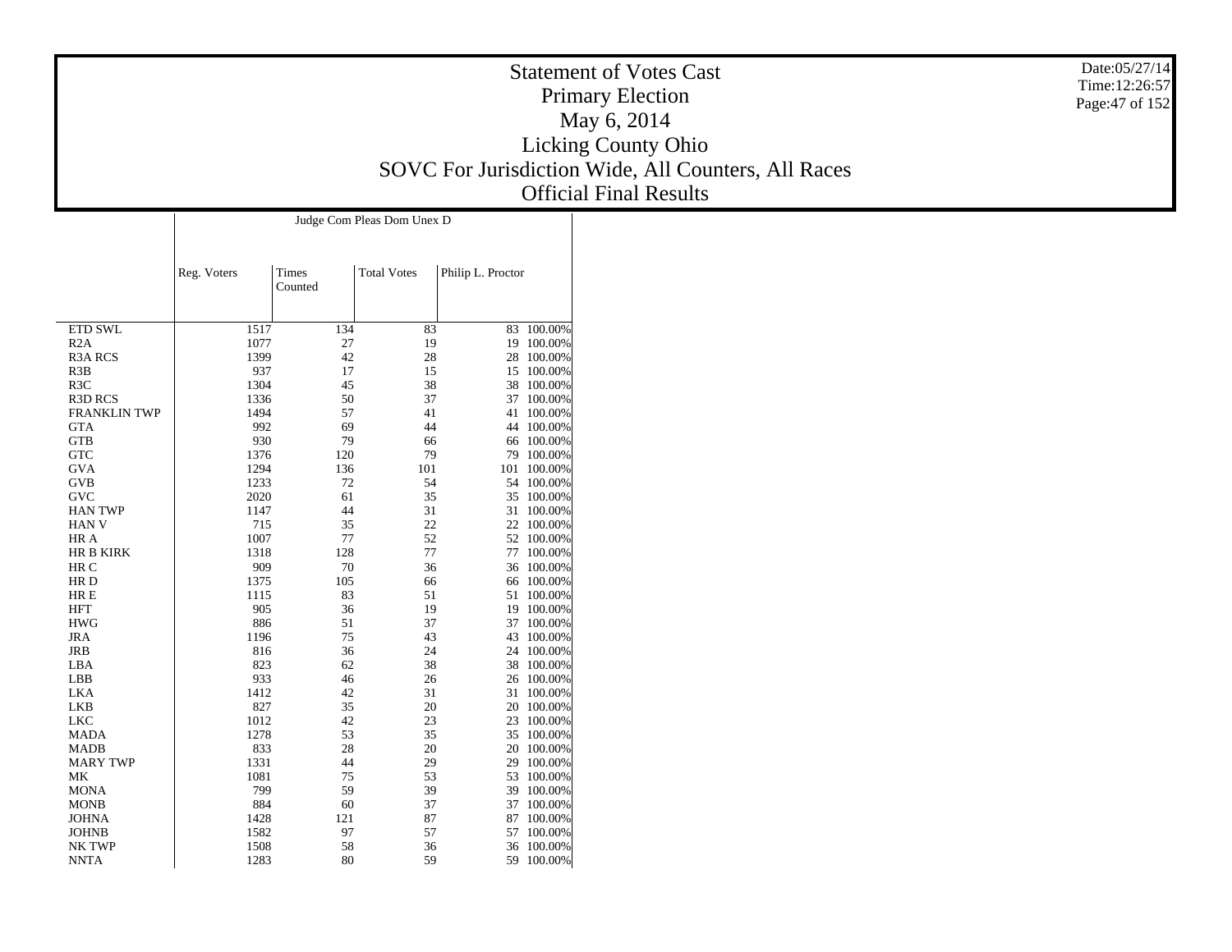| <b>Statement of Votes Cast</b>                      |
|-----------------------------------------------------|
| <b>Primary Election</b>                             |
| May 6, 2014                                         |
| <b>Licking County Ohio</b>                          |
| SOVC For Jurisdiction Wide, All Counters, All Races |
| <b>Official Final Results</b>                       |

Date:05/27/14 Time:12:26:57 Page:47 of 152

|                     | Judge Com Pleas Dom Unex D |                  |                    |                   |                          |  |  |  |
|---------------------|----------------------------|------------------|--------------------|-------------------|--------------------------|--|--|--|
|                     | Reg. Voters                | Times<br>Counted | <b>Total Votes</b> | Philip L. Proctor |                          |  |  |  |
| <b>ETD SWL</b>      | 1517                       | 134              | 83                 | 83                | 100.00%                  |  |  |  |
| R2A                 | 1077                       | 27               | 19                 |                   | 19 100.00%               |  |  |  |
| <b>R3A RCS</b>      | 1399                       | 42               | 28                 |                   | 28 100.00%               |  |  |  |
| R3B                 | 937                        | 17               | 15                 |                   | 15 100.00%               |  |  |  |
| R <sub>3</sub> C    | 1304                       | 45               | 38                 |                   | 38 100.00%               |  |  |  |
| <b>R3D RCS</b>      | 1336                       | 50               | 37                 |                   | 37 100.00%               |  |  |  |
| <b>FRANKLIN TWP</b> | 1494                       | 57               | 41                 | 41                | 100.00%                  |  |  |  |
| <b>GTA</b>          | 992                        | 69               | 44                 |                   | 44 100.00%               |  |  |  |
| <b>GTB</b>          | 930                        | 79               | 66                 |                   | 66 100.00%               |  |  |  |
| <b>GTC</b>          | 1376                       | 120              | 79                 |                   | 79 100.00%               |  |  |  |
| <b>GVA</b>          | 1294                       | 136              | 101                |                   | 101 100.00%              |  |  |  |
| <b>GVB</b>          | 1233                       | 72               | 54                 |                   | 54 100.00%               |  |  |  |
| <b>GVC</b>          | 2020                       | 61               | 35                 |                   | 35 100.00%               |  |  |  |
| <b>HAN TWP</b>      | 1147                       | 44               | 31                 |                   | 31 100.00%               |  |  |  |
| <b>HANV</b>         | 715                        | 35               | 22                 |                   | 22 100.00%               |  |  |  |
| HR A                | 1007                       | 77               | 52                 |                   | 52 100.00%               |  |  |  |
| <b>HR B KIRK</b>    | 1318                       | 128              | 77                 |                   | 77 100.00%               |  |  |  |
| HR C                | 909                        | 70<br>105        | 36                 |                   | 36 100.00%               |  |  |  |
| HR D                | 1375                       | 83               | 66<br>51           |                   | 66 100.00%               |  |  |  |
| HR E<br><b>HFT</b>  | 1115<br>905                | 36               | 19                 |                   | 51 100.00%<br>19 100.00% |  |  |  |
| <b>HWG</b>          | 886                        | 51               | 37                 |                   | 37 100.00%               |  |  |  |
| <b>JRA</b>          | 1196                       | 75               | 43                 |                   | 43 100.00%               |  |  |  |
| JRB                 | 816                        | 36               | 24                 |                   | 24 100.00%               |  |  |  |
| LBA                 | 823                        | 62               | 38                 |                   | 38 100.00%               |  |  |  |
| LBB                 | 933                        | 46               | 26                 |                   | 26 100.00%               |  |  |  |
| <b>LKA</b>          | 1412                       | 42               | 31                 |                   | 31 100.00%               |  |  |  |
| <b>LKB</b>          | 827                        | 35               | 20                 |                   | 20 100.00%               |  |  |  |
| <b>LKC</b>          | 1012                       | 42               | 23                 |                   | 23 100.00%               |  |  |  |
| MADA                | 1278                       | 53               | 35                 |                   | 35 100.00%               |  |  |  |
| <b>MADB</b>         | 833                        | 28               | 20                 |                   | 20 100.00%               |  |  |  |
| <b>MARY TWP</b>     | 1331                       | 44               | 29                 |                   | 29 100.00%               |  |  |  |
| МK                  | 1081                       | 75               | 53                 |                   | 53 100.00%               |  |  |  |
| <b>MONA</b>         | 799                        | 59               | 39                 |                   | 39 100.00%               |  |  |  |
| <b>MONB</b>         | 884                        | 60               | 37                 |                   | 37 100.00%               |  |  |  |
| <b>JOHNA</b>        | 1428                       | 121              | 87                 |                   | 87 100.00%               |  |  |  |
| <b>JOHNB</b>        | 1582                       | 97               | 57                 | 57                | 100.00%                  |  |  |  |
| NK TWP              | 1508                       | 58               | 36                 | 36                | 100.00%                  |  |  |  |
| <b>NNTA</b>         | 1283                       | 80               | 59                 |                   | 59 100.00%               |  |  |  |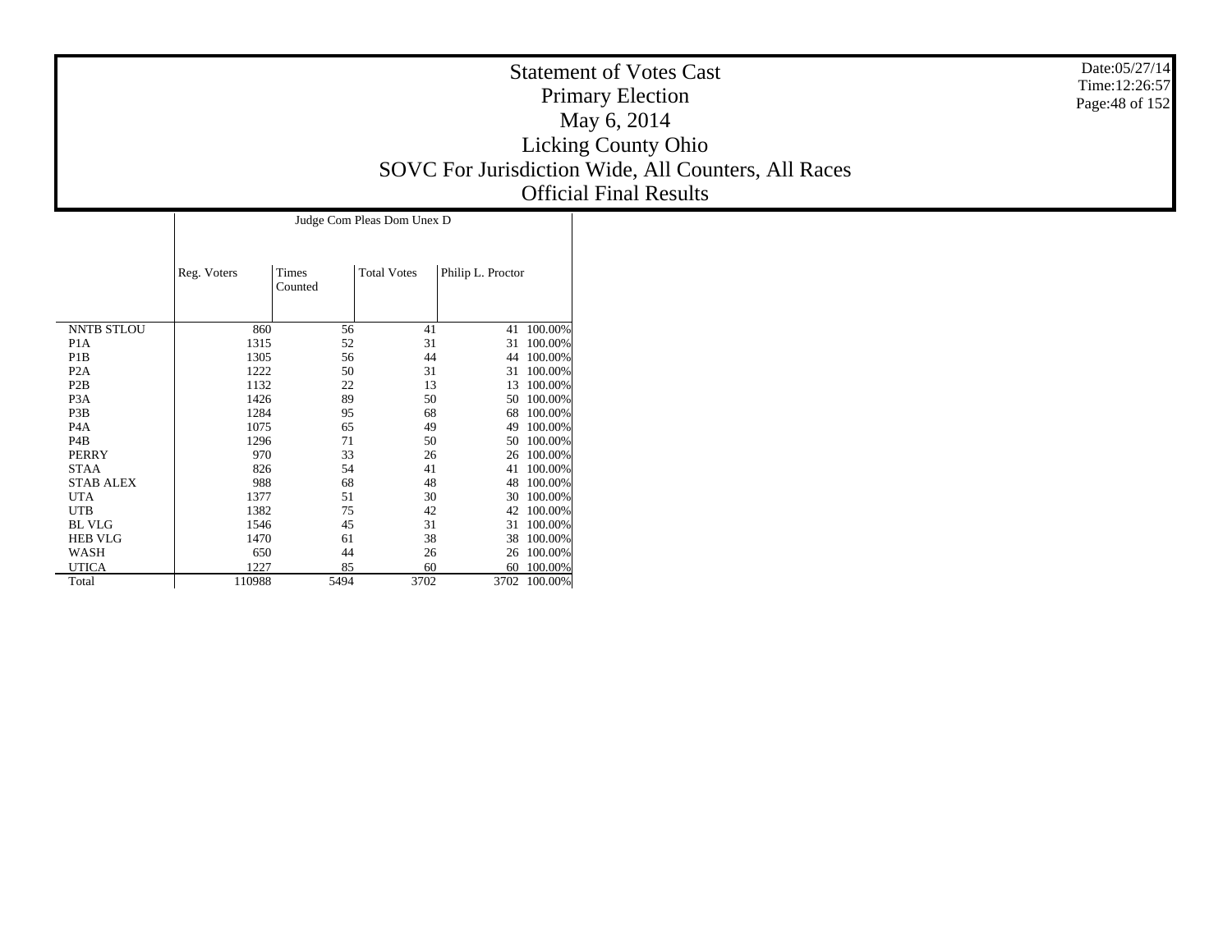|                   | Judge Com Pleas Dom Unex D |                  |                    |                   |         |  |  |  |
|-------------------|----------------------------|------------------|--------------------|-------------------|---------|--|--|--|
|                   |                            |                  |                    |                   |         |  |  |  |
|                   | Reg. Voters                | Times<br>Counted | <b>Total Votes</b> | Philip L. Proctor |         |  |  |  |
|                   |                            |                  |                    |                   |         |  |  |  |
| <b>NNTB STLOU</b> | 860                        | 56               | 41                 | 41                | 100.00% |  |  |  |
| P <sub>1</sub> A  | 1315                       | 52               | 31                 | 31                | 100.00% |  |  |  |
| P <sub>1</sub> B  | 1305                       | 56               | 44                 | 44                | 100.00% |  |  |  |
| P <sub>2</sub> A  | 1222                       | 50               | 31                 | 31                | 100.00% |  |  |  |
| P <sub>2</sub> B  | 1132                       | 22               | 13                 | 13                | 100.00% |  |  |  |
| P <sub>3</sub> A  | 1426                       | 89               | 50                 | 50                | 100.00% |  |  |  |
| P3B               | 1284                       | 95               | 68                 | 68                | 100.00% |  |  |  |
| P <sub>4</sub> A  | 1075                       | 65               | 49                 | 49                | 100.00% |  |  |  |
| P <sub>4</sub> B  | 1296                       | 71               | 50                 | 50                | 100.00% |  |  |  |
| <b>PERRY</b>      | 970                        |                  |                    |                   |         |  |  |  |
|                   |                            | 33               | 26                 | 26                | 100.00% |  |  |  |
| <b>STAA</b>       | 826                        | 54               | 41                 | 41                | 100.00% |  |  |  |
| <b>STAB ALEX</b>  | 988                        | 68               | 48                 | 48                | 100.00% |  |  |  |
| UTA               | 1377                       | 51               | 30                 | 30                | 100.00% |  |  |  |
| UTB               | 1382                       | 75               | 42                 | 42                | 100.00% |  |  |  |
| <b>BL VLG</b>     | 1546                       | 45               | 31                 | 31                | 100.00% |  |  |  |
| <b>HEB VLG</b>    | 1470                       | 61               | 38                 | 38                | 100.00% |  |  |  |
| WASH              | 650                        | 44               | 26                 | 26                | 100.00% |  |  |  |
| <b>UTICA</b>      | 1227                       | 85               | 60                 | 60                | 100.00% |  |  |  |
| Total             | 110988                     | 5494             | 3702               | 3702              | 100.00% |  |  |  |

Date:05/27/14 Time:12:26:57Page:48 of 152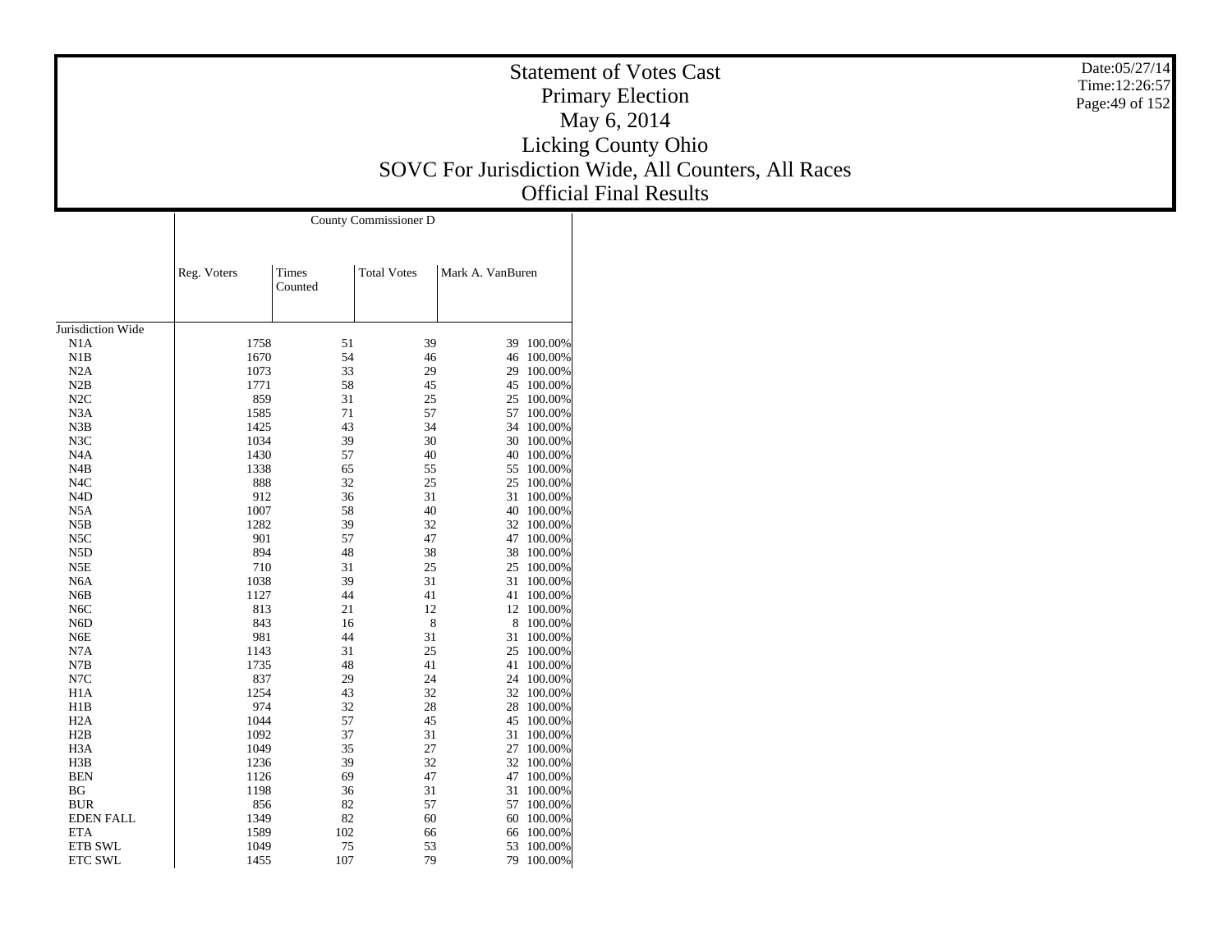| <b>Statement of Votes Cast</b>                      |
|-----------------------------------------------------|
| <b>Primary Election</b>                             |
| May 6, 2014                                         |
| <b>Licking County Ohio</b>                          |
| SOVC For Jurisdiction Wide, All Counters, All Races |
| <b>Official Final Results</b>                       |

| Date:05/27/14  |
|----------------|
| Time: 12:26:57 |
| Page:49 of 152 |

|                   |             |                  | County Commissioner D |                  |            |
|-------------------|-------------|------------------|-----------------------|------------------|------------|
|                   | Reg. Voters | Times<br>Counted | <b>Total Votes</b>    | Mark A. VanBuren |            |
| Jurisdiction Wide |             |                  |                       |                  |            |
| N1A               | 1758        | 51               | 39                    | 39               | 100.00%    |
| N1B               | 1670        | 54               | 46                    | 46               | 100.00%    |
| N2A               | 1073        | 33               | 29                    | 29               | 100.00%    |
| N2B               | 1771        | 58               | 45                    | 45               | 100.00%    |
| N2C               | 859         | 31               | 25                    | 25               | 100.00%    |
| N3A               | 1585        | 71               | 57                    | 57               | 100.00%    |
| N3B               | 1425        | 43               | 34                    | 34               | 100.00%    |
| N3C               | 1034        | 39               | 30                    |                  | 30 100.00% |
| N4A               | 1430        | 57               | 40                    | 40               | 100.00%    |
| N <sub>4</sub> B  | 1338        | 65               | 55                    | 55               | 100.00%    |
| N <sub>4</sub> C  | 888         | 32               | 25                    | 25               | 100.00%    |
| N4D               | 912         | 36               | 31                    | 31               | 100.00%    |
| N5A               | 1007        | 58               | 40                    |                  | 40 100.00% |
| N5B               | 1282        | 39               | 32                    | 32               | 100.00%    |
| N <sub>5</sub> C  | 901         | 57               | 47                    | 47               | 100.00%    |
| N <sub>5</sub> D  | 894         | 48               | 38                    | 38               | 100.00%    |
| N5E               | 710         | 31               | 25                    | 25               | 100.00%    |
| N <sub>6</sub> A  | 1038        | 39               | 31                    | 31               | 100.00%    |
| N <sub>6</sub> B  | 1127        | 44               | 41                    | 41               | 100.00%    |
| N <sub>6</sub> C  | 813         | 21               | 12                    |                  | 12 100.00% |
| N <sub>6</sub> D  | 843         | 16               | 8                     | 8                | 100.00%    |
| N <sub>6</sub> E  | 981         | 44               | 31                    | 31               | 100.00%    |
| N7A               | 1143        | 31               | 25                    | 25               | 100.00%    |
| N7B               | 1735        | 48               | 41                    | 41               | 100.00%    |
| N7C               | 837         | 29               | 24                    | 24               | 100.00%    |
| H1A               | 1254        | 43               | 32                    | 32               | 100.00%    |
| H1B               | 974         | 32               | 28                    | 28               | 100.00%    |
| H2A               | 1044        | 57               | 45                    | 45               | 100.00%    |
| H2B               | 1092        | 37               | 31                    | 31               | 100.00%    |
| H <sub>3</sub> A  | 1049        | 35               | 27                    | 27               | 100.00%    |
| H3B               | 1236        | 39               | 32                    | 32               | 100.00%    |
| <b>BEN</b>        | 1126        | 69               | 47                    | 47               | 100.00%    |
| BG                | 1198        | 36               | 31                    | 31               | 100.00%    |
| <b>BUR</b>        | 856         | 82               | 57                    | 57               | 100.00%    |
| <b>EDEN FALL</b>  | 1349        | 82               | 60                    | 60               | 100.00%    |
| <b>ETA</b>        | 1589        | 102              | 66                    | 66               | 100.00%    |
| <b>ETB SWL</b>    | 1049        | 75               | 53                    | 53               | 100.00%    |
| ETC SWL           | 1455        | 107              | 79                    | 79               | 100.00%    |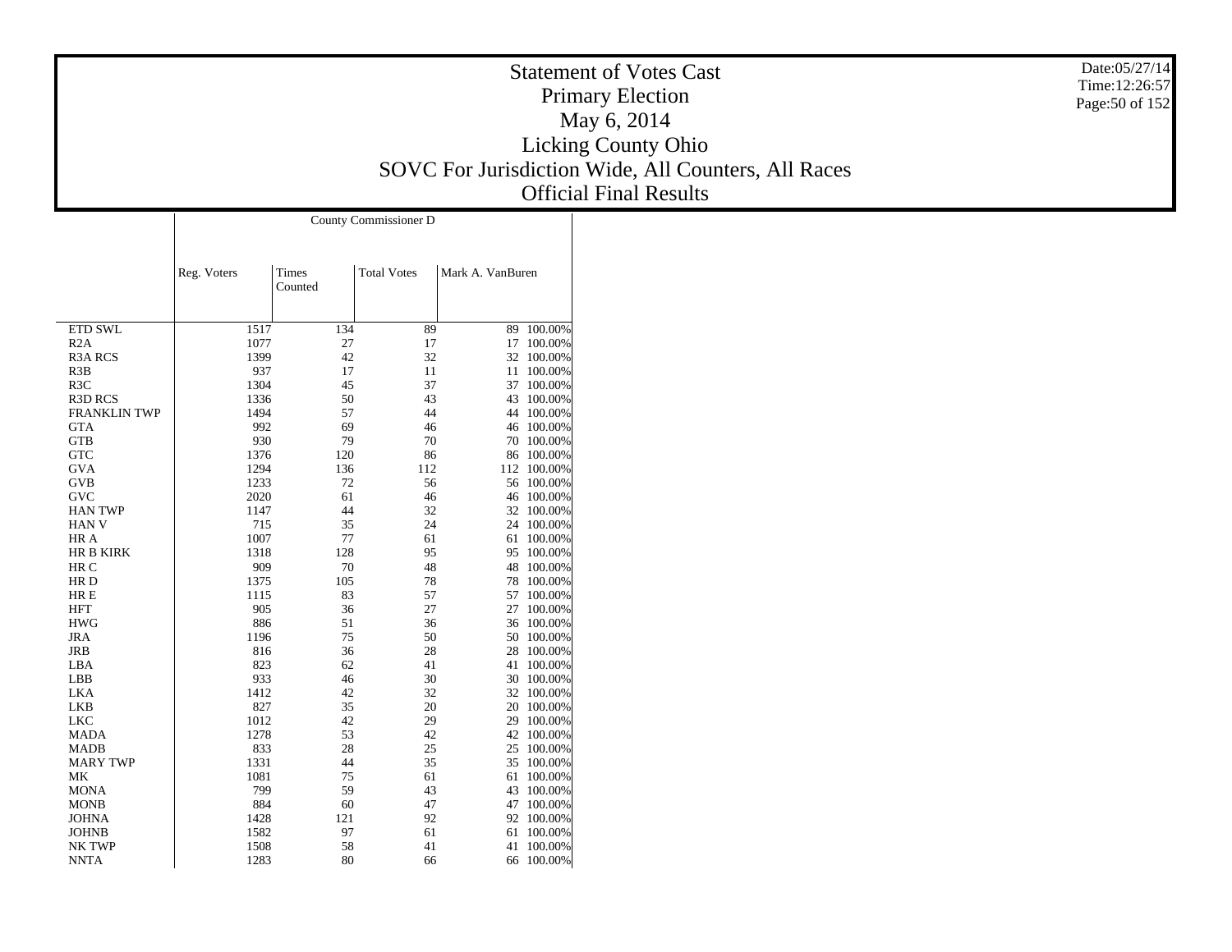Date:05/27/14 Time:12:26:57Page:50 of 152

|                     | County Commissioner D |                  |                    |                  |            |  |
|---------------------|-----------------------|------------------|--------------------|------------------|------------|--|
|                     | Reg. Voters           | Times<br>Counted | <b>Total Votes</b> | Mark A. VanBuren |            |  |
| ETD SWL             | 1517                  | 134              | 89                 | 89               | 100.00%    |  |
| R2A                 | 1077                  | 27               | 17                 | 17               | 100.00%    |  |
| <b>R3A RCS</b>      | 1399                  | 42               | 32                 | 32               | 100.00%    |  |
| R3B                 | 937                   | 17               | 11                 | 11               | 100.00%    |  |
| R <sub>3</sub> C    | 1304                  | 45               | 37                 | 37               | 100.00%    |  |
| R3D RCS             | 1336                  | 50               | 43                 | 43               | 100.00%    |  |
| <b>FRANKLIN TWP</b> | 1494                  | 57               | 44                 |                  | 44 100.00% |  |
| <b>GTA</b>          | 992                   | 69               | 46                 |                  | 46 100.00% |  |
| <b>GTB</b>          | 930                   | 79               | 70                 |                  | 70 100.00% |  |
| <b>GTC</b>          | 1376                  | 120              | 86                 |                  | 86 100.00% |  |
| <b>GVA</b>          | 1294                  | 136              | 112                | 112              | 100.00%    |  |
| <b>GVB</b>          | 1233                  | 72               | 56                 |                  | 56 100.00% |  |
| GVC                 | 2020                  | 61               | 46                 |                  | 46 100.00% |  |
| <b>HAN TWP</b>      | 1147                  | 44               | 32                 |                  | 32 100.00% |  |
| <b>HAN V</b>        | 715                   | 35               | 24                 | 24               | 100.00%    |  |
| HR A                | 1007                  | 77               | 61                 | 61               | 100.00%    |  |
| <b>HR B KIRK</b>    | 1318                  | 128              | 95                 | 95               | 100.00%    |  |
| HR C                | 909                   | 70               | 48                 | 48               | 100.00%    |  |
| HR <sub>D</sub>     | 1375                  | 105              | 78                 |                  | 78 100.00% |  |
| HR E                | 1115                  | 83               | 57                 | 57               | 100.00%    |  |
| <b>HFT</b>          | 905                   | 36               | 27                 | 27               | 100.00%    |  |
| <b>HWG</b>          | 886                   | 51               | 36                 | 36               | 100.00%    |  |
| <b>JRA</b>          | 1196                  | 75               | 50                 | 50               | 100.00%    |  |
| <b>JRB</b>          | 816                   | 36               | 28                 | 28               | 100.00%    |  |
| LBA                 | 823                   | 62               | 41                 | 41               | 100.00%    |  |
| LBB                 | 933                   | 46               | 30                 |                  | 30 100.00% |  |
| LKA                 | 1412                  | 42               | 32                 | 32               | 100.00%    |  |
| <b>LKB</b>          | 827                   | 35               | 20                 | 20               | 100.00%    |  |
| <b>LKC</b>          | 1012                  | 42               | 29                 |                  | 29 100.00% |  |
| MADA                | 1278                  | 53               | 42                 | 42               | 100.00%    |  |
| <b>MADB</b>         | 833                   | 28               | 25                 | 25               | 100.00%    |  |
| <b>MARY TWP</b>     | 1331                  | 44               | 35                 | 35               | 100.00%    |  |
| МK                  | 1081                  | 75               | 61                 | 61               | 100.00%    |  |
| <b>MONA</b>         | 799                   | 59               | 43                 | 43               | 100.00%    |  |
| <b>MONB</b>         | 884                   | 60               | 47                 | 47               | 100.00%    |  |
| <b>JOHNA</b>        | 1428                  | 121              | 92                 | 92               | 100.00%    |  |
| <b>JOHNB</b>        | 1582                  | 97               | 61                 | 61               | 100.00%    |  |
| NK TWP              | 1508                  | 58               | 41                 | 41               | 100.00%    |  |
| NNTA                | 1283                  | 80               | 66                 |                  | 66 100.00% |  |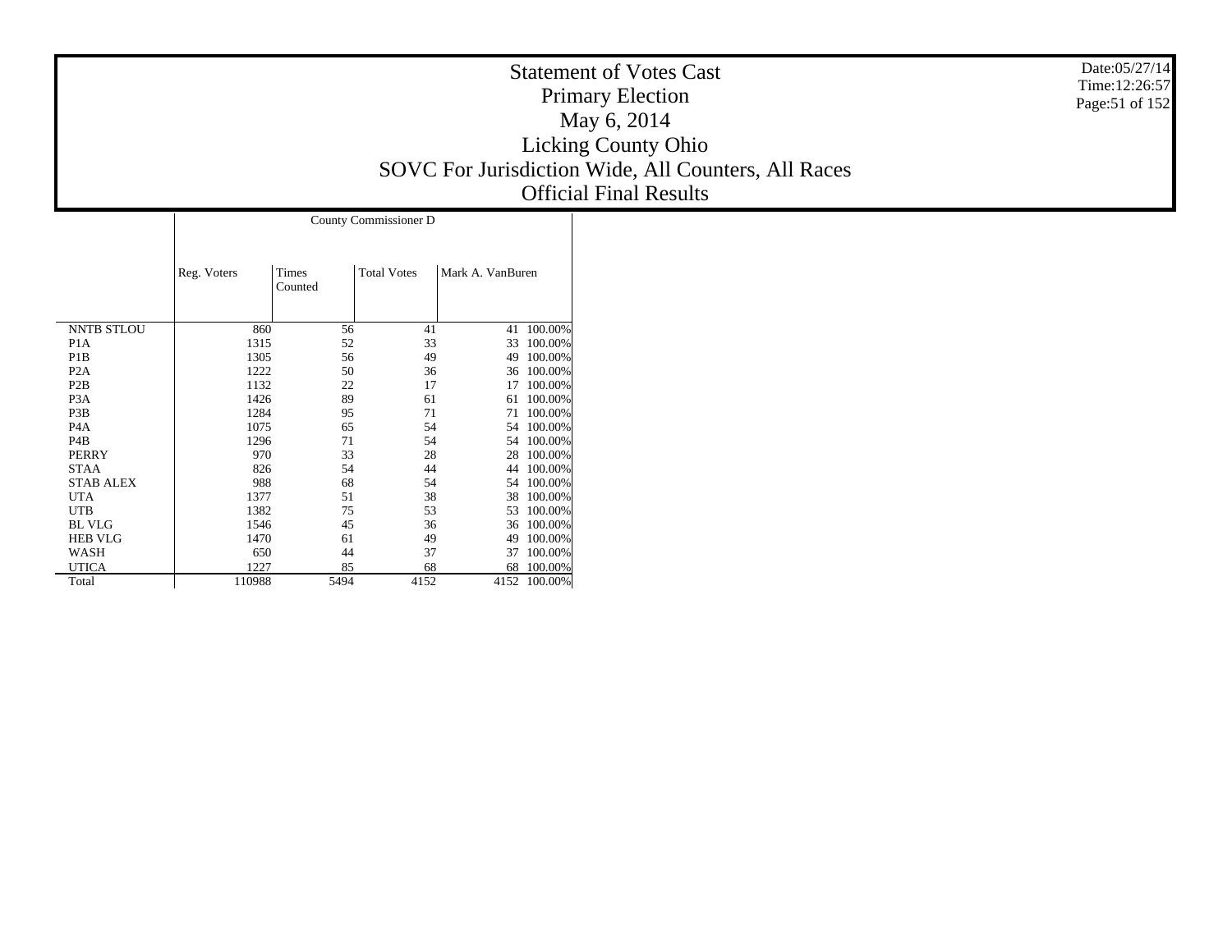|                   | County Commissioner D |                         |                    |                  |         |  |  |
|-------------------|-----------------------|-------------------------|--------------------|------------------|---------|--|--|
|                   |                       |                         |                    |                  |         |  |  |
|                   | Reg. Voters           | <b>Times</b><br>Counted | <b>Total Votes</b> | Mark A. VanBuren |         |  |  |
|                   |                       |                         |                    |                  |         |  |  |
|                   |                       |                         |                    |                  |         |  |  |
| <b>NNTB STLOU</b> | 860                   | 56                      | 41                 | 41               | 100.00% |  |  |
| P <sub>1</sub> A  | 1315                  | 52                      | 33                 | 33               | 100.00% |  |  |
| P <sub>1</sub> B  | 1305                  | 56                      | 49                 | 49               | 100.00% |  |  |
| P <sub>2</sub> A  | 1222                  | 50                      | 36                 | 36               | 100.00% |  |  |
| P <sub>2</sub> B  | 1132                  | 22                      | 17                 | 17               | 100.00% |  |  |
| P <sub>3</sub> A  | 1426                  | 89                      | 61                 | 61               | 100.00% |  |  |
| P3B               | 1284                  | 95                      | 71                 | 71               | 100.00% |  |  |
| P <sub>4</sub> A  | 1075                  | 65                      | 54                 | 54               | 100.00% |  |  |
| P4B               | 1296                  | 71                      | 54                 | 54               | 100.00% |  |  |
| PERRY             | 970                   | 33                      | 28                 | 28               | 100.00% |  |  |
| <b>STAA</b>       | 826                   | 54                      | 44                 | 44               | 100.00% |  |  |
| <b>STAB ALEX</b>  | 988                   | 68                      | 54                 | 54               | 100.00% |  |  |
| UTA               | 1377                  | 51                      | 38                 | 38               | 100.00% |  |  |
| UTB               | 1382                  | 75                      | 53                 | 53               | 100.00% |  |  |
| <b>BL VLG</b>     | 1546                  | 45                      | 36                 | 36               | 100.00% |  |  |
| <b>HEB VLG</b>    | 1470                  | 61                      | 49                 | 49               | 100.00% |  |  |
| WASH              | 650                   | 44                      | 37                 | 37               | 100.00% |  |  |
| <b>UTICA</b>      | 1227                  | 85                      | 68                 | 68               | 100.00% |  |  |
| Total             | 110988                | 5494                    | 4152               | 4152             | 100.00% |  |  |

Date:05/27/14 Time:12:26:57Page:51 of 152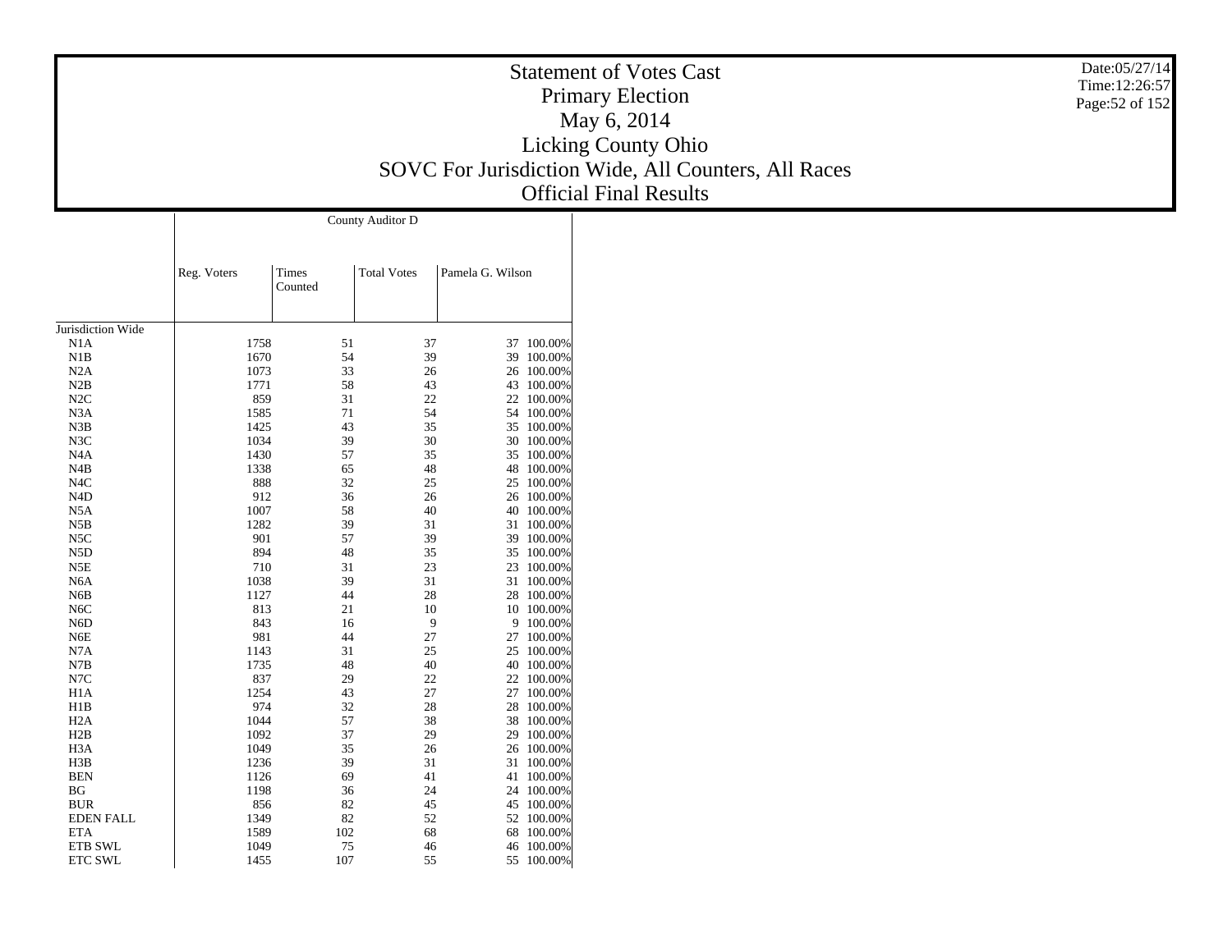| <b>Statement of Votes Cast</b><br><b>Primary Election</b><br>May 6, 2014 |              |                  |                      |                              |                                                     | Date:05/27/14<br>Time: 12:26:57<br>Page: 52 of 152 |
|--------------------------------------------------------------------------|--------------|------------------|----------------------|------------------------------|-----------------------------------------------------|----------------------------------------------------|
|                                                                          |              |                  |                      |                              |                                                     |                                                    |
|                                                                          |              |                  |                      |                              | Licking County Ohio                                 |                                                    |
|                                                                          |              |                  |                      |                              | SOVC For Jurisdiction Wide, All Counters, All Races |                                                    |
|                                                                          |              |                  |                      |                              |                                                     |                                                    |
|                                                                          |              |                  |                      |                              | <b>Official Final Results</b>                       |                                                    |
|                                                                          |              |                  | County Auditor D     |                              |                                                     |                                                    |
|                                                                          |              |                  |                      |                              |                                                     |                                                    |
|                                                                          | Reg. Voters  | Times<br>Counted | <b>Total Votes</b>   | Pamela G. Wilson             |                                                     |                                                    |
|                                                                          |              |                  |                      |                              |                                                     |                                                    |
| Jurisdiction Wide                                                        |              |                  |                      |                              |                                                     |                                                    |
| N1A                                                                      | 1758         |                  | 51<br>37             | 37 100.00%                   |                                                     |                                                    |
| N1B                                                                      | 1670         |                  | 39<br>54             | 39 100.00%                   |                                                     |                                                    |
| N2A                                                                      | 1073         |                  | 33<br>26             | 26 100.00%                   |                                                     |                                                    |
| N2B                                                                      | 1771         |                  | 58<br>43             | 43 100.00%                   |                                                     |                                                    |
| N2C                                                                      |              | 859<br>31        | $22\,$               | 22 100.00%                   |                                                     |                                                    |
| N3A                                                                      | 1585         |                  | 54<br>71             | 54 100.00%                   |                                                     |                                                    |
| N3B                                                                      | 1425         |                  | 35<br>43             | 35 100.00%                   |                                                     |                                                    |
| N3C<br>N <sub>4</sub> A                                                  | 1034<br>1430 |                  | 30<br>39<br>35<br>57 | 30 100.00%<br>35 100.00%     |                                                     |                                                    |
| N4B                                                                      | 1338         |                  | 48<br>65             | 48 100.00%                   |                                                     |                                                    |
| N <sub>4</sub> C                                                         |              | 888              | 32<br>$25\,$         | 25 100.00%                   |                                                     |                                                    |
| N <sub>4</sub> D                                                         |              | 912              | 36<br>26             | 26 100.00%                   |                                                     |                                                    |
| N5A                                                                      | 1007         |                  | 40<br>58             | 40 100.00%                   |                                                     |                                                    |
| N5B                                                                      | 1282         |                  | 39<br>31             | 31 100.00%                   |                                                     |                                                    |
| N5C                                                                      | 901          |                  | 39<br>57             | 39 100.00%                   |                                                     |                                                    |
| N <sub>5</sub> D                                                         |              | 894              | 35<br>48             | 35 100.00%                   |                                                     |                                                    |
| N5E                                                                      |              | 710              | 23<br>31             | 23 100.00%                   |                                                     |                                                    |
| N <sub>6</sub> A                                                         | 1038         |                  | 31<br>39             | 31 100.00%                   |                                                     |                                                    |
| N6B<br>N <sub>6</sub> C                                                  | 1127<br>813  |                  | 44<br>28<br>10<br>21 | 28 100.00%                   |                                                     |                                                    |
| N <sub>6</sub> D                                                         | 843          |                  | 16                   | 10 100.00%<br>9 100.00%<br>9 |                                                     |                                                    |
| N <sub>6</sub> E                                                         | 981          |                  | 44<br>27             | 27 100.00%                   |                                                     |                                                    |
| N7A                                                                      | 1143         |                  | 31<br>25             | 25 100.00%                   |                                                     |                                                    |
| N7B                                                                      | 1735         |                  | 40<br>48             | 40 100.00%                   |                                                     |                                                    |
| N7C                                                                      | 837          |                  | $22\,$<br>29         | 22 100.00%                   |                                                     |                                                    |
| H <sub>1</sub> A                                                         | 1254         |                  | 27<br>43             | 27 100.00%                   |                                                     |                                                    |
| H1B                                                                      | 974          |                  | 32<br>28             | 28 100.00%                   |                                                     |                                                    |
| H <sub>2</sub> A                                                         | 1044         |                  | 57<br>$38\,$         | 38 100.00%                   |                                                     |                                                    |
| H2B                                                                      | 1092         |                  | 37<br>29             | 29 100.00%                   |                                                     |                                                    |
| H <sub>3</sub> A<br>H3B                                                  | 1049<br>1236 |                  | 26<br>35<br>31<br>39 | 26 100.00%<br>31 100.00%     |                                                     |                                                    |
| <b>BEN</b>                                                               | 1126         |                  | 69<br>41             | 41 100.00%                   |                                                     |                                                    |
| BG                                                                       | 1198         |                  | 36<br>24             | 24 100.00%                   |                                                     |                                                    |
| <b>BUR</b>                                                               |              | 856              | $82\,$<br>45         | 45 100.00%                   |                                                     |                                                    |
| <b>EDEN FALL</b>                                                         | 1349         |                  | 52<br>82             | 52 100.00%                   |                                                     |                                                    |
| <b>ETA</b>                                                               | 1589         | 102              | 68                   | 68 100.00%                   |                                                     |                                                    |
| <b>ETB SWL</b>                                                           | 1049         |                  | 75<br>46             | 46 100.00%                   |                                                     |                                                    |
| <b>ETC SWL</b>                                                           | 1455         | 107              | 55                   | 55 100.00%                   |                                                     |                                                    |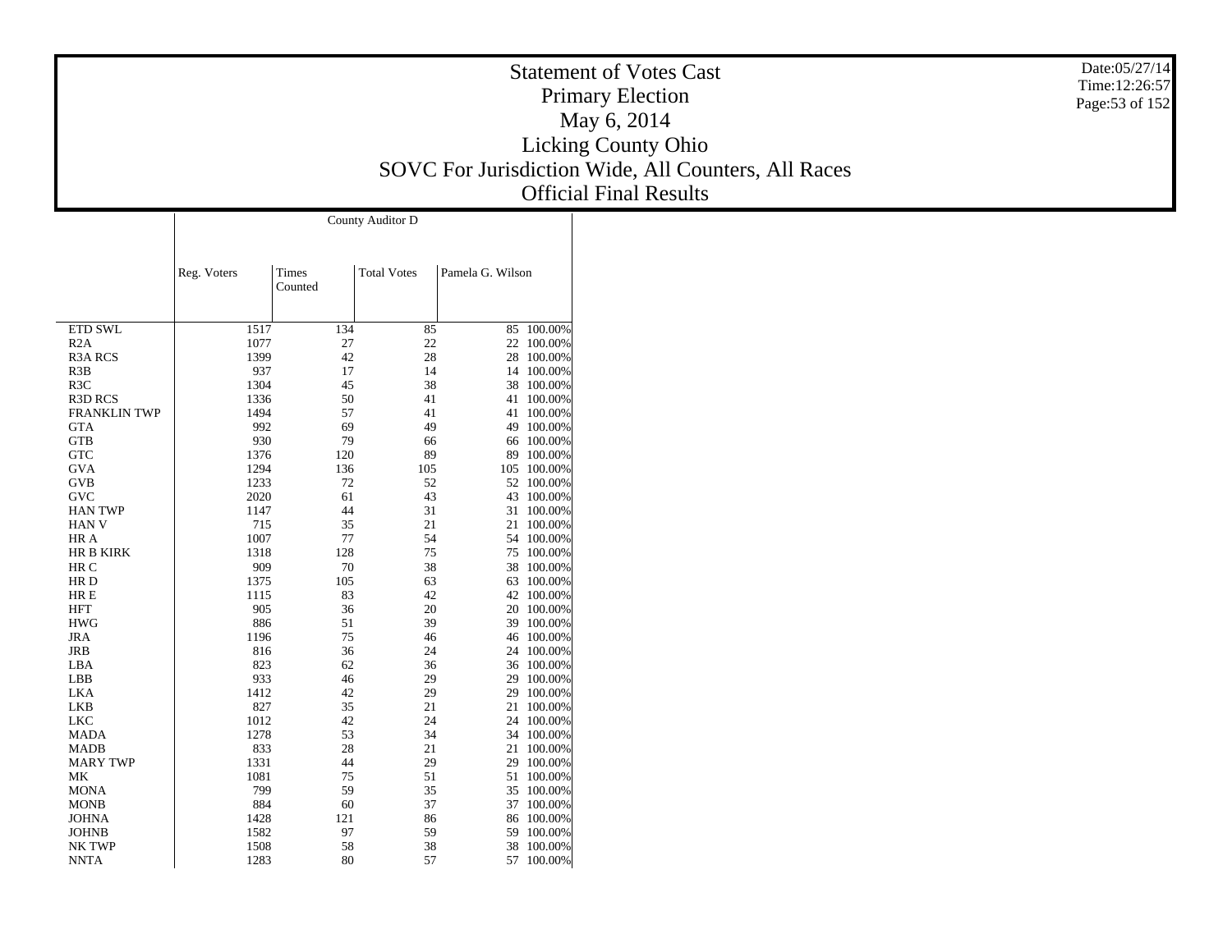| <b>Statement of Votes Cast</b>                      |
|-----------------------------------------------------|
| <b>Primary Election</b>                             |
| May 6, 2014                                         |
| <b>Licking County Ohio</b>                          |
| SOVC For Jurisdiction Wide, All Counters, All Races |
| <b>Official Final Results</b>                       |

|                          | County Auditor D |                  |                    |                  |                          |  |  |
|--------------------------|------------------|------------------|--------------------|------------------|--------------------------|--|--|
|                          |                  |                  |                    |                  |                          |  |  |
|                          | Reg. Voters      | Times<br>Counted | <b>Total Votes</b> | Pamela G. Wilson |                          |  |  |
|                          |                  |                  |                    |                  |                          |  |  |
| <b>ETD SWL</b><br>R2A    | 1517<br>1077     | 134<br>27        | 85<br>22           |                  | 85 100.00%<br>22 100.00% |  |  |
| <b>R3A RCS</b>           | 1399             | 42               | 28                 | 28               | 100.00%                  |  |  |
| R3B                      | 937              | 17               | 14                 | 14               | 100.00%                  |  |  |
| R <sub>3</sub> C         | 1304             | 45               | 38                 |                  | 38 100.00%               |  |  |
| R3D RCS                  | 1336             | 50               | 41                 | 41               | 100.00%                  |  |  |
| <b>FRANKLIN TWP</b>      | 1494             | 57               | 41                 | 41               | 100.00%                  |  |  |
| GTA                      | 992              | 69               | 49                 | 49               | 100.00%                  |  |  |
| <b>GTB</b>               | 930              | 79               | 66                 |                  | 66 100.00%               |  |  |
| <b>GTC</b>               | 1376             | 120              | 89                 |                  | 89 100.00%               |  |  |
| <b>GVA</b>               | 1294             | 136              | 105                |                  | 105 100.00%              |  |  |
| <b>GVB</b>               | 1233             | 72               | 52                 | 52               | 100.00%                  |  |  |
| <b>GVC</b>               | 2020             | 61               | 43                 | 43               | 100.00%                  |  |  |
| <b>HAN TWP</b>           | 1147             | 44               | 31                 | 31               | 100.00%                  |  |  |
| <b>HAN V</b>             | 715              | 35               | 21                 | 21               | 100.00%                  |  |  |
| HR A                     | 1007             | 77               | 54                 |                  | 54 100.00%               |  |  |
| <b>HR B KIRK</b>         | 1318             | 128              | 75                 |                  | 75 100.00%               |  |  |
| HR C                     | 909              | 70               | 38                 | 38               | 100.00%                  |  |  |
| HR D                     | 1375             | 105              | 63                 |                  | 63 100.00%               |  |  |
| HR E                     | 1115             | 83               | 42                 | 20               | 42 100.00%               |  |  |
| <b>HFT</b><br><b>HWG</b> | 905<br>886       | 36<br>51         | 20<br>39           |                  | 100.00%<br>39 100.00%    |  |  |
| JRA                      | 1196             | 75               | 46                 |                  | 46 100.00%               |  |  |
| JRB                      | 816              | 36               | 24                 |                  | 24 100.00%               |  |  |
| LBA                      | 823              | 62               | 36                 | 36               | 100.00%                  |  |  |
| LBB                      | 933              | 46               | 29                 |                  | 29 100.00%               |  |  |
| <b>LKA</b>               | 1412             | 42               | 29                 | 29               | 100.00%                  |  |  |
| <b>LKB</b>               | 827              | 35               | 21                 | 21               | 100.00%                  |  |  |
| LKC                      | 1012             | 42               | 24                 |                  | 24 100.00%               |  |  |
| MADA                     | 1278             | 53               | 34                 |                  | 34 100.00%               |  |  |
| <b>MADB</b>              | 833              | 28               | 21                 | 21               | 100.00%                  |  |  |
| <b>MARY TWP</b>          | 1331             | 44               | 29                 | 29               | 100.00%                  |  |  |
| МK                       | 1081             | 75               | 51                 | 51               | 100.00%                  |  |  |
| <b>MONA</b>              | 799              | 59               | 35                 | 35               | 100.00%                  |  |  |
| <b>MONB</b>              | 884              | 60               | 37                 | 37               | 100.00%                  |  |  |
| JOHNA                    | 1428             | 121              | 86                 | 86               | 100.00%                  |  |  |
| JOHNB                    | 1582             | 97               | 59                 | 59               | 100.00%                  |  |  |
| <b>NK TWP</b>            | 1508             | 58               | 38                 | 38               | 100.00%                  |  |  |
| <b>NNTA</b>              | 1283             | 80               | 57                 | 57               | 100.00%                  |  |  |

Date:05/27/14 Time:12:26:57 Page:53 of 152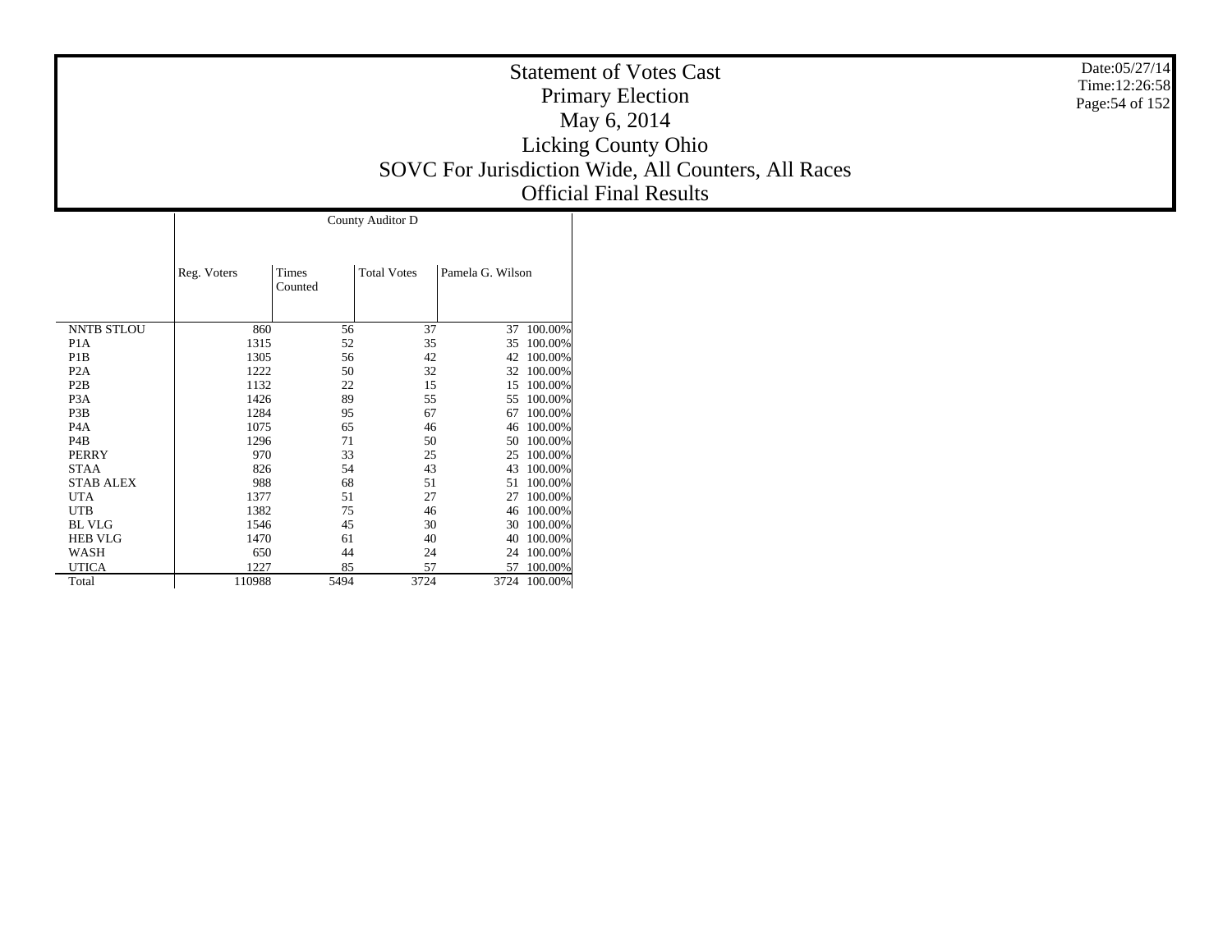|                   | County Auditor D |                  |                    |                  |         |  |  |
|-------------------|------------------|------------------|--------------------|------------------|---------|--|--|
|                   |                  |                  |                    |                  |         |  |  |
|                   | Reg. Voters      | Times<br>Counted | <b>Total Votes</b> | Pamela G. Wilson |         |  |  |
|                   |                  |                  |                    |                  |         |  |  |
| <b>NNTB STLOU</b> | 860              | 56               | 37                 | 37               | 100.00% |  |  |
| P <sub>1</sub> A  | 1315             | 52               | 35                 | 35               | 100.00% |  |  |
| P <sub>1</sub> B  | 1305             | 56               | 42                 | 42               | 100.00% |  |  |
| P <sub>2</sub> A  | 1222             | 50               | 32                 | 32               | 100.00% |  |  |
| P <sub>2</sub> B  | 1132             | 22               | 15                 | 15               | 100.00% |  |  |
| P <sub>3</sub> A  | 1426             | 89               | 55                 | 55               | 100.00% |  |  |
| P3B               | 1284             | 95               | 67                 | 67               | 100.00% |  |  |
| P <sub>4</sub> A  | 1075             | 65               | 46                 | 46               | 100.00% |  |  |
| P <sub>4</sub> B  | 1296             | 71               | 50                 | 50               | 100.00% |  |  |
| PERRY             | 970              | 33               | 25                 | 25               | 100.00% |  |  |
| <b>STAA</b>       | 826              | 54               | 43                 | 43               | 100.00% |  |  |
| <b>STAB ALEX</b>  | 988              | 68               | 51                 | 51               | 100.00% |  |  |
| UTA               | 1377             | 51               | 27                 | 27               | 100.00% |  |  |
| UTB               | 1382             | 75               | 46                 | 46               | 100.00% |  |  |
| <b>BL VLG</b>     | 1546             | 45               | 30                 | 30               | 100.00% |  |  |
| <b>HEB VLG</b>    | 1470             | 61               | 40                 | 40               | 100.00% |  |  |
| WASH              | 650              | 44               | 24                 | 24               | 100.00% |  |  |
| <b>UTICA</b>      | 1227             | 85               | 57                 | 57               | 100.00% |  |  |
| Total             | 110988           | 5494             | 3724               | 3724             | 100.00% |  |  |

Date:05/27/14 Time:12:26:58Page:54 of 152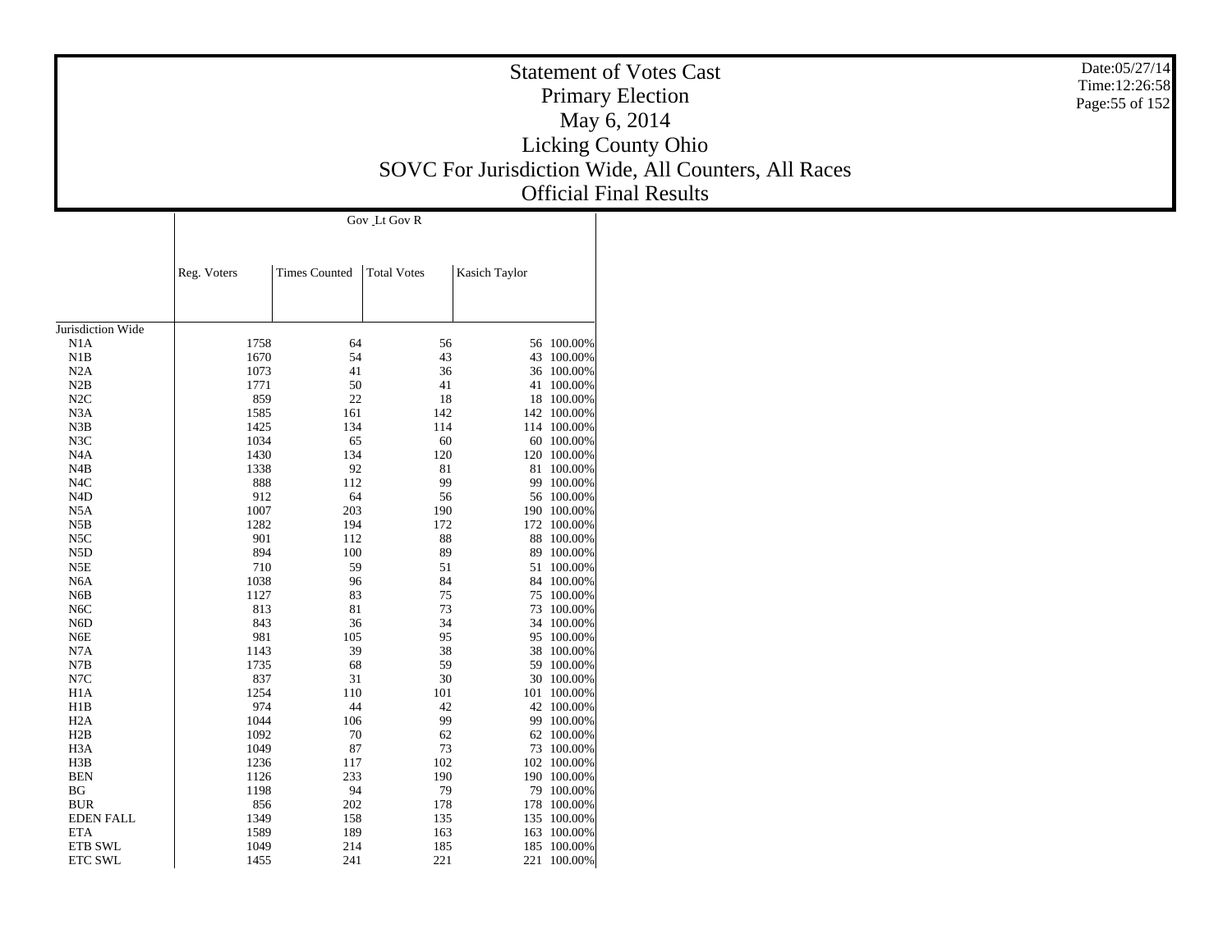|                         |              |                      |                    |                            | <b>Statement of Votes Cast</b>                      | Date:05/27/14   |
|-------------------------|--------------|----------------------|--------------------|----------------------------|-----------------------------------------------------|-----------------|
|                         |              |                      |                    |                            |                                                     | Time: 12:26:58  |
|                         |              |                      |                    |                            | <b>Primary Election</b>                             | Page: 55 of 152 |
|                         | May 6, 2014  |                      |                    |                            |                                                     |                 |
|                         |              |                      |                    |                            |                                                     |                 |
|                         |              |                      |                    |                            | <b>Licking County Ohio</b>                          |                 |
|                         |              |                      |                    |                            | SOVC For Jurisdiction Wide, All Counters, All Races |                 |
|                         |              |                      |                    |                            |                                                     |                 |
|                         |              |                      |                    |                            | <b>Official Final Results</b>                       |                 |
|                         |              |                      | Gov_Lt Gov R       |                            |                                                     |                 |
|                         |              |                      |                    |                            |                                                     |                 |
|                         | Reg. Voters  | <b>Times Counted</b> | <b>Total Votes</b> | <b>Kasich Taylor</b>       |                                                     |                 |
|                         |              |                      |                    |                            |                                                     |                 |
|                         |              |                      |                    |                            |                                                     |                 |
| Jurisdiction Wide       |              |                      |                    |                            |                                                     |                 |
| N1A                     | 1758         | 64                   | 56                 | 56 100.00%                 |                                                     |                 |
| N1B                     | 1670         | 54                   | 43                 | 43 100.00%                 |                                                     |                 |
| N2A                     | 1073         | 41                   | 36                 | 36 100.00%                 |                                                     |                 |
| N2B                     | 1771         | 50                   | 41                 | 41 100.00%                 |                                                     |                 |
| N2C                     | 859          | 22                   | 18                 | 18 100.00%                 |                                                     |                 |
| N3A                     | 1585         | 161                  | 142                | 142 100.00%                |                                                     |                 |
| N3B                     | 1425         | 134                  | 114                | 114 100.00%                |                                                     |                 |
| N3C<br>N <sub>4</sub> A | 1034<br>1430 | 65<br>134            | 60<br>120          | 60 100.00%<br>120 100.00%  |                                                     |                 |
| N4B                     | 1338         | 92                   | 81                 | 81 100.00%                 |                                                     |                 |
| $_{\mathrm{N4C}}$       | 888          | 112                  | 99                 | 99 100.00%                 |                                                     |                 |
| N <sub>4</sub> D        | 912          | 64                   | 56                 | 56 100.00%                 |                                                     |                 |
| N5A                     | 1007         | 203                  | 190                | 190 100.00%                |                                                     |                 |
| N5B                     | 1282         | 194                  | 172                | 172 100.00%                |                                                     |                 |
| N <sub>5</sub> C        | 901          | 112                  | 88                 | 88 100.00%                 |                                                     |                 |
| N <sub>5</sub> D        | 894          | 100                  | 89                 | 89 100.00%                 |                                                     |                 |
| N5E<br>N <sub>6</sub> A | 710<br>1038  | 59<br>96             | 51<br>84           | 51 100.00%<br>84 100.00%   |                                                     |                 |
| N6B                     | 1127         | 83                   | 75                 | 75 100.00%                 |                                                     |                 |
| N <sub>6</sub> C        | 813          | 81                   | 73                 | 73 100.00%                 |                                                     |                 |
| N <sub>6</sub> D        | 843          | 36                   | 34                 | 34 100.00%                 |                                                     |                 |
| N <sub>6</sub> E        | 981          | 105                  | 95                 | 95 100.00%                 |                                                     |                 |
| N7A                     | 1143         | 39                   | 38                 | 38 100.00%                 |                                                     |                 |
| N7B                     | 1735         | 68                   | 59                 | 59 100.00%                 |                                                     |                 |
| N7C                     | 837          | 31                   | 30                 | 30 100.00%                 |                                                     |                 |
| H <sub>1</sub> A<br>H1B | 1254<br>974  | 110<br>44            | 101<br>42          | 101 100.00%<br>42 100.00%  |                                                     |                 |
| H <sub>2</sub> A        | 1044         | 106                  | 99                 | 99 100.00%                 |                                                     |                 |
| H2B                     | 1092         | 70                   | 62                 | 62 100.00%                 |                                                     |                 |
| $_{\rm H3A}$            | 1049         | 87                   | 73                 | 73 100.00%                 |                                                     |                 |
| H3B                     | 1236         | 117                  | 102                | 102 100.00%                |                                                     |                 |
| <b>BEN</b>              | 1126         | 233                  | 190                | 190 100.00%                |                                                     |                 |
| $\mathbf{B}\mathbf{G}$  | 1198         | 94                   | 79                 | 79 100.00%                 |                                                     |                 |
| <b>BUR</b>              | 856          | 202                  | 178                | 178 100.00%                |                                                     |                 |
| <b>EDEN FALL</b>        | 1349         | 158                  | 135                | 135 100.00%                |                                                     |                 |
| <b>ETA</b><br>ETB SWL   | 1589<br>1049 | 189                  | 163                | 163 100.00%<br>185 100.00% |                                                     |                 |
| ETC SWL                 | 1455         | $214\,$<br>241       | 185<br>221         | 221 100.00%                |                                                     |                 |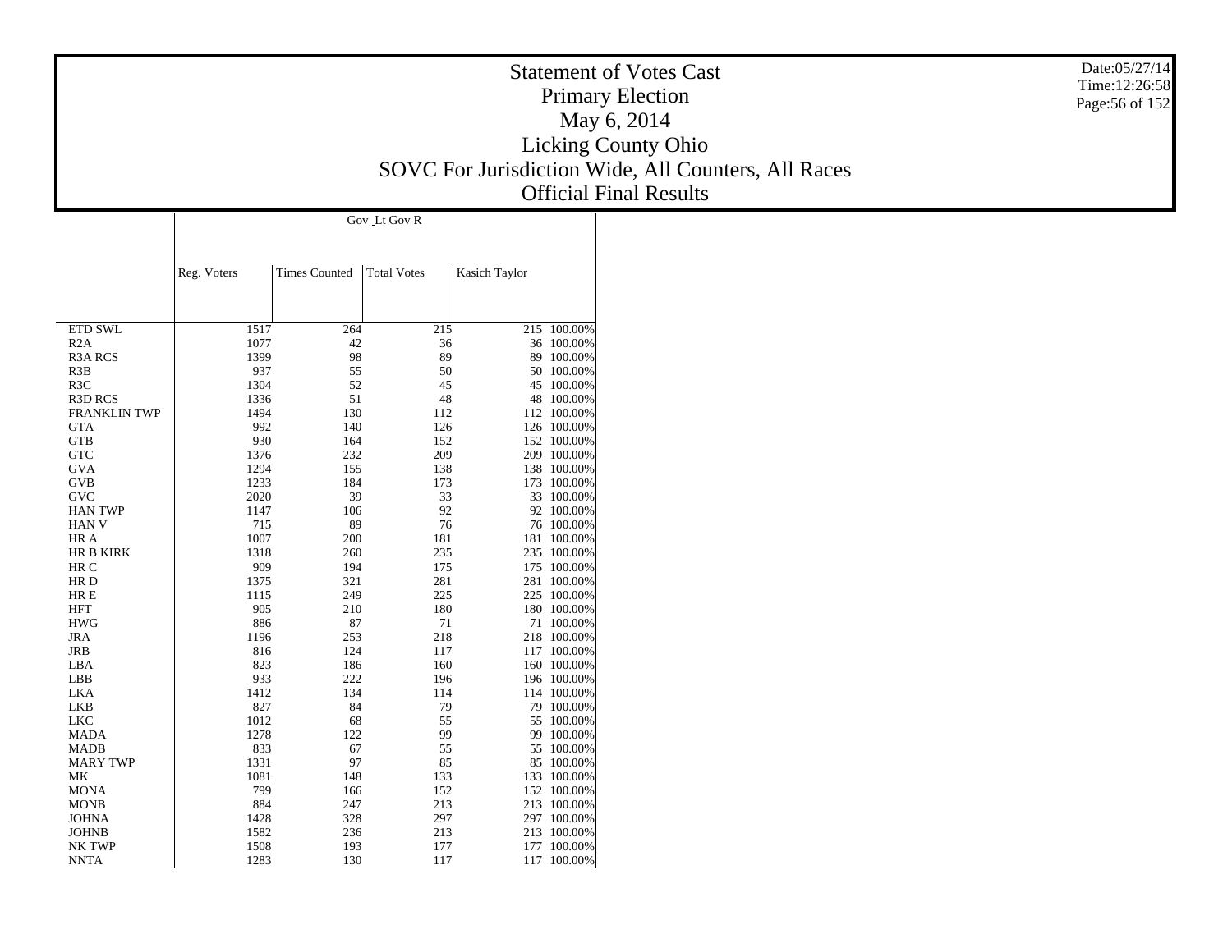|                            |                                                              |               |              |                            | <b>Statement of Votes Cast</b>                      | Date:05/27/14 |  |  |
|----------------------------|--------------------------------------------------------------|---------------|--------------|----------------------------|-----------------------------------------------------|---------------|--|--|
|                            | Time: 12:26:58<br><b>Primary Election</b><br>Page: 56 of 152 |               |              |                            |                                                     |               |  |  |
|                            | May 6, 2014                                                  |               |              |                            |                                                     |               |  |  |
|                            |                                                              |               |              |                            |                                                     |               |  |  |
|                            |                                                              |               |              |                            | <b>Licking County Ohio</b>                          |               |  |  |
|                            |                                                              |               |              |                            | SOVC For Jurisdiction Wide, All Counters, All Races |               |  |  |
|                            |                                                              |               |              |                            | <b>Official Final Results</b>                       |               |  |  |
|                            |                                                              |               | Gov_Lt Gov R |                            |                                                     |               |  |  |
|                            |                                                              |               |              |                            |                                                     |               |  |  |
|                            |                                                              |               |              |                            |                                                     |               |  |  |
|                            | Reg. Voters                                                  | Times Counted | Total Votes  | Kasich Taylor              |                                                     |               |  |  |
|                            |                                                              |               |              |                            |                                                     |               |  |  |
|                            |                                                              |               |              |                            |                                                     |               |  |  |
| <b>ETD SWL</b><br>R2A      | 1517<br>1077                                                 | 264<br>42     | 215<br>36    | 215 100.00%<br>36 100.00%  |                                                     |               |  |  |
| <b>R3A RCS</b>             | 1399                                                         | 98            | 89           | 89 100.00%                 |                                                     |               |  |  |
| R3B                        | 937                                                          | 55            | 50           | 50 100.00%                 |                                                     |               |  |  |
| R3C                        | 1304                                                         | 52            | 45           | 45 100.00%                 |                                                     |               |  |  |
| R3D RCS                    | 1336                                                         | 51            | 48           | 48 100.00%                 |                                                     |               |  |  |
| <b>FRANKLIN TWP</b>        | 1494                                                         | 130           | 112          | 112 100.00%                |                                                     |               |  |  |
| <b>GTA</b><br><b>GTB</b>   | 992<br>930                                                   | 140<br>164    | 126<br>152   | 126 100.00%<br>152 100.00% |                                                     |               |  |  |
| $_{\rm GTC}$               | 1376                                                         | 232           | 209          | 209 100.00%                |                                                     |               |  |  |
| <b>GVA</b>                 | 1294                                                         | 155           | 138          | 138 100.00%                |                                                     |               |  |  |
| <b>GVB</b>                 | 1233                                                         | 184           | 173          | 173 100.00%                |                                                     |               |  |  |
| $\operatorname{GVC}$       | 2020                                                         | 39            | 33           | 33 100.00%                 |                                                     |               |  |  |
| <b>HAN TWP</b>             | 1147                                                         | 106           | 92           | 92 100.00%                 |                                                     |               |  |  |
| <b>HANV</b><br>HR A        | 715<br>1007                                                  | 89            | 76           | 76 100.00%                 |                                                     |               |  |  |
| HR B KIRK                  | 1318                                                         | 200<br>260    | 181<br>235   | 181 100.00%<br>235 100.00% |                                                     |               |  |  |
| HR C                       | 909                                                          | 194           | 175          | 175 100.00%                |                                                     |               |  |  |
| HR D                       | 1375                                                         | 321           | 281          | 281 100.00%                |                                                     |               |  |  |
| HR E                       | 1115                                                         | 249           | 225          | 225 100.00%                |                                                     |               |  |  |
| <b>HFT</b>                 | 905                                                          | 210           | 180          | 180 100.00%                |                                                     |               |  |  |
| $\rm HWG$                  | 886                                                          | 87            | 71           | 71 100.00%                 |                                                     |               |  |  |
| <b>JRA</b><br><b>JRB</b>   | 1196<br>816                                                  | 253<br>124    | 218<br>117   | 218 100.00%<br>117 100.00% |                                                     |               |  |  |
| LBA                        | 823                                                          | 186           | 160          | 160 100.00%                |                                                     |               |  |  |
| LBB                        | 933                                                          | $222\,$       | 196          | 196 100.00%                |                                                     |               |  |  |
| <b>LKA</b>                 | 1412                                                         | 134           | 114          | 114 100.00%                |                                                     |               |  |  |
| LKB                        | 827                                                          | 84            | 79           | 79 100.00%                 |                                                     |               |  |  |
| ${\rm LKC}$                | 1012                                                         | 68            | 55           | 55 100.00%                 |                                                     |               |  |  |
| <b>MADA</b>                | 1278                                                         | 122           | 99           | 99 100.00%                 |                                                     |               |  |  |
| MADB                       | 833<br>1331                                                  | 67<br>97      | 55<br>$85\,$ | 55 100.00%<br>85 100.00%   |                                                     |               |  |  |
| <b>MARY TWP</b><br>МK      | 1081                                                         | 148           | 133          | 133 100.00%                |                                                     |               |  |  |
| <b>MONA</b>                | 799                                                          | 166           | 152          | 152 100.00%                |                                                     |               |  |  |
| <b>MONB</b>                | 884                                                          | 247           | 213          | 213 100.00%                |                                                     |               |  |  |
| <b>JOHNA</b>               | 1428                                                         | 328           | 297          | 297 100.00%                |                                                     |               |  |  |
| <b>JOHNB</b>               | 1582                                                         | 236           | 213          | 213 100.00%                |                                                     |               |  |  |
| NK TWP                     | 1508                                                         | 193           | 177          | 177 100.00%                |                                                     |               |  |  |
| $\ensuremath{\text{NNTA}}$ | 1283                                                         | 130           | 117          | 117 100.00%                |                                                     |               |  |  |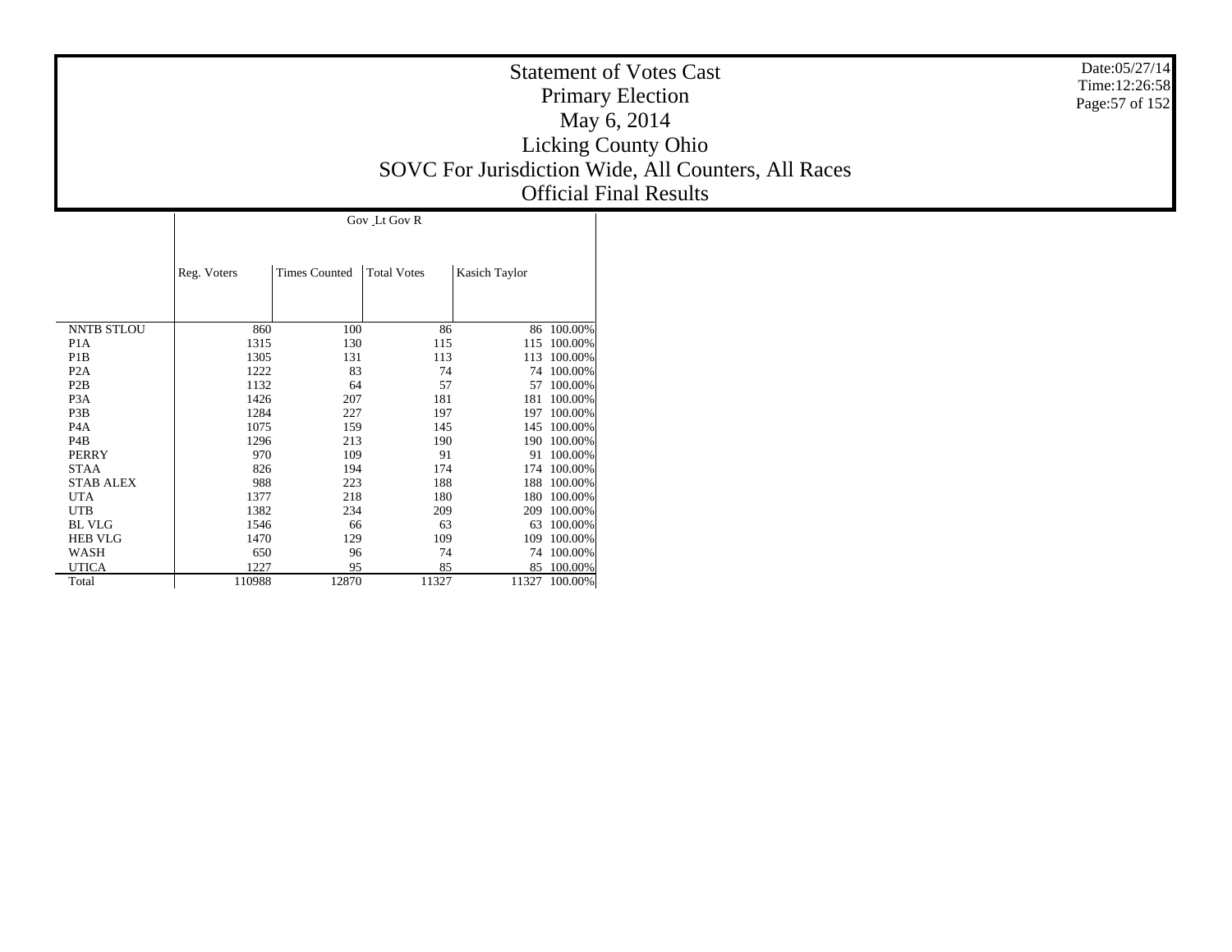| <b>Statement of Votes Cast</b>                      |
|-----------------------------------------------------|
| <b>Primary Election</b>                             |
| May 6, 2014                                         |
| <b>Licking County Ohio</b>                          |
| SOVC For Jurisdiction Wide, All Counters, All Races |
| <b>Official Final Results</b>                       |

| ry Election                   |  |
|-------------------------------|--|
| y 6, 2014                     |  |
| <b>County Ohio</b>            |  |
| Vide, All Counters, All Races |  |
|                               |  |

|                   |             |                      | Gov Lt Gov R       |               |         |
|-------------------|-------------|----------------------|--------------------|---------------|---------|
|                   | Reg. Voters | <b>Times Counted</b> | <b>Total Votes</b> | Kasich Taylor |         |
|                   |             |                      |                    |               |         |
| <b>NNTB STLOU</b> | 860         | 100                  | 86                 | 86            | 100.00% |
| P <sub>1</sub> A  | 1315        | 130                  | 115                | 115           | 100.00% |
| P <sub>1</sub> B  | 1305        | 131                  | 113                | 113           | 100.00% |
| P <sub>2</sub> A  | 1222        | 83                   | 74                 | 74            | 100.00% |
| P <sub>2</sub> B  | 1132        | 64                   | 57                 | 57            | 100.00% |
| P <sub>3</sub> A  | 1426        | 207                  | 181                | 181           | 100.00% |
| P3B               | 1284        | 227                  | 197                | 197           | 100.00% |
| P <sub>4</sub> A  | 1075        | 159                  | 145                | 145           | 100.00% |
| P4B               | 1296        | 213                  | 190                | 190           | 100.00% |
| PERRY             | 970         | 109                  | 91                 | 91            | 100.00% |
| <b>STAA</b>       | 826         | 194                  | 174                | 174           | 100.00% |
| <b>STAB ALEX</b>  | 988         | 223                  | 188                | 188           | 100.00% |
| <b>UTA</b>        | 1377        | 218                  | 180                | 180           | 100.00% |
| <b>UTB</b>        | 1382        | 234                  | 209                | 209           | 100.00% |
| <b>BL VLG</b>     | 1546        | 66                   | 63                 | 63            | 100.00% |
| <b>HEB VLG</b>    | 1470        | 129                  | 109                | 109           | 100.00% |
| WASH              | 650         | 96                   | 74                 | 74            | 100.00% |
| <b>UTICA</b>      | 1227        | 95                   | 85                 | 85            | 100.00% |
| Total             | 110988      | 12870                | 11327              | 11327         | 100.00% |

Date:05/27/14 Time:12:26:58 Page:57 of 152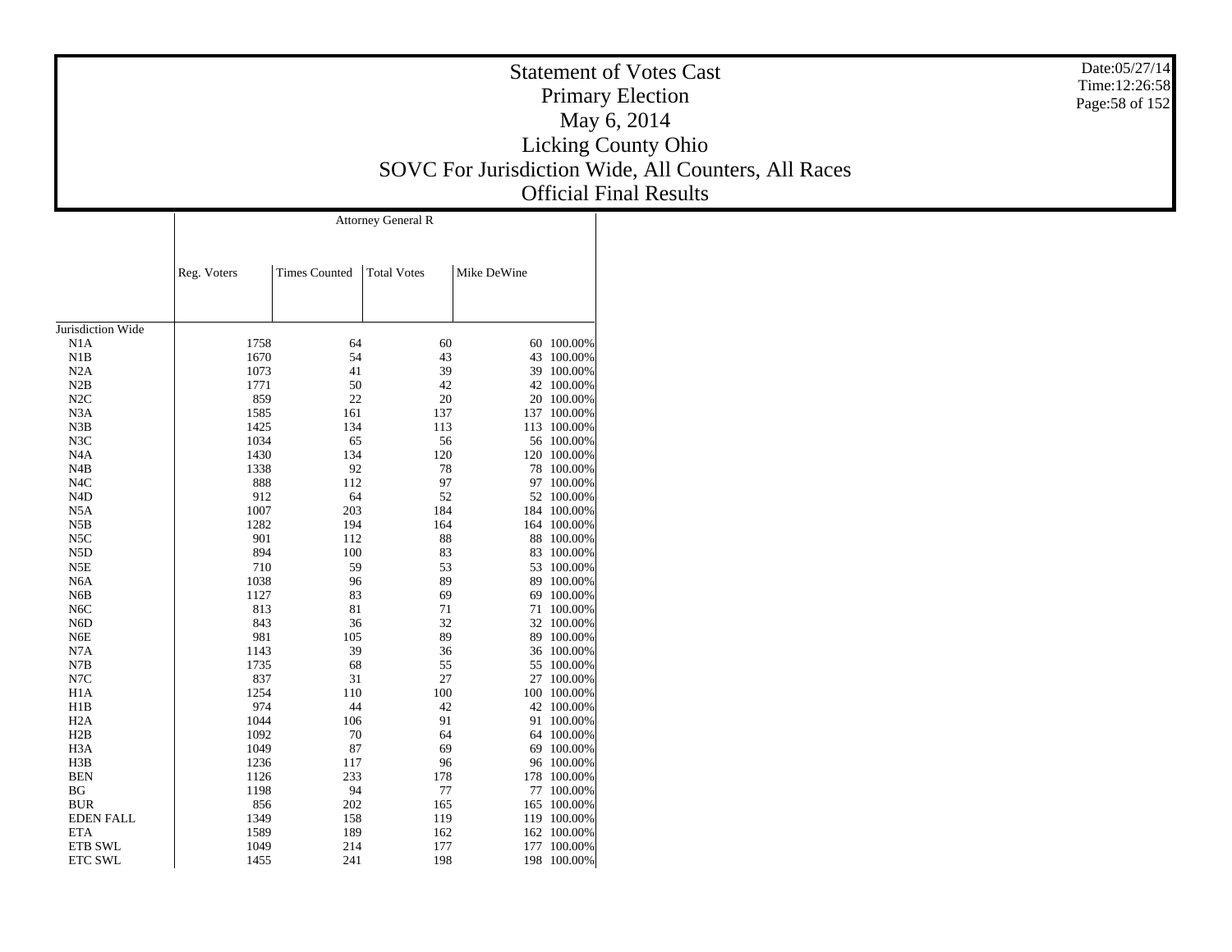|                               |                            |                      |                           |                                                     | <b>Statement of Votes Cast</b> |  |  |  |  |  |  |  |
|-------------------------------|----------------------------|----------------------|---------------------------|-----------------------------------------------------|--------------------------------|--|--|--|--|--|--|--|
|                               | <b>Primary Election</b>    |                      |                           |                                                     |                                |  |  |  |  |  |  |  |
|                               |                            |                      |                           |                                                     |                                |  |  |  |  |  |  |  |
|                               | May 6, 2014                |                      |                           |                                                     |                                |  |  |  |  |  |  |  |
|                               | <b>Licking County Ohio</b> |                      |                           |                                                     |                                |  |  |  |  |  |  |  |
|                               |                            |                      |                           | SOVC For Jurisdiction Wide, All Counters, All Races |                                |  |  |  |  |  |  |  |
|                               |                            |                      |                           |                                                     |                                |  |  |  |  |  |  |  |
|                               |                            |                      |                           |                                                     | <b>Official Final Results</b>  |  |  |  |  |  |  |  |
|                               |                            |                      | <b>Attorney General R</b> |                                                     |                                |  |  |  |  |  |  |  |
|                               |                            |                      |                           |                                                     |                                |  |  |  |  |  |  |  |
|                               |                            |                      |                           |                                                     |                                |  |  |  |  |  |  |  |
|                               | Reg. Voters                | <b>Times Counted</b> | <b>Total Votes</b>        | Mike DeWine                                         |                                |  |  |  |  |  |  |  |
|                               |                            |                      |                           |                                                     |                                |  |  |  |  |  |  |  |
|                               |                            |                      |                           |                                                     |                                |  |  |  |  |  |  |  |
| Jurisdiction Wide             |                            |                      |                           |                                                     |                                |  |  |  |  |  |  |  |
| N1A                           | 1758                       | 64                   | 60                        |                                                     | 60 100.00%                     |  |  |  |  |  |  |  |
| N1B                           | 1670                       | 54                   | 43                        |                                                     | 43 100.00%                     |  |  |  |  |  |  |  |
| N2A                           | 1073                       | 41                   | 39                        |                                                     | 39 100.00%                     |  |  |  |  |  |  |  |
| N2B                           | 1771                       | 50                   | 42                        |                                                     | 42 100.00%                     |  |  |  |  |  |  |  |
| N2C                           | 859                        | 22                   | 20                        |                                                     | 20 100.00%                     |  |  |  |  |  |  |  |
| N3A                           | 1585                       | 161                  | 137                       |                                                     | 137 100.00%                    |  |  |  |  |  |  |  |
| N3B                           | 1425                       | 134                  | 113                       |                                                     | 113 100.00%                    |  |  |  |  |  |  |  |
| N3C<br>N <sub>4</sub> A       | 1034<br>1430               | 65<br>134            | 56<br>120                 |                                                     | 56 100.00%<br>120 100.00%      |  |  |  |  |  |  |  |
| N4B                           | 1338                       | 92                   | 78                        |                                                     | 78 100.00%                     |  |  |  |  |  |  |  |
| N <sub>4</sub> C              | 888                        | 112                  | 97                        |                                                     | 97 100.00%                     |  |  |  |  |  |  |  |
| N4D                           | 912                        | 64                   | 52                        |                                                     | 52 100.00%                     |  |  |  |  |  |  |  |
| N5A                           | 1007                       | 203                  | 184                       |                                                     | 184 100.00%                    |  |  |  |  |  |  |  |
| N5B                           | 1282                       | 194                  | 164                       |                                                     | 164 100.00%                    |  |  |  |  |  |  |  |
| N5C                           | 901                        | 112                  | 88                        |                                                     | 88 100.00%                     |  |  |  |  |  |  |  |
| N5D                           | 894                        | 100                  | 83                        |                                                     | 83 100.00%                     |  |  |  |  |  |  |  |
| N5E<br>N6A                    | 710<br>1038                | 59<br>96             | 53<br>89                  |                                                     | 53 100.00%<br>89 100.00%       |  |  |  |  |  |  |  |
| N6B                           | 1127                       | 83                   | 69                        |                                                     | 69 100.00%                     |  |  |  |  |  |  |  |
| N <sub>6</sub> C              | 813                        | 81                   | 71                        |                                                     | 71 100.00%                     |  |  |  |  |  |  |  |
| N <sub>6</sub> D              | 843                        | 36                   | 32                        |                                                     | 32 100.00%                     |  |  |  |  |  |  |  |
| N6E                           | 981                        | 105                  | 89                        |                                                     | 89 100.00%                     |  |  |  |  |  |  |  |
| N7A                           | 1143                       | 39                   | 36                        |                                                     | 36 100.00%                     |  |  |  |  |  |  |  |
| N7B                           | 1735                       | 68                   | 55                        |                                                     | 55 100.00%                     |  |  |  |  |  |  |  |
| N7C                           | 837                        | 31                   | 27                        |                                                     | 27 100.00%                     |  |  |  |  |  |  |  |
| H <sub>1</sub> A              | 1254                       | 110                  | 100                       |                                                     | 100 100.00%                    |  |  |  |  |  |  |  |
| H1B                           | 974                        | 44                   | 42                        |                                                     | 42 100.00%                     |  |  |  |  |  |  |  |
| H <sub>2</sub> A<br>H2B       | 1044<br>1092               | 106<br>70            | 91<br>64                  |                                                     | 91 100.00%<br>64 100.00%       |  |  |  |  |  |  |  |
| H3A                           | 1049                       | 87                   | 69                        |                                                     | 69 100.00%                     |  |  |  |  |  |  |  |
| $_{\rm H3B}$                  | 1236                       | 117                  | 96                        |                                                     | 96 100.00%                     |  |  |  |  |  |  |  |
| $\operatorname{BEN}$          | 1126                       | 233                  | 178                       |                                                     | 178 100.00%                    |  |  |  |  |  |  |  |
| BG                            | 1198                       | 94                   | 77                        |                                                     | 77 100.00%                     |  |  |  |  |  |  |  |
| <b>BUR</b>                    | 856                        | 202                  | 165                       |                                                     | 165 100.00%                    |  |  |  |  |  |  |  |
| <b>EDEN FALL</b>              | 1349                       | 158                  | 119                       |                                                     | 119 100.00%                    |  |  |  |  |  |  |  |
| ETA                           | 1589                       | 189                  | 162                       |                                                     | 162 100.00%                    |  |  |  |  |  |  |  |
| ETB SWL                       | 1049                       | 214                  | 177                       |                                                     | 177 100.00%                    |  |  |  |  |  |  |  |
| $\ensuremath{\text{ETC}}$ SWL | 1455                       | $241\,$              | 198                       |                                                     | 198 100.00%                    |  |  |  |  |  |  |  |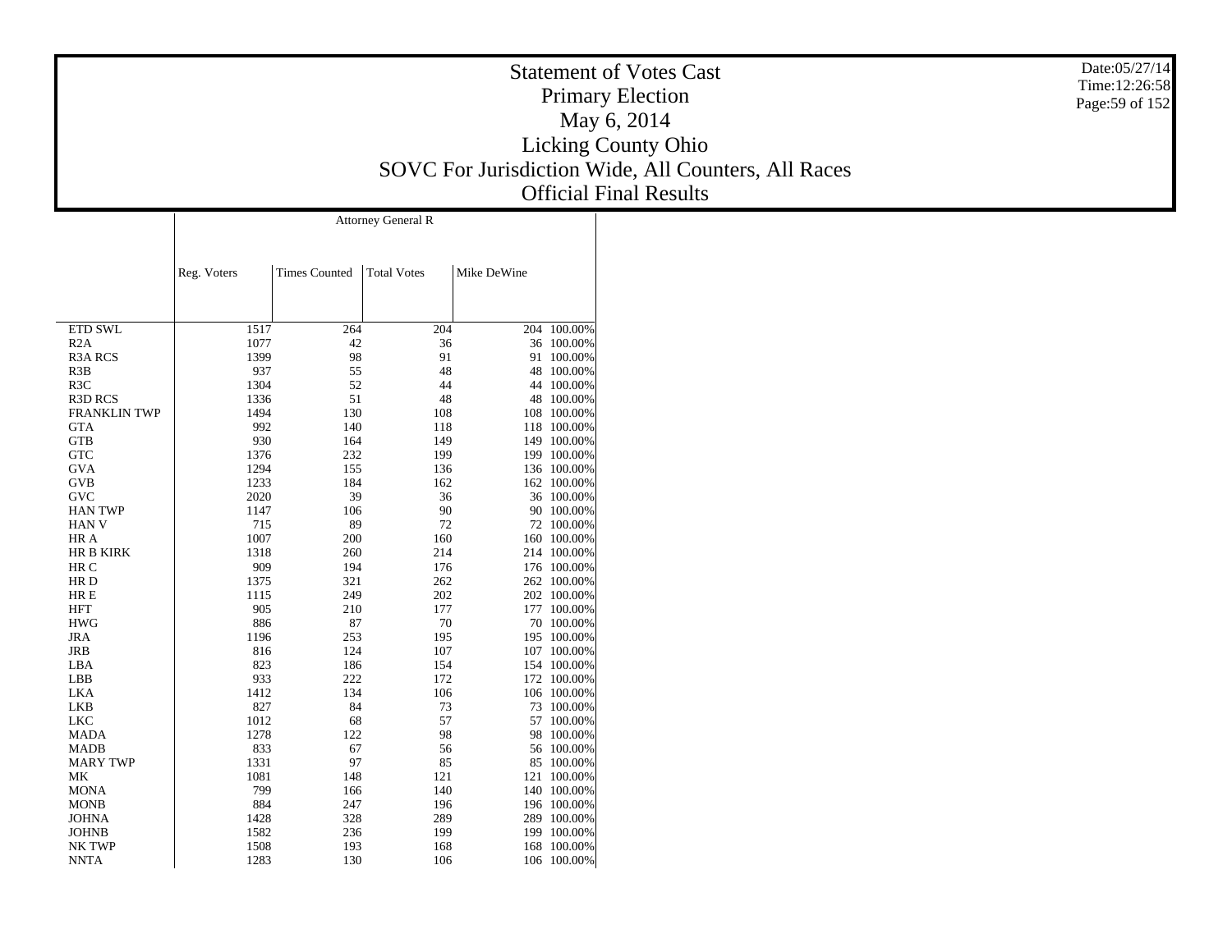| <b>Statement of Votes Cast</b>                      |
|-----------------------------------------------------|
| <b>Primary Election</b>                             |
| May 6, 2014                                         |
| <b>Licking County Ohio</b>                          |
| SOVC For Jurisdiction Wide, All Counters, All Races |
| <b>Official Final Results</b>                       |

Date:05/27/14 Time:12:26:58 Page:59 of 152

|                          |             |                      | <b>Attorney General R</b> |             |                           |
|--------------------------|-------------|----------------------|---------------------------|-------------|---------------------------|
|                          |             |                      |                           |             |                           |
|                          | Reg. Voters | <b>Times Counted</b> | <b>Total Votes</b>        | Mike DeWine |                           |
|                          |             |                      |                           |             |                           |
|                          |             |                      |                           |             |                           |
| <b>ETD SWL</b>           | 1517        | 264                  | 204                       |             | 204 100.00%               |
| R2A                      | 1077        | 42                   | 36                        |             | 36 100.00%                |
| <b>R3A RCS</b>           | 1399        | 98                   | 91                        |             | 91 100.00%                |
| R3B                      | 937         | 55                   | 48                        |             | 48 100.00%                |
| R <sub>3</sub> C         | 1304        | 52                   | 44                        |             | 44 100.00%                |
| <b>R3D RCS</b>           | 1336        | 51                   | 48                        |             | 48 100.00%                |
| <b>FRANKLIN TWP</b>      | 1494        | 130                  | 108                       |             | 108 100.00%               |
| <b>GTA</b>               | 992         | 140                  | 118                       |             | 118 100.00%               |
| <b>GTB</b>               | 930         | 164                  | 149                       |             | 149 100.00%               |
| <b>GTC</b>               | 1376        | 232                  | 199                       |             | 199 100.00%               |
| <b>GVA</b>               | 1294        | 155                  | 136                       |             | 136 100.00%               |
| <b>GVB</b>               | 1233        | 184                  | 162                       |             | 162 100.00%               |
| <b>GVC</b>               | 2020        | 39                   | 36                        |             | 36 100.00%                |
| <b>HAN TWP</b>           | 1147        | 106                  | 90                        |             | 90 100.00%                |
| <b>HANV</b>              | 715         | 89                   | 72                        |             | 72 100.00%                |
| HR A                     | 1007        | 200                  | 160                       |             | 160 100.00%               |
| <b>HR B KIRK</b>         | 1318        | 260                  | 214                       |             | 214 100.00%               |
| HR C                     | 909         | 194                  | 176                       |             | 176 100.00%               |
| HR D                     | 1375        | 321                  | 262                       |             | 262 100.00%               |
| HR E                     | 1115        | 249                  | 202                       |             | 202 100.00%               |
| <b>HFT</b><br><b>HWG</b> | 905         | 210                  | 177<br>70                 |             | 177 100.00%               |
| <b>JRA</b>               | 886<br>1196 | 87<br>253            | 195                       |             | 70 100.00%<br>195 100.00% |
| <b>JRB</b>               | 816         | 124                  | 107                       |             | 107 100.00%               |
| LBA                      | 823         | 186                  | 154                       |             | 154 100.00%               |
| LBB                      | 933         | 222                  | 172                       |             | 172 100.00%               |
| <b>LKA</b>               | 1412        | 134                  | 106                       |             | 106 100.00%               |
| LKB                      | 827         | 84                   | 73                        |             | 73 100.00%                |
| <b>LKC</b>               | 1012        | 68                   | 57                        |             | 57 100.00%                |
| <b>MADA</b>              | 1278        | 122                  | 98                        |             | 98 100.00%                |
| <b>MADB</b>              | 833         | 67                   | 56                        |             | 56 100.00%                |
| <b>MARY TWP</b>          | 1331        | 97                   | 85                        |             | 85 100.00%                |
| MK                       | 1081        | 148                  | 121                       |             | 121 100.00%               |
| MONA                     | 799         | 166                  | 140                       |             | 140 100.00%               |
| <b>MONB</b>              | 884         | 247                  | 196                       |             | 196 100.00%               |
| <b>JOHNA</b>             | 1428        | 328                  | 289                       |             | 289 100.00%               |
| <b>JOHNB</b>             | 1582        | 236                  | 199                       |             | 199 100.00%               |
| NK TWP                   | 1508        | 193                  | 168                       |             | 168 100.00%               |
| <b>NNTA</b>              | 1283        | 130                  | 106                       |             | 106 100.00%               |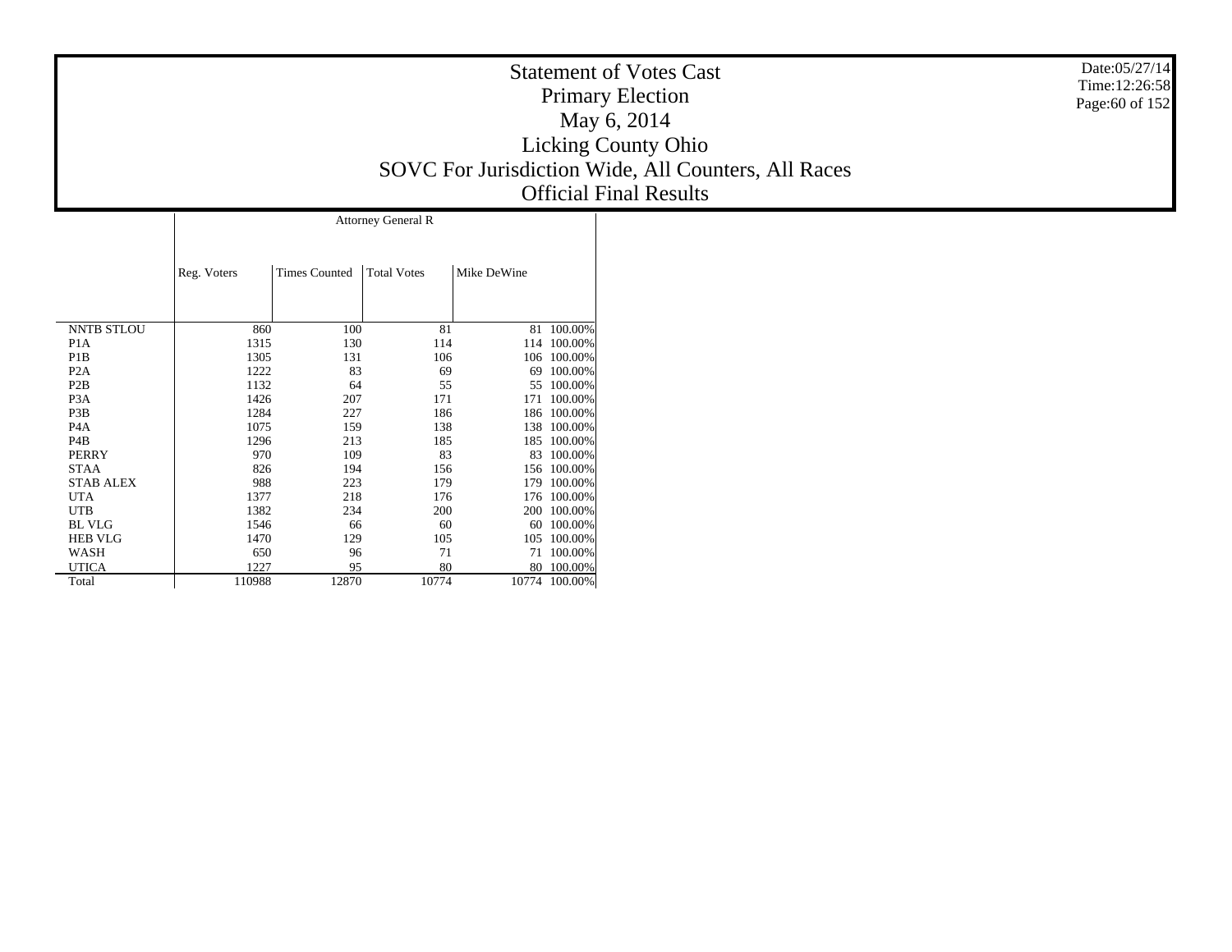Date:05/27/14 Time:12:26:58Page:60 of 152

|                   |             |                      | <b>Attorney General R</b> |             |         |
|-------------------|-------------|----------------------|---------------------------|-------------|---------|
|                   | Reg. Voters | <b>Times Counted</b> | <b>Total Votes</b>        | Mike DeWine |         |
|                   |             |                      |                           |             |         |
| <b>NNTB STLOU</b> | 860         | 100                  | 81                        | 81          | 100.00% |
| P <sub>1</sub> A  | 1315        | 130                  | 114                       | 114         | 100.00% |
| P <sub>1</sub> B  | 1305        | 131                  | 106                       | 106         | 100.00% |
| P <sub>2</sub> A  | 1222        | 83                   | 69                        | 69          | 100.00% |
| P <sub>2</sub> B  | 1132        | 64                   | 55                        | 55          | 100.00% |
| P <sub>3</sub> A  | 1426        | 207                  | 171                       | 171         | 100.00% |
| P3B               | 1284        | 227                  | 186                       | 186         | 100.00% |
| P <sub>4</sub> A  | 1075        | 159                  | 138                       | 138         | 100.00% |
| P4B               | 1296        | 213                  | 185                       | 185         | 100.00% |
| <b>PERRY</b>      | 970         | 109                  | 83                        | 83          | 100.00% |
| <b>STAA</b>       | 826         | 194                  | 156                       | 156         | 100.00% |
| <b>STAB ALEX</b>  | 988         | 223                  | 179                       | 179         | 100.00% |
| UTA               | 1377        | 218                  | 176                       | 176         | 100.00% |
| UTB               | 1382        | 234                  | 200                       | 200         | 100.00% |
| <b>BL VLG</b>     | 1546        | 66                   | 60                        | 60          | 100.00% |
| <b>HEB VLG</b>    | 1470        | 129                  | 105                       | 105         | 100.00% |
| WASH              | 650         | 96                   | 71                        | 71          | 100.00% |
| <b>UTICA</b>      | 1227        | 95                   | 80                        | 80          | 100.00% |
| Total             | 110988      | 12870                | 10774                     | 10774       | 100.00% |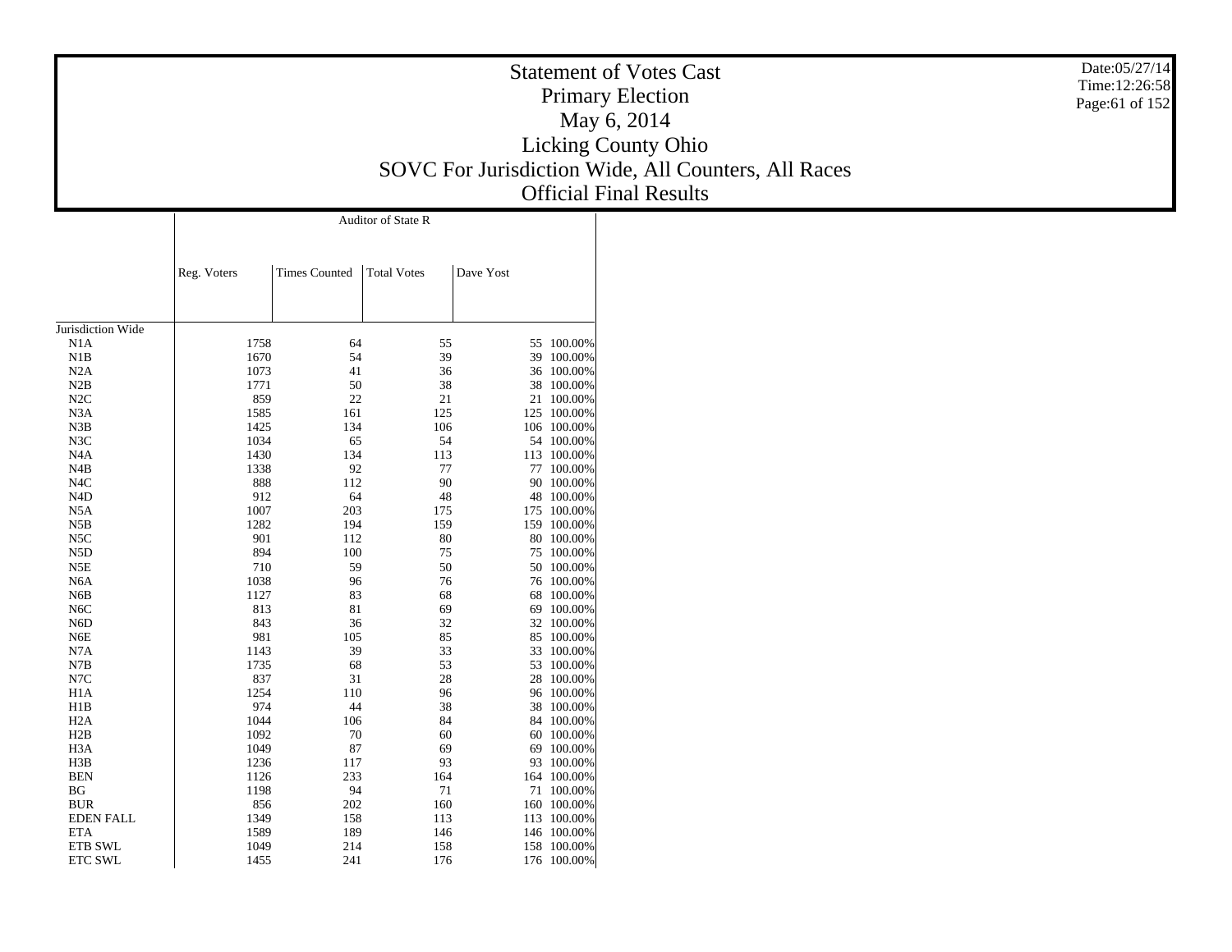|                                      |              |                         |                    |           |  |                           | <b>Statement of Votes Cast</b>                      | Date:05/27/14 |
|--------------------------------------|--------------|-------------------------|--------------------|-----------|--|---------------------------|-----------------------------------------------------|---------------|
|                                      |              | <b>Primary Election</b> | Time: 12:26:58     |           |  |                           |                                                     |               |
|                                      |              |                         |                    |           |  |                           | Page:61 of 152                                      |               |
|                                      |              |                         |                    |           |  |                           | May 6, 2014                                         |               |
|                                      |              |                         |                    |           |  |                           | <b>Licking County Ohio</b>                          |               |
|                                      |              |                         |                    |           |  |                           |                                                     |               |
|                                      |              |                         |                    |           |  |                           | SOVC For Jurisdiction Wide, All Counters, All Races |               |
|                                      |              |                         |                    |           |  |                           | <b>Official Final Results</b>                       |               |
|                                      |              |                         |                    |           |  |                           |                                                     |               |
|                                      |              |                         | Auditor of State R |           |  |                           |                                                     |               |
|                                      |              |                         |                    |           |  |                           |                                                     |               |
|                                      |              |                         |                    |           |  |                           |                                                     |               |
|                                      | Reg. Voters  | <b>Times Counted</b>    | Total Votes        | Dave Yost |  |                           |                                                     |               |
|                                      |              |                         |                    |           |  |                           |                                                     |               |
|                                      |              |                         |                    |           |  |                           |                                                     |               |
| Jurisdiction Wide                    |              |                         |                    |           |  |                           |                                                     |               |
| N1A<br>N1B                           | 1758<br>1670 | 64<br>54                | 55<br>39           |           |  | 55 100.00%<br>39 100.00%  |                                                     |               |
| N2A                                  | 1073         | 41                      | 36                 |           |  | 36 100.00%                |                                                     |               |
| N2B                                  | 1771         | 50                      | 38                 |           |  | 38 100.00%                |                                                     |               |
| N2C                                  | 859          | 22                      | 21                 |           |  | 21 100.00%                |                                                     |               |
| N3A                                  | 1585         | 161                     | 125                |           |  | 125 100.00%               |                                                     |               |
| N3B                                  | 1425         | 134                     | 106                |           |  | 106 100.00%               |                                                     |               |
| N3C                                  | 1034         | 65                      | 54                 |           |  | 54 100.00%                |                                                     |               |
| N4A                                  | 1430         | 134                     | 113                |           |  | 113 100.00%               |                                                     |               |
| N4B                                  | 1338         | 92                      | 77                 |           |  | 77 100.00%                |                                                     |               |
| N <sub>4</sub> C<br>N <sub>4</sub> D | 888<br>912   | 112<br>64               | 90<br>48           |           |  | 90 100.00%<br>48 100.00%  |                                                     |               |
| N5A                                  | 1007         | 203                     | 175                |           |  | 175 100.00%               |                                                     |               |
| N5B                                  | 1282         | 194                     | 159                |           |  | 159 100.00%               |                                                     |               |
| N <sub>5</sub> C                     | 901          | 112                     | 80                 |           |  | 80 100.00%                |                                                     |               |
| N <sub>5</sub> D                     | 894          | 100                     | 75                 |           |  | 75 100.00%                |                                                     |               |
| N5E                                  | 710          | 59                      | 50                 |           |  | 50 100.00%                |                                                     |               |
| N <sub>6</sub> A                     | 1038         | 96                      | 76                 |           |  | 76 100.00%                |                                                     |               |
| N <sub>6</sub> B                     | 1127         | 83                      | 68                 |           |  | 68 100.00%                |                                                     |               |
| N <sub>6</sub> C                     | 813          | 81                      | 69                 |           |  | 69 100.00%                |                                                     |               |
| N <sub>6</sub> D<br>N <sub>6</sub> E | 843<br>981   | 36<br>105               | 32<br>85           |           |  | 32 100.00%<br>85 100.00%  |                                                     |               |
| N7A                                  | 1143         | 39                      | 33                 |           |  | 33 100.00%                |                                                     |               |
| N7B                                  | 1735         | 68                      | 53                 |           |  | 53 100.00%                |                                                     |               |
| N7C                                  | 837          | 31                      | 28                 |           |  | 28 100.00%                |                                                     |               |
| H <sub>1</sub> A                     | 1254         | 110                     | 96                 |           |  | 96 100.00%                |                                                     |               |
| H1B                                  | 974          | 44                      | 38                 |           |  | 38 100.00%                |                                                     |               |
| H <sub>2</sub> A                     | 1044         | 106                     | 84                 |           |  | 84 100.00%                |                                                     |               |
| H2B                                  | 1092         | 70                      | 60                 |           |  | 60 100.00%                |                                                     |               |
| H3A                                  | 1049         | 87                      | 69                 |           |  | 69 100.00%                |                                                     |               |
| H3B<br><b>BEN</b>                    | 1236<br>1126 | 117<br>233              | 93<br>164          |           |  | 93 100.00%<br>164 100.00% |                                                     |               |
| BG                                   | 1198         | 94                      | 71                 |           |  | 71 100.00%                |                                                     |               |
| <b>BUR</b>                           | 856          | 202                     | 160                |           |  | 160 100.00%               |                                                     |               |
| EDEN FALL                            | 1349         | 158                     | 113                |           |  | 113 100.00%               |                                                     |               |
| ETA                                  | 1589         | 189                     | 146                |           |  | 146 100.00%               |                                                     |               |
| ETB SWL                              | 1049         | $214\,$                 | 158                |           |  | 158 100.00%               |                                                     |               |
| ETC SWL                              | 1455         | 241                     | 176                |           |  | 176 100.00%               |                                                     |               |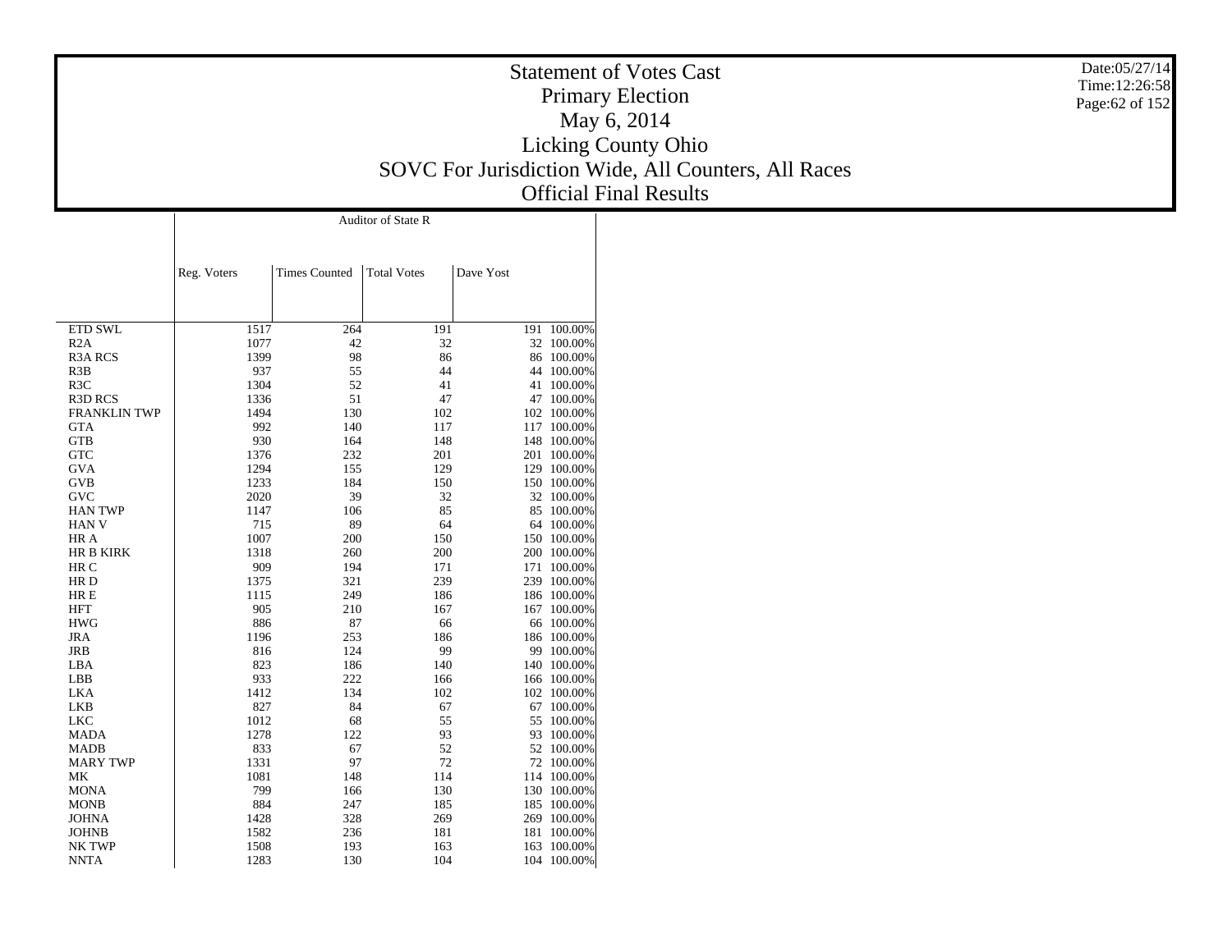|                             |              |                      |                    |           |                            | Date:05/27/14<br><b>Statement of Votes Cast</b><br>Time: 12:26:58<br><b>Primary Election</b> |  |
|-----------------------------|--------------|----------------------|--------------------|-----------|----------------------------|----------------------------------------------------------------------------------------------|--|
|                             |              |                      |                    |           |                            | Page:62 of 152<br>May 6, 2014                                                                |  |
|                             |              |                      |                    |           |                            |                                                                                              |  |
|                             |              |                      |                    |           | Licking County Ohio        |                                                                                              |  |
|                             |              |                      |                    |           |                            | SOVC For Jurisdiction Wide, All Counters, All Races                                          |  |
|                             |              |                      |                    |           |                            | <b>Official Final Results</b>                                                                |  |
|                             |              |                      | Auditor of State R |           |                            |                                                                                              |  |
|                             |              |                      |                    |           |                            |                                                                                              |  |
|                             |              |                      |                    |           |                            |                                                                                              |  |
|                             | Reg. Voters  | <b>Times Counted</b> | Total Votes        | Dave Yost |                            |                                                                                              |  |
|                             |              |                      |                    |           |                            |                                                                                              |  |
|                             |              |                      |                    |           |                            |                                                                                              |  |
| <b>ETD SWL</b>              | 1517         | 264                  | 191                |           | 191 100.00%                |                                                                                              |  |
| R2A<br>R <sub>3</sub> A RCS | 1077<br>1399 | 42<br>98             | 32<br>86           |           | 32 100.00%<br>86 100.00%   |                                                                                              |  |
| R3B                         | 937          | 55                   | 44                 |           | 44 100.00%                 |                                                                                              |  |
| R3C                         | 1304         | 52                   | 41                 |           | 41 100.00%                 |                                                                                              |  |
| R3D RCS                     | 1336         | 51                   | 47                 |           | 47 100.00%                 |                                                                                              |  |
| <b>FRANKLIN TWP</b>         | 1494         | 130                  | 102                |           | 102 100.00%                |                                                                                              |  |
| <b>GTA</b>                  | 992          | 140                  | 117                |           | 117 100.00%                |                                                                                              |  |
| <b>GTB</b>                  | 930          | 164                  | 148                |           | 148 100.00%                |                                                                                              |  |
| <b>GTC</b><br><b>GVA</b>    | 1376<br>1294 | 232<br>155           | 201<br>129         |           | 201 100.00%<br>129 100.00% |                                                                                              |  |
| <b>GVB</b>                  | 1233         | 184                  | 150                |           | 150 100.00%                |                                                                                              |  |
| GVC                         | 2020         | 39                   | 32                 |           | 32 100.00%                 |                                                                                              |  |
| <b>HAN TWP</b>              | 1147         | 106                  | 85                 |           | 85 100.00%                 |                                                                                              |  |
| <b>HAN V</b>                | 715          | 89                   | 64                 |           | 64 100.00%                 |                                                                                              |  |
| $\rm{HR}$ A                 | 1007         | 200                  | 150                |           | 150 100.00%                |                                                                                              |  |
| HR B KIRK                   | 1318         | 260                  | 200                |           | 200 100.00%                |                                                                                              |  |
| HR C                        | 909          | 194                  | 171                |           | 171 100.00%                |                                                                                              |  |
| HR D                        | 1375         | 321                  | 239                |           | 239 100.00%                |                                                                                              |  |
| HR E<br><b>HFT</b>          | 1115<br>905  | 249<br>210           | 186<br>167         |           | 186 100.00%<br>167 100.00% |                                                                                              |  |
| <b>HWG</b>                  | 886          | 87                   | 66                 |           | 66 100.00%                 |                                                                                              |  |
| $_{\rm JRA}$                | 1196         | 253                  | 186                |           | 186 100.00%                |                                                                                              |  |
| JRB                         | 816          | 124                  | 99                 |           | 99 100.00%                 |                                                                                              |  |
| LBA                         | 823          | 186                  | 140                |           | 140 100.00%                |                                                                                              |  |
| LBB                         | 933          | 222                  | 166                |           | 166 100.00%                |                                                                                              |  |
| <b>LKA</b>                  | 1412         | 134                  | 102                |           | 102 100.00%                |                                                                                              |  |
| <b>LKB</b>                  | 827          | 84                   | 67                 |           | 67 100.00%                 |                                                                                              |  |
| LKC                         | 1012         | 68                   | 55                 |           | 55 100.00%                 |                                                                                              |  |
| <b>MADA</b><br><b>MADB</b>  | 1278<br>833  | 122<br>67            | 93<br>52           |           | 93 100.00%<br>52 100.00%   |                                                                                              |  |
| <b>MARY TWP</b>             | 1331         | 97                   | 72                 |           | 72 100.00%                 |                                                                                              |  |
| $\rm MK$                    | 1081         | 148                  | 114                |           | 114 100.00%                |                                                                                              |  |
| <b>MONA</b>                 | 799          | 166                  | 130                |           | 130 100.00%                |                                                                                              |  |
| <b>MONB</b>                 | 884          | 247                  | 185                |           | 185 100.00%                |                                                                                              |  |
| <b>JOHNA</b>                | 1428         | 328                  | 269                |           | 269 100.00%                |                                                                                              |  |
| <b>JOHNB</b>                | 1582         | 236                  | 181                |           | 181 100.00%                |                                                                                              |  |
| <b>NKTWP</b>                | 1508         | 193                  | 163                |           | 163 100.00%                |                                                                                              |  |
| <b>NNTA</b>                 | 1283         | 130                  | 104                |           | 104 100.00%                |                                                                                              |  |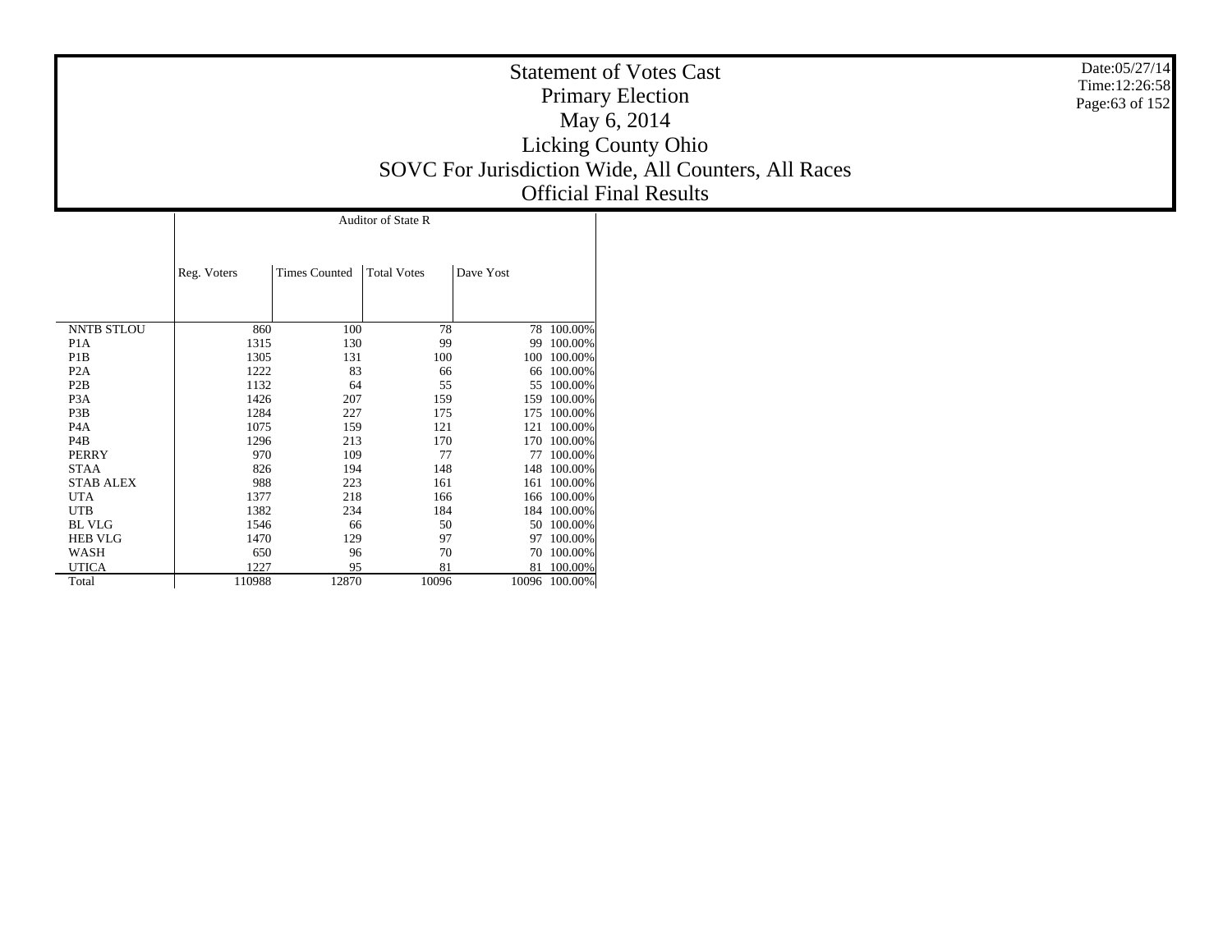| <b>Statement of Votes Cast</b>                      |
|-----------------------------------------------------|
| <b>Primary Election</b>                             |
| May 6, 2014                                         |
| <b>Licking County Ohio</b>                          |
| SOVC For Jurisdiction Wide, All Counters, All Races |
| <b>Official Final Results</b>                       |

Date:05/27/14 Time:12:26:58 Page:63 of 152

|                   | Auditor of State R |                      |                    |           |         |  |  |  |
|-------------------|--------------------|----------------------|--------------------|-----------|---------|--|--|--|
|                   | Reg. Voters        | <b>Times Counted</b> | <b>Total Votes</b> | Dave Yost |         |  |  |  |
|                   |                    |                      |                    |           |         |  |  |  |
| <b>NNTB STLOU</b> | 860                | 100                  | 78                 | 78        | 100.00% |  |  |  |
| P <sub>1</sub> A  | 1315               | 130                  | 99                 | 99        | 100.00% |  |  |  |
| P <sub>1</sub> B  | 1305               | 131                  | 100                | 100       | 100.00% |  |  |  |
| P <sub>2</sub> A  | 1222               | 83                   | 66                 | 66        | 100.00% |  |  |  |
| P <sub>2</sub> B  | 1132               | 64                   | 55                 | 55        | 100.00% |  |  |  |
| P <sub>3</sub> A  | 1426               | 207                  | 159                | 159       | 100.00% |  |  |  |
| P3B               | 1284               | 227                  | 175                | 175       | 100.00% |  |  |  |
| P <sub>4</sub> A  | 1075               | 159                  | 121                | 121       | 100.00% |  |  |  |
| P4B               | 1296               | 213                  | 170                | 170       | 100.00% |  |  |  |
| PERRY             | 970                | 109                  | 77                 | 77        | 100.00% |  |  |  |
| <b>STAA</b>       | 826                | 194                  | 148                | 148       | 100.00% |  |  |  |
| <b>STAB ALEX</b>  | 988                | 223                  | 161                | 161       | 100.00% |  |  |  |
| <b>UTA</b>        | 1377               | 218                  | 166                | 166       | 100.00% |  |  |  |
| <b>UTB</b>        | 1382               | 234                  | 184                | 184       | 100.00% |  |  |  |
| <b>BL VLG</b>     | 1546               | 66                   | 50                 | 50        | 100.00% |  |  |  |
| <b>HEB VLG</b>    | 1470               | 129                  | 97                 | 97        | 100.00% |  |  |  |
| WASH              | 650                | 96                   | 70                 | 70        | 100.00% |  |  |  |
| <b>UTICA</b>      | 1227               | 95                   | 81                 | 81        | 100.00% |  |  |  |
| Total             | 110988             | 12870                | 10096              | 10096     | 100.00% |  |  |  |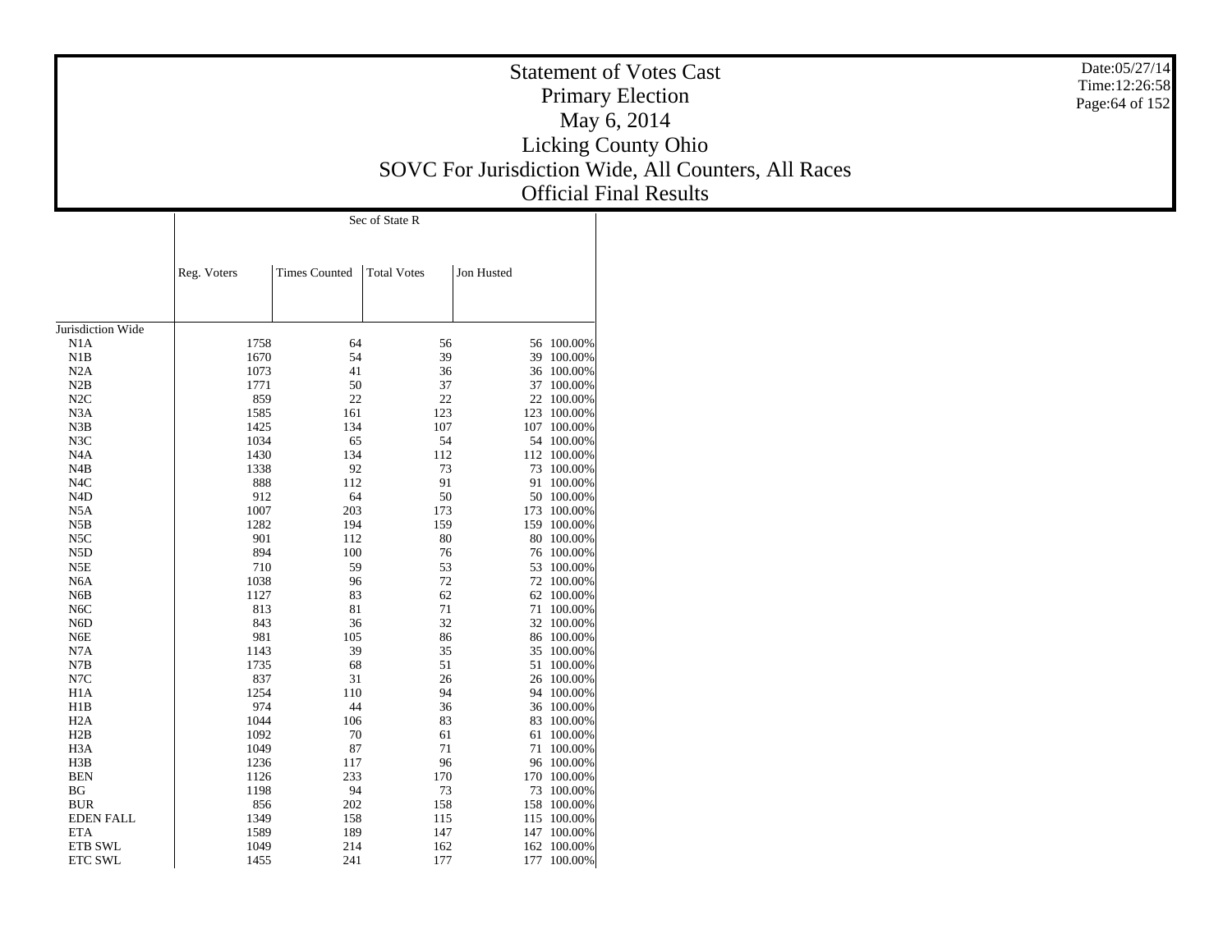|                         |              |                                           |                |            |                            | Date:05/27/14<br><b>Statement of Votes Cast</b>     |
|-------------------------|--------------|-------------------------------------------|----------------|------------|----------------------------|-----------------------------------------------------|
|                         |              | Time: 12:26:58                            |                |            |                            |                                                     |
|                         |              | <b>Primary Election</b><br>Page:64 of 152 |                |            |                            |                                                     |
|                         |              |                                           |                |            | May 6, 2014                |                                                     |
|                         |              |                                           |                |            |                            | <b>Licking County Ohio</b>                          |
|                         |              |                                           |                |            |                            |                                                     |
|                         |              |                                           |                |            |                            | SOVC For Jurisdiction Wide, All Counters, All Races |
|                         |              |                                           |                |            |                            | <b>Official Final Results</b>                       |
|                         |              |                                           | Sec of State R |            |                            |                                                     |
|                         |              |                                           |                |            |                            |                                                     |
|                         | Reg. Voters  | <b>Times Counted</b>                      | Total Votes    | Jon Husted |                            |                                                     |
|                         |              |                                           |                |            |                            |                                                     |
|                         |              |                                           |                |            |                            |                                                     |
| Jurisdiction Wide       |              |                                           |                |            |                            |                                                     |
| N1A                     | 1758         | 64                                        | 56             |            | 56 100.00%                 |                                                     |
| N1B                     | 1670         | 54                                        | 39             |            | 39 100.00%                 |                                                     |
| N2A                     | 1073         | 41                                        | 36             |            | 36 100.00%                 |                                                     |
| N2B                     | 1771         | 50                                        | 37             |            | 37 100.00%                 |                                                     |
| N2C                     | 859          | 22                                        | 22             |            | 22 100.00%                 |                                                     |
| N <sub>3</sub> A        | 1585         | 161                                       | 123            |            | 123 100.00%                |                                                     |
| N3B<br>N3C              | 1425<br>1034 | 134<br>65                                 | 107<br>54      |            | 107 100.00%<br>54 100.00%  |                                                     |
| N <sub>4</sub> A        | 1430         | 134                                       | 112            |            | 112 100.00%                |                                                     |
| N4B                     | 1338         | 92                                        | 73             |            | 73 100.00%                 |                                                     |
| N4C                     | 888          | 112                                       | 91             |            | 91 100.00%                 |                                                     |
| N <sub>4</sub> D        | 912          | 64                                        | 50             |            | 50 100.00%                 |                                                     |
| N5A                     | 1007         | 203                                       | 173            |            | 173 100.00%                |                                                     |
| N5B                     | 1282         | 194                                       | 159            |            | 159 100.00%                |                                                     |
| N5C                     | 901          | 112                                       | 80             |            | 80 100.00%                 |                                                     |
| N <sub>5</sub> D        | 894          | 100                                       | 76             |            | 76 100.00%                 |                                                     |
| N5E<br>N <sub>6</sub> A | 710<br>1038  | 59<br>96                                  | 53<br>72       |            | 53 100.00%<br>72 100.00%   |                                                     |
| N <sub>6</sub> B        | 1127         | 83                                        | 62             |            | 62 100.00%                 |                                                     |
| N <sub>6</sub> C        | 813          | 81                                        | 71             |            | 71 100.00%                 |                                                     |
| N <sub>6</sub> D        | 843          | 36                                        | 32             |            | 32 100.00%                 |                                                     |
| N <sub>6</sub> E        | 981          | 105                                       | 86             |            | 86 100.00%                 |                                                     |
| N7A                     | 1143         | 39                                        | 35             |            | 35 100.00%                 |                                                     |
| N7B                     | 1735         | 68                                        | 51             |            | 51 100.00%                 |                                                     |
| N7C                     | 837          | 31                                        | 26             |            | 26 100.00%                 |                                                     |
| H <sub>1</sub> A        | 1254         | 110                                       | 94             |            | 94 100.00%                 |                                                     |
| H1B<br>H <sub>2</sub> A | 974<br>1044  | 44<br>106                                 | 36<br>83       |            | 36 100.00%<br>83 100.00%   |                                                     |
| H2B                     | 1092         | 70                                        | 61             |            | 61 100.00%                 |                                                     |
| H3A                     | 1049         | 87                                        | 71             |            | 71 100.00%                 |                                                     |
| H3B                     | 1236         | 117                                       | 96             |            | 96 100.00%                 |                                                     |
| <b>BEN</b>              | 1126         | 233                                       | 170            |            | 170 100.00%                |                                                     |
| BG                      | 1198         | 94                                        | 73             |            | 73 100.00%                 |                                                     |
| <b>BUR</b>              | 856          | $202\,$                                   | 158            |            | 158 100.00%                |                                                     |
| <b>EDEN FALL</b>        | 1349         | 158                                       | 115            |            | 115 100.00%                |                                                     |
| ETA                     | 1589         | 189                                       | 147            |            | 147 100.00%                |                                                     |
| ETB SWL                 | 1049<br>1455 | $214\,$                                   | 162            |            | 162 100.00%<br>177 100.00% |                                                     |
| ETC SWL                 |              | 241                                       | 177            |            |                            |                                                     |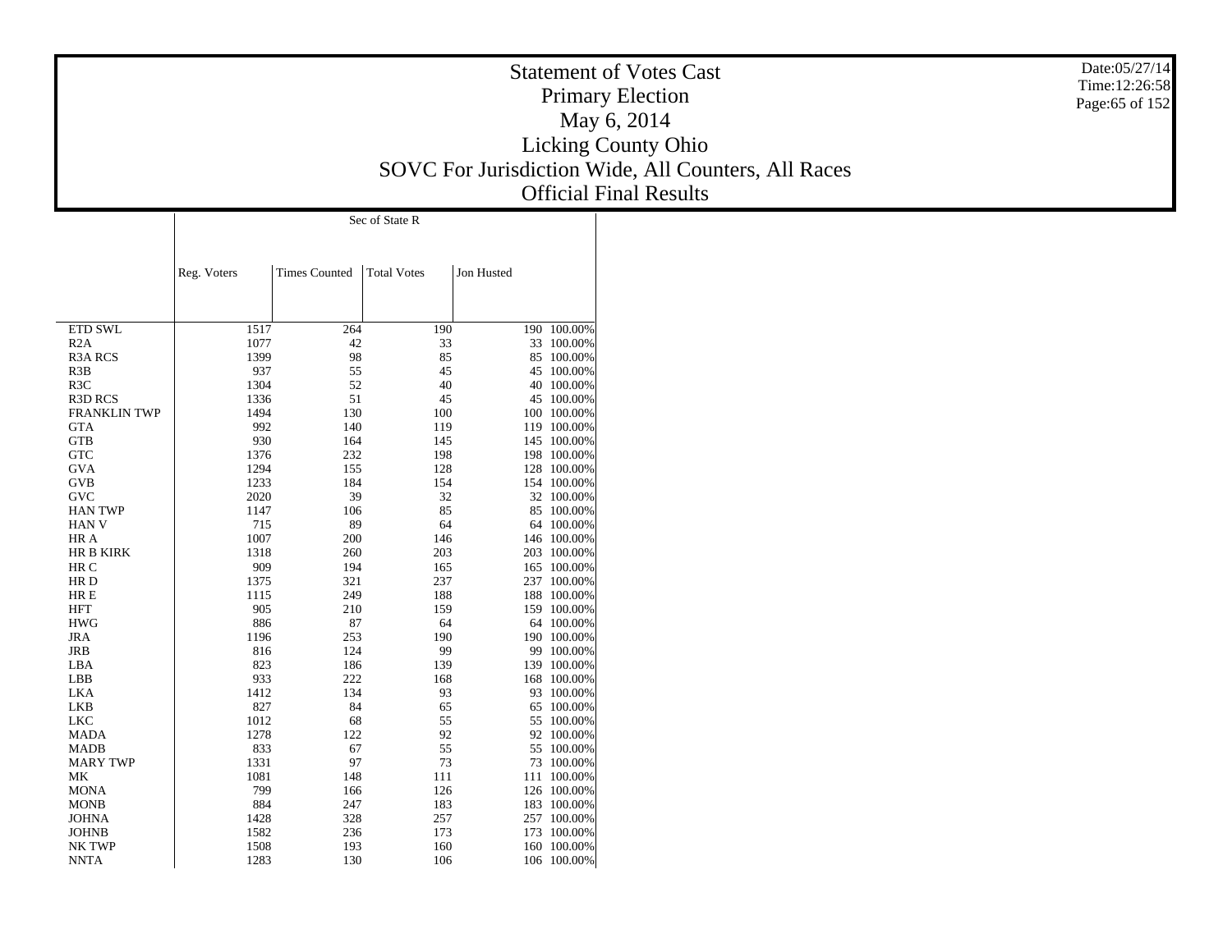|                          |              |                      |                |            |  |                            | Date:05/27/14<br><b>Statement of Votes Cast</b>     |
|--------------------------|--------------|----------------------|----------------|------------|--|----------------------------|-----------------------------------------------------|
|                          |              |                      |                |            |  |                            | Time: 12:26:58<br><b>Primary Election</b>           |
|                          |              |                      |                |            |  |                            | Page:65 of 152                                      |
|                          |              |                      |                |            |  |                            | May 6, 2014                                         |
|                          |              |                      |                |            |  | Licking County Ohio        |                                                     |
|                          |              |                      |                |            |  |                            |                                                     |
|                          |              |                      |                |            |  |                            | SOVC For Jurisdiction Wide, All Counters, All Races |
|                          |              |                      |                |            |  |                            | <b>Official Final Results</b>                       |
|                          |              |                      |                |            |  |                            |                                                     |
|                          |              |                      | Sec of State R |            |  |                            |                                                     |
|                          |              |                      |                |            |  |                            |                                                     |
|                          | Reg. Voters  | <b>Times Counted</b> | Total Votes    | Jon Husted |  |                            |                                                     |
|                          |              |                      |                |            |  |                            |                                                     |
|                          |              |                      |                |            |  |                            |                                                     |
|                          |              |                      |                |            |  |                            |                                                     |
| ETD SWL                  | 1517         | 264                  | 190            |            |  | 190 100.00%                |                                                     |
| R2A<br><b>R3A RCS</b>    | 1077<br>1399 | 42<br>98             | 33<br>85       |            |  | 33 100.00%<br>85 100.00%   |                                                     |
| R3B                      | 937          | 55                   | 45             |            |  | 45 100.00%                 |                                                     |
| R <sub>3</sub> C         | 1304         | 52                   | $40\,$         |            |  | 40 100.00%                 |                                                     |
| R3D RCS                  | 1336         | 51                   | 45             |            |  | 45 100.00%                 |                                                     |
| <b>FRANKLIN TWP</b>      | 1494         | 130                  | 100            |            |  | 100 100.00%                |                                                     |
| <b>GTA</b>               | 992          | 140                  | 119            |            |  | 119 100.00%                |                                                     |
| <b>GTB</b><br>GTC        | 930<br>1376  | 164<br>232           | 145<br>198     |            |  | 145 100.00%<br>198 100.00% |                                                     |
| <b>GVA</b>               | 1294         | 155                  | 128            |            |  | 128 100.00%                |                                                     |
| <b>GVB</b>               | 1233         | 184                  | 154            |            |  | 154 100.00%                |                                                     |
| <b>GVC</b>               | 2020         | 39                   | 32             |            |  | 32 100.00%                 |                                                     |
| <b>HAN TWP</b>           | 1147         | 106                  | 85             |            |  | 85 100.00%                 |                                                     |
| <b>HAN V</b>             | 715          | 89                   | 64             |            |  | 64 100.00%                 |                                                     |
| HR A<br><b>HR B KIRK</b> | 1007<br>1318 | 200<br>260           | 146<br>203     |            |  | 146 100.00%<br>203 100.00% |                                                     |
| HR C                     | 909          | 194                  | 165            |            |  | 165 100.00%                |                                                     |
| HR D                     | 1375         | 321                  | 237            |            |  | 237 100.00%                |                                                     |
| HR E                     | 1115         | 249                  | 188            |            |  | 188 100.00%                |                                                     |
| <b>HFT</b>               | 905          | 210                  | 159            |            |  | 159 100.00%                |                                                     |
| <b>HWG</b>               | 886          | 87                   | 64             |            |  | 64 100.00%                 |                                                     |
| <b>JRA</b><br>JRB        | 1196<br>816  | 253<br>124           | 190<br>99      |            |  | 190 100.00%<br>99 100.00%  |                                                     |
| LBA                      | 823          | 186                  | 139            |            |  | 139 100.00%                |                                                     |
| LBB                      | 933          | 222                  | 168            |            |  | 168 100.00%                |                                                     |
| LKA                      | 1412         | 134                  | 93             |            |  | 93 100.00%                 |                                                     |
| LKB                      | 827          | 84                   | 65             |            |  | 65 100.00%                 |                                                     |
| LKC                      | 1012         | 68                   | 55             |            |  | 55 100.00%                 |                                                     |
| MADA<br><b>MADB</b>      | 1278<br>833  | 122<br>67            | 92             |            |  | 92 100.00%<br>55 100.00%   |                                                     |
| <b>MARY TWP</b>          | 1331         | 97                   | 55<br>73       |            |  | 73 100.00%                 |                                                     |
| МK                       | 1081         | 148                  | 111            |            |  | 111 100.00%                |                                                     |
| <b>MONA</b>              | 799          | 166                  | 126            |            |  | 126 100.00%                |                                                     |
| <b>MONB</b>              | 884          | 247                  | 183            |            |  | 183 100.00%                |                                                     |
| <b>JOHNA</b>             | 1428         | 328                  | 257            |            |  | 257 100.00%                |                                                     |
| <b>JOHNB</b>             | 1582         | 236                  | 173            |            |  | 173 100.00%                |                                                     |
| NK TWP<br><b>NNTA</b>    | 1508<br>1283 | 193<br>130           | 160<br>106     |            |  | 160 100.00%<br>106 100.00% |                                                     |
|                          |              |                      |                |            |  |                            |                                                     |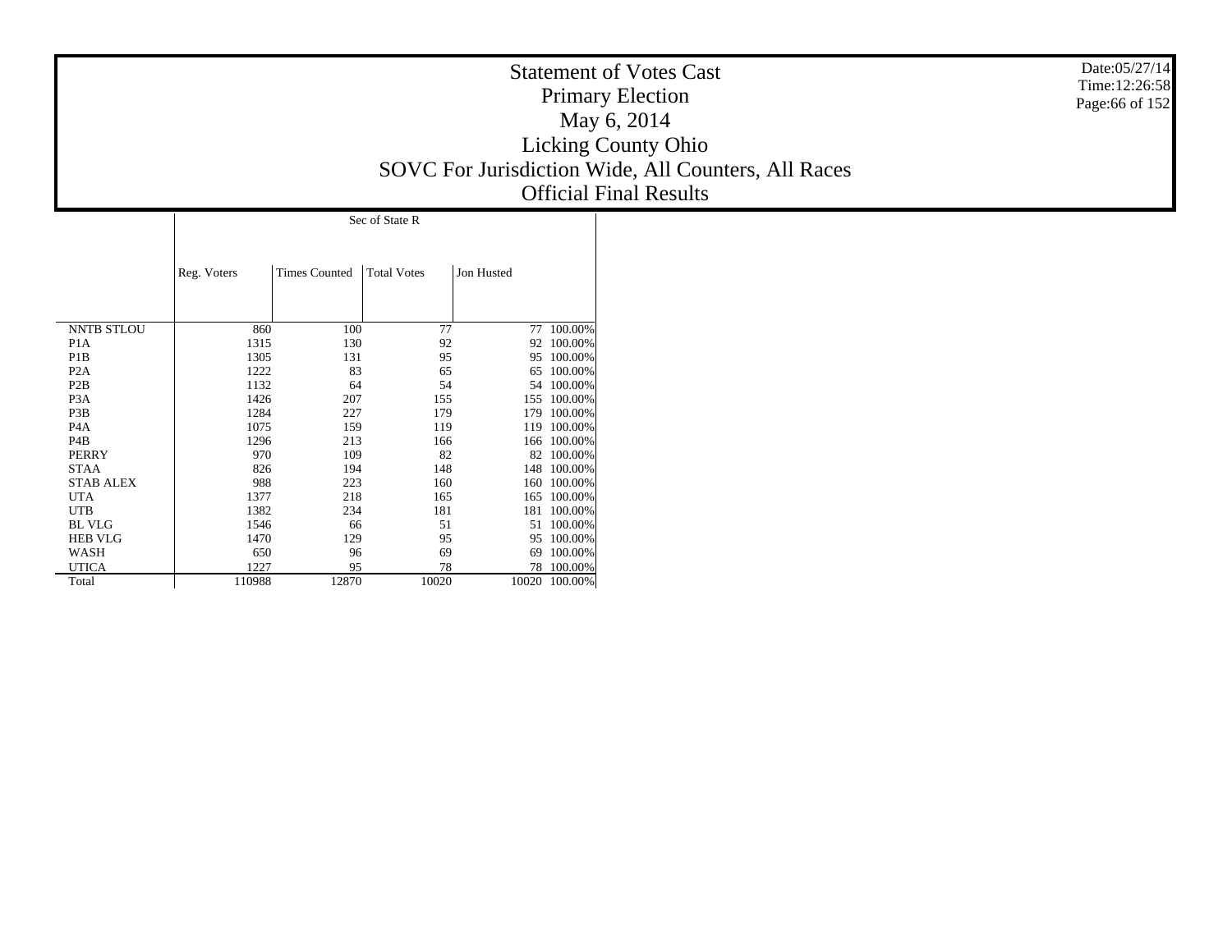| <b>Statement of Votes Cast</b>                      |  |  |  |  |  |  |  |  |  |
|-----------------------------------------------------|--|--|--|--|--|--|--|--|--|
| <b>Primary Election</b>                             |  |  |  |  |  |  |  |  |  |
| May 6, 2014                                         |  |  |  |  |  |  |  |  |  |
| <b>Licking County Ohio</b>                          |  |  |  |  |  |  |  |  |  |
| SOVC For Jurisdiction Wide, All Counters, All Races |  |  |  |  |  |  |  |  |  |
| <b>Official Final Results</b>                       |  |  |  |  |  |  |  |  |  |

|                   | Sec of State R |                      |                    |            |         |  |  |  |  |  |  |
|-------------------|----------------|----------------------|--------------------|------------|---------|--|--|--|--|--|--|
|                   |                |                      |                    |            |         |  |  |  |  |  |  |
|                   |                |                      |                    |            |         |  |  |  |  |  |  |
|                   | Reg. Voters    | <b>Times Counted</b> | <b>Total Votes</b> | Jon Husted |         |  |  |  |  |  |  |
|                   |                |                      |                    |            |         |  |  |  |  |  |  |
|                   |                |                      |                    |            |         |  |  |  |  |  |  |
|                   |                |                      |                    |            |         |  |  |  |  |  |  |
| <b>NNTB STLOU</b> | 860            | 100                  | 77                 | 77         | 100.00% |  |  |  |  |  |  |
| P <sub>1</sub> A  | 1315           | 130                  | 92                 | 92         | 100.00% |  |  |  |  |  |  |
| P <sub>1</sub> B  | 1305           | 131                  | 95                 | 95         | 100.00% |  |  |  |  |  |  |
| P <sub>2</sub> A  | 1222           | 83                   | 65                 | 65         | 100.00% |  |  |  |  |  |  |
| P <sub>2</sub> B  | 1132           | 64                   | 54                 | 54         | 100.00% |  |  |  |  |  |  |
| P <sub>3</sub> A  | 1426           | 207                  | 155                | 155        | 100.00% |  |  |  |  |  |  |
| P3B               | 1284           | 227                  | 179                | 179        | 100.00% |  |  |  |  |  |  |
| P <sub>4</sub> A  | 1075           | 159                  | 119                | 119        | 100.00% |  |  |  |  |  |  |
| P4B               | 1296           | 213                  | 166                | 166        | 100.00% |  |  |  |  |  |  |
| <b>PERRY</b>      | 970            | 109                  | 82                 | 82         | 100.00% |  |  |  |  |  |  |
| <b>STAA</b>       | 826            | 194                  | 148                | 148        | 100.00% |  |  |  |  |  |  |
| <b>STAB ALEX</b>  | 988            | 223                  | 160                | 160        | 100.00% |  |  |  |  |  |  |
| <b>UTA</b>        | 1377           | 218                  | 165                | 165        | 100.00% |  |  |  |  |  |  |
| <b>UTB</b>        | 1382           | 234                  | 181                | 181        | 100.00% |  |  |  |  |  |  |
| <b>BL VLG</b>     | 1546           | 66                   | 51                 | 51         | 100.00% |  |  |  |  |  |  |
| <b>HEB VLG</b>    | 1470           | 129                  | 95                 | 95         | 100.00% |  |  |  |  |  |  |
| WASH              | 650            | 96                   | 69                 | 69         | 100.00% |  |  |  |  |  |  |
| <b>UTICA</b>      | 1227           | 95                   | 78                 | 78         | 100.00% |  |  |  |  |  |  |
| Total             | 110988         | 12870                | 10020              | 10020      | 100.00% |  |  |  |  |  |  |

Date:05/27/14 Time:12:26:58 Page:66 of 152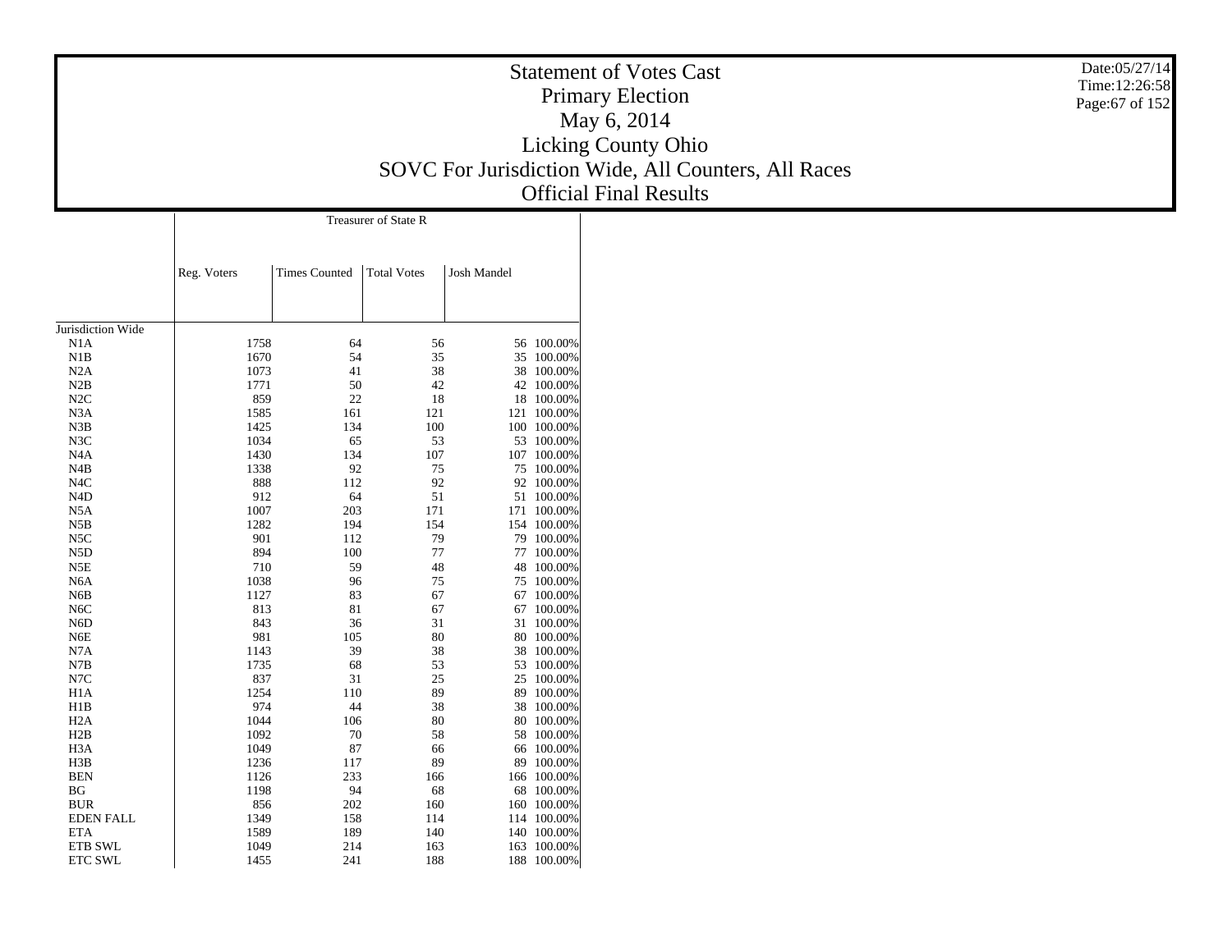|                      |                         |                      |                      |             |                            | <b>Statement of Votes Cast</b>                      | Date:05/27/14<br>Time: 12:26:58 |  |  |
|----------------------|-------------------------|----------------------|----------------------|-------------|----------------------------|-----------------------------------------------------|---------------------------------|--|--|
|                      | <b>Primary Election</b> |                      |                      |             |                            |                                                     |                                 |  |  |
|                      |                         |                      |                      |             |                            |                                                     | Page:67 of 152                  |  |  |
|                      |                         |                      |                      |             |                            | May 6, 2014                                         |                                 |  |  |
|                      |                         |                      |                      |             |                            | <b>Licking County Ohio</b>                          |                                 |  |  |
|                      |                         |                      |                      |             |                            |                                                     |                                 |  |  |
|                      |                         |                      |                      |             |                            | SOVC For Jurisdiction Wide, All Counters, All Races |                                 |  |  |
|                      |                         |                      |                      |             |                            | <b>Official Final Results</b>                       |                                 |  |  |
|                      |                         |                      | Treasurer of State R |             |                            |                                                     |                                 |  |  |
|                      |                         |                      |                      |             |                            |                                                     |                                 |  |  |
|                      | Reg. Voters             | <b>Times Counted</b> | <b>Total Votes</b>   | Josh Mandel |                            |                                                     |                                 |  |  |
|                      |                         |                      |                      |             |                            |                                                     |                                 |  |  |
|                      |                         |                      |                      |             |                            |                                                     |                                 |  |  |
| Jurisdiction Wide    |                         |                      |                      |             |                            |                                                     |                                 |  |  |
| N1A                  | 1758                    | 64                   | 56                   |             | 56 100.00%                 |                                                     |                                 |  |  |
| N1B<br>N2A           | 1670<br>1073            | 54<br>41             | 35<br>38             |             | 35 100.00%<br>38 100.00%   |                                                     |                                 |  |  |
| N2B                  | 1771                    | 50                   | 42                   |             | 42 100.00%                 |                                                     |                                 |  |  |
| N2C                  | 859                     | 22                   | 18                   |             | 18 100.00%                 |                                                     |                                 |  |  |
| N3A                  | 1585                    | 161                  | 121                  |             | 121 100.00%                |                                                     |                                 |  |  |
| N3B                  | 1425                    | 134                  | 100                  |             | 100 100.00%                |                                                     |                                 |  |  |
| N3C                  | 1034                    | 65                   | 53                   |             | 53 100.00%                 |                                                     |                                 |  |  |
| N <sub>4</sub> A     | 1430                    | 134                  | 107                  |             | 107 100.00%                |                                                     |                                 |  |  |
| N4B                  | 1338                    | 92                   | 75                   |             | 75 100.00%                 |                                                     |                                 |  |  |
| N <sub>4</sub> C     | 888                     | 112                  | 92                   |             | 92 100.00%                 |                                                     |                                 |  |  |
| N <sub>4</sub> D     | 912                     | 64                   | 51                   |             | 51 100.00%                 |                                                     |                                 |  |  |
| N5A<br>N5B           | 1007<br>1282            | 203<br>194           | 171<br>154           |             | 171 100.00%<br>154 100.00% |                                                     |                                 |  |  |
| N5C                  | 901                     | 112                  | 79                   |             | 79 100.00%                 |                                                     |                                 |  |  |
| N5D                  | 894                     | 100                  | 77                   |             | 77 100.00%                 |                                                     |                                 |  |  |
| N5E                  | 710                     | 59                   | 48                   |             | 48 100.00%                 |                                                     |                                 |  |  |
| N6A                  | 1038                    | 96                   | 75                   |             | 75 100.00%                 |                                                     |                                 |  |  |
| N6B                  | 1127                    | 83                   | 67                   |             | 67 100.00%                 |                                                     |                                 |  |  |
| N <sub>6</sub> C     | 813                     | 81                   | 67                   |             | 67 100.00%                 |                                                     |                                 |  |  |
| N <sub>6</sub> D     | 843                     | 36                   | 31                   |             | 31 100.00%                 |                                                     |                                 |  |  |
| N6E                  | 981                     | 105                  | 80                   |             | 80 100.00%                 |                                                     |                                 |  |  |
| N7A                  | 1143                    | 39                   | 38                   |             | 38 100.00%                 |                                                     |                                 |  |  |
| N7B<br>N7C           | 1735<br>837             | 68<br>31             | 53<br>25             |             | 53 100.00%<br>25 100.00%   |                                                     |                                 |  |  |
| H <sub>1</sub> A     | 1254                    | 110                  | 89                   |             | 89 100.00%                 |                                                     |                                 |  |  |
| H1B                  | 974                     | 44                   | 38                   |             | 38 100.00%                 |                                                     |                                 |  |  |
| H <sub>2</sub> A     | 1044                    | 106                  | 80                   |             | 80 100.00%                 |                                                     |                                 |  |  |
| H2B                  | 1092                    | 70                   | 58                   |             | 58 100.00%                 |                                                     |                                 |  |  |
| H3A                  | 1049                    | 87                   | 66                   |             | 66 100.00%                 |                                                     |                                 |  |  |
| H3B                  | 1236                    | 117                  | 89                   |             | 89 100.00%                 |                                                     |                                 |  |  |
| $\operatorname{BEN}$ | 1126                    | 233                  | 166                  |             | 166 100.00%                |                                                     |                                 |  |  |
| BG                   | 1198                    | 94                   | 68                   |             | 68 100.00%                 |                                                     |                                 |  |  |
| <b>BUR</b>           | 856                     | 202                  | 160                  |             | 160 100.00%                |                                                     |                                 |  |  |
| <b>EDEN FALL</b>     | 1349                    | 158                  | 114                  |             | 114 100.00%                |                                                     |                                 |  |  |
| ETA<br>ETB SWL       | 1589<br>1049            | 189<br>214           | 140<br>163           |             | 140 100.00%<br>163 100.00% |                                                     |                                 |  |  |
| ETC SWL              | 1455                    | 241                  | 188                  |             | 188 100.00%                |                                                     |                                 |  |  |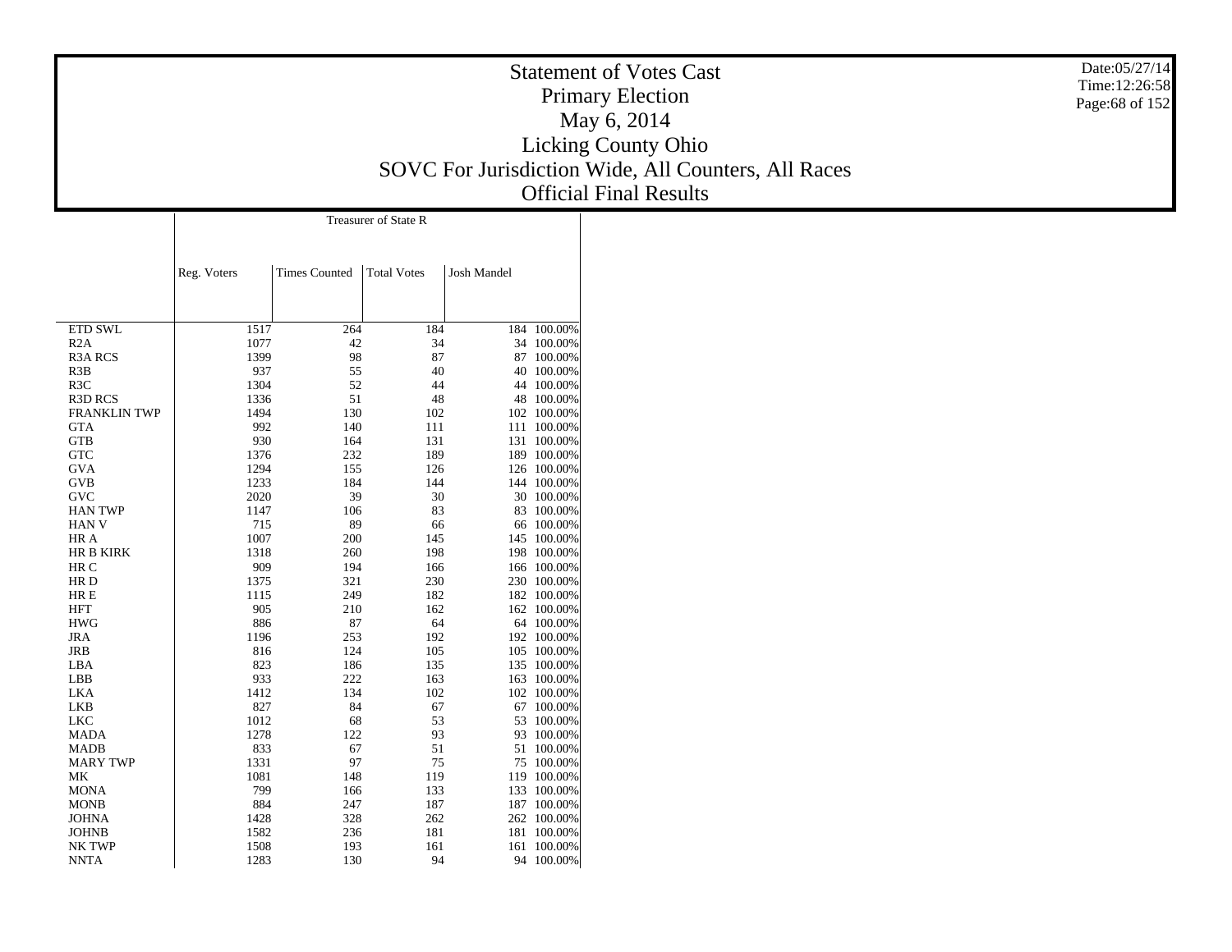ETD SWL R2A R3A RCS R3B R3C R3D RCS FRANKLIN TWP GTA GTB GTC GVA GVB GVC HAN TWP HAN V HR A HR B KIRK HR C HR D HR E HFT HWG JRA JRB LBA LBB LKA LKB LKC MADA MADB MARY TWP MK MONA MONB JOHNA JOHNB NK TWP Reg. Voters | Times Counted | Total Votes | Josh Mandel Treasurer of State R $1517$ 264 184 100.00% 42 34 34 100.00%10779 98 87 87 100.00% 1399 55 40 40 100.00%9374 52 44 44 100.00% 1304 51 48 48 100.00%1336 130 102 102 100.00%1494140 111 111 100.00% 992930164 131 131 100.00% 232 189 189 100.00%1376 155 126 126 100.00%1294184 144 100.00% 1233 39 30 30 100.00%2020106 83 83 100.00% 1147 89 66 66 100.00%715 200 145 145 100.00%1007 260 198 198 100.00%13189 194 166 100.00% 909 321 230 230 100.00%1375 249 182 182 100.00%1115 210 162 162 100.00%905 87 64 64 100.00%886 253 192 192 100.00%1196 124 105 105 100.00%816 186 135 135 100.00%823933 222 163 163 100.00% 134 102 102 100.00%1412 84 67 67 100.00%8272 68 53 53 100.00% 10128 122 93 93 100.00% 1278 67 51 51 100.00%833 97 75 75 100.00%13311 148 119 119 100.00% 10819 166 133 133 100.00% 799 247 187 187 100.00%884 328 262 262 100.00%1428 236 181 181 100.00%15821508193 161 161 100.00%

1283

130 94 94 100.00%

NNTA

Date:05/27/14Time:12:26:58Page:68 of 152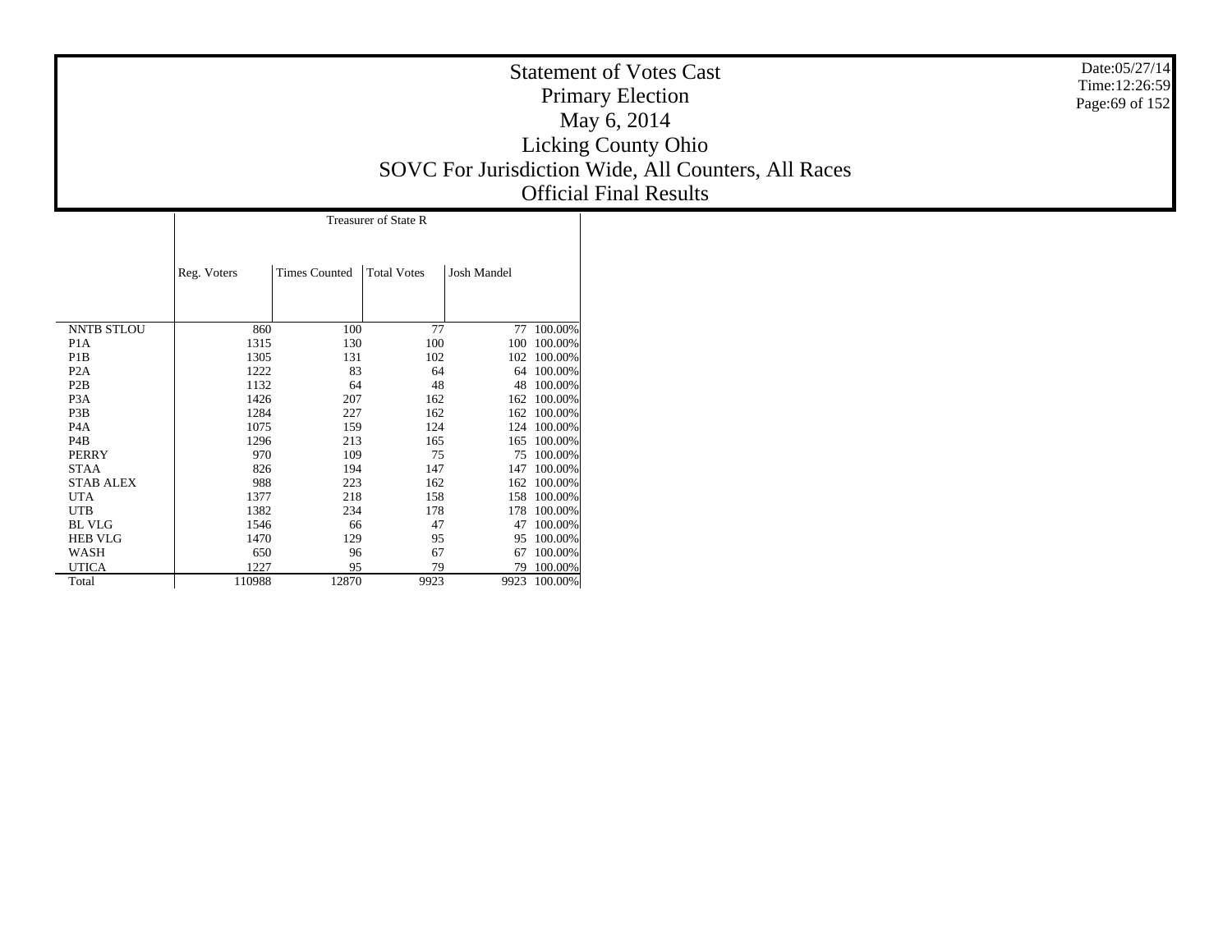|                   | Treasurer of State R |                      |                    |                    |         |  |  |  |  |  |
|-------------------|----------------------|----------------------|--------------------|--------------------|---------|--|--|--|--|--|
|                   | Reg. Voters          | <b>Times Counted</b> | <b>Total Votes</b> | <b>Josh Mandel</b> |         |  |  |  |  |  |
|                   |                      |                      |                    |                    |         |  |  |  |  |  |
| <b>NNTB STLOU</b> | 860                  | 100                  | 77                 | 77                 | 100.00% |  |  |  |  |  |
| P <sub>1</sub> A  | 1315                 | 130                  | 100                | 100                | 100.00% |  |  |  |  |  |
| P <sub>1</sub> B  | 1305                 | 131                  | 102                | 102                | 100.00% |  |  |  |  |  |
| P <sub>2</sub> A  | 1222                 | 83                   | 64                 | 64                 | 100.00% |  |  |  |  |  |
| P <sub>2</sub> B  | 1132                 | 64                   | 48                 | 48                 | 100.00% |  |  |  |  |  |
| P <sub>3</sub> A  | 1426                 | 207                  | 162                | 162                | 100.00% |  |  |  |  |  |
| P3B               | 1284                 | 227                  | 162                | 162                | 100.00% |  |  |  |  |  |
| P <sub>4</sub> A  | 1075                 | 159                  | 124                | 124                | 100.00% |  |  |  |  |  |
| P4B               | 1296                 | 213                  | 165                | 165                | 100.00% |  |  |  |  |  |
| PERRY             | 970                  | 109                  | 75                 | 75                 | 100.00% |  |  |  |  |  |
| <b>STAA</b>       | 826                  | 194                  | 147                | 147                | 100.00% |  |  |  |  |  |
| <b>STAB ALEX</b>  | 988                  | 223                  | 162                | 162                | 100.00% |  |  |  |  |  |
| UTA               | 1377                 | 218                  | 158                | 158                | 100.00% |  |  |  |  |  |
| UTB               | 1382                 | 234                  | 178                | 178                | 100.00% |  |  |  |  |  |
| <b>BL VLG</b>     | 1546                 | 66                   | 47                 | 47                 | 100.00% |  |  |  |  |  |
| <b>HEB VLG</b>    | 1470                 | 129                  | 95                 | 95                 | 100.00% |  |  |  |  |  |
| WASH              | 650                  | 96                   | 67                 | 67                 | 100.00% |  |  |  |  |  |
| <b>UTICA</b>      | 1227                 | 95                   | 79                 | 79                 | 100.00% |  |  |  |  |  |
| Total             | 110988               | 12870                | 9923               | 9923               | 100.00% |  |  |  |  |  |

Date:05/27/14 Time:12:26:59Page:69 of 152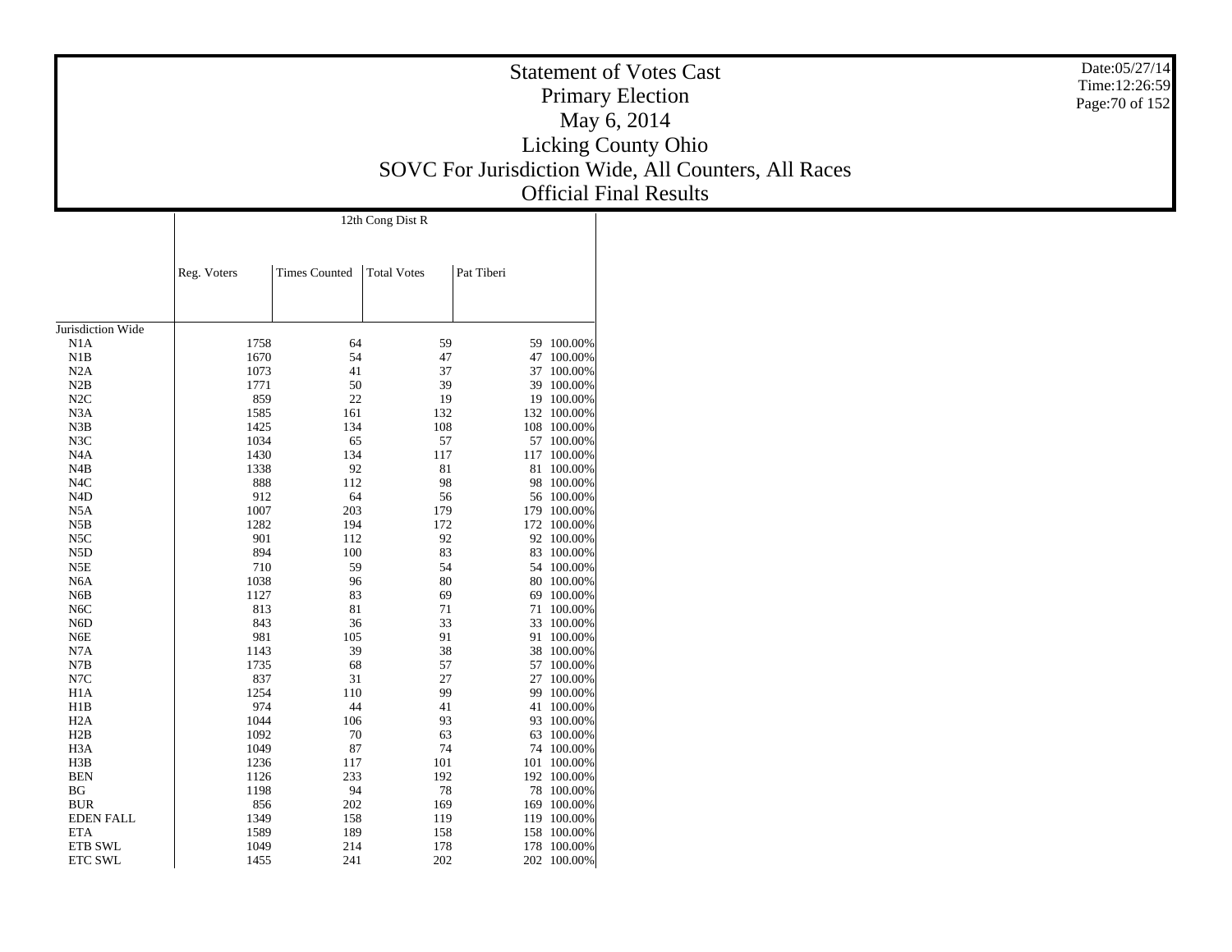|                            |                 |                         |                  |            |  |                            | <b>Statement of Votes Cast</b>                      | Date:05/27/14 |
|----------------------------|-----------------|-------------------------|------------------|------------|--|----------------------------|-----------------------------------------------------|---------------|
|                            |                 | <b>Primary Election</b> | Time: 12:26:59   |            |  |                            |                                                     |               |
|                            | Page: 70 of 152 |                         |                  |            |  |                            |                                                     |               |
|                            | May 6, 2014     |                         |                  |            |  |                            |                                                     |               |
|                            |                 |                         |                  |            |  |                            |                                                     |               |
|                            |                 |                         |                  |            |  |                            | <b>Licking County Ohio</b>                          |               |
|                            |                 |                         |                  |            |  |                            | SOVC For Jurisdiction Wide, All Counters, All Races |               |
|                            |                 |                         |                  |            |  |                            | <b>Official Final Results</b>                       |               |
|                            |                 |                         | 12th Cong Dist R |            |  |                            |                                                     |               |
|                            |                 |                         |                  |            |  |                            |                                                     |               |
|                            | Reg. Voters     | <b>Times Counted</b>    | Total Votes      | Pat Tiberi |  |                            |                                                     |               |
|                            |                 |                         |                  |            |  |                            |                                                     |               |
|                            |                 |                         |                  |            |  |                            |                                                     |               |
| Jurisdiction Wide          |                 |                         |                  |            |  |                            |                                                     |               |
| N1A                        | 1758            | 64                      | 59               |            |  | 59 100.00%                 |                                                     |               |
| N1B                        | 1670            | 54                      | 47               |            |  | 47 100.00%                 |                                                     |               |
| N2A                        | 1073            | 41                      | 37               |            |  | 37 100.00%                 |                                                     |               |
| N2B                        | 1771            | 50                      | 39               |            |  | 39 100.00%                 |                                                     |               |
| N2C                        | 859             | 22                      | 19               |            |  | 19 100.00%                 |                                                     |               |
| N3A                        | 1585            | 161                     | 132              |            |  | 132 100.00%                |                                                     |               |
| N3B                        | 1425            | 134                     | 108              |            |  | 108 100.00%                |                                                     |               |
| N3C                        | 1034            | 65                      | 57               |            |  | 57 100.00%                 |                                                     |               |
| N <sub>4</sub> A           | 1430            | 134                     | 117              |            |  | 117 100.00%                |                                                     |               |
| N4B<br>N <sub>4</sub> C    | 1338<br>888     | 92<br>112               | 81<br>98         |            |  | 81 100.00%<br>98 100.00%   |                                                     |               |
| N <sub>4</sub> D           | 912             | 64                      | 56               |            |  | 56 100.00%                 |                                                     |               |
| N <sub>5</sub> A           | 1007            | 203                     | 179              |            |  | 179 100.00%                |                                                     |               |
| N5B                        | 1282            | 194                     | 172              |            |  | 172 100.00%                |                                                     |               |
| N5C                        | 901             | 112                     | 92               |            |  | 92 100.00%                 |                                                     |               |
| N5D                        | 894             | 100                     | 83               |            |  | 83 100.00%                 |                                                     |               |
| N5E                        | 710             | 59                      | 54               |            |  | 54 100.00%                 |                                                     |               |
| N <sub>6</sub> A           | 1038            | 96                      | 80               |            |  | 80 100.00%                 |                                                     |               |
| N <sub>6</sub> B           | 1127            | 83                      | 69               |            |  | 69 100.00%                 |                                                     |               |
| N <sub>6</sub> C           | 813             | 81                      | 71               |            |  | 71 100.00%                 |                                                     |               |
| N <sub>6</sub> D           | 843             | 36                      | 33               |            |  | 33 100.00%                 |                                                     |               |
| N6E                        | 981<br>1143     | 105                     | 91               |            |  | 91 100.00%                 |                                                     |               |
| N7A<br>N7B                 | 1735            | 39<br>68                | 38<br>57         |            |  | 38 100.00%<br>57 100.00%   |                                                     |               |
| N7C                        | 837             | 31                      | 27               |            |  | 27 100.00%                 |                                                     |               |
| H <sub>1</sub> A           | 1254            | 110                     | 99               |            |  | 99 100.00%                 |                                                     |               |
| H1B                        | 974             | 44                      | 41               |            |  | 41 100.00%                 |                                                     |               |
| H <sub>2</sub> A           | 1044            | 106                     | 93               |            |  | 93 100.00%                 |                                                     |               |
| H2B                        | 1092            | 70                      | 63               |            |  | 63 100.00%                 |                                                     |               |
| H3A                        | 1049            | 87                      | 74               |            |  | 74 100.00%                 |                                                     |               |
| H3B                        | 1236            | 117                     | 101              |            |  | 101 100.00%                |                                                     |               |
| <b>BEN</b>                 | 1126            | 233                     | 192              |            |  | 192 100.00%                |                                                     |               |
| BG                         | 1198            | 94                      | 78               |            |  | 78 100.00%                 |                                                     |               |
| <b>BUR</b>                 | 856             | 202                     | 169              |            |  | 169 100.00%                |                                                     |               |
| <b>EDEN FALL</b>           | 1349            | 158                     | 119              |            |  | 119 100.00%                |                                                     |               |
| <b>ETA</b>                 | 1589            | 189                     | 158              |            |  | 158 100.00%                |                                                     |               |
| ${\rm ETB}$ SWL<br>ETC SWL | 1049<br>1455    | 214<br>241              | 178<br>$202\,$   |            |  | 178 100.00%<br>202 100.00% |                                                     |               |
|                            |                 |                         |                  |            |  |                            |                                                     |               |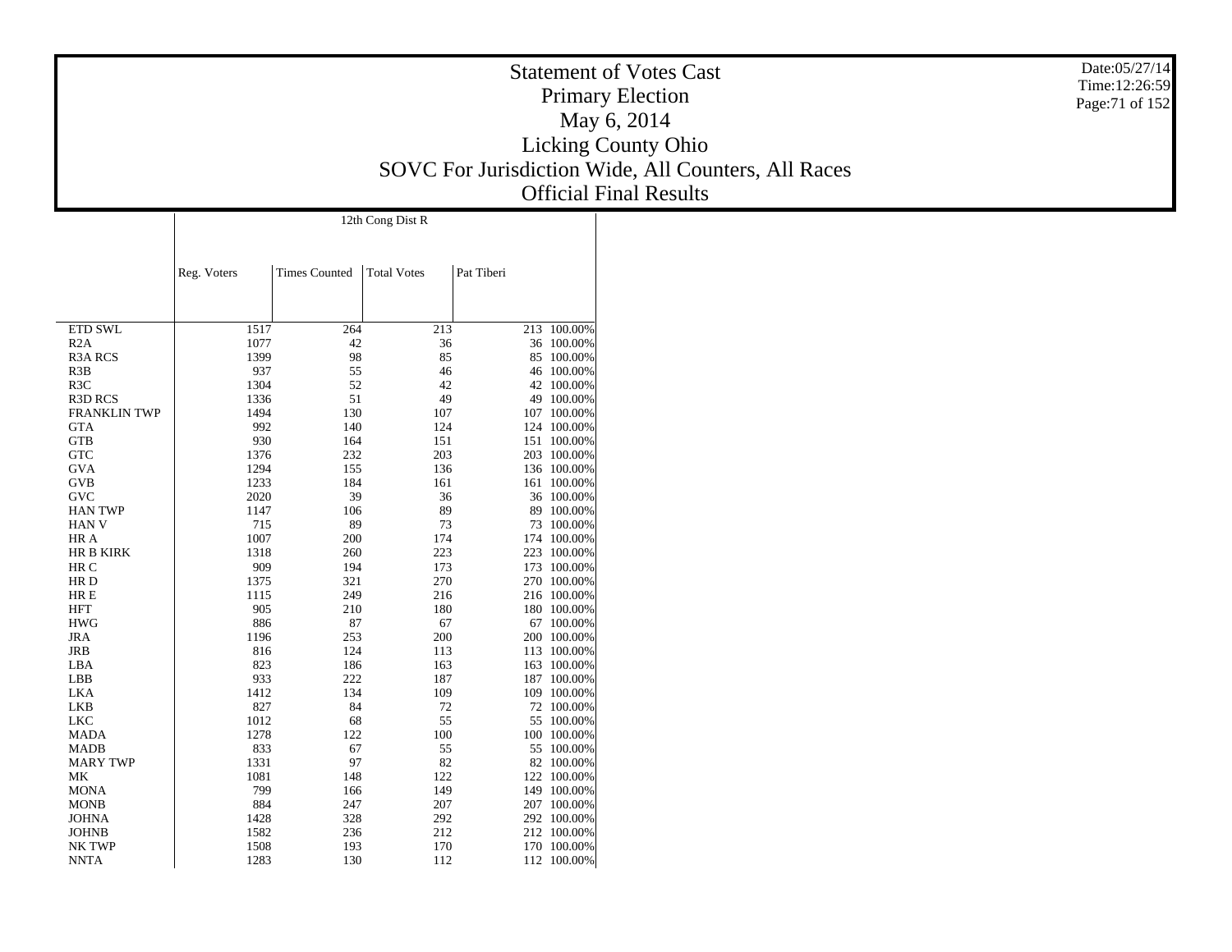| <b>Statement of Votes Cast</b>                 |              |                      |                                                     |            |  |                               |  |  |
|------------------------------------------------|--------------|----------------------|-----------------------------------------------------|------------|--|-------------------------------|--|--|
|                                                |              |                      |                                                     |            |  |                               |  |  |
| <b>Primary Election</b>                        |              |                      |                                                     |            |  |                               |  |  |
| May 6, 2014                                    |              |                      |                                                     |            |  |                               |  |  |
|                                                |              |                      |                                                     |            |  | Licking County Ohio           |  |  |
|                                                |              |                      |                                                     |            |  |                               |  |  |
|                                                |              |                      | SOVC For Jurisdiction Wide, All Counters, All Races |            |  |                               |  |  |
|                                                |              |                      |                                                     |            |  | <b>Official Final Results</b> |  |  |
|                                                |              |                      |                                                     |            |  |                               |  |  |
|                                                |              |                      | 12th Cong Dist R                                    |            |  |                               |  |  |
|                                                |              |                      |                                                     |            |  |                               |  |  |
|                                                |              |                      |                                                     |            |  |                               |  |  |
|                                                | Reg. Voters  | <b>Times Counted</b> | <b>Total Votes</b>                                  | Pat Tiberi |  |                               |  |  |
|                                                |              |                      |                                                     |            |  |                               |  |  |
|                                                |              |                      |                                                     |            |  |                               |  |  |
| ETD SWL                                        | 1517         | 264                  | 213                                                 |            |  | $213 - 100.00\%$              |  |  |
| R2A                                            | 1077         | 42                   | 36                                                  |            |  | 36 100.00%                    |  |  |
| <b>R3A RCS</b>                                 | 1399         | 98                   | 85                                                  |            |  | 85 100.00%                    |  |  |
| R3B                                            | 937          | 55                   | 46                                                  |            |  | 46 100.00%                    |  |  |
| R3C<br>R3D RCS                                 | 1304<br>1336 | 52<br>51             | 42<br>49                                            |            |  | 42 100.00%<br>49 100.00%      |  |  |
| <b>FRANKLIN TWP</b>                            | 1494         | 130                  | 107                                                 |            |  | 107 100.00%                   |  |  |
| <b>GTA</b>                                     | 992          | 140                  | 124                                                 |            |  | 124 100.00%                   |  |  |
| $\operatorname{GTB}$                           | 930          | 164                  | 151                                                 |            |  | 151 100.00%                   |  |  |
| ${\rm GTC}$                                    | 1376         | 232                  | 203                                                 |            |  | 203 100.00%                   |  |  |
| <b>GVA</b>                                     | 1294         | 155                  | 136                                                 |            |  | 136 100.00%                   |  |  |
| <b>GVB</b>                                     | 1233         | 184                  | 161                                                 |            |  | 161 100.00%                   |  |  |
| <b>GVC</b><br><b>HAN TWP</b>                   | 2020<br>1147 | 39<br>106            | 36<br>89                                            |            |  | 36 100.00%<br>89 100.00%      |  |  |
| <b>HAN V</b>                                   | 715          | 89                   | 73                                                  |            |  | 73 100.00%                    |  |  |
| HR A                                           | 1007         | 200                  | 174                                                 |            |  | 174 100.00%                   |  |  |
| <b>HR B KIRK</b>                               | 1318         | 260                  | 223                                                 |            |  | 223 100.00%                   |  |  |
| HR C                                           | 909          | 194                  | 173                                                 |            |  | 173 100.00%                   |  |  |
| HR D                                           | 1375         | 321                  | 270                                                 |            |  | 270 100.00%                   |  |  |
| HR E                                           | 1115         | 249                  | 216                                                 |            |  | 216 100.00%                   |  |  |
| <b>HFT</b><br>$\mathbf{H}\mathbf{W}\mathbf{G}$ | 905<br>886   | 210                  | 180                                                 |            |  | 180 100.00%                   |  |  |
| <b>JRA</b>                                     | 1196         | 87<br>253            | 67<br>200                                           |            |  | 67 100.00%<br>200 100.00%     |  |  |
| JRB                                            | 816          | 124                  | 113                                                 |            |  | 113 100.00%                   |  |  |
| LBA                                            | 823          | 186                  | 163                                                 |            |  | 163 100.00%                   |  |  |
| LBB                                            | 933          | 222                  | 187                                                 |            |  | 187 100.00%                   |  |  |
| <b>LKA</b>                                     | 1412         | 134                  | 109                                                 |            |  | 109 100.00%                   |  |  |
| <b>LKB</b>                                     | 827          | 84                   | 72                                                  |            |  | 72 100.00%                    |  |  |
| ${\rm LKC}$                                    | 1012         | 68                   | 55                                                  |            |  | 55 100.00%                    |  |  |
| MADA<br><b>MADB</b>                            | 1278<br>833  | 122<br>67            | 100<br>55                                           |            |  | 100 100.00%<br>55 100.00%     |  |  |
| <b>MARY TWP</b>                                | 1331         | 97                   | 82                                                  |            |  | 82 100.00%                    |  |  |
| МK                                             | 1081         | 148                  | 122                                                 |            |  | 122 100.00%                   |  |  |
| <b>MONA</b>                                    | 799          | 166                  | 149                                                 |            |  | 149 100.00%                   |  |  |
| <b>MONB</b>                                    | 884          | 247                  | 207                                                 |            |  | 207 100.00%                   |  |  |
| <b>JOHNA</b>                                   | 1428         | 328                  | 292                                                 |            |  | 292 100.00%                   |  |  |
| <b>JOHNB</b>                                   | 1582         | 236                  | 212                                                 |            |  | 212 100.00%                   |  |  |
| <b>NKTWP</b>                                   | 1508         | 193                  | 170                                                 |            |  | 170 100.00%                   |  |  |
| <b>NNTA</b>                                    | 1283         | 130                  | 112                                                 |            |  | 112 100.00%                   |  |  |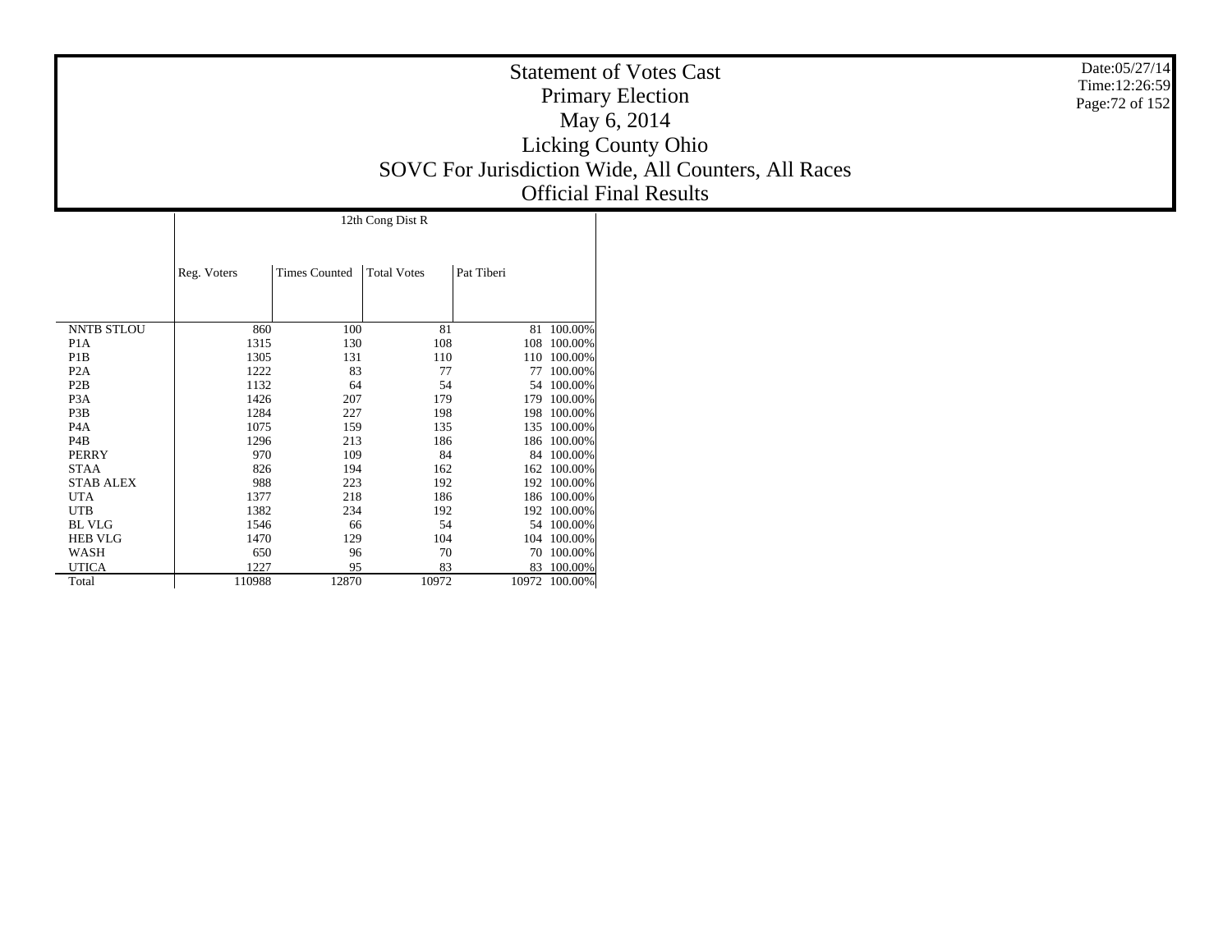| <b>Statement of Votes Cast</b>                      |  |  |  |  |  |  |  |  |
|-----------------------------------------------------|--|--|--|--|--|--|--|--|
| <b>Primary Election</b>                             |  |  |  |  |  |  |  |  |
| May 6, 2014                                         |  |  |  |  |  |  |  |  |
| <b>Licking County Ohio</b>                          |  |  |  |  |  |  |  |  |
| SOVC For Jurisdiction Wide, All Counters, All Races |  |  |  |  |  |  |  |  |
| <b>Official Final Results</b>                       |  |  |  |  |  |  |  |  |

Date:05/27/14 Time:12:26:59 Page:72 of 152

|                   | 12th Cong Dist R |                      |                    |            |         |  |  |  |  |  |  |
|-------------------|------------------|----------------------|--------------------|------------|---------|--|--|--|--|--|--|
|                   | Reg. Voters      | <b>Times Counted</b> | <b>Total Votes</b> | Pat Tiberi |         |  |  |  |  |  |  |
| <b>NNTB STLOU</b> | 860              | 100                  | 81                 | 81         | 100.00% |  |  |  |  |  |  |
| P <sub>1</sub> A  | 1315             | 130                  | 108                | 108        | 100.00% |  |  |  |  |  |  |
| P <sub>1</sub> B  | 1305             | 131                  | 110                | 110        | 100.00% |  |  |  |  |  |  |
| P <sub>2</sub> A  | 1222             | 83                   | 77                 | 77         | 100.00% |  |  |  |  |  |  |
| P <sub>2</sub> B  | 1132             | 64                   | 54                 | 54         | 100.00% |  |  |  |  |  |  |
| P <sub>3</sub> A  | 1426             | 207                  | 179                | 179        | 100.00% |  |  |  |  |  |  |
| P3B               | 1284             | 227                  | 198                | 198        | 100.00% |  |  |  |  |  |  |
| P <sub>4</sub> A  | 1075             | 159                  | 135                | 135        | 100.00% |  |  |  |  |  |  |
| P4B               | 1296             | 213                  | 186                | 186        | 100.00% |  |  |  |  |  |  |
| <b>PERRY</b>      | 970              | 109                  | 84                 | 84         | 100.00% |  |  |  |  |  |  |
| <b>STAA</b>       | 826              | 194                  | 162                | 162        | 100.00% |  |  |  |  |  |  |
| <b>STAB ALEX</b>  | 988              | 223                  | 192                | 192        | 100.00% |  |  |  |  |  |  |
| <b>UTA</b>        | 1377             | 218                  | 186                | 186        | 100.00% |  |  |  |  |  |  |
| <b>UTB</b>        | 1382             | 234                  | 192                | 192        | 100.00% |  |  |  |  |  |  |
| <b>BL VLG</b>     | 1546             | 66                   | 54                 | 54         | 100.00% |  |  |  |  |  |  |
| <b>HEB VLG</b>    | 1470             | 129                  | 104                | 104        | 100.00% |  |  |  |  |  |  |
| WASH              | 650              | 96                   | 70                 | 70         | 100.00% |  |  |  |  |  |  |
| <b>UTICA</b>      | 1227             | 95                   | 83                 | 83         | 100.00% |  |  |  |  |  |  |
| Total             | 110988           | 12870                | 10972              | 10972      | 100.00% |  |  |  |  |  |  |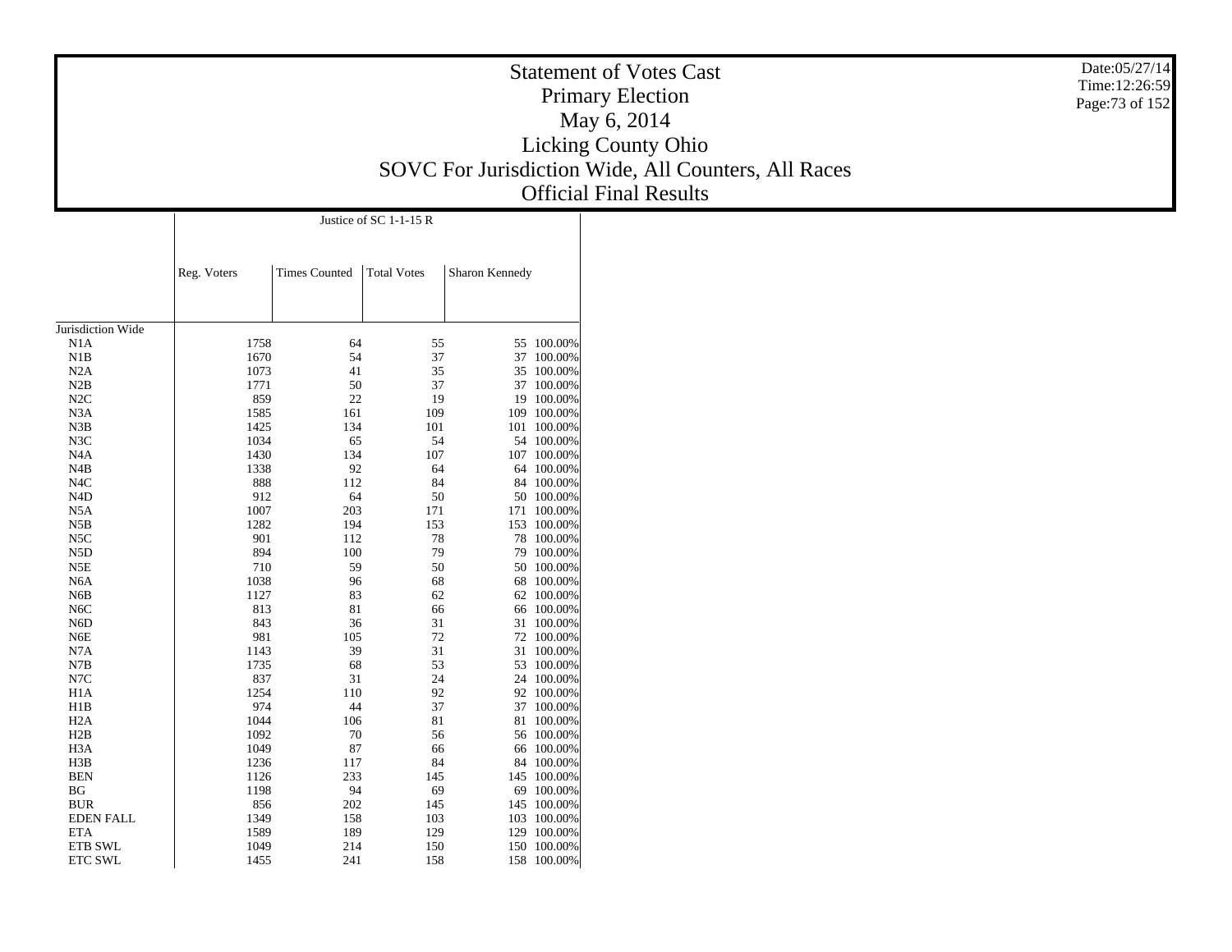|                          |              |                      |                        |                                                     | <b>Statement of Votes Cast</b><br><b>Primary Election</b> |
|--------------------------|--------------|----------------------|------------------------|-----------------------------------------------------|-----------------------------------------------------------|
|                          |              |                      |                        |                                                     |                                                           |
|                          |              |                      |                        |                                                     | May 6, 2014                                               |
|                          |              |                      |                        |                                                     | <b>Licking County Ohio</b>                                |
|                          |              |                      |                        | SOVC For Jurisdiction Wide, All Counters, All Races |                                                           |
|                          |              |                      |                        |                                                     | <b>Official Final Results</b>                             |
|                          |              |                      |                        |                                                     |                                                           |
|                          |              |                      | Justice of SC 1-1-15 R |                                                     |                                                           |
|                          |              |                      |                        |                                                     |                                                           |
|                          |              | <b>Times Counted</b> | Total Votes            | Sharon Kennedy                                      |                                                           |
|                          | Reg. Voters  |                      |                        |                                                     |                                                           |
|                          |              |                      |                        |                                                     |                                                           |
|                          |              |                      |                        |                                                     |                                                           |
| Jurisdiction Wide<br>N1A | 1758         | 64                   | 55                     |                                                     | 55 100.00%                                                |
| N1B                      | 1670         | 54                   | 37                     |                                                     | 37 100.00%                                                |
| N2A                      | 1073         | 41                   | 35                     |                                                     | 35 100.00%                                                |
| N2B                      | 1771         | 50                   | 37                     |                                                     | 37 100.00%                                                |
| N2C                      | 859          | 22                   | 19                     |                                                     | 19 100.00%                                                |
| N3A                      | 1585         | 161                  | 109                    |                                                     | 109 100.00%                                               |
| N3B<br>N3C               | 1425<br>1034 | 134<br>65            | 101<br>54              |                                                     | 101 100.00%<br>54 100.00%                                 |
| N <sub>4</sub> A         | 1430         | 134                  | 107                    |                                                     | 107 100.00%                                               |
| N4B                      | 1338         | 92                   | 64                     |                                                     | 64 100.00%                                                |
| N4C                      | 888          | 112                  | 84                     | 84                                                  | 100.00%                                                   |
| N4D                      | 912          | 64                   | 50                     |                                                     | 50 100.00%                                                |
| N5A                      | 1007         | 203                  | 171                    |                                                     | 171 100.00%                                               |
| N5B<br>N5C               | 1282<br>901  | 194<br>112           | 153<br>78              |                                                     | 153 100.00%<br>78 100.00%                                 |
| N5D                      | 894          | 100                  | 79                     |                                                     | 79 100.00%                                                |
| N5E                      | 710          | 59                   | 50                     |                                                     | 50 100.00%                                                |
| N6A                      | 1038         | 96                   | 68                     |                                                     | 68 100.00%                                                |
| N6B                      | 1127         | 83                   | 62                     |                                                     | 62 100.00%                                                |
| N <sub>6</sub> C         | 813          | 81                   | 66                     |                                                     | 66 100.00%                                                |
| N <sub>6</sub> D<br>N6E  | 843<br>981   | 36<br>105            | 31<br>$72\,$           |                                                     | 31 100.00%<br>72 100.00%                                  |
| N7A                      | 1143         | 39                   | 31                     |                                                     | 31 100.00%                                                |
| N7B                      | 1735         | 68                   | 53                     |                                                     | 53 100.00%                                                |
| N7C                      | 837          | 31                   | 24                     |                                                     | 24 100.00%                                                |
| H1A                      | 1254         | 110                  | $92\,$                 |                                                     | 92 100.00%                                                |
| H1B                      | 974          | 44                   | $37\,$                 |                                                     | 37 100.00%                                                |
| H <sub>2</sub> A<br>H2B  | 1044<br>1092 | 106<br>70            | 81<br>56               |                                                     | 81 100.00%<br>56 100.00%                                  |
| H3A                      | 1049         | 87                   | 66                     |                                                     | 66 100.00%                                                |
| H3B                      | 1236         | 117                  | 84                     |                                                     | 84 100.00%                                                |
| $\operatorname{BEN}$     | 1126         | 233                  | 145                    |                                                     | 145 100.00%                                               |
| BG                       | 1198         | 94                   | 69                     |                                                     | 69 100.00%                                                |
| <b>BUR</b>               | 856          | 202                  | 145                    |                                                     | 145 100.00%                                               |
| <b>EDEN FALL</b><br>ETA  | 1349<br>1589 | 158<br>189           | 103<br>129             |                                                     | 103 100.00%<br>129 100.00%                                |
| ETB SWL                  | 1049         | 214                  | 150                    |                                                     | 150 100.00%                                               |
| ETC SWL                  | 1455         | 241                  | 158                    |                                                     | 158 100.00%                                               |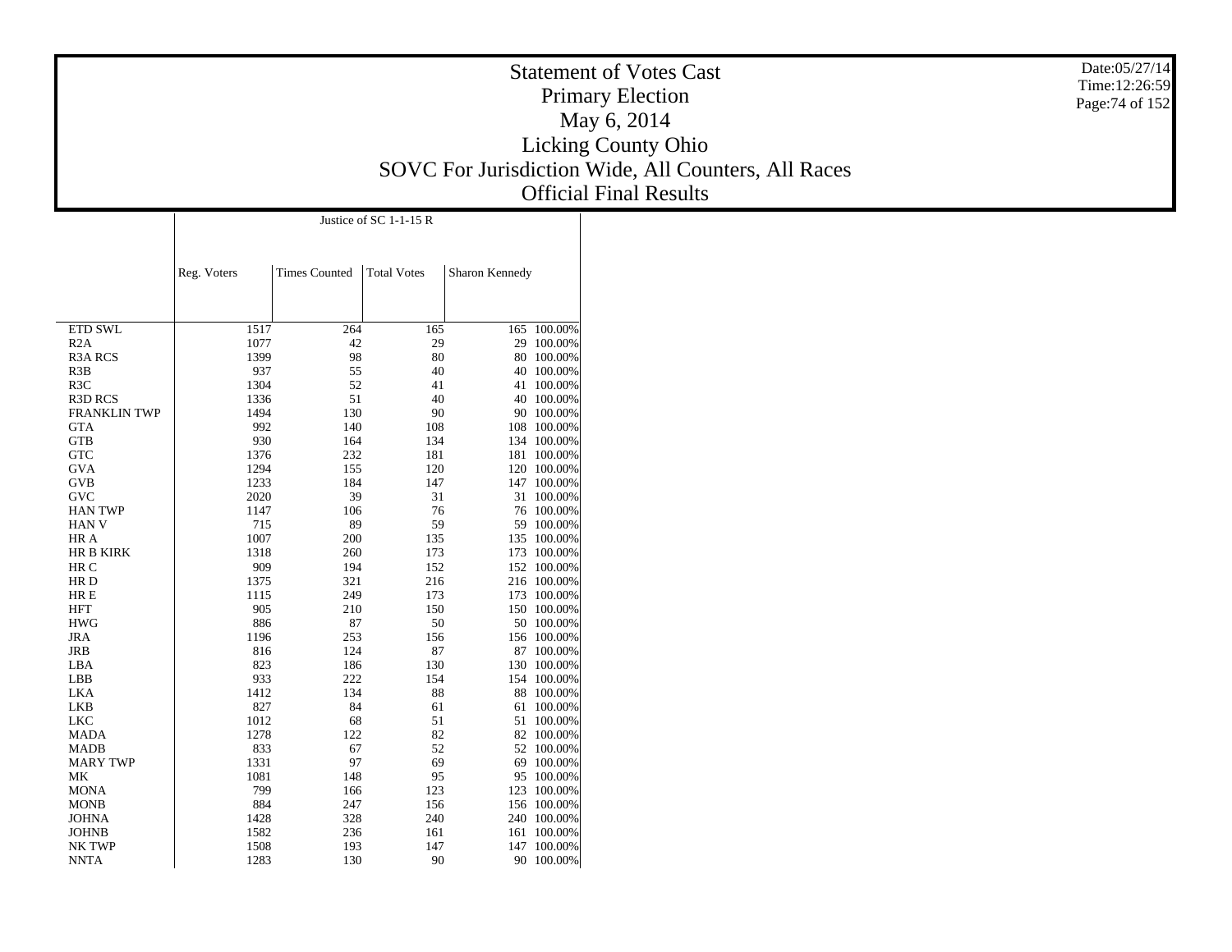4 247 156 156 100.00%

328 240 240 100.00%

236 161 161 100.00%

130 90 90 100.00%

193 147 147 100.00%

884

1428

15821508

1283

 R2A R3A RCS R3B R3CR3D RCS

 GTA GTB GTC GVA GVBGVC

 HAN VHR A

 HR C HR D HR E HFT HWG JRA JRB LBA LBB LKA LKB LKC MADAMADB

 MK MONA MONB JOHNA JOHNB NK TWP NNTA

Date:05/27/14Time:12:26:59Page:74 of 152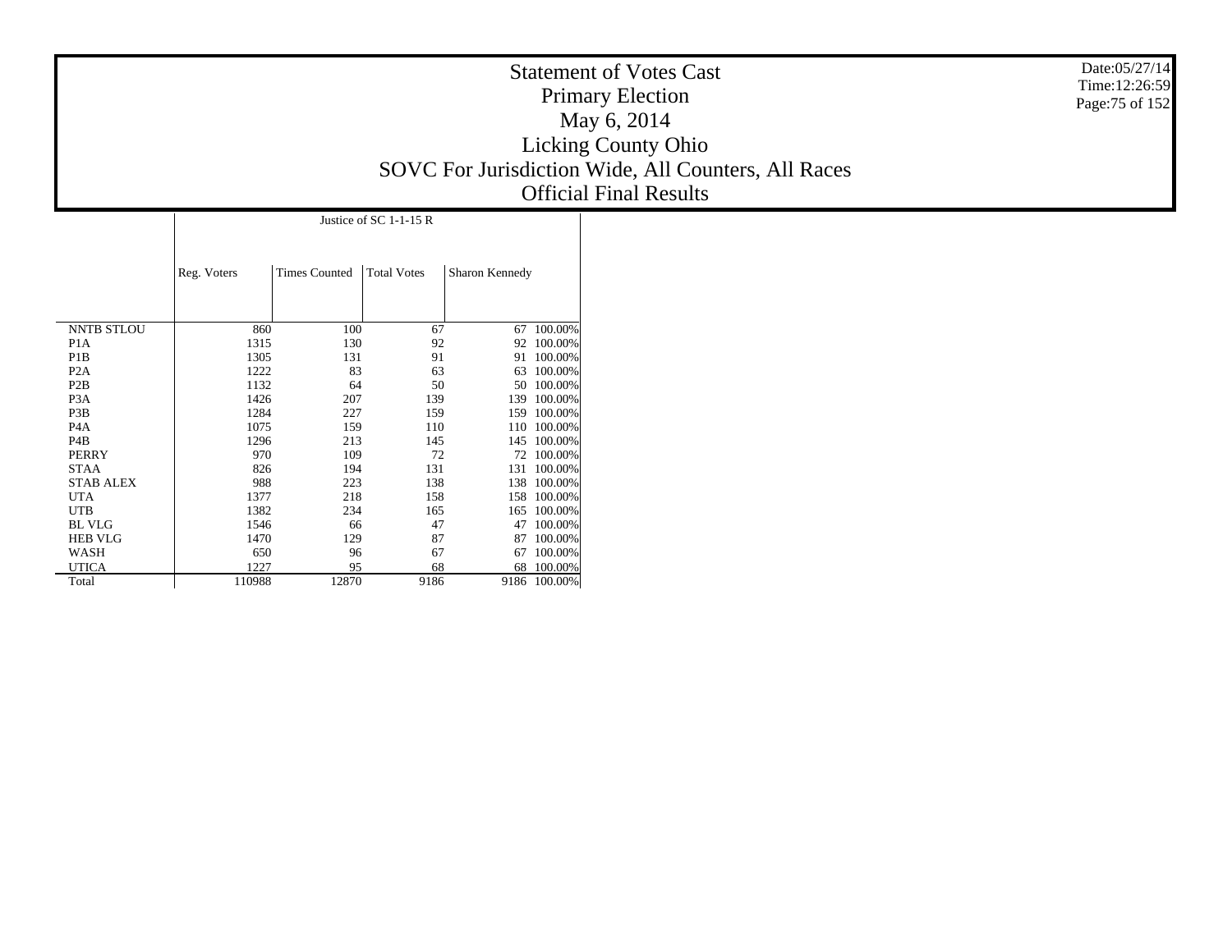Date:05/27/14 Time:12:26:59Page:75 of 152

|                   |             |                      | Justice of SC 1-1-15 $R$ |                |         |
|-------------------|-------------|----------------------|--------------------------|----------------|---------|
|                   | Reg. Voters | <b>Times Counted</b> | <b>Total Votes</b>       | Sharon Kennedy |         |
| <b>NNTB STLOU</b> | 860         | 100                  | 67                       | 67             | 100.00% |
| P <sub>1</sub> A  | 1315        | 130                  | 92                       | 92             | 100.00% |
| P <sub>1</sub> B  | 1305        | 131                  | 91                       | 91             | 100.00% |
| P <sub>2</sub> A  | 1222        | 83                   | 63                       | 63             | 100.00% |
| P <sub>2</sub> B  | 1132        | 64                   | 50                       | 50             | 100.00% |
| P <sub>3</sub> A  | 1426        | 207                  | 139                      | 139            | 100.00% |
| P3B               | 1284        | 227                  | 159                      | 159            | 100.00% |
| P <sub>4</sub> A  | 1075        | 159                  | 110                      | 110            | 100.00% |
| P <sub>4</sub> B  | 1296        | 213                  | 145                      | 145            | 100.00% |
| <b>PERRY</b>      | 970         | 109                  | 72                       | 72             | 100.00% |
| <b>STAA</b>       | 826         | 194                  | 131                      | 131            | 100.00% |
| <b>STAB ALEX</b>  | 988         | 223                  | 138                      | 138            | 100.00% |
| <b>UTA</b>        | 1377        | 218                  | 158                      | 158            | 100.00% |
| UTB               | 1382        | 234                  | 165                      | 165            | 100.00% |
| <b>BL VLG</b>     | 1546        | 66                   | 47                       | 47             | 100.00% |
| <b>HEB VLG</b>    | 1470        | 129                  | 87                       | 87             | 100.00% |
| WASH              | 650         | 96                   | 67                       | 67             | 100.00% |
| <b>UTICA</b>      | 1227        | 95                   | 68                       | 68             | 100.00% |
| Total             | 110988      | 12870                | 9186                     | 9186           | 100.00% |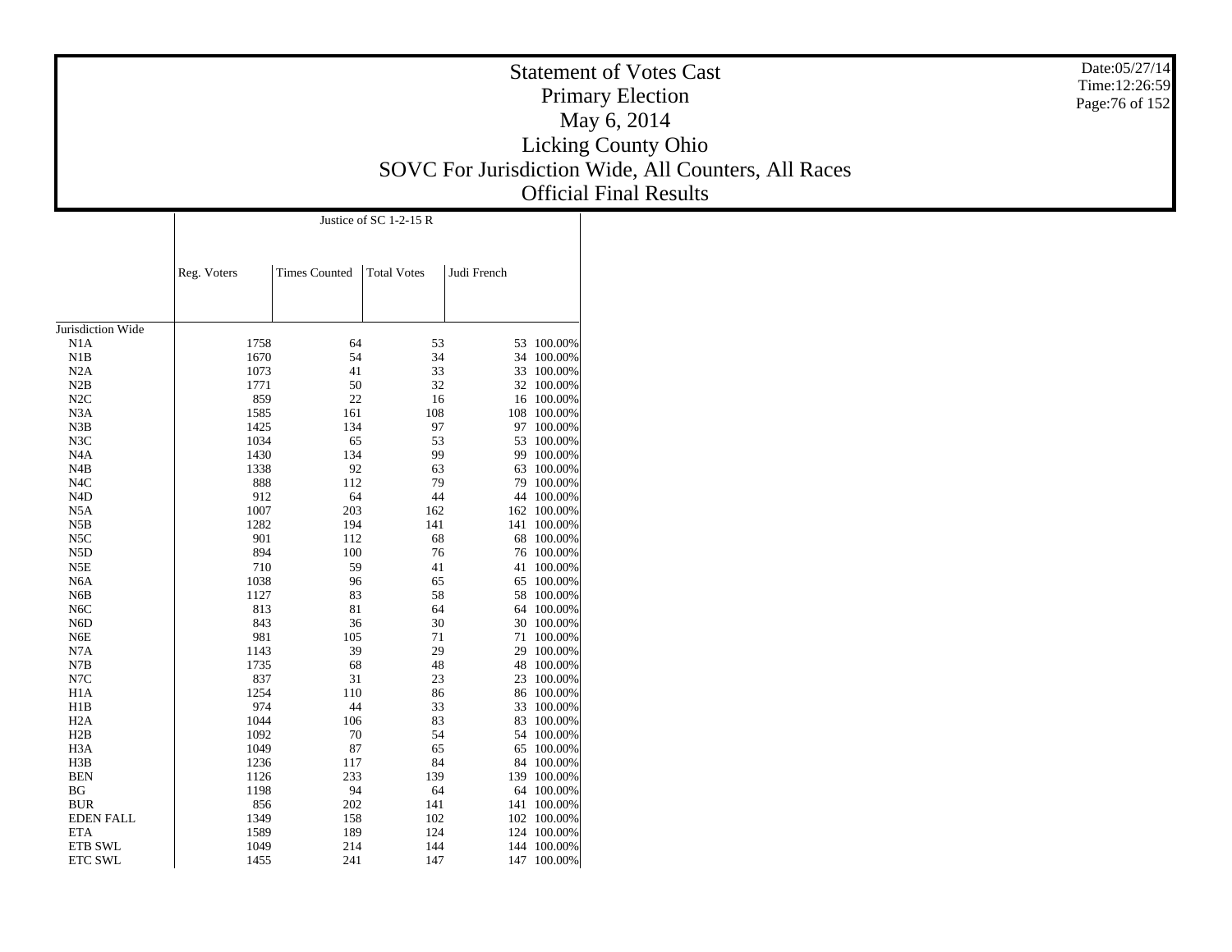|                                  |              |                      |                        |                                                     | <b>Statement of Votes Cast</b> |
|----------------------------------|--------------|----------------------|------------------------|-----------------------------------------------------|--------------------------------|
|                                  |              |                      |                        |                                                     | <b>Primary Election</b>        |
|                                  |              |                      |                        |                                                     |                                |
|                                  |              |                      |                        |                                                     | May 6, 2014                    |
|                                  |              |                      |                        |                                                     | <b>Licking County Ohio</b>     |
|                                  |              |                      |                        | SOVC For Jurisdiction Wide, All Counters, All Races |                                |
|                                  |              |                      |                        |                                                     |                                |
|                                  |              |                      |                        |                                                     | <b>Official Final Results</b>  |
|                                  |              |                      | Justice of SC 1-2-15 R |                                                     |                                |
|                                  |              |                      |                        |                                                     |                                |
|                                  |              |                      |                        |                                                     |                                |
|                                  | Reg. Voters  | <b>Times Counted</b> | <b>Total Votes</b>     | Judi French                                         |                                |
|                                  |              |                      |                        |                                                     |                                |
|                                  |              |                      |                        |                                                     |                                |
|                                  |              |                      |                        |                                                     |                                |
| Jurisdiction Wide                |              |                      |                        |                                                     |                                |
| N1A<br>N1B                       | 1758<br>1670 | 64<br>54             | 53<br>34               |                                                     | 53 100.00%<br>34 100.00%       |
| N2A                              | 1073         | 41                   | 33                     |                                                     | 33 100.00%                     |
| N2B                              | 1771         | 50                   | 32                     |                                                     | 32 100.00%                     |
| $\rm N2C$                        | 859          | 22                   | 16                     |                                                     | 16 100.00%                     |
| N <sub>3</sub> A                 | 1585         | 161                  | 108                    |                                                     | 108 100.00%                    |
| N3B                              | 1425         | 134                  | 97                     |                                                     | 97 100.00%                     |
| N3C                              | 1034         | 65                   | 53                     |                                                     | 53 100.00%                     |
| N <sub>4</sub> A<br>N4B          | 1430<br>1338 | 134<br>92            | 99<br>63               |                                                     | 99 100.00%<br>63 100.00%       |
| N4C                              | 888          | 112                  | 79                     |                                                     | 79 100.00%                     |
| N <sub>4</sub> D                 | 912          | 64                   | 44                     |                                                     | 44 100.00%                     |
| N5A                              | 1007         | 203                  | 162                    |                                                     | 162 100.00%                    |
| N5B                              | 1282         | 194                  | 141                    |                                                     | 141 100.00%                    |
| N5C                              | 901          | 112                  | 68                     |                                                     | 68 100.00%                     |
| N <sub>5</sub> D                 | 894          | 100                  | 76                     |                                                     | 76 100.00%                     |
| N5E<br>N <sub>6</sub> A          | 710<br>1038  | 59<br>96             | 41<br>65               |                                                     | 41 100.00%<br>65 100.00%       |
| N <sub>6</sub> B                 | 1127         | 83                   | 58                     |                                                     | 58 100.00%                     |
| N <sub>6</sub> C                 | 813          | 81                   | 64                     |                                                     | 64 100.00%                     |
| N <sub>6</sub> D                 | 843          | 36                   | 30                     |                                                     | 30 100.00%                     |
| N <sub>6</sub> E                 | 981          | 105                  | 71                     |                                                     | 71 100.00%                     |
| N7A                              | 1143         | 39                   | 29                     |                                                     | 29 100.00%                     |
| N7B                              | 1735         | 68                   | 48                     |                                                     | 48 100.00%                     |
| $_{\rm N7C}$<br>H <sub>1</sub> A | 837<br>1254  | 31<br>110            | 23<br>86               |                                                     | 23 100.00%<br>86 100.00%       |
| H1B                              | 974          | 44                   | 33                     |                                                     | 33 100.00%                     |
| H2A                              | 1044         | 106                  | 83                     |                                                     | 83 100.00%                     |
| H2B                              | 1092         | 70                   | 54                     |                                                     | 54 100.00%                     |
| H3A                              | 1049         | 87                   | 65                     |                                                     | 65 100.00%                     |
| H3B                              | 1236         | 117                  | 84                     |                                                     | 84 100.00%                     |
| <b>BEN</b>                       | 1126         | 233                  | 139                    |                                                     | 139 100.00%                    |
| BG<br><b>BUR</b>                 | 1198         | 94                   | 64                     |                                                     | 64 100.00%                     |
| <b>EDEN FALL</b>                 | 856<br>1349  | 202<br>158           | 141<br>102             |                                                     | 141 100.00%<br>102 100.00%     |
| <b>ETA</b>                       | 1589         | 189                  | 124                    |                                                     | 124 100.00%                    |
| ETB SWL                          | 1049         | $214\,$              | 144                    |                                                     | 144 100.00%                    |
| $\ensuremath{\text{ETC}}$ SWL    | 1455         | 241                  | 147                    |                                                     | 147 100.00%                    |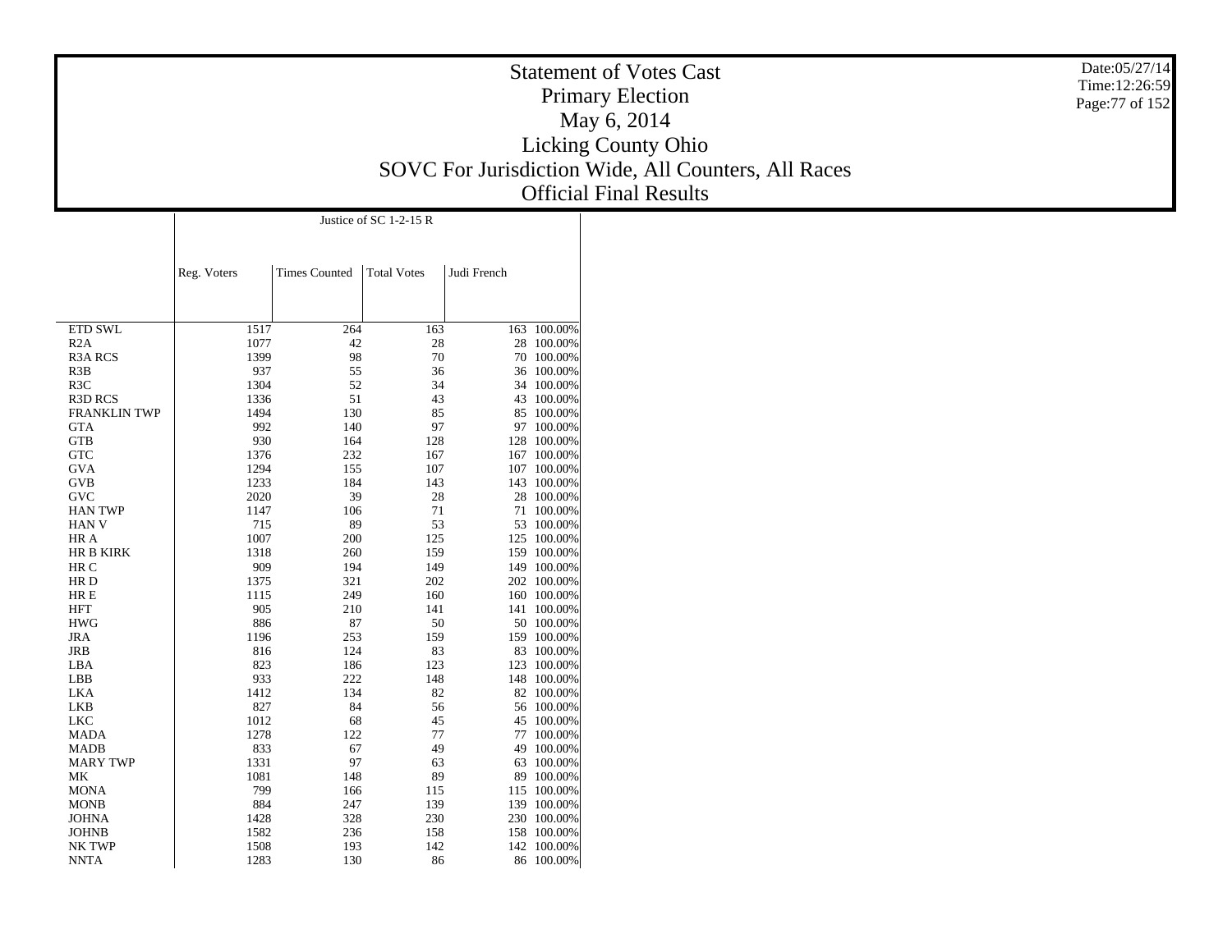Date:05/27/14 Time:12:26:59Page:77 of 152

|                         | Justice of SC 1-2-15 R |                      |                    |             |                          |  |
|-------------------------|------------------------|----------------------|--------------------|-------------|--------------------------|--|
|                         | Reg. Voters            | <b>Times Counted</b> | <b>Total Votes</b> | Judi French |                          |  |
|                         |                        |                      |                    |             |                          |  |
| ETD SWL                 | 1517                   | 264                  | 163                |             | 163 100.00%              |  |
| R2A                     | 1077<br>1399           | 42<br>98             | 28                 |             | 28 100.00%               |  |
| <b>R3A RCS</b>          | 937                    | 55                   | 70                 |             | 70 100.00%               |  |
| R3B<br>R <sub>3</sub> C | 1304                   | 52                   | 36<br>34           |             | 36 100.00%<br>34 100.00% |  |
| R3D RCS                 | 1336                   | 51                   | 43                 |             | 43 100.00%               |  |
| <b>FRANKLIN TWP</b>     | 1494                   | 130                  | 85                 |             | 85 100.00%               |  |
| GTA                     | 992                    | 140                  | 97                 |             | 97 100.00%               |  |
| <b>GTB</b>              | 930                    | 164                  | 128                |             | 128 100.00%              |  |
| GTC                     | 1376                   | 232                  | 167                |             | 167 100.00%              |  |
| GVA                     | 1294                   | 155                  | 107                |             | 107 100.00%              |  |
| GVB                     | 1233                   | 184                  | 143                | 143         | 100.00%                  |  |
| GVC                     | 2020                   | 39                   | 28                 |             | 28 100.00%               |  |
| <b>HAN TWP</b>          | 1147                   | 106                  | 71                 |             | 71 100.00%               |  |
| <b>HAN V</b>            | 715                    | 89                   | 53                 |             | 53 100.00%               |  |
| HR A                    | 1007                   | 200                  | 125                |             | 125 100.00%              |  |
| <b>HR B KIRK</b>        | 1318                   | 260                  | 159                |             | 159 100.00%              |  |
| HR C                    | 909                    | 194                  | 149                |             | 149 100.00%              |  |
| HR D                    | 1375                   | 321                  | 202                |             | 202 100.00%              |  |
| HR E                    | 1115                   | 249                  | 160                |             | 160 100.00%              |  |
| HFT                     | 905                    | 210                  | 141                |             | 141 100.00%              |  |
| <b>HWG</b>              | 886                    | 87                   | 50                 |             | 50 100.00%               |  |
| JRA                     | 1196                   | 253                  | 159                |             | 159 100.00%              |  |
| <b>JRB</b>              | 816                    | 124                  | 83                 |             | 83 100.00%               |  |
| LBA                     | 823                    | 186                  | 123                |             | 123 100.00%              |  |
| LBB                     | 933                    | 222                  | 148                |             | 148 100.00%              |  |
| LKA                     | 1412                   | 134                  | 82                 |             | 82 100.00%               |  |
| LKB                     | 827                    | 84                   | 56                 |             | 56 100.00%               |  |
| <b>LKC</b>              | 1012                   | 68                   | 45                 |             | 45 100.00%               |  |
| MADA                    | 1278                   | 122                  | 77                 |             | 77 100.00%               |  |
| MADB                    | 833                    | 67                   | 49                 |             | 49 100.00%               |  |
| <b>MARY TWP</b>         | 1331                   | 97                   | 63                 |             | 63 100.00%               |  |
| МK                      | 1081                   | 148                  | 89                 |             | 89 100.00%               |  |
| <b>MONA</b>             | 799                    | 166                  | 115                |             | 115 100.00%              |  |
| <b>MONB</b>             | 884                    | 247                  | 139                |             | 139 100.00%              |  |
| <b>JOHNA</b>            | 1428                   | 328                  | 230                |             | 230 100.00%              |  |
| JOHNB                   | 1582                   | 236                  | 158                |             | 158 100.00%              |  |
| NK TWP                  | 1508                   | 193                  | 142                |             | 142 100.00%              |  |
| NNTA                    | 1283                   | 130                  | 86                 |             | 86 100.00%               |  |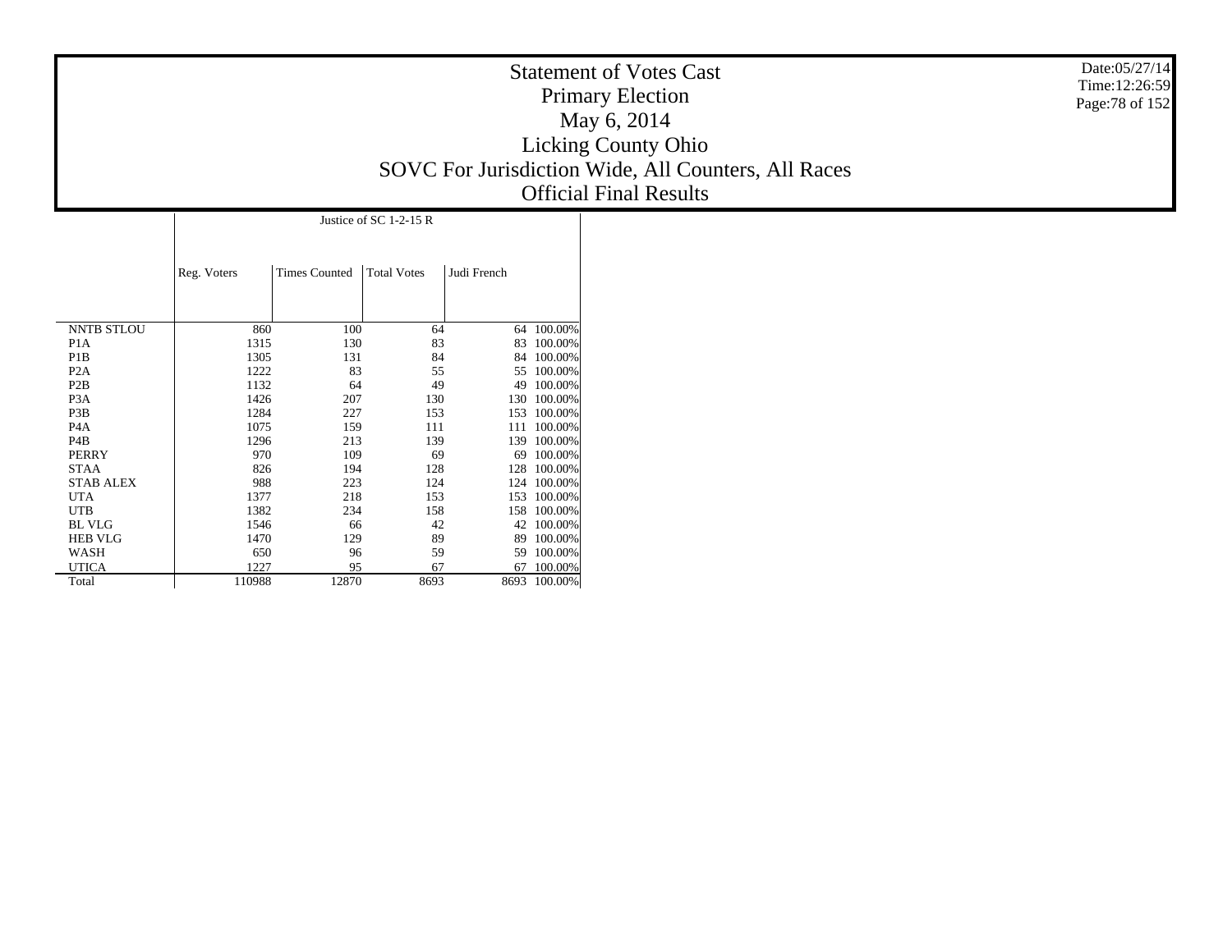NNTB STLOU P1A P1B P2A P2B P3A P3B P4A P4B PERRY STAA STAB ALEX UTA UTB BL VLG HEB VLG WASH UTICA Total Reg. Voters | Times Counted | Total Votes | Judi French Justice of SC 1-2-15 R860100 64 64 100.00% 130 83 83 100.00%1315 131 84 84 100.00% 13051222 83 55 55 100.00%2 64 49 49 100.00% 1132 207 130 130 100.00%14264 227 153 153 100.00% 12845 159 111 111 100.00% 1075 213 139 139 100.00%12960 109 69 69 100.00% 970 194 128 128 100.00%826 223 124 124 100.00%9887 218 153 153 100.00% 1377 234 158 158 100.00% 13821546 66 42 42 100.00%0 129 89 89 100.00% 14700 96 59 59 100.00% 650 95 67 67 100.00%1227 12870 8693 8693 100.00%110988

Date:05/27/14 Time:12:26:59 Page:78 of 152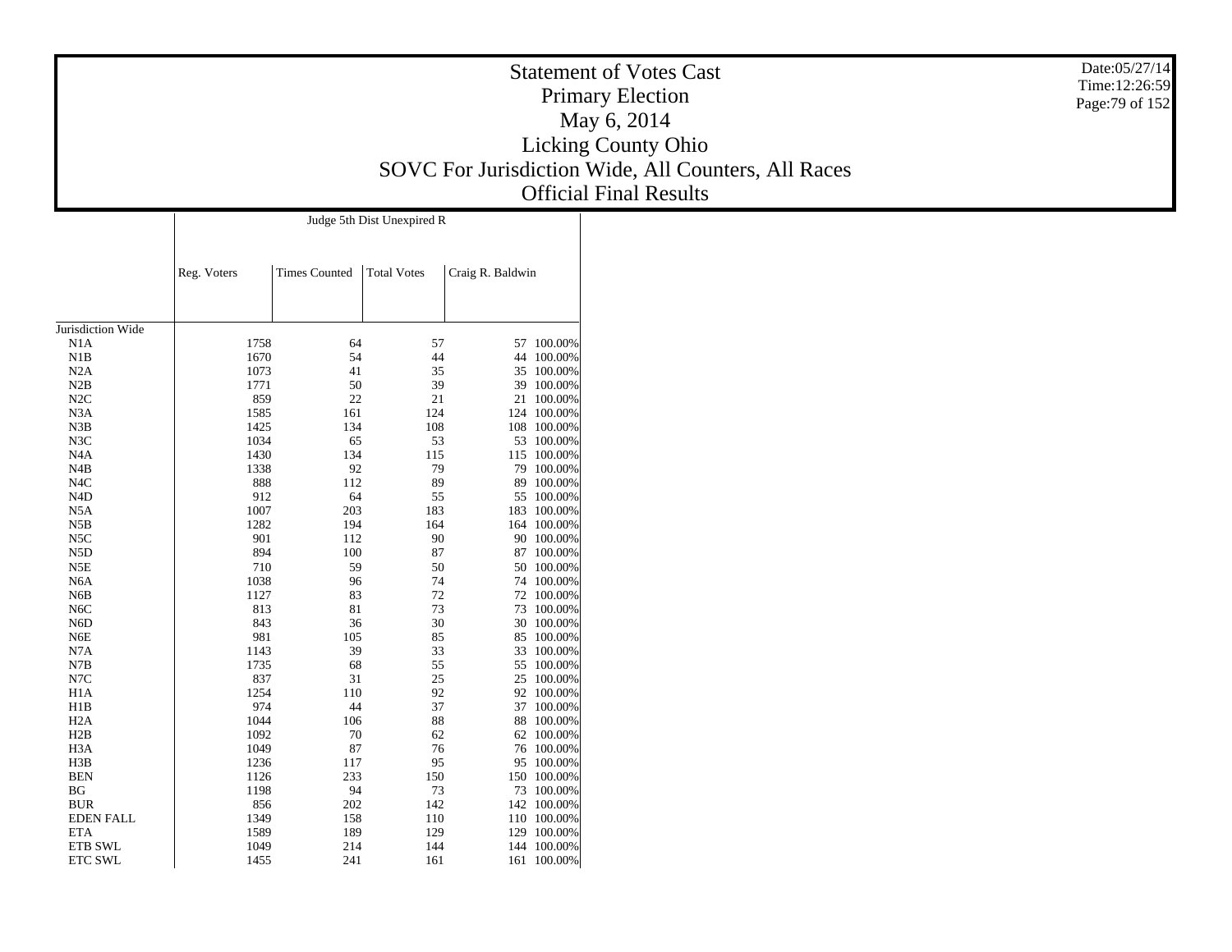|                         |              |                      |                            |                              | <b>Statement of Votes Cast</b>                      |  |
|-------------------------|--------------|----------------------|----------------------------|------------------------------|-----------------------------------------------------|--|
|                         |              |                      |                            |                              | <b>Primary Election</b>                             |  |
|                         |              |                      |                            |                              |                                                     |  |
|                         |              |                      |                            |                              | May 6, 2014                                         |  |
|                         |              |                      |                            |                              | <b>Licking County Ohio</b>                          |  |
|                         |              |                      |                            |                              | SOVC For Jurisdiction Wide, All Counters, All Races |  |
|                         |              |                      |                            |                              |                                                     |  |
|                         |              |                      |                            |                              | <b>Official Final Results</b>                       |  |
|                         |              |                      | Judge 5th Dist Unexpired R |                              |                                                     |  |
|                         |              |                      |                            |                              |                                                     |  |
|                         | Reg. Voters  | <b>Times Counted</b> | Total Votes                | Craig R. Baldwin             |                                                     |  |
|                         |              |                      |                            |                              |                                                     |  |
| Jurisdiction Wide       |              |                      |                            |                              |                                                     |  |
| N1A                     | 1758         | 64                   | 57                         | 57 100.00%                   |                                                     |  |
| N1B                     | 1670         | 54                   | 44                         | 44 100.00%                   |                                                     |  |
| N2A                     | 1073         | 41                   | 35                         | 35 100.00%                   |                                                     |  |
| N2B                     | 1771         | 50                   | 39                         | 39 100.00%                   |                                                     |  |
| N2C                     | 859          | $22\,$               | 21                         | 21<br>100.00%                |                                                     |  |
| N3A                     | 1585         | 161                  | 124                        | 124 100.00%                  |                                                     |  |
| N3B<br>N3C              | 1425<br>1034 | 134<br>65            | 108<br>53                  | 108<br>100.00%<br>53 100.00% |                                                     |  |
| N <sub>4</sub> A        | 1430         | 134                  | 115                        | 100.00%<br>115               |                                                     |  |
| N4B                     | 1338         | 92                   | 79                         | 79 100.00%                   |                                                     |  |
| N <sub>4</sub> C        | 888          | 112                  | 89                         | 89<br>100.00%                |                                                     |  |
| N <sub>4</sub> D        | 912          | 64                   | 55                         | 55 100.00%                   |                                                     |  |
| N5A                     | 1007         | 203                  | 183                        | 183<br>100.00%               |                                                     |  |
| N5B                     | 1282         | 194                  | 164                        | 164 100.00%                  |                                                     |  |
| N5C                     | 901          | 112                  | 90                         | 90<br>100.00%                |                                                     |  |
| N <sub>5</sub> D        | 894          | 100                  | 87                         | 87 100.00%                   |                                                     |  |
| N5E                     | 710          | 59                   | 50                         | 100.00%<br>50                |                                                     |  |
| N6A                     | 1038<br>1127 | 96<br>83             | 74<br>$72\,$               | 74 100.00%<br>72 100.00%     |                                                     |  |
| N6B<br>N <sub>6</sub> C | 813          | 81                   | 73                         | 73 100.00%                   |                                                     |  |
| N <sub>6</sub> D        | 843          | 36                   | 30                         | 100.00%<br>30                |                                                     |  |
| N6E                     | 981          | 105                  | 85                         | 85 100.00%                   |                                                     |  |
| N7A                     | 1143         | 39                   | 33                         | 33<br>100.00%                |                                                     |  |
| N7B                     | 1735         | 68                   | 55                         | 55 100.00%                   |                                                     |  |
| N7C                     | 837          | 31                   | 25                         | 25 100.00%                   |                                                     |  |
| H <sub>1</sub> A        | 1254         | 110                  | 92                         | 92 100.00%                   |                                                     |  |
| H1B                     | 974          | 44                   | 37                         | 37 100.00%                   |                                                     |  |
| H <sub>2</sub> A        | 1044         | 106                  | 88                         | 88 100.00%                   |                                                     |  |
| H2B                     | 1092         | 70                   | 62                         | 62 100.00%                   |                                                     |  |
| H <sub>3</sub> A<br>H3B | 1049<br>1236 | 87<br>117            | 76<br>95                   | 76 100.00%<br>95 100.00%     |                                                     |  |
| <b>BEN</b>              | 1126         | 233                  | 150                        | 150 100.00%                  |                                                     |  |
| BG                      | 1198         | 94                   | 73                         | 73 100.00%                   |                                                     |  |
| <b>BUR</b>              | 856          | 202                  | 142                        | 142 100.00%                  |                                                     |  |
| <b>EDEN FALL</b>        | 1349         | 158                  | 110                        | 110 100.00%                  |                                                     |  |
| ETA                     | 1589         | 189                  | 129                        | 129 100.00%                  |                                                     |  |
| ${\rm ETB}$ SWL         | 1049         | 214                  | 144                        | 144 100.00%                  |                                                     |  |
| ETC SWL                 | 1455         | $241\,$              | 161                        | 161 100.00%                  |                                                     |  |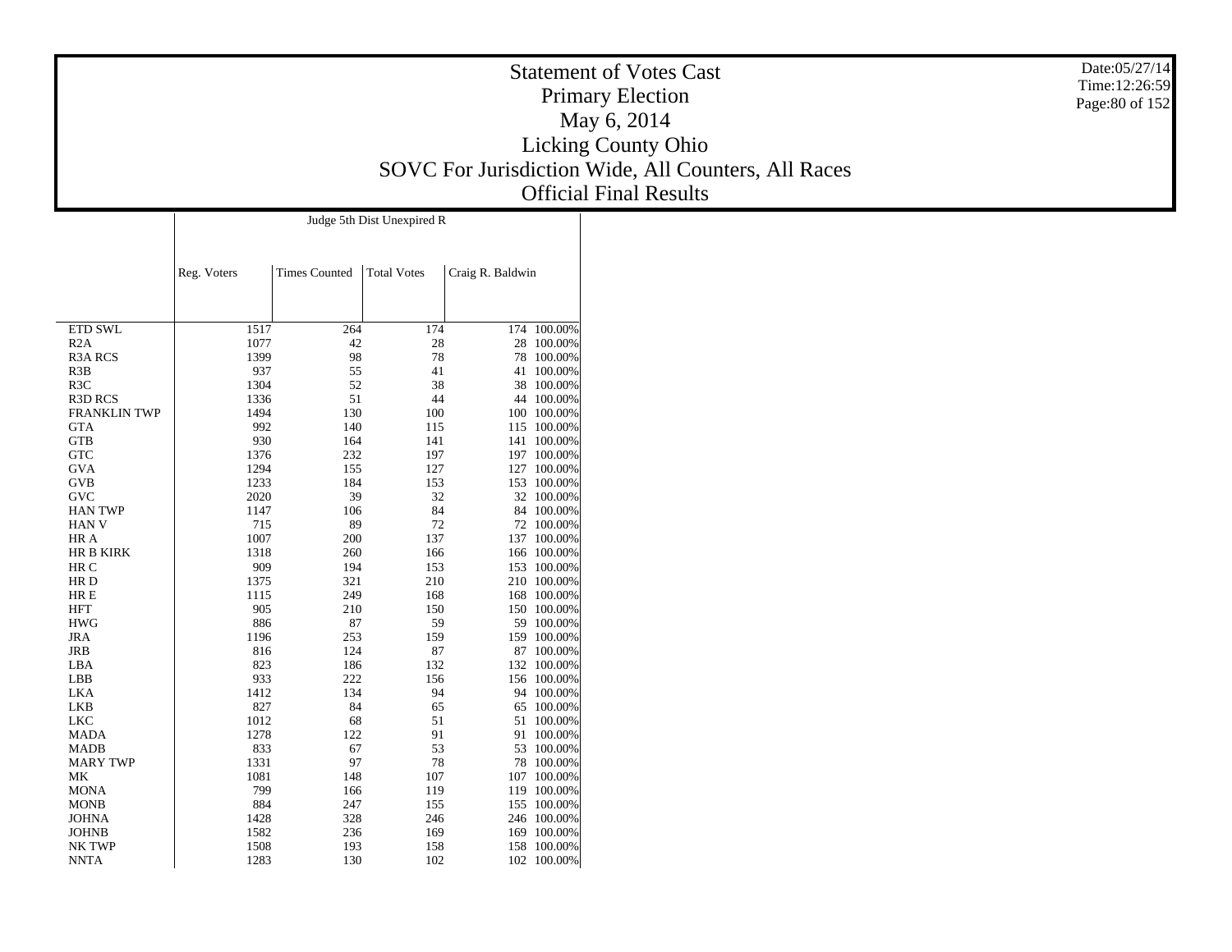| <b>Statement of Votes Cast</b>                      |
|-----------------------------------------------------|
| <b>Primary Election</b>                             |
| May 6, 2014                                         |
| <b>Licking County Ohio</b>                          |
| SOVC For Jurisdiction Wide, All Counters, All Races |
| <b>Official Final Results</b>                       |

Date:05/27/14 Time:12:26:59 Page:80 of 152

|                      |              |                      | Judge 5th Dist Unexpired R |                  |                           |
|----------------------|--------------|----------------------|----------------------------|------------------|---------------------------|
|                      | Reg. Voters  | <b>Times Counted</b> | <b>Total Votes</b>         | Craig R. Baldwin |                           |
|                      |              |                      |                            |                  |                           |
| ETD SWL<br>R2A       | 1517<br>1077 | 264<br>42            | 174<br>28                  |                  | 174 100.00%<br>28 100.00% |
| <b>R3A RCS</b>       | 1399         | 98                   | 78                         |                  | 78 100.00%                |
| R3B                  | 937          | 55                   | 41                         | 41               | 100.00%                   |
| R <sub>3</sub> C     | 1304         | 52                   | 38                         |                  | 38 100.00%                |
| R3D RCS              | 1336         | 51                   | 44                         |                  | 44 100.00%                |
| <b>FRANKLIN TWP</b>  | 1494         | 130                  | 100                        |                  | 100 100.00%               |
| <b>GTA</b>           | 992          | 140                  | 115                        |                  | 115 100.00%               |
| <b>GTB</b>           | 930          | 164                  | 141                        |                  | 141 100.00%               |
| <b>GTC</b>           | 1376         | 232                  | 197                        |                  | 197 100.00%               |
| <b>GVA</b>           | 1294         | 155                  | 127                        |                  | 127 100.00%               |
| <b>GVB</b>           | 1233         | 184                  | 153                        |                  | 153 100.00%               |
| GVC                  | 2020         | 39                   | 32                         |                  | 32 100.00%                |
| <b>HAN TWP</b>       | 1147<br>715  | 106<br>89            | 84<br>72                   |                  | 84 100.00%                |
| <b>HAN V</b><br>HR A | 1007         | 200                  | 137                        |                  | 72 100.00%<br>137 100.00% |
| <b>HR B KIRK</b>     | 1318         | 260                  | 166                        |                  | 166 100.00%               |
| HR C                 | 909          | 194                  | 153                        |                  | 153 100.00%               |
| HR D                 | 1375         | 321                  | 210                        |                  | 210 100.00%               |
| HR E                 | 1115         | 249                  | 168                        |                  | 168 100.00%               |
| <b>HFT</b>           | 905          | 210                  | 150                        |                  | 150 100.00%               |
| <b>HWG</b>           | 886          | 87                   | 59                         |                  | 59 100.00%                |
| <b>JRA</b>           | 1196         | 253                  | 159                        |                  | 159 100.00%               |
| <b>JRB</b>           | 816          | 124                  | 87                         |                  | 87 100.00%                |
| LBA                  | 823          | 186                  | 132                        |                  | 132 100.00%               |
| LBB                  | 933          | 222                  | 156                        |                  | 156 100.00%               |
| <b>LKA</b>           | 1412         | 134                  | 94                         |                  | 94 100.00%                |
| <b>LKB</b>           | 827          | 84                   | 65                         |                  | 65 100.00%                |
| <b>LKC</b><br>MADA   | 1012<br>1278 | 68<br>122            | 51<br>91                   |                  | 51 100.00%<br>91 100.00%  |
| <b>MADB</b>          | 833          | 67                   | 53                         |                  | 53 100.00%                |
| <b>MARY TWP</b>      | 1331         | 97                   | 78                         |                  | 78 100.00%                |
| МK                   | 1081         | 148                  | 107                        |                  | 107 100.00%               |
| <b>MONA</b>          | 799          | 166                  | 119                        |                  | 119 100.00%               |
| <b>MONB</b>          | 884          | 247                  | 155                        |                  | 155 100.00%               |
| <b>JOHNA</b>         | 1428         | 328                  | 246                        |                  | 246 100.00%               |
| <b>JOHNB</b>         | 1582         | 236                  | 169                        |                  | 169 100.00%               |
| NK TWP               | 1508         | 193                  | 158                        |                  | 158 100.00%               |
| <b>NNTA</b>          | 1283         | 130                  | 102                        |                  | 102 100.00%               |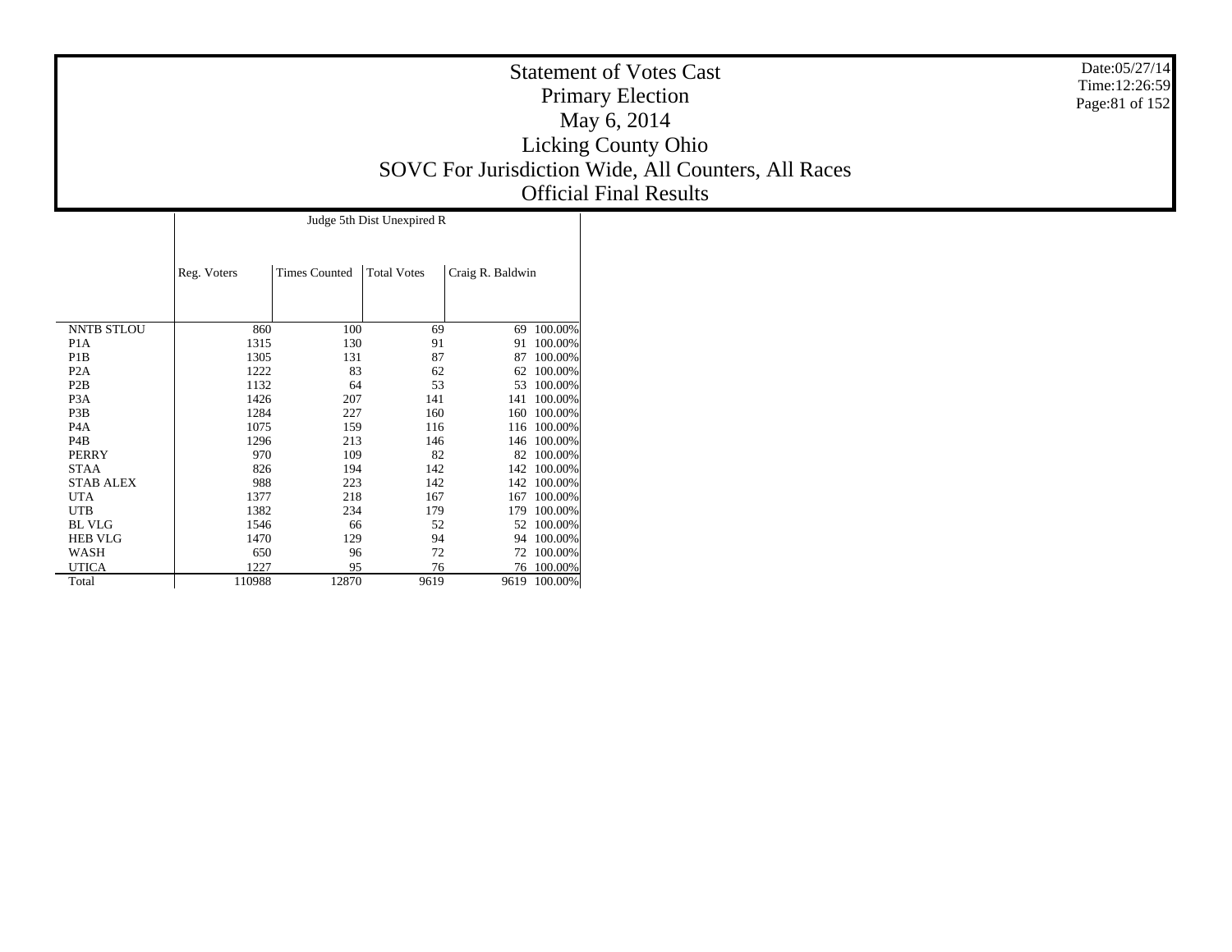Date:05/27/14 Time:12:26:59Page:81 of 152

|                   |             |                      | Judge 5th Dist Unexpired R |                  |         |
|-------------------|-------------|----------------------|----------------------------|------------------|---------|
|                   |             |                      |                            |                  |         |
|                   | Reg. Voters | <b>Times Counted</b> | <b>Total Votes</b>         | Craig R. Baldwin |         |
|                   |             |                      |                            |                  |         |
|                   |             |                      |                            |                  |         |
| <b>NNTB STLOU</b> | 860         | 100                  | 69                         | 69               | 100.00% |
| P <sub>1</sub> A  | 1315        | 130                  | 91                         | 91               | 100.00% |
| P <sub>1</sub> B  | 1305        | 131                  | 87                         | 87               | 100.00% |
| P <sub>2</sub> A  | 1222        | 83                   | 62                         | 62               | 100.00% |
| P <sub>2</sub> B  | 1132        | 64                   | 53                         | 53               | 100.00% |
| P <sub>3</sub> A  | 1426        | 207                  | 141                        | 141              | 100.00% |
| P3B               | 1284        | 227                  | 160                        | 160              | 100.00% |
| P <sub>4</sub> A  | 1075        | 159                  | 116                        | 116              | 100.00% |
| P4B               | 1296        | 213                  | 146                        | 146              | 100.00% |
| <b>PERRY</b>      | 970         | 109                  | 82                         | 82               | 100.00% |
| <b>STAA</b>       | 826         | 194                  | 142                        | 142              | 100.00% |
| <b>STAB ALEX</b>  | 988         | 223                  | 142                        | 142              | 100.00% |
| UTA               | 1377        | 218                  | 167                        | 167              | 100.00% |
| <b>UTB</b>        | 1382        | 234                  | 179                        | 179              | 100.00% |
| <b>BL VLG</b>     | 1546        | 66                   | 52                         | 52               | 100.00% |
| <b>HEB VLG</b>    | 1470        | 129                  | 94                         | 94               | 100.00% |
| WASH              | 650         | 96                   | 72                         | 72               | 100.00% |
| <b>UTICA</b>      | 1227        | 95                   | 76                         | 76               | 100.00% |
| Total             | 110988      | 12870                | 9619                       | 9619             | 100.00% |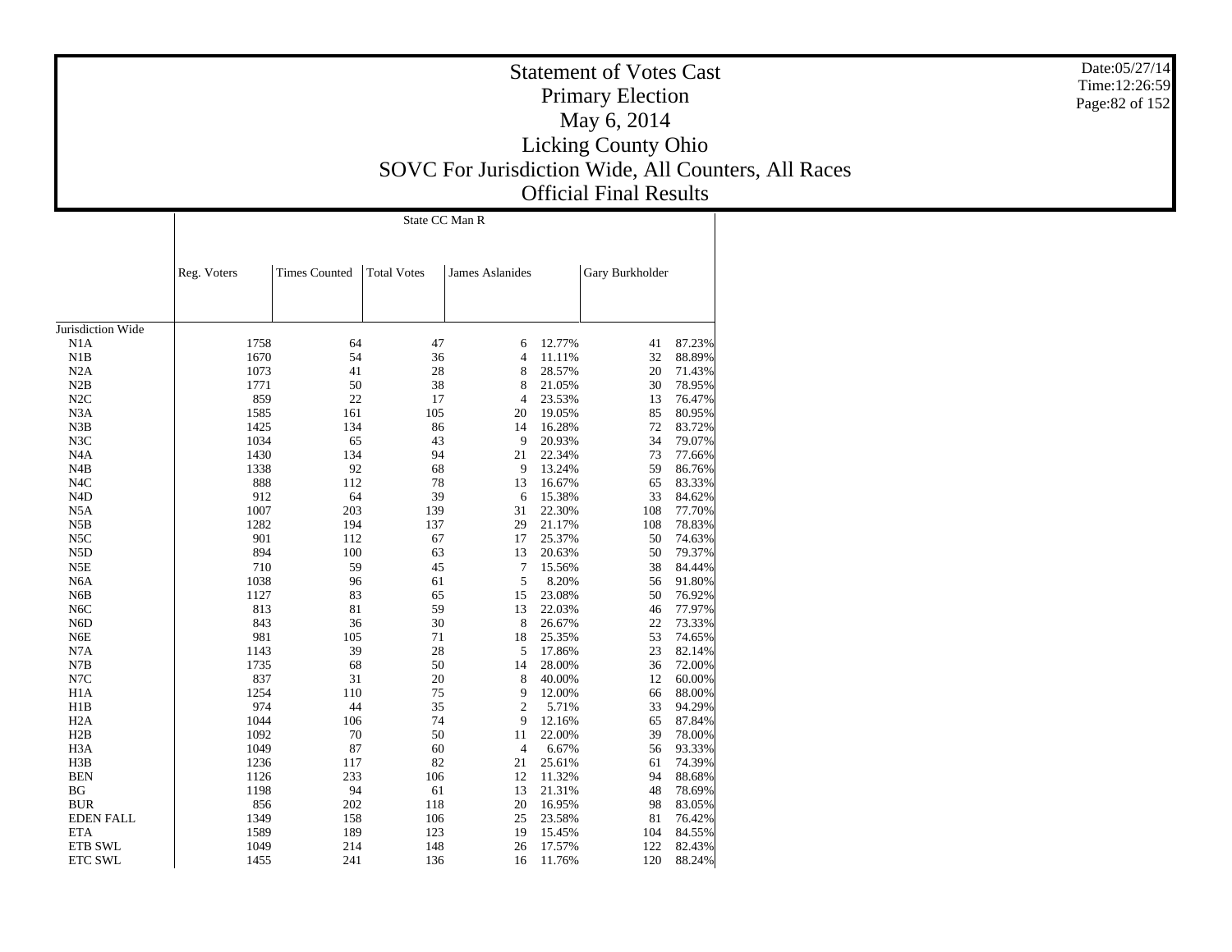State CC Man R

|                   | Reg. Voters | <b>Times Counted</b> | <b>Total Votes</b> | James Aslanides |        | Gary Burkholder |        |
|-------------------|-------------|----------------------|--------------------|-----------------|--------|-----------------|--------|
|                   |             |                      |                    |                 |        |                 |        |
|                   |             |                      |                    |                 |        |                 |        |
| Jurisdiction Wide |             |                      |                    |                 |        |                 |        |
| N1A               | 1758        | 64                   | 47                 | 6               | 12.77% | 41              | 87.23% |
| N1B               | 1670        | 54                   | 36                 | 4               | 11.11% | 32              | 88.89% |
| N2A               | 1073        | 41                   | 28                 | 8               | 28.57% | 20              | 71.43% |
| N2B               | 1771        | 50                   | 38                 | 8               | 21.05% | 30              | 78.95% |
| N2C               | 859         | 22                   | 17                 | $\overline{4}$  | 23.53% | 13              | 76.47% |
| N <sub>3</sub> A  | 1585        | 161                  | 105                | 20              | 19.05% | 85              | 80.95% |
| N3B               | 1425        | 134                  | 86                 | 14              | 16.28% | 72              | 83.72% |
| N3C               | 1034        | 65                   | 43                 | 9               | 20.93% | 34              | 79.07% |
| N <sub>4</sub> A  | 1430        | 134                  | 94                 | 21              | 22.34% | 73              | 77.66% |
| N4B               | 1338        | 92                   | 68                 | 9               | 13.24% | 59              | 86.76% |
| N <sub>4</sub> C  | 888         | 112                  | 78                 | 13              | 16.67% | 65              | 83.33% |
| N <sub>4</sub> D  | 912         | 64                   | 39                 | 6               | 15.38% | 33              | 84.62% |
| N <sub>5</sub> A  | 1007        | 203                  | 139                | 31              | 22.30% | 108             | 77.70% |
| N5B               | 1282        | 194                  | 137                | 29              | 21.17% | 108             | 78.83% |
| N <sub>5</sub> C  | 901         | 112                  | 67                 | 17              | 25.37% | 50              | 74.63% |
| N <sub>5</sub> D  | 894         | 100                  | 63                 | 13              | 20.63% | 50              | 79.37% |
| N5E               | 710         | 59                   | 45                 | 7               | 15.56% | 38              | 84.44% |
| N <sub>6</sub> A  | 1038        | 96                   | 61                 | 5               | 8.20%  | 56              | 91.80% |
| N <sub>6</sub> B  | 1127        | 83                   | 65                 | 15              | 23.08% | 50              | 76.92% |
| N <sub>6</sub> C  | 813         | 81                   | 59                 | 13              | 22.03% | 46              | 77.97% |
| N <sub>6</sub> D  | 843         | 36                   | 30                 | 8               | 26.67% | 22              | 73.33% |
| N <sub>6</sub> E  | 981         | 105                  | 71                 | 18              | 25.35% | 53              | 74.65% |
| N7A               | 1143        | 39                   | 28                 | 5               | 17.86% | 23              | 82.14% |
| N7B               | 1735        | 68                   | 50                 | 14              | 28.00% | 36              | 72.00% |
| N7C               | 837         | 31                   | 20                 | 8               | 40.00% | 12              | 60.00% |
| H1A               | 1254        | 110                  | 75                 | 9               | 12.00% | 66              | 88.00% |
| H1B               | 974         | 44                   | 35                 | $\mathfrak{2}$  | 5.71%  | 33              | 94.29% |
| H <sub>2</sub> A  | 1044        | 106                  | 74                 | 9               | 12.16% | 65              | 87.84% |
| H2B               | 1092        | 70                   | 50                 | 11              | 22.00% | 39              | 78.00% |
| H <sub>3</sub> A  | 1049        | 87                   | 60                 | $\overline{4}$  | 6.67%  | 56              | 93.33% |
| H3B               | 1236        | 117                  | 82                 | 21              | 25.61% | 61              | 74.39% |
| <b>BEN</b>        | 1126        | 233                  | 106                | 12              | 11.32% | 94              | 88.68% |
| BG                | 1198        | 94                   | 61                 | 13              | 21.31% | 48              | 78.69% |
| <b>BUR</b>        | 856         | 202                  | 118                | 20              | 16.95% | 98              | 83.05% |
| <b>EDEN FALL</b>  | 1349        | 158                  | 106                | 25              | 23.58% | 81              | 76.42% |
| <b>ETA</b>        | 1589        | 189                  | 123                | 19              | 15.45% | 104             | 84.55% |
| ETB SWL           | 1049        | 214                  | 148                | 26              | 17.57% | 122             | 82.43% |
| <b>ETC SWL</b>    | 1455        | 241                  | 136                | 16              | 11.76% | 120             | 88.24% |

Date:05/27/14 Time:12:26:59Page:82 of 152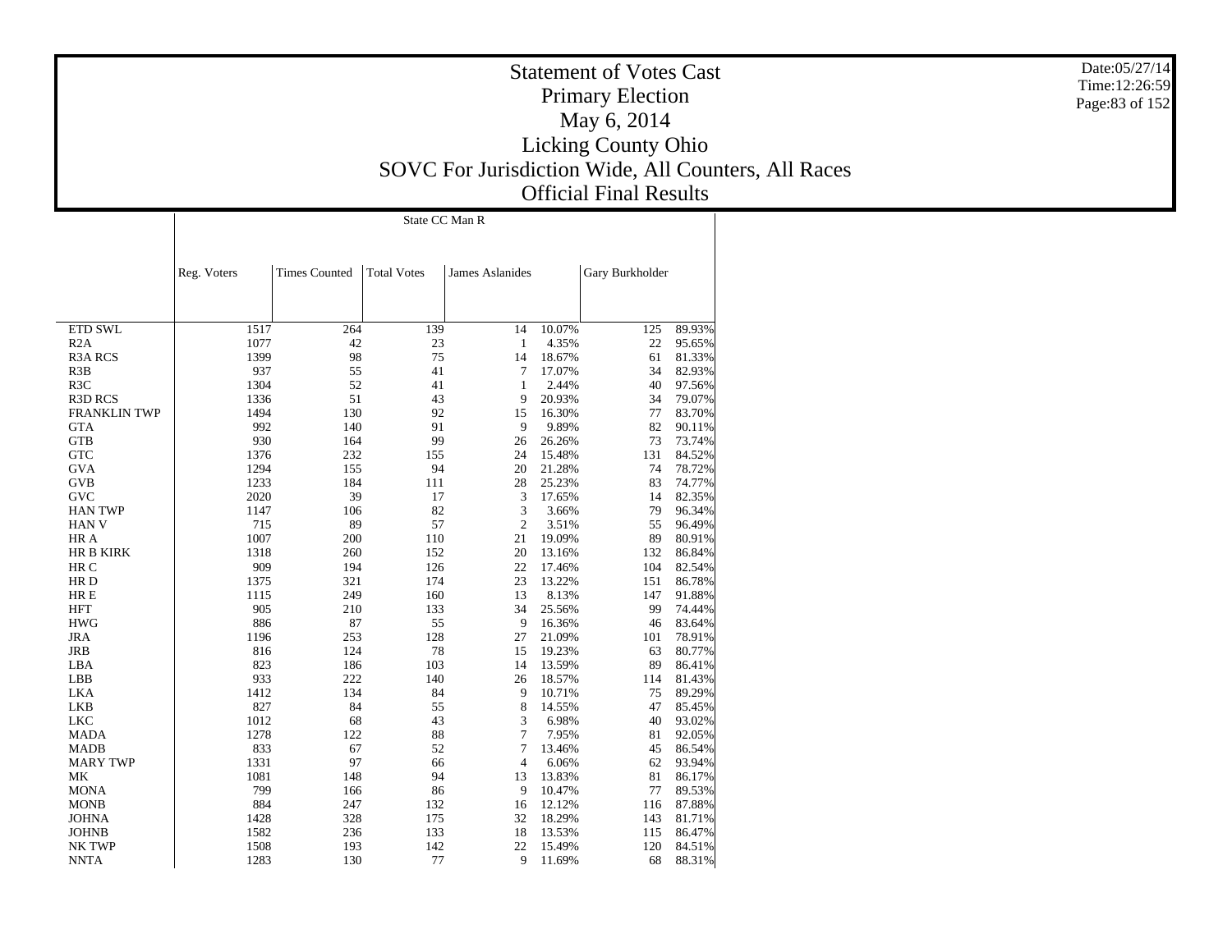Reg. Voters | Times Counted | Total Votes | James Aslanides | Gary Burkholder State CC Man R1517 264 139 14 10.07% 125 89.93% 1077 42 23 1 4.35% 22 95.65% 1399 98 75 14 18.67% 61 81.33% 937 55 41 7 17.07% 34 82.93% 13044 52 41 1 2.44% 40 97.56% 1336 51 43 9 20.93% 34 79.07% 1494 130 92 15 16.30% 77 83.70% 9922 140 91 9 9.89% 82 90.11% 930 164 99 26 26.26%73 73.74%

| <b>ETD SWL</b>      | 1517 | 264 | 139 | 14             | 10.07% | 125 | 89.93% |
|---------------------|------|-----|-----|----------------|--------|-----|--------|
| R2A                 | 1077 | 42  | 23  | $\mathbf{1}$   | 4.35%  | 22  | 95.65% |
| <b>R3A RCS</b>      | 1399 | 98  | 75  | 14             | 18.67% | 61  | 81.33% |
| R3B                 | 937  | 55  | 41  | 7              | 17.07% | 34  | 82.93% |
| R <sub>3</sub> C    | 1304 | 52  | 41  | $\mathbf{1}$   | 2.44%  | 40  | 97.56% |
| <b>R3D RCS</b>      | 1336 | 51  | 43  | 9              | 20.93% | 34  | 79.07% |
| <b>FRANKLIN TWP</b> | 1494 | 130 | 92  | 15             | 16.30% | 77  | 83.70% |
| <b>GTA</b>          | 992  | 140 | 91  | 9              | 9.89%  | 82  | 90.11% |
| <b>GTB</b>          | 930  | 164 | 99  | 26             | 26.26% | 73  | 73.74% |
| <b>GTC</b>          | 1376 | 232 | 155 | 24             | 15.48% | 131 | 84.52% |
| <b>GVA</b>          | 1294 | 155 | 94  | 20             | 21.28% | 74  | 78.72% |
| <b>GVB</b>          | 1233 | 184 | 111 | 28             | 25.23% | 83  | 74.77% |
| <b>GVC</b>          | 2020 | 39  | 17  | 3              | 17.65% | 14  | 82.35% |
| <b>HAN TWP</b>      | 1147 | 106 | 82  | 3              | 3.66%  | 79  | 96.34% |
| <b>HAN V</b>        | 715  | 89  | 57  | 2              | 3.51%  | 55  | 96.49% |
| HR A                | 1007 | 200 | 110 | 21             | 19.09% | 89  | 80.91% |
| <b>HR B KIRK</b>    | 1318 | 260 | 152 | 20             | 13.16% | 132 | 86.84% |
| HR C                | 909  | 194 | 126 | 22             | 17.46% | 104 | 82.54% |
| HR D                | 1375 | 321 | 174 | 23             | 13.22% | 151 | 86.78% |
| HR E                | 1115 | 249 | 160 | 13             | 8.13%  | 147 | 91.88% |
| <b>HFT</b>          | 905  | 210 | 133 | 34             | 25.56% | 99  | 74.44% |
| <b>HWG</b>          | 886  | 87  | 55  | 9              | 16.36% | 46  | 83.64% |
| <b>JRA</b>          | 1196 | 253 | 128 | 27             | 21.09% | 101 | 78.91% |
| <b>JRB</b>          | 816  | 124 | 78  | 15             | 19.23% | 63  | 80.77% |
| LBA                 | 823  | 186 | 103 | 14             | 13.59% | 89  | 86.41% |
| LBB                 | 933  | 222 | 140 | 26             | 18.57% | 114 | 81.43% |
| <b>LKA</b>          | 1412 | 134 | 84  | 9              | 10.71% | 75  | 89.29% |
| LKB                 | 827  | 84  | 55  | 8              | 14.55% | 47  | 85.45% |
| <b>LKC</b>          | 1012 | 68  | 43  | 3              | 6.98%  | 40  | 93.02% |
| <b>MADA</b>         | 1278 | 122 | 88  | $\tau$         | 7.95%  | 81  | 92.05% |
| <b>MADB</b>         | 833  | 67  | 52  | 7              | 13.46% | 45  | 86.54% |
| <b>MARY TWP</b>     | 1331 | 97  | 66  | $\overline{4}$ | 6.06%  | 62  | 93.94% |
| <b>MK</b>           | 1081 | 148 | 94  | 13             | 13.83% | 81  | 86.17% |
| <b>MONA</b>         | 799  | 166 | 86  | 9              | 10.47% | 77  | 89.53% |
| <b>MONB</b>         | 884  | 247 | 132 | 16             | 12.12% | 116 | 87.88% |
| <b>JOHNA</b>        | 1428 | 328 | 175 | 32             | 18.29% | 143 | 81.71% |
| <b>JOHNB</b>        | 1582 | 236 | 133 | 18             | 13.53% | 115 | 86.47% |
| NK TWP              | 1508 | 193 | 142 | 22             | 15.49% | 120 | 84.51% |
| <b>NNTA</b>         | 1283 | 130 | 77  | 9              | 11.69% | 68  | 88.31% |
|                     |      |     |     |                |        |     |        |

Date:05/27/14 Time:12:26:59Page:83 of 152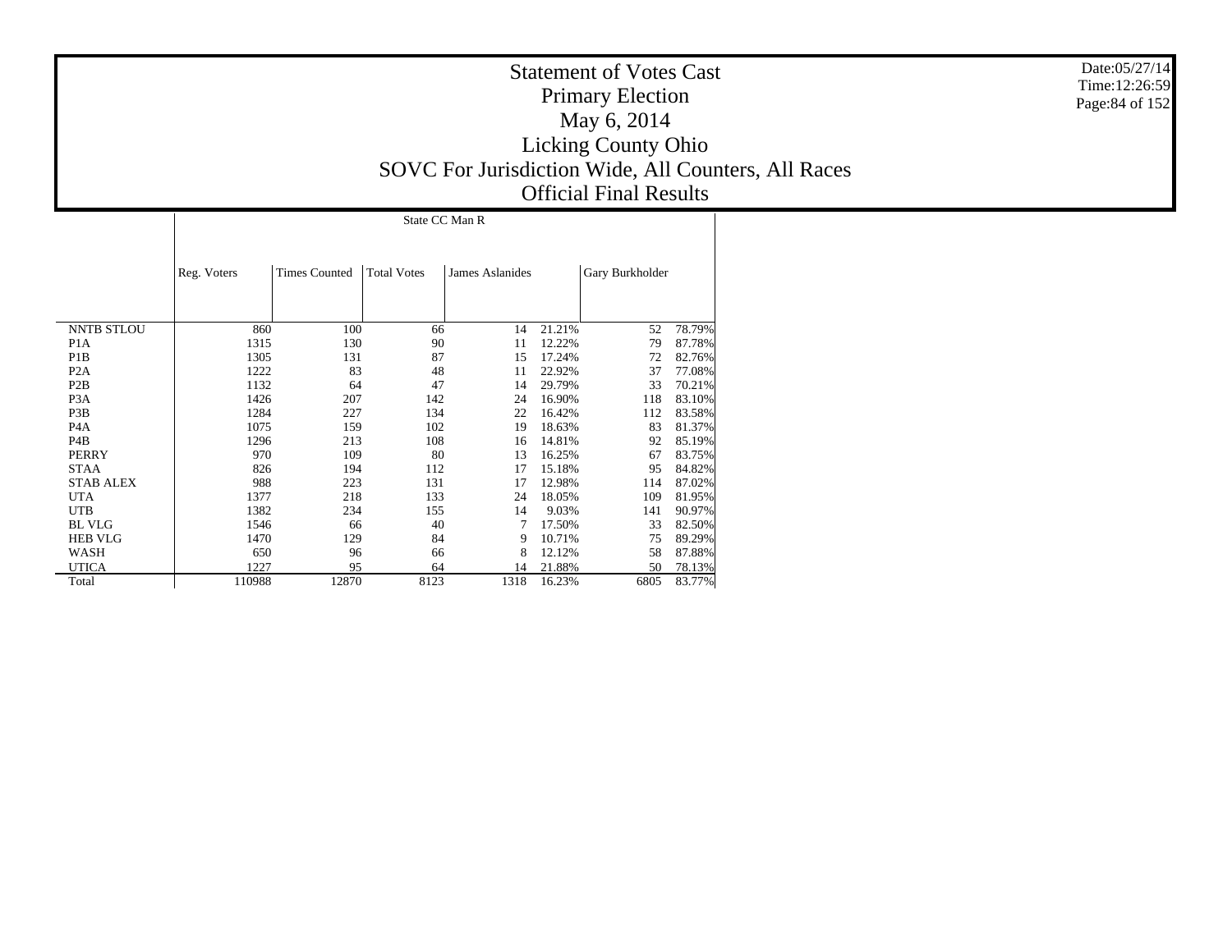Date:05/27/14 Time:12:26:59 Page:84 of 152

|                   |             |                      | State CC Man R     |                 |        |                 |        |
|-------------------|-------------|----------------------|--------------------|-----------------|--------|-----------------|--------|
|                   | Reg. Voters | <b>Times Counted</b> | <b>Total Votes</b> | James Aslanides |        | Gary Burkholder |        |
| <b>NNTB STLOU</b> | 860         | 100                  | 66                 | 14              | 21.21% | 52              | 78.79% |
| P <sub>1</sub> A  | 1315        | 130                  | 90                 | 11              | 12.22% | 79              | 87.78% |
| P <sub>1</sub> B  | 1305        | 131                  | 87                 | 15              | 17.24% | 72              | 82.76% |
| P <sub>2</sub> A  | 1222        | 83                   | 48                 | 11              | 22.92% | 37              | 77.08% |
| P <sub>2</sub> B  | 1132        | 64                   | 47                 | 14              | 29.79% | 33              | 70.21% |
| P <sub>3</sub> A  | 1426        | 207                  | 142                | 24              | 16.90% | 118             | 83.10% |
| P3B               | 1284        | 227                  | 134                | 22              | 16.42% | 112             | 83.58% |
| P <sub>4</sub> A  | 1075        | 159                  | 102                | 19              | 18.63% | 83              | 81.37% |
| P <sub>4</sub> B  | 1296        | 213                  | 108                | 16              | 14.81% | 92              | 85.19% |
| <b>PERRY</b>      | 970         | 109                  | 80                 | 13              | 16.25% | 67              | 83.75% |
| <b>STAA</b>       | 826         | 194                  | 112                | 17              | 15.18% | 95              | 84.82% |
| <b>STAB ALEX</b>  | 988         | 223                  | 131                | 17              | 12.98% | 114             | 87.02% |
| <b>UTA</b>        | 1377        | 218                  | 133                | 24              | 18.05% | 109             | 81.95% |
| <b>UTB</b>        | 1382        | 234                  | 155                | 14              | 9.03%  | 141             | 90.97% |
| <b>BL VLG</b>     | 1546        | 66                   | 40                 | 7               | 17.50% | 33              | 82.50% |
| <b>HEB VLG</b>    | 1470        | 129                  | 84                 | 9               | 10.71% | 75              | 89.29% |
| WASH              | 650         | 96                   | 66                 | 8               | 12.12% | 58              | 87.88% |
| <b>UTICA</b>      | 1227        | 95                   | 64                 | 14              | 21.88% | 50              | 78.13% |
| Total             | 110988      | 12870                | 8123               | 1318            | 16.23% | 6805            | 83.77% |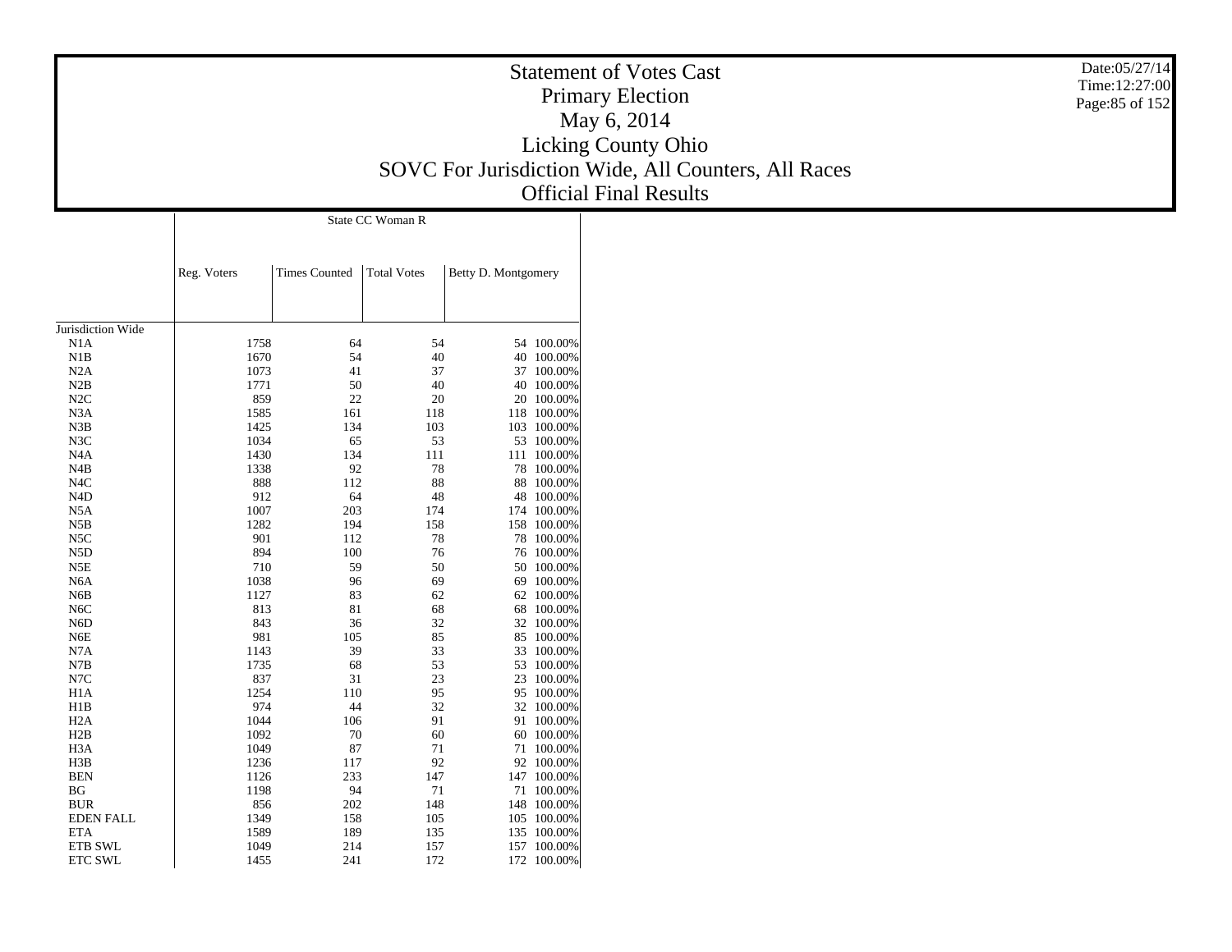|                               |                         |                      |                  |                             | <b>Statement of Votes Cast</b>                      | Date:05/27/14 |  |
|-------------------------------|-------------------------|----------------------|------------------|-----------------------------|-----------------------------------------------------|---------------|--|
|                               |                         | Time:12:27:00        |                  |                             |                                                     |               |  |
|                               | <b>Primary Election</b> |                      |                  |                             |                                                     |               |  |
|                               | May 6, 2014             |                      |                  |                             |                                                     |               |  |
|                               |                         |                      |                  |                             | <b>Licking County Ohio</b>                          |               |  |
|                               |                         |                      |                  |                             |                                                     |               |  |
|                               |                         |                      |                  |                             | SOVC For Jurisdiction Wide, All Counters, All Races |               |  |
|                               |                         |                      |                  |                             | <b>Official Final Results</b>                       |               |  |
|                               |                         |                      | State CC Woman R |                             |                                                     |               |  |
|                               |                         |                      |                  |                             |                                                     |               |  |
|                               | Reg. Voters             | <b>Times Counted</b> | Total Votes      | Betty D. Montgomery         |                                                     |               |  |
|                               |                         |                      |                  |                             |                                                     |               |  |
|                               |                         |                      |                  |                             |                                                     |               |  |
| Jurisdiction Wide             |                         |                      |                  |                             |                                                     |               |  |
| N1A                           | 1758                    | 64                   | 54               | 54 100.00%                  |                                                     |               |  |
| N1B                           | 1670                    | 54                   | 40               | 40 100.00%                  |                                                     |               |  |
| N2A                           | 1073                    | 41                   | 37               | 37 100.00%                  |                                                     |               |  |
| N2B                           | 1771                    | 50                   | 40               | 40 100.00%                  |                                                     |               |  |
| N2C                           | 859                     | 22                   | 20               | 20 100.00%                  |                                                     |               |  |
| N3A<br>N3B                    | 1585                    | 161                  | 118              | 118 100.00%                 |                                                     |               |  |
| N3C                           | 1425<br>1034            | 134<br>65            | 103<br>53        | 103 100.00%<br>53 100.00%   |                                                     |               |  |
| N <sub>4</sub> A              | 1430                    | 134                  | $111\,$          | 111 100.00%                 |                                                     |               |  |
| N4B                           | 1338                    | 92                   | 78               | 78 100.00%                  |                                                     |               |  |
| N <sub>4</sub> C              | 888                     | 112                  | 88               | 100.00%<br>88               |                                                     |               |  |
| N <sub>4</sub> D              | 912                     | 64                   | 48               | 48 100.00%                  |                                                     |               |  |
| N5A                           | 1007                    | 203                  | 174              | 174 100.00%                 |                                                     |               |  |
| N5B                           | 1282                    | 194                  | 158              | 158 100.00%                 |                                                     |               |  |
| N5C                           | 901                     | 112                  | 78               | 78 100.00%                  |                                                     |               |  |
| N5D                           | 894                     | 100                  | 76               | 76 100.00%                  |                                                     |               |  |
| N5E                           | 710                     | 59                   | $50\,$           | 50 100.00%                  |                                                     |               |  |
| N6A<br>N6B                    | 1038<br>1127            | 96<br>83             | 69<br>62         | 69 100.00%<br>100.00%<br>62 |                                                     |               |  |
| N <sub>6</sub> C              | 813                     | 81                   | 68               | 68 100.00%                  |                                                     |               |  |
| N <sub>6</sub> D              | 843                     | 36                   | 32               | 100.00%<br>32               |                                                     |               |  |
| N6E                           | 981                     | 105                  | 85               | 85 100.00%                  |                                                     |               |  |
| N7A                           | 1143                    | 39                   | 33               | 100.00%<br>33               |                                                     |               |  |
| N7B                           | 1735                    | 68                   | 53               | 53 100.00%                  |                                                     |               |  |
| N7C                           | 837                     | 31                   | 23               | 100.00%<br>23               |                                                     |               |  |
| H <sub>1</sub> A              | 1254                    | 110                  | 95               | 95 100.00%                  |                                                     |               |  |
| H1B                           | 974                     | 44                   | 32               | 32 100.00%                  |                                                     |               |  |
| H <sub>2</sub> A              | 1044                    | 106                  | 91               | 91 100.00%                  |                                                     |               |  |
| H2B                           | 1092                    | 70                   | 60               | 60 100.00%                  |                                                     |               |  |
| H <sub>3</sub> A<br>H3B       | 1049<br>1236            | 87<br>117            | 71<br>92         | 71 100.00%<br>92 100.00%    |                                                     |               |  |
| <b>BEN</b>                    | 1126                    | 233                  | 147              | 147 100.00%                 |                                                     |               |  |
| BG                            | 1198                    | 94                   | 71               | 71 100.00%                  |                                                     |               |  |
| <b>BUR</b>                    | 856                     | 202                  | 148              | 148 100.00%                 |                                                     |               |  |
| <b>EDEN FALL</b>              | 1349                    | 158                  | 105              | 105 100.00%                 |                                                     |               |  |
| ETA                           | 1589                    | 189                  | 135              | 135 100.00%                 |                                                     |               |  |
| <b>ETB SWL</b>                | 1049                    | $214\,$              | 157              | 157 100.00%                 |                                                     |               |  |
| $\ensuremath{\text{ETC}}$ SWL | 1455                    | 241                  | 172              | 172 100.00%                 |                                                     |               |  |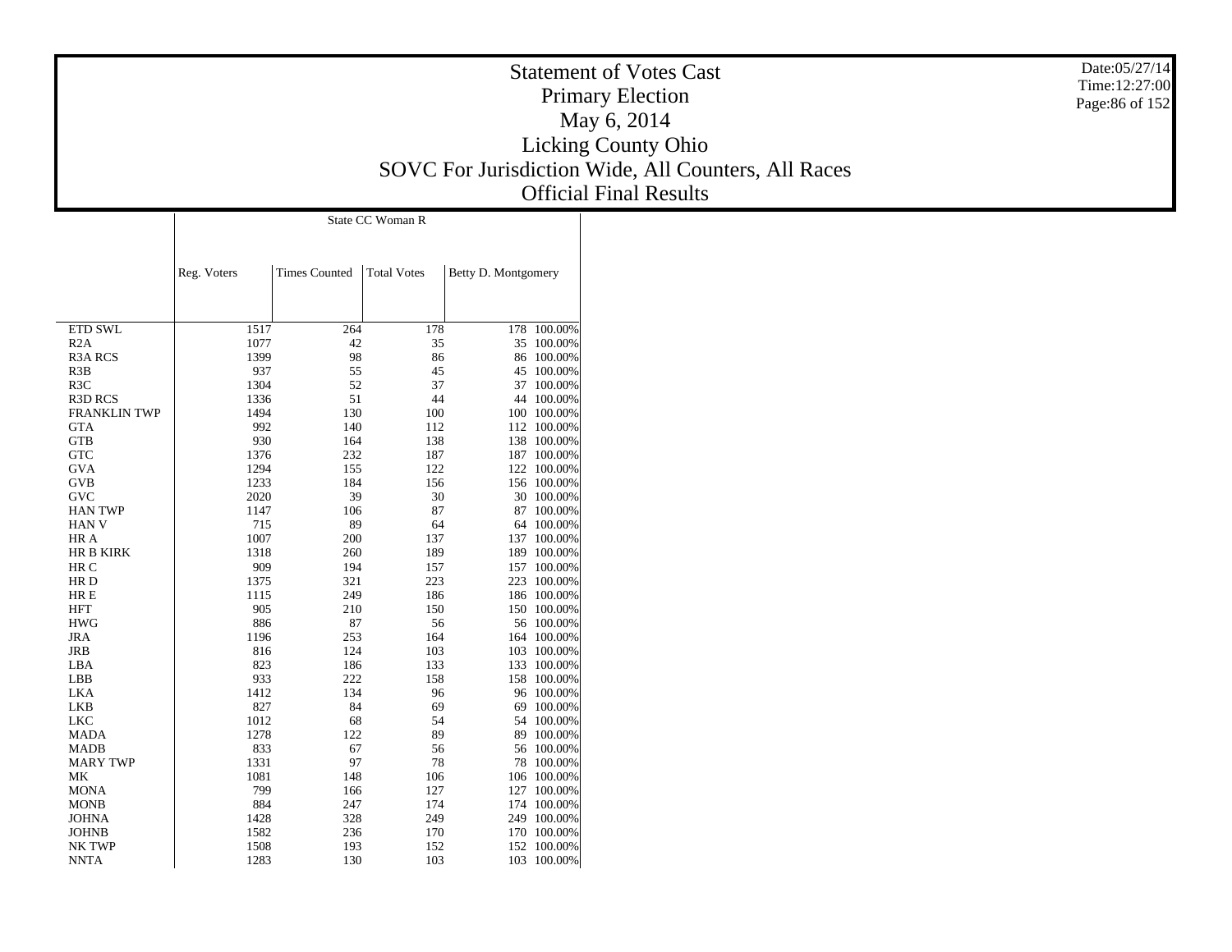Date:05/27/14Time:12:27:00Page:86 of 152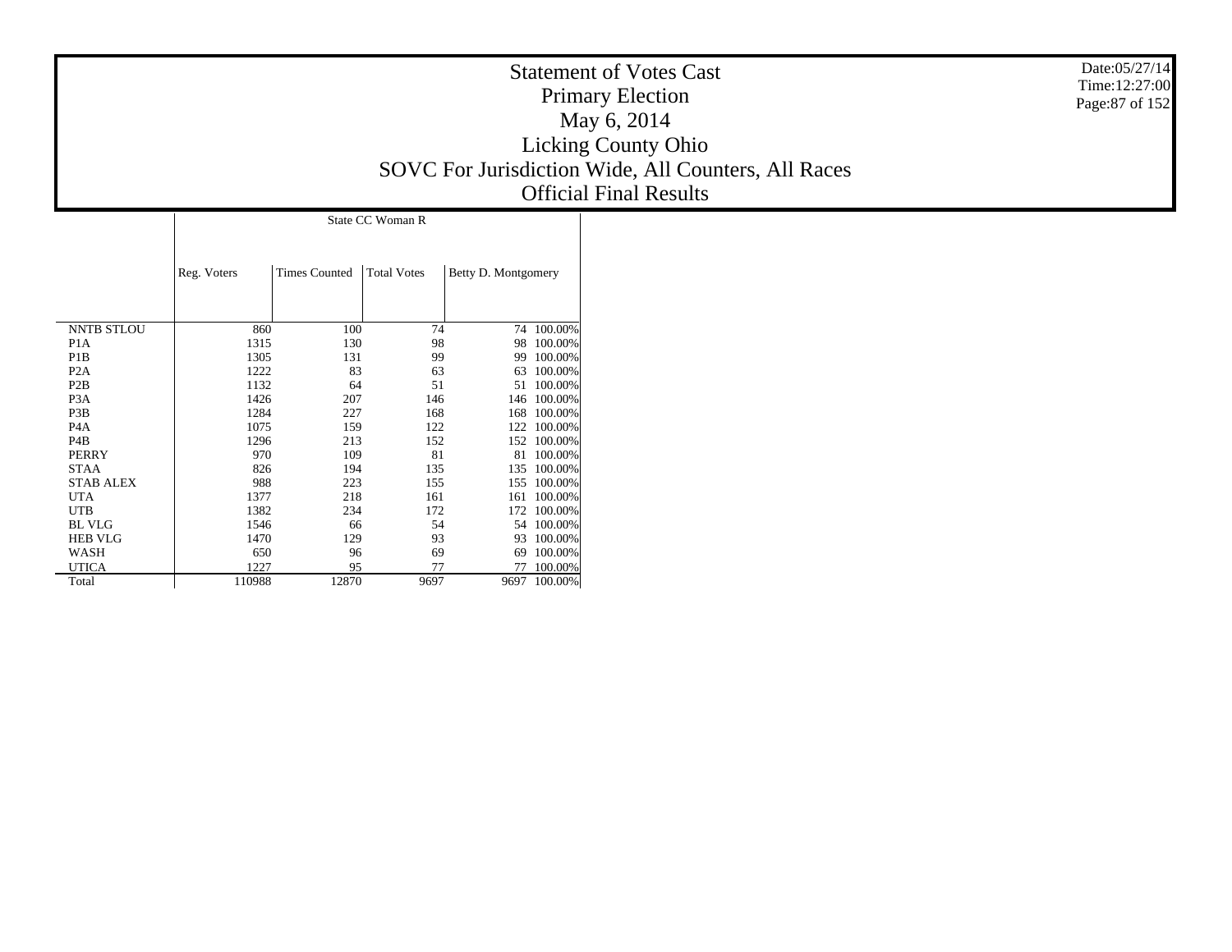Date:05/27/14 Time:12:27:00Page:87 of 152

|                   | State CC Woman R |                      |                    |                     |         |  |  |  |
|-------------------|------------------|----------------------|--------------------|---------------------|---------|--|--|--|
|                   | Reg. Voters      | <b>Times Counted</b> | <b>Total Votes</b> | Betty D. Montgomery |         |  |  |  |
| <b>NNTB STLOU</b> | 860              | 100                  | 74                 | 74                  | 100.00% |  |  |  |
| P <sub>1</sub> A  | 1315             | 130                  | 98                 | 98                  | 100.00% |  |  |  |
| P <sub>1</sub> B  | 1305             | 131                  | 99                 | 99                  | 100.00% |  |  |  |
| P <sub>2</sub> A  | 1222             | 83                   | 63                 | 63                  | 100.00% |  |  |  |
| P <sub>2</sub> B  | 1132             | 64                   | 51                 | 51                  | 100.00% |  |  |  |
| P <sub>3</sub> A  | 1426             | 207                  | 146                | 146                 | 100.00% |  |  |  |
| P3B               | 1284             | 227                  | 168                | 168                 | 100.00% |  |  |  |
| P <sub>4</sub> A  | 1075             | 159                  | 122                | 122                 | 100.00% |  |  |  |
| P4B               | 1296             | 213                  | 152                | 152                 | 100.00% |  |  |  |
| <b>PERRY</b>      | 970              | 109                  | 81                 | 81                  | 100.00% |  |  |  |
| <b>STAA</b>       | 826              | 194                  | 135                | 135                 | 100.00% |  |  |  |
| <b>STAB ALEX</b>  | 988              | 223                  | 155                | 155                 | 100.00% |  |  |  |
| UTA               | 1377             | 218                  | 161                | 161                 | 100.00% |  |  |  |
| UTB               | 1382             | 234                  | 172                | 172                 | 100.00% |  |  |  |
| <b>BL VLG</b>     | 1546             | 66                   | 54                 | 54                  | 100.00% |  |  |  |
| <b>HEB VLG</b>    | 1470             | 129                  | 93                 | 93                  | 100.00% |  |  |  |
| WASH              | 650              | 96                   | 69                 | 69                  | 100.00% |  |  |  |
| <b>UTICA</b>      | 1227             | 95                   | 77                 | 77                  | 100.00% |  |  |  |
| Total             | 110988           | 12870                | 9697               | 9697                | 100.00% |  |  |  |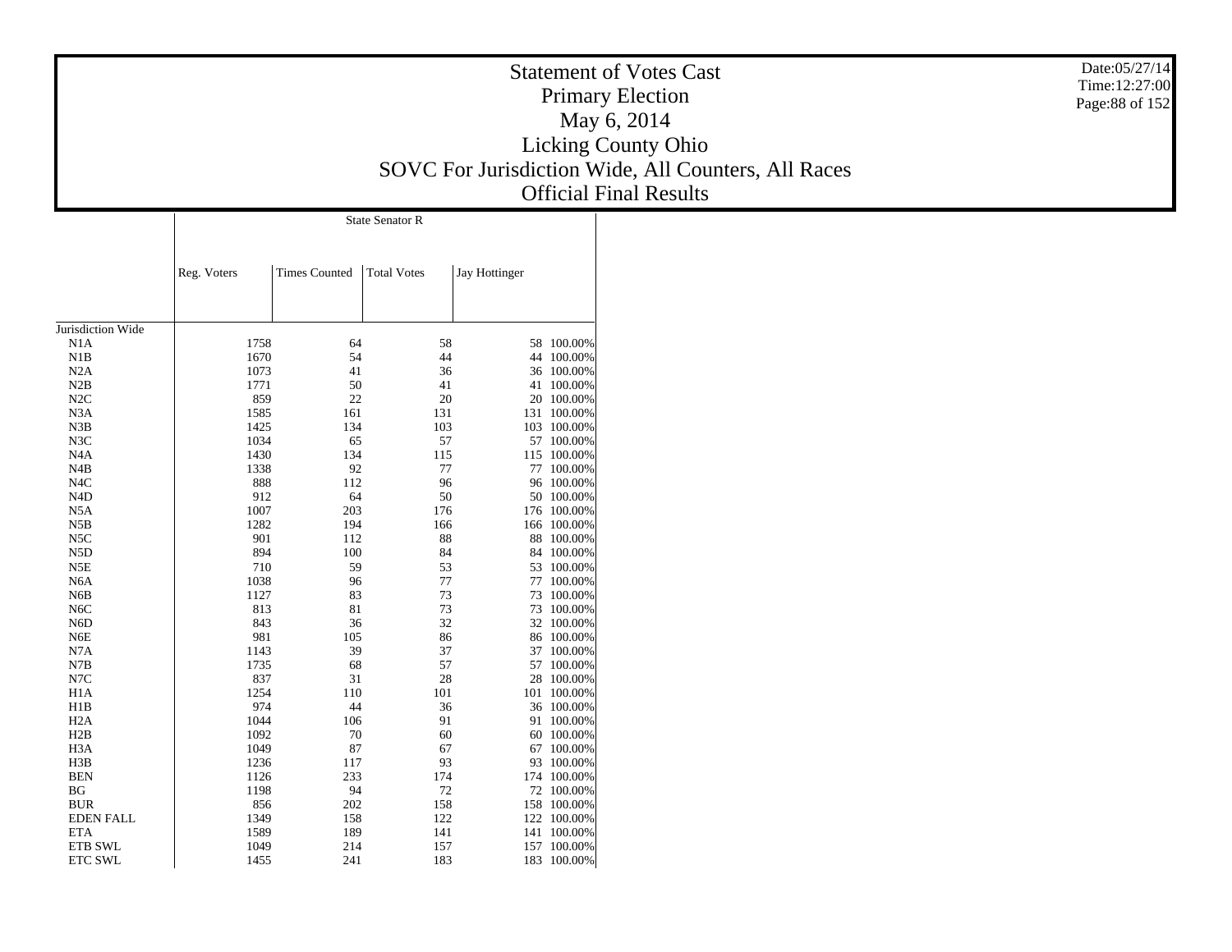|                                      | <b>Statement of Votes Cast</b> |                                            |                    |               |                           | Date:05/27/14<br>Time:12:27:00                      |
|--------------------------------------|--------------------------------|--------------------------------------------|--------------------|---------------|---------------------------|-----------------------------------------------------|
|                                      |                                | <b>Primary Election</b><br>Page: 88 of 152 |                    |               |                           |                                                     |
|                                      |                                | May 6, 2014                                |                    |               |                           |                                                     |
|                                      |                                |                                            |                    |               |                           | Licking County Ohio                                 |
|                                      |                                |                                            |                    |               |                           |                                                     |
|                                      |                                |                                            |                    |               |                           | SOVC For Jurisdiction Wide, All Counters, All Races |
|                                      |                                |                                            |                    |               |                           | <b>Official Final Results</b>                       |
|                                      |                                |                                            | State Senator R    |               |                           |                                                     |
|                                      |                                |                                            |                    |               |                           |                                                     |
|                                      |                                |                                            |                    |               |                           |                                                     |
|                                      | Reg. Voters                    | <b>Times Counted</b>                       | <b>Total Votes</b> | Jay Hottinger |                           |                                                     |
|                                      |                                |                                            |                    |               |                           |                                                     |
| Jurisdiction Wide                    |                                |                                            |                    |               |                           |                                                     |
| N1A                                  | 1758                           | 64                                         | 58                 |               | 58 100.00%                |                                                     |
| N1B                                  | 1670                           | 54                                         | 44                 |               | 44 100.00%                |                                                     |
| N2A                                  | 1073                           | 41                                         | 36                 |               | 36 100.00%                |                                                     |
| N2B                                  | 1771                           | 50                                         | 41                 |               | 41 100.00%                |                                                     |
| N2C                                  | 859                            | 22                                         | 20                 |               | 20 100.00%                |                                                     |
| N <sub>3</sub> A                     | 1585                           | 161                                        | 131                |               | 131 100.00%               |                                                     |
| N3B                                  | 1425                           | 134                                        | 103                |               | 103 100.00%               |                                                     |
| N3C                                  | 1034<br>1430                   | 65                                         | 57                 |               | 57 100.00%                |                                                     |
| N <sub>4</sub> A<br>N4B              | 1338                           | 134<br>92                                  | 115<br>77          |               | 115 100.00%<br>77 100.00% |                                                     |
| N4C                                  | 888                            | 112                                        | 96                 |               | 96 100.00%                |                                                     |
| N4D                                  | 912                            | 64                                         | 50                 |               | 50 100.00%                |                                                     |
| N5A                                  | 1007                           | 203                                        | 176                |               | 176 100.00%               |                                                     |
| N5B                                  | 1282                           | 194                                        | 166                |               | 166 100.00%               |                                                     |
| $_{\rm NSC}$                         | 901                            | 112                                        | $88\,$             |               | 88 100.00%                |                                                     |
| N <sub>5</sub> D                     | 894                            | 100                                        | 84                 |               | 84 100.00%                |                                                     |
| N5E                                  | 710                            | 59                                         | 53                 |               | 53 100.00%                |                                                     |
| N <sub>6</sub> A                     | 1038                           | 96                                         | 77                 |               | 77 100.00%                |                                                     |
| N <sub>6</sub> B                     | 1127                           | 83                                         | 73                 |               | 73 100.00%                |                                                     |
| N <sub>6</sub> C<br>N <sub>6</sub> D | 813<br>843                     | $81\,$                                     | $73\,$<br>$32\,$   |               | 73 100.00%                |                                                     |
| N6E                                  | 981                            | 36<br>105                                  | 86                 |               | 32 100.00%<br>86 100.00%  |                                                     |
| N7A                                  | 1143                           | 39                                         | 37                 |               | 37 100.00%                |                                                     |
| N7B                                  | 1735                           | 68                                         | 57                 |               | 57 100.00%                |                                                     |
| N7C                                  | 837                            | 31                                         | 28                 |               | 28 100.00%                |                                                     |
| H1A                                  | 1254                           | 110                                        | 101                |               | 101 100.00%               |                                                     |
| H1B                                  | 974                            | 44                                         | 36                 |               | 36 100.00%                |                                                     |
| H <sub>2</sub> A                     | 1044                           | 106                                        | 91                 |               | 91 100.00%                |                                                     |
| H2B                                  | 1092                           | 70                                         | 60                 |               | 60 100.00%                |                                                     |
| H <sub>3</sub> A                     | 1049                           | 87                                         | 67                 |               | 67 100.00%                |                                                     |
| H3B                                  | 1236                           | 117                                        | 93                 |               | 93 100.00%                |                                                     |
| <b>BEN</b>                           | 1126                           | 233                                        | 174                |               | 174 100.00%               |                                                     |
| BG<br><b>BUR</b>                     | 1198                           | 94                                         | 72<br>158          |               | 72 100.00%<br>158 100.00% |                                                     |
| <b>EDEN FALL</b>                     | 856<br>1349                    | 202<br>158                                 | 122                |               | 122 100.00%               |                                                     |
| <b>ETA</b>                           | 1589                           | 189                                        | 141                |               | 141 100.00%               |                                                     |
| <b>ETB SWL</b>                       | 1049                           | 214                                        | 157                |               | 157 100.00%               |                                                     |
| <b>ETC SWL</b>                       | 1455                           | 241                                        | 183                |               | 183 100.00%               |                                                     |
|                                      |                                |                                            |                    |               |                           |                                                     |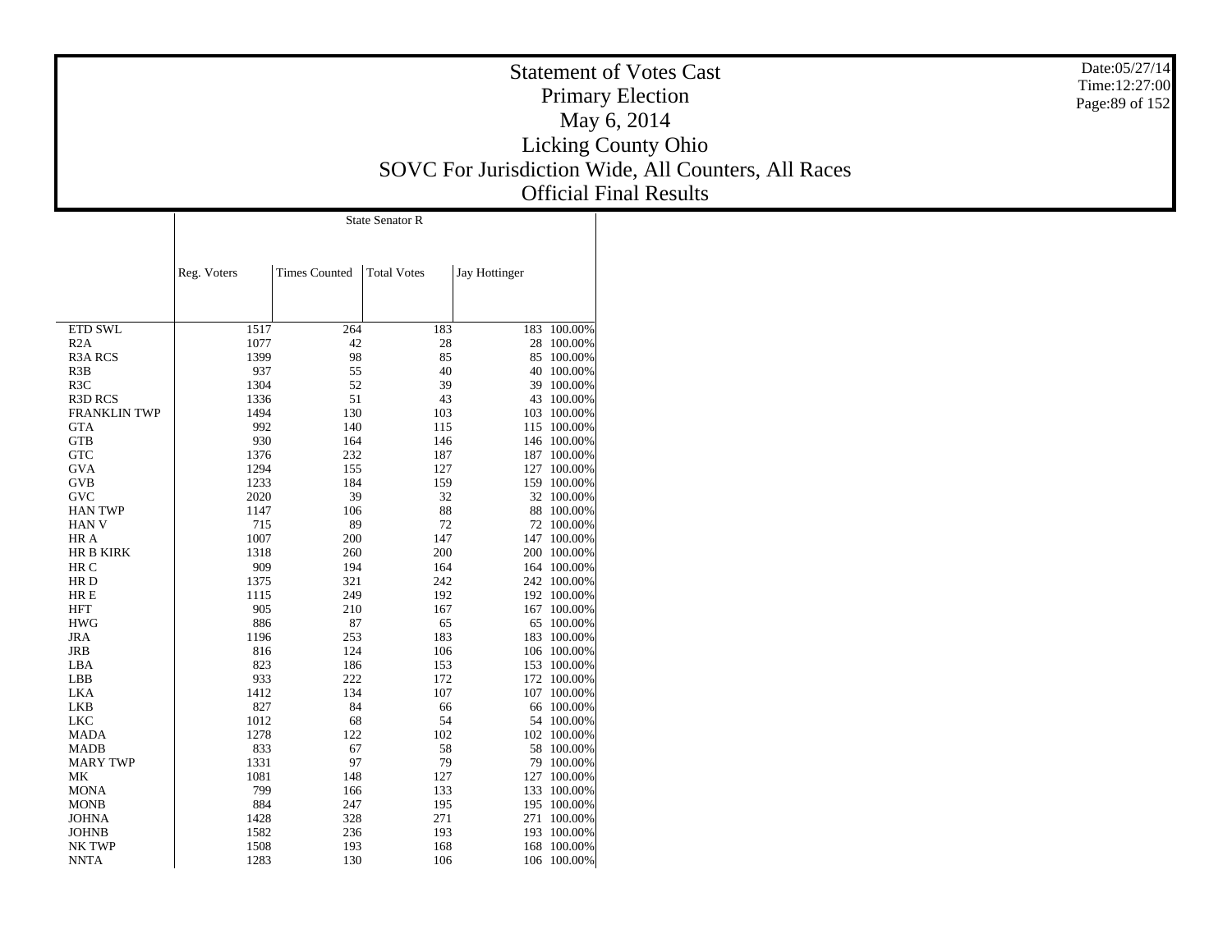|                     | <b>State Senator R</b> |                      |                    |                      |             |  |  |
|---------------------|------------------------|----------------------|--------------------|----------------------|-------------|--|--|
|                     | Reg. Voters            | <b>Times Counted</b> | <b>Total Votes</b> | <b>Jay Hottinger</b> |             |  |  |
|                     |                        |                      |                    |                      |             |  |  |
| <b>ETD SWL</b>      | 1517                   | 264                  | 183                | 183                  | 100.00%     |  |  |
| R2A                 | 1077                   | 42                   | 28                 | 28                   | 100.00%     |  |  |
| <b>R3A RCS</b>      | 1399                   | 98                   | 85                 | 85                   | 100.00%     |  |  |
| R3B                 | 937                    | 55                   | 40                 |                      | 40 100.00%  |  |  |
| R <sub>3</sub> C    | 1304                   | 52                   | 39                 |                      | 39 100.00%  |  |  |
| <b>R3D RCS</b>      | 1336                   | 51                   | 43                 | 43                   | 100.00%     |  |  |
| <b>FRANKLIN TWP</b> | 1494                   | 130                  | 103                | 103                  | 100.00%     |  |  |
| <b>GTA</b>          | 992                    | 140                  | 115                |                      | 115 100.00% |  |  |
| <b>GTB</b>          | 930                    | 164                  | 146                |                      | 146 100.00% |  |  |
| <b>GTC</b>          | 1376                   | 232                  | 187                | 187                  | 100.00%     |  |  |
| <b>GVA</b>          | 1294                   | 155                  | 127                | 127                  | 100.00%     |  |  |
| <b>GVB</b>          | 1233                   | 184                  | 159                | 159                  | 100.00%     |  |  |
| <b>GVC</b>          | 2020                   | 39                   | 32                 |                      | 32 100.00%  |  |  |
| <b>HAN TWP</b>      | 1147                   | 106                  | 88                 | 88                   | 100.00%     |  |  |
| <b>HAN V</b>        | 715                    | 89                   | 72                 | 72                   | 100.00%     |  |  |
| HR A                | 1007                   | 200                  | 147                | 147                  | 100.00%     |  |  |
| HR B KIRK           | 1318                   | 260                  | 200                | 200                  | 100.00%     |  |  |
| HR C                | 909                    | 194                  | 164                |                      | 164 100.00% |  |  |
| HR D                | 1375                   | 321                  | 242                |                      | 242 100.00% |  |  |
| HR E                | 1115                   | 249                  | 192                | 192                  | 100.00%     |  |  |
| <b>HFT</b>          | 905                    | 210                  | 167                | 167                  | 100.00%     |  |  |
| <b>HWG</b>          | 886                    | 87                   | 65                 | 65                   | 100.00%     |  |  |
| <b>JRA</b>          | 1196                   | 253                  | 183                | 183                  | 100.00%     |  |  |
| <b>JRB</b>          | 816                    | 124                  | 106                |                      | 106 100.00% |  |  |
| LBA                 | 823                    | 186                  | 153                | 153                  | 100.00%     |  |  |
| LBB                 | 933                    | 222                  | 172                |                      | 172 100.00% |  |  |
| <b>LKA</b>          | 1412                   | 134                  | 107                | 107                  | 100.00%     |  |  |
| <b>LKB</b>          | 827                    | 84                   | 66                 |                      | 66 100.00%  |  |  |
| <b>LKC</b>          | 1012                   | 68                   | 54                 | 54                   | 100.00%     |  |  |
| <b>MADA</b>         | 1278                   | 122                  | 102                | 102                  | 100.00%     |  |  |
| MADB                | 833                    | 67                   | 58                 |                      | 58 100.00%  |  |  |
| <b>MARY TWP</b>     | 1331                   | 97                   | 79                 | 79                   | 100.00%     |  |  |
| МK                  | 1081                   | 148                  | 127                | 127                  | 100.00%     |  |  |
| <b>MONA</b>         | 799                    | 166                  | 133                | 133                  | 100.00%     |  |  |
| MONB                | 884                    | 247                  | 195                | 195                  | 100.00%     |  |  |
| <b>JOHNA</b>        | 1428                   | 328                  | 271                | 271                  | 100.00%     |  |  |
| <b>JOHNB</b>        | 1582                   | 236                  | 193                | 193                  | 100.00%     |  |  |
| NK TWP              | 1508                   | 193                  | 168                | 168                  | 100.00%     |  |  |
| NNTA                | 1283                   | 130                  | 106                |                      | 106 100.00% |  |  |

Date:05/27/14 Time:12:27:00Page:89 of 152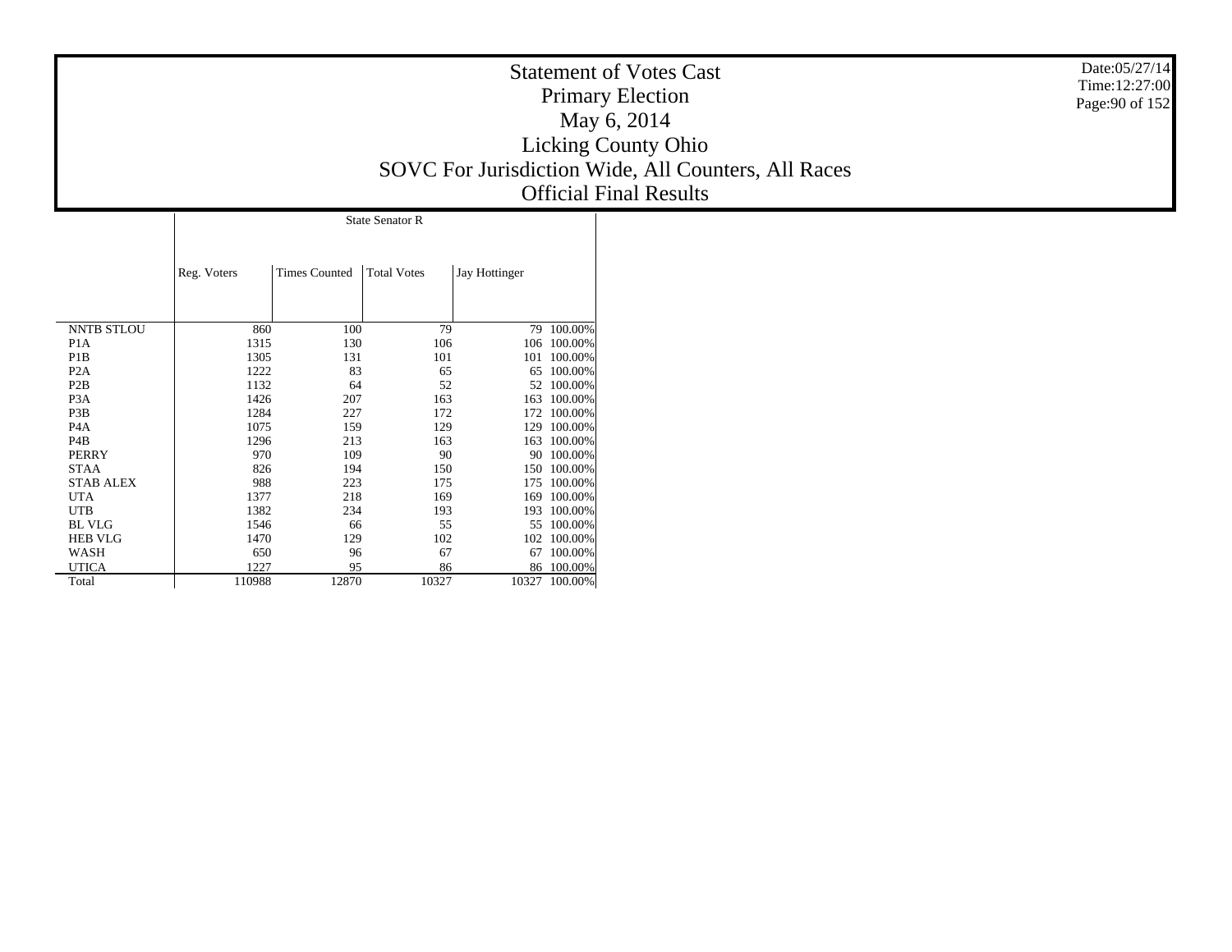|                   | <b>State Senator R</b> |                      |                    |                      |         |  |  |
|-------------------|------------------------|----------------------|--------------------|----------------------|---------|--|--|
|                   | Reg. Voters            | <b>Times Counted</b> | <b>Total Votes</b> | <b>Jay Hottinger</b> |         |  |  |
|                   |                        |                      |                    |                      |         |  |  |
| <b>NNTB STLOU</b> | 860                    | 100                  | 79                 | 79                   | 100.00% |  |  |
| P <sub>1</sub> A  | 1315                   | 130                  | 106                | 106                  | 100.00% |  |  |
| P <sub>1</sub> B  | 1305                   | 131                  | 101                | 101                  | 100.00% |  |  |
| P <sub>2</sub> A  | 1222                   | 83                   | 65                 | 65                   | 100.00% |  |  |
| P <sub>2</sub> B  | 1132                   | 64                   | 52                 | 52                   | 100.00% |  |  |
| P <sub>3</sub> A  | 1426                   | 207                  | 163                | 163                  | 100.00% |  |  |
| P3B               | 1284                   | 227                  | 172                | 172                  | 100.00% |  |  |
| P <sub>4</sub> A  | 1075                   | 159                  | 129                | 129                  | 100.00% |  |  |
| P4B               | 1296                   | 213                  | 163                | 163                  | 100.00% |  |  |
| PERRY             | 970                    | 109                  | 90                 | 90                   | 100.00% |  |  |
| <b>STAA</b>       | 826                    | 194                  | 150                | 150                  | 100.00% |  |  |
| <b>STAB ALEX</b>  | 988                    | 223                  | 175                | 175                  | 100.00% |  |  |
| UTA               | 1377                   | 218                  | 169                | 169                  | 100.00% |  |  |
| UTB               | 1382                   | 234                  | 193                | 193                  | 100.00% |  |  |
| <b>BL VLG</b>     | 1546                   | 66                   | 55                 | 55                   | 100.00% |  |  |
| <b>HEB VLG</b>    | 1470                   | 129                  | 102                | 102                  | 100.00% |  |  |
| WASH              | 650                    | 96                   | 67                 | 67                   | 100.00% |  |  |
| UTICA             | 1227                   | 95                   | 86                 | 86                   | 100.00% |  |  |
| Total             | 110988                 | 12870                | 10327              | 10327                | 100.00% |  |  |

Date:05/27/14 Time:12:27:00Page:90 of 152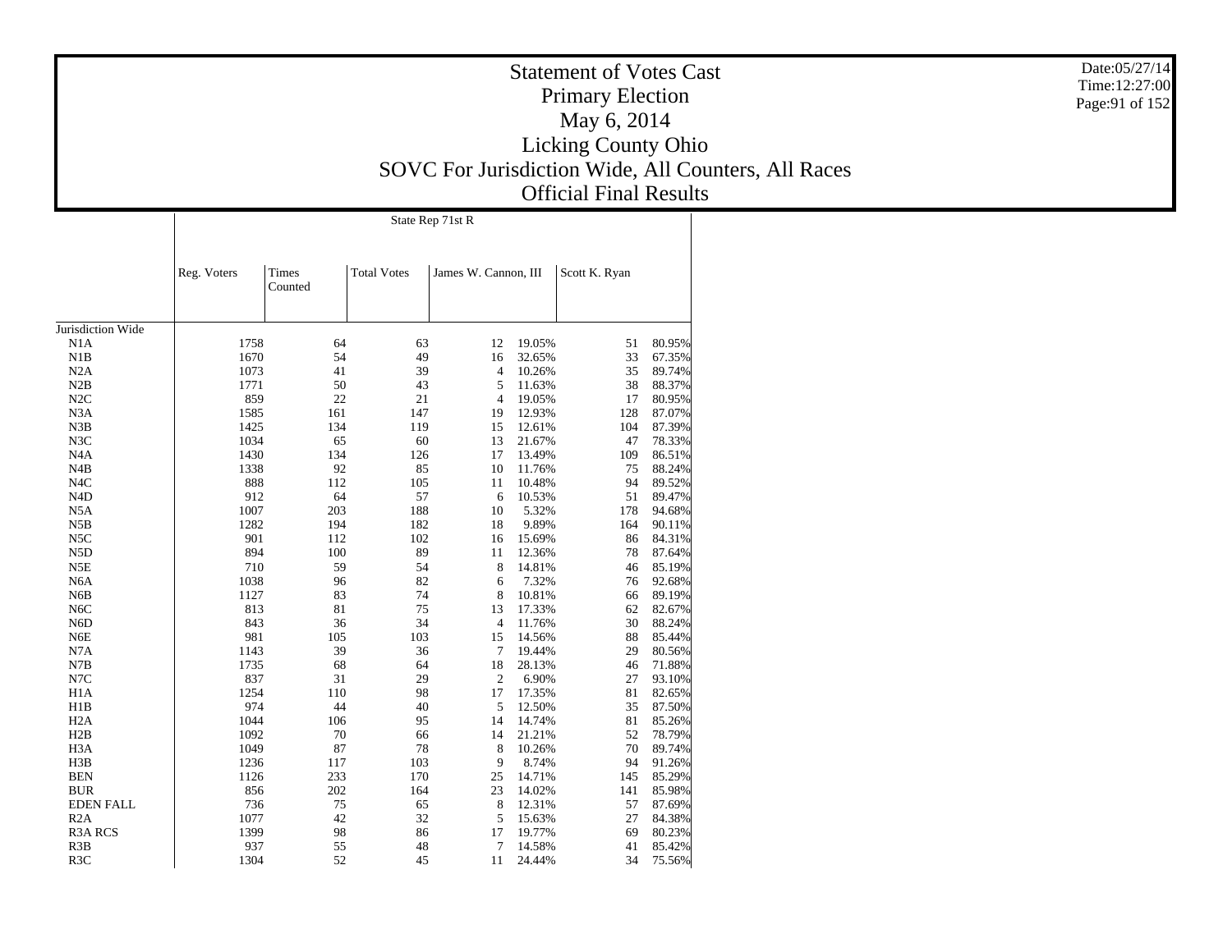State Rep 71st R

|                   | Reg. Voters | <b>Times</b><br>Counted | <b>Total Votes</b> | James W. Cannon, III |        | Scott K. Ryan |        |
|-------------------|-------------|-------------------------|--------------------|----------------------|--------|---------------|--------|
| Jurisdiction Wide |             |                         |                    |                      |        |               |        |
| N1A               | 1758        | 64                      | 63                 | 12                   | 19.05% | 51            | 80.95% |
| N1B               | 1670        | 54                      | 49                 | 16                   | 32.65% | 33            | 67.35% |
| N2A               | 1073        | 41                      | 39                 | $\overline{4}$       | 10.26% | 35            | 89.74% |
| N2B               | 1771        | 50                      | 43                 | 5                    | 11.63% | 38            | 88.37% |
| N2C               | 859         | 22                      | 21                 | $\overline{4}$       | 19.05% | 17            | 80.95% |
| N3A               | 1585        | 161                     | 147                | 19                   | 12.93% | 128           | 87.07% |
| N3B               | 1425        | 134                     | 119                | 15                   | 12.61% | 104           | 87.39% |
| N3C               | 1034        | 65                      | 60                 | 13                   | 21.67% | 47            | 78.33% |
| N <sub>4</sub> A  | 1430        | 134                     | 126                | 17                   | 13.49% | 109           | 86.51% |
| N4B               | 1338        | 92                      | 85                 | 10                   | 11.76% | 75            | 88.24% |
| N <sub>4</sub> C  | 888         | 112                     | 105                | 11                   | 10.48% | 94            | 89.52% |
| N <sub>4</sub> D  | 912         | 64                      | 57                 | 6                    | 10.53% | 51            | 89.47% |
| N <sub>5</sub> A  | 1007        | 203                     | 188                | 10                   | 5.32%  | 178           | 94.68% |
| N5B               | 1282        | 194                     | 182                | 18                   | 9.89%  | 164           | 90.11% |
| N5C               | 901         | 112                     | 102                | 16                   | 15.69% | 86            | 84.31% |
| N <sub>5</sub> D  | 894         | 100                     | 89                 | 11                   | 12.36% | 78            | 87.64% |
| N <sub>5</sub> E  | 710         | 59                      | 54                 | 8                    | 14.81% | 46            | 85.19% |
| N <sub>6</sub> A  | 1038        | 96                      | 82                 | 6                    | 7.32%  | 76            | 92.68% |
| N <sub>6</sub> B  | 1127        | 83                      | 74                 | 8                    | 10.81% | 66            | 89.19% |
| N <sub>6</sub> C  | 813         | 81                      | 75                 | 13                   | 17.33% | 62            | 82.67% |
| N <sub>6</sub> D  | 843         | 36                      | 34                 | $\overline{4}$       | 11.76% | 30            | 88.24% |
| N <sub>6</sub> E  | 981         | 105                     | 103                | 15                   | 14.56% | 88            | 85.44% |
| N7A               | 1143        | 39                      | 36                 | 7                    | 19.44% | 29            | 80.56% |
| N7B               | 1735        | 68                      | 64                 | 18                   | 28.13% | 46            | 71.88% |
| N7C               | 837         | 31                      | 29                 | $\overline{c}$       | 6.90%  | 27            | 93.10% |
| H1A               | 1254        | 110                     | 98                 | 17                   | 17.35% | 81            | 82.65% |
| H1B               | 974         | 44                      | 40                 | 5                    | 12.50% | 35            | 87.50% |
| H <sub>2</sub> A  | 1044        | 106                     | 95                 | 14                   | 14.74% | 81            | 85.26% |
| H2B               | 1092        | 70                      | 66                 | 14                   | 21.21% | 52            | 78.79% |
| H <sub>3</sub> A  | 1049        | 87                      | 78                 | 8                    | 10.26% | 70            | 89.74% |
| H3B               | 1236        | 117                     | 103                | 9                    | 8.74%  | 94            | 91.26% |
| <b>BEN</b>        | 1126        | 233                     | 170                | 25                   | 14.71% | 145           | 85.29% |
| <b>BUR</b>        | 856         | 202                     | 164                | 23                   | 14.02% | 141           | 85.98% |
| <b>EDEN FALL</b>  | 736         | 75                      | 65                 | 8                    | 12.31% | 57            | 87.69% |
| R2A               | 1077        | 42                      | 32                 | 5                    | 15.63% | 27            | 84.38% |
| <b>R3A RCS</b>    | 1399        | 98                      | 86                 | 17                   | 19.77% | 69            | 80.23% |
| R <sub>3</sub> B  | 937         | 55                      | 48                 | 7                    | 14.58% | 41            | 85.42% |
| R <sub>3</sub> C  | 1304        | 52                      | 45                 | 11                   | 24.44% | 34            | 75.56% |

Date:05/27/14 Time:12:27:00Page:91 of 152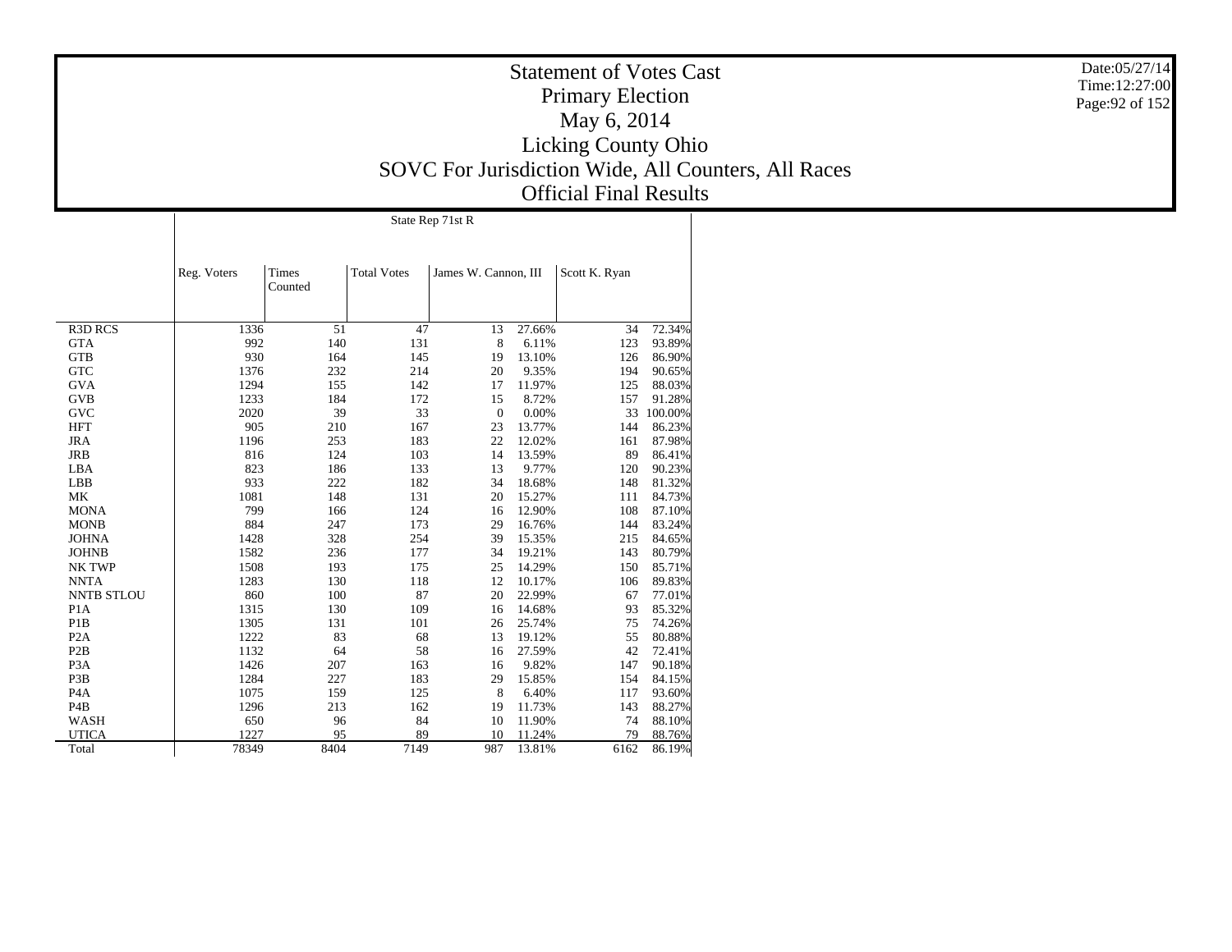State Rep 71st R

|                   | Reg. Voters | Times<br>Counted | <b>Total Votes</b> | James W. Cannon, III |        | Scott K. Ryan |         |
|-------------------|-------------|------------------|--------------------|----------------------|--------|---------------|---------|
| <b>R3D RCS</b>    | 1336        | 51               | 47                 | 13                   | 27.66% | 34            | 72.34%  |
| <b>GTA</b>        | 992         | 140              | 131                | 8                    | 6.11%  | 123           | 93.89%  |
| <b>GTB</b>        | 930         | 164              | 145                | 19                   | 13.10% | 126           | 86.90%  |
| <b>GTC</b>        | 1376        | 232              | 214                | 20                   | 9.35%  | 194           | 90.65%  |
| <b>GVA</b>        | 1294        | 155              | 142                | 17                   | 11.97% | 125           | 88.03%  |
| <b>GVB</b>        | 1233        | 184              | 172                | 15                   | 8.72%  | 157           | 91.28%  |
| <b>GVC</b>        | 2020        | 39               | 33                 | $\theta$             | 0.00%  | 33            | 100.00% |
| <b>HFT</b>        | 905         | 210              | 167                | 23                   | 13.77% | 144           | 86.23%  |
| <b>JRA</b>        | 1196        | 253              | 183                | 22                   | 12.02% | 161           | 87.98%  |
| <b>JRB</b>        | 816         | 124              | 103                | 14                   | 13.59% | 89            | 86.41%  |
| LBA               | 823         | 186              | 133                | 13                   | 9.77%  | 120           | 90.23%  |
| LBB               | 933         | 222              | 182                | 34                   | 18.68% | 148           | 81.32%  |
| MK                | 1081        | 148              | 131                | 20                   | 15.27% | 111           | 84.73%  |
| <b>MONA</b>       | 799         | 166              | 124                | 16                   | 12.90% | 108           | 87.10%  |
| <b>MONB</b>       | 884         | 247              | 173                | 29                   | 16.76% | 144           | 83.24%  |
| <b>JOHNA</b>      | 1428        | 328              | 254                | 39                   | 15.35% | 215           | 84.65%  |
| <b>JOHNB</b>      | 1582        | 236              | 177                | 34                   | 19.21% | 143           | 80.79%  |
| NK TWP            | 1508        | 193              | 175                | 25                   | 14.29% | 150           | 85.71%  |
| <b>NNTA</b>       | 1283        | 130              | 118                | 12                   | 10.17% | 106           | 89.83%  |
| <b>NNTB STLOU</b> | 860         | 100              | 87                 | 20                   | 22.99% | 67            | 77.01%  |
| P <sub>1</sub> A  | 1315        | 130              | 109                | 16                   | 14.68% | 93            | 85.32%  |
| P <sub>1</sub> B  | 1305        | 131              | 101                | 26                   | 25.74% | 75            | 74.26%  |
| P <sub>2</sub> A  | 1222        | 83               | 68                 | 13                   | 19.12% | 55            | 80.88%  |
| P <sub>2</sub> B  | 1132        | 64               | 58                 | 16                   | 27.59% | 42            | 72.41%  |
| P <sub>3</sub> A  | 1426        | 207              | 163                | 16                   | 9.82%  | 147           | 90.18%  |
| P <sub>3</sub> B  | 1284        | 227              | 183                | 29                   | 15.85% | 154           | 84.15%  |
| P <sub>4</sub> A  | 1075        | 159              | 125                | 8                    | 6.40%  | 117           | 93.60%  |
| P <sub>4</sub> B  | 1296        | 213              | 162                | 19                   | 11.73% | 143           | 88.27%  |
| WASH              | 650         | 96               | 84                 | 10                   | 11.90% | 74            | 88.10%  |
| <b>UTICA</b>      | 1227        | 95               | 89                 | 10                   | 11.24% | 79            | 88.76%  |
| Total             | 78349       | 8404             | 7149               | 987                  | 13.81% | 6162          | 86.19%  |

Date:05/27/14 Time:12:27:00Page:92 of 152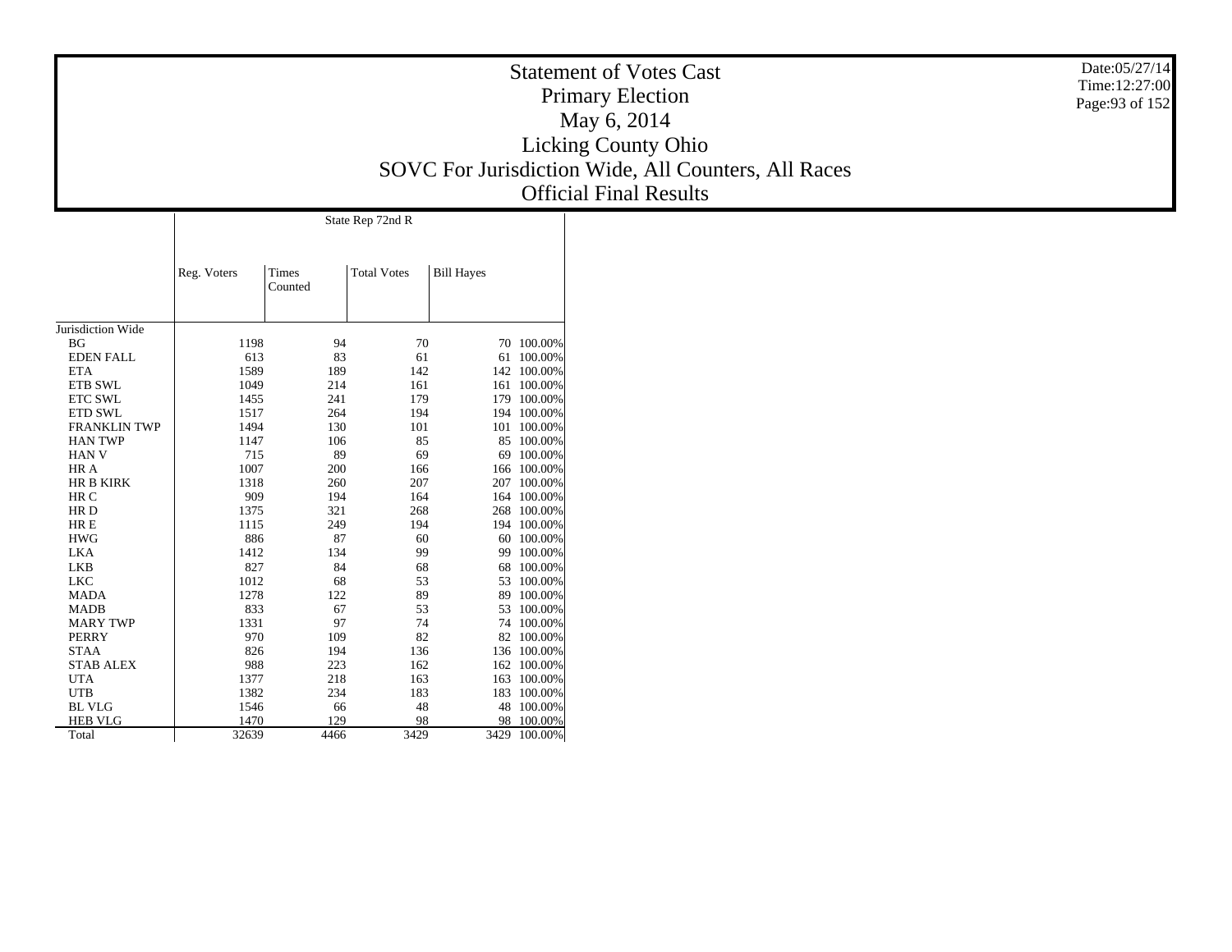Date:05/27/14 Time:12:27:00Page:93 of 152

|                     | State Rep 72nd R |                  |                    |                   |             |  |  |  |
|---------------------|------------------|------------------|--------------------|-------------------|-------------|--|--|--|
|                     | Reg. Voters      | Times<br>Counted | <b>Total Votes</b> | <b>Bill Hayes</b> |             |  |  |  |
| Jurisdiction Wide   |                  |                  |                    |                   |             |  |  |  |
| <b>BG</b>           | 1198             | 94               | 70                 |                   | 70 100.00%  |  |  |  |
| <b>EDEN FALL</b>    | 613              | 83               | 61                 | 61                | 100.00%     |  |  |  |
| <b>ETA</b>          | 1589             | 189              | 142                |                   | 142 100.00% |  |  |  |
| <b>ETB SWL</b>      | 1049             | 214              | 161                | 161               | 100.00%     |  |  |  |
| <b>ETC SWL</b>      | 1455             | 241              | 179                |                   | 179 100.00% |  |  |  |
| <b>ETD SWL</b>      | 1517             | 264              | 194                | 194               | 100.00%     |  |  |  |
| <b>FRANKLIN TWP</b> | 1494             | 130              | 101                | 101               | 100.00%     |  |  |  |
| <b>HAN TWP</b>      | 1147             | 106              | 85                 | 85                | 100.00%     |  |  |  |
| <b>HAN V</b>        | 715              | 89               | 69                 | 69                | 100.00%     |  |  |  |
| HR A                | 1007             | 200              | 166                | 166               | 100.00%     |  |  |  |
| HR B KIRK           | 1318             | 260              | 207                | 207               | 100.00%     |  |  |  |
| HR C                | 909              | 194              | 164                | 164               | 100.00%     |  |  |  |
| HR D                | 1375             | 321              | 268                | 268               | 100.00%     |  |  |  |
| HR E                | 1115             | 249              | 194                | 194               | 100.00%     |  |  |  |
| <b>HWG</b>          | 886              | 87               | 60                 | 60                | 100.00%     |  |  |  |
| LKA                 | 1412             | 134              | 99                 | 99                | 100.00%     |  |  |  |
| LKB                 | 827              | 84               | 68                 | 68                | 100.00%     |  |  |  |
| <b>LKC</b>          | 1012             | 68               | 53                 | 53                | 100.00%     |  |  |  |
| <b>MADA</b>         | 1278             | 122              | 89                 | 89                | 100.00%     |  |  |  |
| <b>MADB</b>         | 833              | 67               | 53                 | 53                | 100.00%     |  |  |  |
| <b>MARY TWP</b>     | 1331             | 97               | 74                 | 74                | 100.00%     |  |  |  |
| PERRY               | 970              | 109              | 82                 | 82                | 100.00%     |  |  |  |
| <b>STAA</b>         | 826              | 194              | 136                | 136               | 100.00%     |  |  |  |
| <b>STAB ALEX</b>    | 988              | 223              | 162                | 162               | 100.00%     |  |  |  |
| <b>UTA</b>          | 1377             | 218              | 163                | 163               | 100.00%     |  |  |  |
| UTB                 | 1382             | 234              | 183                | 183               | 100.00%     |  |  |  |
| <b>BL VLG</b>       | 1546             | 66               | 48                 | 48                | 100.00%     |  |  |  |
| <b>HEB VLG</b>      | 1470             | 129              | 98                 | 98                | 100.00%     |  |  |  |
| Total               | 32639            | 4466             | 3429               | 3429              | 100.00%     |  |  |  |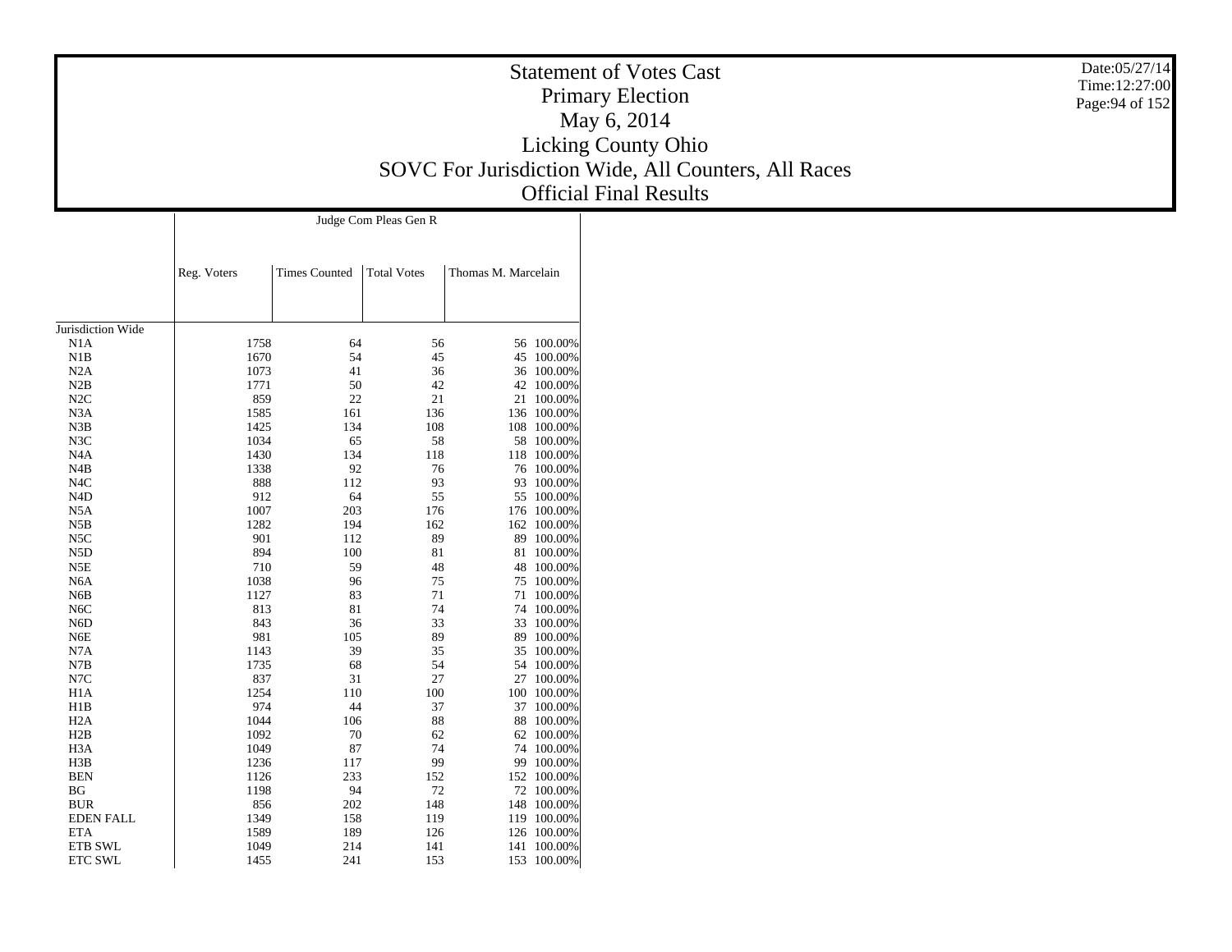|                                     |             | Date:05/27/14<br><b>Statement of Votes Cast</b> |                       |                           |                                                     |  |
|-------------------------------------|-------------|-------------------------------------------------|-----------------------|---------------------------|-----------------------------------------------------|--|
|                                     |             | Time:12:27:00                                   |                       |                           |                                                     |  |
|                                     |             | <b>Primary Election</b><br>Page: 94 of 152      |                       |                           |                                                     |  |
|                                     | May 6, 2014 |                                                 |                       |                           |                                                     |  |
|                                     |             |                                                 |                       |                           | <b>Licking County Ohio</b>                          |  |
|                                     |             |                                                 |                       |                           |                                                     |  |
|                                     |             |                                                 |                       |                           | SOVC For Jurisdiction Wide, All Counters, All Races |  |
|                                     |             |                                                 |                       |                           | <b>Official Final Results</b>                       |  |
|                                     |             |                                                 | Judge Com Pleas Gen R |                           |                                                     |  |
|                                     |             |                                                 |                       |                           |                                                     |  |
|                                     |             |                                                 |                       |                           |                                                     |  |
|                                     | Reg. Voters | <b>Times Counted</b>                            | <b>Total Votes</b>    | Thomas M. Marcelain       |                                                     |  |
|                                     |             |                                                 |                       |                           |                                                     |  |
| Jurisdiction Wide                   |             |                                                 |                       |                           |                                                     |  |
| N1A                                 | 1758        | 64                                              | 56                    | 56 100.00%                |                                                     |  |
| N1B                                 | 1670        | 54                                              | 45                    | 45 100.00%                |                                                     |  |
| N2A                                 | 1073        | 41                                              | 36                    | 36 100.00%                |                                                     |  |
| N2B                                 | 1771        | 50                                              | 42                    | 42 100.00%                |                                                     |  |
| N2C                                 | 859         | 22                                              | 21                    | 21 100.00%                |                                                     |  |
| N3A                                 | 1585        | 161                                             | 136                   | 136 100.00%               |                                                     |  |
| N3B                                 | 1425        | 134                                             | 108                   | 108 100.00%               |                                                     |  |
| N3C                                 | 1034        | 65                                              | 58                    | 58 100.00%                |                                                     |  |
| N4A                                 | 1430        | 134                                             | 118                   | 118 100.00%               |                                                     |  |
| N4B                                 | 1338        | 92                                              | 76                    | 76 100.00%                |                                                     |  |
| N4C<br>N <sub>4</sub> D             | 888<br>912  | 112<br>64                                       | 93<br>55              | 93 100.00%<br>55 100.00%  |                                                     |  |
| N5A                                 | 1007        | 203                                             | 176                   | 176 100.00%               |                                                     |  |
| N5B                                 | 1282        | 194                                             | 162                   | 162 100.00%               |                                                     |  |
| N5C                                 | 901         | 112                                             | 89                    | 89 100.00%                |                                                     |  |
| N5D                                 | 894         | 100                                             | 81                    | 81 100.00%                |                                                     |  |
| N5E                                 | 710         | 59                                              | 48                    | 48 100.00%                |                                                     |  |
| N6A                                 | 1038        | 96                                              | 75                    | 75 100.00%                |                                                     |  |
| N6B                                 | 1127        | 83                                              | 71                    | 71 100.00%                |                                                     |  |
| N <sub>6</sub> C                    | 813         | 81                                              | 74                    | 74 100.00%                |                                                     |  |
| N <sub>6</sub> D                    | 843         | 36                                              | 33                    | 33 100.00%                |                                                     |  |
| N6E<br>N7A                          | 981<br>1143 | 105<br>39                                       | 89<br>35              | 89 100.00%<br>35 100.00%  |                                                     |  |
| N7B                                 | 1735        | 68                                              | 54                    | 54 100.00%                |                                                     |  |
| N7C                                 | 837         | 31                                              | 27                    | 27 100.00%                |                                                     |  |
| H <sub>1</sub> A                    | 1254        | 110                                             | 100                   | 100 100.00%               |                                                     |  |
| H1B                                 | 974         | 44                                              | 37                    | 37 100.00%                |                                                     |  |
| H <sub>2</sub> A                    | 1044        | 106                                             | 88                    | 88 100.00%                |                                                     |  |
| H2B                                 | 1092        | 70                                              | 62                    | 62 100.00%                |                                                     |  |
| H <sub>3</sub> A                    | 1049        | 87                                              | 74                    | 74 100.00%                |                                                     |  |
| $_{\rm H3B}$                        | 1236        | 117                                             | 99                    | 99 100.00%                |                                                     |  |
| <b>BEN</b>                          | 1126        | 233                                             | 152                   | 152 100.00%               |                                                     |  |
| $\mathbf{B}\mathbf{G}$<br>$\rm BUR$ | 1198<br>856 | 94<br>202                                       | $72\,$<br>148         | 72 100.00%<br>148 100.00% |                                                     |  |
| <b>EDEN FALL</b>                    | 1349        | 158                                             | 119                   | 119 100.00%               |                                                     |  |
| ETA                                 | 1589        | 189                                             | 126                   | 126 100.00%               |                                                     |  |
| ETB SWL                             | 1049        | 214                                             | 141                   | 141 100.00%               |                                                     |  |
| ETC SWL                             | 1455        | 241                                             | 153                   | 153 100.00%               |                                                     |  |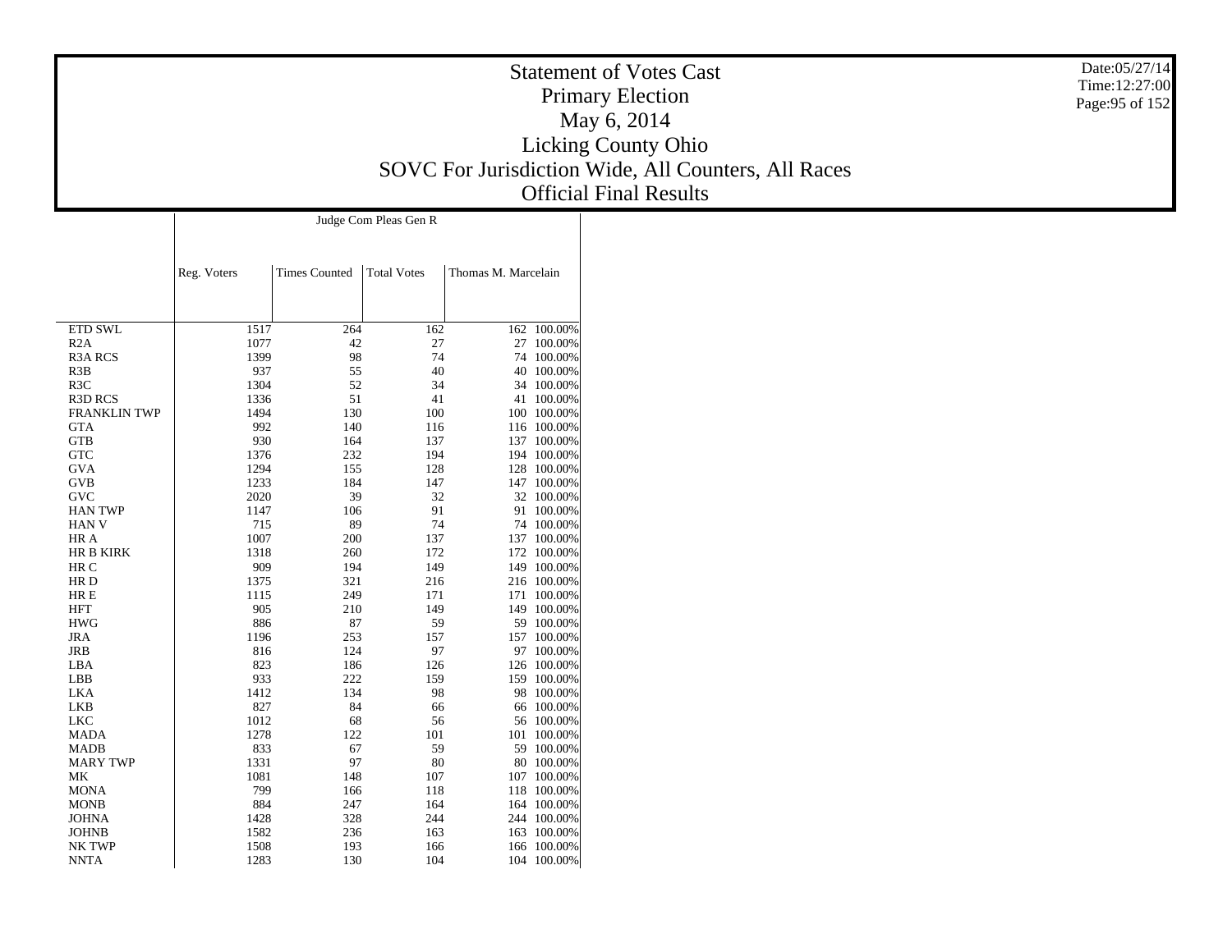| <b>Statement of Votes Cast</b>                      |
|-----------------------------------------------------|
| <b>Primary Election</b>                             |
| May 6, 2014                                         |
| <b>Licking County Ohio</b>                          |
| SOVC For Jurisdiction Wide, All Counters, All Races |
| <b>Official Final Results</b>                       |

| Date:05/27/14   |
|-----------------|
| Time: 12:27:00  |
| Page: 95 of 152 |

|                       | Judge Com Pleas Gen R |                      |                    |                     |                            |  |  |
|-----------------------|-----------------------|----------------------|--------------------|---------------------|----------------------------|--|--|
|                       | Reg. Voters           | <b>Times Counted</b> | <b>Total Votes</b> | Thomas M. Marcelain |                            |  |  |
|                       |                       |                      |                    |                     |                            |  |  |
| ETD SWL               | 1517                  | 264                  | 162                |                     | 162 100.00%                |  |  |
| R2A                   | 1077                  | 42                   | 27                 | 27                  | 100.00%                    |  |  |
| <b>R3A RCS</b>        | 1399                  | 98                   | 74                 |                     | 74 100.00%                 |  |  |
| R3B                   | 937                   | 55                   | 40                 |                     | 40 100.00%                 |  |  |
| R <sub>3</sub> C      | 1304                  | 52                   | 34                 |                     | 34 100.00%                 |  |  |
| R3D RCS               | 1336                  | 51                   | 41                 |                     | 41 100.00%                 |  |  |
| <b>FRANKLIN TWP</b>   | 1494                  | 130                  | 100                |                     | 100 100.00%                |  |  |
| <b>GTA</b>            | 992                   | 140                  | 116                |                     | 116 100.00%                |  |  |
| <b>GTB</b>            | 930                   | 164                  | 137                |                     | 137 100.00%                |  |  |
| <b>GTC</b>            | 1376                  | 232                  | 194                |                     | 194 100.00%                |  |  |
| GVA                   | 1294<br>1233          | 155                  | 128<br>147         |                     | 128 100.00%<br>147 100.00% |  |  |
| GVB                   |                       | 184<br>39            | 32                 |                     | 32 100.00%                 |  |  |
| GVC<br><b>HAN TWP</b> | 2020<br>1147          | 106                  | 91                 |                     | 91 100.00%                 |  |  |
| <b>HAN V</b>          | 715                   | 89                   | 74                 |                     | 74 100.00%                 |  |  |
| HR A                  | 1007                  | 200                  | 137                | 137                 | 100.00%                    |  |  |
| HR B KIRK             | 1318                  | 260                  | 172                |                     | 172 100.00%                |  |  |
| HR C                  | 909                   | 194                  | 149                |                     | 149 100.00%                |  |  |
| HR D                  | 1375                  | 321                  | 216                |                     | 216 100.00%                |  |  |
| HR E                  | 1115                  | 249                  | 171                |                     | 171 100.00%                |  |  |
| <b>HFT</b>            | 905                   | 210                  | 149                |                     | 149 100.00%                |  |  |
| <b>HWG</b>            | 886                   | 87                   | 59                 |                     | 59 100.00%                 |  |  |
| JRA                   | 1196                  | 253                  | 157                |                     | 157 100.00%                |  |  |
| JRB                   | 816                   | 124                  | 97                 |                     | 97 100.00%                 |  |  |
| LBA                   | 823                   | 186                  | 126                |                     | 126 100.00%                |  |  |
| LBB                   | 933                   | 222                  | 159                |                     | 159 100.00%                |  |  |
| <b>LKA</b>            | 1412                  | 134                  | 98                 |                     | 98 100.00%                 |  |  |
| LKB                   | 827                   | 84                   | 66                 |                     | 66 100.00%                 |  |  |
| <b>LKC</b>            | 1012                  | 68                   | 56                 |                     | 56 100.00%                 |  |  |
| MADA                  | 1278                  | 122                  | 101                |                     | 101 100.00%                |  |  |
| MADB                  | 833                   | 67                   | 59                 |                     | 59 100.00%                 |  |  |
| <b>MARY TWP</b>       | 1331                  | 97                   | 80                 |                     | 80 100.00%                 |  |  |
| MK                    | 1081                  | 148                  | 107                |                     | 107 100.00%                |  |  |
| <b>MONA</b>           | 799                   | 166                  | 118                |                     | 118 100.00%                |  |  |
| <b>MONB</b>           | 884                   | 247                  | 164                |                     | 164 100.00%                |  |  |
| <b>JOHNA</b>          | 1428                  | 328                  | 244                |                     | 244 100.00%                |  |  |
| JOHNB                 | 1582                  | 236                  | 163                |                     | 163 100.00%                |  |  |
| NK TWP                | 1508                  | 193                  | 166                |                     | 166 100.00%                |  |  |
| <b>NNTA</b>           | 1283                  | 130                  | 104                |                     | 104 100.00%                |  |  |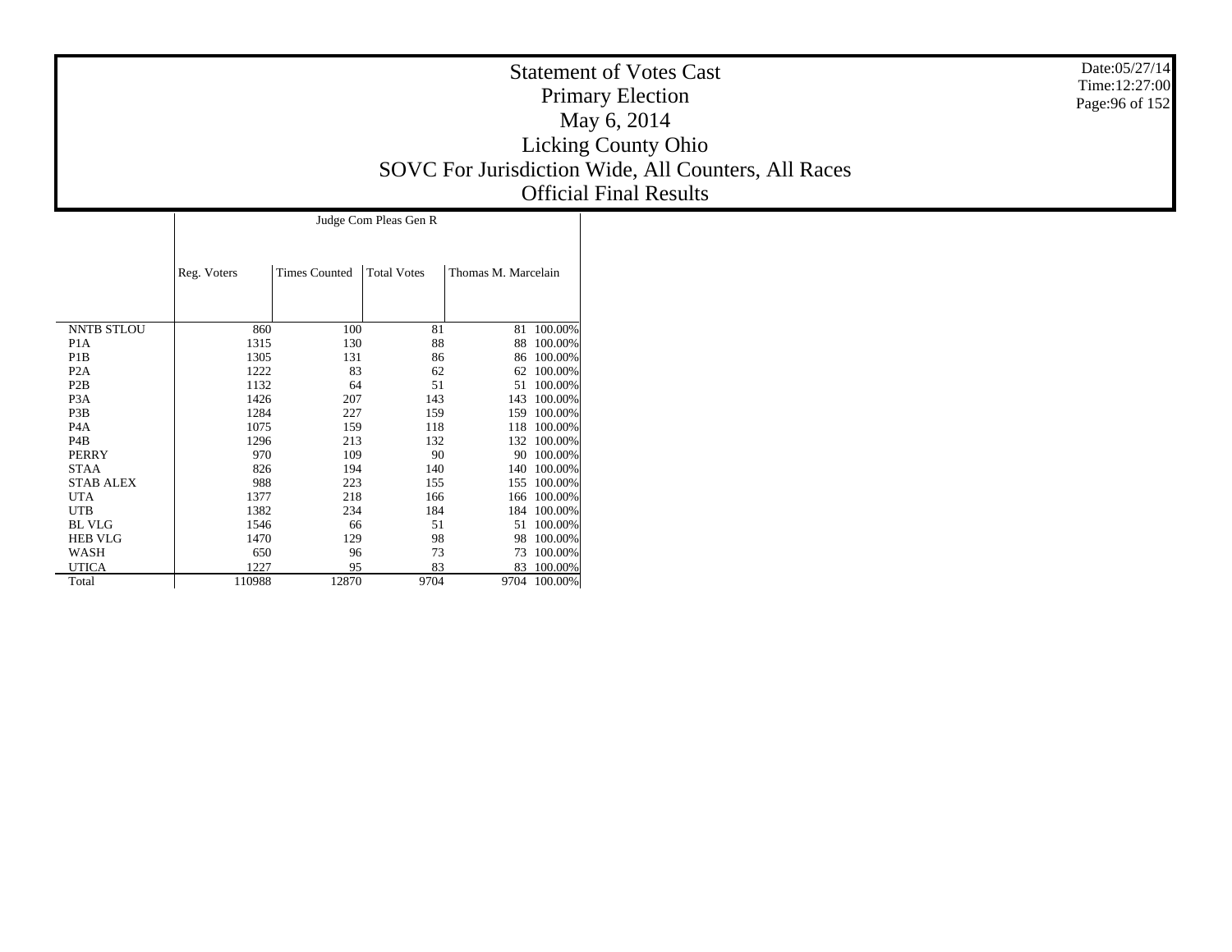|                   | Judge Com Pleas Gen R |                      |                    |                     |         |  |  |  |
|-------------------|-----------------------|----------------------|--------------------|---------------------|---------|--|--|--|
|                   | Reg. Voters           | <b>Times Counted</b> | <b>Total Votes</b> | Thomas M. Marcelain |         |  |  |  |
|                   |                       |                      |                    |                     |         |  |  |  |
| <b>NNTB STLOU</b> | 860                   | 100                  | 81                 | 81                  | 100.00% |  |  |  |
| P <sub>1</sub> A  | 1315                  | 130                  | 88                 | 88                  | 100.00% |  |  |  |
| P <sub>1</sub> B  | 1305                  | 131                  | 86                 | 86                  | 100.00% |  |  |  |
| P <sub>2</sub> A  | 1222                  | 83                   | 62                 | 62                  | 100.00% |  |  |  |
| P <sub>2</sub> B  | 1132                  | 64                   | 51                 | 51                  | 100.00% |  |  |  |
| P <sub>3</sub> A  | 1426                  | 207                  | 143                | 143                 | 100.00% |  |  |  |
| P3B               | 1284                  | 227                  | 159                | 159                 | 100.00% |  |  |  |
| P <sub>4</sub> A  | 1075                  | 159                  | 118                | 118                 | 100.00% |  |  |  |
| P4B               | 1296                  | 213                  | 132                | 132                 | 100.00% |  |  |  |
| PERRY             | 970                   | 109                  | 90                 | 90                  | 100.00% |  |  |  |
| <b>STAA</b>       | 826                   | 194                  | 140                | 140                 | 100.00% |  |  |  |
| <b>STAB ALEX</b>  | 988                   | 223                  | 155                | 155                 | 100.00% |  |  |  |
| UTA               | 1377                  | 218                  | 166                | 166                 | 100.00% |  |  |  |
| <b>UTB</b>        | 1382                  | 234                  | 184                | 184                 | 100.00% |  |  |  |
| <b>BL VLG</b>     | 1546                  | 66                   | 51                 | 51                  | 100.00% |  |  |  |
| <b>HEB VLG</b>    | 1470                  | 129                  | 98                 | 98                  | 100.00% |  |  |  |
| WASH              | 650                   | 96                   | 73                 | 73                  | 100.00% |  |  |  |
| <b>UTICA</b>      | 1227                  | 95                   | 83                 | 83                  | 100.00% |  |  |  |
| Total             | 110988                | 12870                | 9704               | 9704                | 100.00% |  |  |  |

Date:05/27/14 Time:12:27:00Page:96 of 152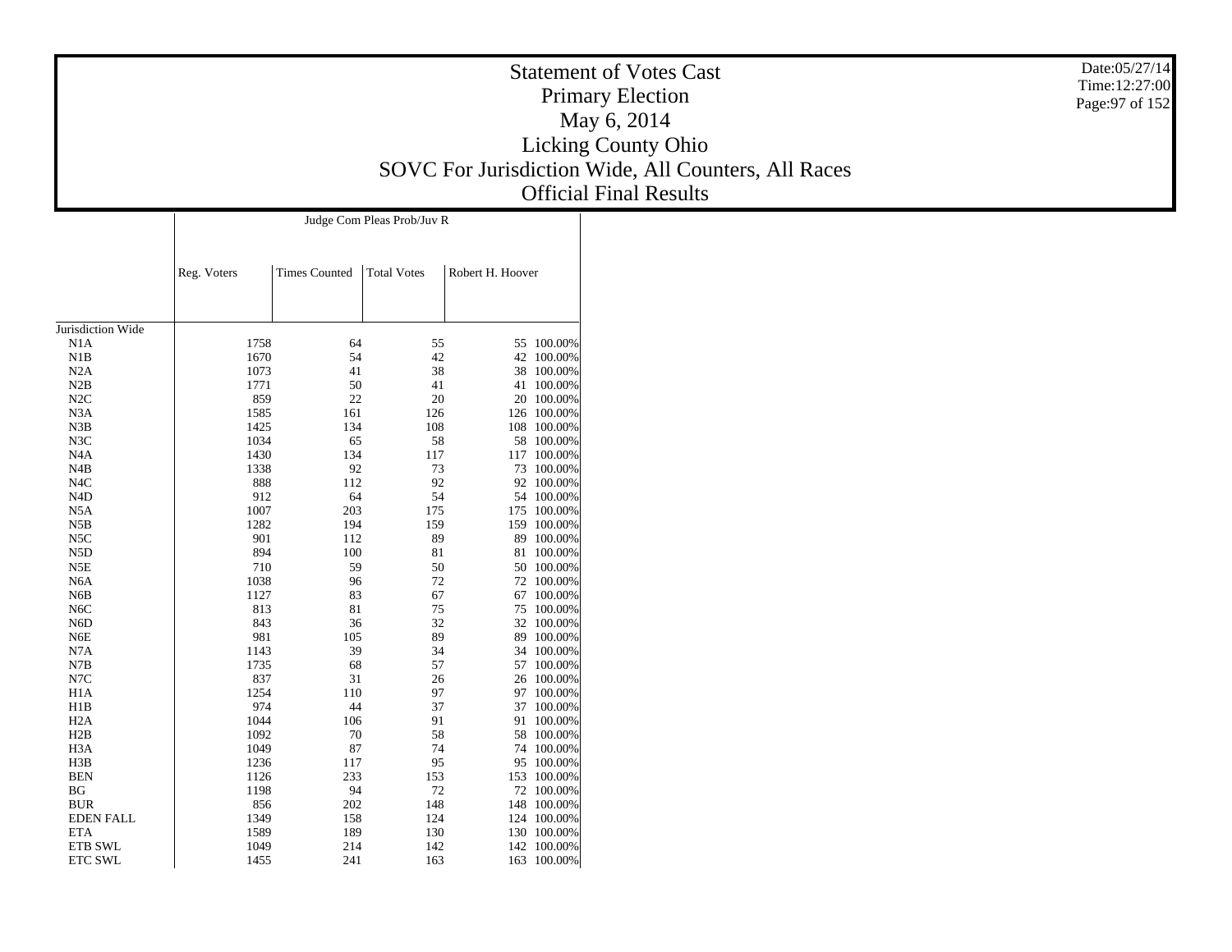|                               | <b>Statement of Votes Cast</b>         |                      |                            |                                                     |                               |  |  |  |  |
|-------------------------------|----------------------------------------|----------------------|----------------------------|-----------------------------------------------------|-------------------------------|--|--|--|--|
|                               | <b>Primary Election</b><br>May 6, 2014 |                      |                            |                                                     |                               |  |  |  |  |
|                               |                                        |                      |                            |                                                     |                               |  |  |  |  |
|                               |                                        |                      |                            |                                                     |                               |  |  |  |  |
|                               |                                        |                      |                            |                                                     | <b>Licking County Ohio</b>    |  |  |  |  |
|                               |                                        |                      |                            | SOVC For Jurisdiction Wide, All Counters, All Races |                               |  |  |  |  |
|                               |                                        |                      |                            |                                                     | <b>Official Final Results</b> |  |  |  |  |
|                               |                                        |                      |                            |                                                     |                               |  |  |  |  |
|                               |                                        |                      | Judge Com Pleas Prob/Juv R |                                                     |                               |  |  |  |  |
|                               |                                        |                      |                            |                                                     |                               |  |  |  |  |
|                               |                                        | <b>Times Counted</b> | <b>Total Votes</b>         | Robert H. Hoover                                    |                               |  |  |  |  |
|                               | Reg. Voters                            |                      |                            |                                                     |                               |  |  |  |  |
|                               |                                        |                      |                            |                                                     |                               |  |  |  |  |
|                               |                                        |                      |                            |                                                     |                               |  |  |  |  |
| Jurisdiction Wide<br>N1A      | 1758                                   | 64                   | 55                         |                                                     | 55 100.00%                    |  |  |  |  |
| N1B                           | 1670                                   | 54                   | 42                         |                                                     | 42 100.00%                    |  |  |  |  |
| N2A                           | 1073                                   | 41                   | 38                         |                                                     | 38 100.00%                    |  |  |  |  |
| N2B                           | 1771                                   | 50                   | 41                         |                                                     | 41 100.00%                    |  |  |  |  |
| N2C<br>N3A                    | 859<br>1585                            | 22<br>161            | 20<br>126                  |                                                     | 20 100.00%<br>126 100.00%     |  |  |  |  |
| N3B                           | 1425                                   | 134                  | 108                        |                                                     | 108 100.00%                   |  |  |  |  |
| N3C                           | 1034                                   | 65                   | 58                         |                                                     | 58 100.00%                    |  |  |  |  |
| N4A                           | 1430                                   | 134                  | 117                        |                                                     | 117 100.00%                   |  |  |  |  |
| N4B                           | 1338                                   | 92                   | 73                         |                                                     | 73 100.00%                    |  |  |  |  |
| N4C                           | 888<br>912                             | 112                  | 92                         |                                                     | 92 100.00%                    |  |  |  |  |
| N4D<br>N5A                    | 1007                                   | 64<br>203            | 54<br>175                  |                                                     | 54 100.00%<br>175 100.00%     |  |  |  |  |
| N5B                           | 1282                                   | 194                  | 159                        |                                                     | 159 100.00%                   |  |  |  |  |
| N5C                           | 901                                    | 112                  | 89                         |                                                     | 89 100.00%                    |  |  |  |  |
| N5D                           | 894                                    | 100                  | 81                         |                                                     | 81 100.00%                    |  |  |  |  |
| N5E<br>N6A                    | 710<br>1038                            | 59<br>96             | 50<br>72                   |                                                     | 50 100.00%<br>72 100.00%      |  |  |  |  |
| N6B                           | 1127                                   | 83                   | 67                         |                                                     | 67 100.00%                    |  |  |  |  |
| N6C                           | 813                                    | 81                   | 75                         |                                                     | 75 100.00%                    |  |  |  |  |
| N <sub>6</sub> D              | 843                                    | 36                   | 32                         | 32                                                  | 100.00%                       |  |  |  |  |
| N6E                           | 981                                    | 105                  | 89                         |                                                     | 89 100.00%                    |  |  |  |  |
| N7A<br>N7B                    | 1143<br>1735                           | 39<br>68             | 34<br>57                   | 34                                                  | 100.00%<br>57 100.00%         |  |  |  |  |
| N7C                           | 837                                    | 31                   | 26                         |                                                     | 26 100.00%                    |  |  |  |  |
| H <sub>1</sub> A              | 1254                                   | 110                  | 97                         |                                                     | 97 100.00%                    |  |  |  |  |
| H1B                           | 974                                    | 44                   | 37                         |                                                     | 37 100.00%                    |  |  |  |  |
| H <sub>2</sub> A              | 1044                                   | 106                  | 91                         |                                                     | 91 100.00%                    |  |  |  |  |
| H2B<br>H <sub>3</sub> A       | 1092<br>1049                           | 70<br>87             | 58<br>74                   |                                                     | 58 100.00%<br>74 100.00%      |  |  |  |  |
| H3B                           | 1236                                   | 117                  | 95                         |                                                     | 95 100.00%                    |  |  |  |  |
| <b>BEN</b>                    | 1126                                   | 233                  | 153                        |                                                     | 153 100.00%                   |  |  |  |  |
| BG                            | 1198                                   | 94                   | 72                         |                                                     | 72 100.00%                    |  |  |  |  |
| <b>BUR</b>                    | 856                                    | 202                  | 148                        |                                                     | 148 100.00%                   |  |  |  |  |
| <b>EDEN FALL</b><br>ETA       | 1349<br>1589                           | 158<br>189           | 124<br>130                 |                                                     | 124 100.00%<br>130 100.00%    |  |  |  |  |
| ETB SWL                       | 1049                                   | 214                  | 142                        |                                                     | 142 100.00%                   |  |  |  |  |
| $\ensuremath{\text{ETC}}$ SWL | 1455                                   | $241\,$              | 163                        |                                                     | 163 100.00%                   |  |  |  |  |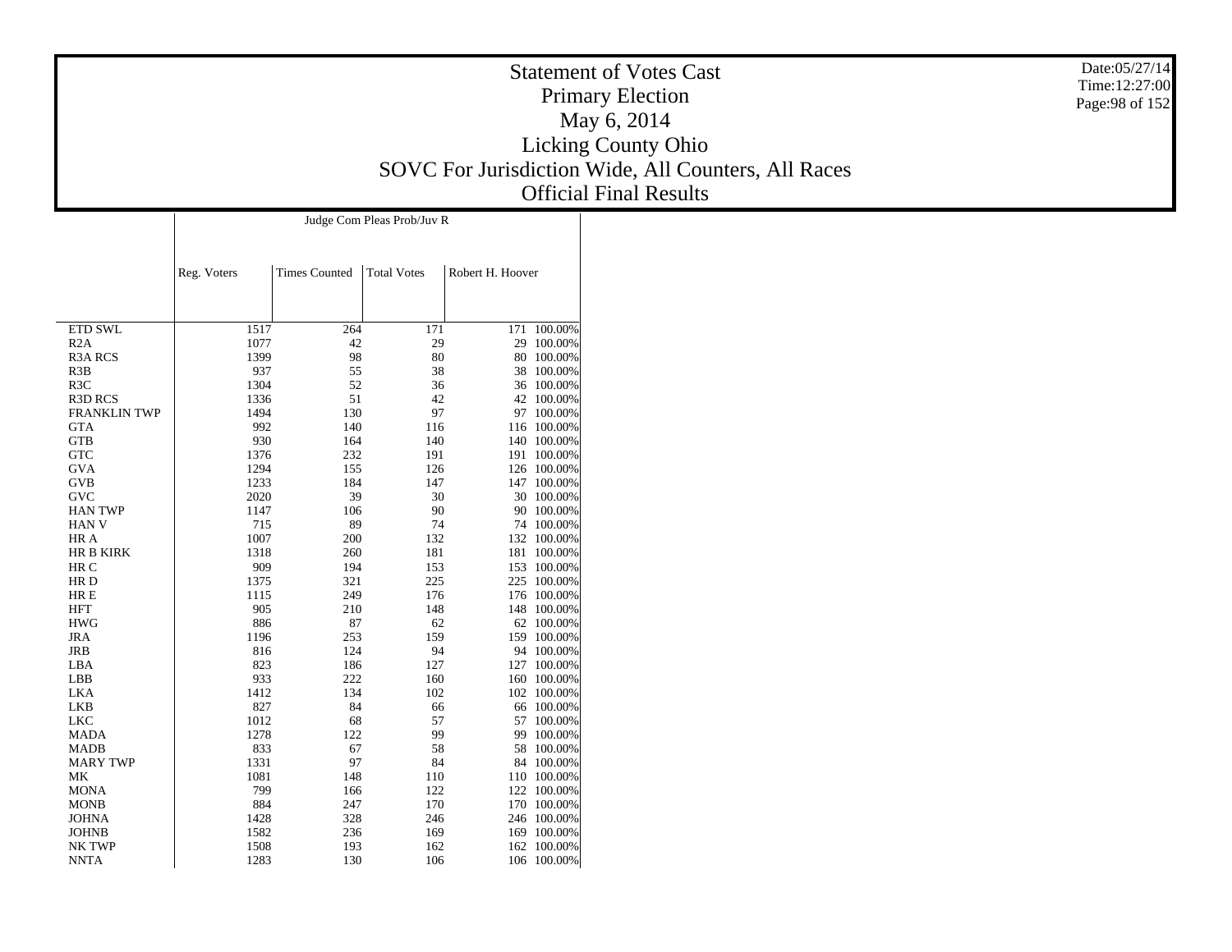Date:05/27/14 Time:12:27:00Page:98 of 152

|                            | Judge Com Pleas Prob/Juv R |                      |                    |                  |                            |  |  |  |  |
|----------------------------|----------------------------|----------------------|--------------------|------------------|----------------------------|--|--|--|--|
|                            | Reg. Voters                | <b>Times Counted</b> | <b>Total Votes</b> | Robert H. Hoover |                            |  |  |  |  |
| <b>ETD SWL</b>             | 1517                       | 264                  | 171                | 171              | 100.00%                    |  |  |  |  |
| R2A                        | 1077                       | 42                   | 29                 | 29               | 100.00%                    |  |  |  |  |
| <b>R3A RCS</b>             | 1399                       | 98                   | 80                 | 80               | 100.00%                    |  |  |  |  |
| R <sub>3</sub> B           | 937                        | 55                   | 38                 |                  | 38 100.00%                 |  |  |  |  |
| R3C                        | 1304                       | 52                   | 36                 |                  | 36 100.00%                 |  |  |  |  |
| <b>R3D RCS</b>             | 1336                       | 51                   | 42                 |                  | 42 100.00%                 |  |  |  |  |
| <b>FRANKLIN TWP</b><br>GTA | 1494<br>992                | 130<br>140           | 97<br>116          |                  | 97 100.00%<br>116 100.00%  |  |  |  |  |
| GTB                        | 930                        | 164                  | 140                |                  | 140 100.00%                |  |  |  |  |
| <b>GTC</b>                 | 1376                       | 232                  | 191                | 191              | 100.00%                    |  |  |  |  |
| <b>GVA</b>                 | 1294                       | 155                  | 126                |                  | 126 100.00%                |  |  |  |  |
| <b>GVB</b>                 | 1233                       | 184                  | 147                |                  | 147 100.00%                |  |  |  |  |
| <b>GVC</b>                 | 2020                       | 39                   | 30                 |                  | 30 100.00%                 |  |  |  |  |
| <b>HAN TWP</b>             | 1147                       | 106                  | 90                 |                  | 90 100.00%                 |  |  |  |  |
| <b>HAN V</b>               | 715                        | 89                   | 74                 |                  | 74 100.00%                 |  |  |  |  |
| HR A                       | 1007                       | 200                  | 132                |                  | 132 100.00%                |  |  |  |  |
| HR B KIRK                  | 1318                       | 260                  | 181                | 181              | 100.00%                    |  |  |  |  |
| HR C                       | 909                        | 194                  | 153                |                  | 153 100.00%                |  |  |  |  |
| HR D                       | 1375                       | 321                  | 225                |                  | 225 100.00%                |  |  |  |  |
| HR E                       | 1115                       | 249                  | 176                |                  | 176 100.00%                |  |  |  |  |
| HFT                        | 905                        | 210                  | 148                |                  | 148 100.00%                |  |  |  |  |
| <b>HWG</b><br><b>JRA</b>   | 886<br>1196                | 87<br>253            | 62<br>159          |                  | 62 100.00%<br>159 100.00%  |  |  |  |  |
| <b>JRB</b>                 | 816                        | 124                  | 94                 |                  | 94 100.00%                 |  |  |  |  |
| LBA                        | 823                        | 186                  | 127                |                  | 127 100.00%                |  |  |  |  |
| LBB                        | 933                        | 222                  | 160                |                  | 160 100.00%                |  |  |  |  |
| <b>LKA</b>                 | 1412                       | 134                  | 102                |                  | 102 100.00%                |  |  |  |  |
| LKB                        | 827                        | 84                   | 66                 |                  | 66 100.00%                 |  |  |  |  |
| <b>LKC</b>                 | 1012                       | 68                   | 57                 |                  | 57 100.00%                 |  |  |  |  |
| MADA                       | 1278                       | 122                  | 99                 |                  | 99 100.00%                 |  |  |  |  |
| MADB                       | 833                        | 67                   | 58                 |                  | 58 100.00%                 |  |  |  |  |
| <b>MARY TWP</b>            | 1331                       | 97                   | 84                 |                  | 84 100.00%                 |  |  |  |  |
| MK                         | 1081                       | 148                  | 110                |                  | 110 100.00%                |  |  |  |  |
| <b>MONA</b>                | 799                        | 166                  | 122                |                  | 122 100.00%                |  |  |  |  |
| <b>MONB</b>                | 884                        | 247                  | 170                |                  | 170 100.00%                |  |  |  |  |
| JOHNA                      | 1428                       | 328                  | 246                |                  | 246 100.00%                |  |  |  |  |
| JOHNB<br>NK TWP            | 1582<br>1508               | 236<br>193           | 169<br>162         |                  | 169 100.00%<br>162 100.00% |  |  |  |  |
| <b>NNTA</b>                | 1283                       | 130                  | 106                |                  | 106 100.00%                |  |  |  |  |
|                            |                            |                      |                    |                  |                            |  |  |  |  |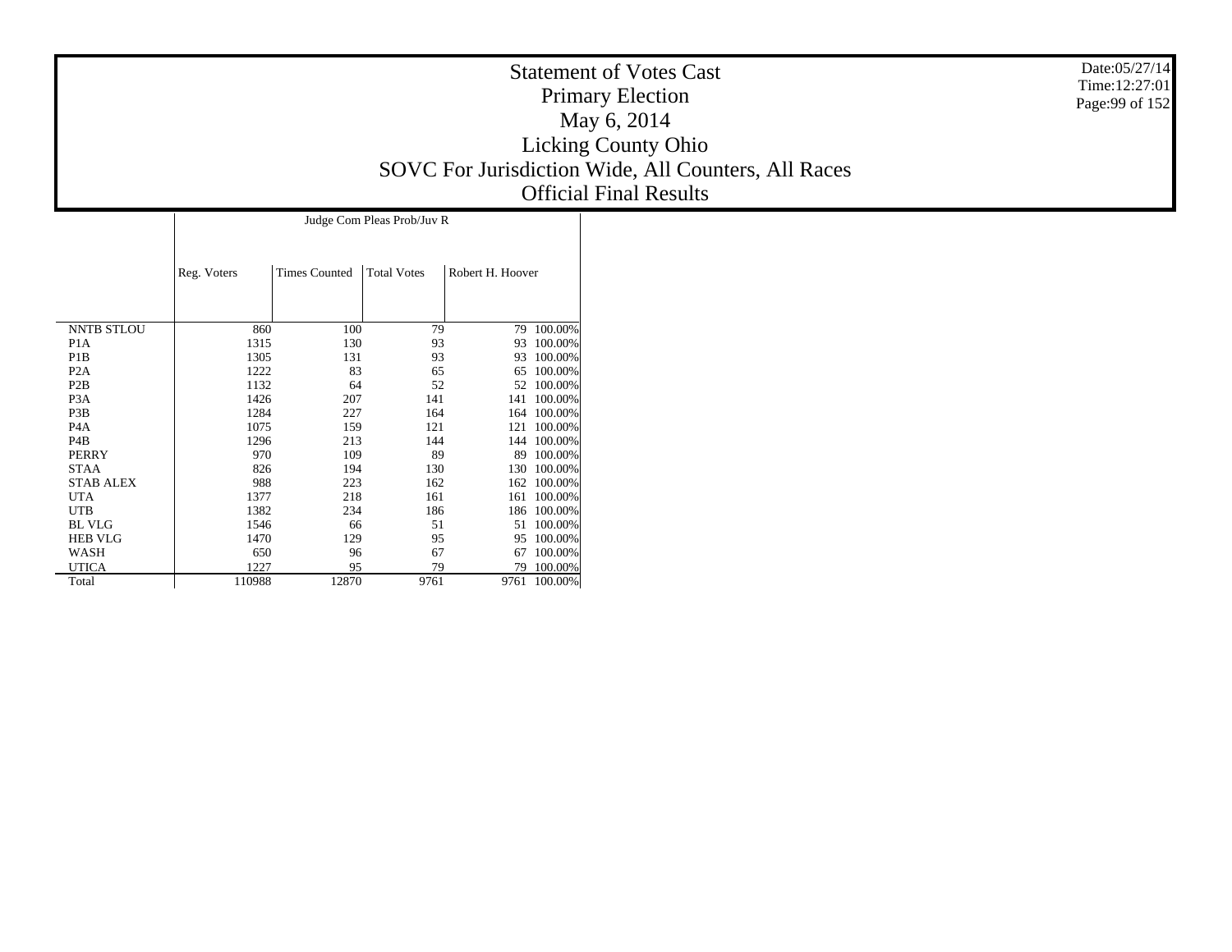|                   | Judge Com Pleas Prob/Juv R |                      |                    |                  |         |  |  |  |  |  |  |
|-------------------|----------------------------|----------------------|--------------------|------------------|---------|--|--|--|--|--|--|
|                   |                            |                      |                    |                  |         |  |  |  |  |  |  |
|                   | Reg. Voters                | <b>Times Counted</b> | <b>Total Votes</b> | Robert H. Hoover |         |  |  |  |  |  |  |
|                   |                            |                      |                    |                  |         |  |  |  |  |  |  |
| <b>NNTB STLOU</b> | 860                        | 100                  | 79                 | 79               | 100.00% |  |  |  |  |  |  |
| P <sub>1</sub> A  | 1315                       | 130                  | 93                 | 93               | 100.00% |  |  |  |  |  |  |
| P <sub>1</sub> B  | 1305                       | 131                  | 93                 | 93               | 100.00% |  |  |  |  |  |  |
| P <sub>2</sub> A  | 1222                       | 83                   | 65                 | 65               | 100.00% |  |  |  |  |  |  |
| P <sub>2</sub> B  | 1132                       | 64                   | 52                 | 52               | 100.00% |  |  |  |  |  |  |
| P <sub>3</sub> A  | 1426                       | 207                  | 141                | 141              | 100.00% |  |  |  |  |  |  |
| P3B               | 1284                       | 227                  | 164                | 164              | 100.00% |  |  |  |  |  |  |
| P <sub>4</sub> A  | 1075                       | 159                  | 121                | 121              | 100.00% |  |  |  |  |  |  |
| P <sub>4</sub> B  | 1296                       | 213                  | 144                | 144              | 100.00% |  |  |  |  |  |  |
| PERRY             | 970                        | 109                  | 89                 | 89               | 100.00% |  |  |  |  |  |  |
| <b>STAA</b>       | 826                        | 194                  | 130                | 130              | 100.00% |  |  |  |  |  |  |
| <b>STAB ALEX</b>  | 988                        | 223                  | 162                | 162              | 100.00% |  |  |  |  |  |  |
| UTA               | 1377                       | 218                  | 161                | 161              | 100.00% |  |  |  |  |  |  |
| UTB               | 1382                       | 234                  | 186                | 186              | 100.00% |  |  |  |  |  |  |
| <b>BL VLG</b>     | 1546                       | 66                   | 51                 | 51               | 100.00% |  |  |  |  |  |  |
| <b>HEB VLG</b>    | 1470                       | 129                  | 95                 | 95               | 100.00% |  |  |  |  |  |  |
| WASH              | 650                        | 96                   | 67                 | 67               | 100.00% |  |  |  |  |  |  |
| UTICA             | 1227                       | 95                   | 79                 | 79               | 100.00% |  |  |  |  |  |  |
| Total             | 110988                     | 12870                | 9761               | 9761             | 100.00% |  |  |  |  |  |  |

Date:05/27/14 Time:12:27:01Page:99 of 152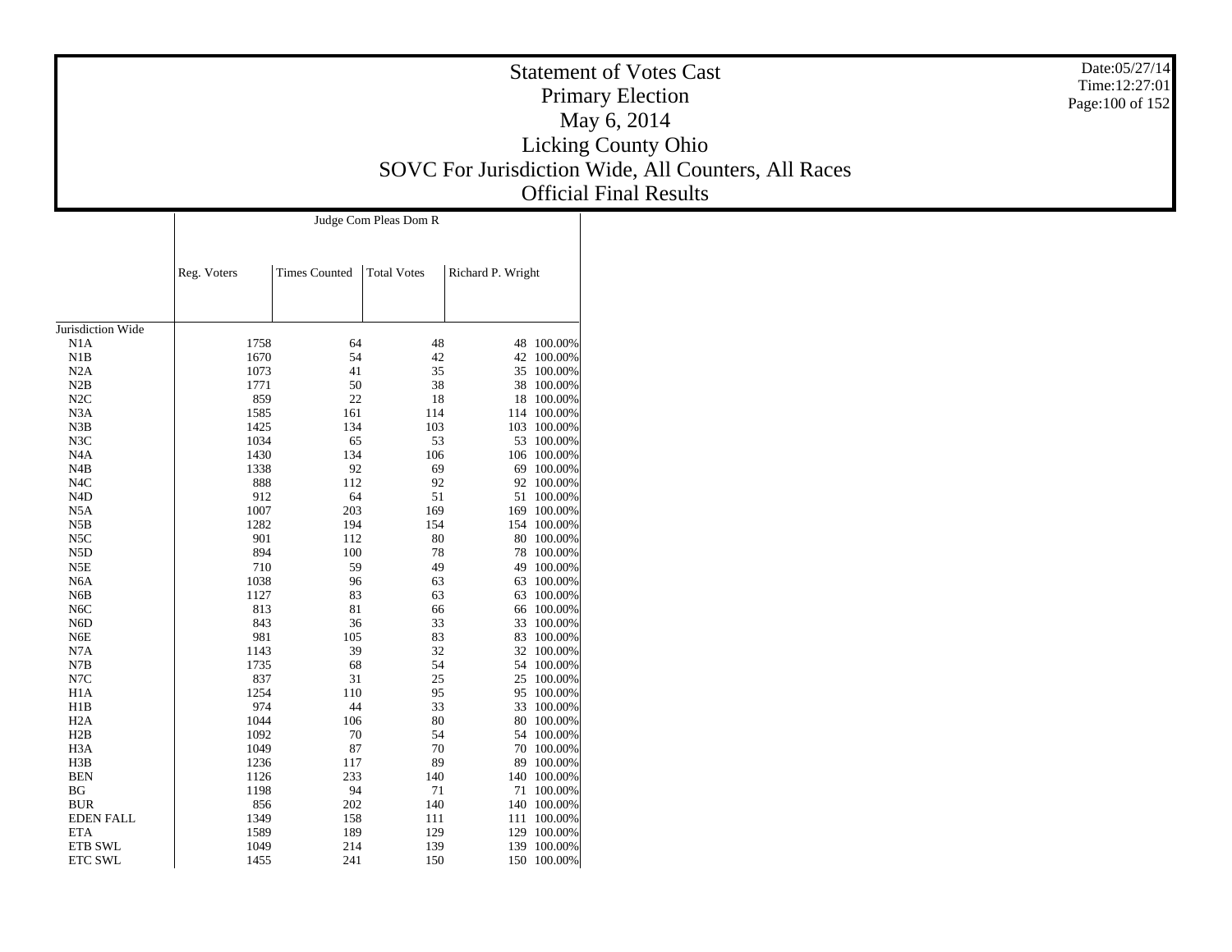|                         |              |                      |                       | <b>Statement of Votes Cast</b>                      |                               |
|-------------------------|--------------|----------------------|-----------------------|-----------------------------------------------------|-------------------------------|
|                         |              |                      |                       |                                                     | <b>Primary Election</b>       |
|                         |              |                      |                       |                                                     | May 6, 2014                   |
|                         |              |                      |                       |                                                     | <b>Licking County Ohio</b>    |
|                         |              |                      |                       |                                                     |                               |
|                         |              |                      |                       | SOVC For Jurisdiction Wide, All Counters, All Races |                               |
|                         |              |                      |                       |                                                     | <b>Official Final Results</b> |
|                         |              |                      | Judge Com Pleas Dom R |                                                     |                               |
|                         |              |                      |                       |                                                     |                               |
|                         |              |                      |                       |                                                     |                               |
|                         | Reg. Voters  | <b>Times Counted</b> | <b>Total Votes</b>    | Richard P. Wright                                   |                               |
|                         |              |                      |                       |                                                     |                               |
|                         |              |                      |                       |                                                     |                               |
| Jurisdiction Wide       |              |                      |                       |                                                     |                               |
| N1A<br>N1B              | 1758<br>1670 | 64<br>54             | 48<br>42              | 48 100.00%<br>42 100.00%                            |                               |
| N2A                     | 1073         | 41                   | 35                    | 35 100.00%                                          |                               |
| N2B                     | 1771         | 50                   | 38                    | 38 100.00%                                          |                               |
| N2C                     | 859          | 22                   | 18                    | 18 100.00%                                          |                               |
| N3A                     | 1585         | 161                  | 114                   | 114 100.00%                                         |                               |
| N3B                     | 1425         | 134                  | 103                   | 103 100.00%                                         |                               |
| N3C                     | 1034         | 65                   | 53                    | 53 100.00%                                          |                               |
| N <sub>4</sub> A<br>N4B | 1430<br>1338 | 134<br>92            | 106<br>69             | 106 100.00%<br>69 100.00%                           |                               |
| N4C                     | 888          | 112                  | 92                    | 92 100.00%                                          |                               |
| N4D                     | 912          | 64                   | 51                    | 51 100.00%                                          |                               |
| N5A                     | 1007         | 203                  | 169                   | 169 100.00%                                         |                               |
| N5B                     | 1282         | 194                  | 154                   | 154 100.00%                                         |                               |
| N5C                     | 901          | 112                  | 80                    | 80 100.00%                                          |                               |
| N5D<br>N5E              | 894<br>710   | 100<br>59            | 78<br>49              | 78 100.00%<br>49 100.00%                            |                               |
| N6A                     | 1038         | 96                   | 63                    | 63 100.00%                                          |                               |
| N6B                     | 1127         | 83                   | 63                    | 63                                                  | 100.00%                       |
| N6C                     | 813          | 81                   | 66                    | 66 100.00%                                          |                               |
| N <sub>6</sub> D        | 843          | 36                   | 33                    | 33 100.00%                                          |                               |
| N6E                     | 981          | 105                  | 83                    | 83 100.00%                                          |                               |
| N7A<br>N7B              | 1143<br>1735 | 39<br>68             | $32\,$<br>54          | 32 100.00%<br>54 100.00%                            |                               |
| N7C                     | 837          | 31                   | 25                    | 25 100.00%                                          |                               |
| H <sub>1</sub> A        | 1254         | 110                  | 95                    | 95 100.00%                                          |                               |
| H1B                     | 974          | 44                   | 33                    | 33 100.00%                                          |                               |
| H2A                     | 1044         | 106                  | 80                    | 80 100.00%                                          |                               |
| H2B                     | 1092         | 70                   | 54                    | 54 100.00%                                          |                               |
| H3A<br>H3B              | 1049<br>1236 | 87<br>117            | 70<br>89              | 70 100.00%<br>89 100.00%                            |                               |
| $\operatorname{BEN}$    | 1126         | 233                  | 140                   | 140 100.00%                                         |                               |
| $\mathbf{B}\mathbf{G}$  | 1198         | 94                   | 71                    | 71 100.00%                                          |                               |
| <b>BUR</b>              | 856          | 202                  | 140                   | 140 100.00%                                         |                               |
| <b>EDEN FALL</b>        | 1349         | 158                  | 111                   | 111 100.00%                                         |                               |
| ETA                     | 1589         | 189                  | 129                   | 129 100.00%                                         |                               |
| ETB SWL                 | 1049         | 214                  | 139                   | 139 100.00%                                         |                               |
| ${\rm ETC}$ SWL         | 1455         | $241\,$              | 150                   | 150 100.00%                                         |                               |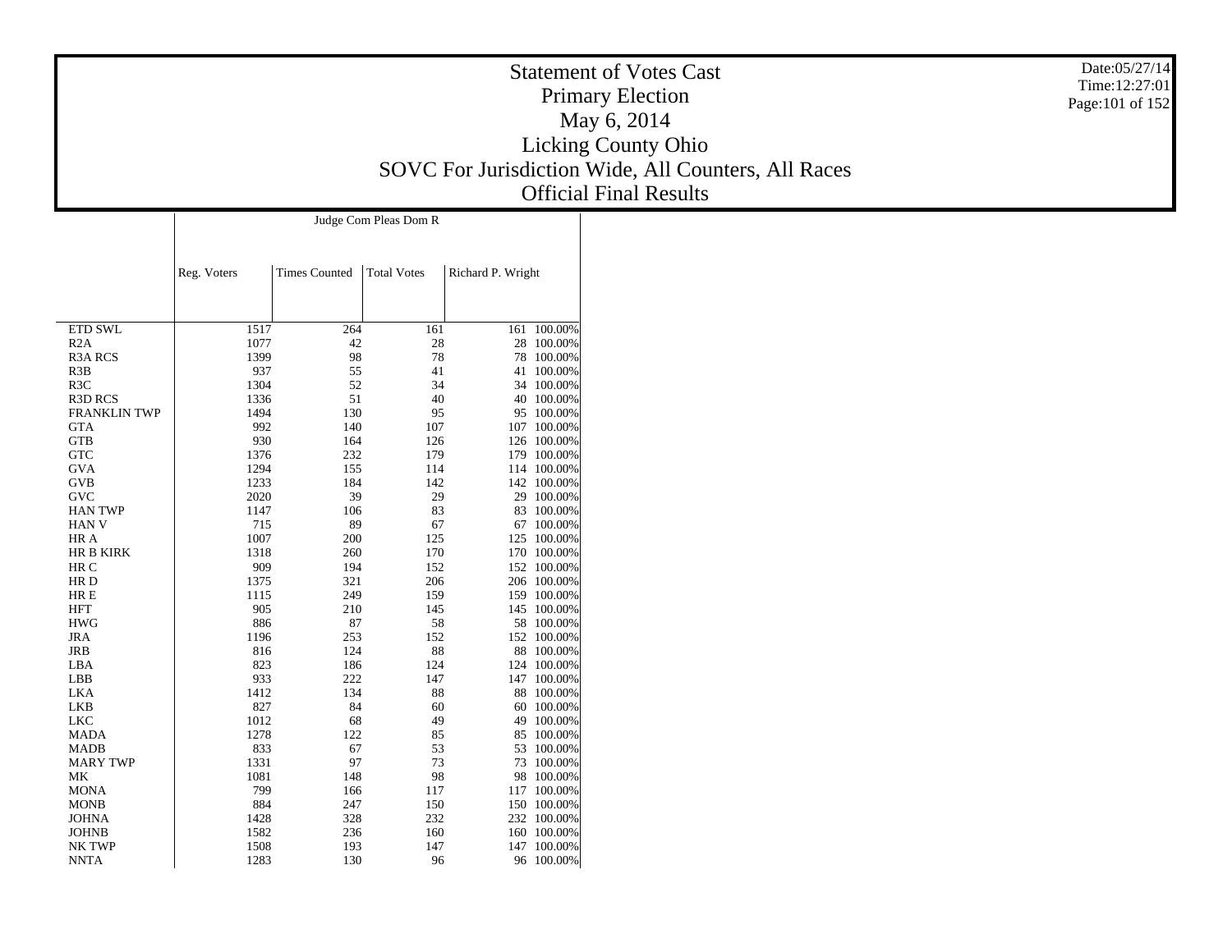Date:05/27/14 Time:12:27:01Page:101 of 152

|                     | Judge Com Pleas Dom R |                      |                    |                   |             |  |  |  |
|---------------------|-----------------------|----------------------|--------------------|-------------------|-------------|--|--|--|
|                     | Reg. Voters           | <b>Times Counted</b> | <b>Total Votes</b> | Richard P. Wright |             |  |  |  |
| <b>ETD SWL</b>      | 1517                  | 264                  | 161                | 161               | 100.00%     |  |  |  |
| R2A                 | 1077                  | 42                   | 28                 |                   | 28 100.00%  |  |  |  |
| <b>R3A RCS</b>      | 1399                  | 98                   | 78                 |                   | 78 100.00%  |  |  |  |
| R3B                 | 937                   | 55                   | 41                 | 41                | 100.00%     |  |  |  |
| R <sub>3</sub> C    | 1304                  | 52                   | 34                 |                   | 34 100.00%  |  |  |  |
| <b>R3D RCS</b>      | 1336                  | 51                   | 40                 |                   | 40 100.00%  |  |  |  |
| <b>FRANKLIN TWP</b> | 1494                  | 130                  | 95                 |                   | 95 100.00%  |  |  |  |
| <b>GTA</b>          | 992                   | 140                  | 107                | 107               | 100.00%     |  |  |  |
| GTB                 | 930                   | 164                  | 126                |                   | 126 100.00% |  |  |  |
| <b>GTC</b>          | 1376                  | 232                  | 179                |                   | 179 100.00% |  |  |  |
| <b>GVA</b>          | 1294                  | 155                  | 114                |                   | 114 100.00% |  |  |  |
| <b>GVB</b>          | 1233                  | 184                  | 142                |                   | 142 100.00% |  |  |  |
| GVC                 | 2020                  | 39                   | 29                 |                   | 29 100.00%  |  |  |  |
| <b>HAN TWP</b>      | 1147                  | 106                  | 83                 |                   | 83 100.00%  |  |  |  |
| <b>HAN V</b>        | 715                   | 89                   | 67                 | 67                | 100.00%     |  |  |  |
| HR A                | 1007                  | 200                  | 125                |                   | 125 100.00% |  |  |  |
| HR B KIRK           | 1318                  | 260                  | 170                |                   | 170 100.00% |  |  |  |
| HR C                | 909                   | 194                  | 152                |                   | 152 100.00% |  |  |  |
| HR <sub>D</sub>     | 1375                  | 321                  | 206                |                   | 206 100.00% |  |  |  |
| HR E                | 1115                  | 249                  | 159                |                   | 159 100.00% |  |  |  |
| <b>HFT</b>          | 905                   | 210                  | 145                |                   | 145 100.00% |  |  |  |
| <b>HWG</b>          | 886                   | 87                   | 58                 |                   | 58 100.00%  |  |  |  |
| <b>JRA</b>          | 1196                  | 253                  | 152                |                   | 152 100.00% |  |  |  |
| <b>JRB</b>          | 816                   | 124                  | 88                 |                   | 88 100.00%  |  |  |  |
| LBA                 | 823                   | 186                  | 124                |                   | 124 100.00% |  |  |  |
| LBB                 | 933                   | 222                  | 147                |                   | 147 100.00% |  |  |  |
| LKA                 | 1412                  | 134                  | 88                 |                   | 88 100.00%  |  |  |  |
| LKB                 | 827                   | 84                   | 60                 |                   | 60 100.00%  |  |  |  |
| <b>LKC</b>          | 1012                  | 68                   | 49                 |                   | 49 100.00%  |  |  |  |
| <b>MADA</b>         | 1278                  | 122                  | 85                 |                   | 85 100.00%  |  |  |  |
| MADB                | 833                   | 67                   | 53                 |                   | 53 100.00%  |  |  |  |
| MARY TWP            | 1331                  | 97                   | 73                 | 73                | 100.00%     |  |  |  |
| МK                  | 1081                  | 148                  | 98                 |                   | 98 100.00%  |  |  |  |
| <b>MONA</b>         | 799                   | 166                  | 117                |                   | 117 100.00% |  |  |  |
| <b>MONB</b>         | 884                   | 247                  | 150                |                   | 150 100.00% |  |  |  |
| <b>JOHNA</b>        | 1428                  | 328                  | 232                |                   | 232 100.00% |  |  |  |
| <b>JOHNB</b>        | 1582                  | 236                  | 160                |                   | 160 100.00% |  |  |  |
| NK TWP              | 1508                  | 193                  | 147                |                   | 147 100.00% |  |  |  |
| NNTA                | 1283                  | 130                  | 96                 |                   | 96 100.00%  |  |  |  |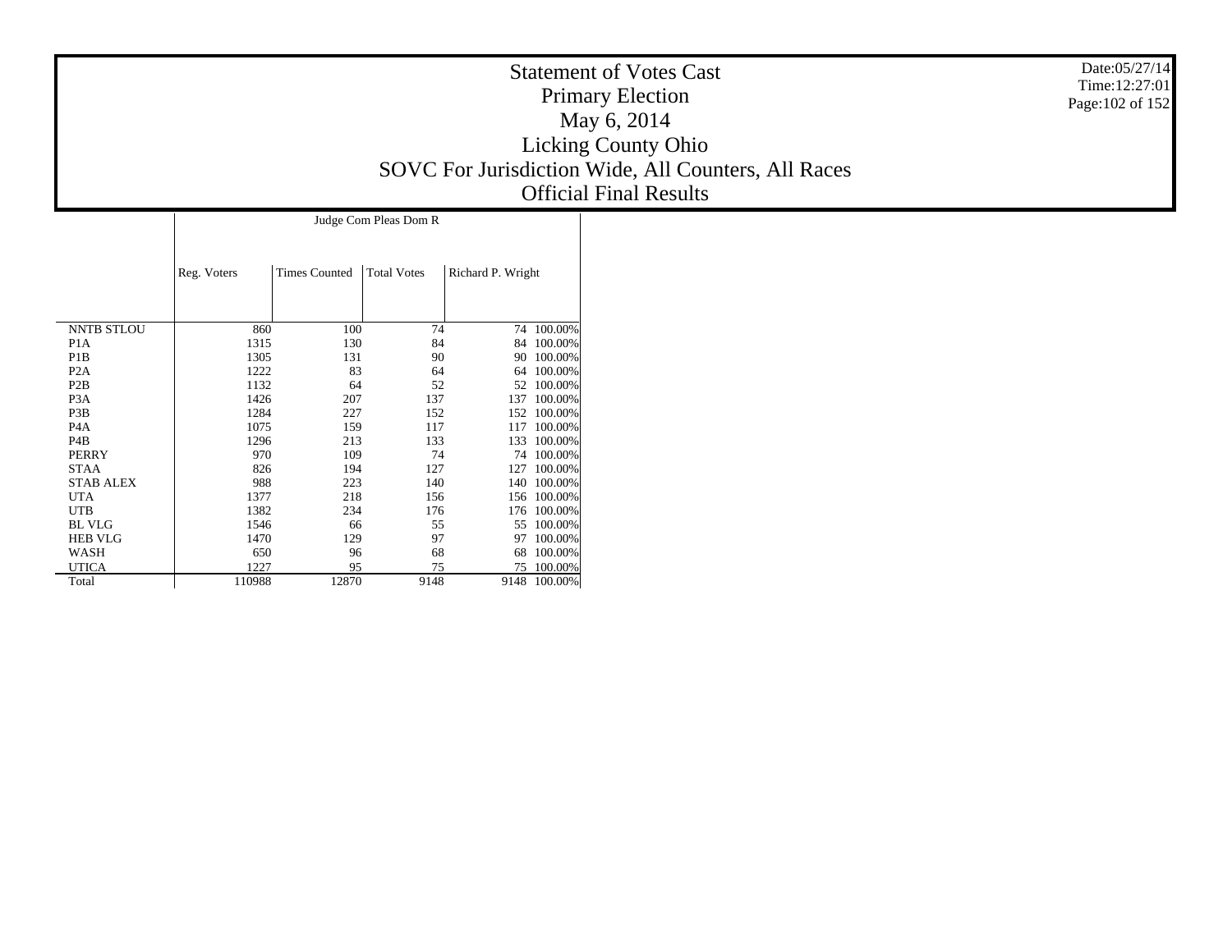Date:05/27/14 Time:12:27:01Page:102 of 152

|                   |             | Judge Com Pleas Dom R |                    |                   |         |  |  |  |  |  |  |  |
|-------------------|-------------|-----------------------|--------------------|-------------------|---------|--|--|--|--|--|--|--|
|                   | Reg. Voters | <b>Times Counted</b>  | <b>Total Votes</b> | Richard P. Wright |         |  |  |  |  |  |  |  |
| <b>NNTB STLOU</b> | 860         | 100                   | 74                 | 74                | 100.00% |  |  |  |  |  |  |  |
| P <sub>1</sub> A  | 1315        | 130                   | 84                 | 84                | 100.00% |  |  |  |  |  |  |  |
| P <sub>1</sub> B  | 1305        | 131                   | 90                 | 90                | 100.00% |  |  |  |  |  |  |  |
| P <sub>2</sub> A  | 1222        | 83                    | 64                 | 64                | 100.00% |  |  |  |  |  |  |  |
| P <sub>2</sub> B  | 1132        | 64                    | 52                 | 52                | 100.00% |  |  |  |  |  |  |  |
| P <sub>3</sub> A  | 1426        | 207                   | 137                | 137               | 100.00% |  |  |  |  |  |  |  |
| P3B               | 1284        | 227                   | 152                | 152               | 100.00% |  |  |  |  |  |  |  |
| P <sub>4</sub> A  | 1075        | 159                   | 117                | 117               | 100.00% |  |  |  |  |  |  |  |
| P4B               | 1296        | 213                   | 133                | 133               | 100.00% |  |  |  |  |  |  |  |
| PERRY             | 970         | 109                   | 74                 | 74                | 100.00% |  |  |  |  |  |  |  |
| <b>STAA</b>       | 826         | 194                   | 127                | 127               | 100.00% |  |  |  |  |  |  |  |
| <b>STAB ALEX</b>  | 988         | 223                   | 140                | 140               | 100.00% |  |  |  |  |  |  |  |
| UTA               | 1377        | 218                   | 156                | 156               | 100.00% |  |  |  |  |  |  |  |
| UTB               | 1382        | 234                   | 176                | 176               | 100.00% |  |  |  |  |  |  |  |
| <b>BL VLG</b>     | 1546        | 66                    | 55                 | 55                | 100.00% |  |  |  |  |  |  |  |
| <b>HEB VLG</b>    | 1470        | 129                   | 97                 | 97                | 100.00% |  |  |  |  |  |  |  |
| WASH              | 650         | 96                    | 68                 | 68                | 100.00% |  |  |  |  |  |  |  |
| UTICA             | 1227        | 95                    | 75                 | 75                | 100.00% |  |  |  |  |  |  |  |
| Total             | 110988      | 12870                 | 9148               | 9148              | 100.00% |  |  |  |  |  |  |  |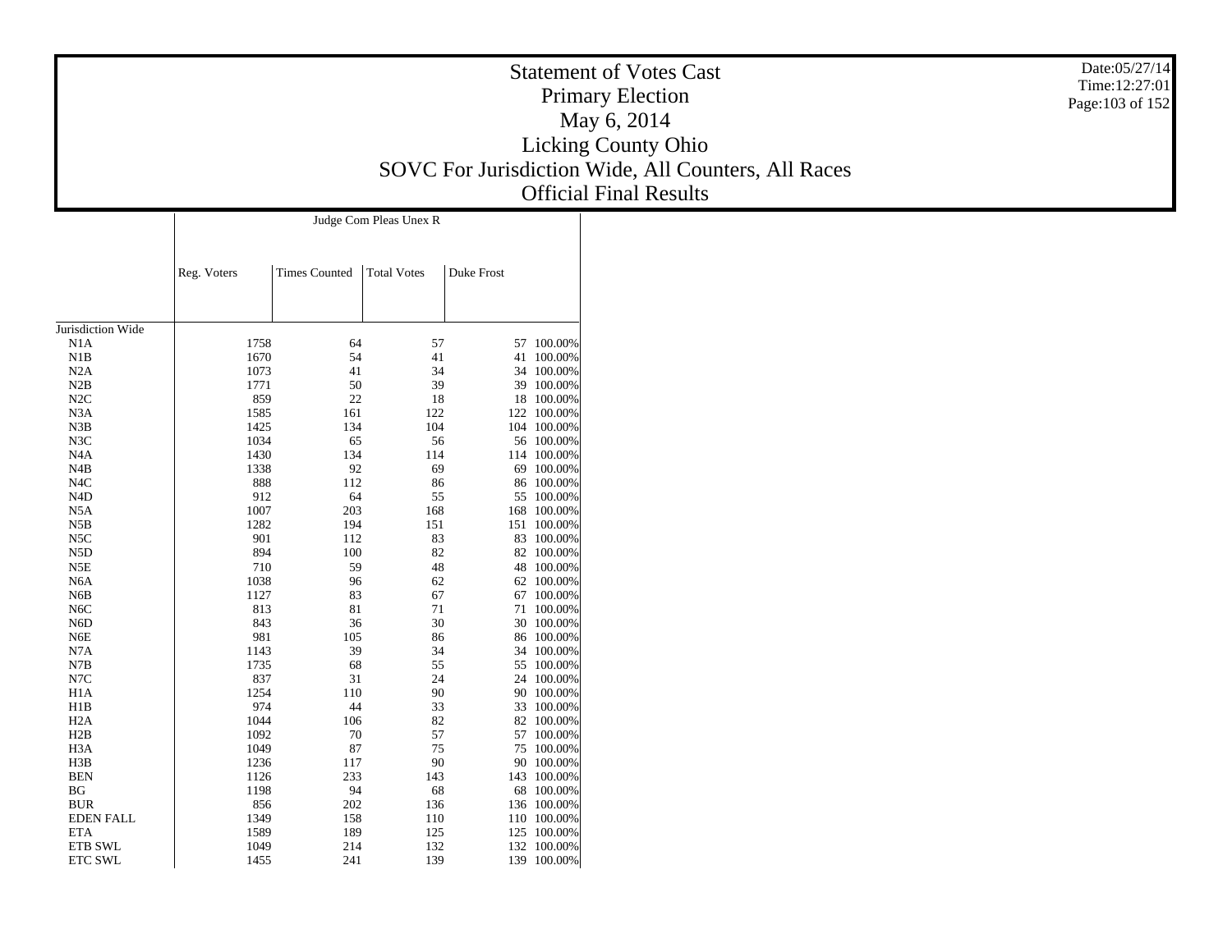|                                | <b>Statement of Votes Cast</b> |                            |                        |                                                     |                               |  |  |  |
|--------------------------------|--------------------------------|----------------------------|------------------------|-----------------------------------------------------|-------------------------------|--|--|--|
| <b>Primary Election</b>        |                                |                            |                        |                                                     |                               |  |  |  |
|                                | May 6, 2014                    |                            |                        |                                                     |                               |  |  |  |
|                                |                                |                            |                        |                                                     |                               |  |  |  |
|                                |                                |                            |                        |                                                     | <b>Licking County Ohio</b>    |  |  |  |
|                                |                                |                            |                        | SOVC For Jurisdiction Wide, All Counters, All Races |                               |  |  |  |
|                                |                                |                            |                        |                                                     | <b>Official Final Results</b> |  |  |  |
|                                |                                |                            |                        |                                                     |                               |  |  |  |
|                                |                                |                            | Judge Com Pleas Unex R |                                                     |                               |  |  |  |
|                                |                                |                            |                        |                                                     |                               |  |  |  |
|                                |                                |                            |                        |                                                     |                               |  |  |  |
|                                | Reg. Voters                    | <b>Times Counted</b>       | Total Votes            | Duke Frost                                          |                               |  |  |  |
|                                |                                |                            |                        |                                                     |                               |  |  |  |
|                                |                                |                            |                        |                                                     |                               |  |  |  |
| Jurisdiction Wide              |                                |                            |                        |                                                     |                               |  |  |  |
| N1A                            |                                | 1758<br>64                 | 57                     |                                                     | 57 100.00%                    |  |  |  |
| N1B<br>N2A                     |                                | 1670<br>54<br>1073<br>41   | 41<br>34               |                                                     | 41 100.00%<br>34 100.00%      |  |  |  |
| N2B                            |                                | 1771<br>50                 | 39                     |                                                     | 39 100.00%                    |  |  |  |
| $\rm N2C$                      |                                | 859<br>22                  | 18                     |                                                     | 18 100.00%                    |  |  |  |
| N3A                            |                                | 1585<br>161                | 122                    |                                                     | 122 100.00%                   |  |  |  |
| N3B                            |                                | 1425<br>134                | 104                    |                                                     | 104 100.00%                   |  |  |  |
| N3C<br>N4A                     |                                | 1034<br>65<br>1430<br>134  | 56<br>114              |                                                     | 56 100.00%<br>114 100.00%     |  |  |  |
| N4B                            |                                | 1338<br>92                 | 69                     |                                                     | 69 100.00%                    |  |  |  |
| N <sub>4</sub> C               |                                | 888<br>112                 | 86                     |                                                     | 86 100.00%                    |  |  |  |
| N4D                            |                                | 912<br>64                  | 55                     |                                                     | 55 100.00%                    |  |  |  |
| N5A                            |                                | 1007<br>203                | 168                    |                                                     | 168 100.00%                   |  |  |  |
| N5B                            |                                | 1282<br>194                | 151                    |                                                     | 151 100.00%                   |  |  |  |
| N5C<br>N5D                     |                                | 901<br>112<br>894<br>100   | 83<br>82               | 83                                                  | 100.00%<br>82 100.00%         |  |  |  |
| N5E                            |                                | 710<br>59                  | 48                     |                                                     | 48 100.00%                    |  |  |  |
| N <sub>6</sub> A               |                                | 1038<br>96                 | 62                     |                                                     | 62 100.00%                    |  |  |  |
| N6B                            |                                | 1127<br>83                 | 67                     |                                                     | 67 100.00%                    |  |  |  |
| N6C                            |                                | 813<br>81                  | 71                     |                                                     | 71 100.00%                    |  |  |  |
| N <sub>6</sub> D<br>N6E        |                                | 843<br>36<br>981<br>105    | $30\,$<br>86           |                                                     | 30 100.00%<br>86 100.00%      |  |  |  |
| N7A                            |                                | 1143<br>39                 | 34                     |                                                     | 34 100.00%                    |  |  |  |
| N7B                            |                                | 1735<br>68                 | 55                     |                                                     | 55 100.00%                    |  |  |  |
| $_{\rm N7C}$                   |                                | 837<br>31                  | 24                     |                                                     | 24 100.00%                    |  |  |  |
| H <sub>1</sub> A               |                                | 1254<br>110                | 90                     |                                                     | 90 100.00%                    |  |  |  |
| H1B                            |                                | 974<br>44                  | 33                     |                                                     | 33 100.00%                    |  |  |  |
| H <sub>2</sub> A<br>H2B        |                                | 1044<br>106<br>1092<br>70  | 82<br>57               |                                                     | 82 100.00%<br>57 100.00%      |  |  |  |
| H3A                            |                                | 87<br>1049                 | 75                     |                                                     | 75 100.00%                    |  |  |  |
| H3B                            |                                | 117<br>1236                | $90\,$                 |                                                     | 90 100.00%                    |  |  |  |
| $\operatorname{BEN}$           |                                | 1126<br>233                | 143                    |                                                     | 143 100.00%                   |  |  |  |
| BG                             |                                | 1198<br>94                 | 68                     |                                                     | 68 100.00%                    |  |  |  |
| <b>BUR</b>                     |                                | 856<br>$202\,$             | 136                    |                                                     | 136 100.00%                   |  |  |  |
| <b>EDEN FALL</b><br><b>ETA</b> |                                | 1349<br>158<br>1589<br>189 | 110<br>$125\,$         |                                                     | 110 100.00%<br>125 100.00%    |  |  |  |
| ETB SWL                        |                                | 1049<br>214                | 132                    |                                                     | 132 100.00%                   |  |  |  |
| $\ensuremath{\text{ETC}}$ SWL  |                                | 241<br>1455                | 139                    |                                                     | 139 100.00%                   |  |  |  |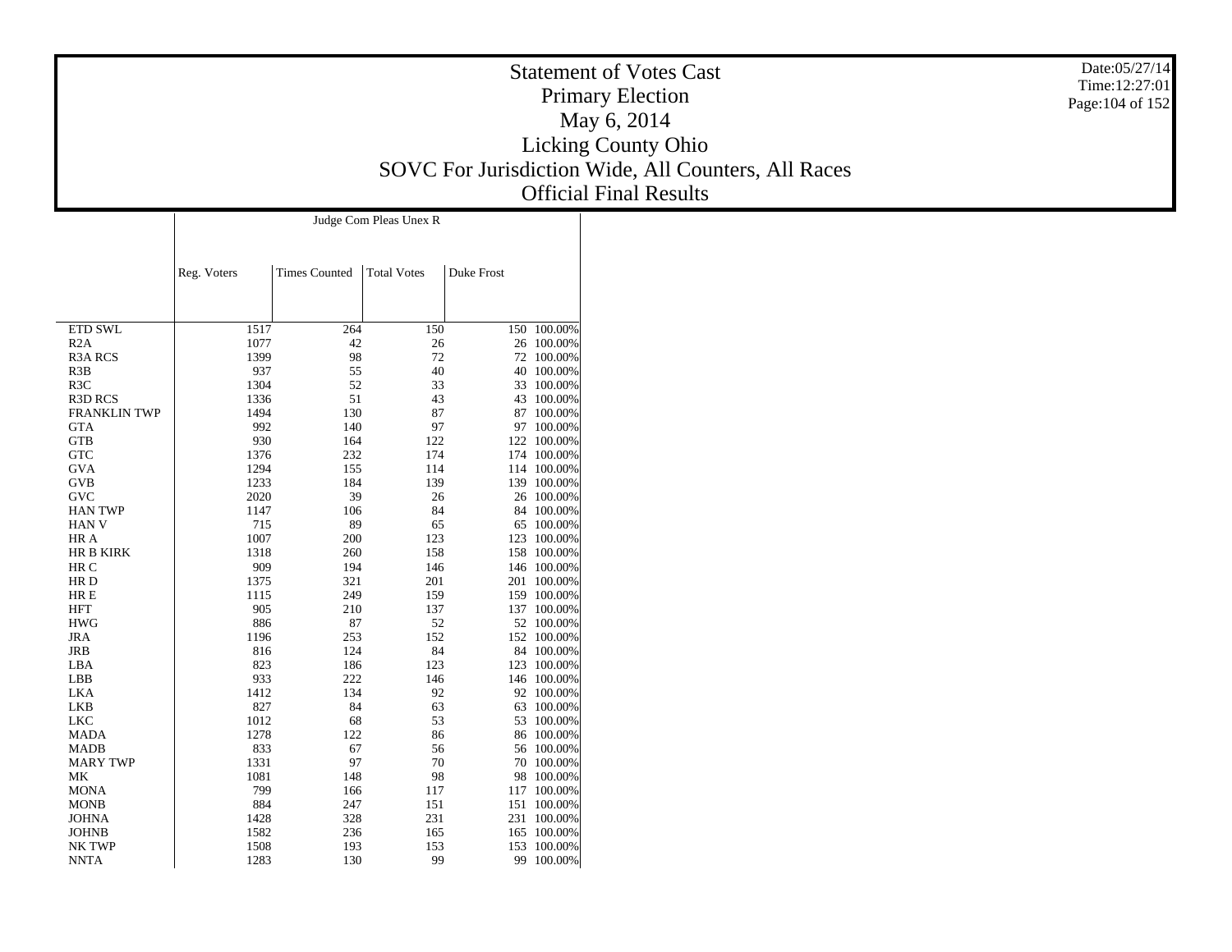| <b>Statement of Votes Cast</b>                      |
|-----------------------------------------------------|
| <b>Primary Election</b>                             |
| May 6, 2014                                         |
| <b>Licking County Ohio</b>                          |
| SOVC For Jurisdiction Wide, All Counters, All Races |
| <b>Official Final Results</b>                       |

Date:05/27/14 Time:12:27:01 Page:104 of 152

|                         | Judge Com Pleas Unex R |                      |                    |            |                       |  |  |  |  |
|-------------------------|------------------------|----------------------|--------------------|------------|-----------------------|--|--|--|--|
|                         |                        |                      |                    |            |                       |  |  |  |  |
|                         | Reg. Voters            | <b>Times Counted</b> | <b>Total Votes</b> | Duke Frost |                       |  |  |  |  |
|                         |                        |                      |                    |            |                       |  |  |  |  |
|                         |                        |                      |                    |            |                       |  |  |  |  |
| ETD SWL                 | 1517                   | 264                  | 150                |            | 150 100.00%           |  |  |  |  |
| R2A                     | 1077                   | 42                   | 26                 | 26         | 100.00%               |  |  |  |  |
| <b>R3A RCS</b>          | 1399                   | 98                   | 72                 |            | 72 100.00%            |  |  |  |  |
| R3B<br>R <sub>3</sub> C | 937<br>1304            | 55<br>52             | 40<br>33           | 40<br>33   | 100.00%<br>100.00%    |  |  |  |  |
| R3D RCS                 | 1336                   | 51                   | 43                 |            | 43 100.00%            |  |  |  |  |
| <b>FRANKLIN TWP</b>     | 1494                   | 130                  | 87                 |            | 87 100.00%            |  |  |  |  |
| <b>GTA</b>              | 992                    | 140                  | 97                 | 97         | 100.00%               |  |  |  |  |
| <b>GTB</b>              | 930                    | 164                  | 122                |            | 122 100.00%           |  |  |  |  |
| <b>GTC</b>              | 1376                   | 232                  | 174                |            | 174 100.00%           |  |  |  |  |
| <b>GVA</b>              | 1294                   | 155                  | 114                |            | 114 100.00%           |  |  |  |  |
| <b>GVB</b>              | 1233                   | 184                  | 139                |            | 139 100.00%           |  |  |  |  |
| GVC                     | 2020                   | 39                   | 26                 |            | 26 100.00%            |  |  |  |  |
| <b>HAN TWP</b>          | 1147                   | 106                  | 84                 | 84         | 100.00%               |  |  |  |  |
| <b>HAN V</b>            | 715                    | 89                   | 65                 | 65         | 100.00%               |  |  |  |  |
| HR A                    | 1007                   | 200                  | 123                | 123        | 100.00%               |  |  |  |  |
| <b>HR B KIRK</b>        | 1318                   | 260                  | 158                | 158        | 100.00%               |  |  |  |  |
| HR C                    | 909                    | 194                  | 146                |            | 146 100.00%           |  |  |  |  |
| HR D                    | 1375                   | 321                  | 201                | 201        | 100.00%               |  |  |  |  |
| HR E                    | 1115                   | 249                  | 159                | 159        | 100.00%               |  |  |  |  |
| <b>HFT</b>              | 905                    | 210                  | 137                |            | 137 100.00%           |  |  |  |  |
| <b>HWG</b>              | 886                    | 87                   | 52                 |            | 52 100.00%            |  |  |  |  |
| JRA                     | 1196                   | 253                  | 152                |            | 152 100.00%           |  |  |  |  |
| JRB                     | 816                    | 124                  | 84                 |            | 84 100.00%            |  |  |  |  |
| LBA                     | 823                    | 186                  | 123                | 123        | 100.00%               |  |  |  |  |
| LBB<br><b>LKA</b>       | 933<br>1412            | 222<br>134           | 146<br>92          | 146        | 100.00%<br>92 100.00% |  |  |  |  |
| <b>LKB</b>              | 827                    | 84                   | 63                 | 63         | 100.00%               |  |  |  |  |
| LKC                     | 1012                   | 68                   | 53                 | 53         | 100.00%               |  |  |  |  |
| MADA                    | 1278                   | 122                  | 86                 | 86         | 100.00%               |  |  |  |  |
| <b>MADB</b>             | 833                    | 67                   | 56                 | 56         | 100.00%               |  |  |  |  |
| <b>MARY TWP</b>         | 1331                   | 97                   | 70                 | 70         | 100.00%               |  |  |  |  |
| MK                      | 1081                   | 148                  | 98                 | 98         | 100.00%               |  |  |  |  |
| <b>MONA</b>             | 799                    | 166                  | 117                | 117        | 100.00%               |  |  |  |  |
| <b>MONB</b>             | 884                    | 247                  | 151                | 151        | 100.00%               |  |  |  |  |
| <b>JOHNA</b>            | 1428                   | 328                  | 231                | 231        | 100.00%               |  |  |  |  |
| <b>JOHNB</b>            | 1582                   | 236                  | 165                | 165        | 100.00%               |  |  |  |  |
| <b>NK TWP</b>           | 1508                   | 193                  | 153                | 153        | 100.00%               |  |  |  |  |
| <b>NNTA</b>             | 1283                   | 130                  | 99                 | 99         | 100.00%               |  |  |  |  |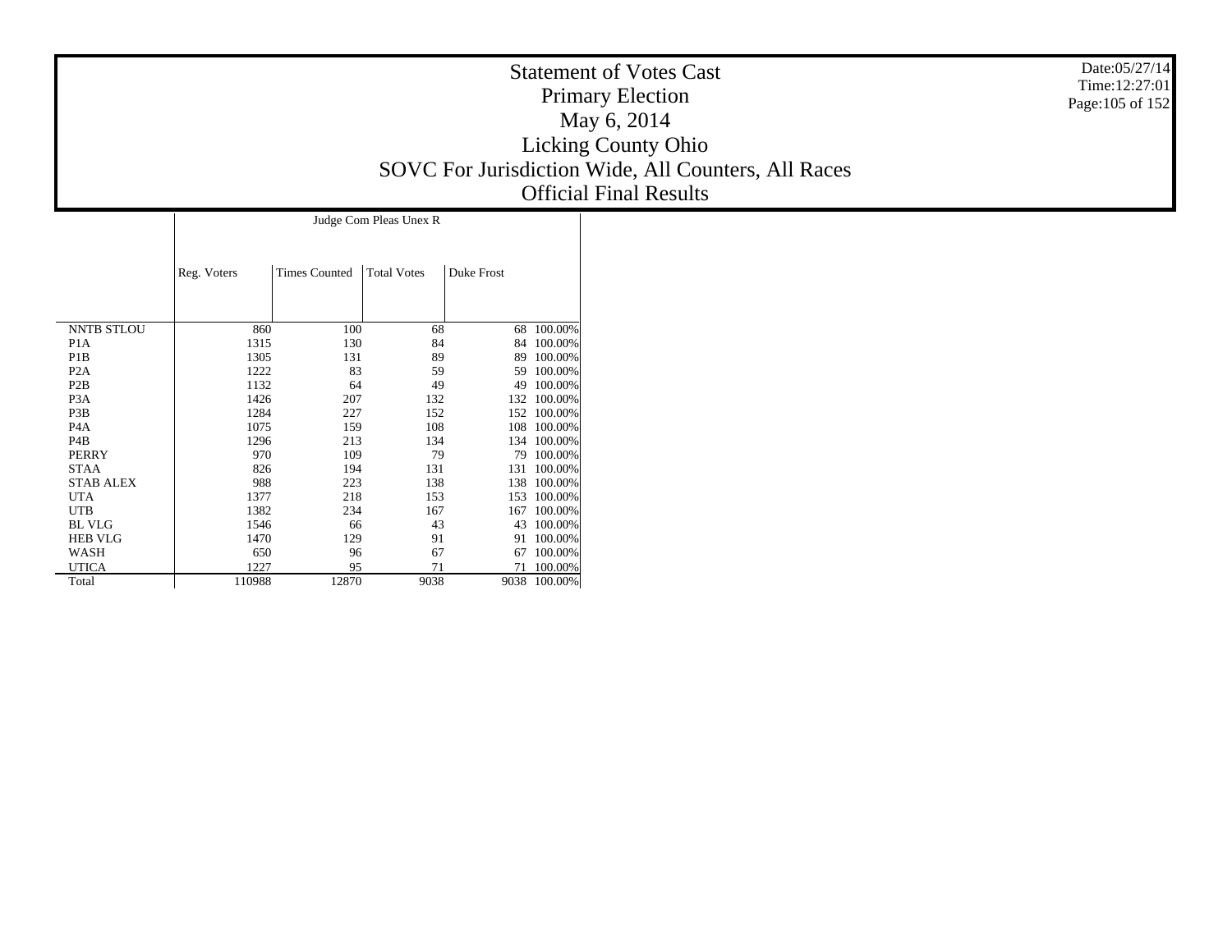Date:05/27/14 Time:12:27:01Page:105 of 152

|                   | Judge Com Pleas Unex R |                      |                    |            |         |  |  |  |  |
|-------------------|------------------------|----------------------|--------------------|------------|---------|--|--|--|--|
|                   | Reg. Voters            | <b>Times Counted</b> | <b>Total Votes</b> | Duke Frost |         |  |  |  |  |
| <b>NNTB STLOU</b> | 860                    | 100                  | 68                 | 68         | 100.00% |  |  |  |  |
| P <sub>1</sub> A  | 1315                   | 130                  | 84                 | 84         | 100.00% |  |  |  |  |
| P <sub>1</sub> B  | 1305                   | 131                  | 89                 | 89         | 100.00% |  |  |  |  |
| P <sub>2</sub> A  | 1222                   | 83                   | 59                 | 59         | 100.00% |  |  |  |  |
| P <sub>2</sub> B  | 1132                   | 64                   | 49                 | 49         | 100.00% |  |  |  |  |
| P <sub>3</sub> A  | 1426                   | 207                  | 132                | 132        | 100.00% |  |  |  |  |
| P3B               | 1284                   | 227                  | 152                | 152        | 100.00% |  |  |  |  |
| P <sub>4</sub> A  | 1075                   | 159                  | 108                | 108        | 100.00% |  |  |  |  |
| P4B               | 1296                   | 213                  | 134                | 134        | 100.00% |  |  |  |  |
| PERRY             | 970                    | 109                  | 79                 | 79         | 100.00% |  |  |  |  |
| <b>STAA</b>       | 826                    | 194                  | 131                | 131        | 100.00% |  |  |  |  |
| <b>STAB ALEX</b>  | 988                    | 223                  | 138                | 138        | 100.00% |  |  |  |  |
| UTA               | 1377                   | 218                  | 153                | 153        | 100.00% |  |  |  |  |
| <b>UTB</b>        | 1382                   | 234                  | 167                | 167        | 100.00% |  |  |  |  |
| <b>BL VLG</b>     | 1546                   | 66                   | 43                 | 43         | 100.00% |  |  |  |  |
| <b>HEB VLG</b>    | 1470                   | 129                  | 91                 | 91         | 100.00% |  |  |  |  |
| WASH              | 650                    | 96                   | 67                 | 67         | 100.00% |  |  |  |  |
| UTICA             | 1227                   | 95                   | 71                 | 71         | 100.00% |  |  |  |  |
| Total             | 110988                 | 12870                | 9038               | 9038       | 100.00% |  |  |  |  |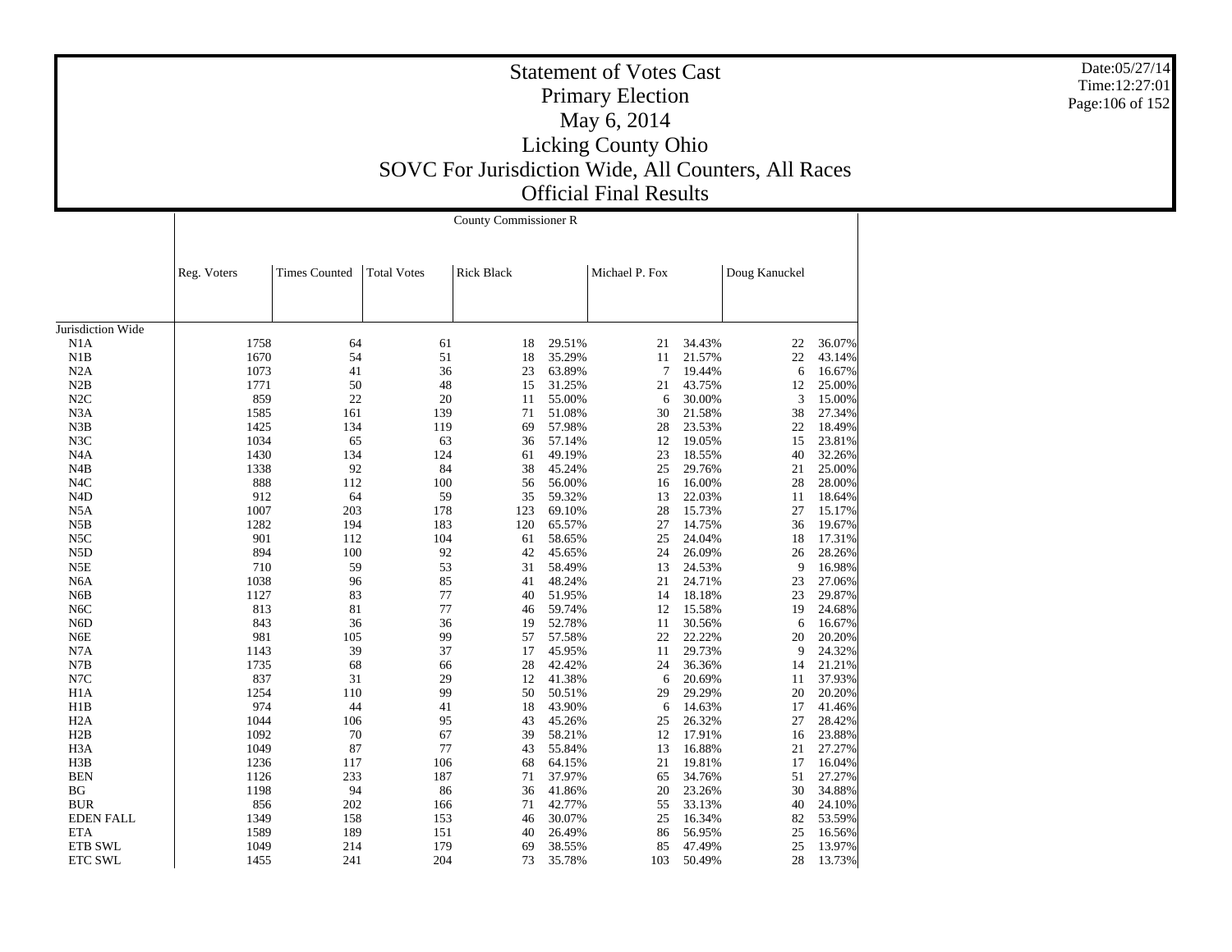Jurisdiction Wide N1A N1B N2A N2B N2C N3A N3B N3C N4A N4B N4C N4D N5A N5B N5C N5D N5E N6A N6B N6C N6D N6E N7A N7B N7C H1A H1B H2A H2B H3A H3B BEN BG BUR EDEN FALL ETA ETB SWL ETC SWL Reg. Voters Times Counted | Total Votes | Rick Black | Michael P. Fox | Doug Kanuckel County Commissioner R 1758 64 61 18 29.51% 21 34.43% 22 36.07% 1670 54 51 18 35.29% 11 21.57% 22 43.14% 1073 41 36 23 63.89% 7 19.44% 6 16.67% 1771 50 48 15 31.25% 21 43.75% 12 25.00% 859 22 20 11 55.00% 6 30.00% 3 15.00% 1585 161 139 71 51.08% 30 21.58% 38 27.34% 1425 134 119 69 57.98% 28 23.53% 22 18.49% 1034 65 63 36 57.14% 12 19.05% 15 23.81% 1430 134 124 61 49.19% 23 18.55% 40 32.26% 1338 92 84 38 45.24% 25 29.76% 21 25.00% 888 112 100 56 56.00% 16 16.00% 28 28.00% 912 64 59 35 59.32% 13 22.03% 11 18.64% 1007 203 178 123 69.10% 28 15.73% 27 15.17% 1282 194 183 120 65.57% 27 14.75% 36 19.67% 901 112 104 61 58.65% 25 24.04% 18 17.31% 894 100 92 42 45.65% 24 26.09% 26 28.26% 710 59 53 31 58.49% 13 24.53% 9 16.98% 1038 96 85 41 48.24% 21 24.71% 23 27.06% 1127 83 77 40 51.95% 14 18.18% 23 29.87% 813 81 77 46 59.74% 12 15.58% 19 24.68% 843 36 36 19 52.78% 11 30.56% 6 16.67% 981 105 99 57 57.58% 22 22.22% 20 20.20% 1143 39 37 17 45.95% 11 29.73% 9 24.32% 1735 68 66 28 42.42% 24 36.36% 14 21.21% 837 31 29 12 41.38% 6 20.69% 11 37.93% 1254 110 99 50 50.51% 29 29.29% 20 20.20% 974 44 41 18 43.90% 6 14.63% 17 41.46% 1044 106 95 43 45.26% 25 26.32% 27 28.42% 1092 70 67 39 58.21% 12 17.91% 16 23.88% 1049 87 77 43 55.84% 13 16.88% 21 27.27% 1236 117 106 68 64.15% 21 19.81% 17 16.04% 1126 233 187 71 37.97% 65 34.76% 51 27.27% 1198 94 86 36 41.86% 20 23.26% 30 34.88% 856 202 166 71 42.77% 55 33.13% 40 24.10% 1349 158 153 46 30.07% 25 16.34% 82 53.59% 1589 189 151 40 26.49% 86 56.95% 25 16.56% 1049 214 179 69 38.55% 85 47.49% 25 13.97% 1455 241 204 73 35.78%103 50.49% 28 13.73%

Date:05/27/14Time:12:27:01Page:106 of 152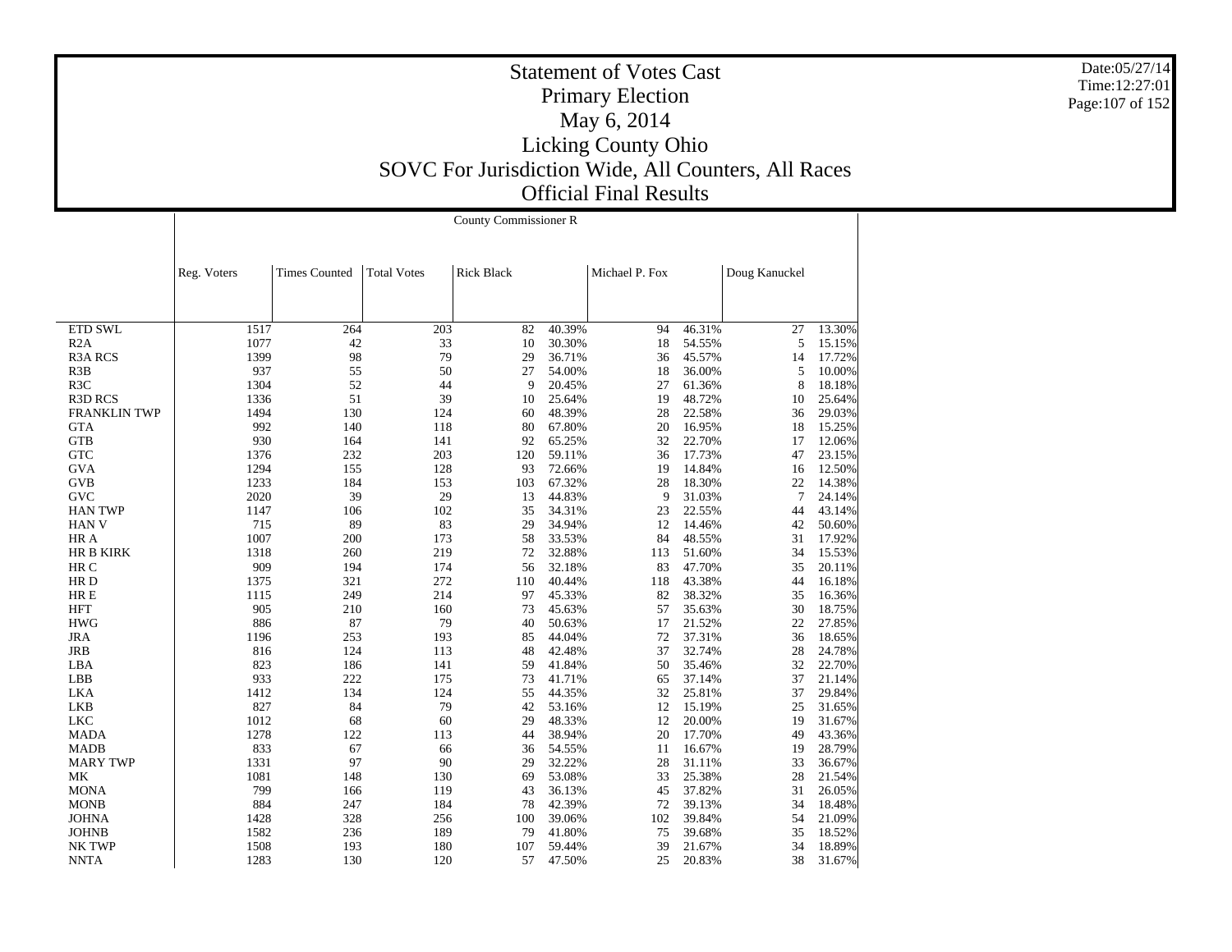ETD SWL R2A R3A RCS R3B R3C R3D RCS FRANKLIN TWP GTA GTB GTC GVA GVB GVC HAN TWP HAN V HR A HR B KIRK HR C HR D HR E HFT HWG JRA JRB LBA LBB LKA LKB LKC MADA MADB MARY TWP MK MONA MONB JOHNA JOHNB NK TWP NNTAReg. Voters Times Counted | Total Votes | Rick Black | Michael P. Fox | Doug Kanuckel County Commissioner R  $1517$ 264 203 82 40.39% 94 46.31% 27 13.30% 1077 42 33 10 30.30% 18 54.55% 5 15.15% 1399 98 79 29 36.71% 36 45.57% 14 17.72% 937 55 50 27 54.00% 18 36.00% 5 10.00% 1304 52 44 9 20.45% 27 61.36% 8 18.18% 1336 51 39 10 25.64% 19 48.72% 10 25.64% 1494 130 124 60 48.39% 28 22.58% 36 29.03% 992 140 118 80 67.80% 20 16.95% 18 15.25% 930 164 141 92 65.25% 32 22.70% 17 12.06% 1376 232 203 120 59.11% 36 17.73% 47 23.15% 1294 155 128 93 72.66% 19 14.84% 16 12.50% 1233 184 153 103 67.32% 28 18.30% 22 14.38% 2020 39 29 13 44.83% 9 31.03% 7 24.14% 1147 106 102 35 34.31% 23 22.55% 44 43.14% 715 89 83 29 34.94% 12 14.46% 42 50.60% 1007 200 173 58 33.53% 84 48.55% 31 17.92% 1318 260 219 72 32.88% 113 51.60% 34 15.53% 909 194 174 56 32.18% 83 47.70% 35 20.11% 1375 321 272 110 40.44% 118 43.38% 44 16.18% 1115 249 214 97 45.33% 82 38.32% 35 16.36% 905 210 160 73 45.63% 57 35.63% 30 18.75% 886 87 79 40 50.63% 17 21.52% 22 27.85% 1196 253 193 85 44.04% 72 37.31% 36 18.65% 816 124 113 48 42.48% 37 32.74% 28 24.78% 823 186 141 59 41.84% 50 35.46% 32 22.70% 933 222 175 73 41.71% 65 37.14% 37 21.14% 1412 134 124 55 44.35% 32 25.81% 37 29.84% 827 84 79 42 53.16% 12 15.19% 25 31.65% 1012 68 60 29 48.33% 12 20.00% 19 31.67% 1278 122 113 44 38.94% 20 17.70% 49 43.36% 833 67 66 36 54.55% 11 16.67% 19 28.79% 1331 97 90 29 32.22% 28 31.11% 33 36.67% 1081 148 130 69 53.08% 33 25.38% 28 21.54% 799 166 119 43 36.13% 45 37.82% 31 26.05% 884 247 184 78 42.39% 72 39.13% 34 18.48% 1428 328 256 100 39.06% 102 39.84% 54 21.09% 1582 236 189 79 41.80% 75 39.68% 35 18.52% 1508 193 180 107 59.44% 39 21.67% 34 18.89% 1283 130 120 57 47.50%25 20.83% 38 31.67%

Date:05/27/14Time:12:27:01Page:107 of 152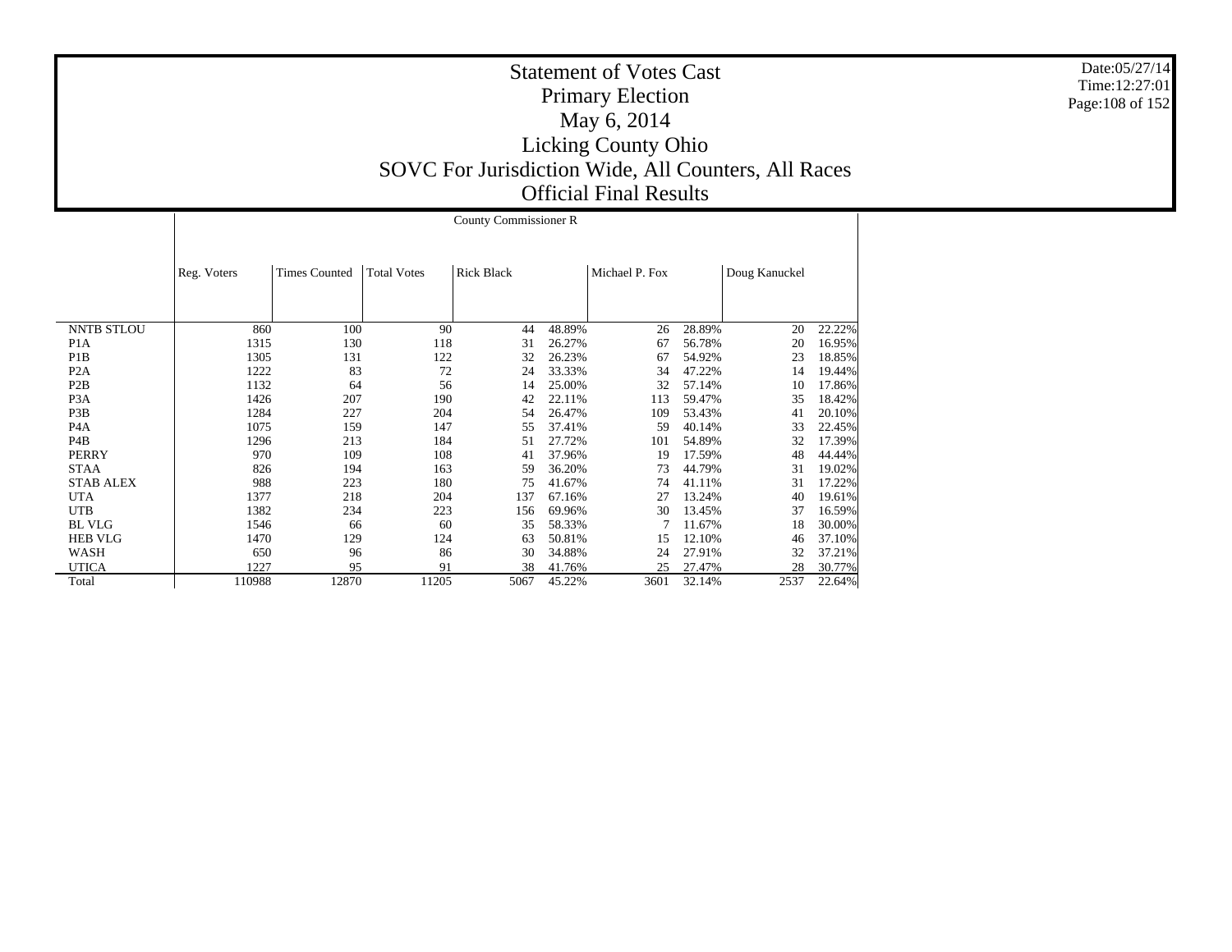NNTB STLOU P1A P1B P2A P2B P3A P3B P4A P4B PERRY STAA STAB ALEX UTA UTB BL VLG HEB VLG WASH UTICA Total Reg. Voters Times Counted | Total Votes | Rick Black | Michael P. Fox | Doug Kanuckel County Commissioner R 860100 90 44 48.89% 26 28.89% 20 22.22% 1315 130 118 31 26.27% 67 56.78% 20 16.95% 1305 131 122 32 26.23% 67 54.92% 23 18.85% 1222 83 72 24 33.33% 34 47.22% 14 19.44% 1132 64 56 14 25.00% 32 57.14% 10 17.86% 1426 207 190 42 22.11% 113 59.47% 35 18.42% 1284 227 204 54 26.47% 109 53.43% 41 20.10% 1075 159 147 55 37.41% 59 40.14% 33 22.45% 1296 213 184 51 27.72% 101 54.89% 32 17.39% 970 109 108 41 37.96%19 17.59% 48 826 194 163 59 36.20% 73 44.79% 31 19.02% 988 223 180 75 41.67% 74 41.11% 31 17.22% 1377 218 204 137 67.16% 27 13.24% 40 19.61% 1382 234 223 156 69.96% 30 13.45% 37 16.59% 1546 66 60 35 58.33%7 11.67% 18 30.00%<br>15 12.10% 46 37.10% 1470 129 124 63 50.81% 15 12.10% 46 37.10% 650 96 86 30 34.88% 24 27.91% 32 37.21% 1227 95 91 38 41.76% 25 27.47% 28 30.77% 110988 12870 11205 5067 45.22%3601 32.14% 2537 22.64%

Date:05/27/14 Time:12:27:01Page:108 of 152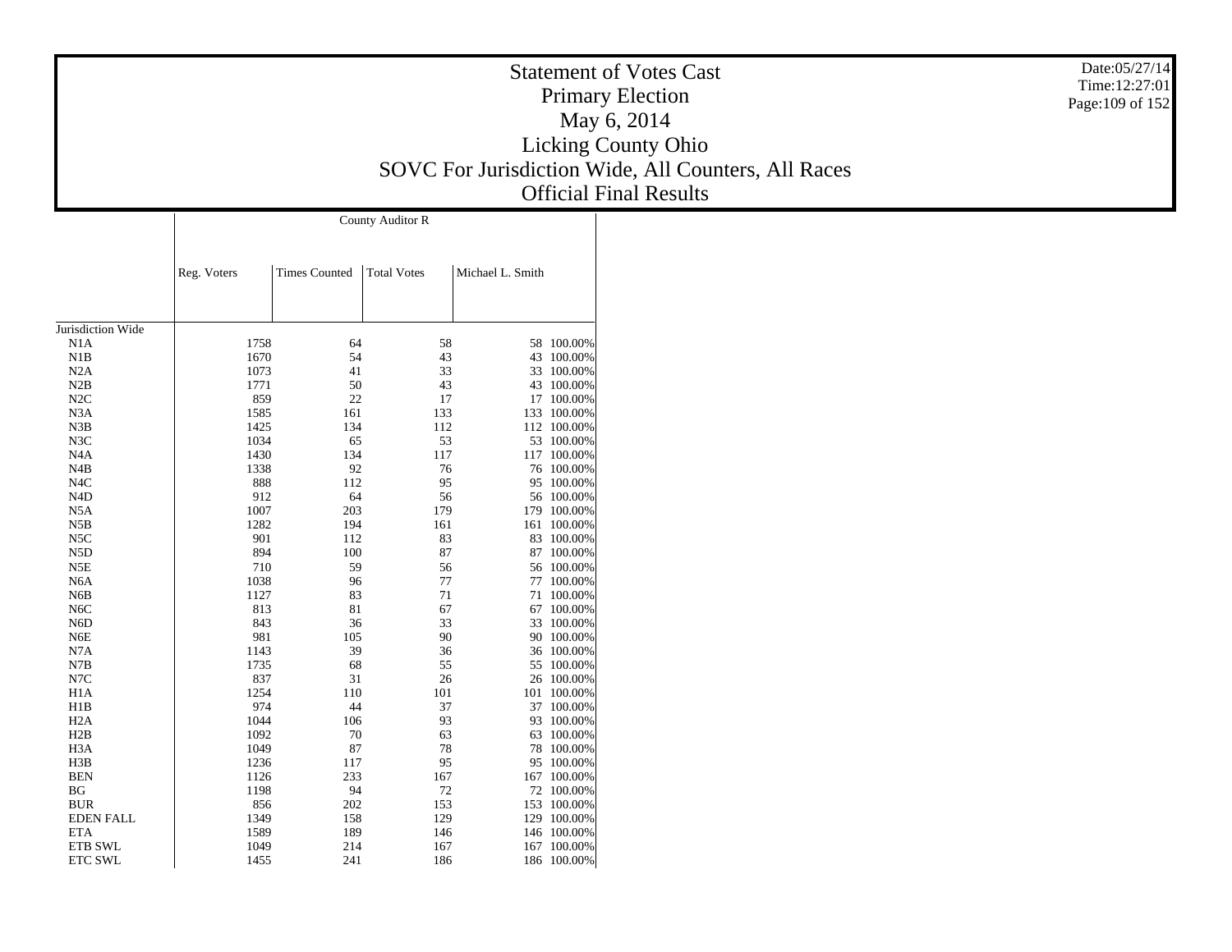|                               |              |                      |                         |                  |                           | <b>Statement of Votes Cast</b>                      | Date:05/27/14    |
|-------------------------------|--------------|----------------------|-------------------------|------------------|---------------------------|-----------------------------------------------------|------------------|
|                               |              |                      |                         |                  |                           | <b>Primary Election</b>                             | Time:12:27:01    |
|                               |              |                      |                         |                  |                           | May 6, 2014                                         | Page: 109 of 152 |
|                               |              |                      |                         |                  |                           |                                                     |                  |
|                               |              |                      |                         |                  |                           | <b>Licking County Ohio</b>                          |                  |
|                               |              |                      |                         |                  |                           | SOVC For Jurisdiction Wide, All Counters, All Races |                  |
|                               |              |                      |                         |                  |                           | <b>Official Final Results</b>                       |                  |
|                               |              |                      |                         |                  |                           |                                                     |                  |
|                               |              |                      | <b>County Auditor R</b> |                  |                           |                                                     |                  |
|                               |              |                      |                         |                  |                           |                                                     |                  |
|                               | Reg. Voters  | <b>Times Counted</b> | Total Votes             | Michael L. Smith |                           |                                                     |                  |
|                               |              |                      |                         |                  |                           |                                                     |                  |
|                               |              |                      |                         |                  |                           |                                                     |                  |
| Jurisdiction Wide             |              |                      |                         |                  |                           |                                                     |                  |
| N1A                           | 1758         | 64                   | 58                      |                  | 58 100.00%                |                                                     |                  |
| N1B                           | 1670         | 54                   | 43                      |                  | 43 100.00%                |                                                     |                  |
| N2A                           | 1073         | 41                   | 33                      |                  | 33 100.00%                |                                                     |                  |
| N2B                           | 1771         | 50                   | 43                      |                  | 43 100.00%                |                                                     |                  |
| N2C                           | 859          | 22                   | 17                      |                  | 17 100.00%                |                                                     |                  |
| N <sub>3</sub> A              | 1585         | 161                  | 133                     |                  | 133 100.00%               |                                                     |                  |
| N3B                           | 1425<br>1034 | 134                  | 112                     |                  | 112 100.00%               |                                                     |                  |
| N3C<br>N <sub>4</sub> A       | 1430         | 65<br>134            | 53<br>117               |                  | 53 100.00%<br>117 100.00% |                                                     |                  |
| N4B                           | 1338         | 92                   | 76                      |                  | 76 100.00%                |                                                     |                  |
| N <sub>4</sub> C              | 888          | 112                  | 95                      |                  | 95 100.00%                |                                                     |                  |
| N4D                           | 912          | 64                   | 56                      |                  | 56 100.00%                |                                                     |                  |
| N <sub>5</sub> A              | 1007         | 203                  | 179                     |                  | 179 100.00%               |                                                     |                  |
| N5B                           | 1282         | 194                  | 161                     |                  | 161 100.00%               |                                                     |                  |
| N5C                           | 901          | 112                  | 83                      |                  | 83 100.00%                |                                                     |                  |
| N5D                           | 894          | 100                  | 87                      |                  | 87 100.00%                |                                                     |                  |
| N5E                           | 710          | 59                   | 56                      |                  | 56 100.00%<br>77 100.00%  |                                                     |                  |
| N <sub>6</sub> A<br>N6B       | 1038<br>1127 | 96<br>83             | 77<br>71                |                  | 71 100.00%                |                                                     |                  |
| N <sub>6</sub> C              | 813          | 81                   | 67                      |                  | 67 100.00%                |                                                     |                  |
| N <sub>6</sub> D              | 843          | 36                   | 33                      |                  | 33 100.00%                |                                                     |                  |
| N6E                           | 981          | 105                  | 90                      |                  | 90 100.00%                |                                                     |                  |
| N7A                           | 1143         | 39                   | 36                      |                  | 36 100.00%                |                                                     |                  |
| N7B                           | 1735         | 68                   | 55                      |                  | 55 100.00%                |                                                     |                  |
| $_{\rm N7C}$                  | 837          | 31                   | 26                      |                  | 26 100.00%                |                                                     |                  |
| H <sub>1</sub> A              | 1254         | 110                  | 101                     |                  | 101 100.00%               |                                                     |                  |
| H1B                           | 974          | 44                   | 37                      |                  | 37 100.00%                |                                                     |                  |
| H <sub>2</sub> A<br>H2B       | 1044<br>1092 | 106<br>70            | 93<br>63                |                  | 93 100.00%<br>63 100.00%  |                                                     |                  |
| H3A                           | 1049         | 87                   | 78                      |                  | 78 100.00%                |                                                     |                  |
| H3B                           | 1236         | 117                  | 95                      |                  | 95 100.00%                |                                                     |                  |
| $\operatorname{BEN}$          | 1126         | 233                  | 167                     |                  | 167 100.00%               |                                                     |                  |
| BG                            | 1198         | 94                   | 72                      |                  | 72 100.00%                |                                                     |                  |
| <b>BUR</b>                    | 856          | 202                  | 153                     |                  | 153 100.00%               |                                                     |                  |
| <b>EDEN FALL</b>              | 1349         | 158                  | 129                     |                  | 129 100.00%               |                                                     |                  |
| ETA                           | 1589         | 189                  | 146                     |                  | 146 100.00%               |                                                     |                  |
| ETB SWL                       | 1049         | 214                  | 167                     |                  | 167 100.00%               |                                                     |                  |
| $\ensuremath{\text{ETC}}$ SWL | 1455         | 241                  | 186                     |                  | 186 100.00%               |                                                     |                  |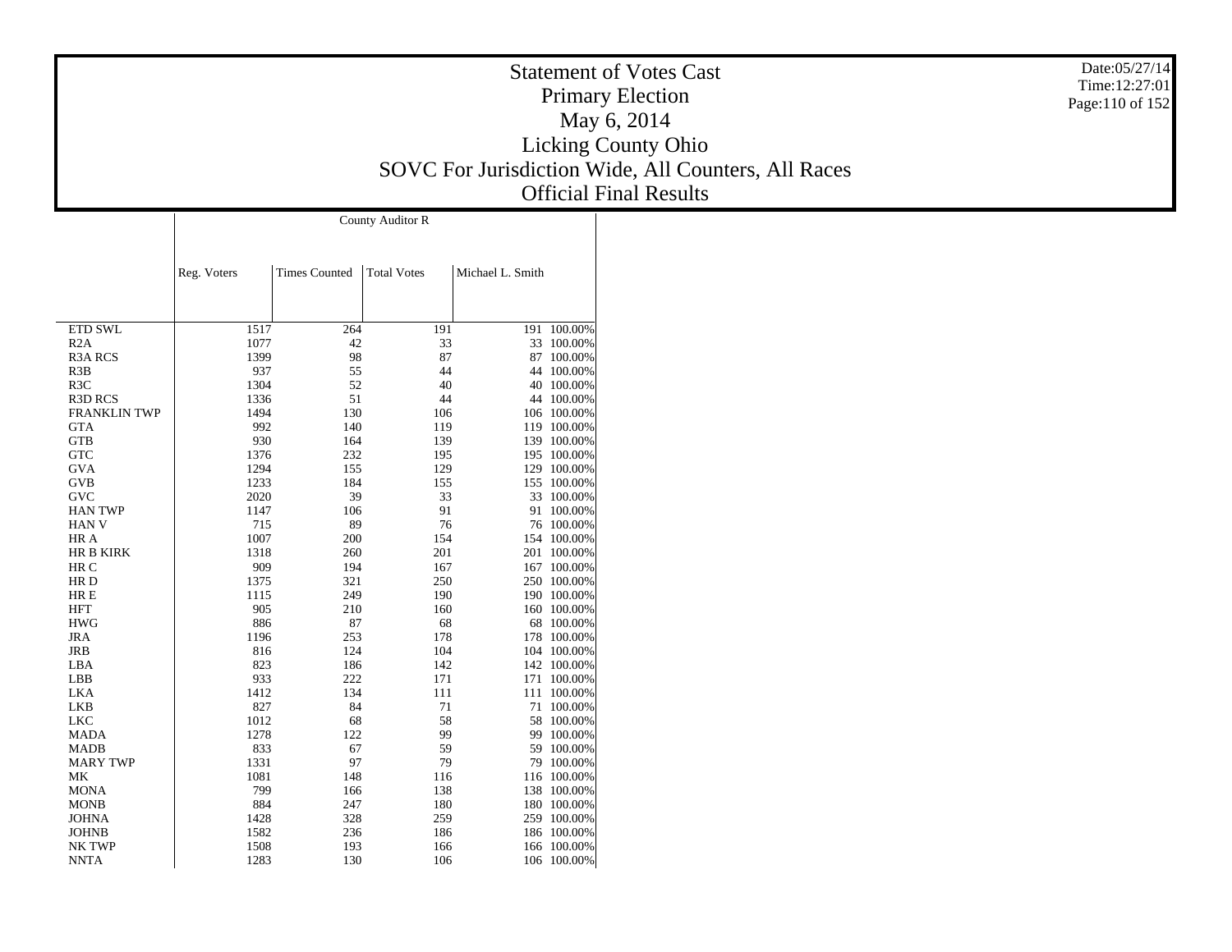| <b>Statement of Votes Cast</b>                      |
|-----------------------------------------------------|
| <b>Primary Election</b>                             |
| May 6, 2014                                         |
| <b>Licking County Ohio</b>                          |
| SOVC For Jurisdiction Wide, All Counters, All Races |
| <b>Official Final Results</b>                       |

Date:05/27/14 Time:12:27:01 Page:110 of 152

|                     |             |                      | <b>County Auditor R</b> |                  |             |
|---------------------|-------------|----------------------|-------------------------|------------------|-------------|
|                     |             |                      |                         |                  |             |
|                     | Reg. Voters | <b>Times Counted</b> | <b>Total Votes</b>      | Michael L. Smith |             |
|                     |             |                      |                         |                  |             |
| <b>ETD SWL</b>      | 1517        | 264                  | 191                     | 191              | 100.00%     |
| R2A                 | 1077        | 42                   | 33                      | 33               | 100.00%     |
| R3A RCS             | 1399        | 98                   | 87                      |                  | 87 100.00%  |
| R3B                 | 937         | 55                   | 44                      | 44               | 100.00%     |
| R <sub>3</sub> C    | 1304        | 52                   | 40                      | 40               | 100.00%     |
| <b>R3D RCS</b>      | 1336        | 51                   | 44                      | 44               | 100.00%     |
| <b>FRANKLIN TWP</b> | 1494        | 130                  | 106                     |                  | 106 100.00% |
| <b>GTA</b>          | 992         | 140                  | 119                     |                  | 119 100.00% |
| <b>GTB</b>          | 930         | 164                  | 139                     |                  | 139 100.00% |
| <b>GTC</b>          | 1376        | 232                  | 195                     |                  | 195 100.00% |
| <b>GVA</b>          | 1294        | 155                  | 129                     |                  | 129 100.00% |
| <b>GVB</b>          | 1233        | 184                  | 155                     |                  | 155 100.00% |
| <b>GVC</b>          | 2020        | 39                   | 33                      |                  | 33 100.00%  |
| <b>HAN TWP</b>      | 1147        | 106                  | 91                      | 91               | 100.00%     |
| HAN V               | 715         | 89                   | 76                      |                  | 76 100.00%  |
| HR A                | 1007        | 200                  | 154                     | 154              | 100.00%     |
| <b>HR B KIRK</b>    | 1318        | 260                  | 201                     | 201              | 100.00%     |
| HR C                | 909         | 194                  | 167                     |                  | 167 100.00% |
| HR D                | 1375        | 321                  | 250                     |                  | 250 100.00% |
| HR E                | 1115        | 249                  | 190                     |                  | 190 100.00% |
| <b>HFT</b>          | 905         | 210                  | 160                     |                  | 160 100.00% |
| <b>HWG</b>          | 886         | 87                   | 68                      |                  | 68 100.00%  |
| <b>JRA</b>          | 1196        | 253                  | 178                     |                  | 178 100.00% |
| JRB                 | 816         | 124                  | 104                     |                  | 104 100.00% |
| LBA                 | 823         | 186                  | 142                     |                  | 142 100.00% |
| LBB                 | 933         | 222                  | 171                     | 171              | 100.00%     |
| <b>LKA</b>          | 1412        | 134                  | 111                     | 111              | 100.00%     |
| LKB                 | 827         | 84                   | 71                      | 71               | 100.00%     |
| <b>LKC</b>          | 1012        | 68                   | 58                      |                  | 58 100.00%  |
| MADA                | 1278        | 122                  | 99                      |                  | 99 100.00%  |
| <b>MADB</b>         | 833         | 67                   | 59                      |                  | 59 100.00%  |
| <b>MARY TWP</b>     | 1331        | 97                   | 79                      | 79               | 100.00%     |
| MK                  | 1081        | 148                  | 116                     |                  | 116 100.00% |
| <b>MONA</b>         | 799         | 166                  | 138                     |                  | 138 100.00% |
| <b>MONB</b>         | 884         | 247                  | 180                     |                  | 180 100.00% |
| <b>JOHNA</b>        | 1428        | 328                  | 259                     |                  | 259 100.00% |
| <b>JOHNB</b>        | 1582        | 236                  | 186                     |                  | 186 100.00% |
| NK TWP              | 1508        | 193                  | 166                     |                  | 166 100.00% |
| <b>NNTA</b>         | 1283        | 130                  | 106                     | 106              | 100.00%     |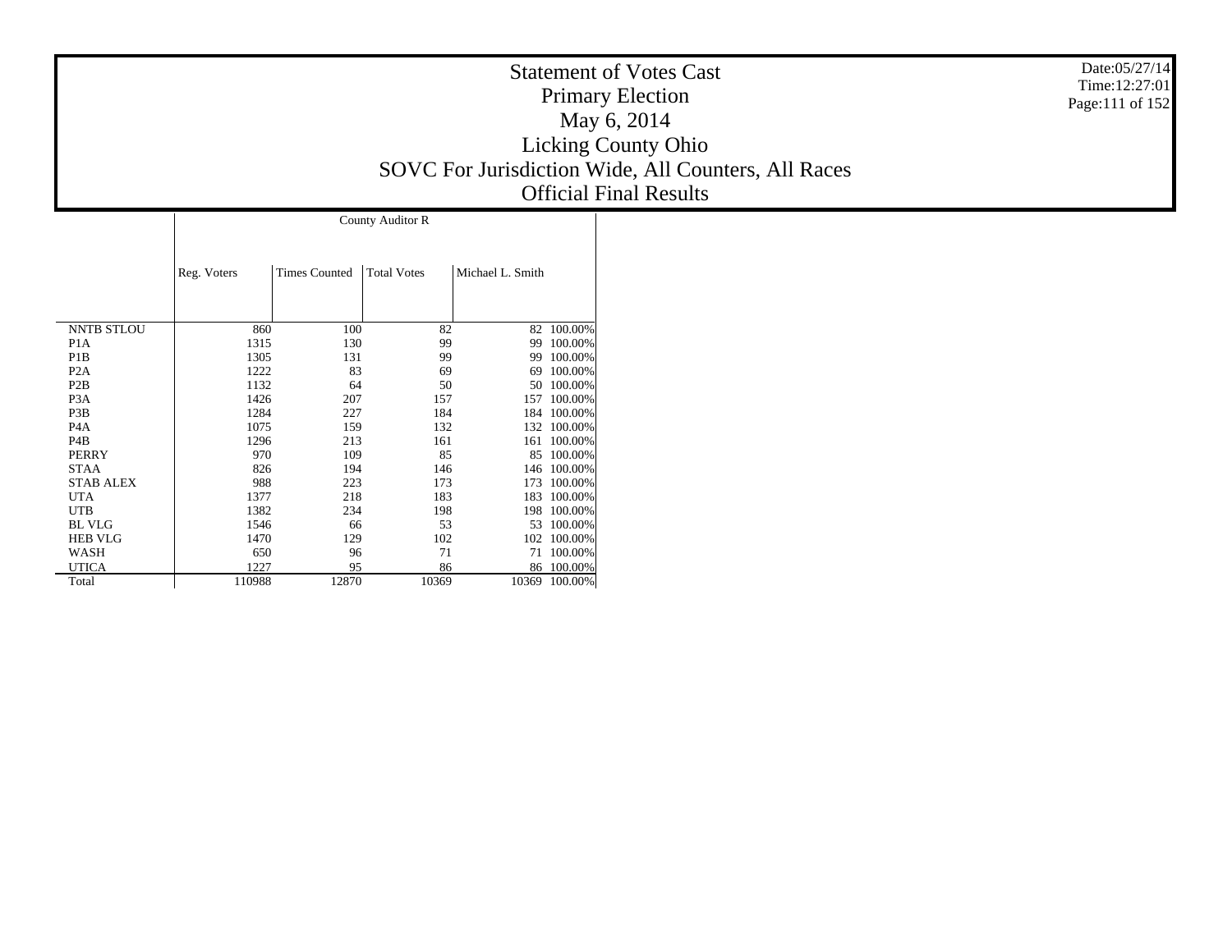Date:05/27/14 Time:12:27:01Page:111 of 152

|                   |             |                      | County Auditor R   |                  |         |
|-------------------|-------------|----------------------|--------------------|------------------|---------|
|                   |             |                      |                    |                  |         |
|                   | Reg. Voters | <b>Times Counted</b> | <b>Total Votes</b> | Michael L. Smith |         |
|                   |             |                      |                    |                  |         |
|                   |             |                      |                    |                  |         |
| <b>NNTB STLOU</b> | 860         | 100                  | 82                 | 82               | 100.00% |
| P <sub>1</sub> A  | 1315        | 130                  | 99                 | 99               | 100.00% |
| P <sub>1</sub> B  | 1305        | 131                  | 99                 | 99               | 100.00% |
| P <sub>2</sub> A  | 1222        | 83                   | 69                 | 69               | 100.00% |
| P <sub>2</sub> B  | 1132        | 64                   | 50                 | 50               | 100.00% |
| P <sub>3</sub> A  | 1426        | 207                  | 157                | 157              | 100.00% |
| P3B               | 1284        | 227                  | 184                | 184              | 100.00% |
| P <sub>4</sub> A  | 1075        | 159                  | 132                | 132              | 100.00% |
| P4B               | 1296        | 213                  | 161                | 161              | 100.00% |
| PERRY             | 970         | 109                  | 85                 | 85               | 100.00% |
| <b>STAA</b>       | 826         | 194                  | 146                | 146              | 100.00% |
| <b>STAB ALEX</b>  | 988         | 223                  | 173                | 173              | 100.00% |
| UTA               | 1377        | 218                  | 183                | 183              | 100.00% |
| UTB               | 1382        | 234                  | 198                | 198              | 100.00% |
| <b>BL VLG</b>     | 1546        | 66                   | 53                 | 53               | 100.00% |
| <b>HEB VLG</b>    | 1470        | 129                  | 102                | 102              | 100.00% |
| WASH              | 650         | 96                   | 71                 | 71               | 100.00% |
| <b>UTICA</b>      | 1227        | 95                   | 86                 | 86               | 100.00% |
| Total             | 110988      | 12870                | 10369              | 10369            | 100.00% |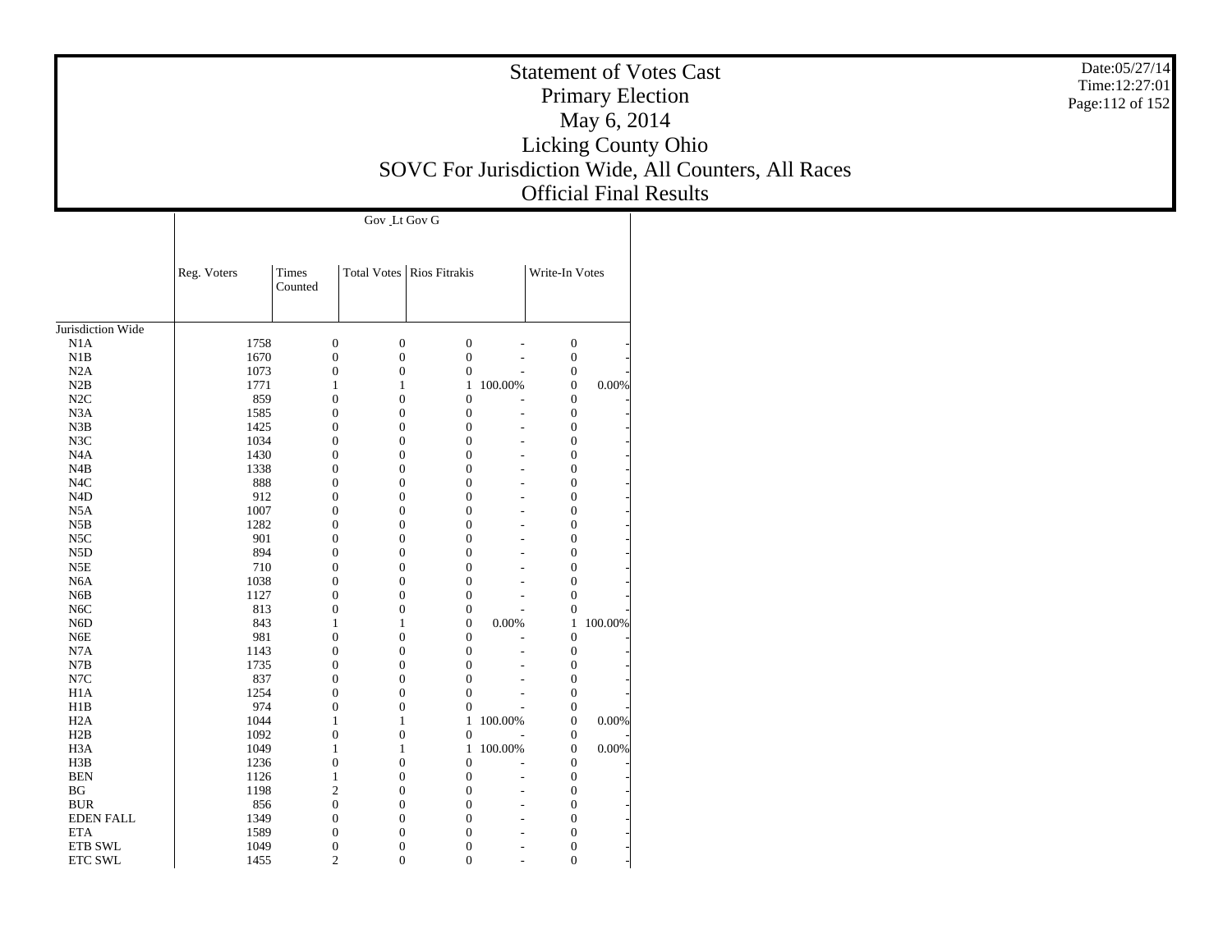| <b>Statement of Votes Cast</b>                      |
|-----------------------------------------------------|
| <b>Primary Election</b>                             |
| May 6, 2014                                         |
| <b>Licking County Ohio</b>                          |
| SOVC For Jurisdiction Wide, All Counters, All Races |
| <b>Official Final Results</b>                       |

Date:05/27/14 Time:12:27:01 Page:112 of 152

|                   |             |                         | Gov Lt Gov G     |                             |         |                  |         |
|-------------------|-------------|-------------------------|------------------|-----------------------------|---------|------------------|---------|
|                   | Reg. Voters | <b>Times</b><br>Counted |                  | Total Votes   Rios Fitrakis |         | Write-In Votes   |         |
|                   |             |                         |                  |                             |         |                  |         |
| Jurisdiction Wide |             |                         |                  |                             |         |                  |         |
| N1A               | 1758        | $\boldsymbol{0}$        | $\boldsymbol{0}$ | $\boldsymbol{0}$            |         | $\boldsymbol{0}$ |         |
| N1B               | 1670        | $\boldsymbol{0}$        | $\mathbf{0}$     | $\mathbf{0}$                |         | $\boldsymbol{0}$ |         |
| N2A               | 1073        | $\mathbf{0}$            | $\mathbf{0}$     | $\overline{0}$              |         | $\mathbf{0}$     |         |
| N2B               | 1771        | 1                       | 1                | 1                           | 100.00% | $\boldsymbol{0}$ | 0.00%   |
| N2C               | 859         | $\boldsymbol{0}$        | $\boldsymbol{0}$ | $\mathbf{0}$                |         | $\boldsymbol{0}$ |         |
| N3A               | 1585        | $\overline{0}$          | $\mathbf{0}$     | $\overline{0}$              |         | $\mathbf{0}$     |         |
| N3B               | 1425        | 0                       | $\mathbf{0}$     | $\mathbf{0}$                |         | $\boldsymbol{0}$ |         |
| N <sub>3</sub> C  | 1034        | $\boldsymbol{0}$        | $\boldsymbol{0}$ | $\mathbf{0}$                |         | 0                |         |
| N <sub>4</sub> A  | 1430        | $\mathbf{0}$            | $\mathbf{0}$     | $\overline{0}$              |         | $\overline{0}$   |         |
| N4B               | 1338        | $\mathbf{0}$            | $\boldsymbol{0}$ | $\boldsymbol{0}$            |         | $\boldsymbol{0}$ |         |
| N <sub>4</sub> C  | 888         | $\mathbf{0}$            | $\boldsymbol{0}$ | $\mathbf{0}$                |         | $\boldsymbol{0}$ |         |
| N <sub>4</sub> D  | 912         | 0                       | $\Omega$         | $\overline{0}$              |         | 0                |         |
| N <sub>5</sub> A  | 1007        | $\boldsymbol{0}$        | $\boldsymbol{0}$ | $\boldsymbol{0}$            |         | 0                |         |
| N5B               | 1282        | 0                       | $\mathbf{0}$     | $\overline{0}$              |         | $\boldsymbol{0}$ |         |
| N5C               | 901         | $\overline{0}$          | $\mathbf{0}$     | $\overline{0}$              |         | $\boldsymbol{0}$ |         |
| N <sub>5</sub> D  | 894         | $\mathbf{0}$            | $\boldsymbol{0}$ | $\boldsymbol{0}$            |         | 0                |         |
| N5E               | 710         | 0                       | $\mathbf{0}$     | $\overline{0}$              |         | 0                |         |
| N <sub>6</sub> A  | 1038        | $\boldsymbol{0}$        | $\mathbf{0}$     | $\overline{0}$              |         | $\boldsymbol{0}$ |         |
| N <sub>6</sub> B  | 1127        | $\boldsymbol{0}$        | $\mathbf{0}$     | $\boldsymbol{0}$            |         | $\boldsymbol{0}$ |         |
| N <sub>6</sub> C  | 813         | $\mathbf{0}$            | $\mathbf{0}$     | $\boldsymbol{0}$            |         | $\boldsymbol{0}$ |         |
| N <sub>6</sub> D  | 843         | 1                       | 1                | $\mathbf{0}$                | 0.00%   | 1                | 100.00% |
| N <sub>6</sub> E  | 981         | 0                       | $\mathbf{0}$     | $\mathbf{0}$                |         | $\boldsymbol{0}$ |         |
| N7A               | 1143        | $\boldsymbol{0}$        | $\boldsymbol{0}$ | $\mathbf{0}$                |         | $\boldsymbol{0}$ |         |
| N7B               | 1735        | $\overline{0}$          | $\mathbf{0}$     | $\overline{0}$              |         | $\overline{0}$   |         |
| N7C               | 837         | $\mathbf{0}$            | $\boldsymbol{0}$ | $\boldsymbol{0}$            |         | $\boldsymbol{0}$ |         |
| H1A               | 1254        | 0                       | 0                | $\overline{0}$              |         | 0                |         |
| H1B               | 974         | $\overline{0}$          | $\Omega$         | $\overline{0}$              |         | $\overline{0}$   |         |
| H <sub>2</sub> A  | 1044        | 1                       | 1                | 1                           | 100.00% | $\boldsymbol{0}$ | 0.00%   |
| H2B               | 1092        | $\overline{0}$          | $\mathbf{0}$     | $\mathbf{0}$                |         | $\boldsymbol{0}$ |         |
| H <sub>3</sub> A  | 1049        | 1                       | 1                | 1                           | 100.00% | $\mathbf{0}$     | 0.00%   |
| H3B               | 1236        | 0                       | $\boldsymbol{0}$ | $\boldsymbol{0}$            |         | 0                |         |
| <b>BEN</b>        | 1126        | 1                       | $\mathbf{0}$     | $\boldsymbol{0}$            |         | $\mathbf{0}$     |         |
| BG                | 1198        | $\overline{2}$          | $\mathbf{0}$     | $\overline{0}$              |         | $\boldsymbol{0}$ |         |
| <b>BUR</b>        | 856         | $\boldsymbol{0}$        | $\boldsymbol{0}$ | $\boldsymbol{0}$            |         | $\boldsymbol{0}$ |         |
| <b>EDEN FALL</b>  | 1349        | $\mathbf{0}$            | $\mathbf{0}$     | $\boldsymbol{0}$            |         | $\boldsymbol{0}$ |         |
| <b>ETA</b>        | 1589        | 0                       | 0                | $\overline{0}$              |         | 0                |         |
| ETB SWL           | 1049        | $\mathbf{0}$            | 0                | $\boldsymbol{0}$            |         | 0                |         |
| <b>ETC SWL</b>    | 1455        | $\overline{2}$          | $\mathbf{0}$     | $\overline{0}$              |         | $\overline{0}$   |         |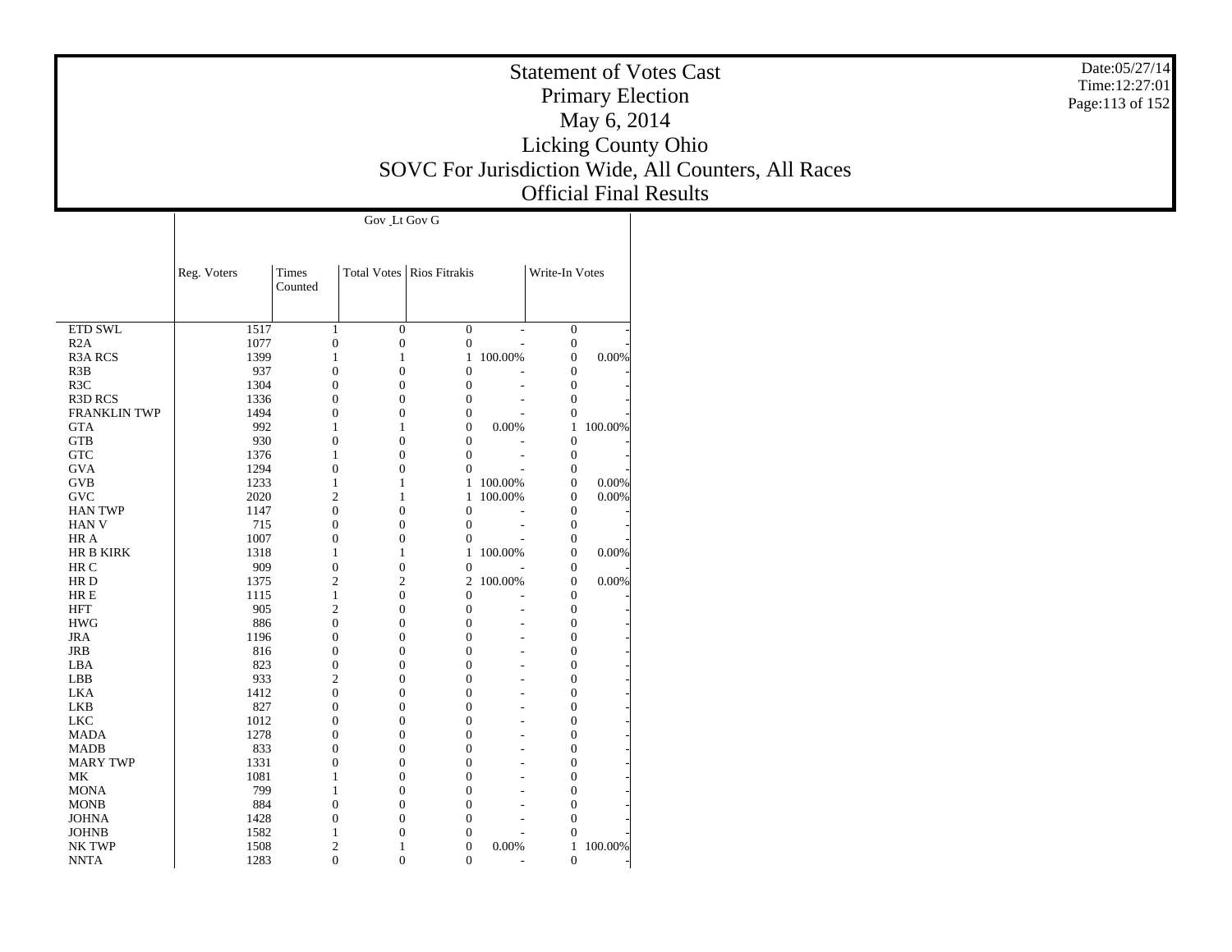Date:05/27/14 Time:12:27:01Page:113 of 152

|                     |             |                         | Gov Lt Gov G     |                             |         |                  |         |
|---------------------|-------------|-------------------------|------------------|-----------------------------|---------|------------------|---------|
|                     | Reg. Voters | <b>Times</b><br>Counted |                  | Total Votes   Rios Fitrakis |         | Write-In Votes   |         |
| <b>ETD SWL</b>      | 1517        | $\mathbf{1}$            | $\mathbf{0}$     | $\mathbf{0}$                |         | $\mathbf{0}$     |         |
| R2A                 | 1077        | $\boldsymbol{0}$        | $\boldsymbol{0}$ | $\mathbf{0}$                |         | $\mathbf{0}$     |         |
| <b>R3A RCS</b>      | 1399        | $\mathbf{1}$            | 1                | $\mathbf{1}$                | 100.00% | $\overline{0}$   | 0.00%   |
| R3B                 | 937         | 0                       | $\Omega$         | $\Omega$                    |         | $\mathbf{0}$     |         |
| R <sub>3</sub> C    | 1304        | 0                       | $\mathbf{0}$     | $\mathbf{0}$                |         | $\mathbf{0}$     |         |
| <b>R3D RCS</b>      | 1336        | 0                       | $\mathbf{0}$     | $\mathbf{0}$                |         | $\boldsymbol{0}$ |         |
| <b>FRANKLIN TWP</b> | 1494        | $\overline{0}$          | $\overline{0}$   | $\boldsymbol{0}$            |         | $\overline{0}$   |         |
| <b>GTA</b>          | 992         | 1                       | 1                | $\overline{0}$              | 0.00%   | 1                | 100.00% |
| <b>GTB</b>          | 930         | $\overline{0}$          | $\overline{0}$   | $\overline{0}$              |         | $\overline{0}$   |         |
| <b>GTC</b>          | 1376        | 1                       | $\overline{0}$   | $\overline{0}$              |         | $\overline{0}$   |         |
| <b>GVA</b>          | 1294        | 0                       | $\Omega$         | $\Omega$                    |         | $\mathbf{0}$     |         |
| <b>GVB</b>          | 1233        | 1                       | 1                | 1                           | 100.00% | $\boldsymbol{0}$ | 0.00%   |
| <b>GVC</b>          | 2020        | $\overline{2}$          | 1                | 1                           | 100.00% | $\mathbf{0}$     | 0.00%   |
| <b>HAN TWP</b>      | 1147        | $\overline{0}$          | $\mathbf{0}$     | $\mathbf{0}$                |         | $\boldsymbol{0}$ |         |
| <b>HAN V</b>        | 715         | $\overline{0}$          | $\overline{0}$   | $\mathbf{0}$                |         | $\overline{0}$   |         |
| HR A                | 1007        | $\overline{0}$          | $\overline{0}$   | $\overline{0}$              |         | $\overline{0}$   |         |
| <b>HR B KIRK</b>    | 1318        | $\mathbf{1}$            | 1                | 1                           | 100.00% | $\overline{0}$   | 0.00%   |
| HR C                | 909         | $\overline{0}$          | $\mathbf{0}$     | $\overline{0}$              |         | $\mathbf{0}$     |         |
| HR D                | 1375        | $\overline{2}$          | $\overline{2}$   | $\overline{2}$              | 100.00% | $\boldsymbol{0}$ | 0.00%   |
| HR E                | 1115        | $\mathbf{1}$            | $\overline{0}$   | $\overline{0}$              |         | $\boldsymbol{0}$ |         |
| <b>HFT</b>          | 905         | $\overline{2}$          | $\mathbf{0}$     | $\mathbf{0}$                |         | $\mathbf{0}$     |         |
| <b>HWG</b>          | 886         | $\boldsymbol{0}$        | $\overline{0}$   | $\overline{0}$              |         | $\overline{0}$   |         |
| <b>JRA</b>          | 1196        | $\overline{0}$          | $\overline{0}$   | $\overline{0}$              |         | $\overline{0}$   |         |
| <b>JRB</b>          | 816         | 0                       | $\mathbf{0}$     | $\overline{0}$              |         | $\mathbf{0}$     |         |
| LBA                 | 823         | 0                       | $\overline{0}$   | $\mathbf{0}$                |         | $\mathbf{0}$     |         |
| LBB                 | 933         | $\overline{2}$          | $\overline{0}$   | $\overline{0}$              |         | $\mathbf{0}$     |         |
| <b>LKA</b>          | 1412        | $\boldsymbol{0}$        | $\overline{0}$   | $\boldsymbol{0}$            |         | $\boldsymbol{0}$ |         |
| <b>LKB</b>          | 827         | $\overline{0}$          | $\overline{0}$   | $\overline{0}$              |         | $\overline{0}$   |         |
| <b>LKC</b>          | 1012        | $\overline{0}$          | $\mathbf{0}$     | $\overline{0}$              |         | $\overline{0}$   |         |
| <b>MADA</b>         | 1278        | $\overline{0}$          | $\Omega$         | $\overline{0}$              |         | $\overline{0}$   |         |
| <b>MADB</b>         | 833         | 0                       | $\Omega$         | $\overline{0}$              |         | $\mathbf{0}$     |         |
| <b>MARY TWP</b>     | 1331        | 0                       | $\mathbf{0}$     | $\mathbf{0}$                |         | $\mathbf{0}$     |         |
| MK                  | 1081        | 1                       | $\overline{0}$   | $\overline{0}$              |         | $\boldsymbol{0}$ |         |
| <b>MONA</b>         | 799         | $\mathbf{1}$            | $\mathbf{0}$     | $\mathbf{0}$                |         | $\mathbf{0}$     |         |
| <b>MONB</b>         | 884         | $\boldsymbol{0}$        | $\overline{0}$   | $\overline{0}$              |         | $\boldsymbol{0}$ |         |
| <b>JOHNA</b>        | 1428        | $\overline{0}$          | $\overline{0}$   | $\mathbf{0}$                |         | $\overline{0}$   |         |
| <b>JOHNB</b>        | 1582        | $\mathbf{1}$            | $\overline{0}$   | $\overline{0}$              |         | $\overline{0}$   |         |
| NK TWP              | 1508        | $\overline{2}$          | 1                | $\mathbf{0}$                | 0.00%   | 1                | 100.00% |
| <b>NNTA</b>         | 1283        | 0                       | $\theta$         | $\overline{0}$              |         | $\mathbf{0}$     |         |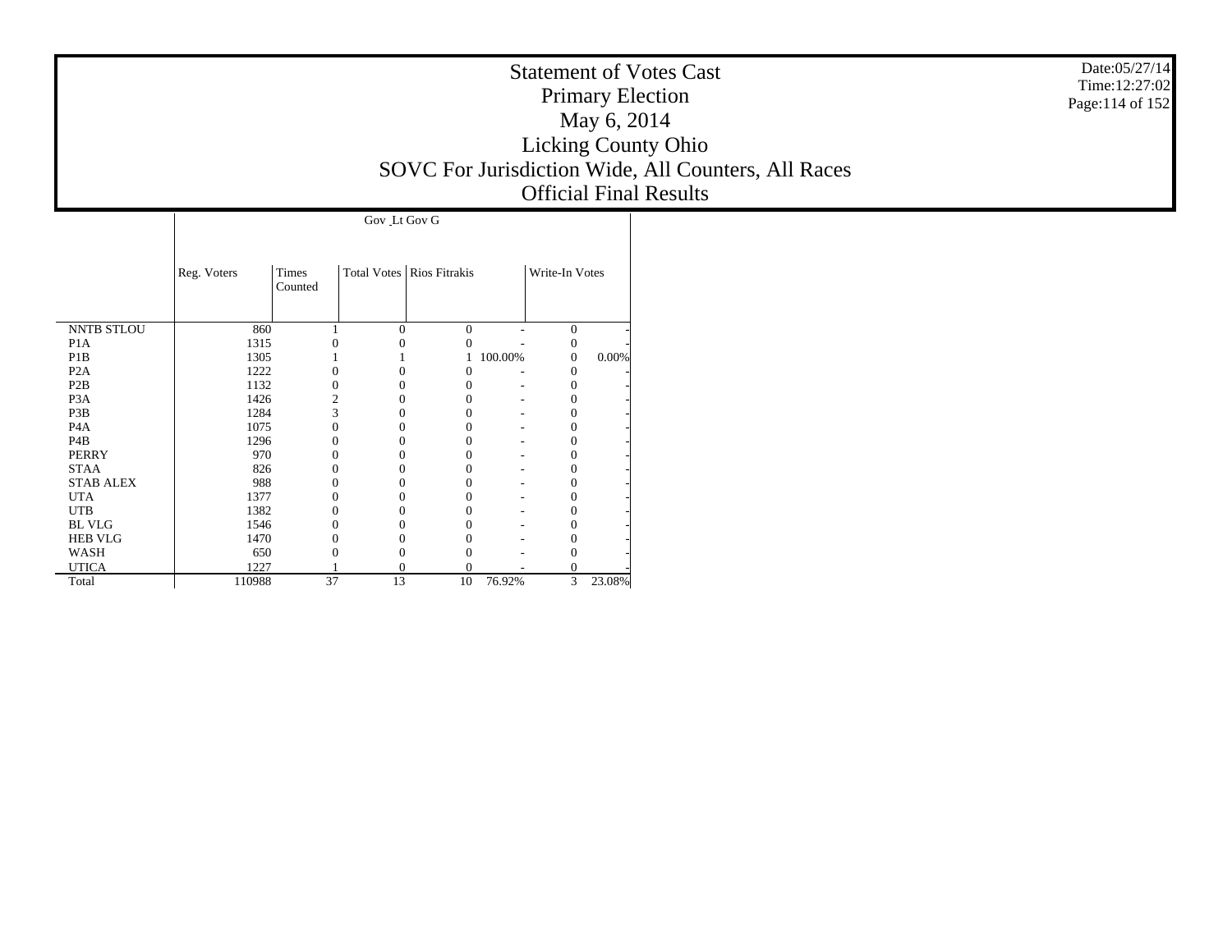| <b>Statement of Votes Cast</b>                      |
|-----------------------------------------------------|
| <b>Primary Election</b>                             |
| May 6, 2014                                         |
| <b>Licking County Ohio</b>                          |
| SOVC For Jurisdiction Wide, All Counters, All Races |
| <b>Official Final Results</b>                       |

|                   |             |                  | Gov Lt Gov G      |                             |         |                |        |
|-------------------|-------------|------------------|-------------------|-----------------------------|---------|----------------|--------|
|                   |             |                  |                   |                             |         |                |        |
|                   | Reg. Voters | Times<br>Counted |                   | Total Votes   Rios Fitrakis |         | Write-In Votes |        |
|                   |             |                  |                   |                             |         |                |        |
| <b>NNTB STLOU</b> | 860         |                  | $\Omega$          | $\Omega$                    |         | $\Omega$       |        |
| P <sub>1</sub> A  | 1315        |                  |                   |                             |         |                |        |
| P <sub>1</sub> B  | 1305        |                  |                   | 1                           | 100.00% | $\theta$       | 0.00%  |
| P <sub>2</sub> A  | 1222        | 0                | 0                 | 0                           |         | 0              |        |
| P <sub>2</sub> B  | 1132        | 0                | 0                 | 0                           |         |                |        |
| P <sub>3</sub> A  | 1426        | $\overline{c}$   | 0                 | 0                           |         | 0              |        |
| P3B               | 1284        | 3                | 0                 | 0                           |         |                |        |
| P <sub>4</sub> A  | 1075        |                  | 0                 | 0                           |         | 0              |        |
| P4B               | 1296        | 0                | 0                 | 0                           |         | 0              |        |
| <b>PERRY</b>      | 970         | $\Omega$         | $\mathbf{\Omega}$ | 0                           |         | 0              |        |
| <b>STAA</b>       | 826         | $\Omega$         | 0                 | 0                           |         | 0              |        |
| <b>STAB ALEX</b>  | 988         | 0                | $\mathbf{\Omega}$ | 0                           |         | 0              |        |
| <b>UTA</b>        | 1377        |                  | 0                 | 0                           |         | 0              |        |
| <b>UTB</b>        | 1382        | $\Omega$         | 0                 | 0                           |         | 0              |        |
| <b>BL VLG</b>     | 1546        | 0                | 0                 | 0                           |         |                |        |
| <b>HEB VLG</b>    | 1470        |                  | 0                 | 0                           |         |                |        |
| WASH              | 650         |                  | 0                 | 0                           |         | $\theta$       |        |
| <b>UTICA</b>      | 1227        |                  | 0                 |                             |         | 0              |        |
| Total             | 110988      | 37               | 13                | 10                          | 76.92%  | 3              | 23.08% |

Date:05/27/14 Time:12:27:02 Page:114 of 152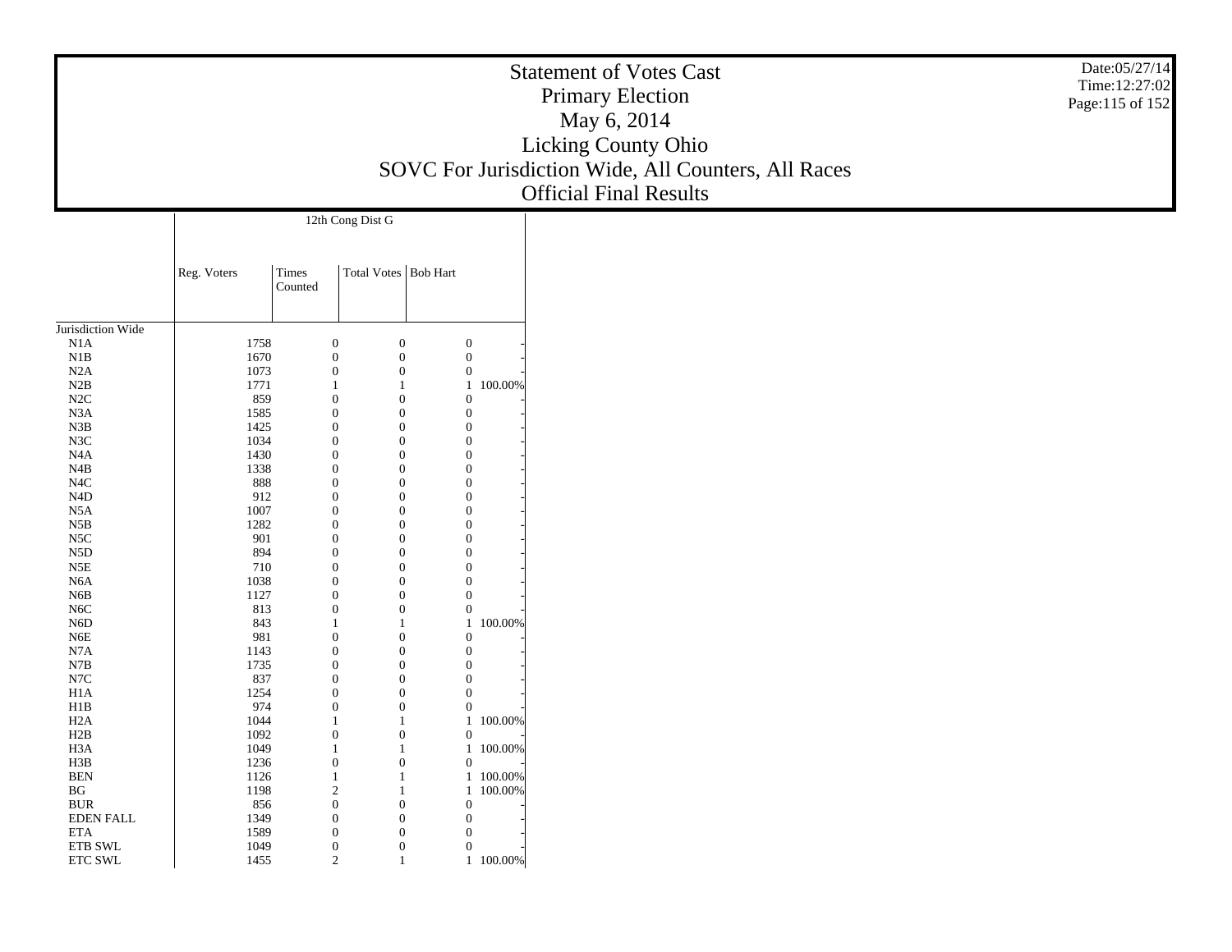|                               |              |                                      |                                |                                      |           | Date:05/27/14<br><b>Statement of Votes Cast</b>     |
|-------------------------------|--------------|--------------------------------------|--------------------------------|--------------------------------------|-----------|-----------------------------------------------------|
|                               |              |                                      |                                |                                      |           | Time: 12:27:02                                      |
|                               |              |                                      |                                |                                      |           | <b>Primary Election</b><br>Page:115 of 152          |
|                               |              |                                      |                                |                                      |           | May 6, 2014                                         |
|                               |              |                                      |                                |                                      |           | Licking County Ohio                                 |
|                               |              |                                      |                                |                                      |           |                                                     |
|                               |              |                                      |                                |                                      |           | SOVC For Jurisdiction Wide, All Counters, All Races |
|                               |              |                                      |                                |                                      |           | <b>Official Final Results</b>                       |
|                               |              |                                      | 12th Cong Dist G               |                                      |           |                                                     |
|                               |              |                                      |                                |                                      |           |                                                     |
|                               | Reg. Voters  | Times                                | Total Votes   Bob Hart         |                                      |           |                                                     |
|                               |              | Counted                              |                                |                                      |           |                                                     |
|                               |              |                                      |                                |                                      |           |                                                     |
| Jurisdiction Wide             |              |                                      |                                |                                      |           |                                                     |
| N1A                           | 1758         | $\boldsymbol{0}$                     | $\mathbf{0}$                   | $\boldsymbol{0}$                     |           |                                                     |
| N1B                           | 1670         | $\boldsymbol{0}$                     | $\mathbf{0}$                   | $\boldsymbol{0}$                     |           |                                                     |
| N2A                           | 1073         | $\boldsymbol{0}$                     | $\mathbf{0}$                   | $\boldsymbol{0}$                     |           |                                                     |
| $\rm N2B$<br>$\rm N2C$        | 1771<br>859  | $\mathbf{1}$<br>$\boldsymbol{0}$     | $\Omega$                       | $\mathbf{1}$<br>$\boldsymbol{0}$     | 100.00%   |                                                     |
| $_{\rm N3A}$                  | 1585         | $\boldsymbol{0}$                     | $\Omega$                       | $\boldsymbol{0}$                     |           |                                                     |
| ${\bf N3B}$                   | 1425         | $\boldsymbol{0}$                     | $\Omega$                       | $\boldsymbol{0}$                     |           |                                                     |
| $_{\rm N3C}$                  | 1034         | $\boldsymbol{0}$                     | $\Omega$                       | $\boldsymbol{0}$                     |           |                                                     |
| N4A                           | 1430         | $\boldsymbol{0}$                     | $\Omega$                       | $\mathbf{0}$                         |           |                                                     |
| $\rm N4B$                     | 1338         | $\boldsymbol{0}$                     | $\Omega$                       | $\boldsymbol{0}$                     |           |                                                     |
| N <sub>4</sub> C<br>$\rm N4D$ | 888<br>912   | $\boldsymbol{0}$<br>$\boldsymbol{0}$ | $\Omega$<br>$\Omega$           | $\mathbf{0}$<br>$\boldsymbol{0}$     |           |                                                     |
| N5A                           | 1007         | $\boldsymbol{0}$                     | $\Omega$                       | $\boldsymbol{0}$                     |           |                                                     |
| $_{\rm N5B}$                  | 1282         | $\boldsymbol{0}$                     | $\Omega$                       | $\boldsymbol{0}$                     |           |                                                     |
| N5C                           | 901          | $\boldsymbol{0}$                     | $\Omega$                       | $\boldsymbol{0}$                     |           |                                                     |
| ${\rm N5D}$                   | 894          | $\boldsymbol{0}$                     | $\Omega$                       | $\boldsymbol{0}$                     |           |                                                     |
| $_{\rm N5E}$                  | 710          | $\boldsymbol{0}$                     | $\Omega$                       | $\mathbf{0}$                         |           |                                                     |
| N6A<br>N <sub>6</sub> B       | 1038<br>1127 | $\boldsymbol{0}$<br>$\mathbf{0}$     | $\Omega$<br>$\Omega$           | $\boldsymbol{0}$<br>$\boldsymbol{0}$ |           |                                                     |
| $_{\mathrm{N6C}}$             | 813          | $\boldsymbol{0}$                     | $\Omega$                       | $\boldsymbol{0}$                     |           |                                                     |
| N <sub>6</sub> D              | 843          | $\mathbf{1}$                         |                                | 1                                    | 100.00%   |                                                     |
| ${\rm N6E}$                   | 981          | $\boldsymbol{0}$                     | $\Omega$                       | $\mathbf{0}$                         |           |                                                     |
| N7A                           | 1143         | $\boldsymbol{0}$                     | $\Omega$                       | $\boldsymbol{0}$                     |           |                                                     |
| ${\bf N7B}$                   | 1735         | $\boldsymbol{0}$                     | $\Omega$                       | $\boldsymbol{0}$                     |           |                                                     |
| N7C                           | 837          | $\boldsymbol{0}$                     | $\Omega$                       | $\boldsymbol{0}$                     |           |                                                     |
| H1A<br>H1B                    | 1254<br>974  | $\boldsymbol{0}$<br>$\boldsymbol{0}$ | $\Omega$<br>$\Omega$           | $\boldsymbol{0}$<br>$\boldsymbol{0}$ |           |                                                     |
| H <sub>2</sub> A              | 1044         |                                      |                                | $\mathbf{1}$                         | 100.00%   |                                                     |
| H2B                           | 1092         | $\mathbf{0}$                         | $\Omega$                       | $\mathbf{0}$                         |           |                                                     |
| H3A                           | 1049         | $\perp$                              | -1                             |                                      | 1 100.00% |                                                     |
| H3B                           | 1236         | $\mathbf{0}$                         | $\mathbf{0}$                   | $\overline{0}$                       |           |                                                     |
| $\operatorname{BEN}$          | 1126         | $\mathbf{1}$                         | 1                              |                                      | 1 100.00% |                                                     |
| $\mathbf{B}\mathbf{G}$        | 1198         | 2                                    |                                |                                      | 1 100.00% |                                                     |
| <b>BUR</b>                    | 856          | $\boldsymbol{0}$                     | $\overline{0}$                 | $\mathbf{0}$                         |           |                                                     |
| EDEN FALL                     | 1349         | $\mathbf{0}$                         | $\overline{0}$<br>$\mathbf{0}$ | $\mathbf{0}$                         |           |                                                     |
| ETA<br>ETB SWL                | 1589<br>1049 | $\overline{0}$                       | $\overline{0}$<br>$\mathbf{0}$ | $\mathbf{0}$<br>$\mathbf{0}$         |           |                                                     |
| ETC SWL                       | 1455         |                                      | $\overline{2}$                 |                                      | 1 100.00% |                                                     |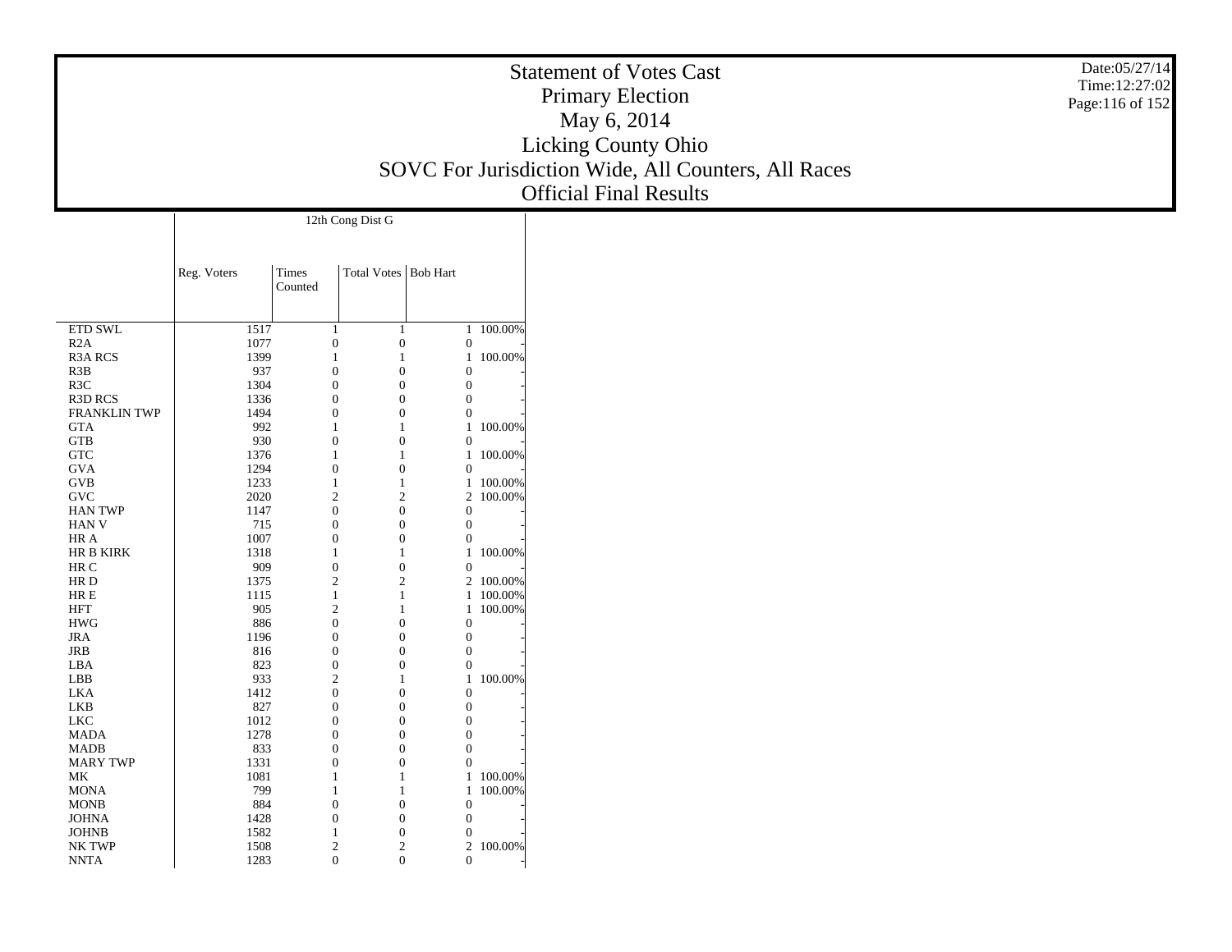|                               |              |              |                                                                            |                                                     | <b>Statement of Votes Cast</b>   |
|-------------------------------|--------------|--------------|----------------------------------------------------------------------------|-----------------------------------------------------|----------------------------------|
|                               |              |              |                                                                            |                                                     |                                  |
|                               |              |              |                                                                            |                                                     |                                  |
|                               |              |              |                                                                            |                                                     |                                  |
|                               |              |              |                                                                            |                                                     | Licking County Ohio              |
|                               |              |              |                                                                            | SOVC For Jurisdiction Wide, All Counters, All Races |                                  |
|                               |              |              |                                                                            |                                                     | <b>Official Final Results</b>    |
|                               |              |              |                                                                            |                                                     |                                  |
|                               |              |              | 12th Cong Dist G                                                           |                                                     |                                  |
|                               |              |              |                                                                            |                                                     |                                  |
|                               | Reg. Voters  | Times        | Total Votes   Bob Hart                                                     |                                                     |                                  |
|                               |              | Counted      |                                                                            |                                                     |                                  |
|                               |              |              |                                                                            |                                                     |                                  |
| ETD SWL                       | 1517         |              | 1<br>1                                                                     |                                                     | $1 - 100.00\%$                   |
| R2A                           | 1077         |              | $\mathbf{0}$<br>$\theta$                                                   |                                                     | $\mathbf{0}$                     |
| <b>R3A RCS</b>                | 1399         | $\mathbf{1}$ | 1                                                                          |                                                     | 100.00%<br>$\mathbf{1}$          |
| R3B<br>R3C                    | 937<br>1304  |              | $\boldsymbol{0}$<br>0<br>$\overline{0}$<br>$\theta$                        |                                                     | $\mathbf{0}$<br>$\mathbf{0}$     |
| R3D RCS                       | 1336         |              | $\boldsymbol{0}$<br>$\overline{0}$                                         |                                                     | $\mathbf{0}$                     |
| <b>FRANKLIN TWP</b>           | 1494         |              | $\mathbf{0}$<br>$\overline{0}$                                             |                                                     | $\mathbf{0}$                     |
| <b>GTA</b><br><b>GTB</b>      | 992<br>930   |              | $\mathbf{1}$<br>1<br>$\boldsymbol{0}$<br>$\overline{0}$                    |                                                     | 1 100.00%<br>$\mathbf{0}$        |
| ${\rm GTC}$                   | 1376         |              | $\mathbf{1}$<br>1                                                          |                                                     | 1 100.00%                        |
| <b>GVA</b>                    | 1294         |              | $\mathbf{0}$<br>$\boldsymbol{0}$                                           |                                                     | $\mathbf{0}$                     |
| $\rm GVB$                     | 1233         |              | 1<br>1                                                                     |                                                     | 1 100.00%                        |
| ${\rm GVC}$<br><b>HAN TWP</b> | 2020<br>1147 |              | $\overline{2}$<br>2<br>$\boldsymbol{0}$<br>0                               |                                                     | 2 100.00%<br>$\mathbf{0}$        |
| <b>HAN V</b>                  | 715          |              | $\mathbf{0}$<br>$\boldsymbol{0}$                                           |                                                     | $\mathbf{0}$                     |
| HR A                          | 1007         |              | $\overline{0}$<br>$\overline{0}$                                           |                                                     | $\overline{0}$                   |
| HR B KIRK                     | 1318         |              | 1<br>1                                                                     |                                                     | 1 100.00%                        |
| HR C<br>HR D                  | 909<br>1375  |              | $\mathbf{0}$<br>$\boldsymbol{0}$<br>$\boldsymbol{2}$<br>$\overline{c}$     |                                                     | $\mathbf{0}$<br>2 100.00%        |
| HR E                          | 1115         |              | $\mathbf{1}$<br>$\mathbf{1}$                                               |                                                     | 1 100.00%                        |
| <b>HFT</b>                    | 905          |              | 2<br>1                                                                     |                                                     | 1 100.00%                        |
| <b>HWG</b><br><b>JRA</b>      | 886<br>1196  |              | $\boldsymbol{0}$<br>$\boldsymbol{0}$<br>$\boldsymbol{0}$<br>$\overline{0}$ |                                                     | $\mathbf{0}$<br>$\mathbf{0}$     |
| JRB                           | 816          |              | $\boldsymbol{0}$<br>$\overline{0}$                                         |                                                     | $\mathbf{0}$                     |
| LBA                           | 823          |              | $\boldsymbol{0}$<br>0                                                      |                                                     | $\mathbf{0}$                     |
| LBB                           | 933          |              | 2<br>1                                                                     |                                                     | 100.00%<br>$\mathbf{1}$          |
| <b>LKA</b><br>LKB             | 1412<br>827  |              | $\mathbf{0}$<br>$\boldsymbol{0}$<br>$\boldsymbol{0}$<br>$\boldsymbol{0}$   |                                                     | $\boldsymbol{0}$<br>$\mathbf{0}$ |
| LKC                           | 1012         |              | $\boldsymbol{0}$<br>$\overline{0}$                                         |                                                     | $\overline{0}$                   |
| <b>MADA</b>                   | 1278         |              | $\boldsymbol{0}$<br>$\overline{0}$                                         |                                                     | $\boldsymbol{0}$                 |
| <b>MADB</b>                   | 833          |              | $\boldsymbol{0}$<br>$\overline{0}$<br>$\mathbf{0}$<br>$\overline{0}$       |                                                     | $\mathbf{0}$<br>$\overline{0}$   |
| <b>MARY TWP</b><br>MK         | 1331<br>1081 |              | $\mathbf{1}$<br>1                                                          |                                                     | 1 100.00%                        |
| <b>MONA</b>                   | 799          |              | $\mathbf{1}$<br>1                                                          |                                                     | 100.00%<br>$\mathbf{1}$          |
| <b>MONB</b>                   | 884          |              | $\overline{0}$<br>$\overline{0}$                                           |                                                     | $\boldsymbol{0}$                 |
| <b>JOHNA</b><br><b>JOHNB</b>  | 1428<br>1582 |              | $\boldsymbol{0}$<br>$\overline{0}$<br>$\boldsymbol{0}$<br>1                |                                                     | $\boldsymbol{0}$<br>$\mathbf{0}$ |
| NK TWP                        | 1508         |              | $\sqrt{2}$<br>$\overline{c}$                                               |                                                     | 2 100.00%                        |
| <b>NNTA</b>                   | 1283         |              | $\overline{0}$<br>$\overline{0}$                                           |                                                     | $\overline{0}$                   |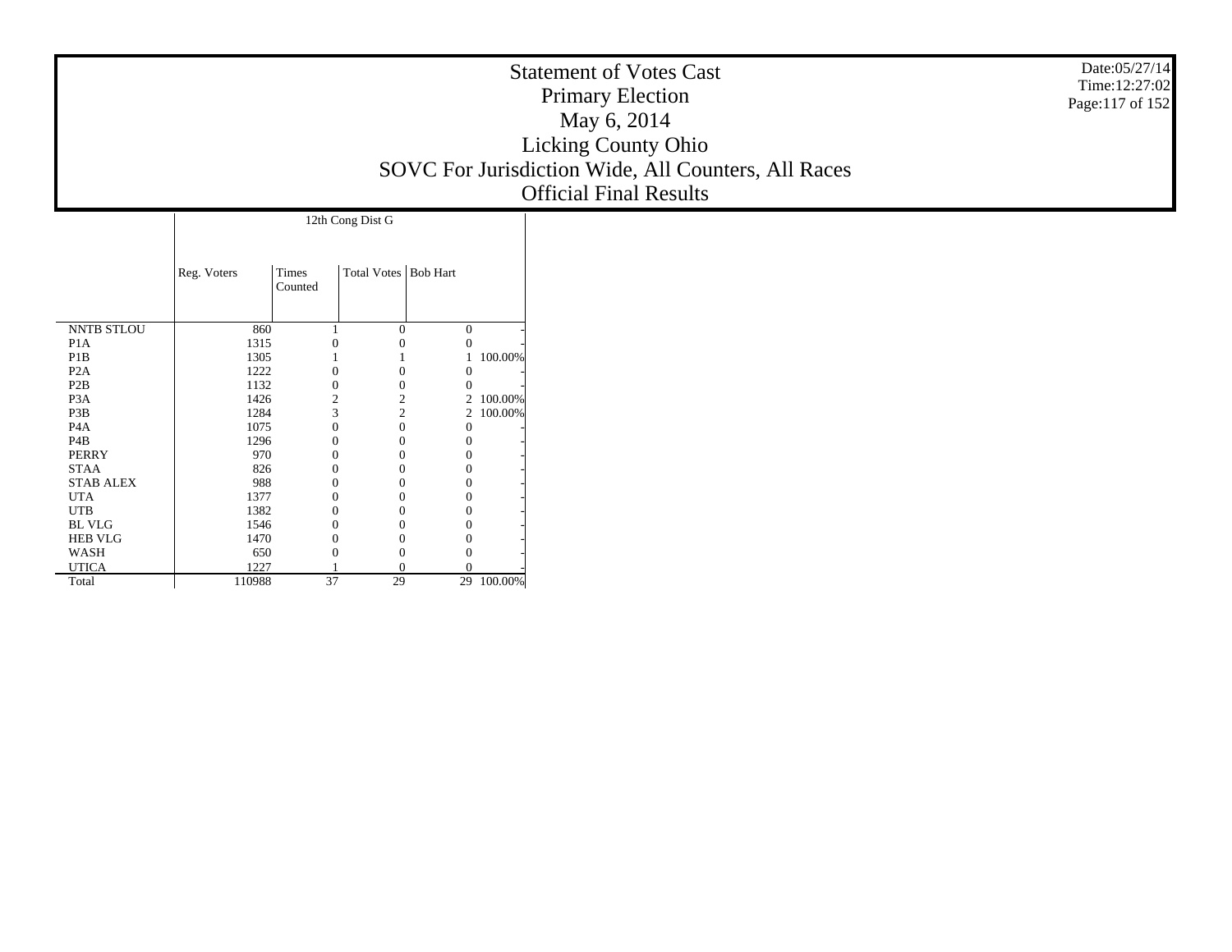|                   |             |                  |                        | <b>Statement of Votes Cast</b><br><b>Licking County Ohio</b><br>SOVC For Jurisdiction Wide, All Counters, All Races<br><b>Official Final Results</b> |
|-------------------|-------------|------------------|------------------------|------------------------------------------------------------------------------------------------------------------------------------------------------|
|                   |             |                  | 12th Cong Dist G       |                                                                                                                                                      |
|                   |             |                  |                        |                                                                                                                                                      |
|                   | Reg. Voters | Times<br>Counted | Total Votes   Bob Hart |                                                                                                                                                      |
|                   |             |                  |                        |                                                                                                                                                      |
| <b>NNTB STLOU</b> | 860         |                  |                        | $\mathbf{0}$                                                                                                                                         |
| P <sub>1</sub> A  | 1315        |                  |                        |                                                                                                                                                      |
| P1B               | 1305        |                  |                        | 100.00%                                                                                                                                              |
| P <sub>2</sub> A  | 1222        | $\boldsymbol{0}$ |                        |                                                                                                                                                      |
| P <sub>2</sub> B  | 1132        | $\mathbf{0}$     |                        |                                                                                                                                                      |
| P <sub>3</sub> A  | 1426        | $\overline{c}$   |                        | 100.00%<br>2                                                                                                                                         |
| P3B               | 1284        | $\mathfrak{Z}$   |                        | $\overline{2}$<br>100.00%                                                                                                                            |
| P <sub>4</sub> A  | 1075        | $\mathbf{0}$     |                        |                                                                                                                                                      |
| P4B               | 1296        | $\mathbf{0}$     |                        |                                                                                                                                                      |
| <b>PERRY</b>      | 970         | $\mathbf{0}$     |                        |                                                                                                                                                      |
| <b>STAA</b>       | 826         | $\mathbf{0}$     |                        |                                                                                                                                                      |
| <b>STAB ALEX</b>  | 988         | $\theta$         | $\Omega$               | $\Omega$                                                                                                                                             |

UTA UTB

 BL VLG HEB VLG WASHUTICA Total

1377

1382

1546

1470

1227

110988

650

0 0 0 -

0 0 0 -

0 0 0 -

 $0 \qquad 0 \qquad 0 \qquad 0 \qquad -$ 

 $0 \qquad 0 \qquad 0 \qquad 0 \qquad -$ 

1 0 0 -

 $\frac{1}{37}$  0 0 100.00%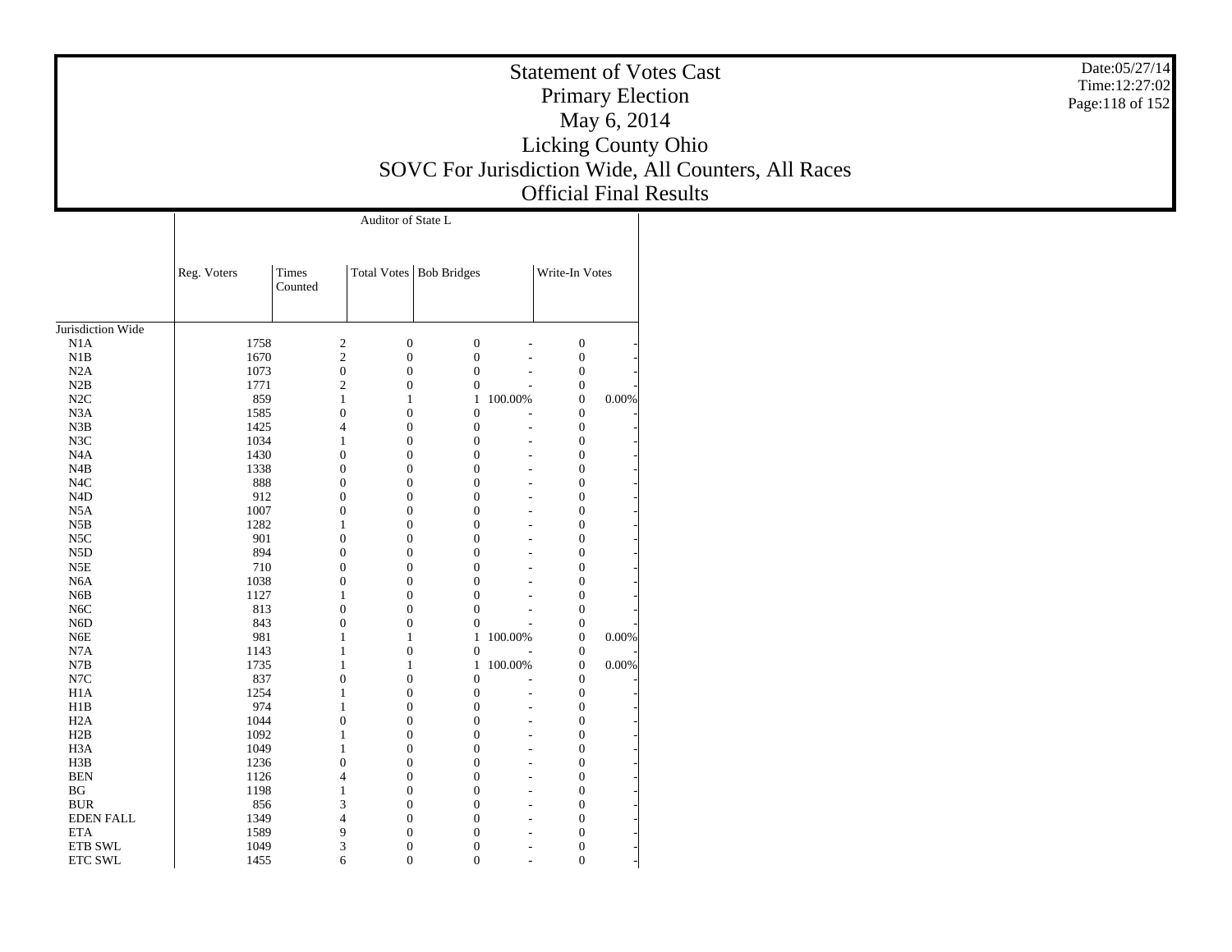|                                  | <b>Statement of Votes Cast</b> |         |                                    |                                    |                                                     |                               |                                  |                         |  |  |  |  |  |
|----------------------------------|--------------------------------|---------|------------------------------------|------------------------------------|-----------------------------------------------------|-------------------------------|----------------------------------|-------------------------|--|--|--|--|--|
|                                  |                                |         |                                    |                                    |                                                     |                               |                                  | <b>Primary Election</b> |  |  |  |  |  |
|                                  |                                |         |                                    |                                    |                                                     |                               |                                  | May 6, 2014             |  |  |  |  |  |
|                                  |                                |         |                                    |                                    |                                                     |                               |                                  |                         |  |  |  |  |  |
|                                  |                                |         |                                    |                                    |                                                     | Licking County Ohio           |                                  |                         |  |  |  |  |  |
|                                  |                                |         |                                    |                                    | SOVC For Jurisdiction Wide, All Counters, All Races |                               |                                  |                         |  |  |  |  |  |
|                                  |                                |         |                                    |                                    |                                                     | <b>Official Final Results</b> |                                  |                         |  |  |  |  |  |
|                                  |                                |         |                                    |                                    |                                                     |                               |                                  |                         |  |  |  |  |  |
|                                  |                                |         |                                    | Auditor of State L                 |                                                     |                               |                                  |                         |  |  |  |  |  |
|                                  |                                |         |                                    |                                    |                                                     |                               |                                  |                         |  |  |  |  |  |
|                                  |                                |         |                                    |                                    |                                                     |                               |                                  |                         |  |  |  |  |  |
|                                  | Reg. Voters                    | Times   |                                    | Total Votes   Bob Bridges          |                                                     |                               | Write-In Votes                   |                         |  |  |  |  |  |
|                                  |                                | Counted |                                    |                                    |                                                     |                               |                                  |                         |  |  |  |  |  |
|                                  |                                |         |                                    |                                    |                                                     |                               |                                  |                         |  |  |  |  |  |
| Jurisdiction Wide                |                                |         |                                    |                                    |                                                     |                               |                                  |                         |  |  |  |  |  |
| N1A                              | 1758                           |         | $\sqrt{2}$                         | $\boldsymbol{0}$                   | $\boldsymbol{0}$                                    |                               | $\boldsymbol{0}$                 |                         |  |  |  |  |  |
| N1B                              | 1670                           |         | $\sqrt{2}$                         | $\boldsymbol{0}$                   | $\mathbf{0}$                                        |                               | $\mathbf{0}$                     |                         |  |  |  |  |  |
| N2A                              | 1073                           |         | $\boldsymbol{0}$                   | $\boldsymbol{0}$                   | $\boldsymbol{0}$                                    |                               | $\boldsymbol{0}$                 |                         |  |  |  |  |  |
| N2B<br>N2C                       | 1771                           | 859     | $\mathbf{2}$<br>$\mathbf{1}$       | $\mathbf{0}$<br>$\overline{1}$     | $\boldsymbol{0}$<br>1 100.00%                       |                               | $\mathbf{0}$<br>$\mathbf{0}$     | 0.00%                   |  |  |  |  |  |
| N3A                              | 1585                           |         | $\boldsymbol{0}$                   | $\Omega$                           | $\mathbf{0}$                                        |                               | $\boldsymbol{0}$                 |                         |  |  |  |  |  |
| N3B                              | 1425                           |         | $\overline{4}$                     | $\boldsymbol{0}$                   | $\mathbf{0}$                                        |                               | $\mathbf{0}$                     |                         |  |  |  |  |  |
| N3C                              | 1034                           |         |                                    | $\mathbf{0}$                       | $\boldsymbol{0}$                                    |                               | $\mathbf{0}$                     |                         |  |  |  |  |  |
| N <sub>4</sub> A                 | 1430                           |         | $\boldsymbol{0}$                   | $\mathbf{0}$                       | $\mathbf{0}$                                        |                               | $\boldsymbol{0}$                 |                         |  |  |  |  |  |
| N4B                              | 1338                           |         | $\mathbf{0}$                       | $\overline{0}$                     | $\mathbf{0}$                                        |                               | $\boldsymbol{0}$                 |                         |  |  |  |  |  |
| N4C                              |                                | 888     | $\boldsymbol{0}$                   | $\overline{0}$                     | $\overline{0}$                                      |                               | $\mathbf{0}$                     |                         |  |  |  |  |  |
| N <sub>4</sub> D                 |                                | 912     | $\boldsymbol{0}$                   | $\mathbf{0}$                       | $\mathbf{0}$                                        |                               | $\boldsymbol{0}$                 |                         |  |  |  |  |  |
| N <sub>5</sub> A                 | 1007                           |         | $\overline{0}$                     | $\overline{0}$                     | $\overline{0}$                                      |                               | $\mathbf{0}$                     |                         |  |  |  |  |  |
| N5B                              | 1282                           |         |                                    | $\theta$                           | $\theta$                                            |                               | $\mathbf{0}$                     |                         |  |  |  |  |  |
| $_{\rm NSC}$                     |                                | 901     | $\boldsymbol{0}$                   | $\overline{0}$                     | $\boldsymbol{0}$                                    |                               | $\boldsymbol{0}$                 |                         |  |  |  |  |  |
| N5D                              |                                | 894     | $\overline{0}$                     | $\overline{0}$                     | $\theta$                                            |                               | $\mathbf{0}$                     |                         |  |  |  |  |  |
| $_{\rm N5E}$<br>N <sub>6</sub> A | 1038                           | 710     | $\overline{0}$<br>$\boldsymbol{0}$ | $\theta$<br>$\boldsymbol{0}$       | $\overline{0}$<br>$\overline{0}$                    |                               | $\mathbf{0}$<br>$\boldsymbol{0}$ |                         |  |  |  |  |  |
| N6B                              | 1127                           |         |                                    | $\theta$                           | $\Omega$                                            |                               | $\mathbf{0}$                     |                         |  |  |  |  |  |
| N6C                              |                                | 813     | $\boldsymbol{0}$                   | $\Omega$                           | $\mathbf{0}$                                        |                               | $\mathbf{0}$                     |                         |  |  |  |  |  |
| N <sub>6</sub> D                 |                                | 843     | $\boldsymbol{0}$                   | $\overline{0}$                     | $\mathbf{0}$                                        |                               | $\mathbf{0}$                     |                         |  |  |  |  |  |
| N6E                              | 981                            |         |                                    |                                    | 100.00%<br>$\mathbf{1}$                             |                               | $\theta$                         | $0.00\%$                |  |  |  |  |  |
| N7A                              | 1143                           |         |                                    | $\overline{0}$                     | $\mathbf{0}$                                        |                               | $\boldsymbol{0}$                 |                         |  |  |  |  |  |
| N7B                              | 1735                           |         |                                    |                                    | 100.00%<br>$\mathbf{1}$                             |                               | $\boldsymbol{0}$                 | 0.00%                   |  |  |  |  |  |
| $_{\mathrm{N7C}}$                |                                | 837     | $\overline{0}$                     | $\boldsymbol{0}$                   | $\mathbf{0}$                                        |                               | $\mathbf{0}$                     |                         |  |  |  |  |  |
| H <sub>1</sub> A                 | 1254                           |         |                                    | $\mathbf{0}$                       | $\mathbf{0}$                                        |                               | $\boldsymbol{0}$                 |                         |  |  |  |  |  |
| H1B                              |                                | 974     |                                    | $\overline{0}$                     | $\overline{0}$                                      |                               | $\mathbf{0}$                     |                         |  |  |  |  |  |
| H <sub>2</sub> A<br>H2B          | 1044                           |         | $\overline{0}$                     | $\overline{0}$                     | $\overline{0}$                                      |                               | $\mathbf{0}$                     |                         |  |  |  |  |  |
| H <sub>3</sub> A                 | 1092<br>1049                   |         |                                    | $\boldsymbol{0}$<br>$\overline{0}$ | $\mathbf{0}$<br>$\overline{0}$                      |                               | $\mathbf{0}$<br>$\mathbf{0}$     |                         |  |  |  |  |  |
| H3B                              | 1236                           |         | $\boldsymbol{0}$                   | $\mathbf{0}$                       | $\mathbf{0}$                                        |                               | $\boldsymbol{0}$                 |                         |  |  |  |  |  |
| $\operatorname{BEN}$             | 1126                           |         | 4                                  | $\overline{0}$                     | $\overline{0}$                                      |                               | $\boldsymbol{0}$                 |                         |  |  |  |  |  |
| $\mathbf{B}\mathbf{G}$           | 1198                           |         |                                    | $\Omega$                           | $\Omega$                                            |                               | $\mathbf{0}$                     |                         |  |  |  |  |  |
| <b>BUR</b>                       |                                | 856     | 3                                  | $\mathbf{0}$                       | $\boldsymbol{0}$                                    | L.                            | $\boldsymbol{0}$                 |                         |  |  |  |  |  |
| <b>EDEN FALL</b>                 | 1349                           |         | $\overline{4}$                     | $\Omega$                           | $\overline{0}$                                      |                               | $\overline{0}$                   |                         |  |  |  |  |  |

ETA<br>ETB SWL<br>ETC SWL

1589

1049

1455

9 0 0 - 0 -

3 0 0 - 0 -

6 0 0 - 0 -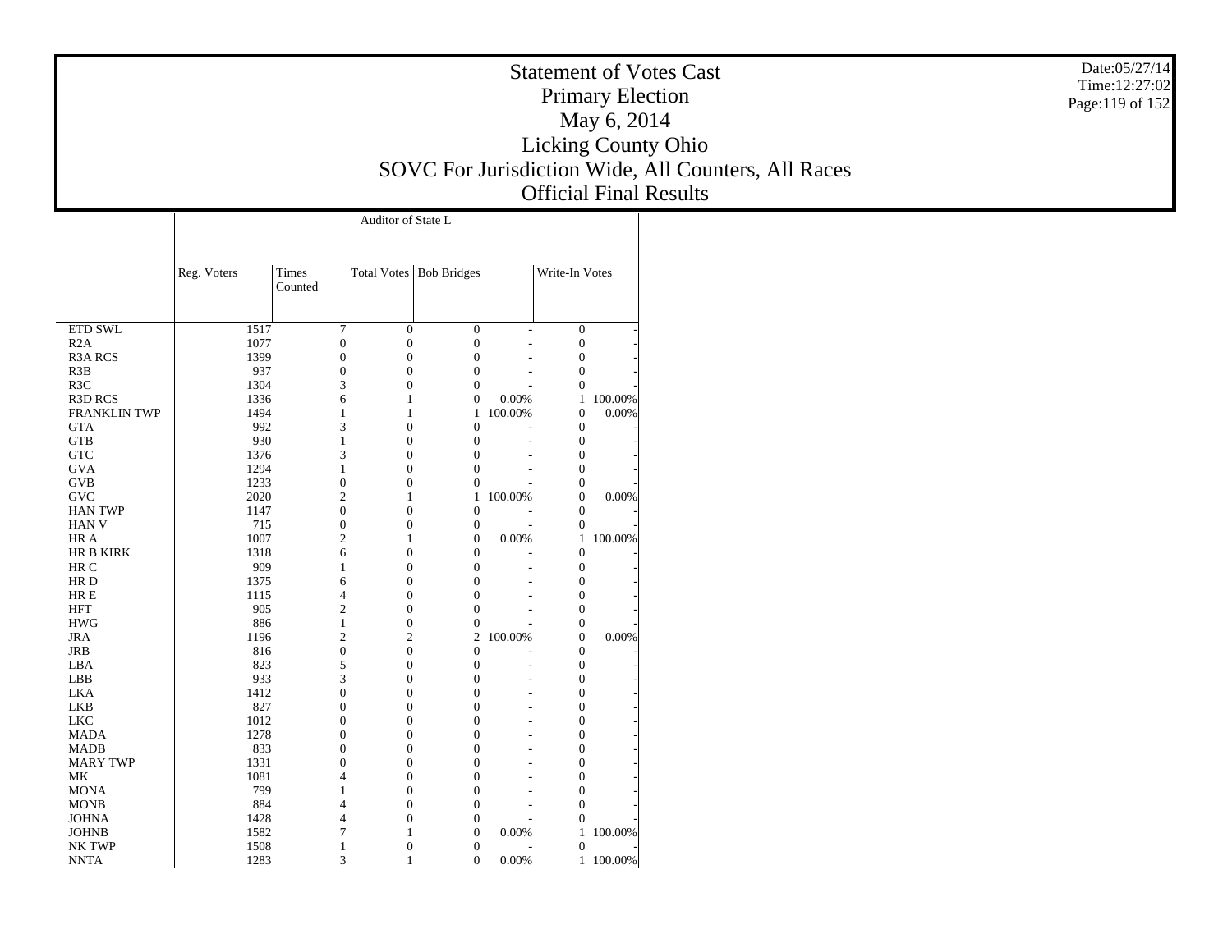|                              |              |         |                                                  |                                               |                |                               | <b>Statement of Votes Cast</b>                      | Date:05/27/14   |
|------------------------------|--------------|---------|--------------------------------------------------|-----------------------------------------------|----------------|-------------------------------|-----------------------------------------------------|-----------------|
|                              |              |         |                                                  | <b>Primary Election</b>                       | Time: 12:27:02 |                               |                                                     |                 |
|                              |              |         |                                                  |                                               |                |                               |                                                     | Page:119 of 152 |
|                              |              |         |                                                  |                                               |                | May 6, 2014                   |                                                     |                 |
|                              |              |         |                                                  |                                               |                | Licking County Ohio           |                                                     |                 |
|                              |              |         |                                                  |                                               |                |                               | SOVC For Jurisdiction Wide, All Counters, All Races |                 |
|                              |              |         |                                                  |                                               |                |                               |                                                     |                 |
|                              |              |         |                                                  |                                               |                | <b>Official Final Results</b> |                                                     |                 |
|                              |              |         | Auditor of State L                               |                                               |                |                               |                                                     |                 |
|                              |              |         |                                                  |                                               |                |                               |                                                     |                 |
|                              |              |         |                                                  |                                               |                |                               |                                                     |                 |
|                              | Reg. Voters  | Times   |                                                  | Total Votes   Bob Bridges                     |                | Write-In Votes                |                                                     |                 |
|                              |              | Counted |                                                  |                                               |                |                               |                                                     |                 |
|                              |              |         |                                                  |                                               |                |                               |                                                     |                 |
| ETD SWL                      | 1517         |         | $\tau$                                           | $\overline{0}$<br>$\boldsymbol{0}$            | $\sim$         | $\boldsymbol{0}$              |                                                     |                 |
| R2A                          | 1077         |         | $\overline{0}$<br>$\mathbf{0}$                   | $\overline{0}$                                |                | $\overline{0}$                |                                                     |                 |
| R3A RCS                      | 1399         |         | $\mathbf{0}$<br>$\mathbf{0}$                     | $\boldsymbol{0}$                              |                | $\theta$                      |                                                     |                 |
| R3B                          | 937          |         | $\overline{0}$<br>$\mathbf{0}$                   | $\theta$                                      |                | $\theta$                      |                                                     |                 |
| R3C                          | 1304         |         | 3<br>$\mathbf{0}$                                | $\mathbf{0}$                                  |                | $\theta$                      |                                                     |                 |
| R3D RCS                      | 1336         |         | 6<br>1                                           | $\mathbf{0}$<br>0.00%                         |                | 1 100.00%                     |                                                     |                 |
| <b>FRANKLIN TWP</b>          | 1494         |         | 1                                                | $100.00\%$                                    |                | 0.00%<br>$\mathbf{0}$         |                                                     |                 |
| <b>GTA</b>                   | 992          |         | $\mathbf{0}$<br>3                                | $\theta$                                      |                | $\mathbf{0}$                  |                                                     |                 |
| <b>GTB</b>                   | 930          |         | $\boldsymbol{0}$                                 | $\boldsymbol{0}$                              |                | $\boldsymbol{0}$              |                                                     |                 |
| <b>GTC</b>                   | 1376         |         | $\mathbf{0}$<br>3                                | $\theta$                                      |                | $\overline{0}$                |                                                     |                 |
| <b>GVA</b>                   | 1294         |         | $\mathbf{0}$                                     | $\mathbf{0}$                                  |                | $\mathbf{0}$                  |                                                     |                 |
| <b>GVB</b>                   | 1233         |         | $\overline{0}$<br>$\mathbf{0}$                   | $\boldsymbol{0}$                              |                | $\theta$                      |                                                     |                 |
| $\operatorname{GVC}$         | 2020         |         | $\overline{2}$<br>$\mathbf{1}$                   | 100.00%<br>1                                  |                | 0.00%<br>$\theta$             |                                                     |                 |
| <b>HAN TWP</b>               | 1147         |         | $\overline{0}$<br>$\mathbf{0}$<br>$\overline{0}$ | $\mathbf{0}$                                  |                |                               |                                                     |                 |
| <b>HAN V</b><br>HR A         | 715<br>1007  |         | $\mathbf{0}$<br>$\mathfrak{D}$<br>1              | $\boldsymbol{0}$<br>0.00%<br>$\boldsymbol{0}$ |                | $\mathbf{0}$<br>1 100.00%     |                                                     |                 |
| HR B KIRK                    | 1318         |         | $\mathbf{0}$<br>6                                | $\mathbf{0}$                                  |                | $\mathbf{0}$                  |                                                     |                 |
| HR C                         | 909          |         | $\mathbf{0}$                                     | $\boldsymbol{0}$                              |                | $\overline{0}$                |                                                     |                 |
| HR D                         | 1375         |         | $\mathbf{0}$<br>6                                | $\theta$                                      |                | $\theta$                      |                                                     |                 |
| HR E                         | 1115         |         | $\mathbf{0}$                                     | $\theta$                                      |                | $\theta$                      |                                                     |                 |
| <b>HFT</b>                   | 905          |         | $\overline{c}$<br>$\mathbf{0}$                   | $\theta$                                      |                | $\mathbf{0}$                  |                                                     |                 |
| <b>HWG</b>                   | 886          |         | $\boldsymbol{0}$                                 | $\mathbf{0}$                                  |                | $\overline{0}$                |                                                     |                 |
| JRA                          | 1196         |         | $\overline{2}$<br>$\overline{c}$                 | $\overline{2}$<br>100.00%                     |                | 0.00%<br>$\mathbf{0}$         |                                                     |                 |
| JRB                          | 816          |         | $\overline{0}$<br>$\mathbf{0}$                   | $\mathbf{0}$                                  |                | $\mathbf{0}$                  |                                                     |                 |
| LBA                          | 823          |         | 5                                                | $\mathbf{0}$<br>$\boldsymbol{0}$              |                | $\mathbf{0}$                  |                                                     |                 |
| LBB                          | 933          |         | 3<br>$\mathbf{0}$                                | $\theta$                                      |                | $\overline{0}$                |                                                     |                 |
| LKA                          | 1412         |         | $\theta$<br>$\mathbf{0}$                         | $\theta$                                      |                | $\theta$                      |                                                     |                 |
| LKB                          | 827          |         | $\theta$<br>$\mathbf{0}$                         | $\Omega$                                      |                | $\overline{0}$                |                                                     |                 |
| ${\rm LKC}$                  | 1012         |         | $\theta$<br>$\mathbf{0}$                         | $\Omega$                                      |                | $\theta$                      |                                                     |                 |
| <b>MADA</b>                  | 1278         |         | $\theta$<br>$\mathbf{0}$                         | $\theta$                                      |                | $\theta$                      |                                                     |                 |
| MADB                         | 833          |         | $\Omega$<br>$\overline{0}$                       | $\Omega$                                      |                | $\Omega$                      |                                                     |                 |
| <b>MARY TWP</b>              | 1331         |         | $\mathbf{0}$                                     | $\overline{0}$<br>$\boldsymbol{0}$            |                | $\mathbf{0}$                  |                                                     |                 |
| MK                           | 1081         |         | $\mathbf{0}$<br>$\overline{4}$                   | $\overline{0}$                                |                | $\boldsymbol{0}$              |                                                     |                 |
| <b>MONA</b>                  | 799          |         | $\mathbf{0}$                                     | $\overline{0}$                                |                | 0                             |                                                     |                 |
| <b>MONB</b>                  | 884          |         | $\overline{4}$                                   | $\mathbf{0}$<br>$\mathbf{0}$                  |                | 0                             |                                                     |                 |
| <b>JOHNA</b><br><b>JOHNB</b> | 1428<br>1582 |         | $\overline{4}$<br>$\tau$<br>1                    | $\mathbf{0}$<br>$\mathbf{0}$<br>$\mathbf{0}$  |                | 0<br>1 100.00%                |                                                     |                 |
| NK TWP                       | 1508         |         | -1                                               | $0.00\%$<br>$\mathbf{0}$<br>$\boldsymbol{0}$  |                | 0                             |                                                     |                 |
|                              |              | 1283    | 3<br>$\mathbf{1}$                                | $\overline{0}$<br>$0.00\%$                    |                | 1 100.00%                     |                                                     |                 |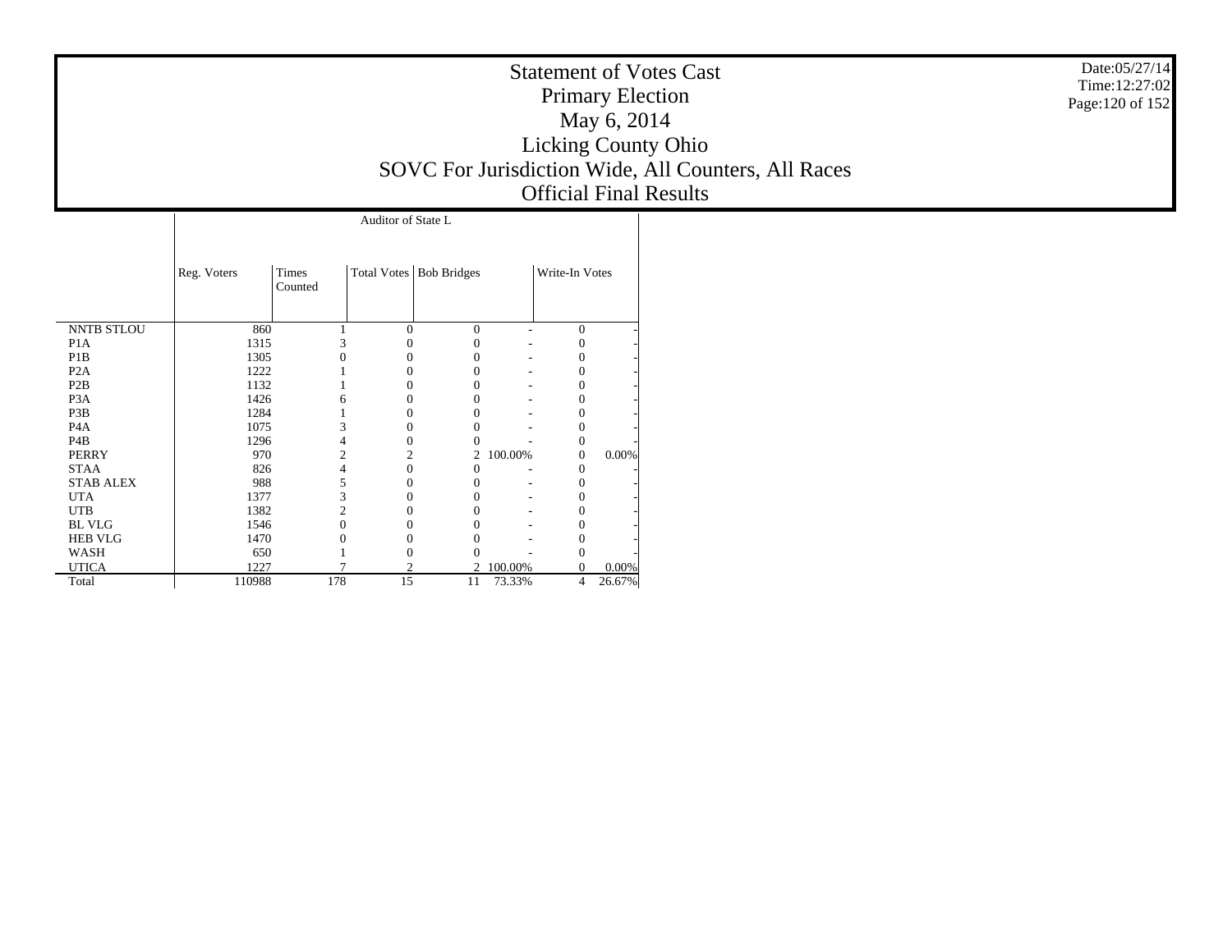| <b>Statement of Votes Cast</b><br><b>Primary Election</b><br>May 6, 2014<br><b>Licking County Ohio</b><br>SOVC For Jurisdiction Wide, All Counters, All Races<br><b>Official Final Results</b> | Date:05/27/14<br>Time: 12:27:02<br>Page: 120 of 152 |
|------------------------------------------------------------------------------------------------------------------------------------------------------------------------------------------------|-----------------------------------------------------|
| Auditor of State I                                                                                                                                                                             |                                                     |

|                   |             |                         | Auguot of State L |                           |         |                |        |
|-------------------|-------------|-------------------------|-------------------|---------------------------|---------|----------------|--------|
|                   | Reg. Voters | <b>Times</b><br>Counted |                   | Total Votes   Bob Bridges |         | Write-In Votes |        |
| <b>NNTB STLOU</b> | 860         |                         | $\Omega$          | $\Omega$                  |         | $\mathbf{0}$   |        |
| P <sub>1</sub> A  | 1315        | 3                       | 0                 |                           |         | 0              |        |
| P <sub>1</sub> B  | 1305        | 0                       | 0                 | $\Omega$                  |         | 0              |        |
| P <sub>2</sub> A  | 1222        |                         | 0                 | 0                         |         | 0              |        |
| P <sub>2</sub> B  | 1132        |                         | 0                 |                           |         | 0              |        |
| P <sub>3</sub> A  | 1426        | 6                       | 0                 | 0                         |         | 0              |        |
| P3B               | 1284        |                         | 0                 |                           |         | 0              |        |
| P <sub>4</sub> A  | 1075        | 3                       | 0                 |                           |         | 0              |        |
| P <sub>4</sub> B  | 1296        | 4                       | 0                 |                           |         | 0              |        |
| <b>PERRY</b>      | 970         | 2                       | $\overline{c}$    | 2                         | 100.00% | 0              | 0.00%  |
| <b>STAA</b>       | 826         | 4                       | 0                 | 0                         |         | 0              |        |
| <b>STAB ALEX</b>  | 988         | 5                       | 0                 |                           |         | 0              |        |
| <b>UTA</b>        | 1377        | 3                       | 0                 |                           |         | 0              |        |
| <b>UTB</b>        | 1382        | $\overline{c}$          | 0                 |                           |         | 0              |        |
| <b>BL VLG</b>     | 1546        | $\theta$                | 0                 | $\theta$                  |         | 0              |        |
| <b>HEB VLG</b>    | 1470        | 0                       |                   |                           |         | 0              |        |
| <b>WASH</b>       | 650         |                         |                   |                           |         | 0              |        |
| <b>UTICA</b>      | 1227        |                         | 2                 | $\mathfrak{D}$            | 100.00% | 0              | 0.00%  |
| Total             | 110988      | 178                     | 15                | 11                        | 73.33%  | 4              | 26.67% |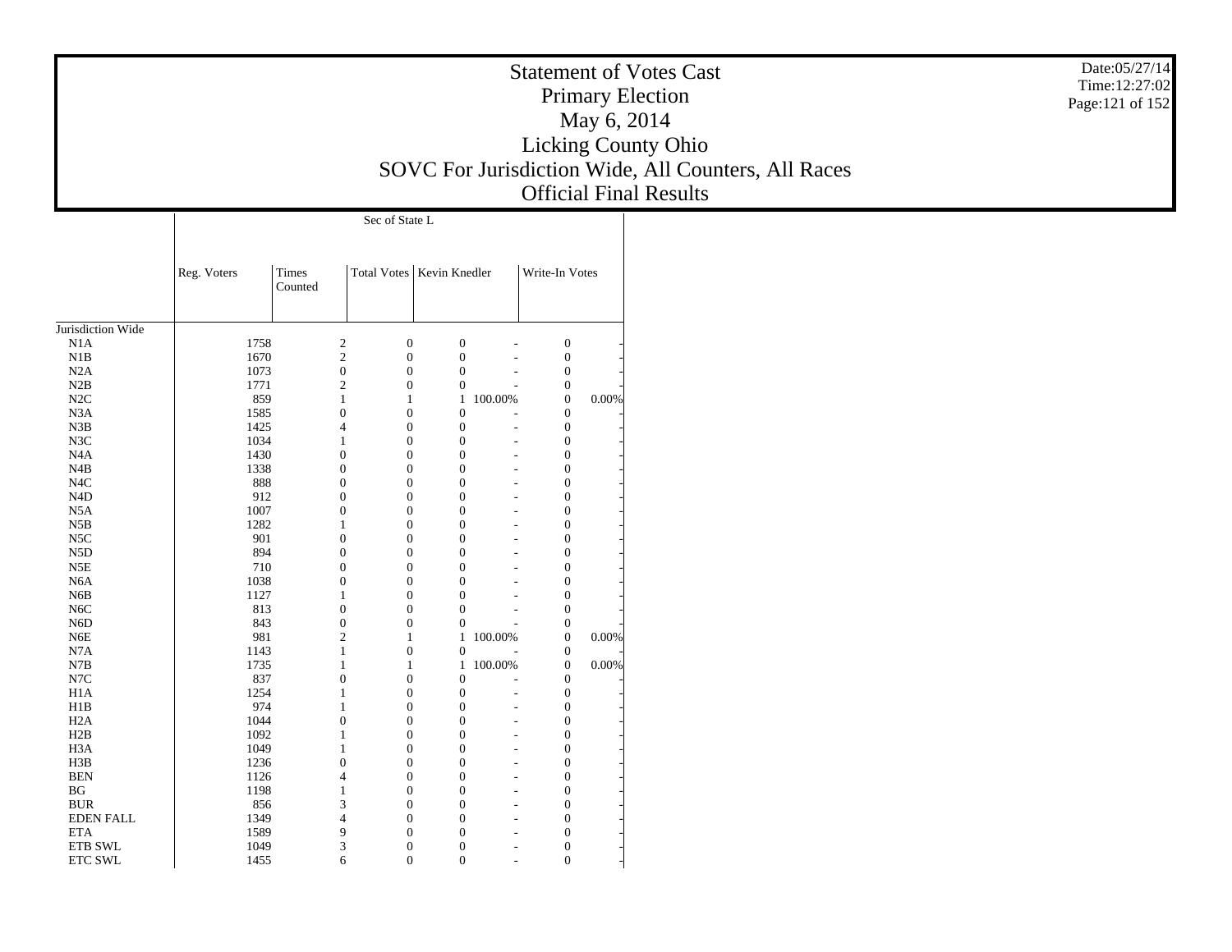|                               |                                                                                  |                                    |                                    |                                      |           |                                    |          | <b>Statement of Votes Cast</b><br><b>Primary Election</b> | Date:05/27/14<br>Time:12:27:02<br>Page: 121 of 152 |
|-------------------------------|----------------------------------------------------------------------------------|------------------------------------|------------------------------------|--------------------------------------|-----------|------------------------------------|----------|-----------------------------------------------------------|----------------------------------------------------|
|                               |                                                                                  |                                    |                                    |                                      |           |                                    |          | May 6, 2014                                               |                                                    |
|                               |                                                                                  |                                    |                                    |                                      |           |                                    |          | Licking County Ohio                                       |                                                    |
|                               |                                                                                  |                                    |                                    |                                      |           |                                    |          |                                                           |                                                    |
|                               |                                                                                  |                                    |                                    |                                      |           |                                    |          | SOVC For Jurisdiction Wide, All Counters, All Races       |                                                    |
|                               |                                                                                  |                                    |                                    |                                      |           |                                    |          | <b>Official Final Results</b>                             |                                                    |
|                               |                                                                                  |                                    | Sec of State L                     |                                      |           |                                    |          |                                                           |                                                    |
|                               |                                                                                  |                                    |                                    |                                      |           |                                    |          |                                                           |                                                    |
|                               | Total Votes   Kevin Knedler<br>Write-In Votes<br>Reg. Voters<br>Times<br>Counted |                                    |                                    |                                      |           |                                    |          |                                                           |                                                    |
|                               |                                                                                  |                                    |                                    |                                      |           |                                    |          |                                                           |                                                    |
| Jurisdiction Wide             |                                                                                  |                                    |                                    |                                      |           |                                    |          |                                                           |                                                    |
| N1A                           | 1758                                                                             | $\sqrt{2}$                         | $\boldsymbol{0}$                   | 0                                    |           | 0                                  |          |                                                           |                                                    |
| N1B                           | 1670                                                                             | $\sqrt{2}$                         | $\boldsymbol{0}$                   | $\boldsymbol{0}$                     |           | $\boldsymbol{0}$                   |          |                                                           |                                                    |
| N2A                           | 1073                                                                             | $\boldsymbol{0}$                   | $\mathbf{0}$                       | $\boldsymbol{0}$                     |           | $\boldsymbol{0}$                   |          |                                                           |                                                    |
| N2B                           | 1771                                                                             | $\overline{2}$                     | $\mathbf{0}$                       | $\mathbf{0}$                         |           | $\boldsymbol{0}$                   |          |                                                           |                                                    |
| $\rm N2C$<br>N3A              | 859<br>1585                                                                      | $\overline{0}$                     | $\mathbf{0}$                       | $\boldsymbol{0}$                     | 1 100.00% | $\boldsymbol{0}$<br>0              | 0.00%    |                                                           |                                                    |
| N3B                           | 1425                                                                             | $\overline{4}$                     | $\mathbf{0}$                       | $\boldsymbol{0}$                     |           | $\boldsymbol{0}$                   |          |                                                           |                                                    |
| N3C                           | 1034                                                                             | $\mathbf{1}$                       | $\mathbf{0}$                       | $\boldsymbol{0}$                     |           | $\overline{0}$                     |          |                                                           |                                                    |
| N <sub>4</sub> A              | 1430                                                                             | $\overline{0}$                     | $\mathbf{0}$                       | $\boldsymbol{0}$                     |           | $\overline{0}$                     |          |                                                           |                                                    |
| N4B                           | 1338                                                                             | $\overline{0}$                     | $\overline{0}$                     | $\boldsymbol{0}$                     |           | $\overline{0}$                     |          |                                                           |                                                    |
| N4C                           | 888                                                                              | $\overline{0}$                     | $\overline{0}$                     | $\boldsymbol{0}$                     |           | $\overline{0}$                     |          |                                                           |                                                    |
| N <sub>4</sub> D              | 912                                                                              | $\overline{0}$                     | $\theta$                           | $\boldsymbol{0}$                     |           | $\overline{0}$                     |          |                                                           |                                                    |
| N5A<br>N5B                    | 1007<br>1282                                                                     | $\overline{0}$<br>$\mathbf{1}$     | $\overline{0}$<br>$\overline{0}$   | $\boldsymbol{0}$<br>$\boldsymbol{0}$ |           | $\overline{0}$<br>$\overline{0}$   |          |                                                           |                                                    |
| N5C                           | 901                                                                              | $\overline{0}$                     | $\overline{0}$                     | $\boldsymbol{0}$                     |           | $\overline{0}$                     |          |                                                           |                                                    |
| N <sub>5</sub> D              | 894                                                                              | $\overline{0}$                     | $\theta$                           | $\boldsymbol{0}$                     |           | $\overline{0}$                     |          |                                                           |                                                    |
| $_{\rm N5E}$                  | 710                                                                              | $\overline{0}$                     | $\mathbf{0}$                       | $\boldsymbol{0}$                     |           | $\overline{0}$                     |          |                                                           |                                                    |
| N <sub>6</sub> A              | 1038                                                                             | $\overline{0}$                     | $\overline{0}$                     | $\boldsymbol{0}$                     |           | $\overline{0}$                     |          |                                                           |                                                    |
| N <sub>6</sub> B              | 1127                                                                             |                                    | $\overline{0}$                     | $\boldsymbol{0}$                     |           | $\overline{0}$                     |          |                                                           |                                                    |
| N <sub>6</sub> C<br>N6D       | 813<br>843                                                                       | $\overline{0}$<br>$\boldsymbol{0}$ | $\overline{0}$<br>$\mathbf{0}$     | $\boldsymbol{0}$<br>$\mathbf{0}$     |           | $\boldsymbol{0}$<br>$\overline{0}$ |          |                                                           |                                                    |
| N <sub>6</sub> E              | 981                                                                              | $\overline{2}$                     |                                    |                                      | 1 100.00% | $\mathbf{0}$                       | 0.00%    |                                                           |                                                    |
| N7A                           | 1143                                                                             | $\mathbf{1}$                       | $\mathbf{0}$                       | 0                                    |           | $\mathbf{0}$                       |          |                                                           |                                                    |
| N7B                           | 1735                                                                             |                                    |                                    | $\mathbf{1}$                         | 100.00%   | $\overline{0}$                     | $0.00\%$ |                                                           |                                                    |
| $_{\rm N7C}$                  | 837                                                                              | $\overline{0}$                     | $\mathbf{0}$                       | $\boldsymbol{0}$                     |           | $\mathbf{0}$                       |          |                                                           |                                                    |
| H <sub>1</sub> A              | 1254                                                                             |                                    | $\mathbf{0}$                       | $\boldsymbol{0}$                     |           | $\boldsymbol{0}$                   |          |                                                           |                                                    |
| H1B                           | 974                                                                              |                                    | $\mathbf{0}$                       | $\boldsymbol{0}$                     |           | $\boldsymbol{0}$                   |          |                                                           |                                                    |
| H <sub>2</sub> A<br>H2B       | 1044<br>1092                                                                     | $\overline{0}$<br>-1               | $\boldsymbol{0}$<br>$\overline{0}$ | $\boldsymbol{0}$<br>$\boldsymbol{0}$ |           | $\mathbf{0}$<br>$\overline{0}$     |          |                                                           |                                                    |
| H3A                           | 1049                                                                             |                                    | $\Omega$                           | $\Omega$                             |           | $\Omega$                           |          |                                                           |                                                    |
| $_{\rm H3B}$                  | 1236                                                                             | $\mathbf{0}$                       | $\mathbf{0}$                       | $\boldsymbol{0}$                     |           | $\overline{0}$                     |          |                                                           |                                                    |
| $\operatorname{BEN}$          | 1126                                                                             | $\overline{4}$                     | $\overline{0}$                     | $\boldsymbol{0}$                     |           | $\mathbf{0}$                       |          |                                                           |                                                    |
| $\mathbf{B}\mathbf{G}$        | 1198                                                                             |                                    | 0                                  | 0                                    |           | $\overline{0}$                     |          |                                                           |                                                    |
| <b>BUR</b>                    | 856                                                                              | 3                                  | 0                                  | $\boldsymbol{0}$                     |           | 0                                  |          |                                                           |                                                    |
| <b>EDEN FALL</b>              | 1349                                                                             | $\overline{4}$                     | 0                                  | $\boldsymbol{0}$                     |           | 0                                  |          |                                                           |                                                    |
| <b>ETA</b><br>ETB SWL         | 1589<br>1049                                                                     | 9<br>3                             | 0<br>0                             | $\mathbf{0}$<br>0                    |           | 0<br>$\boldsymbol{0}$              |          |                                                           |                                                    |
| $\ensuremath{\text{ETC}}$ SWL | 1455                                                                             | 6                                  | $\overline{0}$                     | $\mathbf{0}$                         |           | $\overline{0}$                     |          |                                                           |                                                    |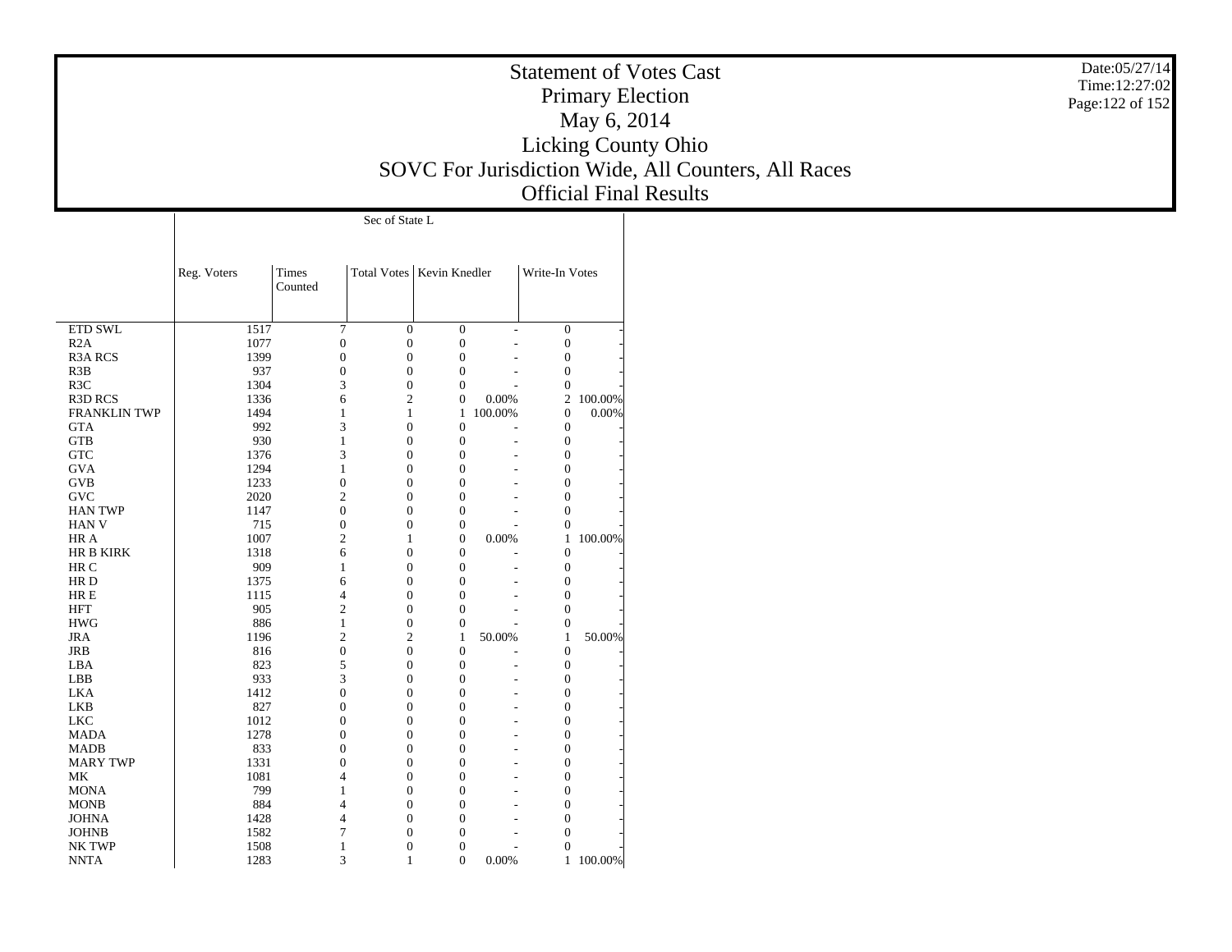|                            |             |                |                                    | <b>Statement of Votes Cast</b>                              | Date:05/27/14 |                                  |           |                                                     |                  |
|----------------------------|-------------|----------------|------------------------------------|-------------------------------------------------------------|---------------|----------------------------------|-----------|-----------------------------------------------------|------------------|
|                            |             |                |                                    |                                                             |               |                                  |           |                                                     | Time: 12:27:02   |
|                            |             |                |                                    |                                                             |               |                                  |           | <b>Primary Election</b>                             | Page: 122 of 152 |
|                            |             |                |                                    |                                                             |               |                                  |           | May 6, 2014                                         |                  |
|                            |             |                |                                    |                                                             |               |                                  |           | Licking County Ohio                                 |                  |
|                            |             |                |                                    |                                                             |               |                                  |           |                                                     |                  |
|                            |             |                |                                    |                                                             |               |                                  |           | SOVC For Jurisdiction Wide, All Counters, All Races |                  |
|                            |             |                |                                    |                                                             |               |                                  |           | <b>Official Final Results</b>                       |                  |
|                            |             |                | Sec of State L                     |                                                             |               |                                  |           |                                                     |                  |
|                            |             |                |                                    |                                                             |               |                                  |           |                                                     |                  |
|                            |             |                |                                    |                                                             |               |                                  |           |                                                     |                  |
|                            | Reg. Voters | Times          | Total Votes   Kevin Knedler        |                                                             |               | Write-In Votes                   |           |                                                     |                  |
|                            |             | Counted        |                                    |                                                             |               |                                  |           |                                                     |                  |
|                            |             |                |                                    |                                                             |               |                                  |           |                                                     |                  |
| ETD SWL                    | 1517        |                | 7                                  | $\overline{0}$<br>$\boldsymbol{0}$                          |               | $\boldsymbol{0}$                 |           |                                                     |                  |
| R2A                        | 1077        |                | $\boldsymbol{0}$                   | $\boldsymbol{0}$<br>$\boldsymbol{0}$                        |               | $\mathbf{0}$                     |           |                                                     |                  |
| <b>R3A RCS</b>             | 1399        |                | $\boldsymbol{0}$                   | $\boldsymbol{0}$<br>$\overline{0}$<br>$\overline{0}$        |               | $\mathbf{0}$                     |           |                                                     |                  |
| R3B<br>R3C                 | 937<br>1304 |                | $\boldsymbol{0}$<br>$\mathfrak{Z}$ | $\boldsymbol{0}$<br>$\boldsymbol{0}$<br>$\overline{0}$      |               | $\mathbf{0}$<br>$\overline{0}$   |           |                                                     |                  |
| <b>R3D RCS</b>             | 1336        |                | 6                                  | $\overline{c}$<br>$\overline{0}$                            | 0.00%         | $\overline{2}$                   | 100.00%   |                                                     |                  |
| <b>FRANKLIN TWP</b>        | 1494        | $\mathbf{1}$   | 1                                  | $\mathbf{1}$                                                | 100.00%       | $\overline{0}$                   | 0.00%     |                                                     |                  |
| <b>GTA</b>                 | 992         |                | 3                                  | $\overline{0}$<br>$\mathbf{0}$                              |               | $\mathbf{0}$                     |           |                                                     |                  |
| <b>GTB</b>                 | 930         | $\mathbf{1}$   |                                    | $\boldsymbol{0}$<br>$\boldsymbol{0}$                        |               | $\mathbf{0}$                     |           |                                                     |                  |
| ${\rm GTC}$                | 1376        |                | $\ensuremath{\mathfrak{Z}}$        | $\boldsymbol{0}$<br>0                                       |               | $\mathbf{0}$                     |           |                                                     |                  |
| <b>GVA</b>                 | 1294        | $\mathbf{1}$   |                                    | $\overline{0}$<br>$\boldsymbol{0}$                          |               | $\mathbf{0}$                     |           |                                                     |                  |
| <b>GVB</b>                 | 1233        |                | $\boldsymbol{0}$                   | $\boldsymbol{0}$<br>$\overline{0}$                          |               | $\boldsymbol{0}$                 |           |                                                     |                  |
| <b>GVC</b>                 | 2020        |                | $\mathfrak{2}$<br>$\boldsymbol{0}$ | $\overline{0}$<br>$\boldsymbol{0}$<br>$\boldsymbol{0}$      |               | $\mathbf{0}$<br>$\boldsymbol{0}$ |           |                                                     |                  |
| <b>HAN TWP</b><br>HAN V    | 1147<br>715 |                | $\boldsymbol{0}$                   | $\boldsymbol{0}$<br>$\boldsymbol{0}$<br>$\overline{0}$      |               | $\overline{0}$                   |           |                                                     |                  |
| HR A                       | 1007        |                | $\boldsymbol{2}$<br>1              | $\boldsymbol{0}$                                            | 0.00%         | $\mathbf{1}$                     | 100.00%   |                                                     |                  |
| HR B KIRK                  | 1318        |                | 6                                  | $\boldsymbol{0}$<br>$\overline{0}$                          |               | $\mathbf{0}$                     |           |                                                     |                  |
| HR C                       | 909         | 1              |                                    | $\boldsymbol{0}$<br>$\boldsymbol{0}$                        |               | $\mathbf{0}$                     |           |                                                     |                  |
| HR D                       | 1375        |                | 6                                  | $\boldsymbol{0}$<br>$\boldsymbol{0}$                        |               | $\mathbf{0}$                     |           |                                                     |                  |
| HR E                       | 1115        |                | $\overline{4}$                     | $\overline{0}$<br>$\mathbf{0}$                              |               | $\mathbf{0}$                     |           |                                                     |                  |
| <b>HFT</b>                 | 905         |                | $\boldsymbol{2}$                   | $\overline{0}$<br>$\overline{0}$                            |               | $\mathbf{0}$                     |           |                                                     |                  |
| <b>HWG</b>                 | 886         | $\mathbf{1}$   |                                    | $\boldsymbol{0}$<br>$\overline{0}$                          |               | $\boldsymbol{0}$                 |           |                                                     |                  |
| JRA                        | 1196        |                | $\sqrt{2}$<br>$\boldsymbol{0}$     | $\overline{c}$<br>1<br>$\boldsymbol{0}$<br>$\boldsymbol{0}$ | 50.00%        | $\mathbf{1}$<br>$\mathbf{0}$     | 50.00%    |                                                     |                  |
| JRB<br>LBA                 | 816<br>823  |                | 5                                  | $\boldsymbol{0}$<br>$\overline{0}$                          |               | $\mathbf{0}$                     |           |                                                     |                  |
| LBB                        | 933         |                | $\mathfrak{Z}$                     | $\boldsymbol{0}$<br>$\boldsymbol{0}$                        |               | $\boldsymbol{0}$                 |           |                                                     |                  |
| <b>LKA</b>                 | 1412        |                | $\boldsymbol{0}$                   | $\overline{0}$<br>$\boldsymbol{0}$                          |               | $\mathbf{0}$                     |           |                                                     |                  |
| <b>LKB</b>                 | 827         |                | $\mathbf{0}$                       | $\overline{0}$<br>$\overline{0}$                            |               | $\mathbf{0}$                     |           |                                                     |                  |
| LKC                        | 1012        |                | $\boldsymbol{0}$<br>$\theta$       | $\overline{0}$                                              |               | $\mathbf{0}$                     |           |                                                     |                  |
| <b>MADA</b>                | 1278        |                | $\mathbf{0}$                       | $\overline{0}$<br>$\Omega$                                  |               | $\mathbf{0}$                     |           |                                                     |                  |
| <b>MADB</b>                | 833         |                | $\boldsymbol{0}$                   | $\Omega$<br>$\Omega$                                        |               | $\mathbf{0}$                     |           |                                                     |                  |
| <b>MARY TWP</b>            | 1331        |                | $\mathbf{0}$                       | $\boldsymbol{0}$<br>$\overline{0}$                          |               | $\mathbf{0}$                     |           |                                                     |                  |
| МK                         | 1081        | $\overline{4}$ |                                    | $\overline{0}$<br>$\Omega$<br>$\overline{0}$                |               | $\mathbf{0}$                     |           |                                                     |                  |
| <b>MONA</b><br><b>MONB</b> | 799<br>884  | 1              | 4                                  | $\overline{0}$<br>$\overline{0}$<br>$\overline{0}$          |               | $\boldsymbol{0}$<br>$\mathbf{0}$ |           |                                                     |                  |
| <b>JOHNA</b>               | 1428        | $\overline{4}$ | $\Omega$                           | $\overline{0}$                                              |               | $\boldsymbol{0}$                 |           |                                                     |                  |
| <b>JOHNB</b>               | 1582        |                | $\tau$                             | $\mathbf{0}$<br>$\overline{0}$                              |               | $\mathbf{0}$                     |           |                                                     |                  |
| <b>NK TWP</b>              | 1508        | $\mathbf{1}$   |                                    | $\boldsymbol{0}$<br>$\boldsymbol{0}$                        |               | $\boldsymbol{0}$                 |           |                                                     |                  |
| <b>NNTA</b>                | 1283        |                | 3<br>1                             | $\mathbf{0}$                                                | 0.00%         |                                  | 1 100.00% |                                                     |                  |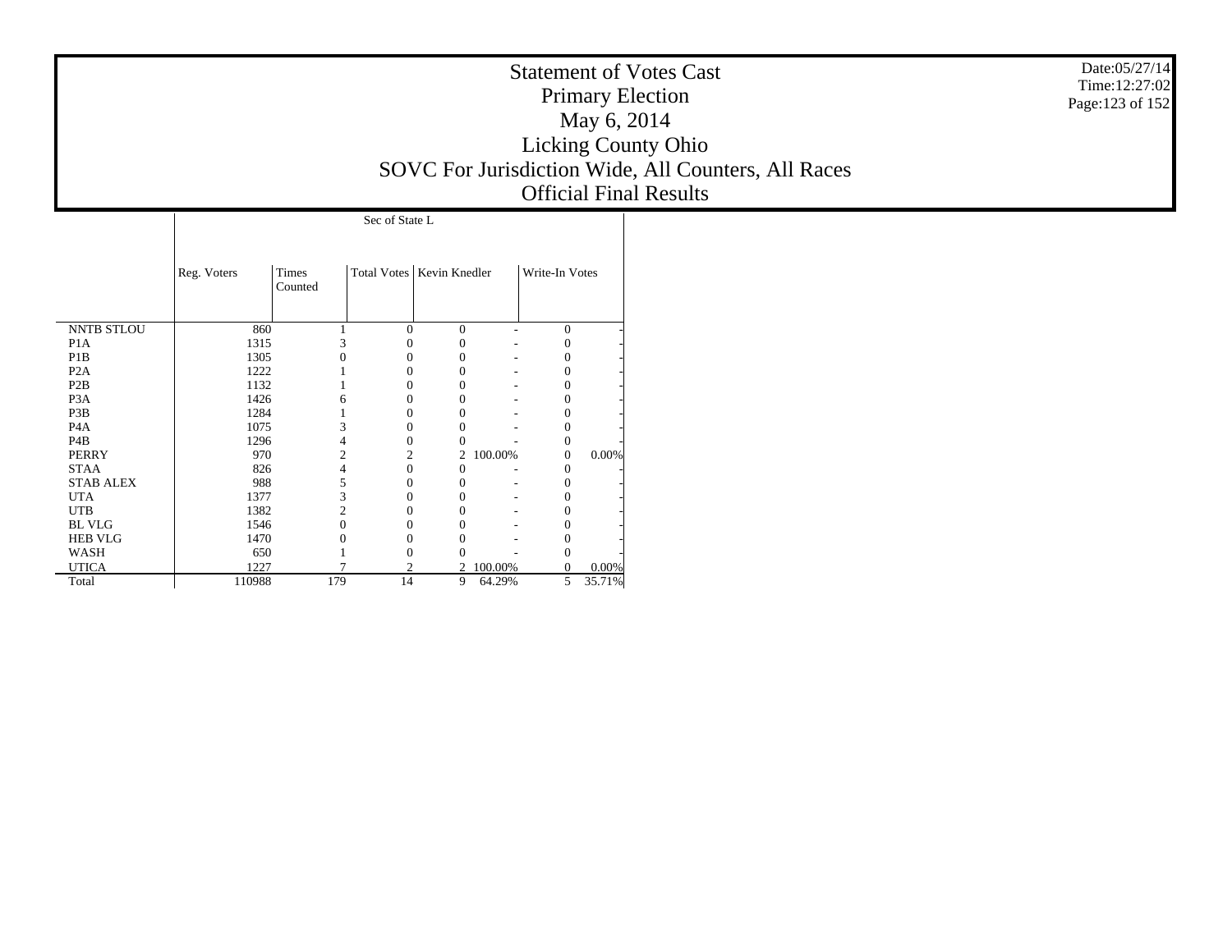| <b>Statement of Votes Cast</b><br><b>Primary Election</b><br>May 6, 2014<br><b>Licking County Ohio</b><br>SOVC For Jurisdiction Wide, All Counters, All Races<br><b>Official Final Results</b> | Date:05/27/14<br>Time: $12:27:02$<br>Page: 123 of 152 |
|------------------------------------------------------------------------------------------------------------------------------------------------------------------------------------------------|-------------------------------------------------------|
| Sec of State L                                                                                                                                                                                 |                                                       |
| Total Votes   Kevin Knedler<br>Times<br>Write-In Votes<br>Reg. Voters<br>Counted                                                                                                               |                                                       |

|                   | Reg. VOICIS | <b>THILE</b><br>Counted | TOtal VOICS   ACVIII Alleulei |          |         | WHIG-HI VOICS |          |
|-------------------|-------------|-------------------------|-------------------------------|----------|---------|---------------|----------|
| <b>NNTB STLOU</b> | 860         |                         | $\Omega$                      | $\Omega$ |         | $\Omega$      |          |
| P <sub>1</sub> A  | 1315        |                         |                               |          |         |               |          |
| P <sub>1</sub> B  | 1305        |                         |                               |          |         | 0             |          |
| P <sub>2</sub> A  | 1222        |                         |                               |          |         |               |          |
| P <sub>2</sub> B  | 1132        |                         |                               |          |         |               |          |
| P <sub>3</sub> A  | 1426        |                         |                               |          |         | 0             |          |
| P3B               | 1284        |                         |                               |          |         |               |          |
| P <sub>4</sub> A  | 1075        |                         |                               |          |         |               |          |
| P <sub>4</sub> B  | 1296        |                         |                               |          |         | 0             |          |
| <b>PERRY</b>      | 970         |                         |                               | 2        | 100.00% |               | $0.00\%$ |
| <b>STAA</b>       | 826         |                         |                               |          |         |               |          |
| <b>STAB ALEX</b>  | 988         |                         |                               |          |         |               |          |
| <b>UTA</b>        | 1377        |                         |                               |          |         |               |          |
| UTB               | 1382        |                         |                               |          |         |               |          |
| <b>BL VLG</b>     | 1546        |                         |                               |          |         |               |          |
| <b>HEB VLG</b>    | 1470        |                         |                               |          |         |               |          |
| WASH              | 650         |                         |                               |          |         |               |          |
| <b>UTICA</b>      | 1227        |                         |                               | 2        | 100.00% | $_{0}$        | $0.00\%$ |
| Total             | 110988      | 179                     | 14                            | 9        | 64.29%  | 5             | 35.71%   |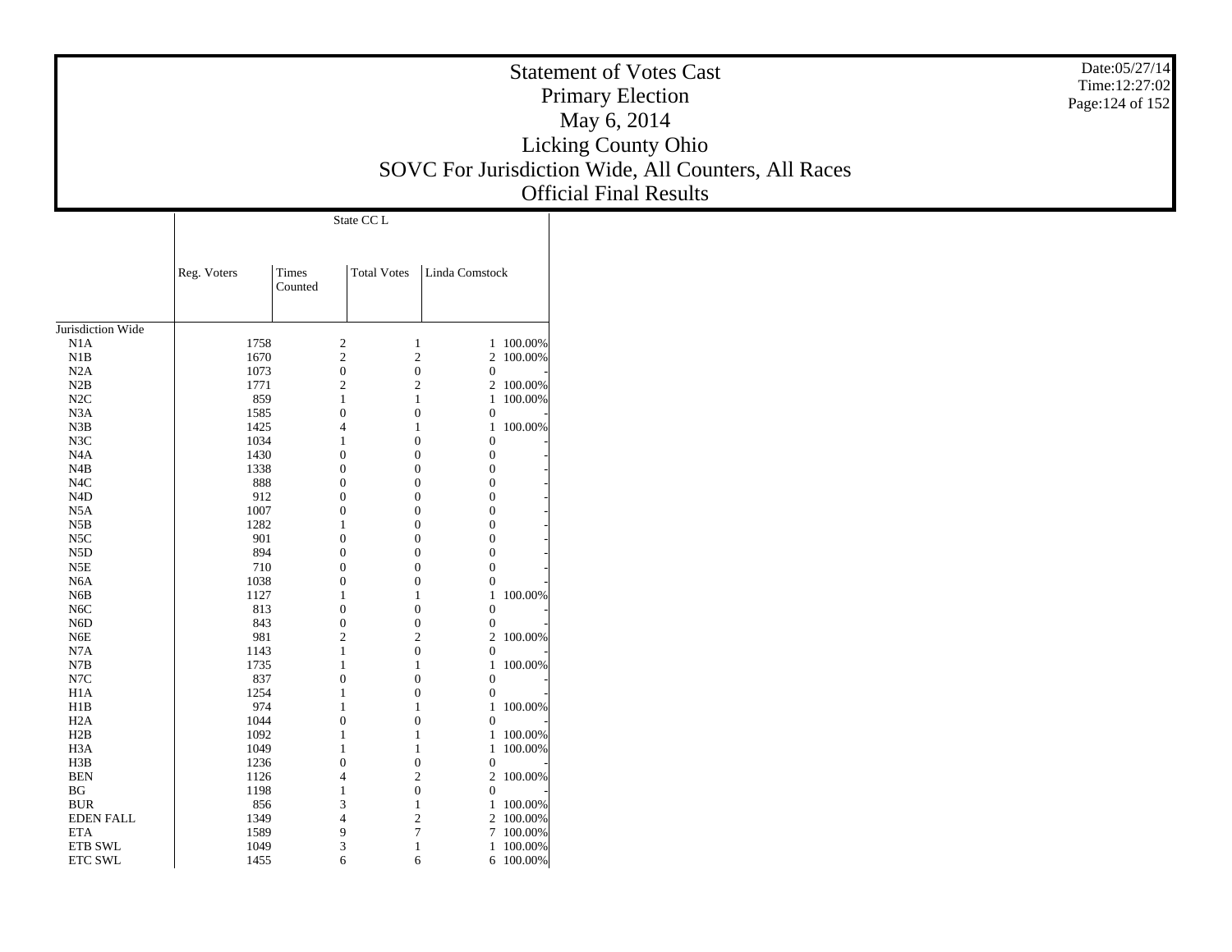|                               |              |                  | <b>Statement of Votes Cast</b> | Date:05/27/14                                         |                        |                                                     |                  |
|-------------------------------|--------------|------------------|--------------------------------|-------------------------------------------------------|------------------------|-----------------------------------------------------|------------------|
|                               |              |                  |                                |                                                       |                        |                                                     | Time: 12:27:02   |
|                               |              |                  |                                |                                                       |                        | <b>Primary Election</b>                             | Page: 124 of 152 |
|                               |              |                  |                                |                                                       |                        | May 6, 2014                                         |                  |
|                               |              |                  |                                |                                                       |                        | Licking County Ohio                                 |                  |
|                               |              |                  |                                |                                                       |                        |                                                     |                  |
|                               |              |                  |                                |                                                       |                        | SOVC For Jurisdiction Wide, All Counters, All Races |                  |
|                               |              |                  |                                |                                                       |                        | <b>Official Final Results</b>                       |                  |
|                               |              |                  | State CC L                     |                                                       |                        |                                                     |                  |
|                               |              |                  |                                |                                                       |                        |                                                     |                  |
|                               |              |                  |                                |                                                       |                        |                                                     |                  |
|                               | Reg. Voters  | Times<br>Counted | <b>Total Votes</b>             | Linda Comstock                                        |                        |                                                     |                  |
|                               |              |                  |                                |                                                       |                        |                                                     |                  |
|                               |              |                  |                                |                                                       |                        |                                                     |                  |
| Jurisdiction Wide             |              |                  |                                |                                                       |                        |                                                     |                  |
| N1A<br>N1B                    | 1758<br>1670 |                  | $\overline{c}$<br>$\sqrt{2}$   | 1<br>$\overline{c}$                                   | 1 100.00%<br>2 100.00% |                                                     |                  |
| N2A                           | 1073         |                  | $\boldsymbol{0}$               | $\boldsymbol{0}$<br>$\mathbf{0}$                      |                        |                                                     |                  |
| N2B                           | 1771         |                  | $\overline{c}$                 | $\overline{c}$                                        | 2 100.00%              |                                                     |                  |
| $\rm N2C$                     | 859          |                  | 1                              | -1                                                    | 1 100.00%              |                                                     |                  |
| N3A                           | 1585         |                  | $\overline{0}$                 | $\boldsymbol{0}$<br>$\boldsymbol{0}$                  |                        |                                                     |                  |
| N3B                           | 1425         |                  |                                | -1                                                    | 1 100.00%              |                                                     |                  |
| $_{\rm N3C}$                  | 1034         |                  |                                | $\boldsymbol{0}$<br>$\mathbf{0}$                      |                        |                                                     |                  |
| N <sub>4</sub> A              | 1430         |                  | $\overline{0}$                 | $\boldsymbol{0}$<br>$\Omega$                          |                        |                                                     |                  |
| N4B                           | 1338         |                  | $\overline{0}$                 | $\boldsymbol{0}$<br>$\theta$                          |                        |                                                     |                  |
| N4C                           | 888          |                  | $\overline{0}$                 | $\boldsymbol{0}$<br>$\Omega$                          |                        |                                                     |                  |
| N <sub>4</sub> D              | 912          |                  | $\overline{0}$                 | $\boldsymbol{0}$                                      |                        |                                                     |                  |
| N5A                           | 1007<br>1282 |                  | $\overline{0}$                 | $\boldsymbol{0}$<br>$\Omega$<br>$\boldsymbol{0}$      |                        |                                                     |                  |
| N5B<br>N5C                    | 901          |                  | $\overline{0}$                 | $\boldsymbol{0}$<br>$\Omega$                          |                        |                                                     |                  |
| N5D                           | 894          |                  | $\overline{0}$                 | $\boldsymbol{0}$<br>$\theta$                          |                        |                                                     |                  |
| N5E                           | 710          |                  | $\mathbf{0}$                   | $\boldsymbol{0}$<br>$\mathbf{0}$                      |                        |                                                     |                  |
| N <sub>6</sub> A              | 1038         |                  | $\overline{0}$                 | $\boldsymbol{0}$<br>$\boldsymbol{0}$                  |                        |                                                     |                  |
| N <sub>6</sub> B              | 1127         |                  |                                |                                                       | 1 100.00%              |                                                     |                  |
| N <sub>6</sub> C              | 813          |                  | $\overline{0}$                 | $\boldsymbol{0}$<br>$\boldsymbol{0}$                  |                        |                                                     |                  |
| N <sub>6</sub> D              | 843          |                  | $\boldsymbol{0}$               | $\mathbf{0}$<br>$\boldsymbol{0}$                      |                        |                                                     |                  |
| N <sub>6</sub> E              | 981          |                  | $\overline{c}$                 | $\overline{c}$                                        | 2 100.00%              |                                                     |                  |
| N7A                           | 1143         |                  |                                | $\mathbf{0}$<br>$\boldsymbol{0}$                      |                        |                                                     |                  |
| N7B                           | 1735         |                  |                                | -1                                                    | 1 100.00%              |                                                     |                  |
| N7C<br>H <sub>1</sub> A       | 837<br>1254  |                  | $\overline{0}$                 | $\mathbf{0}$<br>0<br>$\boldsymbol{0}$<br>$\mathbf{0}$ |                        |                                                     |                  |
| H1B                           | 974          |                  |                                | -1                                                    | 1 100.00%              |                                                     |                  |
| H <sub>2</sub> A              | 1044         |                  | $\overline{0}$                 | $\mathbf{0}$<br>$\boldsymbol{0}$                      |                        |                                                     |                  |
| H2B                           | 1092         |                  | 1                              | -1                                                    | 1 100.00%              |                                                     |                  |
| H3A                           | 1049         |                  |                                |                                                       | 1 100.00%              |                                                     |                  |
| H3B                           | 1236         |                  | $\boldsymbol{0}$               | $\boldsymbol{0}$<br>$\overline{0}$                    |                        |                                                     |                  |
| $\operatorname{BEN}$          | 1126         |                  | $\overline{4}$                 | $\sqrt{2}$                                            | 2 100.00%              |                                                     |                  |
| $\mathbf{B}\mathbf{G}$        | 1198         |                  |                                | $\boldsymbol{0}$<br>$\overline{0}$                    |                        |                                                     |                  |
| <b>BUR</b>                    | 856          |                  | 3                              |                                                       | 1 100.00%              |                                                     |                  |
| <b>EDEN FALL</b>              | 1349         |                  | 4                              | $\overline{c}$                                        | 2 100.00%              |                                                     |                  |
| <b>ETA</b>                    | 1589         |                  | 9                              | $\tau$                                                | 7 100.00%              |                                                     |                  |
| ${\rm ETB}$ SWL               | 1049         |                  | 3                              | $\mathbf{1}$                                          | 1 100.00%              |                                                     |                  |
| $\ensuremath{\text{ETC}}$ SWL | 1455         |                  | 6                              | 6                                                     | 6 100.00%              |                                                     |                  |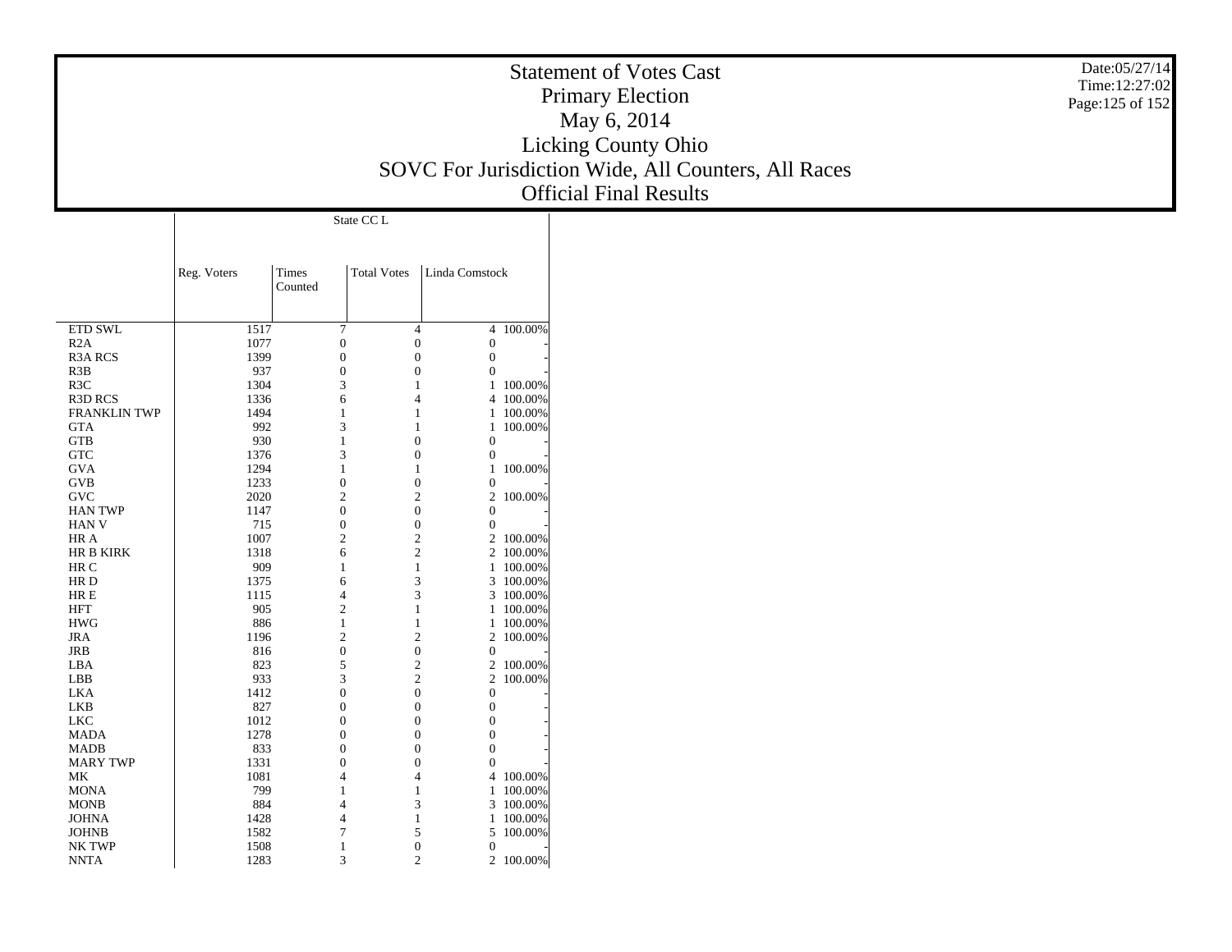|                          |             |         |                                    |                                                  |                | <b>Statement of Votes Cast</b>                      | Date:05/27/14    |
|--------------------------|-------------|---------|------------------------------------|--------------------------------------------------|----------------|-----------------------------------------------------|------------------|
|                          |             |         |                                    |                                                  |                |                                                     | Time: 12:27:02   |
|                          |             |         |                                    |                                                  |                | <b>Primary Election</b>                             | Page: 125 of 152 |
|                          |             |         |                                    |                                                  |                | May 6, 2014                                         |                  |
|                          |             |         |                                    |                                                  |                | Licking County Ohio                                 |                  |
|                          |             |         |                                    |                                                  |                |                                                     |                  |
|                          |             |         |                                    |                                                  |                | SOVC For Jurisdiction Wide, All Counters, All Races |                  |
|                          |             |         |                                    |                                                  |                | <b>Official Final Results</b>                       |                  |
|                          |             |         | State CC L                         |                                                  |                |                                                     |                  |
|                          |             |         |                                    |                                                  |                |                                                     |                  |
|                          | Reg. Voters | Times   | <b>Total Votes</b>                 | Linda Comstock                                   |                |                                                     |                  |
|                          |             | Counted |                                    |                                                  |                |                                                     |                  |
| ETD SWL                  | 1517        |         | 7                                  | $\overline{4}$                                   | $4 - 100.00\%$ |                                                     |                  |
| R2A                      | 1077        |         | $\boldsymbol{0}$                   | $\boldsymbol{0}$<br>$\Omega$                     |                |                                                     |                  |
| R3A RCS                  | 1399        |         | $\boldsymbol{0}$                   | $\mathbf{0}$<br>$\Omega$                         |                |                                                     |                  |
| R3B                      | 937         |         | $\boldsymbol{0}$                   | $\boldsymbol{0}$<br>$\mathbf{0}$                 |                |                                                     |                  |
| R3C                      | 1304        |         | 3                                  |                                                  | 1 100.00%      |                                                     |                  |
| R3D RCS                  | 1336        |         | 6                                  | $\overline{4}$                                   | 4 100.00%      |                                                     |                  |
| FRANKLIN TWP             | 1494        |         | $\mathbf{1}$                       | $\mathbf{1}$                                     | 1 100.00%      |                                                     |                  |
| <b>GTA</b><br><b>GTB</b> | 992         |         | $\ensuremath{\mathfrak{Z}}$        | $\mathbf{1}$<br>$\mathbf{0}$                     | 1 100.00%      |                                                     |                  |
| ${\rm GTC}$              | 930<br>1376 |         | $\mathbf{1}$<br>$\mathfrak{Z}$     | $\theta$<br>$\boldsymbol{0}$<br>$\mathbf{0}$     |                |                                                     |                  |
| <b>GVA</b>               | 1294        |         | $\mathbf{1}$                       | $\mathbf{1}$                                     | 1 100.00%      |                                                     |                  |
| <b>GVB</b>               | 1233        |         | $\overline{0}$                     | $\mathbf{0}$<br>$\mathbf{0}$                     |                |                                                     |                  |
| $\operatorname{GVC}$     | $2020\,$    |         | $\sqrt{2}$                         | $\sqrt{2}$<br>$\overline{2}$                     | 100.00%        |                                                     |                  |
| <b>HAN TWP</b>           | 1147        |         | $\boldsymbol{0}$                   | $\mathbf{0}$<br>$\mathbf{0}$                     |                |                                                     |                  |
| <b>HAN V</b>             | 715         |         | $\boldsymbol{0}$                   | $\mathbf{0}$<br>$\Omega$                         |                |                                                     |                  |
| HR A                     | 1007        |         | $\boldsymbol{2}$                   | $\boldsymbol{2}$                                 | 2 100.00%      |                                                     |                  |
| <b>HR B KIRK</b>         | 1318        |         | 6                                  | $\mathfrak{2}$                                   | 2 100.00%      |                                                     |                  |
| HR C                     | 909         |         | $\mathbf{1}$                       | $\mathbf{1}$                                     | 1 100.00%      |                                                     |                  |
| HR D                     | 1375        |         | 6                                  | 3                                                | 3 100.00%      |                                                     |                  |
| $HRE$                    | 1115        |         | $\overline{4}$                     | 3                                                | 3 100.00%      |                                                     |                  |
| <b>HFT</b>               | 905         |         | $\sqrt{2}$                         | $\mathbf{1}$                                     | 1 100.00%      |                                                     |                  |
| <b>HWG</b>               | 886         |         | $\mathbf{1}$                       | $\mathbf{1}$                                     | 1 100.00%      |                                                     |                  |
| <b>JRA</b><br>JRB        | 1196        |         | $\mathfrak{2}$<br>$\boldsymbol{0}$ | $\mathbf{2}$<br>$\mathbf{0}$<br>$\boldsymbol{0}$ | 2 100.00%      |                                                     |                  |
| LBA                      | 816<br>823  |         | 5                                  | $\sqrt{2}$                                       | 2 100.00%      |                                                     |                  |
| LBB                      | 933         |         | $\mathfrak{Z}$                     | $\mathfrak{2}$<br>$\overline{2}$                 | 100.00%        |                                                     |                  |
| LKA                      | 1412        |         | $\boldsymbol{0}$                   | $\mathbf{0}$<br>$\boldsymbol{0}$                 |                |                                                     |                  |
| <b>LKB</b>               | 827         |         | $\boldsymbol{0}$                   | $\boldsymbol{0}$<br>$\boldsymbol{0}$             |                |                                                     |                  |
| <b>LKC</b>               | 1012        |         | $\boldsymbol{0}$                   | $\mathbf{0}$<br>$\mathbf{0}$                     |                |                                                     |                  |
| <b>MADA</b>              | 1278        |         | $\mathbf{0}$                       | $\mathbf{0}$<br>$\boldsymbol{0}$                 |                |                                                     |                  |
| <b>MADB</b>              | 833         |         | $\boldsymbol{0}$                   | $\boldsymbol{0}$<br>$\overline{0}$               |                |                                                     |                  |
| <b>MARY TWP</b>          | 1331        |         | $\mathbf{0}$                       | $\boldsymbol{0}$<br>$\mathbf{0}$                 |                |                                                     |                  |
| МK                       | 1081        |         | $\overline{4}$                     | $\overline{4}$                                   | 4 100.00%      |                                                     |                  |
| <b>MONA</b>              | 799         |         | 1                                  | -1                                               | 1 100.00%      |                                                     |                  |
| <b>MONB</b>              | 884         |         | $\overline{4}$                     | 3                                                | 3 100.00%      |                                                     |                  |
| <b>JOHNA</b>             | 1428        |         | $\overline{4}$                     | -1                                               | 1 100.00%      |                                                     |                  |
| <b>JOHNB</b>             | 1582        |         | $\tau$                             | 5                                                | 5 100.00%      |                                                     |                  |
| NK TWP                   | 1508        |         | 1                                  | $\theta$<br>$\overline{0}$                       |                |                                                     |                  |
| <b>NNTA</b>              | 1283        |         | 3                                  | $\mathcal{D}$                                    | 2 100.00%      |                                                     |                  |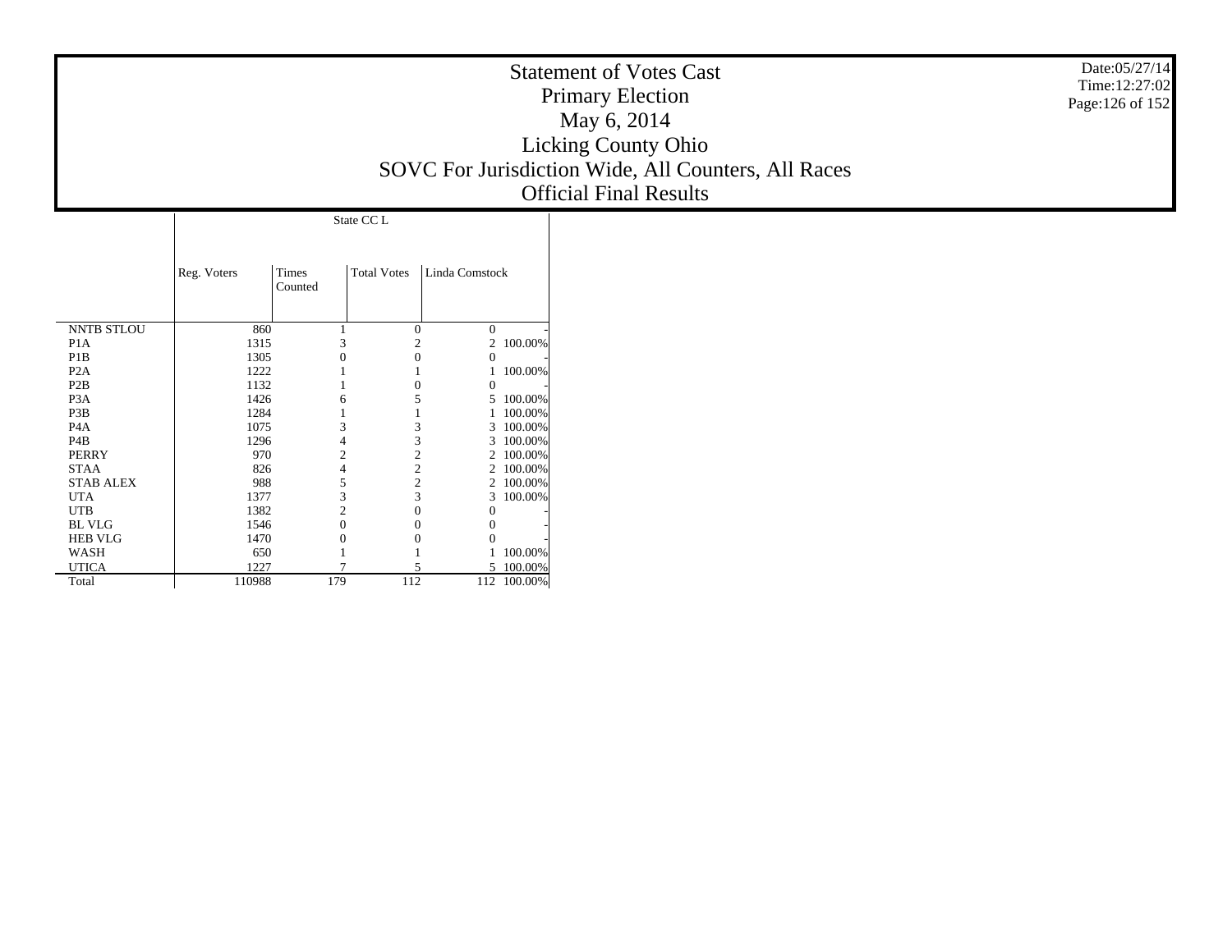|                                      |              |                  |                |                     |                                                     | <b>Statement of Votes Cast</b> |  |  |  |  |  |  |
|--------------------------------------|--------------|------------------|----------------|---------------------|-----------------------------------------------------|--------------------------------|--|--|--|--|--|--|
|                                      |              |                  |                |                     |                                                     | <b>Primary Election</b>        |  |  |  |  |  |  |
|                                      |              |                  |                |                     |                                                     |                                |  |  |  |  |  |  |
|                                      |              |                  |                |                     |                                                     |                                |  |  |  |  |  |  |
|                                      |              |                  |                |                     |                                                     | <b>Licking County Ohio</b>     |  |  |  |  |  |  |
|                                      |              |                  |                |                     | SOVC For Jurisdiction Wide, All Counters, All Races |                                |  |  |  |  |  |  |
|                                      |              |                  |                |                     |                                                     | <b>Official Final Results</b>  |  |  |  |  |  |  |
|                                      |              |                  |                |                     |                                                     |                                |  |  |  |  |  |  |
|                                      |              |                  | State CC L     |                     |                                                     |                                |  |  |  |  |  |  |
|                                      |              |                  |                |                     |                                                     |                                |  |  |  |  |  |  |
|                                      |              |                  |                |                     |                                                     |                                |  |  |  |  |  |  |
|                                      | Reg. Voters  | Times<br>Counted |                | <b>Total Votes</b>  | Linda Comstock                                      |                                |  |  |  |  |  |  |
|                                      |              |                  |                |                     |                                                     |                                |  |  |  |  |  |  |
|                                      |              |                  |                |                     |                                                     |                                |  |  |  |  |  |  |
| <b>NNTB STLOU</b>                    | 860          |                  |                | $\mathbf{0}$        | $\overline{0}$                                      |                                |  |  |  |  |  |  |
| P <sub>1</sub> A<br>P <sub>1</sub> B | 1315<br>1305 |                  |                | $\theta$            | $\Omega$                                            | 2 100.00%                      |  |  |  |  |  |  |
| P <sub>2</sub> A                     | 1222         |                  |                |                     |                                                     | 100.00%                        |  |  |  |  |  |  |
| P <sub>2</sub> B                     | 1132         |                  |                |                     | $\Omega$                                            |                                |  |  |  |  |  |  |
| P <sub>3</sub> A                     | 1426         |                  |                | 5                   |                                                     | 5 100.00%                      |  |  |  |  |  |  |
| P3B                                  | 1284         |                  |                |                     |                                                     | 100.00%                        |  |  |  |  |  |  |
| P <sub>4</sub> A                     | 1075         |                  |                |                     |                                                     | 3 100.00%                      |  |  |  |  |  |  |
| P <sub>4</sub> B<br><b>PERRY</b>     | 1296         | 970              | $\overline{c}$ | 3<br>$\overline{c}$ |                                                     | 3 100.00%<br>2 100.00%         |  |  |  |  |  |  |
| <b>STAA</b>                          |              | 826              |                | $\overline{c}$      |                                                     | 2 100.00%                      |  |  |  |  |  |  |
| <b>STAB ALEX</b>                     | 988          |                  | 5              | $\overline{c}$      |                                                     | 2 100.00%                      |  |  |  |  |  |  |
| <b>UTA</b>                           | 1377         |                  | 3              | 3                   |                                                     | 3 100.00%                      |  |  |  |  |  |  |
| <b>UTB</b>                           | 1382         |                  |                |                     |                                                     |                                |  |  |  |  |  |  |
| BL VLG<br><b>HEB VLG</b>             | 1546         |                  |                |                     |                                                     |                                |  |  |  |  |  |  |
| WASH                                 | 1470         | 650              |                | $\theta$            |                                                     | 100.00%                        |  |  |  |  |  |  |
| <b>UTICA</b>                         | 1227         |                  |                |                     |                                                     | 5 100.00%                      |  |  |  |  |  |  |
| Total                                | 110988       |                  | 179            | 112                 |                                                     | 112 100.00%                    |  |  |  |  |  |  |

 $\overline{\phantom{a}}$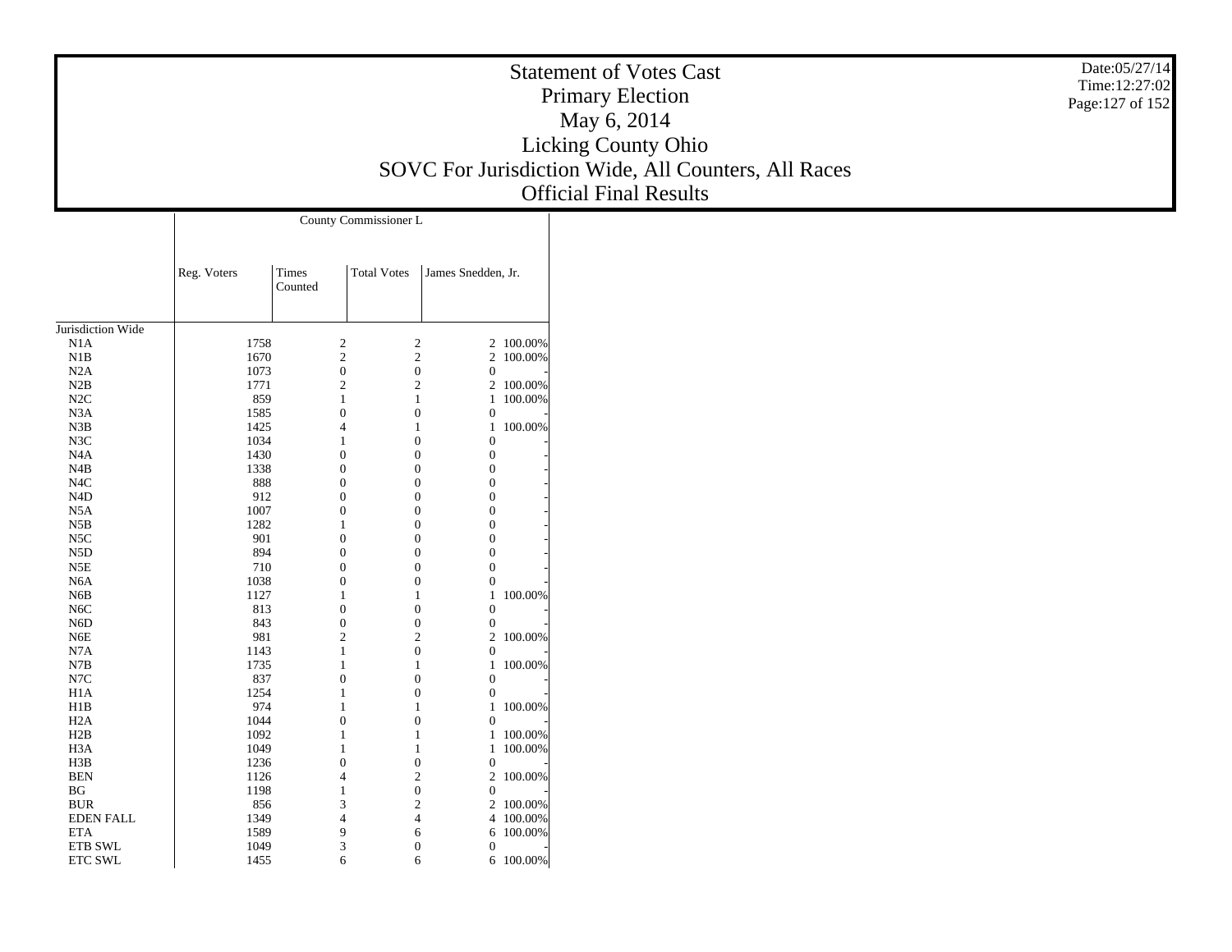|                                      |              |         | <b>Statement of Votes Cast</b>                | Date:05/27/14                        |                              |                                                     |                 |
|--------------------------------------|--------------|---------|-----------------------------------------------|--------------------------------------|------------------------------|-----------------------------------------------------|-----------------|
|                                      |              |         |                                               |                                      |                              | <b>Primary Election</b>                             | Time: 12:27:02  |
|                                      |              |         |                                               |                                      |                              |                                                     | Page:127 of 152 |
|                                      |              |         |                                               |                                      |                              | May 6, 2014                                         |                 |
|                                      |              |         |                                               |                                      |                              | Licking County Ohio                                 |                 |
|                                      |              |         |                                               |                                      |                              |                                                     |                 |
|                                      |              |         |                                               |                                      |                              | SOVC For Jurisdiction Wide, All Counters, All Races |                 |
|                                      |              |         |                                               |                                      |                              | <b>Official Final Results</b>                       |                 |
|                                      |              |         |                                               |                                      |                              |                                                     |                 |
|                                      |              |         | County Commissioner L                         |                                      |                              |                                                     |                 |
|                                      |              |         |                                               |                                      |                              |                                                     |                 |
|                                      | Reg. Voters  | Times   | <b>Total Votes</b>                            | James Snedden, Jr.                   |                              |                                                     |                 |
|                                      |              | Counted |                                               |                                      |                              |                                                     |                 |
|                                      |              |         |                                               |                                      |                              |                                                     |                 |
| Jurisdiction Wide                    |              |         |                                               |                                      |                              |                                                     |                 |
| N1A                                  | 1758         |         | $\sqrt{2}$                                    | $\sqrt{2}$                           | 2 100.00%                    |                                                     |                 |
| N1B                                  | 1670         |         | $\sqrt{2}$                                    | $\sqrt{2}$                           | 2 100.00%                    |                                                     |                 |
| N2A                                  | 1073         |         | $\boldsymbol{0}$                              | $\boldsymbol{0}$                     | $\mathbf{0}$                 |                                                     |                 |
| N2B                                  | 1771         |         | $\sqrt{2}$                                    | $\sqrt{2}$                           | 2 100.00%                    |                                                     |                 |
| N2C                                  | 859          |         | $\mathbf{1}$                                  | $\mathbf{1}$                         | $\mathbf{1}$<br>100.00%      |                                                     |                 |
| N3A                                  | 1585         |         | $\boldsymbol{0}$                              | $\boldsymbol{0}$                     | $\mathbf{0}$                 |                                                     |                 |
| N3B                                  | 1425         |         | $\overline{4}$                                | $\mathbf{1}$                         | 100.00%<br>$\mathbf{1}$      |                                                     |                 |
| N3C                                  | 1034         |         | $\mathbf{1}$                                  | $\boldsymbol{0}$                     | $\overline{0}$               |                                                     |                 |
| N <sub>4</sub> A                     | 1430         |         | $\boldsymbol{0}$                              | $\boldsymbol{0}$                     | $\mathbf{0}$                 |                                                     |                 |
| N4B<br>N <sub>4</sub> C              | 1338         | 888     | $\boldsymbol{0}$<br>$\boldsymbol{0}$          | $\boldsymbol{0}$<br>$\boldsymbol{0}$ | $\boldsymbol{0}$<br>$\theta$ |                                                     |                 |
| N <sub>4</sub> D                     | 912          |         | $\boldsymbol{0}$                              | $\boldsymbol{0}$                     | $\mathbf{0}$                 |                                                     |                 |
| N <sub>5</sub> A                     | 1007         |         | $\boldsymbol{0}$                              | $\boldsymbol{0}$                     | $\boldsymbol{0}$             |                                                     |                 |
| N5B                                  | 1282         |         | $\mathbf{1}$                                  | $\mathbf{0}$                         | $\theta$                     |                                                     |                 |
| N5C                                  | 901          |         | $\boldsymbol{0}$                              | $\boldsymbol{0}$                     | $\boldsymbol{0}$             |                                                     |                 |
| N <sub>5</sub> D                     | 894          |         | $\overline{0}$                                | $\boldsymbol{0}$                     | $\boldsymbol{0}$             |                                                     |                 |
| N5E                                  |              | 710     | $\boldsymbol{0}$                              | $\boldsymbol{0}$                     | $\mathbf{0}$                 |                                                     |                 |
| N <sub>6</sub> A                     | 1038         |         | $\boldsymbol{0}$                              | $\boldsymbol{0}$                     | $\mathbf{0}$                 |                                                     |                 |
| N6B                                  | 1127         |         | $\mathbf{1}$                                  | $\mathbf{1}$                         | 100.00%<br>1                 |                                                     |                 |
| N <sub>6</sub> C                     | 813          |         | $\boldsymbol{0}$                              | $\boldsymbol{0}$                     | $\overline{0}$               |                                                     |                 |
| N <sub>6</sub> D<br>N <sub>6</sub> E | 843<br>981   |         | $\boldsymbol{0}$<br>$\sqrt{2}$                | $\boldsymbol{0}$<br>$\sqrt{2}$       | $\mathbf{0}$<br>2 100.00%    |                                                     |                 |
| N7A                                  | 1143         |         | $\mathbf{1}$                                  | $\boldsymbol{0}$                     | $\mathbf{0}$                 |                                                     |                 |
| N7B                                  | 1735         |         | $\mathbf{1}$                                  | 1                                    | 1 100.00%                    |                                                     |                 |
| N7C                                  | 837          |         | $\boldsymbol{0}$                              | $\boldsymbol{0}$                     | $\mathbf{0}$                 |                                                     |                 |
| H <sub>1</sub> A                     | 1254         |         | $\mathbf{1}$                                  | $\boldsymbol{0}$                     | $\mathbf{0}$                 |                                                     |                 |
| H1B                                  | 974          |         | $\mathbf{1}$                                  | $\mathbf{1}$                         | 1 100.00%                    |                                                     |                 |
| H <sub>2</sub> A                     | 1044         |         | $\mathbf{0}$                                  | $\boldsymbol{0}$                     | $\mathbf{0}$                 |                                                     |                 |
| H2B                                  | 1092         |         | $\mathbf{1}$                                  | 1                                    | 1 100.00%                    |                                                     |                 |
| H <sub>3</sub> A                     | 1049         |         | $\mathbf{1}$                                  | 1                                    | 100.00%<br>$\mathbf{1}$      |                                                     |                 |
| H3B                                  | 1236         |         | $\boldsymbol{0}$                              | $\boldsymbol{0}$                     | $\boldsymbol{0}$             |                                                     |                 |
| <b>BEN</b>                           | 1126         |         | $\overline{4}$                                | $\sqrt{2}$                           | 2 100.00%                    |                                                     |                 |
| BG                                   | 1198         |         | $\mathbf{1}$                                  | $\boldsymbol{0}$                     | $\mathbf{0}$                 |                                                     |                 |
| <b>BUR</b>                           | 856          |         | $\ensuremath{\mathfrak{Z}}$<br>$\overline{4}$ | $\sqrt{2}$                           | 2 100.00%                    |                                                     |                 |
| <b>EDEN FALL</b><br>ETA              | 1349<br>1589 |         | 9                                             | $\overline{4}$<br>6                  | 4 100.00%<br>6 100.00%       |                                                     |                 |
| <b>ETB SWL</b>                       | 1049         |         | $\ensuremath{\mathfrak{Z}}$                   | $\boldsymbol{0}$                     | $\mathbf{0}$                 |                                                     |                 |
| <b>ETC SWL</b>                       | 1455         |         | 6                                             | 6                                    | 6 100.00%                    |                                                     |                 |
|                                      |              |         |                                               |                                      |                              |                                                     |                 |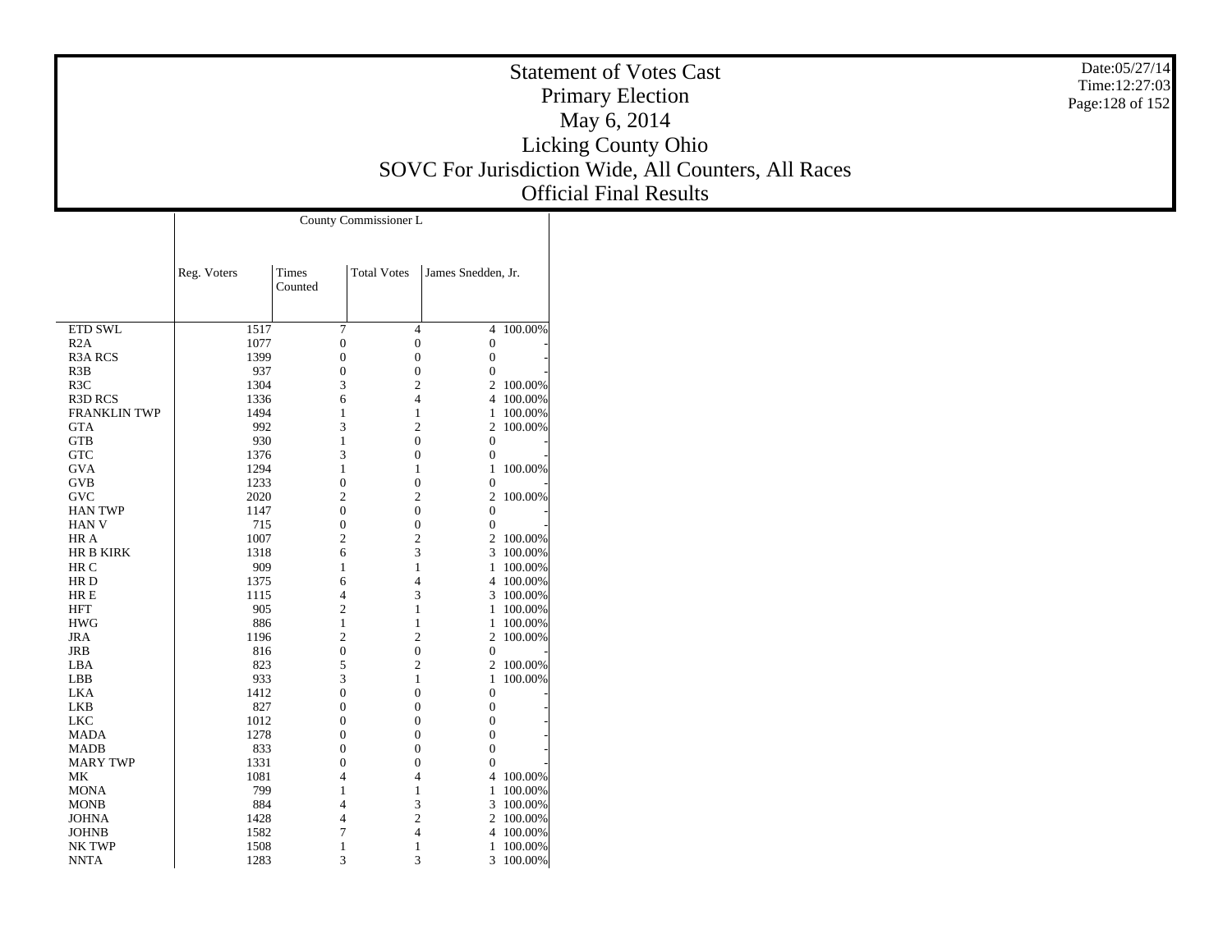|                          | <b>Statement of Votes Cast</b><br><b>Primary Election</b><br>May 6, 2014 |                  |                                                 |                                    |                                |                        |                                                     | Date:05/27/14<br>Time: 12:27:03<br>Page: 128 of 152 |
|--------------------------|--------------------------------------------------------------------------|------------------|-------------------------------------------------|------------------------------------|--------------------------------|------------------------|-----------------------------------------------------|-----------------------------------------------------|
|                          |                                                                          |                  |                                                 |                                    |                                |                        | Licking County Ohio                                 |                                                     |
|                          |                                                                          |                  |                                                 |                                    |                                |                        | SOVC For Jurisdiction Wide, All Counters, All Races |                                                     |
|                          |                                                                          |                  |                                                 |                                    |                                |                        |                                                     |                                                     |
|                          |                                                                          |                  |                                                 |                                    |                                |                        | <b>Official Final Results</b>                       |                                                     |
|                          |                                                                          |                  | County Commissioner L                           |                                    |                                |                        |                                                     |                                                     |
|                          |                                                                          |                  |                                                 |                                    |                                |                        |                                                     |                                                     |
|                          |                                                                          |                  |                                                 |                                    |                                |                        |                                                     |                                                     |
|                          | Reg. Voters                                                              | Times<br>Counted | <b>Total Votes</b>                              |                                    | James Snedden, Jr.             |                        |                                                     |                                                     |
|                          |                                                                          |                  |                                                 |                                    |                                |                        |                                                     |                                                     |
| <b>ETD SWL</b>           | 1517                                                                     |                  | $\tau$                                          | $\overline{4}$                     |                                | $4 - 100.00\%$         |                                                     |                                                     |
| R2A                      | 1077                                                                     |                  | $\boldsymbol{0}$                                | $\boldsymbol{0}$                   | $\Omega$                       |                        |                                                     |                                                     |
| <b>R3A RCS</b>           | 1399                                                                     |                  | $\boldsymbol{0}$                                | $\boldsymbol{0}$                   | $\mathbf{0}$                   |                        |                                                     |                                                     |
| R3B<br>R3C               | 937<br>1304                                                              |                  | $\boldsymbol{0}$<br>$\ensuremath{\mathfrak{Z}}$ | $\boldsymbol{0}$<br>$\overline{2}$ | $\mathbf{0}$                   | 2 100.00%              |                                                     |                                                     |
| R3D RCS                  | 1336                                                                     |                  | 6                                               | $\overline{4}$                     | $\overline{4}$                 | 100.00%                |                                                     |                                                     |
| <b>FRANKLIN TWP</b>      | 1494                                                                     |                  | 1                                               | $\mathbf{1}$                       | 1                              | 100.00%                |                                                     |                                                     |
| <b>GTA</b>               | 992                                                                      |                  | $\mathfrak{Z}$                                  | $\overline{2}$                     |                                | 2 100.00%              |                                                     |                                                     |
| <b>GTB</b>               | 930                                                                      |                  | $\mathbf{1}$                                    | $\boldsymbol{0}$                   | $\mathbf{0}$                   |                        |                                                     |                                                     |
| <b>GTC</b>               | 1376                                                                     |                  | $\mathfrak{Z}$                                  | $\boldsymbol{0}$                   | $\mathbf{0}$                   |                        |                                                     |                                                     |
| <b>GVA</b><br><b>GVB</b> | 1294<br>1233                                                             |                  | $\mathbf{1}$<br>$\boldsymbol{0}$                | 1<br>$\boldsymbol{0}$              | 1                              | 100.00%                |                                                     |                                                     |
| ${\rm GVC}$              | 2020                                                                     |                  | $\sqrt{2}$                                      | $\sqrt{2}$                         | 0<br>$\sqrt{2}$                | 100.00%                |                                                     |                                                     |
| <b>HAN TWP</b>           | 1147                                                                     |                  | $\boldsymbol{0}$                                | $\boldsymbol{0}$                   | $\mathbf{0}$                   |                        |                                                     |                                                     |
| <b>HAN V</b>             | 715                                                                      |                  | $\boldsymbol{0}$                                | $\boldsymbol{0}$                   | $\mathbf{0}$                   |                        |                                                     |                                                     |
| HR A                     | 1007                                                                     |                  | $\boldsymbol{2}$                                | $\sqrt{2}$                         |                                | 2 100.00%              |                                                     |                                                     |
| HR B KIRK                | 1318                                                                     |                  | $\sqrt{6}$                                      | $\ensuremath{\mathfrak{Z}}$        |                                | 3 100.00%              |                                                     |                                                     |
| HR C                     | 909                                                                      |                  | $\mathbf{1}$                                    | $\mathbf{1}$                       |                                | 1 100.00%              |                                                     |                                                     |
| HR D<br>HR E             | 1375<br>1115                                                             |                  | 6<br>$\overline{4}$                             | $\overline{4}$<br>3                |                                | 4 100.00%<br>3 100.00% |                                                     |                                                     |
| <b>HFT</b>               | 905                                                                      |                  | $\mathfrak{2}$                                  | $\mathbf{1}$                       |                                | 1 100.00%              |                                                     |                                                     |
| $\rm HWG$                | 886                                                                      |                  | $\mathbf{1}$                                    | $\mathbf{1}$                       |                                | 1 100.00%              |                                                     |                                                     |
| <b>JRA</b>               | 1196                                                                     |                  | $\sqrt{2}$                                      | $\sqrt{2}$                         |                                | 2 100.00%              |                                                     |                                                     |
| JRB                      | 816                                                                      |                  | $\boldsymbol{0}$                                | $\boldsymbol{0}$                   | $\mathbf{0}$                   |                        |                                                     |                                                     |
| LBA                      | 823                                                                      |                  | $\sqrt{5}$                                      | $\overline{2}$<br>$\mathbf{1}$     |                                | 2 100.00%              |                                                     |                                                     |
| LBB<br><b>LKA</b>        | 933<br>1412                                                              |                  | $\mathfrak{Z}$<br>$\boldsymbol{0}$              | $\boldsymbol{0}$                   | $\mathbf{1}$<br>$\overline{0}$ | 100.00%                |                                                     |                                                     |
| <b>LKB</b>               | 827                                                                      |                  | $\overline{0}$                                  | $\boldsymbol{0}$                   | $\theta$                       |                        |                                                     |                                                     |
| LKC                      | 1012                                                                     |                  | $\boldsymbol{0}$                                | $\boldsymbol{0}$                   | $\theta$                       |                        |                                                     |                                                     |
| <b>MADA</b>              | 1278                                                                     |                  | $\boldsymbol{0}$                                | $\boldsymbol{0}$                   | $\theta$                       |                        |                                                     |                                                     |
| <b>MADB</b>              | 833                                                                      |                  | $\overline{0}$                                  | $\boldsymbol{0}$                   | $\theta$                       |                        |                                                     |                                                     |
| <b>MARY TWP</b>          | 1331                                                                     |                  | $\overline{0}$                                  | $\boldsymbol{0}$                   | $\overline{0}$                 |                        |                                                     |                                                     |
| MK<br><b>MONA</b>        | 1081<br>799                                                              |                  | $\overline{4}$<br>$\mathbf{1}$                  | $\overline{4}$<br>$\mathbf{1}$     | $\mathbf{1}$                   | 4 100.00%<br>100.00%   |                                                     |                                                     |
| <b>MONB</b>              | 884                                                                      |                  | $\overline{4}$                                  | 3                                  |                                | 3 100.00%              |                                                     |                                                     |
| <b>JOHNA</b>             | 1428                                                                     |                  | $\overline{4}$                                  | $\sqrt{2}$                         |                                | 2 100.00%              |                                                     |                                                     |
| <b>JOHNB</b>             | 1582                                                                     |                  | $\overline{7}$                                  | $\overline{4}$                     |                                | 4 100.00%              |                                                     |                                                     |
| NK TWP                   | 1508                                                                     |                  | $\mathbf{1}$                                    | $\mathbf{1}$                       |                                | 1 100.00%              |                                                     |                                                     |
| <b>NNTA</b>              | 1283                                                                     |                  | $\overline{3}$                                  | $\overline{3}$                     |                                | 3 100.00%              |                                                     |                                                     |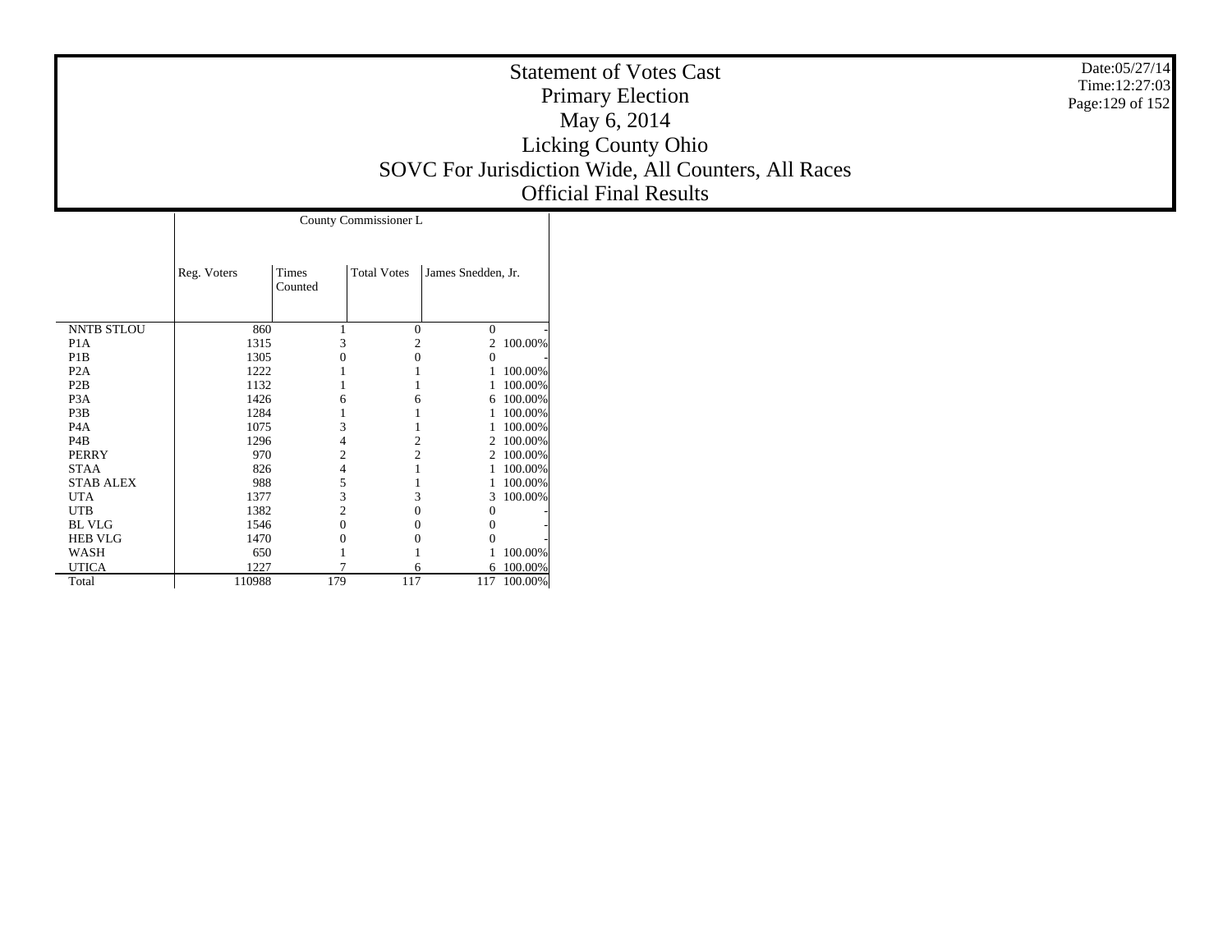| <b>Statement of Votes Cast</b>                      |  |
|-----------------------------------------------------|--|
| <b>Primary Election</b>                             |  |
| May 6, 2014                                         |  |
| <b>Licking County Ohio</b>                          |  |
| SOVC For Jurisdiction Wide, All Counters, All Races |  |
| <b>Official Final Results</b>                       |  |

Date:05/27/14 Time:12:27:03 Page:129 of 152

|                   |             |                  | County Commissioner L |                    |         |
|-------------------|-------------|------------------|-----------------------|--------------------|---------|
|                   | Reg. Voters | Times<br>Counted | <b>Total Votes</b>    | James Snedden, Jr. |         |
| <b>NNTB STLOU</b> | 860         |                  | $\Omega$              | $\Omega$           |         |
| P <sub>1</sub> A  | 1315        | 3                | 2                     | 2                  | 100.00% |
| P <sub>1</sub> B  | 1305        | 0                | 0                     | $\Omega$           |         |
| P <sub>2</sub> A  | 1222        |                  |                       |                    | 100.00% |
| P2B               | 1132        |                  |                       |                    | 100.00% |
| P <sub>3</sub> A  | 1426        | 6                | 6                     | 6                  | 100.00% |
| P <sub>3</sub> B  | 1284        |                  |                       |                    | 100.00% |
| P <sub>4</sub> A  | 1075        | 3                |                       |                    | 100.00% |
| P <sub>4</sub> B  | 1296        | 4                | 2                     | 2                  | 100.00% |
| <b>PERRY</b>      | 970         | $\overline{c}$   | $\overline{c}$        | 2                  | 100.00% |
| <b>STAA</b>       | 826         | 4                |                       |                    | 100.00% |
| <b>STAB ALEX</b>  | 988         | 5                |                       | 1                  | 100.00% |
| <b>UTA</b>        | 1377        | 3                | 3                     | 3                  | 100.00% |
| <b>UTB</b>        | 1382        | $\overline{c}$   | 0                     | 0                  |         |
| <b>BL VLG</b>     | 1546        | $\Omega$         |                       | $\Omega$           |         |
| <b>HEB VLG</b>    | 1470        | 0                |                       | $\Omega$           |         |
| WASH              | 650         |                  |                       |                    | 100.00% |
| <b>UTICA</b>      | 1227        | 7                | 6                     | 6                  | 100.00% |
| Total             | 110988      | 179              | 117                   | 117                | 100.00% |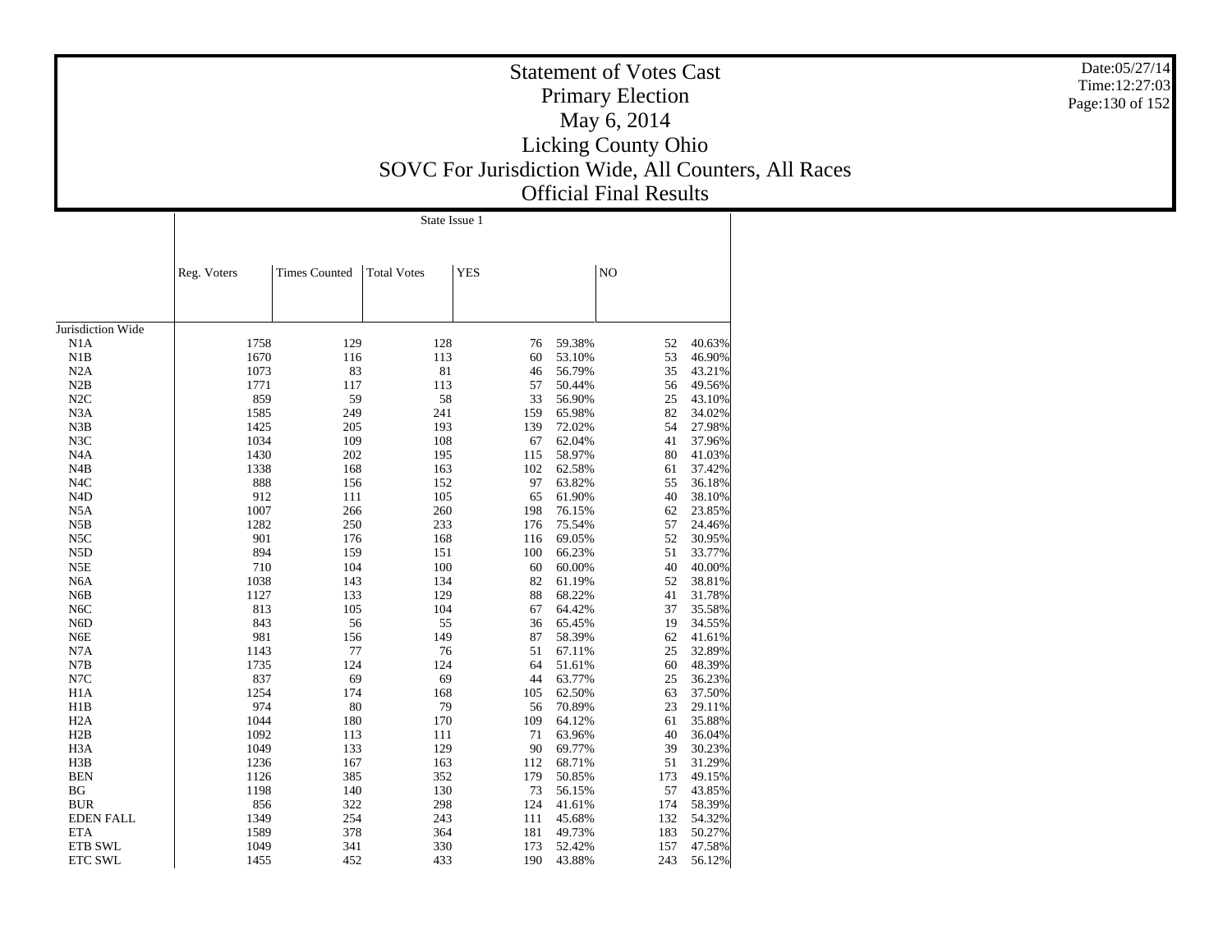243 56.12%

Jurisdiction Wide N1A N1B N2A N2B N2C N3A N3B N3C N4A N4B N4C N4D N5A N5B N5C N5D N5E N6A N6B N6C N6D N6E N7A N7B N7C H1A H1B H2A H2B H3A H3B BEN BG BUR EDEN FALL ETA ETB SWL Reg. Voters | Times Counted | Total Votes | YES | NO State Issue 11758 129 128 76 59.38% 52 40.63% 1670 116 113 60 53.10% 53 46.90% 1073 83 81 46 56.79% 35 43.21% 1771 117 113 57 50.44% 56 49.56% 859 59 58 33 56.90% 25 43.10% 1585 249 241 159 65.98% 82 34.02% 1425 205 193 139 72.02% 54 27.98% 1034 109 108 67 62.04% 41 37.96% 1430 202 195 115 58.97% 80 41.03% 1338 168 163 102 62.58% 61 37.42% 888 156 152 97 63.82% 55 36.18% 912 111 105 65 61.90% 40 38.10% 1007 266 260 198 76.15% 62 23.85% 1282 250 233 176 75.54% 57 24.46% 901 176 168 116 69.05% 52 30.95% 894 159 151 100 66.23% 51 33.77% 710104 100 60.00% 40 40.00% 1038 143 134 82 61.19% 52 38.81% 1127 133 129 88 68.22% 41 31.78% 813 105 104 67 64.42% 37 35.58% 843 56 55 36 65.45% 19 34.55% 981 156 149 87 58.39% 62 41.61% 1143 77 76 51 67.11% 25 32.89% 1735 124 124 64 51.61% 60 48.39% 837 69 69 44 63.77% 25 36.23% 1254 174 168 105 62.50% 63 37.50% 974 80 79 56 70.89% 23 29.11% 1044 180 170 109 64.12% 61 35.88% 1092 113 111 71 63.96% 40 36.04% 1049 133 129 90 69.77% 39 30.23% 1236 167 163 112 68.71% 51 31.29% 1126 385 352 179 50.85% 173 49.15% 1198 140 130 73 56.15% 57 43.85% 856 322 298 124 41.61% 174 58.39% 1349 254 243 111 45.68% 132 54.32% 1589 378 364 181 49.73% 183 50.27% 1049 341 330 173 52.42%157 47.58%

452 433 190 43.88%

ETC SWL

1455

Date:05/27/14Time:12:27:03 Page:130 of 152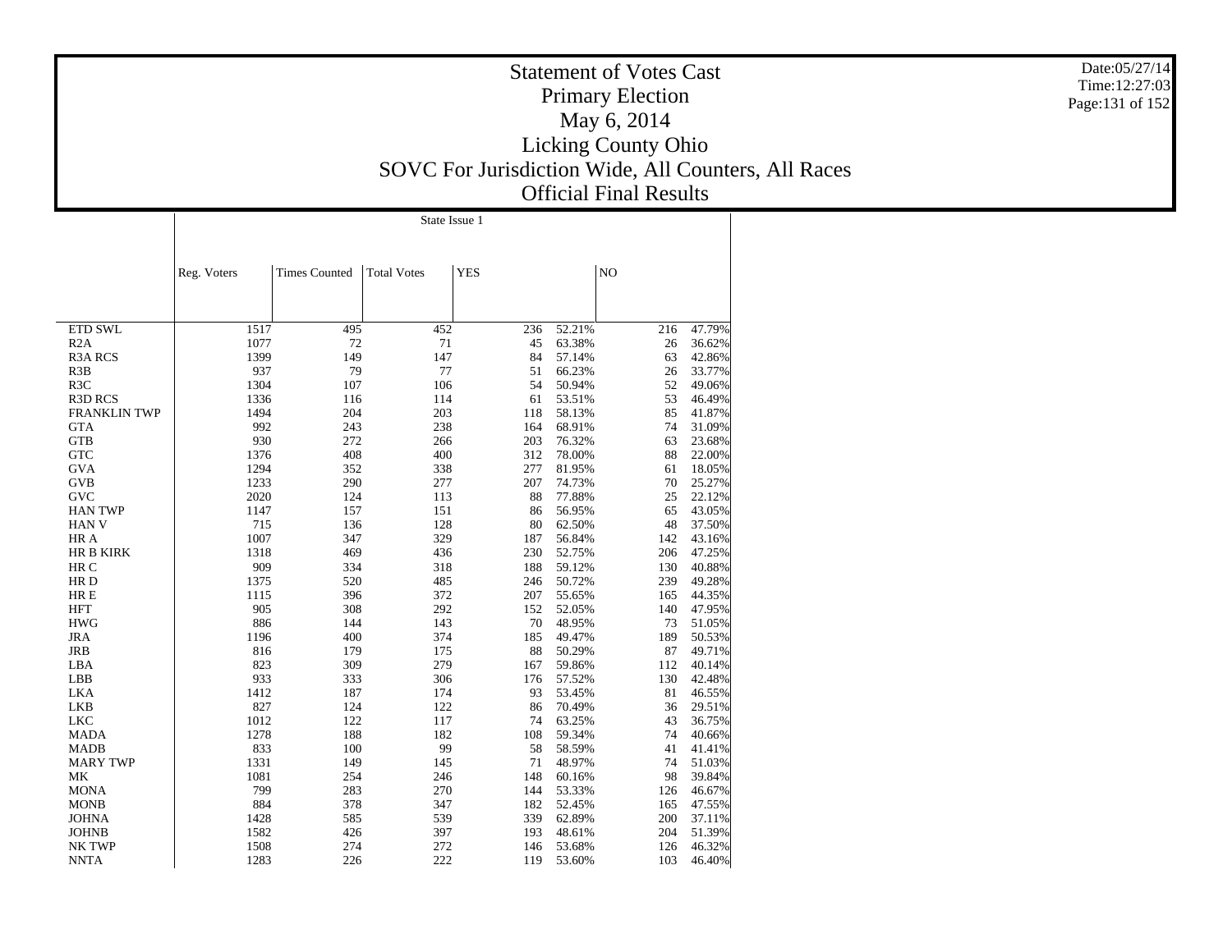ETD SWL R2A R3A RCS R3B R3C R3D RCS FRANKLIN TWP GTA GTB GTC GVA GVB GVC HAN TWP HAN V HR A HR B KIRK HR C HR D HR E HFT HWG JRA JRB LBA LBB LKA LKB LKC MADA MADB MARY TWP MK MONA MONB JOHNA JOHNB NK TWP NNTAReg. Voters | Times Counted | Total Votes | YES | NO  $1517$ 495 452 236 52.21%  $216 - 47.79%$ 1077 72 71 45 63.38% 26 36.62% 1399 149 147 84 57.14% 63 42.86% 937 79 77 51 66.23% 26 33.77% 1304 107 106 54 50.94% 52 49.06% 1336 116 114 61 53.51% 53 46.49% 1494 204 203 118 58.13% 85 41.87% 992 243 238 164 68.91% 74 31.09% 930 272 266 203 76.32% 63 23.68% 1376 408 400 312 78.00% 88 22.00% 1294 352 338 277 81.95% 61 18.05% 1233 290 277 207 74.73% 70 25.27% 2020 124 113 88 77.88% 25 22.12% 1147 157 151 86 56.95% 65 43.05% 715 136 128 80 62.50% 48 37.50% 1007 347 329 187 56.84% 142 43.16% 1318 469 436 230 52.75% 206 47.25% 909 334 318 188 59.12% 130 40.88% 1375 520 485 246 50.72% 239 49.28% 1115 396 372 207 55.65% 165 44.35% 905 308 292 152 52.05% 140 47.95% 886 144 143 70 48.95% 73 51.05% 1196 400 374 185 49.47% 189 50.53% 816 179 175 88 50.29% 87 49.71% 823 309 279 167 59.86% 112 40.14% 933 333 306 176 57.52% 130 42.48% 1412 187 174 93 53.45% 81 46.55% 827 124 122 86 70.49% 36 29.51% 1012 122 117 74 63.25% 43 36.75% 1278 188 182 108 59.34% 74 40.66% 833 100 99 58 58.59% 41 41.41% 1331 149 145 71 48.97% 74 51.03% 1081 254 246 148 60.16% 98 39.84% 799 283 270 144 53.33% 126 46.67% 884 378 347 182 52.45% 165 47.55% 1428 585 539 339 62.89% 200 37.11% 1582 426 397 193 48.61% 204 51.39% 1508 274 272 146 53.68% 126 46.32% 1283 226 222 119 53.60%103 46.40%

State Issue 1

Date:05/27/14Time:12:27:03 Page:131 of 152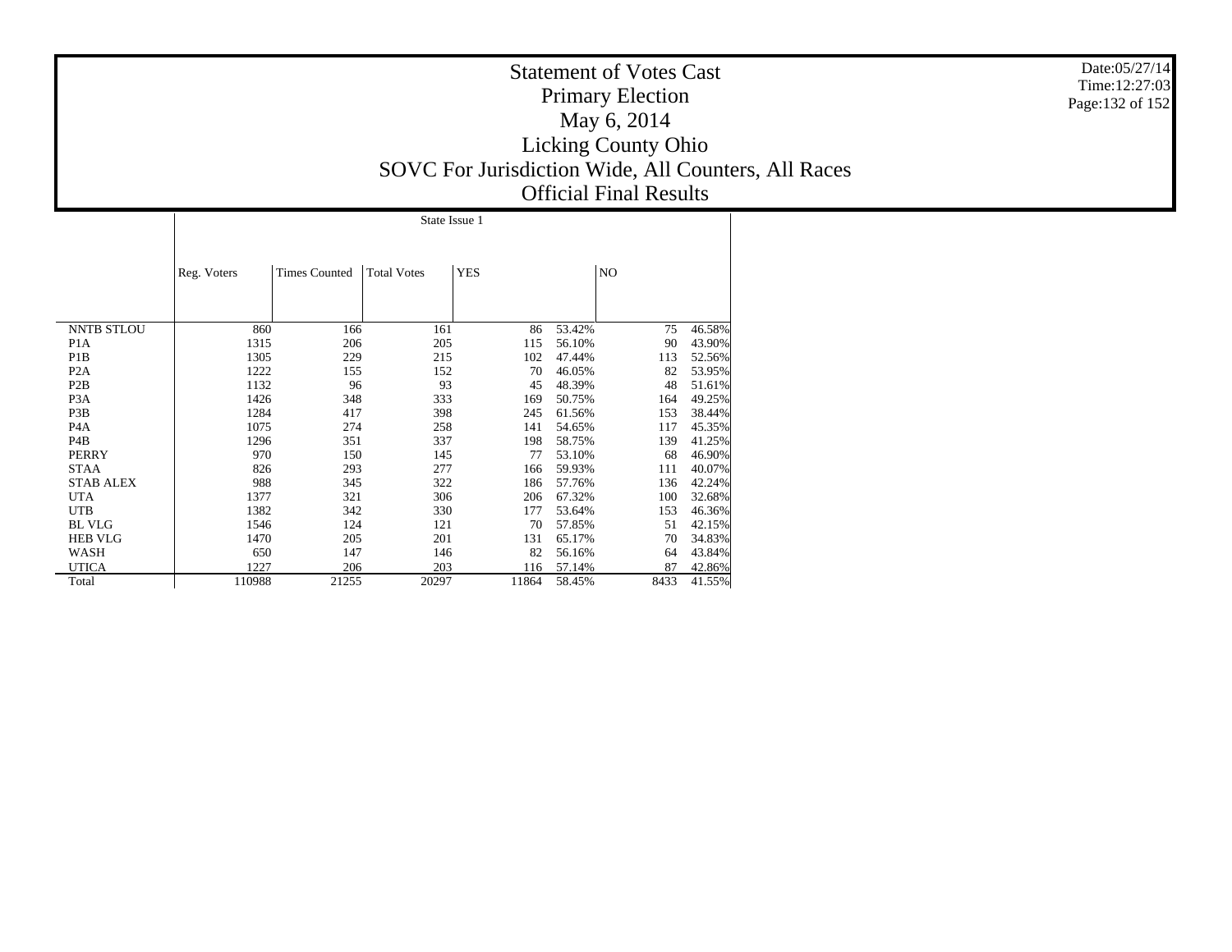|                   |             |                      | State Issue 1      |            |        |                |        |
|-------------------|-------------|----------------------|--------------------|------------|--------|----------------|--------|
|                   |             |                      |                    |            |        |                |        |
|                   |             |                      |                    |            |        |                |        |
|                   | Reg. Voters | <b>Times Counted</b> | <b>Total Votes</b> | <b>YES</b> |        | N <sub>O</sub> |        |
|                   |             |                      |                    |            |        |                |        |
|                   |             |                      |                    |            |        |                |        |
|                   |             |                      |                    |            |        |                |        |
| <b>NNTB STLOU</b> | 860         | 166                  | 161                | 86         | 53.42% | 75             | 46.58% |
| P <sub>1</sub> A  | 1315        | 206                  | 205                | 115        | 56.10% | 90             | 43.90% |
| P <sub>1</sub> B  | 1305        | 229                  | 215                | 102        | 47.44% | 113            | 52.56% |
| P <sub>2</sub> A  | 1222        | 155                  | 152                | 70         | 46.05% | 82             | 53.95% |
| P <sub>2</sub> B  | 1132        | 96                   | 93                 | 45         | 48.39% | 48             | 51.61% |
| P <sub>3</sub> A  | 1426        | 348                  | 333                | 169        | 50.75% | 164            | 49.25% |
| P3B               | 1284        | 417                  | 398                | 245        | 61.56% | 153            | 38.44% |
| P <sub>4</sub> A  | 1075        | 274                  | 258                | 141        | 54.65% | 117            | 45.35% |
| P <sub>4</sub> B  | 1296        | 351                  | 337                | 198        | 58.75% | 139            | 41.25% |
| <b>PERRY</b>      | 970         | 150                  | 145                | 77         | 53.10% | 68             | 46.90% |
| <b>STAA</b>       | 826         | 293                  | 277                | 166        | 59.93% | 111            | 40.07% |
| <b>STAB ALEX</b>  | 988         | 345                  | 322                | 186        | 57.76% | 136            | 42.24% |
| <b>UTA</b>        | 1377        | 321                  | 306                | 206        | 67.32% | 100            | 32.68% |
| UTB               | 1382        | 342                  | 330                | 177        | 53.64% | 153            | 46.36% |
| <b>BL VLG</b>     | 1546        | 124                  | 121                | 70         | 57.85% | 51             | 42.15% |
| <b>HEB VLG</b>    | 1470        | 205                  | 201                | 131        | 65.17% | 70             | 34.83% |
| WASH              | 650         | 147                  | 146                | 82         | 56.16% | 64             | 43.84% |
| <b>UTICA</b>      | 1227        | 206                  | 203                | 116        | 57.14% | 87             | 42.86% |
| Total             | 110988      | 21255                | 20297              | 11864      | 58.45% | 8433           | 41.55% |

Date:05/27/14 Time:12:27:03Page:132 of 152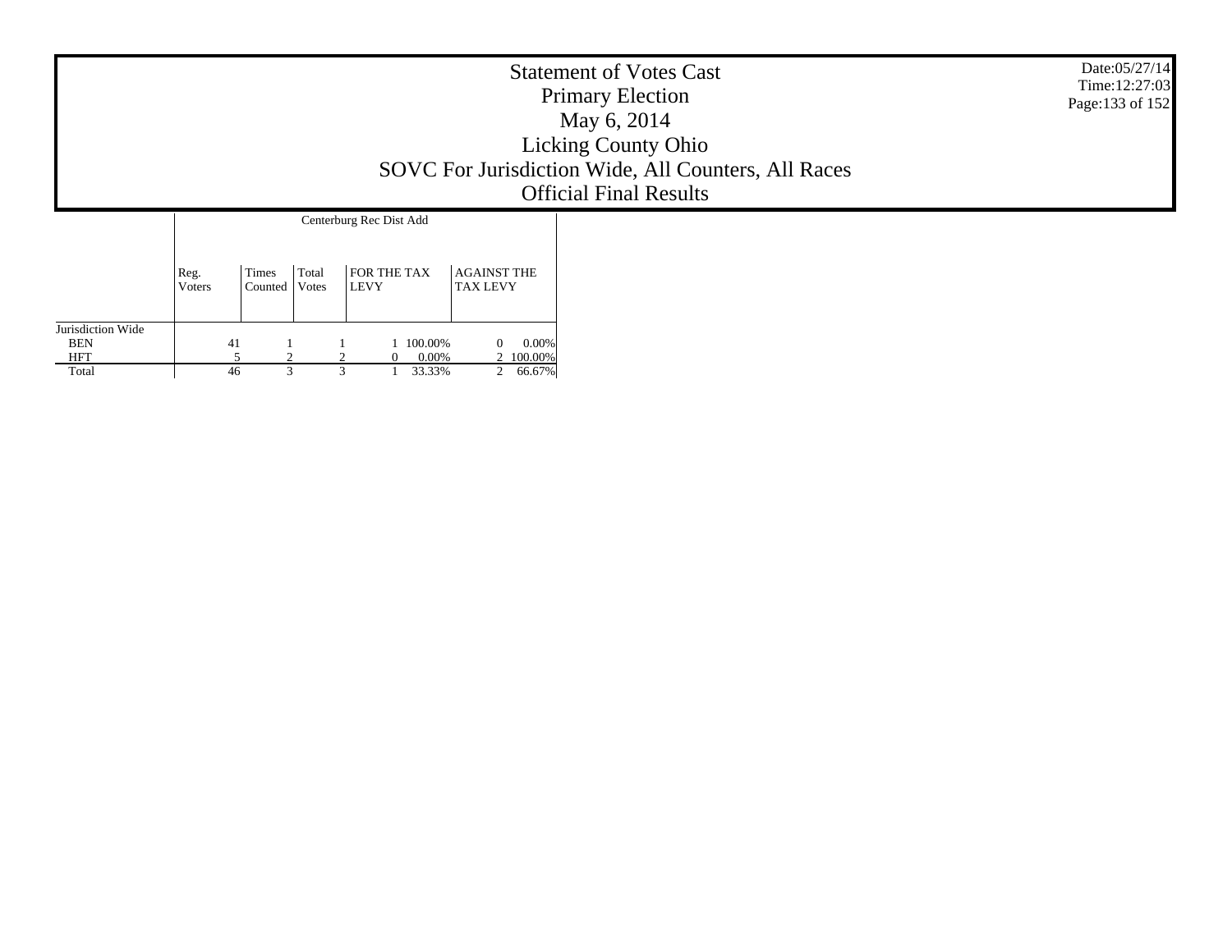|                                                        |                |                  |                |                                                       |                                       | <b>Statement of Votes Cast</b><br><b>Primary Election</b><br>May 6, 2014<br><b>Licking County Ohio</b><br>SOVC For Jurisdiction Wide, All Counters, All Races<br><b>Official Final Results</b> | Date:05/27/14<br>Time: 12:27:03<br>Page: 133 of 152 |
|--------------------------------------------------------|----------------|------------------|----------------|-------------------------------------------------------|---------------------------------------|------------------------------------------------------------------------------------------------------------------------------------------------------------------------------------------------|-----------------------------------------------------|
|                                                        | Reg.<br>Voters | Times<br>Counted | Total<br>Votes | Centerburg Rec Dist Add<br>FOR THE TAX<br><b>LEVY</b> | <b>AGAINST THE</b><br><b>TAX LEVY</b> |                                                                                                                                                                                                |                                                     |
| Jurisdiction Wide<br><b>BEN</b><br><b>HFT</b><br>Total | 41<br>46       |                  | 3              | 100.00%<br>0.00%<br>33.33%                            | 0.00%<br>2 100.00%<br>2 66.67%        |                                                                                                                                                                                                |                                                     |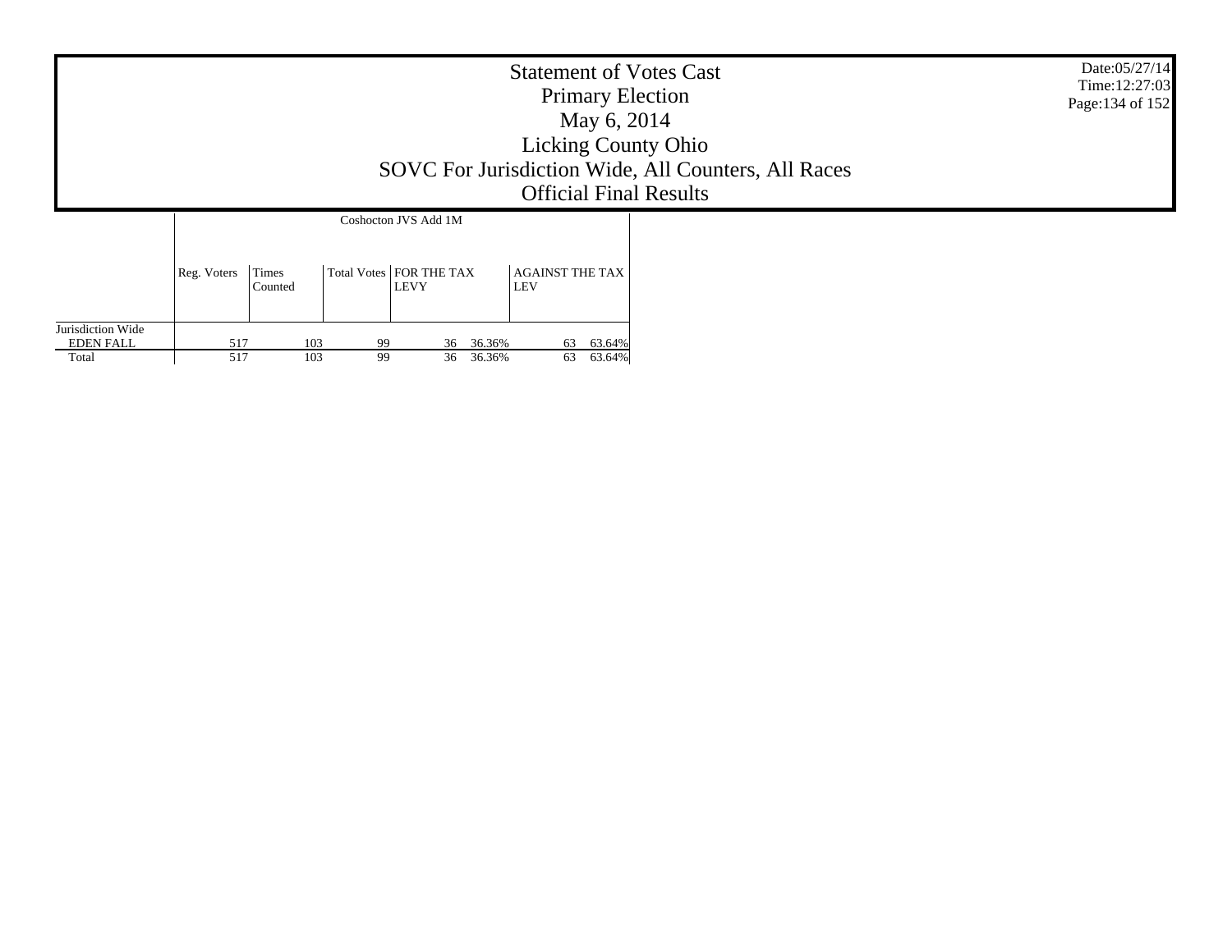| <b>Statement of Votes Cast</b><br><b>Primary Election</b><br>May 6, 2014<br><b>Licking County Ohio</b><br>SOVC For Jurisdiction Wide, All Counters, All Races<br><b>Official Final Results</b> |             |                       |          |                                                   |                                            | Date:05/27/14<br>Time: 12:27:03<br>Page: 134 of 152 |
|------------------------------------------------------------------------------------------------------------------------------------------------------------------------------------------------|-------------|-----------------------|----------|---------------------------------------------------|--------------------------------------------|-----------------------------------------------------|
|                                                                                                                                                                                                | Reg. Voters | Times                 |          | Coshocton JVS Add 1M<br>Total Votes   FOR THE TAX | <b>AGAINST THE TAX</b>                     |                                                     |
| Jurisdiction Wide<br><b>EDEN FALL</b><br>Total                                                                                                                                                 | 517<br>517  | Counted<br>103<br>103 | 99<br>99 | <b>LEVY</b><br>36.36%<br>36<br>36<br>36.36%       | <b>LEV</b><br>63.64%<br>63<br>63<br>63.64% |                                                     |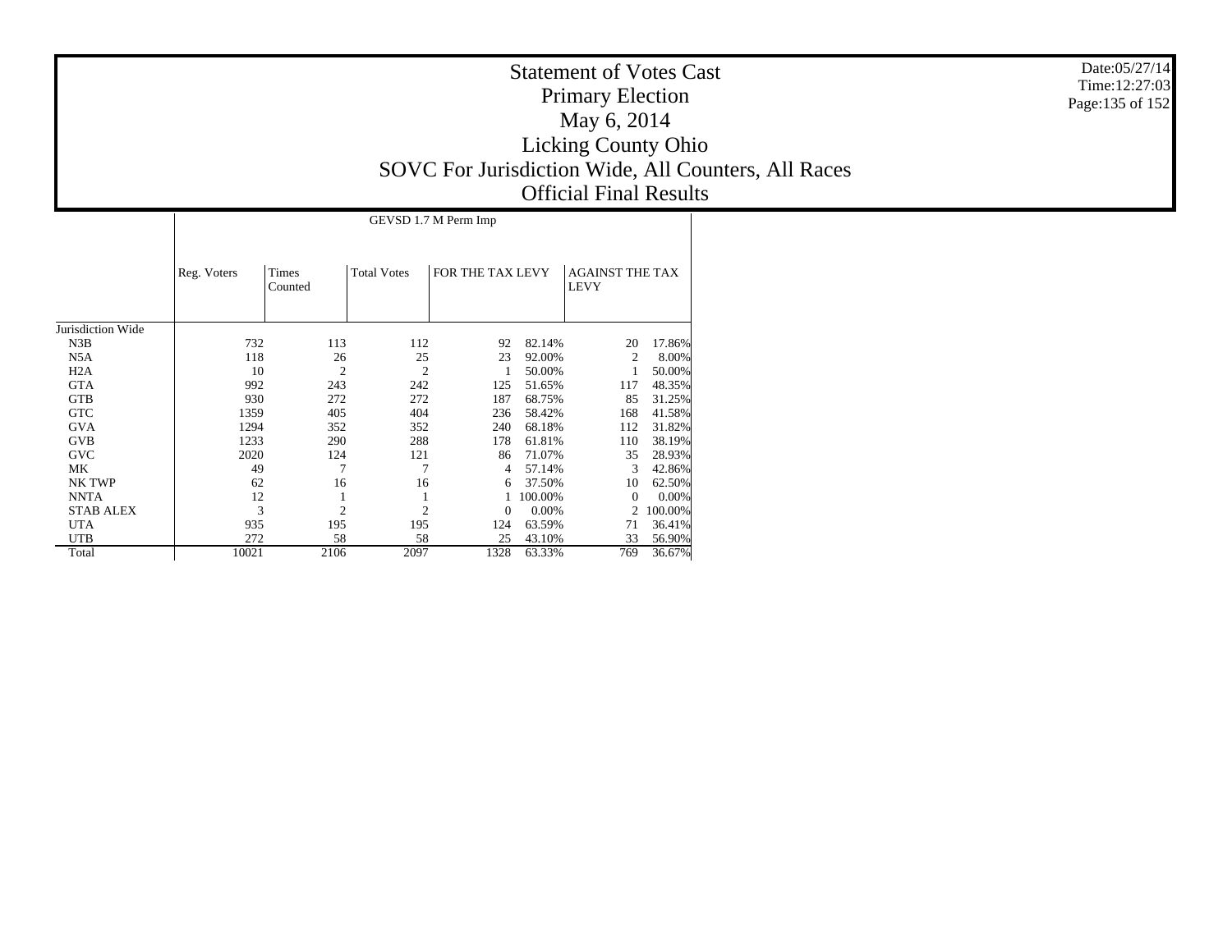Jurisdiction Wide N3B N5A H2A GTA GTB GTC GVA GVB GVC MK NK TWP NNTA STAB ALEX UTA UTB**Total** Reg. Voters | Times CountedTotal Votes FOR THE TAX LEVY AGAINST THE TAX LEVYGEVSD 1.7 M Perm Imp 732 113 112 92 82.14% 20 17.86% 118 26 25 23 92.00% 2 8.00% 10 2 2 1 50.00% 1 50.00% 992 243 242 125 51.65% 117 48.35% 930 272 272 187 68.75% 85 31.25% 1359 405 404 236 58.42% 168 41.58% 1294 352 352 240 68.18% 112 31.82% 1233 290 288 178 61.81% 110 38.19% 2020 124 121 86 71.07% 35 28.93% 49 7 7 4 57.14% 3 42.86% 62 16 16 6 37.50% 10 62.50% 121 1 100.00% 0 0.00% 3 2 2 0 0.00% 2 100.00% 935 195 195 124 63.59% 71 36.41% 272 58 58 25 43.10% 33 56.90% 10021 2106 2097 1328 63.33%769 36.67%

Date:05/27/14 Time:12:27:03 Page:135 of 152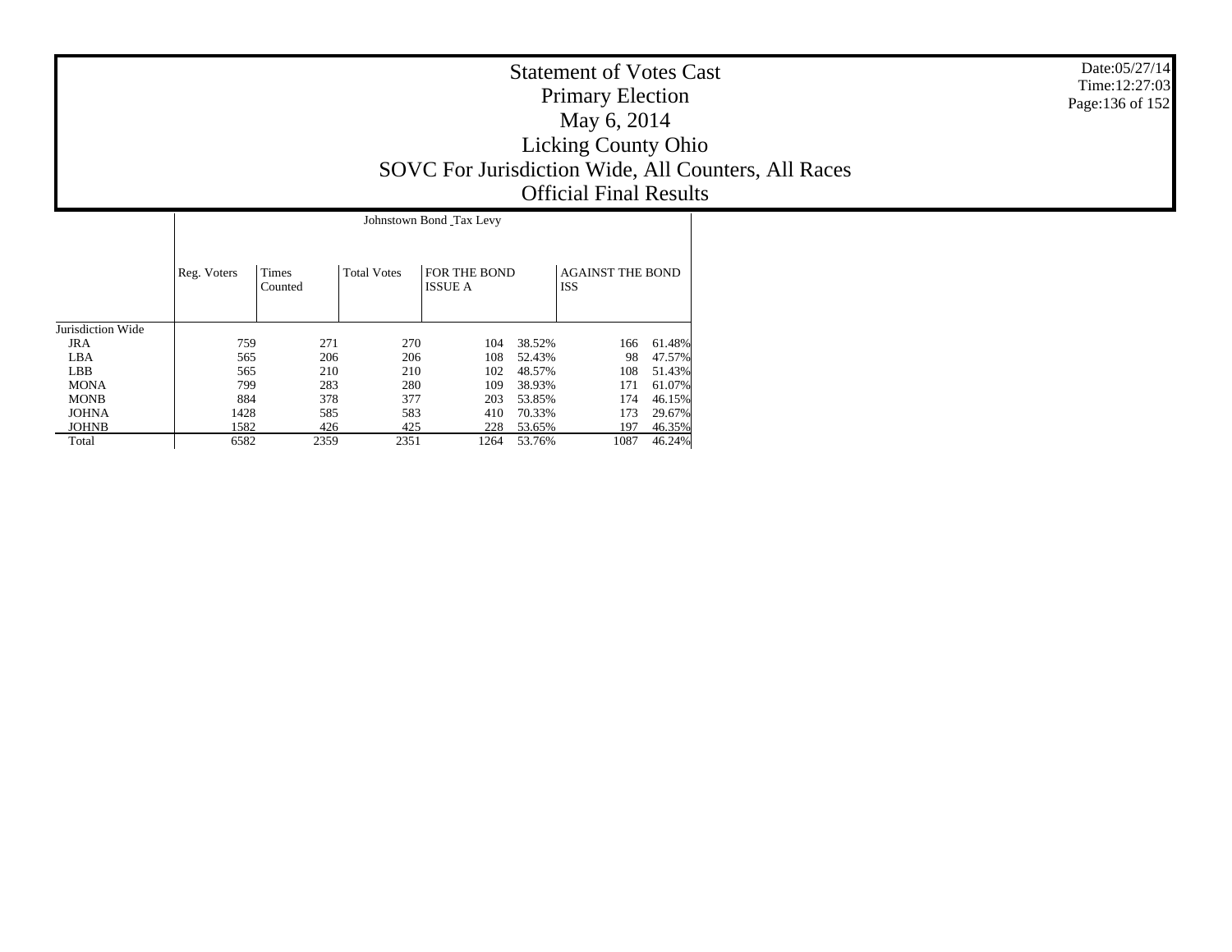|                   |             | Johnstown Bond Tax Levy |                    |                                |        |                                       |        |  |  |  |  |
|-------------------|-------------|-------------------------|--------------------|--------------------------------|--------|---------------------------------------|--------|--|--|--|--|
|                   | Reg. Voters | Times<br>Counted        | <b>Total Votes</b> | FOR THE BOND<br><b>ISSUE A</b> |        | <b>AGAINST THE BOND</b><br><b>ISS</b> |        |  |  |  |  |
| Jurisdiction Wide |             |                         |                    |                                |        |                                       |        |  |  |  |  |
| <b>JRA</b>        | 759         | 271                     | 270                | 104                            | 38.52% | 166                                   | 61.48% |  |  |  |  |
| LBA               | 565         | 206                     | 206                | 108                            | 52.43% | 98                                    | 47.57% |  |  |  |  |
| <b>LBB</b>        | 565         | 210                     | 210                | 102                            | 48.57% | 108                                   | 51.43% |  |  |  |  |
| <b>MONA</b>       | 799         | 283                     | 280                | 109                            | 38.93% | 171                                   | 61.07% |  |  |  |  |
| <b>MONB</b>       | 884         | 378                     | 377                | 203                            | 53.85% | 174                                   | 46.15% |  |  |  |  |
| <b>JOHNA</b>      | 1428        | 585                     | 583                | 410                            | 70.33% | 173                                   | 29.67% |  |  |  |  |
| <b>JOHNB</b>      | 1582        | 426                     | 425                | 228                            | 53.65% | 197                                   | 46.35% |  |  |  |  |
| Total             | 6582        | 2359                    | 2351               | 1264                           | 53.76% | 1087                                  | 46.24% |  |  |  |  |

Date:05/27/14 Time:12:27:03 Page:136 of 152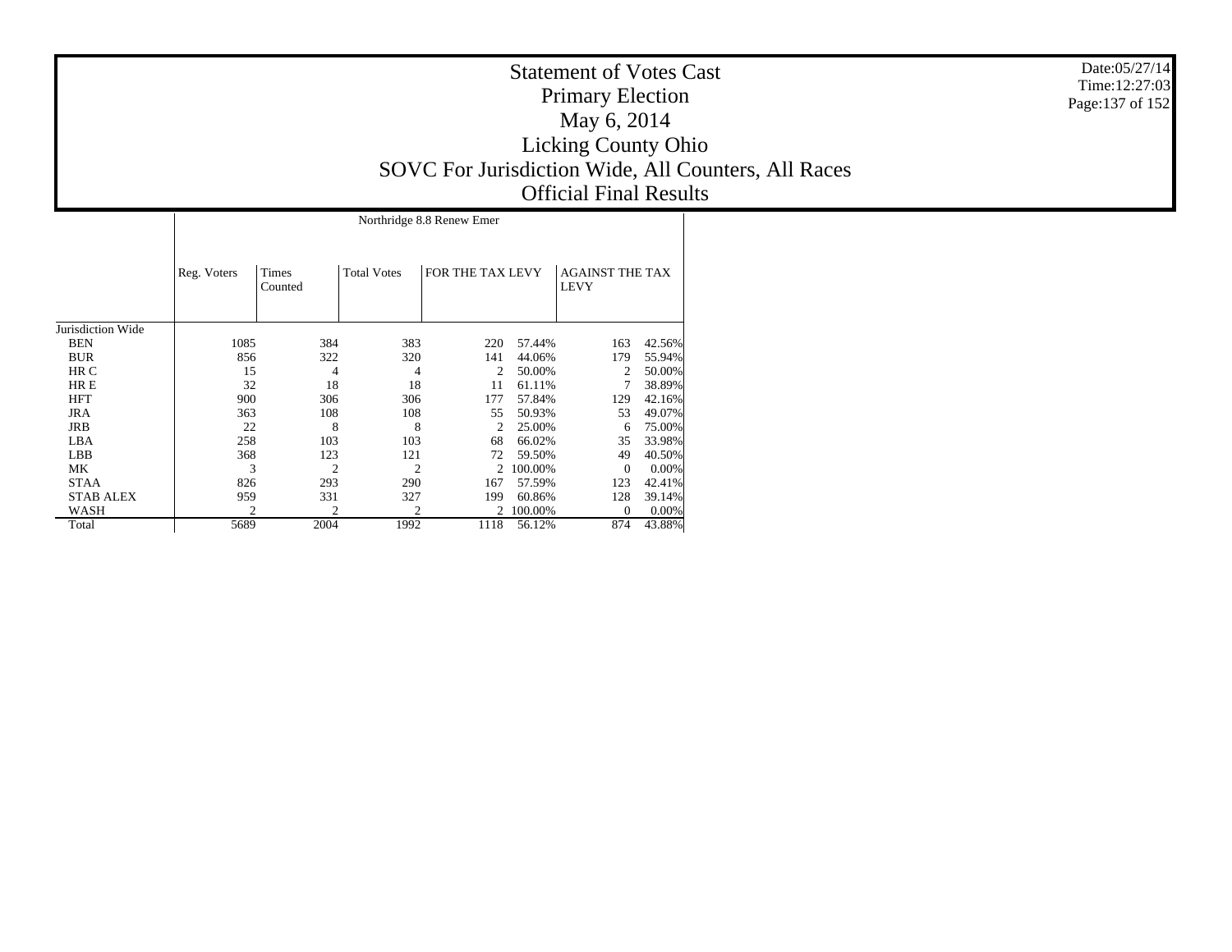|                   |             | Northridge 8.8 Renew Emer |                    |                  |         |                                       |        |  |  |  |  |
|-------------------|-------------|---------------------------|--------------------|------------------|---------|---------------------------------------|--------|--|--|--|--|
|                   | Reg. Voters | Times<br>Counted          | <b>Total Votes</b> | FOR THE TAX LEVY |         | <b>AGAINST THE TAX</b><br><b>LEVY</b> |        |  |  |  |  |
| Jurisdiction Wide |             |                           |                    |                  |         |                                       |        |  |  |  |  |
| <b>BEN</b>        | 1085        | 384                       | 383                | 220              | 57.44%  | 163                                   | 42.56% |  |  |  |  |
| <b>BUR</b>        | 856         | 322                       | 320                | 141              | 44.06%  | 179                                   | 55.94% |  |  |  |  |
| HR C              | 15          | 4                         | 4                  | 2                | 50.00%  | 2                                     | 50.00% |  |  |  |  |
| HR E              | 32          | 18                        | 18                 | 11               | 61.11%  | 7                                     | 38.89% |  |  |  |  |
| <b>HFT</b>        | 900         | 306                       | 306                | 177              | 57.84%  | 129                                   | 42.16% |  |  |  |  |
| JRA               | 363         | 108                       | 108                | 55               | 50.93%  | 53                                    | 49.07% |  |  |  |  |
| <b>JRB</b>        | 22          | 8                         | 8                  | 2                | 25.00%  | 6                                     | 75.00% |  |  |  |  |
| LBA               | 258         | 103                       | 103                | 68               | 66.02%  | 35                                    | 33.98% |  |  |  |  |
| <b>LBB</b>        | 368         | 123                       | 121                | 72               | 59.50%  | 49                                    | 40.50% |  |  |  |  |
| <b>MK</b>         | 3           | $\overline{c}$            | 2                  | 2                | 100.00% | $\Omega$                              | 0.00%  |  |  |  |  |
| <b>STAA</b>       | 826         | 293                       | 290                | 167              | 57.59%  | 123                                   | 42.41% |  |  |  |  |
| <b>STAB ALEX</b>  | 959         | 331                       | 327                | 199              | 60.86%  | 128                                   | 39.14% |  |  |  |  |
| WASH              | 2           |                           | 2                  |                  | 100.00% | $\Omega$                              | 0.00%  |  |  |  |  |
| Total             | 5689        | 2004                      | 1992               | 1118             | 56.12%  | 874                                   | 43.88% |  |  |  |  |

Date:05/27/14 Time:12:27:03Page:137 of 152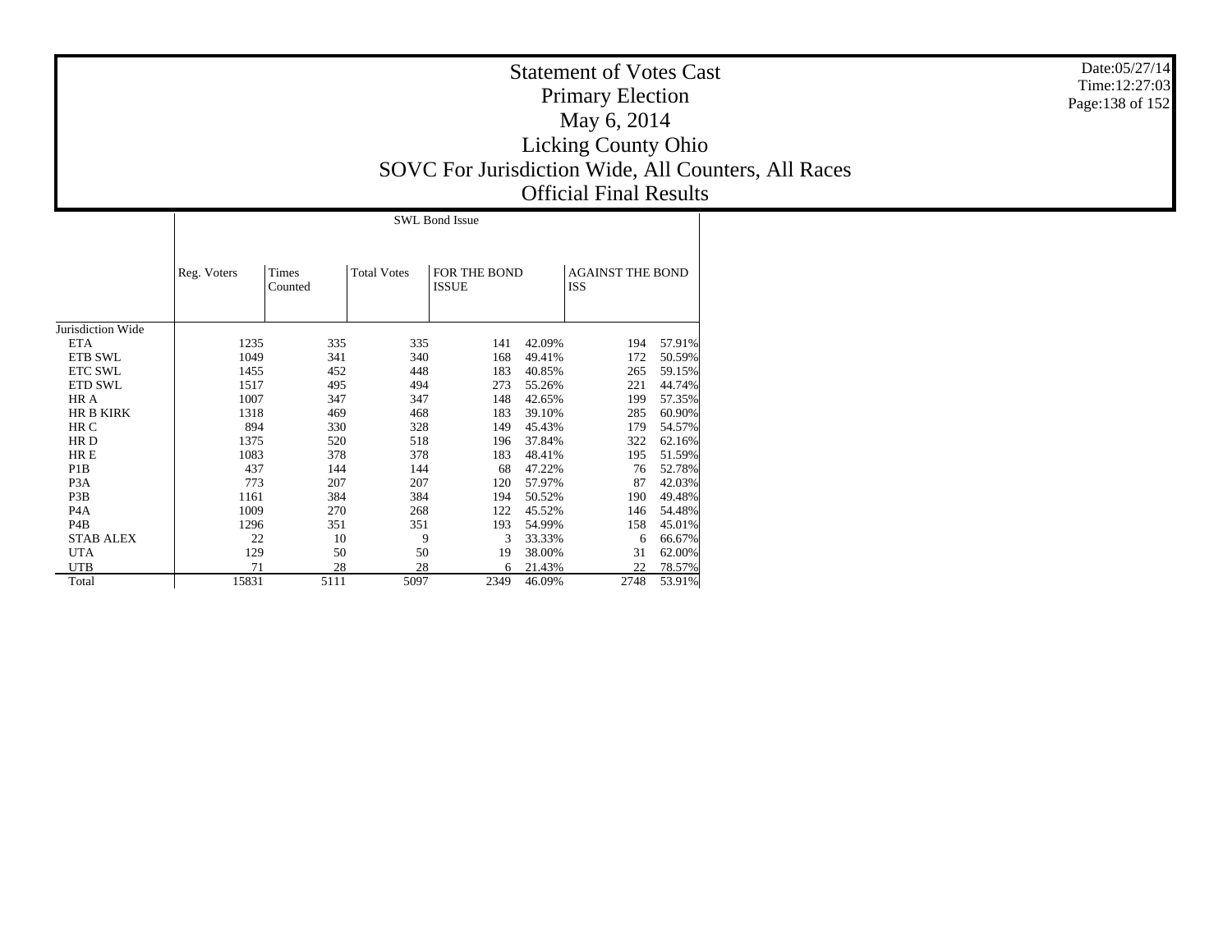|                   |             |                  |                    | <b>SWL Bond Issue</b>        |        |                                       |        |
|-------------------|-------------|------------------|--------------------|------------------------------|--------|---------------------------------------|--------|
|                   | Reg. Voters | Times<br>Counted | <b>Total Votes</b> | FOR THE BOND<br><b>ISSUE</b> |        | <b>AGAINST THE BOND</b><br><b>ISS</b> |        |
| Jurisdiction Wide |             |                  |                    |                              |        |                                       |        |
| <b>ETA</b>        | 1235        | 335              | 335                | 141                          | 42.09% | 194                                   | 57.91% |
| <b>ETB SWL</b>    | 1049        | 341              | 340                | 168                          | 49.41% | 172                                   | 50.59% |
| <b>ETC SWL</b>    | 1455        | 452              | 448                | 183                          | 40.85% | 265                                   | 59.15% |
| <b>ETD SWL</b>    | 1517        | 495              | 494                | 273                          | 55.26% | 221                                   | 44.74% |
| HR A              | 1007        | 347              | 347                | 148                          | 42.65% | 199                                   | 57.35% |
| <b>HR B KIRK</b>  | 1318        | 469              | 468                | 183                          | 39.10% | 285                                   | 60.90% |
| HR C              | 894         | 330              | 328                | 149                          | 45.43% | 179                                   | 54.57% |
| HR D              | 1375        | 520              | 518                | 196                          | 37.84% | 322                                   | 62.16% |
| HR E              | 1083        | 378              | 378                | 183                          | 48.41% | 195                                   | 51.59% |
| P <sub>1</sub> B  | 437         | 144              | 144                | 68                           | 47.22% | 76                                    | 52.78% |
| P <sub>3</sub> A  | 773         | 207              | 207                | 120                          | 57.97% | 87                                    | 42.03% |
| P3B               | 1161        | 384              | 384                | 194                          | 50.52% | 190                                   | 49.48% |
| P <sub>4</sub> A  | 1009        | 270              | 268                | 122                          | 45.52% | 146                                   | 54.48% |
| P <sub>4</sub> B  | 1296        | 351              | 351                | 193                          | 54.99% | 158                                   | 45.01% |
| <b>STAB ALEX</b>  | 22          | 10               | 9                  | 3                            | 33.33% | 6                                     | 66.67% |
| <b>UTA</b>        | 129         | 50               | 50                 | 19                           | 38.00% | 31                                    | 62.00% |
| <b>UTB</b>        | 71          | 28               | 28                 | 6                            | 21.43% | 22                                    | 78.57% |
| Total             | 15831       | 5111             | 5097               | 2349                         | 46.09% | 2748                                  | 53.91% |

Date:05/27/14 Time:12:27:03 Page:138 of 152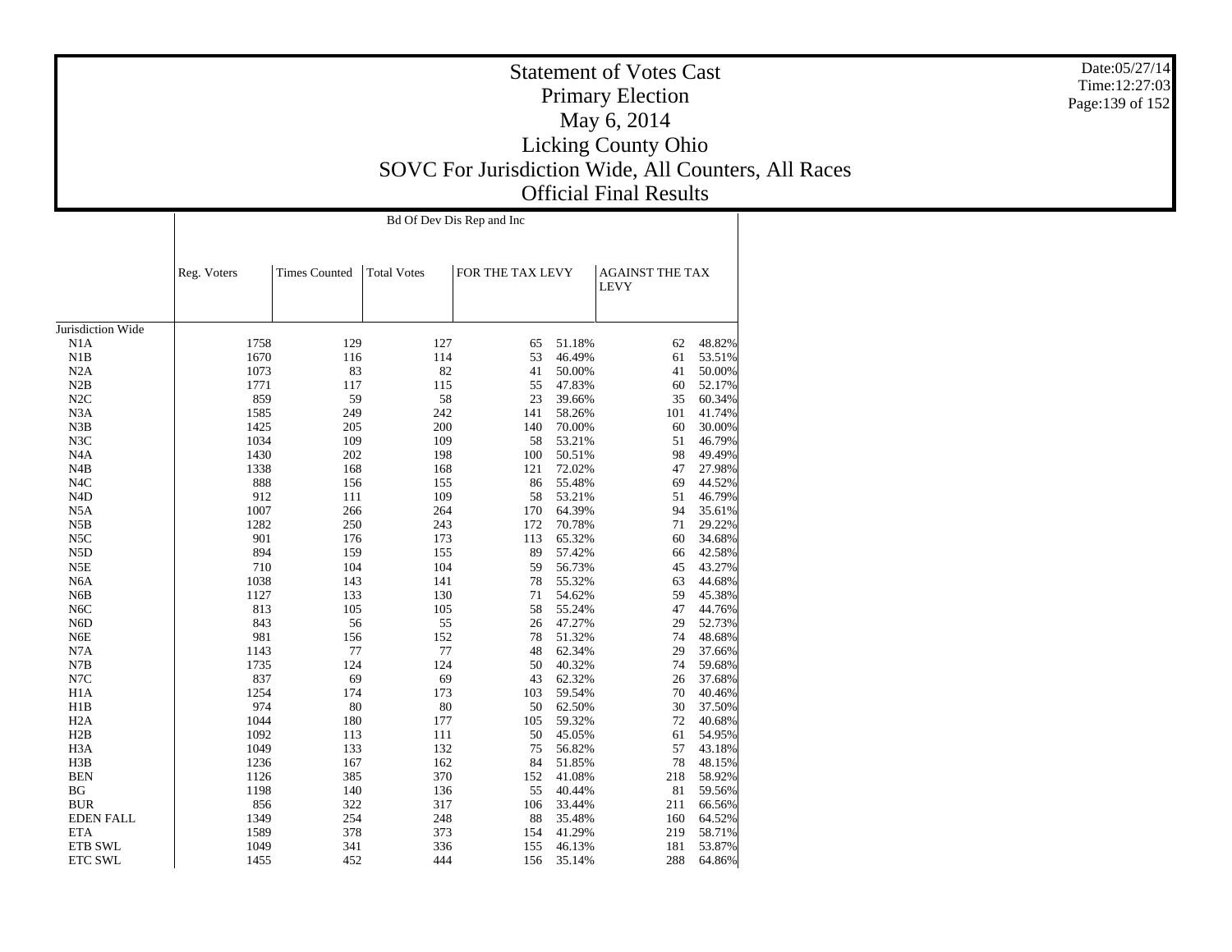|                   |             | Bd Of Dev Dis Rep and Inc |                    |                  |        |                        |        |  |  |  |  |  |
|-------------------|-------------|---------------------------|--------------------|------------------|--------|------------------------|--------|--|--|--|--|--|
|                   | Reg. Voters | <b>Times Counted</b>      | <b>Total Votes</b> | FOR THE TAX LEVY |        | <b>AGAINST THE TAX</b> |        |  |  |  |  |  |
|                   |             |                           |                    |                  |        | <b>LEVY</b>            |        |  |  |  |  |  |
| Jurisdiction Wide |             |                           |                    |                  |        |                        |        |  |  |  |  |  |
| N1A               | 1758        | 129                       | 127                | 65               | 51.18% | 62                     | 48.82% |  |  |  |  |  |
| N1B               | 1670        | 116                       | 114                | 53               | 46.49% | 61                     | 53.51% |  |  |  |  |  |
| N2A               | 1073        | 83                        | 82                 | 41               | 50.00% | 41                     | 50.00% |  |  |  |  |  |
| N2B               | 1771        | 117                       | 115                | 55               | 47.83% | 60                     | 52.17% |  |  |  |  |  |
| N2C               | 859         | 59                        | 58                 | 23               | 39.66% | 35                     | 60.34% |  |  |  |  |  |
| N3A               | 1585        | 249                       | 242                | 141              | 58.26% | 101                    | 41.74% |  |  |  |  |  |
| N3B               | 1425        | 205                       | 200                | 140              | 70.00% | 60                     | 30.00% |  |  |  |  |  |
| N3C               | 1034        | 109                       | 109                | 58               | 53.21% | 51                     | 46.79% |  |  |  |  |  |
| N <sub>4</sub> A  | 1430        | 202                       | 198                | 100              | 50.51% | 98                     | 49.49% |  |  |  |  |  |
| N4B               | 1338        | 168                       | 168                | 121              | 72.02% | 47                     | 27.98% |  |  |  |  |  |
| N <sub>4</sub> C  | 888         | 156                       | 155                | 86               | 55.48% | 69                     | 44.52% |  |  |  |  |  |
| N <sub>4</sub> D  | 912         | 111                       | 109                | 58               | 53.21% | 51                     | 46.79% |  |  |  |  |  |
| N <sub>5</sub> A  | 1007        | 266                       | 264                | 170              | 64.39% | 94                     | 35.61% |  |  |  |  |  |
| N5B               | 1282        | 250                       | 243                | 172              | 70.78% | 71                     | 29.22% |  |  |  |  |  |
| N <sub>5</sub> C  | 901         | 176                       | 173                | 113              | 65.32% | 60                     | 34.68% |  |  |  |  |  |
| N <sub>5</sub> D  | 894         | 159                       | 155                | 89               | 57.42% | 66                     | 42.58% |  |  |  |  |  |
| N5E               | 710         | 104                       | 104                | 59               | 56.73% | 45                     | 43.27% |  |  |  |  |  |
| N <sub>6</sub> A  | 1038        | 143                       | 141                | 78               | 55.32% | 63                     | 44.68% |  |  |  |  |  |
| N <sub>6</sub> B  | 1127        | 133                       | 130                | 71               | 54.62% | 59                     | 45.38% |  |  |  |  |  |
| N <sub>6</sub> C  | 813         | 105                       | 105                | 58               | 55.24% | 47                     | 44.76% |  |  |  |  |  |
| N <sub>6</sub> D  | 843         | 56                        | 55                 | 26               | 47.27% | 29                     | 52.73% |  |  |  |  |  |
| N <sub>6</sub> E  | 981         | 156                       | 152                | 78               | 51.32% | 74                     | 48.68% |  |  |  |  |  |
| N7A               | 1143        | 77                        | 77                 | 48               | 62.34% | 29                     | 37.66% |  |  |  |  |  |
| N7B               | 1735        | 124                       | 124                | 50               | 40.32% | 74                     | 59.68% |  |  |  |  |  |
| N7C               | 837         | 69                        | 69                 | 43               | 62.32% | 26                     | 37.68% |  |  |  |  |  |
| H <sub>1</sub> A  | 1254        | 174                       | 173                | 103              | 59.54% | 70                     | 40.46% |  |  |  |  |  |
| H1B               | 974         | 80                        | 80                 | 50               | 62.50% | 30                     | 37.50% |  |  |  |  |  |
| H <sub>2</sub> A  | 1044        | 180                       | 177                | 105              | 59.32% | 72                     | 40.68% |  |  |  |  |  |
| H2B               | 1092        | 113                       | 111                | 50               | 45.05% | 61                     | 54.95% |  |  |  |  |  |
| H <sub>3</sub> A  | 1049        | 133                       | 132                | 75               | 56.82% | 57                     | 43.18% |  |  |  |  |  |
| H3B               | 1236        | 167                       | 162                | 84               | 51.85% | 78                     | 48.15% |  |  |  |  |  |
| <b>BEN</b>        | 1126        | 385                       | 370                | 152              | 41.08% | 218                    | 58.92% |  |  |  |  |  |
| BG                | 1198        | 140                       | 136                | 55               | 40.44% | 81                     | 59.56% |  |  |  |  |  |
| <b>BUR</b>        | 856         | 322                       | 317                | 106              | 33.44% | 211                    | 66.56% |  |  |  |  |  |
| <b>EDEN FALL</b>  | 1349        | 254                       | 248                | 88               | 35.48% | 160                    | 64.52% |  |  |  |  |  |
| <b>ETA</b>        | 1589        | 378                       | 373                | 154              | 41.29% | 219                    | 58.71% |  |  |  |  |  |
| ETB SWL           | 1049        | 341                       | 336                | 155              | 46.13% | 181                    | 53.87% |  |  |  |  |  |
| <b>ETC SWL</b>    | 1455        | 452                       | 444                | 156              | 35.14% | 288                    | 64.86% |  |  |  |  |  |

Date:05/27/14 Time:12:27:03 Page:139 of 152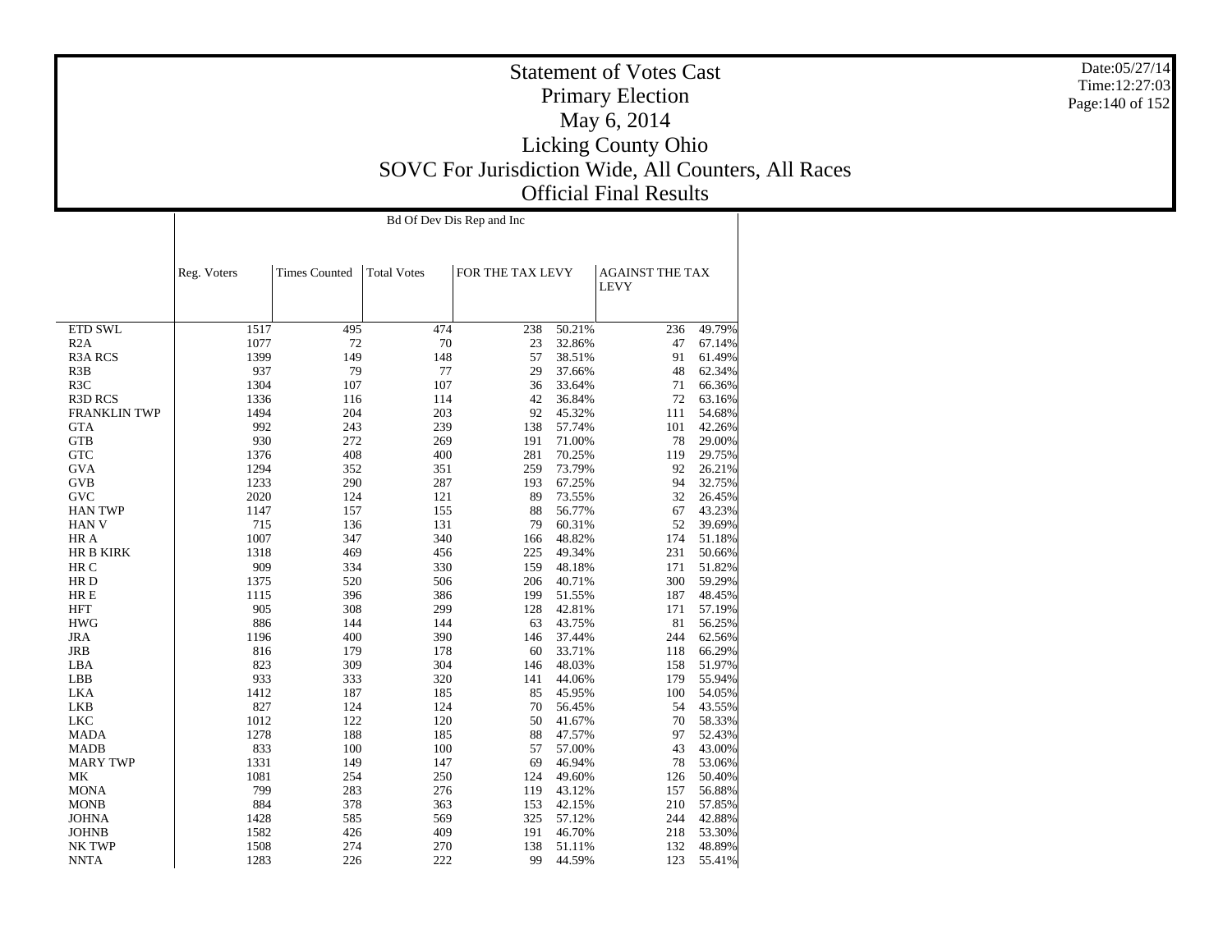ETD SWL R2A R3A RCS R3B R3C R3D RCS FRANKLIN TWP GTA GTB GTC GVA GVB GVC HAN TWP HAN V HR A HR B KIRK HR C HR D HR E HFT HWG JRA JRB LBA LBB LKA LKB LKC MADA MADB MARY TWP MK MONA MONB JOHNA JOHNB NK TWP NNTAReg. Voters Times Counted | Total Votes | FOR THE TAX LEVY | AGAINST THE TAX LEVYBd Of Dev Dis Rep and Inc  $1517$ 495 474 238 50.21%  $236 - 49.79%$ 1077 72 70 23 32.86% 47 67.14% 1399 149 148 57 38.51% 91 61.49% 937 79 77 29 37.66% 48 62.34% 1304 107 107 36 33.64% 71 66.36% 1336 116 114 42 36.84% 72 63.16% 1494 204 203 92 45.32% 111 54.68% 992 243 239 138 57.74% 101 42.26% 930 272 269 191 71.00% 78 29.00% 1376 408 400 281 70.25% 119 29.75% 1294 352 351 259 73.79% 92 26.21% 1233 290 287 193 67.25% 94 32.75% 2020 124 121 89 73.55%26.45% 1147 157 155 88 56.77% 67 43.23% 715 136 131 79 60.31% 52 39.69% 1007 347 340 166 48.82% 174 51.18% 1318 469 456 225 49.34% 231 50.66% 909 334 330 159 48.18% 171 51.82% 1375 520 506 206 40.71% 300 59.29% 1115 396 386 199 51.55% 187 48.45% 905 308 299 128 42.81% 171 57.19% 886 144 144 63 43.75% 81 56.25% 1196 400 390 146 37.44% 244 62.56% 816 179 178 60 33.71% 118 66.29% 823 309 304 146 48.03% 158 51.97% 933 333 320 141 44.06% 179 55.94% 1412 187 185 85 45.95% 100 54.05% 827 124 124 70 56.45% 54 43.55% 1012 122 120 50 41.67% 70 58.33% 1278 188 185 88 47.57% 97 52.43% 833 100 100 57 57.00% 43 43.00% 1331 149 147 69 46.94% 78 53.06% 1081 254 250 124 49.60% 126 50.40% 799 283 276 119 43.12% 157 56.88% 884 378 363 153 42.15% 210 57.85% 1428 585 569 325 57.12% 244 42.88% 1582 426 409 191 46.70% 218 53.30% 1508 274 270 138 51.11% 132 48.89% 1283 226 222 99 44.59%123 55.41%

Date:05/27/14Time:12:27:03Page:140 of 152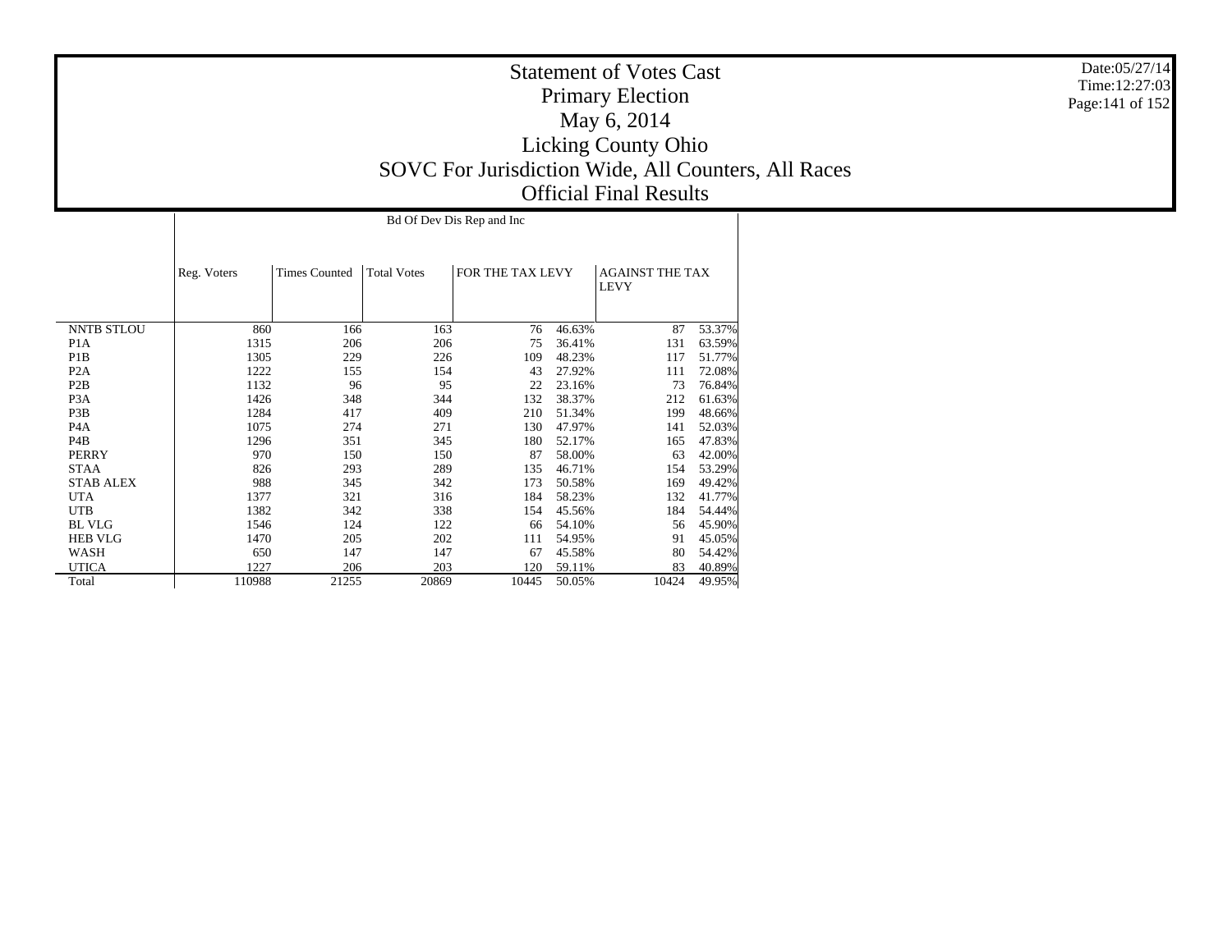NNTB STLOU P1A P1B P2A P2B P3A P3B P4A P4B PERRY STAA STAB ALEX UTA UTB BL VLG HEB VLG WASH UTICA Total Reg. Voters | Times Counted | Total Votes | FOR THE TAX LEVY | AGAINST THE TAX LEVYBd Of Dev Dis Rep and Inc 860166 163 76 46.63%  $87 - 53.37%$ 1315 206 206 75 36.41% 131 63.59% 1305 229 226 109 48.23% 117 51.77% 1222 155 154 43 27.92% 111 72.08% 1132 96 95 22 23.16% 73 76.84% 1426 348 344 132 38.37% 212 61.63% 1284 417 409 210 51.34% 199 48.66% 1075 274 271 130 47.97% 141 52.03% 1296 351 345 180 52.17% 165 47.83% 970 150 150 87 58.00% 63 42.00% 826 293 289 135 46.71% 154 53.29% 988 345 342 173 50.58% 169 49.42% 1377 321 316 184 58.23% 132 41.77% 1382 342 338 154 45.56% 184 54.44% 1546 124 122 66 54.10% 56 45.90% 1470 205 202 111 54.95% 91 45.05% 650 147 147 67 45.58% 80 54.42% 1227 206 203 120 59.11% 83 40.89% 110988 21255 20869 10445 50.05%10424 49.95%

Date:05/27/14 Time:12:27:03Page:141 of 152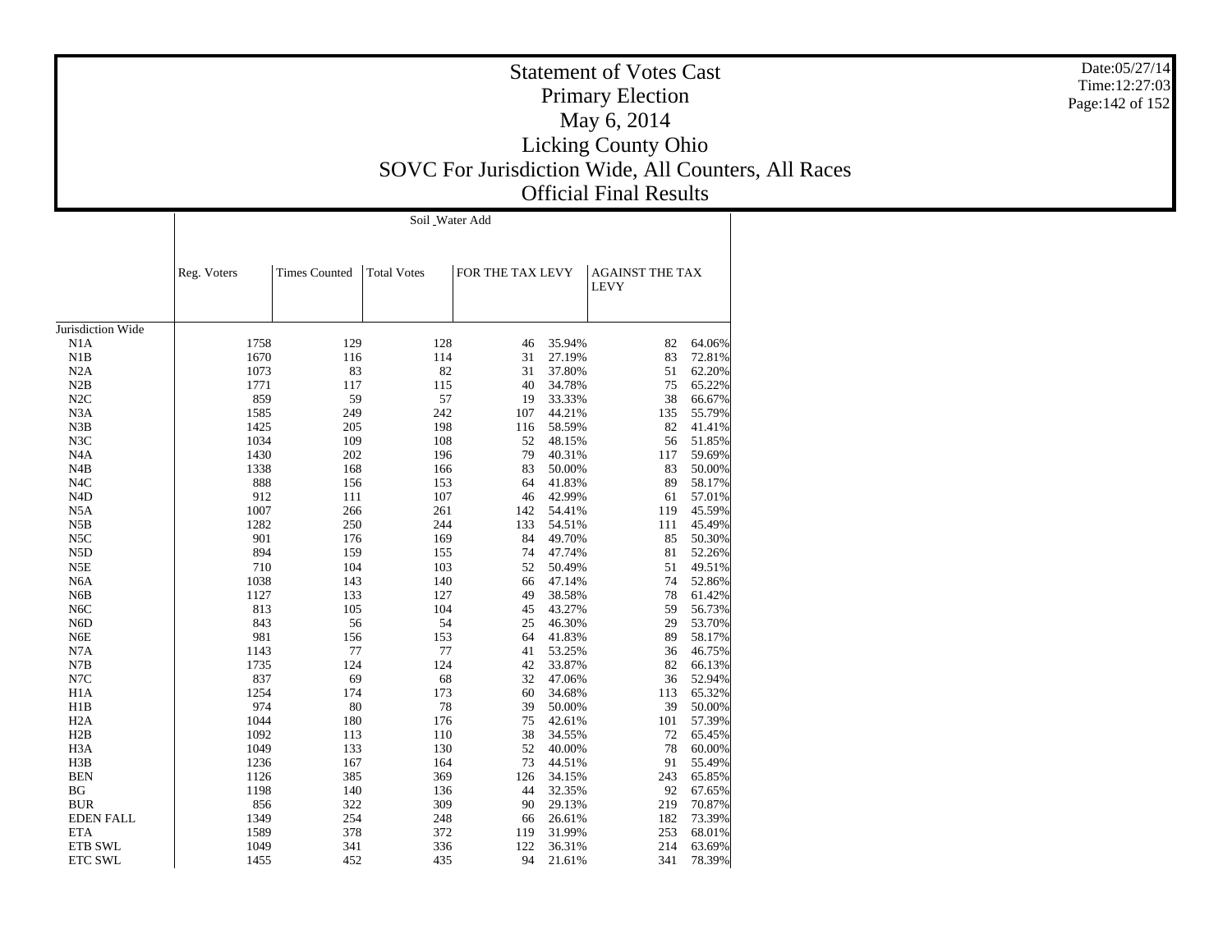Soil Water Add

|                   | Reg. Voters | <b>Times Counted</b> | <b>Total Votes</b> | FOR THE TAX LEVY |        | <b>AGAINST THE TAX</b><br><b>LEVY</b> |        |
|-------------------|-------------|----------------------|--------------------|------------------|--------|---------------------------------------|--------|
| Jurisdiction Wide |             |                      |                    |                  |        |                                       |        |
| N1A               | 1758        | 129                  | 128                | 46               | 35.94% | 82                                    | 64.06% |
| N1B               | 1670        | 116                  | 114                | 31               | 27.19% | 83                                    | 72.81% |
| N2A               | 1073        | 83                   | 82                 | 31               | 37.80% | 51                                    | 62.20% |
| N2B               | 1771        | 117                  | 115                | 40               | 34.78% | 75                                    | 65.22% |
| N2C               | 859         | 59                   | 57                 | 19               | 33.33% | 38                                    | 66.67% |
| N <sub>3</sub> A  | 1585        | 249                  | 242                | 107              | 44.21% | 135                                   | 55.79% |
| N3B               | 1425        | 205                  | 198                | 116              | 58.59% | 82                                    | 41.41% |
| N3C               | 1034        | 109                  | 108                | 52               | 48.15% | 56                                    | 51.85% |
| N <sub>4</sub> A  | 1430        | 202                  | 196                | 79               | 40.31% | 117                                   | 59.69% |
| N4B               | 1338        | 168                  | 166                | 83               | 50.00% | 83                                    | 50.00% |
| N <sub>4</sub> C  | 888         | 156                  | 153                | 64               | 41.83% | 89                                    | 58.17% |
| N <sub>4</sub> D  | 912         | 111                  | 107                | 46               | 42.99% | 61                                    | 57.01% |
| N <sub>5</sub> A  | 1007        | 266                  | 261                | 142              | 54.41% | 119                                   | 45.59% |
| N5B               | 1282        | 250                  | 244                | 133              | 54.51% | 111                                   | 45.49% |
| N <sub>5</sub> C  | 901         | 176                  | 169                | 84               | 49.70% | 85                                    | 50.30% |
| N <sub>5</sub> D  | 894         | 159                  | 155                | 74               | 47.74% | 81                                    | 52.26% |
| N5E               | 710         | 104                  | 103                | 52               | 50.49% | 51                                    | 49.51% |
| N <sub>6</sub> A  | 1038        | 143                  | 140                | 66               | 47.14% | 74                                    | 52.86% |
| N <sub>6</sub> B  | 1127        | 133                  | 127                | 49               | 38.58% | 78                                    | 61.42% |
| N <sub>6</sub> C  | 813         | 105                  | 104                | 45               | 43.27% | 59                                    | 56.73% |
| N <sub>6</sub> D  | 843         | 56                   | 54                 | 25               | 46.30% | 29                                    | 53.70% |
| N <sub>6</sub> E  | 981         | 156                  | 153                | 64               | 41.83% | 89                                    | 58.17% |
| N7A               | 1143        | 77                   | 77                 | 41               | 53.25% | 36                                    | 46.75% |
| N7B               | 1735        | 124                  | 124                | 42               | 33.87% | 82                                    | 66.13% |
| N7C               | 837         | 69                   | 68                 | 32               | 47.06% | 36                                    | 52.94% |
| H1A               | 1254        | 174                  | 173                | 60               | 34.68% | 113                                   | 65.32% |
| H1B               | 974         | 80                   | 78                 | 39               | 50.00% | 39                                    | 50.00% |
| H <sub>2</sub> A  | 1044        | 180                  | 176                | 75               | 42.61% | 101                                   | 57.39% |
| H2B               | 1092        | 113                  | 110                | 38               | 34.55% | 72                                    | 65.45% |
| H <sub>3</sub> A  | 1049        | 133                  | 130                | 52               | 40.00% | 78                                    | 60.00% |
| H3B               | 1236        | 167                  | 164                | 73               | 44.51% | 91                                    | 55.49% |
| <b>BEN</b>        | 1126        | 385                  | 369                | 126              | 34.15% | 243                                   | 65.85% |
| BG                | 1198        | 140                  | 136                | 44               | 32.35% | 92                                    | 67.65% |
| <b>BUR</b>        | 856         | 322                  | 309                | 90               | 29.13% | 219                                   | 70.87% |
| <b>EDEN FALL</b>  | 1349        | 254                  | 248                | 66               | 26.61% | 182                                   | 73.39% |
| <b>ETA</b>        | 1589        | 378                  | 372                | 119              | 31.99% | 253                                   | 68.01% |
| ETB SWL           | 1049        | 341                  | 336                | 122              | 36.31% | 214                                   | 63.69% |
| <b>ETC SWL</b>    | 1455        | 452                  | 435                | 94               | 21.61% | 341                                   | 78.39% |

Date:05/27/14 Time:12:27:03Page:142 of 152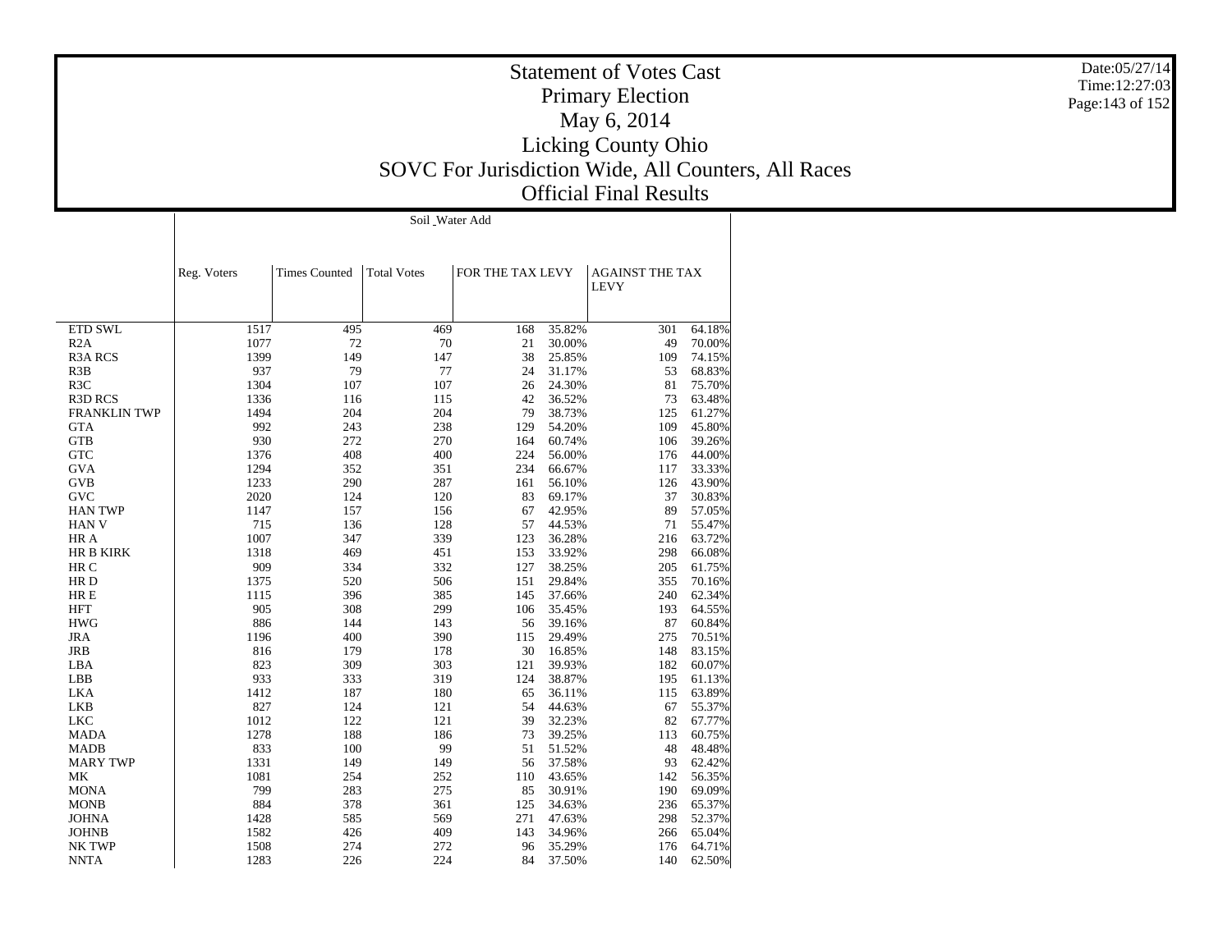Date:05/27/14 Time:12:27:03Page:143 of 152

Soil Water Add

|                     | Reg. Voters | <b>Times Counted</b> | <b>Total Votes</b> | FOR THE TAX LEVY |        | <b>AGAINST THE TAX</b> |        |
|---------------------|-------------|----------------------|--------------------|------------------|--------|------------------------|--------|
|                     |             |                      |                    |                  |        | <b>LEVY</b>            |        |
|                     |             |                      |                    |                  |        |                        |        |
|                     |             |                      |                    |                  |        |                        |        |
| <b>ETD SWL</b>      | 1517        | 495                  | 469                | 168              | 35.82% | 301                    | 64.18% |
| R2A                 | 1077        | 72                   | 70                 | 21               | 30.00% | 49                     | 70.00% |
| <b>R3A RCS</b>      | 1399        | 149                  | 147                | 38               | 25.85% | 109                    | 74.15% |
| R3B                 | 937         | 79                   | 77                 | 24               | 31.17% | 53                     | 68.83% |
| R <sub>3</sub> C    | 1304        | 107                  | 107                | 26               | 24.30% | 81                     | 75.70% |
| <b>R3D RCS</b>      | 1336        | 116                  | 115                | 42               | 36.52% | 73                     | 63.48% |
| <b>FRANKLIN TWP</b> | 1494        | 204                  | 204                | 79               | 38.73% | 125                    | 61.27% |
| <b>GTA</b>          | 992         | 243                  | 238                | 129              | 54.20% | 109                    | 45.80% |
| <b>GTB</b>          | 930         | 272                  | 270                | 164              | 60.74% | 106                    | 39.26% |
| <b>GTC</b>          | 1376        | 408                  | 400                | 224              | 56.00% | 176                    | 44.00% |
| <b>GVA</b>          | 1294        | 352                  | 351                | 234              | 66.67% | 117                    | 33.33% |
| <b>GVB</b>          | 1233        | 290                  | 287                | 161              | 56.10% | 126                    | 43.90% |
| <b>GVC</b>          | 2020        | 124                  | 120                | 83               | 69.17% | 37                     | 30.83% |
| <b>HAN TWP</b>      | 1147        | 157                  | 156                | 67               | 42.95% | 89                     | 57.05% |
| <b>HAN V</b>        | 715         | 136                  | 128                | 57               | 44.53% | 71                     | 55.47% |
| HR A                | 1007        | 347                  | 339                | 123              | 36.28% | 216                    | 63.72% |
| <b>HR B KIRK</b>    | 1318        | 469                  | 451                | 153              | 33.92% | 298                    | 66.08% |
| HR C                | 909         | 334                  | 332                | 127              | 38.25% | 205                    | 61.75% |
| HR D                | 1375        | 520                  | 506                | 151              | 29.84% | 355                    | 70.16% |
| HR E                | 1115        | 396                  | 385                | 145              | 37.66% | 240                    | 62.34% |
| <b>HFT</b>          | 905         | 308                  | 299                | 106              | 35.45% | 193                    | 64.55% |
| <b>HWG</b>          | 886         | 144                  | 143                | 56               | 39.16% | 87                     | 60.84% |
| <b>JRA</b>          | 1196        | 400                  | 390                | 115              | 29.49% | 275                    | 70.51% |
| <b>JRB</b>          | 816         | 179                  | 178                | 30               | 16.85% | 148                    | 83.15% |
| LBA                 | 823         | 309                  | 303                | 121              | 39.93% | 182                    | 60.07% |
| LBB                 | 933         | 333                  | 319                | 124              | 38.87% | 195                    | 61.13% |
| <b>LKA</b>          | 1412        | 187                  | 180                | 65               | 36.11% | 115                    | 63.89% |
| <b>LKB</b>          | 827         | 124                  | 121                | 54               | 44.63% | 67                     | 55.37% |
| <b>LKC</b>          | 1012        | 122                  | 121                | 39               | 32.23% | 82                     | 67.77% |
| <b>MADA</b>         | 1278        | 188                  | 186                | 73               | 39.25% | 113                    | 60.75% |
| <b>MADB</b>         | 833         | 100                  | 99                 | 51               | 51.52% | 48                     | 48.48% |
| <b>MARY TWP</b>     | 1331        | 149                  | 149                | 56               | 37.58% | 93                     | 62.42% |
| MK                  | 1081        | 254                  | 252                | 110              | 43.65% | 142                    | 56.35% |
| <b>MONA</b>         | 799         | 283                  | 275                | 85               | 30.91% | 190                    | 69.09% |
| <b>MONB</b>         | 884         | 378                  | 361                | 125              | 34.63% | 236                    | 65.37% |
| <b>JOHNA</b>        | 1428        | 585                  | 569                | 271              | 47.63% | 298                    | 52.37% |
| <b>JOHNB</b>        | 1582        | 426                  | 409                | 143              | 34.96% | 266                    | 65.04% |
| NK TWP              | 1508        | 274                  | 272                | 96               | 35.29% | 176                    | 64.71% |
| <b>NNTA</b>         | 1283        | 226                  | 224                | 84               | 37.50% | 140                    | 62.50% |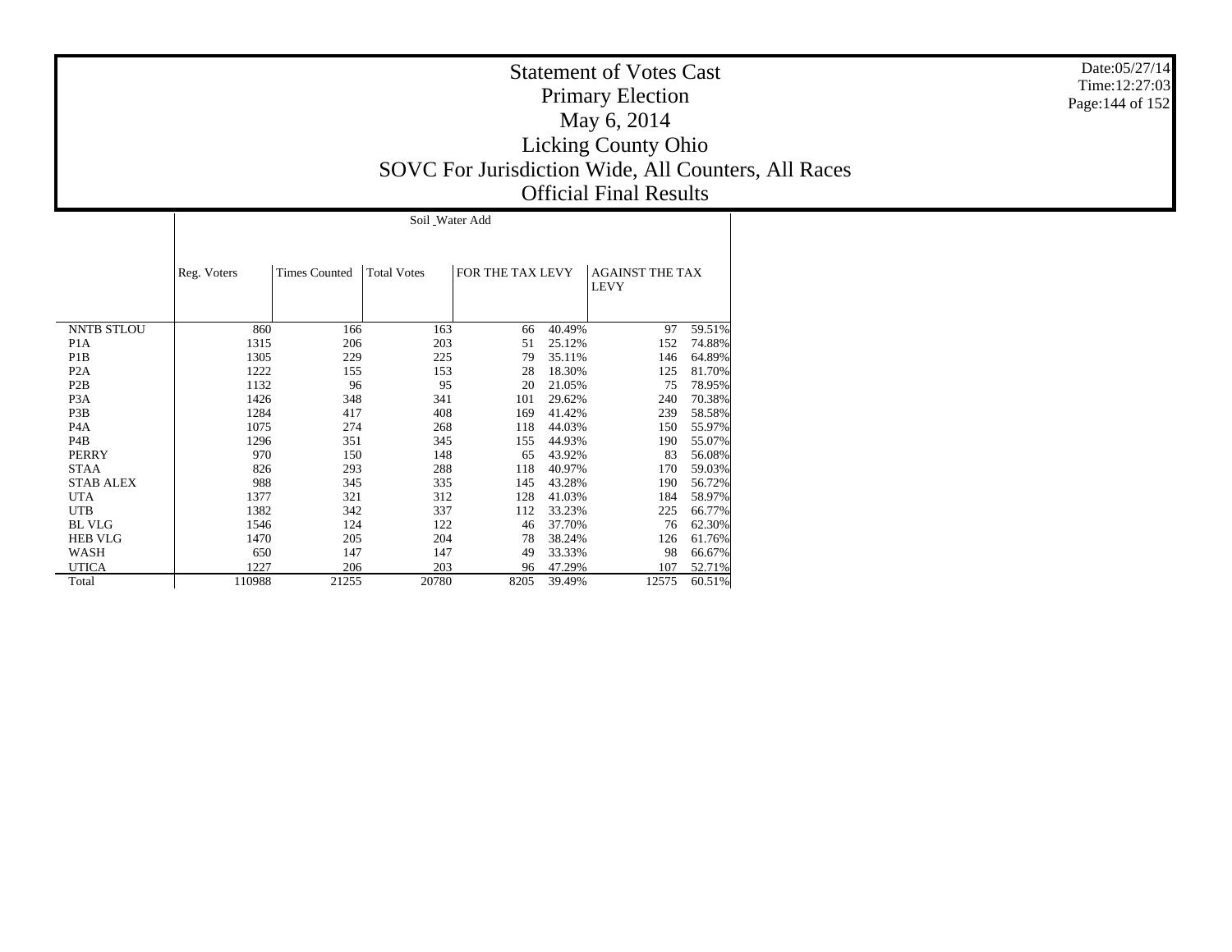NNTB STLOU P1A P1B P2A P2B P3A P3B P4A P4B PERRY STAA STAB ALEX UTA UTB BL VLG HEB VLG WASH UTICA Total Reg. Voters Times Counted Total Votes FOR THE TAX LEVY AGAINST THE TAX LEVYSoil Water Add 860166 163 66 40.49%  $\frac{1}{97}$  59.51% 1315 206 203 51 25.12% 152 74.88% 1305 229 225 79 35.11% 146 64.89% 1222 155 153 28 18.30% 125 81.70% 1132 96 95 20 21.05% 75 78.95% 1426 348 341 101 29.62% 240 70.38% 1284 417 408 169 41.42% 239 58.58% 1075 274 268 118 44.03% 150 55.97% 1296 351 345 155 44.93% 190 55.07% 970 150 148 65 43.92% 83 56.08% 826 293 288 118 40.97% 170 59.03% 988 345 335 145 43.28% 190 56.72% 1377 321 312 128 41.03% 184 58.97% 1382 342 337 112 33.23% 225 66.77% 1546 124 122 46 37.70% 76 62.30% 1470 205 204 78 38.24% 126 61.76% 650 147 147 49 33.33% 98 66.67% 1227 206 203 96 47.29% 107 52.71% 110988 21255 20780 8205 39.49%12575 60.51%

Date:05/27/14 Time:12:27:03Page:144 of 152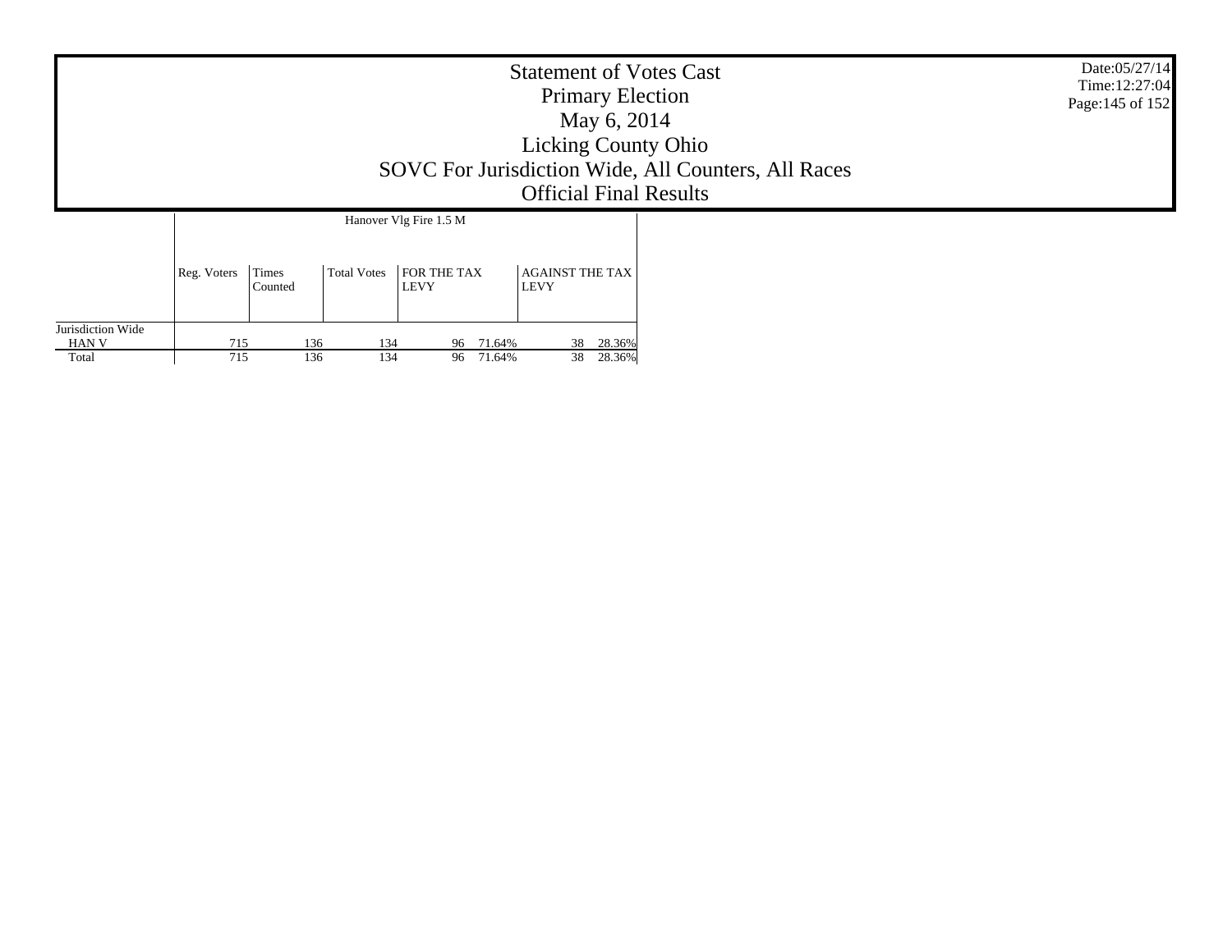|                       |             | <b>Statement of Votes Cast</b><br><b>Primary Election</b><br>May 6, 2014<br><b>Licking County Ohio</b><br>SOVC For Jurisdiction Wide, All Counters, All Races<br><b>Official Final Results</b> | Date:05/27/14<br>Time: 12:27:04<br>Page: 145 of 152 |                              |                                       |  |  |
|-----------------------|-------------|------------------------------------------------------------------------------------------------------------------------------------------------------------------------------------------------|-----------------------------------------------------|------------------------------|---------------------------------------|--|--|
|                       |             |                                                                                                                                                                                                |                                                     | Hanover Vlg Fire 1.5 M       |                                       |  |  |
|                       | Reg. Voters | Times<br>Counted                                                                                                                                                                               | <b>Total Votes</b>                                  | FOR THE TAX<br><b>LEVY</b>   | <b>AGAINST THE TAX</b><br><b>LEVY</b> |  |  |
| Jurisdiction Wide     |             |                                                                                                                                                                                                |                                                     |                              |                                       |  |  |
| <b>HAN V</b><br>Total | 715<br>715  |                                                                                                                                                                                                | 136<br>134<br>136<br>134                            | 71.64%<br>96<br>71.64%<br>96 | 38 28.36%<br>38<br>28.36%             |  |  |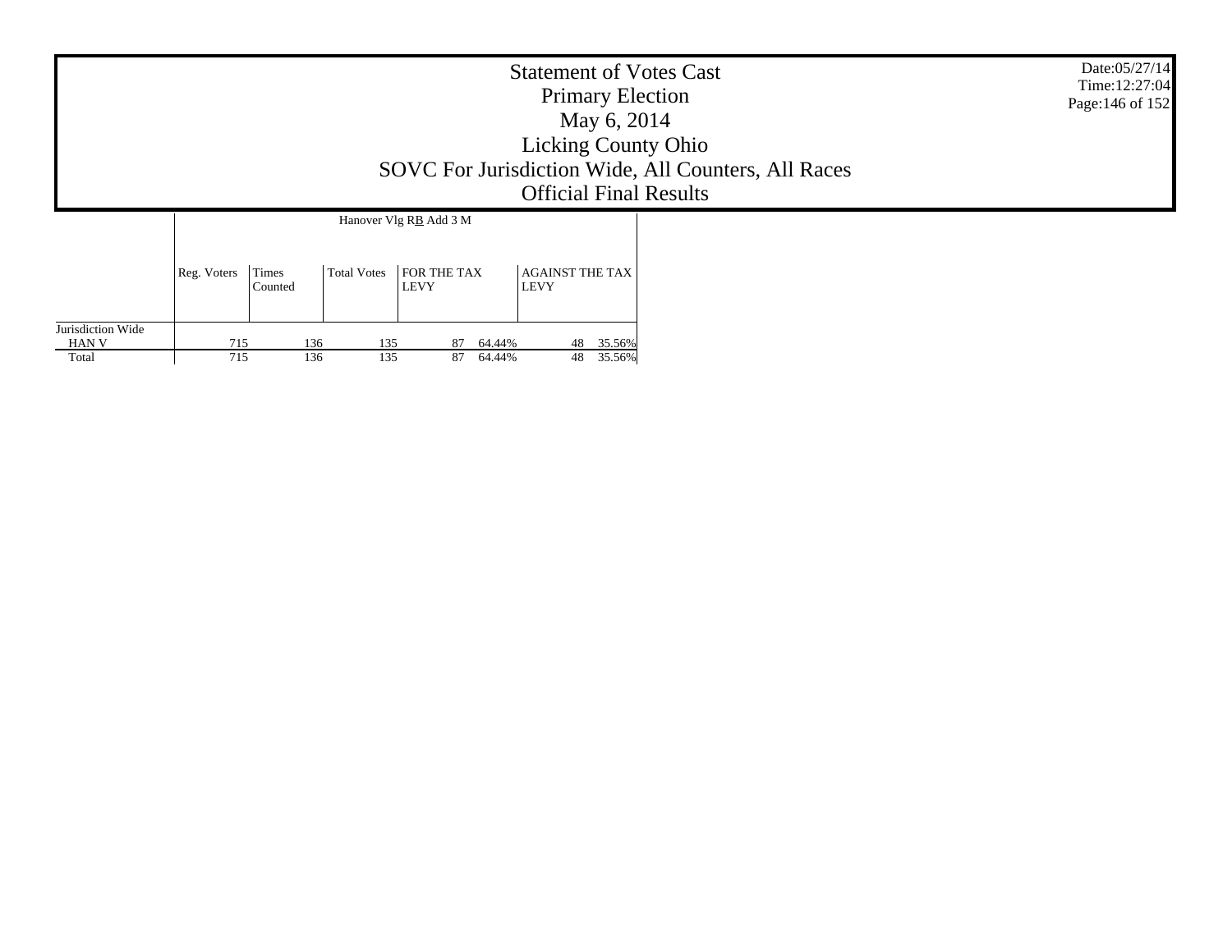|                       |             | <b>Statement of Votes Cast</b><br><b>Primary Election</b><br>May 6, 2014<br><b>Licking County Ohio</b><br>SOVC For Jurisdiction Wide, All Counters, All Races<br><b>Official Final Results</b> | Date:05/27/14<br>Time: 12:27:04<br>Page: 146 of 152 |                              |                                       |                     |  |  |
|-----------------------|-------------|------------------------------------------------------------------------------------------------------------------------------------------------------------------------------------------------|-----------------------------------------------------|------------------------------|---------------------------------------|---------------------|--|--|
|                       |             |                                                                                                                                                                                                |                                                     | Hanover Vlg RB Add 3 M       |                                       |                     |  |  |
|                       | Reg. Voters | Times<br>Counted                                                                                                                                                                               | <b>Total Votes</b>                                  | FOR THE TAX<br><b>LEVY</b>   | <b>AGAINST THE TAX</b><br><b>LEVY</b> |                     |  |  |
| Jurisdiction Wide     |             |                                                                                                                                                                                                |                                                     |                              |                                       |                     |  |  |
| <b>HAN V</b><br>Total | 715<br>715  | 136<br>136                                                                                                                                                                                     | 135<br>135                                          | 64.44%<br>87<br>87<br>64.44% | 48                                    | 48 35.56%<br>35.56% |  |  |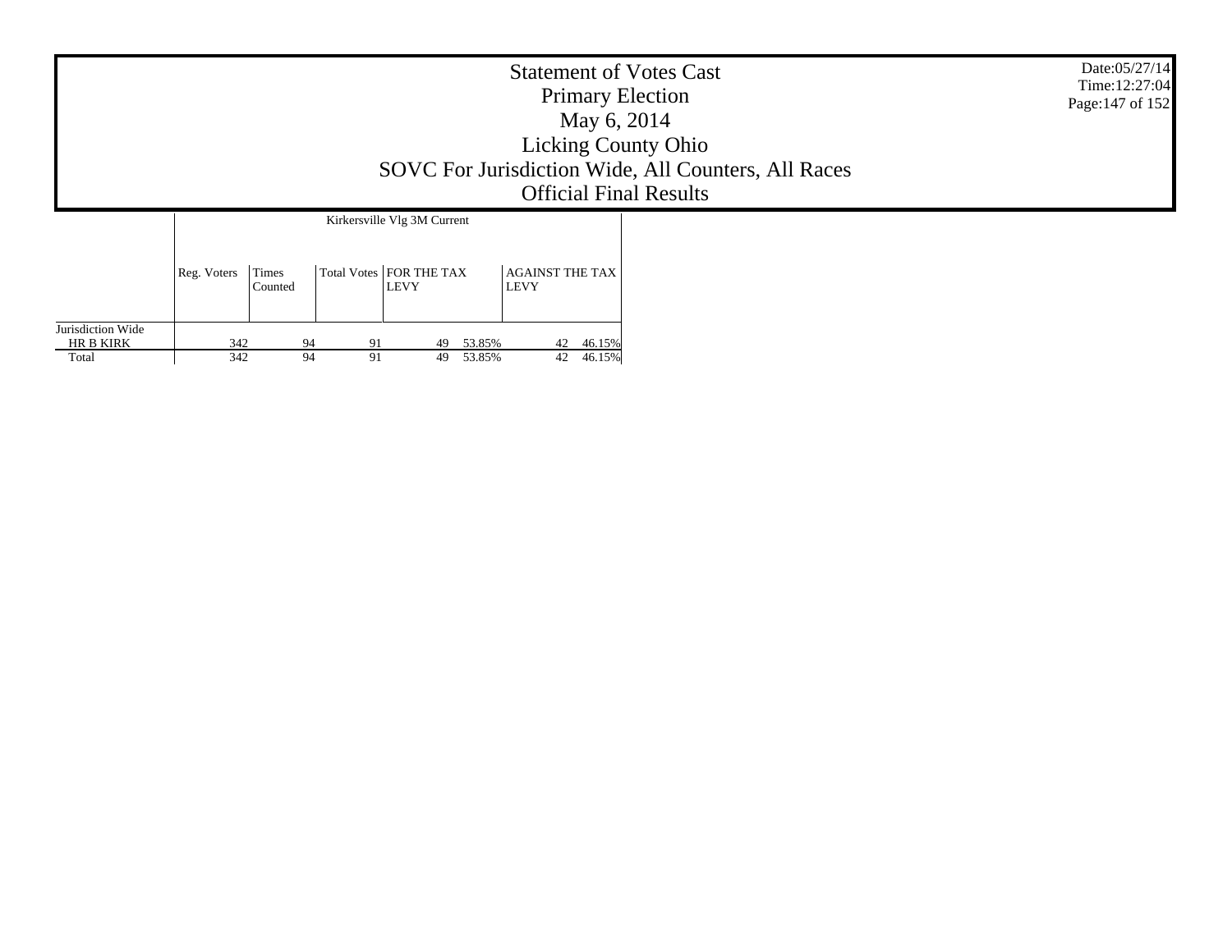| <b>Statement of Votes Cast</b><br><b>Primary Election</b><br>May 6, 2014<br><b>Licking County Ohio</b><br>SOVC For Jurisdiction Wide, All Counters, All Races<br><b>Official Final Results</b> |             |                  |          |                                          |        |                                |  |           |  | Date:05/27/14<br>Time: 12:27:04<br>Page: 147 of 152 |
|------------------------------------------------------------------------------------------------------------------------------------------------------------------------------------------------|-------------|------------------|----------|------------------------------------------|--------|--------------------------------|--|-----------|--|-----------------------------------------------------|
|                                                                                                                                                                                                |             |                  |          | Kirkersville Vlg 3M Current              |        |                                |  |           |  |                                                     |
|                                                                                                                                                                                                | Reg. Voters | Times<br>Counted |          | Total Votes   FOR THE TAX<br><b>LEVY</b> |        | <b>AGAINST THE TAX</b><br>LEVY |  |           |  |                                                     |
| Jurisdiction Wide<br>HR B KIRK                                                                                                                                                                 | 342         |                  | 94<br>91 | 49                                       | 53.85% |                                |  | 42 46.15% |  |                                                     |
| Total                                                                                                                                                                                          | 342         |                  | 91<br>94 | 49                                       | 53.85% |                                |  | 42 46.15% |  |                                                     |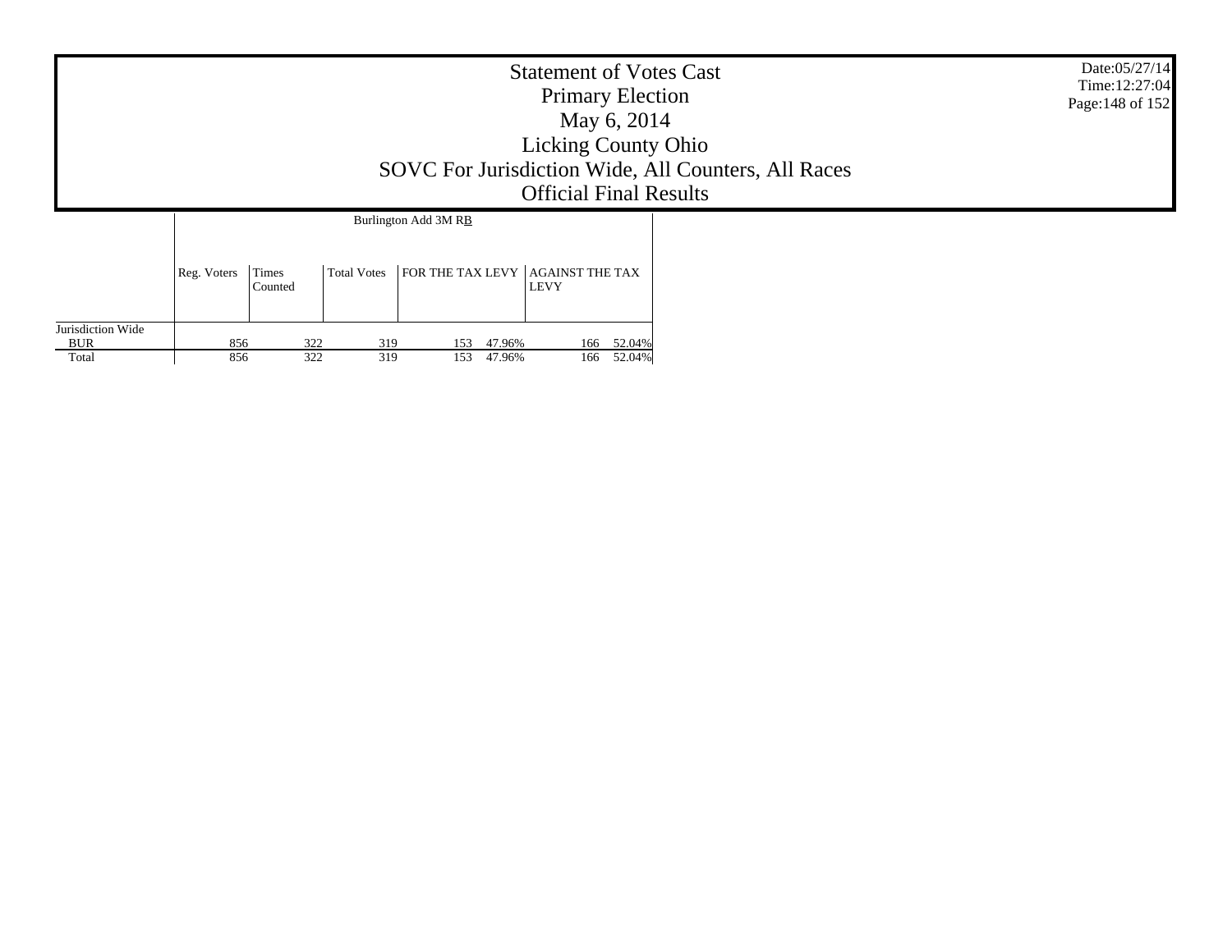|                                   |             |                  |                    |                                | <b>Statement of Votes Cast</b><br><b>Primary Election</b><br>May 6, 2014<br><b>Licking County Ohio</b><br>SOVC For Jurisdiction Wide, All Counters, All Races<br><b>Official Final Results</b> | Date:05/27/14<br>Time: 12:27:04<br>Page: 148 of 152 |  |  |
|-----------------------------------|-------------|------------------|--------------------|--------------------------------|------------------------------------------------------------------------------------------------------------------------------------------------------------------------------------------------|-----------------------------------------------------|--|--|
|                                   |             |                  |                    | Burlington Add 3M RB           |                                                                                                                                                                                                |                                                     |  |  |
|                                   | Reg. Voters | Times<br>Counted | <b>Total Votes</b> | FOR THE TAX LEVY               | <b>AGAINST THE TAX</b><br><b>LEVY</b>                                                                                                                                                          |                                                     |  |  |
| Jurisdiction Wide<br>BUR<br>Total | 856<br>856  | 322<br>322       | 319<br>319         | 47.96%<br>153<br>153<br>47.96% | 166                                                                                                                                                                                            | 166 52.04%<br>52.04%                                |  |  |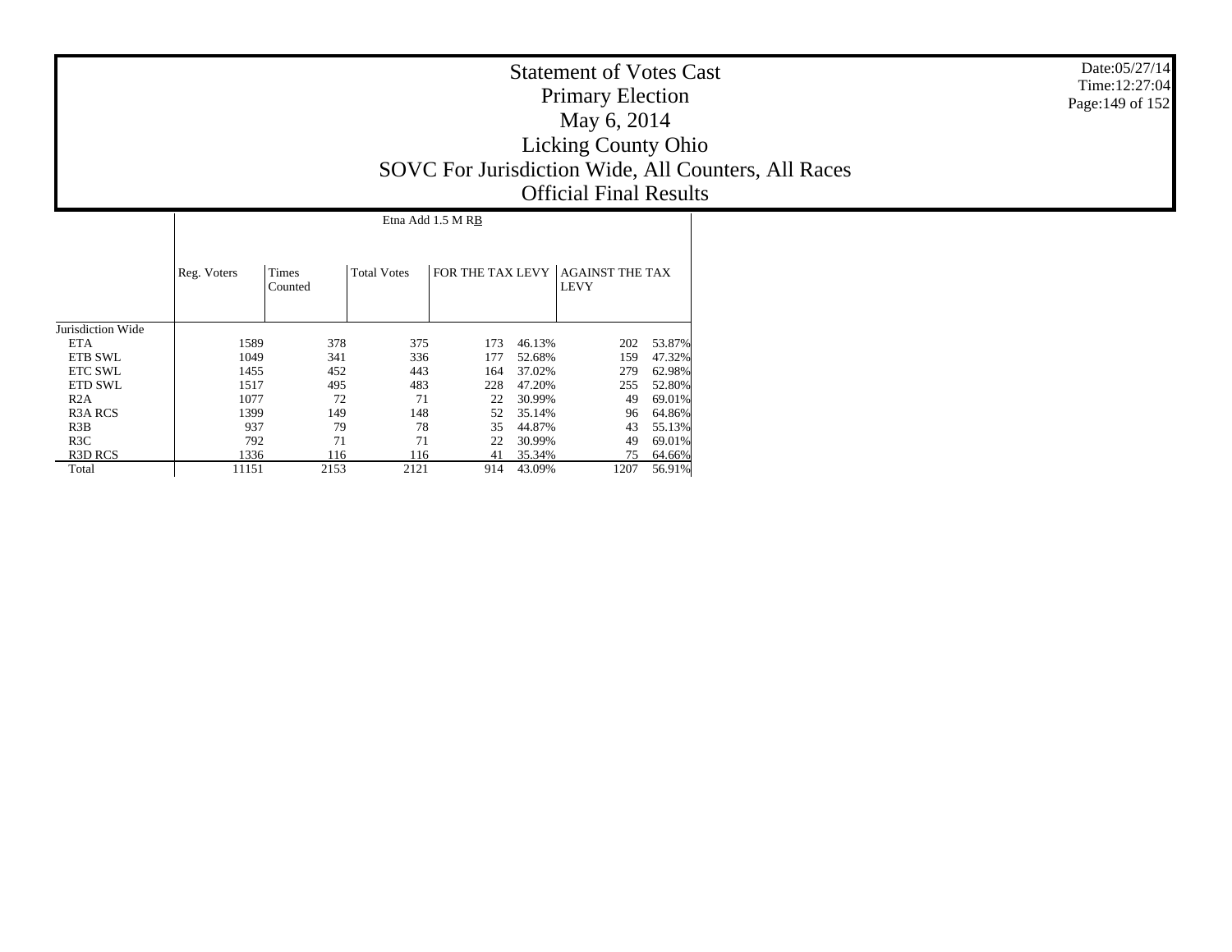## Statement of Votes Cast Primary Election May 6, 2014 Licking County Ohio SOVC For Jurisdiction Wide, All Counters, All Races Official Final Results

Date:05/27/14 Time:12:27:04Page:149 of 152

|                      |             | Etna Add 1.5 M RB |                    |     |        |                                                 |        |  |  |  |  |  |  |  |
|----------------------|-------------|-------------------|--------------------|-----|--------|-------------------------------------------------|--------|--|--|--|--|--|--|--|
|                      | Reg. Voters | Times<br>Counted  | <b>Total Votes</b> |     |        | FOR THE TAX LEVY AGAINST THE TAX<br><b>LEVY</b> |        |  |  |  |  |  |  |  |
| Jurisdiction Wide    |             |                   |                    |     |        |                                                 |        |  |  |  |  |  |  |  |
| <b>ETA</b>           | 1589        | 378               | 375                | 173 | 46.13% | 202                                             | 53.87% |  |  |  |  |  |  |  |
| <b>ETB SWL</b>       | 1049        | 341               | 336                | 177 | 52.68% | 159                                             | 47.32% |  |  |  |  |  |  |  |
| <b>ETC SWL</b>       | 1455        | 452               | 443                | 164 | 37.02% | 279                                             | 62.98% |  |  |  |  |  |  |  |
| ETD SWL              | 1517        | 495               | 483                | 228 | 47.20% | 255                                             | 52.80% |  |  |  |  |  |  |  |
| R2A                  | 1077        | 72                | 71                 | 22  | 30.99% | 49                                              | 69.01% |  |  |  |  |  |  |  |
| R <sub>3</sub> A RCS | 1399        | 149               | 148                | 52  | 35.14% | 96                                              | 64.86% |  |  |  |  |  |  |  |
| R3B                  | 937         | 79                | 78                 | 35  | 44.87% | 43                                              | 55.13% |  |  |  |  |  |  |  |
| R3C                  | 792         | 71                | 71                 | 22  | 30.99% | 49                                              | 69.01% |  |  |  |  |  |  |  |
| R3D RCS              | 1336        | 116               | 116                | 41  | 35.34% | 75                                              | 64.66% |  |  |  |  |  |  |  |
| Total                | 11151       | 2153              | 2121               | 914 | 43.09% | 1207                                            | 56.91% |  |  |  |  |  |  |  |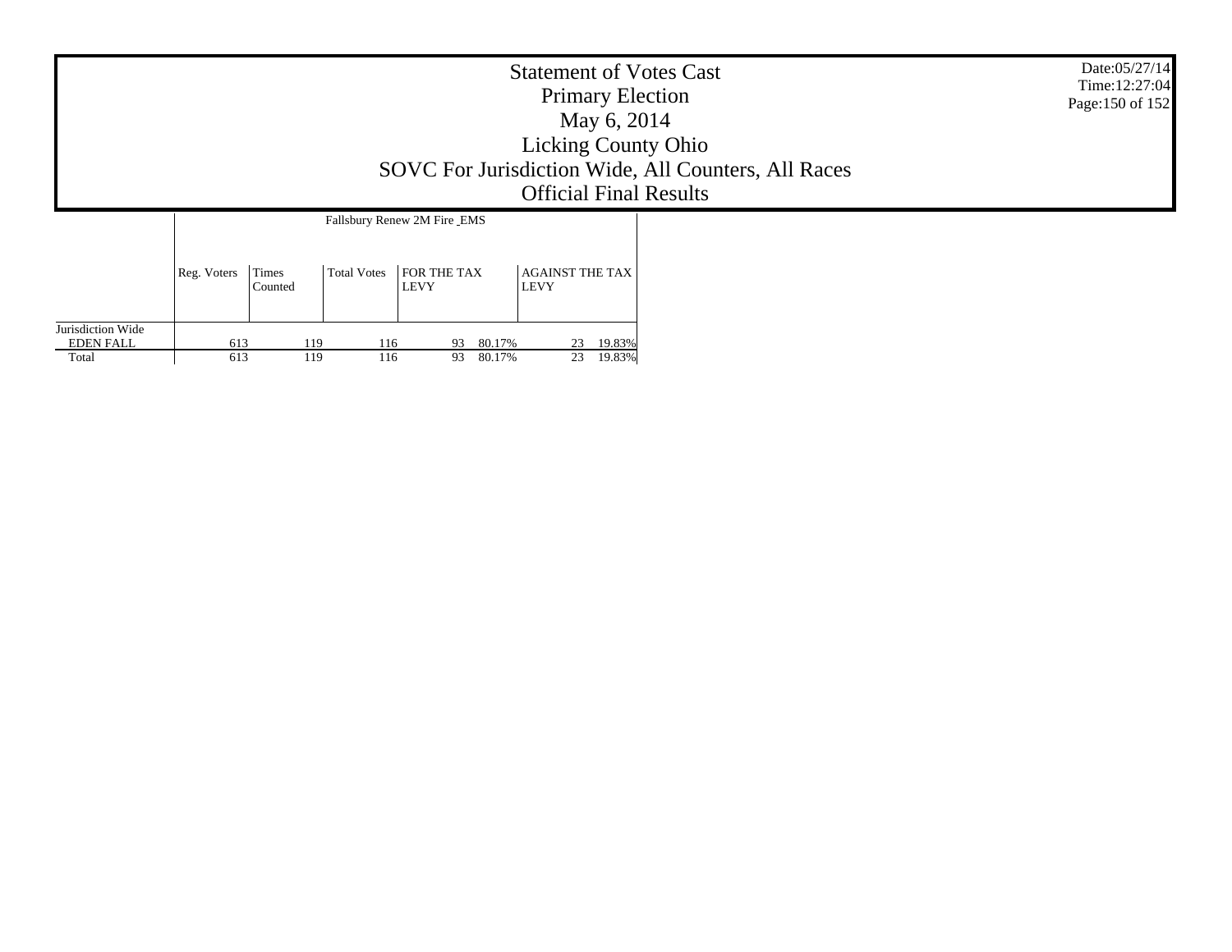|                                                |             |                  |                    |                              | <b>Statement of Votes Cast</b><br><b>Primary Election</b><br>May 6, 2014<br><b>Licking County Ohio</b><br>SOVC For Jurisdiction Wide, All Counters, All Races<br><b>Official Final Results</b> | Date:05/27/14<br>Time: 12:27:04<br>Page: 150 of 152 |  |
|------------------------------------------------|-------------|------------------|--------------------|------------------------------|------------------------------------------------------------------------------------------------------------------------------------------------------------------------------------------------|-----------------------------------------------------|--|
|                                                |             |                  |                    | Fallsbury Renew 2M Fire_EMS  |                                                                                                                                                                                                |                                                     |  |
|                                                | Reg. Voters | Times<br>Counted | <b>Total Votes</b> | FOR THE TAX<br><b>LEVY</b>   | <b>AGAINST THE TAX</b><br>LEVY                                                                                                                                                                 |                                                     |  |
| Jurisdiction Wide<br><b>EDEN FALL</b><br>Total | 613<br>613  | 119<br>119       | 116<br>116         | 80.17%<br>93<br>80.17%<br>93 | 19.83%<br>23<br>23<br>19.83%                                                                                                                                                                   |                                                     |  |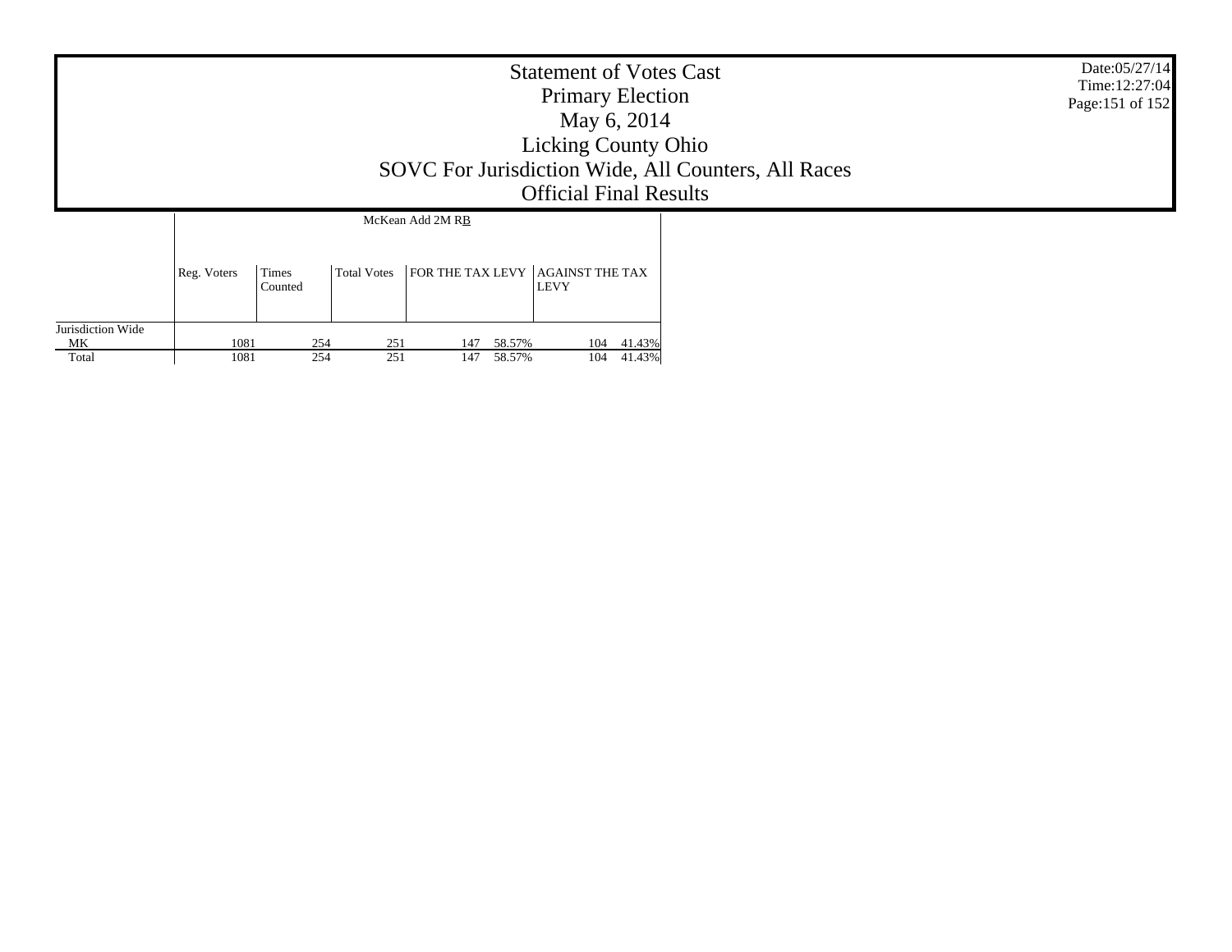|                                  |              |                  |                    | <b>Statement of Votes Cast</b><br><b>Primary Election</b><br>May 6, 2014<br><b>Licking County Ohio</b><br>SOVC For Jurisdiction Wide, All Counters, All Races<br><b>Official Final Results</b> | Date:05/27/14<br>Time: 12:27:04<br>Page:151 of 152 |  |  |
|----------------------------------|--------------|------------------|--------------------|------------------------------------------------------------------------------------------------------------------------------------------------------------------------------------------------|----------------------------------------------------|--|--|
|                                  | Reg. Voters  | Times<br>Counted | <b>Total Votes</b> | McKean Add 2M RB<br>$ $ FOR THE TAX LEVY $ $ AGAINST THE TAX                                                                                                                                   |                                                    |  |  |
| Jurisdiction Wide<br>МK<br>Total | 1081<br>1081 | 254<br>254       | 251<br>251         | 58.57%<br>147<br>147<br>58.57%                                                                                                                                                                 | LEVY<br>41.43%<br>104<br>41.43%<br>104             |  |  |